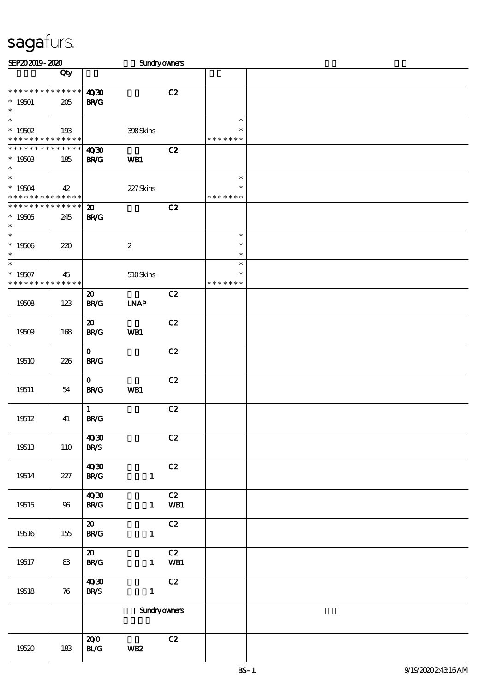| SEP202019-2020                                                                          |            |                                                                  | Sundryowners         |               |                                   |  |
|-----------------------------------------------------------------------------------------|------------|------------------------------------------------------------------|----------------------|---------------|-----------------------------------|--|
|                                                                                         | Qty        |                                                                  |                      |               |                                   |  |
| * * * * * * * * * * * * * *<br>$* 19501$<br>$\ast$                                      | 205        | 4030<br><b>BR/G</b>                                              |                      | C2            |                                   |  |
| $\overline{\phantom{0}}$<br>$*$ 19502<br>* * * * * * * * * * * * * *                    | 193        |                                                                  | 398Skins             |               | $\ast$<br>∗<br>* * * * * * *      |  |
| * * * * * * * * * * * * * *<br>$^*$ 19503 $\,$<br>$\ast$                                | 185        | 40'30<br><b>BR/G</b>                                             | WB1                  | C2            |                                   |  |
| $\overline{\phantom{0}}$<br>$^*$ 19504 $\,$<br>* * * * * * * * <mark>* * * * * *</mark> | 42         |                                                                  | 227Skins             |               | $\ast$<br>$\ast$<br>* * * * * * * |  |
| * * * * * * * * * * * * * *<br>$* 19505$<br>$\ast$                                      | 245        | $\boldsymbol{\mathfrak{D}}$<br><b>BR/G</b>                       |                      | C2            |                                   |  |
| $\overline{\ast}$<br>$^\ast$ 19506<br>$\ast$                                            | 220        |                                                                  | $\boldsymbol{2}$     |               | $\ast$<br>$\ast$<br>$\ast$        |  |
| $\overline{\phantom{0}}$<br>$^\ast$ 19507<br>* * * * * * * * <mark>* * * * * *</mark>   | 45         |                                                                  | 510Skins             |               | $\ast$<br>$\ast$<br>* * * * * * * |  |
| 19508                                                                                   | 123        | $\boldsymbol{\mathfrak{D}}$<br><b>BR/G</b>                       | <b>INAP</b>          | C2            |                                   |  |
| 19509                                                                                   | 168        | $\boldsymbol{\mathfrak{D}}$<br>BRC                               | WB1                  | C2            |                                   |  |
| 19510                                                                                   | 226        | $\mathbf{O}$<br><b>BR/G</b>                                      |                      | C2            |                                   |  |
| 19511                                                                                   | 54         | $\mathbf{O}$<br><b>BR/G</b>                                      | WB1                  | C2            |                                   |  |
| 19512                                                                                   | 41         | $\mathbf{1}$<br><b>BR/G</b>                                      |                      | C2            |                                   |  |
| 19513                                                                                   | <b>110</b> | 40'30<br><b>BR/S</b>                                             |                      | C2            |                                   |  |
| 19514                                                                                   | $227\,$    | 40'30<br><b>BR/G</b>                                             | $\mathbf{1}$         | C2            |                                   |  |
| 19515                                                                                   | $96\,$     | 4030<br><b>BR/G</b>                                              | $\mathbf{1}$         | C2<br>WB1     |                                   |  |
| 19516                                                                                   | 155        | $\boldsymbol{\mathfrak{D}}$<br>$\mathbf{B}\mathbf{R}/\mathbf{G}$ | $\mathbf{1}$         | C2            |                                   |  |
| 19517                                                                                   | $83\,$     | $\boldsymbol{\mathfrak{D}}$<br>B R/G                             | $\mathbf{1}$         | C2<br>WB1     |                                   |  |
| 19518                                                                                   | 76         | 40'30<br><b>BR/S</b>                                             | $\mathbf{1}$         | C2            |                                   |  |
|                                                                                         |            |                                                                  | <b>Sundry owners</b> |               |                                   |  |
| 19520                                                                                   | 183        | 200<br>$\mathbf{B}\mathbf{L}\mathbf{G}$                          | WB <sub>2</sub>      | $\mathbf{C2}$ |                                   |  |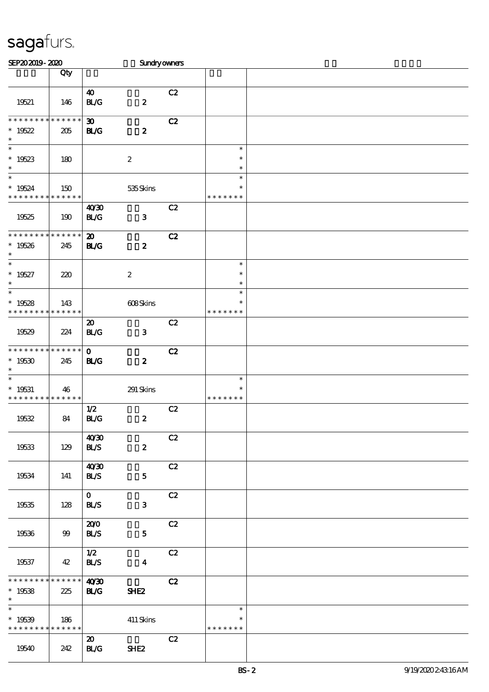| SEP202019-2020                                                               |                        |                                            | Sundryowners     |    |                                   |  |
|------------------------------------------------------------------------------|------------------------|--------------------------------------------|------------------|----|-----------------------------------|--|
|                                                                              | Qty                    |                                            |                  |    |                                   |  |
| 19521                                                                        | 146                    | $\boldsymbol{\omega}$<br><b>BL/G</b>       | $\pmb{2}$        | C2 |                                   |  |
| * * * * * * * *<br>$* 19522$<br>$\ast$                                       | $******$<br>205        | $\boldsymbol{\mathfrak{D}}$<br><b>BL/G</b> | $\boldsymbol{2}$ | C2 |                                   |  |
| $\ast$<br>$* 19523$<br>$\ast$                                                | 180                    |                                            | $\boldsymbol{2}$ |    | $\ast$<br>$\ast$<br>$\ast$        |  |
| $\overline{\ast}$<br>$* 19524$<br>* * * * * * * * <mark>* * * * * * *</mark> | 150                    |                                            | 535Skins         |    | $\ast$<br>$\ast$<br>* * * * * * * |  |
| 19525                                                                        | 190                    | 40'30<br>BLG                               | $\mathbf{3}$     | C2 |                                   |  |
| * * * * * * * *<br>$* 19526$<br>$\ast$                                       | * * * * * *<br>245     | $\boldsymbol{\mathfrak{D}}$<br>BLG         | $\pmb{2}$        | C2 |                                   |  |
| $\overline{\ast}$<br>$* 19527$<br>$\ast$                                     | 220                    |                                            | $\boldsymbol{2}$ |    | $\ast$<br>$\ast$<br>$\ast$        |  |
| $\ast$<br>$* 19528$<br>* * * * * * * *                                       | 143<br>* * * * * *     |                                            | 608Skins         |    | $\ast$<br>$\ast$<br>* * * * * * * |  |
| 19529                                                                        | 224                    | $\boldsymbol{\mathfrak{D}}$<br>BLG         | $\mathbf{3}$     | C2 |                                   |  |
| * * * * * * * *<br>$*19530$<br>$\ast$                                        | * * * * * *<br>245     | $\mathbf{O}$<br><b>BL/G</b>                | $\boldsymbol{z}$ | C2 |                                   |  |
| $\ast$<br>$* 19531$<br>* * * * * * * *                                       | 46<br>* * * * * *      |                                            | 291 Skins        |    | $\ast$<br>$\ast$<br>* * * * * * * |  |
| 19532                                                                        | 84                     | $1/2$<br>BLG                               | $\pmb{2}$        | C2 |                                   |  |
| 19533                                                                        | 129                    | 40'30<br><b>BLS</b>                        | $\pmb{2}$        | C2 |                                   |  |
| 19534                                                                        | 141                    | 40'30<br><b>BL/S</b>                       | $\mathbf 5$      | C2 |                                   |  |
| 19535                                                                        | 128                    | $\mathbf{0}$<br><b>BL/S</b>                | $\mathbf{3}$     | C2 |                                   |  |
| 19536                                                                        | 99                     | 200<br><b>BL/S</b>                         | $5\phantom{.}$   | C2 |                                   |  |
| 19537                                                                        | 42                     | 1/2<br><b>BL/S</b>                         | $\boldsymbol{4}$ | C2 |                                   |  |
| * * * * * * * * *<br>$* 19538$<br>$\ast$                                     | $* * * * * * *$<br>225 | 40'30<br><b>BL/G</b>                       | SHE <sub>2</sub> | C2 |                                   |  |
| $\overline{\ast}$<br>$* 19539$<br>* * * * * * * *                            | 186<br>* * * * * *     |                                            | 411 Skins        |    | $\ast$<br>* * * * * * *           |  |
| 19540                                                                        | 242                    | $\boldsymbol{\mathfrak{D}}$<br><b>BL/G</b> | SHE <sub>2</sub> | C2 |                                   |  |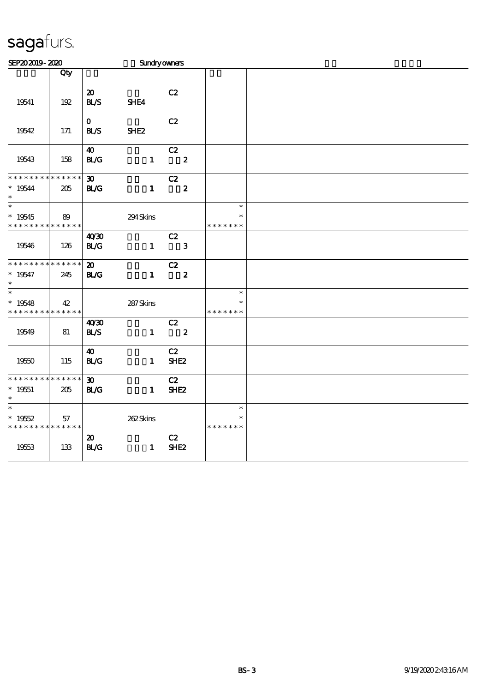| SEP202019-2020                                                    |                    |                                            | Sundryowners     |                                  |                                   |  |
|-------------------------------------------------------------------|--------------------|--------------------------------------------|------------------|----------------------------------|-----------------------------------|--|
|                                                                   | Qty                |                                            |                  |                                  |                                   |  |
| 19541                                                             | 192                | $\boldsymbol{\mathfrak{D}}$<br><b>BL/S</b> | SHE4             | C2                               |                                   |  |
| 19542                                                             | $171$              | $\mathbf{O}$<br><b>BL/S</b>                | SHE <sub>2</sub> | C2                               |                                   |  |
| 19543                                                             | 158                | 40<br>BLG                                  | $\mathbf{1}$     | C2<br>$\overline{\mathbf{2}}$    |                                   |  |
| * * * * * * * * * * * * * *<br>$* 19544$<br>$\ast$                | 205                | $\boldsymbol{\mathfrak{D}}$<br><b>BL/G</b> | $\mathbf{1}$     | C2<br>$\boldsymbol{z}$           |                                   |  |
| $\overline{\phantom{a}}$<br>$* 19545$<br>* * * * * * * *          | 89<br>* * * * * *  |                                            | 294Skins         |                                  | $\ast$<br>$\ast$<br>* * * * * * * |  |
| 19546                                                             | 126                | 40'30<br>BLG                               | $\mathbf{1}$     | C2<br>$\overline{\phantom{a}}$ 3 |                                   |  |
| * * * * * * * * <mark>* * * * * * *</mark><br>$* 19547$<br>$\ast$ | 245                | $\boldsymbol{\mathfrak{D}}$<br><b>BL/G</b> | $\mathbf{1}$     | C2<br>$\boldsymbol{2}$           |                                   |  |
| $\overline{\phantom{1}}$<br>$* 19548$<br>* * * * * * * *          | 42<br>* * * * * *  |                                            | 287Skins         |                                  | $\ast$<br>$\ast$<br>* * * * * * * |  |
| 19549                                                             | 81                 | 40'30<br>BLS                               | $\mathbf{1}$     | C2<br>$\overline{\mathbf{2}}$    |                                   |  |
| 19550                                                             | 115                | $\boldsymbol{\omega}$<br>BLG               | $\mathbf{1}$     | C2<br>SHE <sub>2</sub>           |                                   |  |
| * * * * * * * *<br>$* 19551$<br>$\ast$                            | * * * * * *<br>205 | $\boldsymbol{\mathfrak{D}}$<br>BLG         | $\mathbf{1}$     | C2<br>SHE <sub>2</sub>           |                                   |  |
| $\ast$<br>$*19552$<br>* * * * * * * * * * * * * *                 | 57                 |                                            | 262Skins         |                                  | $\ast$<br>$\ast$<br>* * * * * * * |  |
| 19553                                                             | 133                | $\boldsymbol{\mathfrak{D}}$<br>BLG         | $\mathbf{1}$     | C2<br>SHE <sub>2</sub>           |                                   |  |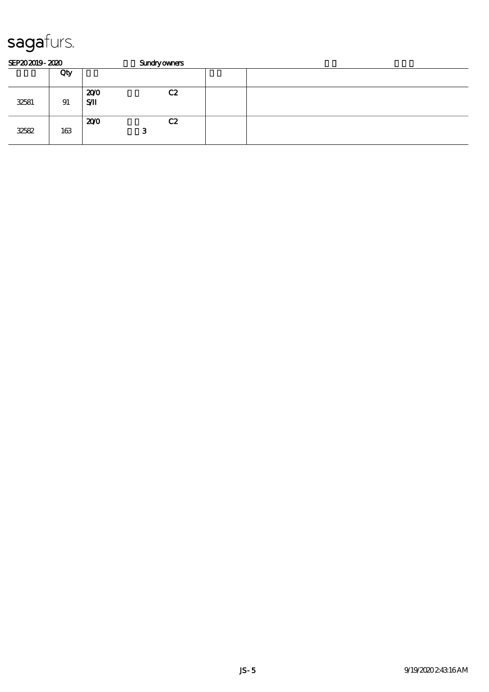| SEP202019-2020 |     |                    | <b>Sundryowners</b> |  |  |
|----------------|-----|--------------------|---------------------|--|--|
|                | Qty |                    |                     |  |  |
| 32581          | 91  | 200<br><b>S/II</b> | C2                  |  |  |
| 32582          | 163 | 200                | C2<br>З             |  |  |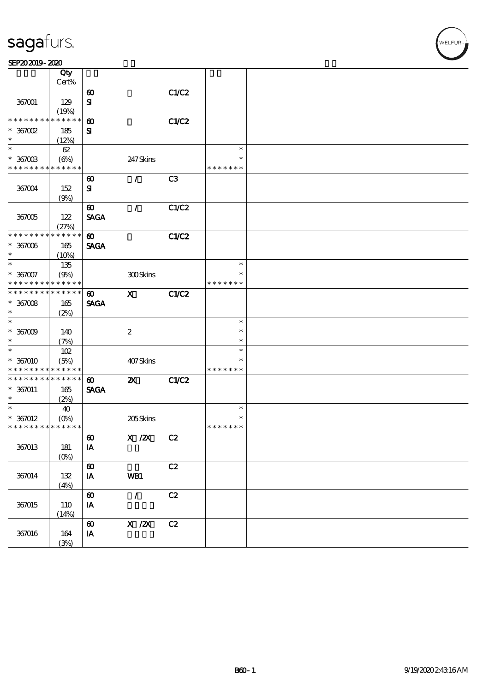| SEP202019-2020 |  |
|----------------|--|
|----------------|--|

| ali avadio- alau                           |              |                         |                                        |              |               |  |
|--------------------------------------------|--------------|-------------------------|----------------------------------------|--------------|---------------|--|
|                                            | Qty<br>Cert% |                         |                                        |              |               |  |
|                                            |              | $\boldsymbol{\omega}$   |                                        | C1/C2        |               |  |
| 367001                                     | 129          | $\mathbf{S}$            |                                        |              |               |  |
|                                            | (19%)        |                         |                                        |              |               |  |
| * * * * * * * *                            | * * * * * *  | $\boldsymbol{\omega}$   |                                        | C1/C2        |               |  |
| $*$ 367002                                 | 185          | ${\bf s}$               |                                        |              |               |  |
| $\ast$                                     | (12%)        |                         |                                        |              |               |  |
| $\ast$                                     | 62           |                         |                                        |              | $\ast$        |  |
| $*36700B$                                  | $(\Theta)$   |                         | 247 Skins                              |              | ∗             |  |
| * * * * * * * * * * * * * *                |              |                         |                                        |              | * * * * * * * |  |
|                                            |              | $\boldsymbol{\omega}$   | $\prime$                               | C3           |               |  |
| 367004                                     | 152          | ${\bf s}$               |                                        |              |               |  |
|                                            | (9%)         |                         |                                        |              |               |  |
|                                            |              | $\boldsymbol{\omega}$   | $\sqrt{ }$                             | C1/C2        |               |  |
| 367005                                     | 122          | <b>SAGA</b>             |                                        |              |               |  |
|                                            | (27%)        |                         |                                        |              |               |  |
| * * * * * * * *                            | * * * * * *  | $\boldsymbol{\omega}$   |                                        | <b>C1/C2</b> |               |  |
| $* 367006$                                 | 165          | <b>SAGA</b>             |                                        |              |               |  |
| $\ast$                                     | (10%)        |                         |                                        |              |               |  |
| $\ast$                                     | 135          |                         |                                        |              | $\ast$        |  |
| $* 367007$                                 | (9%)         |                         | 300Skins                               |              | *             |  |
| * * * * * * * * * * * * * *                |              |                         |                                        |              | * * * * * * * |  |
| * * * * * * * * * * * * * *                |              | $\boldsymbol{\omega}$   | $\mathbf{x}$                           | C1/C2        |               |  |
| $*367008$                                  | 165          | <b>SAGA</b>             |                                        |              |               |  |
| $\ast$                                     | (2%)         |                         |                                        |              |               |  |
| $\ast$                                     |              |                         |                                        |              | $\ast$        |  |
| $* 367009$                                 | 140          |                         | $\boldsymbol{2}$                       |              | $\ast$        |  |
| $\ast$                                     | (7%)         |                         |                                        |              | $\ast$        |  |
| $\overline{\phantom{1}}$                   | 102          |                         |                                        |              | $\ast$        |  |
| * 367010                                   | (5%)         |                         | 407Skins                               |              | $\ast$        |  |
| * * * * * * * * * * * * * *                |              |                         |                                        |              | * * * * * * * |  |
| * * * * * * * * * * * * * *                |              | $\boldsymbol{\omega}$   | $\boldsymbol{\mathsf{X}}$              | C1/C2        |               |  |
| $*367011$                                  | 165          | <b>SAGA</b>             |                                        |              |               |  |
| $\ast$                                     | (2%)         |                         |                                        |              |               |  |
| $\ast$                                     | 40           |                         |                                        |              | $\ast$        |  |
| $*367012$                                  | $(0\%)$      |                         | 205Skins                               |              | $\ast$        |  |
| * * * * * * * * <mark>* * * * * * *</mark> |              |                         |                                        |              | * * * * * * * |  |
|                                            |              | $\boldsymbol{\omega}$   | $\boldsymbol{\mathrm{X}}$ / <b>Z</b> X | C2           |               |  |
| 367013                                     | 181          | $\mathbf{I}\mathbf{A}$  |                                        |              |               |  |
|                                            | $(O\%)$      |                         |                                        |              |               |  |
|                                            |              | $\boldsymbol{\omega}$   |                                        | C2           |               |  |
| 367014                                     | 132          | IA                      | WB1                                    |              |               |  |
|                                            | (4%)         |                         |                                        |              |               |  |
|                                            |              | $\boldsymbol{\omega}$   | $\mathcal{T}$                          | C2           |               |  |
| 367015                                     | 110          | $\mathbf{I} \mathbf{A}$ |                                        |              |               |  |
|                                            | (14%)        |                         |                                        |              |               |  |
|                                            |              | $\boldsymbol{\omega}$   | $X$ / $ZX$                             | C2           |               |  |
| 367016                                     | 164          | IA                      |                                        |              |               |  |
|                                            | (3%)         |                         |                                        |              |               |  |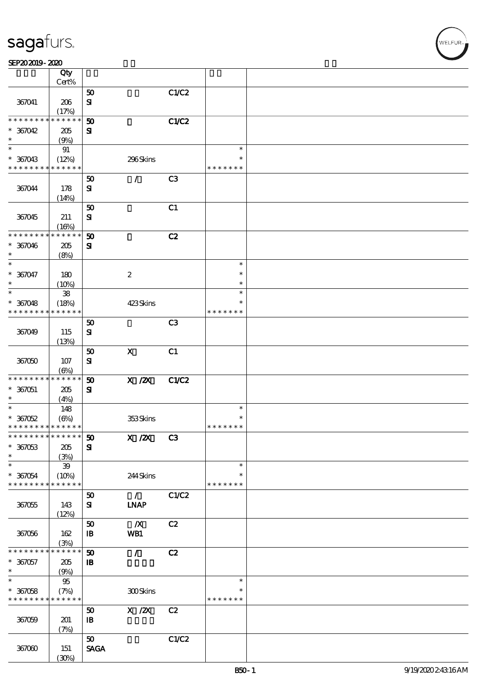| SEP202019-2020 |  |
|----------------|--|
|----------------|--|

|                                                        | Qty<br>Cert%         |                                |                  |                |                         |  |
|--------------------------------------------------------|----------------------|--------------------------------|------------------|----------------|-------------------------|--|
|                                                        |                      |                                |                  | C1/C2          |                         |  |
| 367041                                                 | 206                  | 50<br>${\bf s}$                |                  |                |                         |  |
| * * * * * * * *                                        | (17%)<br>* * * * * * |                                |                  |                |                         |  |
|                                                        |                      | 50                             |                  | C1/C2          |                         |  |
| $* 367042$<br>$\ast$                                   | 205<br>(9%)          | ${\bf s}$                      |                  |                |                         |  |
| $\ast$                                                 | 91                   |                                |                  |                | $\ast$                  |  |
| $*367043$<br>* * * * * * * * * * * * * *               | (12%)                |                                | 296Skins         |                | $\ast$<br>* * * * * * * |  |
|                                                        |                      | 50                             | $\mathcal{L}$    | C <sub>3</sub> |                         |  |
| 367044                                                 | 178<br>(14%)         | ${\bf s}$                      |                  |                |                         |  |
|                                                        |                      | 50                             |                  | C1             |                         |  |
| 367045                                                 | 211<br>(16%)         | ${\bf s}$                      |                  |                |                         |  |
| * * * * * * * *                                        | * * * * * *          | 50                             |                  | C2             |                         |  |
| $* 367046$<br>$\ast$                                   | 205<br>(8%)          | ${\bf s}$                      |                  |                |                         |  |
| $\ast$                                                 |                      |                                |                  |                | $\ast$                  |  |
| $* 367047$<br>$\ast$                                   | 180<br>(10%)         |                                | $\boldsymbol{2}$ |                | $\ast$<br>$\ast$        |  |
| $\ast$                                                 | ${\bf 38}$           |                                |                  |                | $\ast$                  |  |
|                                                        |                      |                                | 423Skins         |                | $\ast$                  |  |
| $* 367048$<br>* * * * * * * *                          | (18%)<br>* * * * * * |                                |                  |                | * * * * * * *           |  |
|                                                        |                      | 50                             |                  | C <sub>3</sub> |                         |  |
| 367049                                                 | 115<br>(13%)         | ${\bf s}$                      |                  |                |                         |  |
|                                                        |                      | 50                             | $\mathbf X$      | C1             |                         |  |
| 367050                                                 | 107<br>$(\Theta)$    | ${\bf s}$                      |                  |                |                         |  |
| * * * * * * * *                                        | * * * * * *          | $\boldsymbol{\mathfrak{D}}$    | X / ZX           | C1/C2          |                         |  |
| $* 367051$                                             | 205                  | ${\bf s}$                      |                  |                |                         |  |
| $\ast$                                                 | (4%)                 |                                |                  |                |                         |  |
| $\ast$                                                 | 148                  |                                |                  |                | $\ast$                  |  |
| $* 367052$                                             | (6%)                 |                                | 353Skins         |                | $\ast$                  |  |
| * * * * * * * * * * * * * *                            |                      |                                |                  |                | * * * * * * *           |  |
| *************** 50                                     |                      |                                | $X$ / $ZX$       | C3             |                         |  |
| $* 367053$                                             | 205                  | ${\bf s}$                      |                  |                |                         |  |
| $\ast$                                                 | (3%)                 |                                |                  |                |                         |  |
| $\ast$                                                 | ${\bf 39}$           |                                |                  |                | $\ast$                  |  |
| $* 367054$                                             | (10%)                |                                | 244Skins         |                | $\ast$                  |  |
| * * * * * * * *                                        | * * * * * *          |                                |                  |                | * * * * * * *           |  |
|                                                        |                      | 50                             | $\mathcal{L}$    | C1/C2          |                         |  |
| 367055                                                 | 143<br>(12%)         | ${\bf s}$                      | <b>INAP</b>      |                |                         |  |
|                                                        |                      | 50                             | $\boldsymbol{X}$ | C2             |                         |  |
| 367056                                                 | $162$<br>(3%)        | $\mathbf{B}$                   | WB1              |                |                         |  |
| * * * * * * *                                          | * * * * * *          | 50                             | $\mathcal{L}$    | C2             |                         |  |
| $* 367057$                                             | $205\,$              | ${\bf I\!B}$                   |                  |                |                         |  |
| $\ast$                                                 | (9%)                 |                                |                  |                |                         |  |
| $\overline{\ast}$                                      | $95\,$               |                                |                  |                | $\ast$                  |  |
| $* 367058$<br>* * * * * * * * <mark>* * * * * *</mark> | (7%)                 |                                | 300Skins         |                | * * * * * * *           |  |
|                                                        |                      | 50                             | X / ZX           | C2             |                         |  |
| 367059                                                 | 201<br>(7%)          | $\, {\bf I} \! {\bf B} \,$     |                  |                |                         |  |
|                                                        |                      |                                |                  |                |                         |  |
| 367060                                                 | 151                  | 50 <sub>o</sub><br><b>SAGA</b> |                  | C1/C2          |                         |  |
|                                                        | (30%)                |                                |                  |                |                         |  |

,<br>WELFUR:<br>.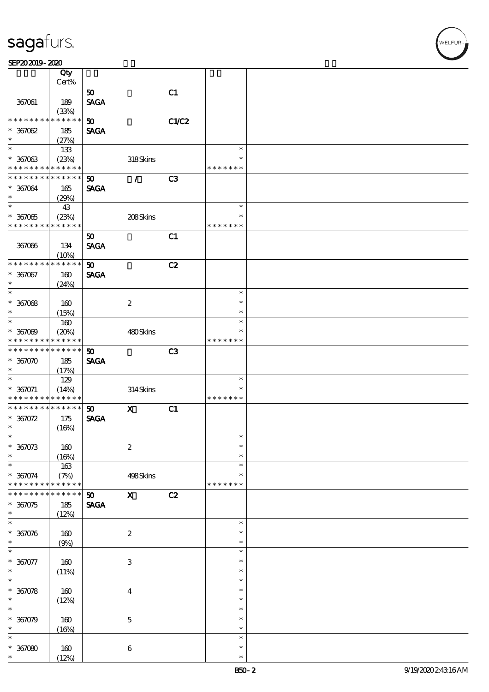|                          | Qty<br>Cert%         |             |                           |                |               |  |
|--------------------------|----------------------|-------------|---------------------------|----------------|---------------|--|
|                          |                      |             |                           |                |               |  |
|                          |                      | ${\bf 50}$  |                           | C1             |               |  |
| 367061                   | 189                  | <b>SAGA</b> |                           |                |               |  |
|                          | (33%)                |             |                           |                |               |  |
| * * * * * * * *          | * * * * * *          | 50          |                           | C1/C2          |               |  |
| $*36702$                 | 185                  | <b>SAGA</b> |                           |                |               |  |
| $\ast$                   | (27%)                |             |                           |                |               |  |
| $\overline{\phantom{0}}$ | 133                  |             |                           |                | $\ast$        |  |
|                          |                      |             |                           |                | $\ast$        |  |
| $* 367063$               | (23%)                |             | 318Skins                  |                |               |  |
| * * * * * * * *          | * * * * * *          |             |                           |                | * * * * * * * |  |
| * * * * * * * *          | * * * * * *          | 50          | $\mathcal{L}$             | C3             |               |  |
| $* 367064$               | 165                  | <b>SAGA</b> |                           |                |               |  |
| $\ast$                   | (29%)                |             |                           |                |               |  |
| $\overline{\ast}$        | 43                   |             |                           |                | $\ast$        |  |
| $*367065$                | (23%)                |             | 208Skins                  |                | $\ast$        |  |
| * * * * * * * *          | * * * * * *          |             |                           |                | * * * * * * * |  |
|                          |                      | 50          |                           | C1             |               |  |
|                          |                      |             |                           |                |               |  |
| 367066                   | 134                  | <b>SAGA</b> |                           |                |               |  |
|                          | (10%)                |             |                           |                |               |  |
| * * * * * * * *          | * * * * * *          | 50          |                           | C2             |               |  |
| $* 367067$               | 160                  | <b>SAGA</b> |                           |                |               |  |
| $\ast$                   | (24%)                |             |                           |                |               |  |
| $\ast$                   |                      |             |                           |                | $\ast$        |  |
| $* 367068$               | 160                  |             | $\boldsymbol{z}$          |                | $\ast$        |  |
| $\ast$                   | (15%)                |             |                           |                | $\ast$        |  |
| $\ast$                   |                      |             |                           |                | $\ast$        |  |
|                          | 160                  |             |                           |                |               |  |
| $* 367009$               | (20%)                |             | 480Skins                  |                | *             |  |
| * * * * * * * *          | * * * * * *          |             |                           |                | * * * * * * * |  |
| * * * * * * * *          | * * * * * *          | 50          |                           | C <sub>3</sub> |               |  |
| $*367070$                | 185                  | <b>SAGA</b> |                           |                |               |  |
| $\ast$                   | (17%)                |             |                           |                |               |  |
| $\ast$                   | 129                  |             |                           |                | $\ast$        |  |
| $* 367071$               |                      |             | 314Skins                  |                | $\ast$        |  |
| * * * * * * * *          | (14%)<br>* * * * * * |             |                           |                | * * * * * * * |  |
| * * * * * * * *          | * * * * * *          |             |                           |                |               |  |
|                          |                      | 50          | $\boldsymbol{\mathrm{X}}$ | C1             |               |  |
| $*36072$                 | 175                  | <b>SAGA</b> |                           |                |               |  |
| $\ast$                   | (16%)                |             |                           |                |               |  |
| $\ast$                   |                      |             |                           |                | $\ast$        |  |
| $* 367073$               | $160$                |             | $\boldsymbol{2}$          |                | $\ast$        |  |
| $\ast$                   | (16%)                |             |                           |                | $\ast$        |  |
| $\ast$                   | 163                  |             |                           |                | $\ast$        |  |
| $* 367074$               | (7%)                 |             | 498Skins                  |                | $\ast$        |  |
| * * * * * * *            | * * * * * *          |             |                           |                | * * * * * * * |  |
|                          | * * * * *            | 50          | $\mathbf x$               | C2             |               |  |
|                          |                      |             |                           |                |               |  |
| $*367075$                | $185\,$              | <b>SAGA</b> |                           |                |               |  |
| $\ast$                   | (12%)                |             |                           |                |               |  |
| $\ast$                   |                      |             |                           |                | $\ast$        |  |
| $* 367076$               | 160                  |             | $\boldsymbol{2}$          |                | $\ast$        |  |
| $\ast$                   | (9%)                 |             |                           |                | $\ast$        |  |
| $\ast$                   |                      |             |                           |                | $\ast$        |  |
| $* 367077$               | 160                  |             | $\,3$                     |                | $\ast$        |  |
| $\ast$                   | (11%)                |             |                           |                | $\ast$        |  |
| $\ast$                   |                      |             |                           |                | $\ast$        |  |
|                          |                      |             |                           |                | $\ast$        |  |
| $*367078$                | 160                  |             | $\boldsymbol{4}$          |                |               |  |
| $\ast$                   | (12%)                |             |                           |                | $\ast$        |  |
| $\ast$                   |                      |             |                           |                | $\ast$        |  |
| $* 36009$                | 160                  |             | $\mathbf 5$               |                | $\ast$        |  |
| $\ast$                   | (16%)                |             |                           |                | $\ast$        |  |
| $\ast$                   |                      |             |                           |                | $\ast$        |  |
| $*367080$                | 160                  |             | $\boldsymbol{6}$          |                | $\ast$        |  |
| $\ast$                   | (12%)                |             |                           |                | $\ast$        |  |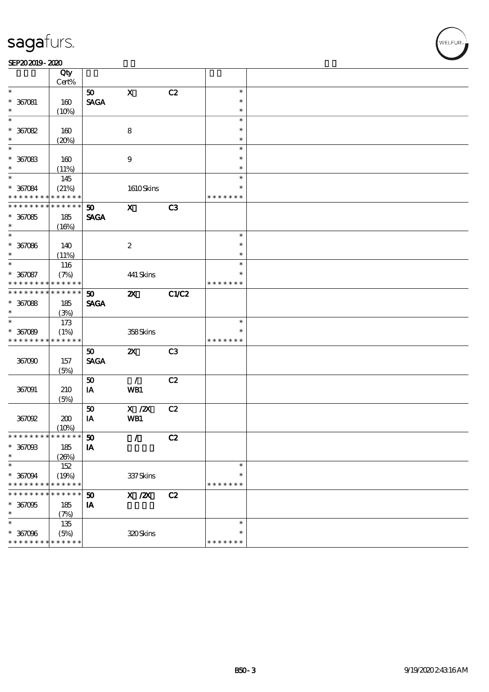#### SEP202019-2020

|                                          | Qty         |                             |                           |                |               |  |
|------------------------------------------|-------------|-----------------------------|---------------------------|----------------|---------------|--|
|                                          | Cert%       |                             |                           |                |               |  |
| $\ast$                                   |             | 50                          | $\mathbf X$               | C2             | $\ast$        |  |
| $* 367081$                               | 160         | <b>SAGA</b>                 |                           |                | $\ast$        |  |
| $\ast$                                   | (10%)       |                             |                           |                | $\ast$        |  |
| $\ast$                                   |             |                             |                           |                | $\ast$        |  |
| $*367082$                                | 160         |                             | $\bf8$                    |                | $\ast$        |  |
| $\ast$                                   | (20%)       |                             |                           |                | $\ast$        |  |
| $\overline{\phantom{0}}$                 |             |                             |                           |                | $\ast$        |  |
| $*367083$                                | 160         |                             | 9                         |                | $\ast$        |  |
| $\ast$                                   | (11%)       |                             |                           |                | $\ast$        |  |
| $\overline{\phantom{0}}$                 | 145         |                             |                           |                | $\ast$        |  |
| $* 367084$                               | (21%)       |                             | 1610Skins                 |                | $\ast$        |  |
| * * * * * * * *                          | * * * * * * |                             |                           |                | * * * * * * * |  |
| * * * * * * * *                          | * * * * * * | $\boldsymbol{\mathfrak{D}}$ | $\boldsymbol{\mathrm{X}}$ | C3             |               |  |
|                                          |             |                             |                           |                |               |  |
| $*367085$<br>$\ast$                      | 185         | <b>SAGA</b>                 |                           |                |               |  |
| $\ast$                                   | (16%)       |                             |                           |                | $\ast$        |  |
|                                          |             |                             |                           |                |               |  |
| $* 367086$                               | 140         |                             | $\boldsymbol{2}$          |                | $\ast$        |  |
| $\ast$                                   | (11%)       |                             |                           |                | $\ast$        |  |
| $\ast$                                   | 116         |                             |                           |                | $\ast$        |  |
| $* 367087$                               | (7%)        |                             | 441 Skins                 |                | $\ast$        |  |
| * * * * * * * *                          | * * * * * * |                             |                           |                | * * * * * * * |  |
| * * * * * * * *                          | * * * * * * | 50                          | $\boldsymbol{\mathsf{z}}$ | <b>C1/C2</b>   |               |  |
| $*367088$                                | 185         | <b>SAGA</b>                 |                           |                |               |  |
| $\ast$                                   | (3%)        |                             |                           |                |               |  |
| $*$                                      | 173         |                             |                           |                | $\ast$        |  |
| $* 367089$                               | (1%)        |                             | 358Skins                  |                |               |  |
| * * * * * * * *                          | * * * * * * |                             |                           |                | * * * * * * * |  |
|                                          |             | 50                          | $\boldsymbol{\mathsf{z}}$ | C <sub>3</sub> |               |  |
| 367090                                   | 157         | <b>SAGA</b>                 |                           |                |               |  |
|                                          | (5%)        |                             |                           |                |               |  |
|                                          |             | 50                          | $\mathcal{L}$             | C2             |               |  |
| 367091                                   | 210         | IA                          | WB1                       |                |               |  |
|                                          | (5%)        |                             |                           |                |               |  |
|                                          |             | ${\bf 50}$                  | $X$ / $ZX$                | C2             |               |  |
| 367092                                   | 200         | IA                          | WB1                       |                |               |  |
|                                          |             |                             |                           |                |               |  |
| * * * * * * * * <mark>* * * * * *</mark> | (10%)       | $\pmb{\mathfrak{D}}$        | $\mathcal{T}$             | C2             |               |  |
|                                          |             |                             |                           |                |               |  |
| $*367003$<br>$\ast$                      | 185         | IA                          |                           |                |               |  |
|                                          | (20%)       |                             |                           |                |               |  |
| $\ast$                                   | 152         |                             |                           |                | $\ast$        |  |
| $*367094$                                | (19%)       |                             | 337Skins                  |                | $\ast$        |  |
| * * * * * * *                            | * * * * * * |                             |                           |                | * * * * * * * |  |
|                                          | * * * * *   | 50                          | $X \, /ZX$                | C2             |               |  |
| $*367005$                                | 185         | IA                          |                           |                |               |  |
| $\ast$                                   | (7%)        |                             |                           |                |               |  |
| $\ast$                                   | 135         |                             |                           |                | $\ast$        |  |
| $* 367006$                               | (5%)        |                             | 320Skins                  |                | $\ast$        |  |
| * * * * * * * *                          | * * * * * * |                             |                           |                | * * * * * * * |  |

**V**<br>WELFUR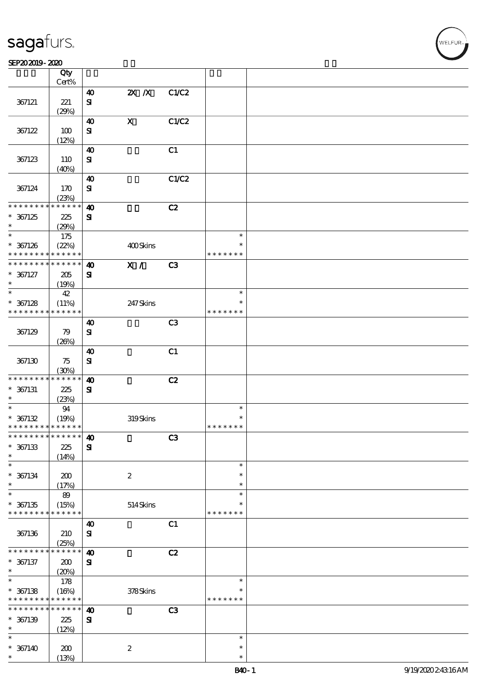$\top$ 

#### $SEP202019 - 2020$

|                                            | Qty<br>Cert%  |                                       |                  |       |                  |  |
|--------------------------------------------|---------------|---------------------------------------|------------------|-------|------------------|--|
|                                            |               | $\boldsymbol{\omega}$                 | $X$ $X$          | C1/C2 |                  |  |
| 367121                                     | 221           | $\mathbf{S}$                          |                  |       |                  |  |
|                                            | (29%)         |                                       |                  |       |                  |  |
| 367122                                     | 100           | $\boldsymbol{\omega}$<br>${\bf s}$    | $\mathbf X$      | C1/C2 |                  |  |
|                                            | (12%)         |                                       |                  |       |                  |  |
| 367123                                     | 110           | $\boldsymbol{\omega}$<br>${\bf s}$    |                  | C1    |                  |  |
|                                            | (40%)         |                                       |                  |       |                  |  |
| 367124                                     | 170<br>(23%)  | $\boldsymbol{\omega}$<br>$\mathbf{S}$ |                  | C1/C2 |                  |  |
| * * * * * * * *                            | * * * * * *   | $\boldsymbol{\omega}$                 |                  | C2    |                  |  |
| $*367125$<br>$\ast$                        | 225           | ${\bf s}$                             |                  |       |                  |  |
| $\ast$                                     | (29%)         |                                       |                  |       | $\ast$           |  |
| $* 367126$                                 | 175<br>(22%)  |                                       | 400Skins         |       | $\ast$           |  |
| * * * * * * * *                            | * * * * * *   |                                       |                  |       | * * * * * * *    |  |
| * * * * * * * *                            | * * * * * *   | $\boldsymbol{\omega}$                 | X /              | C3    |                  |  |
| $* 367127$<br>$\ast$                       | 205<br>(19%)  | ${\bf s}$                             |                  |       |                  |  |
| $\ast$                                     | 42            |                                       |                  |       | $\ast$           |  |
| $* 367128$                                 | (11%)         |                                       | 247 Skins        |       | $\ast$           |  |
| * * * * * * * *                            | * * * * * *   |                                       |                  |       | * * * * * * *    |  |
| 367129                                     | 79            | $\boldsymbol{\omega}$<br>$\mathbf{S}$ |                  | C3    |                  |  |
|                                            | (20%)         |                                       |                  |       |                  |  |
| 367130                                     | 75            | $\boldsymbol{\omega}$<br>${\bf S}$    |                  | C1    |                  |  |
|                                            | (30%)         |                                       |                  |       |                  |  |
| * * * * * * * *                            | * * * * * *   | $\boldsymbol{\omega}$                 |                  | C2    |                  |  |
| $* 367131$<br>$\ast$                       | 225<br>(23%)  | ${\bf s}$                             |                  |       |                  |  |
| $\ast$                                     | 94            |                                       |                  |       | $\ast$           |  |
| $* 367132$                                 | (19%)         |                                       | 319Skins         |       | $\ast$           |  |
| * * * * * * * * <mark>* * * * * * *</mark> |               |                                       |                  |       | * * * * * * *    |  |
| *************** 10                         |               |                                       |                  | C3    |                  |  |
| $* 367133$                                 | 225           | ${\bf S}$                             |                  |       |                  |  |
| $\ast$                                     | (14%)         |                                       |                  |       |                  |  |
| $\ast$<br>$* 367134$                       | 200           |                                       | $\boldsymbol{2}$ |       | $\ast$<br>$\ast$ |  |
| $\ast$                                     | (17%)         |                                       |                  |       | $\ast$           |  |
| $\ast$                                     | 89            |                                       |                  |       | $\ast$           |  |
| $* 367135$                                 | (15%)         |                                       | 514Skins         |       |                  |  |
| * * * * * * * *                            | * * * * * *   |                                       |                  |       | * * * * * * *    |  |
|                                            |               | $\boldsymbol{\omega}$                 |                  | C1    |                  |  |
| 367136                                     | 210<br>(25%)  | ${\bf s}$                             |                  |       |                  |  |
| * * * * * * *                              | $* * * * * *$ | $\boldsymbol{\omega}$                 |                  | C2    |                  |  |
| $* 367137$<br>$\ast$                       | 200<br>(20%)  | ${\bf s}$                             |                  |       |                  |  |
| $\overline{\ast}$                          | 178           |                                       |                  |       | $\ast$           |  |
| $* 367138$                                 | (16%)         |                                       | 378Skins         |       | $\ast$           |  |
| * * * * * * * *                            | * * * * * *   |                                       |                  |       | * * * * * * *    |  |
| * * * * * * * *                            | * * * * * *   | $\boldsymbol{\omega}$                 |                  | C3    |                  |  |
| $* 367139$                                 | 225           | ${\bf s}$                             |                  |       |                  |  |
| $\ast$<br>$\ast$                           | (12%)         |                                       |                  |       | $\ast$           |  |
|                                            |               |                                       |                  |       |                  |  |
| $* 367140$<br>$\ast$                       | 200           |                                       | $\boldsymbol{2}$ |       | $\ast$           |  |
|                                            | (13%)         |                                       |                  |       | $\ast$           |  |

 $\overline{\mathbf{r}}$ 

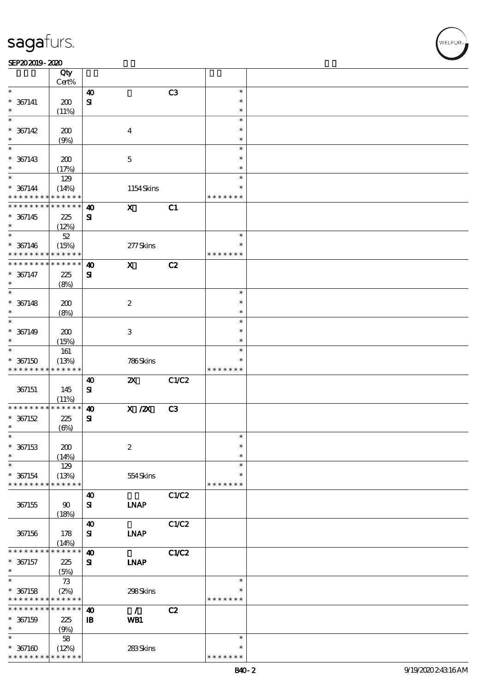#### $SEP202019 - 2020$  $\frac{\text{SEP202019-2020}}{\text{Qty}}$

|                                                          | Qty<br>Cert%         |                       |                           |       |               |  |
|----------------------------------------------------------|----------------------|-----------------------|---------------------------|-------|---------------|--|
| $\ast$                                                   |                      |                       |                           |       | $\ast$        |  |
|                                                          |                      | $\boldsymbol{\omega}$ |                           | C3    |               |  |
| $* 367141$                                               | 200                  | $\mathbf{S}$          |                           |       | $\ast$        |  |
| *                                                        | (11%)                |                       |                           |       | $\ast$        |  |
| $\ast$                                                   |                      |                       |                           |       | $\ast$        |  |
| $* 367142$                                               | 200                  |                       | $\boldsymbol{4}$          |       | $\ast$        |  |
| $\ast$                                                   | (9%)                 |                       |                           |       | $\ast$        |  |
| $\ast$                                                   |                      |                       |                           |       | $\ast$        |  |
|                                                          |                      |                       |                           |       |               |  |
| $* 367143$                                               | 200                  |                       | $\mathbf 5$               |       | $\ast$        |  |
| $\ast$                                                   | (17%)                |                       |                           |       | $\ast$        |  |
| $\ast$                                                   | 129                  |                       |                           |       | $\ast$        |  |
| $* 367144$                                               | (14%)                |                       | 1154Skins                 |       | $\ast$        |  |
| * * * * * * * *                                          | * * * * * *          |                       |                           |       | * * * * * * * |  |
| * * * * * * * *                                          | * * * * * *          | $\boldsymbol{\omega}$ | $\mathbf{x}$              | C1    |               |  |
|                                                          |                      |                       |                           |       |               |  |
| $* 367145$                                               | 225                  | ${\bf s}$             |                           |       |               |  |
| $\ast$                                                   | (12%)                |                       |                           |       |               |  |
| $\ast$                                                   | $5\!2$               |                       |                           |       | $\ast$        |  |
| $* 367146$                                               | (15%)                |                       | 277Skins                  |       | $\ast$        |  |
| * * * * * * * *                                          | * * * * * *          |                       |                           |       | * * * * * * * |  |
| * * * * * * * *                                          | * * * * * *          | $\boldsymbol{\omega}$ | $\mathbf x$               | C2    |               |  |
| $* 367147$                                               | 225                  | ${\bf s}$             |                           |       |               |  |
| $\ast$                                                   |                      |                       |                           |       |               |  |
| $\ast$                                                   | (8%)                 |                       |                           |       | $\ast$        |  |
|                                                          |                      |                       |                           |       |               |  |
| $* 367148$                                               | 200                  |                       | $\boldsymbol{2}$          |       | $\ast$        |  |
| $\ast$                                                   | (8%)                 |                       |                           |       | $\ast$        |  |
| $\ast$                                                   |                      |                       |                           |       | $\ast$        |  |
| $* 367149$                                               | 200                  |                       | $\ensuremath{\mathbf{3}}$ |       | $\ast$        |  |
| $\ast$                                                   | (15%)                |                       |                           |       | $\ast$        |  |
| $\ast$                                                   |                      |                       |                           |       | $\ast$        |  |
|                                                          | 161                  |                       |                           |       | *             |  |
| $*367150$                                                | (13%)                |                       | 786Skins                  |       |               |  |
| * * * * * * * *                                          | * * * * * *          |                       |                           |       | * * * * * * * |  |
|                                                          |                      |                       |                           |       |               |  |
|                                                          |                      | 40                    | $\boldsymbol{\mathsf{X}}$ | C1/C2 |               |  |
|                                                          | 145                  | ${\bf s}$             |                           |       |               |  |
| 367151                                                   |                      |                       |                           |       |               |  |
| * * * * * * * *                                          | (11%)<br>$******$    |                       |                           |       |               |  |
|                                                          |                      | $\boldsymbol{\omega}$ | $X$ / $ZX$                | C3    |               |  |
| $* 367152$                                               | 225                  | ${\bf s}$             |                           |       |               |  |
| $\ast$                                                   | $(\Theta)$           |                       |                           |       |               |  |
| *                                                        |                      |                       |                           |       | $\ast$        |  |
| $* 367153$                                               | 200                  |                       | $\boldsymbol{2}$          |       | $\ast$        |  |
| $\ast$                                                   | (14%)                |                       |                           |       | $\ast$        |  |
| $\ast$                                                   | 129                  |                       |                           |       | $\ast$        |  |
| $* 367154$                                               | (13%)                |                       | 554Skins                  |       | $\ast$        |  |
| * * * * * * * *                                          | * * * * * *          |                       |                           |       | * * * * * * * |  |
|                                                          |                      |                       |                           |       |               |  |
|                                                          |                      | $\boldsymbol{\omega}$ |                           | C1/C2 |               |  |
| 367155                                                   | $90^{\circ}$         | ${\bf s}$             | <b>INAP</b>               |       |               |  |
|                                                          | (18%)                |                       |                           |       |               |  |
|                                                          |                      | $\boldsymbol{\omega}$ |                           | C1/C2 |               |  |
| 367156                                                   | 178                  | ${\bf s}$             | <b>LNAP</b>               |       |               |  |
|                                                          | (14%)                |                       |                           |       |               |  |
| * * * * * * *                                            | * * * * *            | $\boldsymbol{\omega}$ |                           |       |               |  |
|                                                          |                      |                       |                           | C1/C2 |               |  |
| $* 367157$<br>$\ast$                                     | 225                  | ${\bf s}$             | <b>INAP</b>               |       |               |  |
| $\overline{\ast}$                                        | (5%)                 |                       |                           |       | $\ast$        |  |
|                                                          | 73                   |                       |                           |       |               |  |
|                                                          | (2%)                 |                       | 298Skins                  |       |               |  |
| $* 367158$<br>* * * * * * * * <mark>* * * * * * *</mark> |                      |                       |                           |       | * * * * * * * |  |
| * * * * * * * *                                          | $* * * * * * *$      | 40                    | $\mathcal{L}$             | C2    |               |  |
| $* 367159$                                               | 225                  | $\mathbf{B}$          | WB1                       |       |               |  |
| $\ast$                                                   |                      |                       |                           |       |               |  |
|                                                          | (9%)                 |                       |                           |       | $\ast$        |  |
| $\ast$                                                   | 58                   |                       |                           |       | $\ast$        |  |
| $* 367160$<br>* * * * * * * *                            | (12%)<br>* * * * * * |                       | 283Skins                  |       | * * * * * * * |  |

,<br>WELFUR: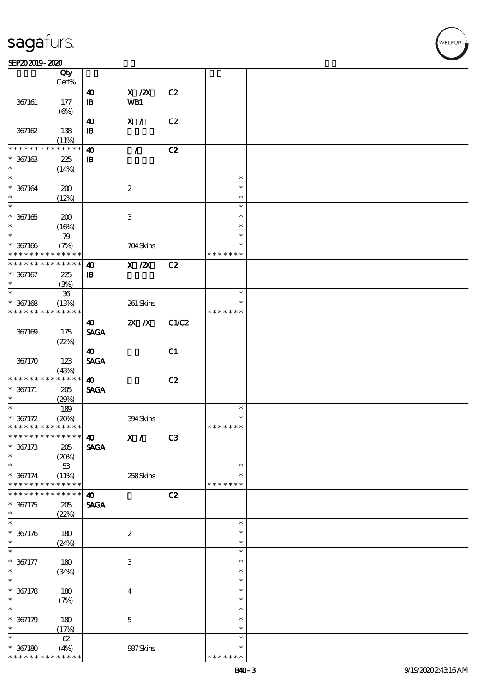#### $SEP202019 - 2020$

|                             | Qty                  |                                       |                           |       |                  |  |
|-----------------------------|----------------------|---------------------------------------|---------------------------|-------|------------------|--|
|                             | Cert%                |                                       |                           |       |                  |  |
|                             |                      | $\boldsymbol{\omega}$                 | $X$ / $ZX$                | C2    |                  |  |
| 367161                      | 177                  | $\mathbf{I}$                          | WB1                       |       |                  |  |
|                             | $(\Theta)$           |                                       |                           |       |                  |  |
|                             |                      | $\boldsymbol{\omega}$                 | X /                       | C2    |                  |  |
| 367162                      | 138                  | $\mathbf{B}$                          |                           |       |                  |  |
| * * * * * * * *             | (11%)<br>* * * * * * |                                       |                           |       |                  |  |
| $* 367163$                  | 225                  | $\boldsymbol{\omega}$<br>$\mathbf{B}$ | $\mathcal{L}$             | C2    |                  |  |
| $\ast$                      | (14%)                |                                       |                           |       |                  |  |
| $\ast$                      |                      |                                       |                           |       | $\ast$           |  |
| $* 367164$                  | 200                  |                                       | $\boldsymbol{2}$          |       | $\ast$           |  |
| $\ast$                      | (12%)                |                                       |                           |       | $\ast$           |  |
| $\overline{\ast}$           |                      |                                       |                           |       | $\ast$           |  |
| $* 367165$                  | 200                  |                                       | $\ensuremath{\mathsf{3}}$ |       | $\ast$           |  |
| $\ast$                      | (16%)                |                                       |                           |       | $\ast$           |  |
| $*$                         | 79                   |                                       |                           |       | $\ast$           |  |
| $* 367166$                  | (7%)                 |                                       | 704Skins                  |       | $\ast$           |  |
| * * * * * * * *             | * * * * * *          |                                       |                           |       | * * * * * * *    |  |
| * * * * * * * *             | $* * * * * * *$      | $\boldsymbol{\omega}$                 | $X$ / $ZX$                | C2    |                  |  |
| $* 367167$                  | 225                  | $\mathbf{B}$                          |                           |       |                  |  |
| $\ast$                      | (3%)                 |                                       |                           |       |                  |  |
| $\ast$                      | ${\bf 36}$           |                                       |                           |       | $\ast$           |  |
| $* 367168$                  | (13%)                |                                       | 261 Skins                 |       | $\ast$           |  |
| * * * * * * * *             | * * * * * *          |                                       |                           |       | * * * * * * *    |  |
|                             |                      | 40                                    | $X$ $X$                   | C1/C2 |                  |  |
| 367169                      | 175                  | <b>SAGA</b>                           |                           |       |                  |  |
|                             | (22%)                |                                       |                           |       |                  |  |
|                             |                      | $\boldsymbol{\omega}$                 |                           | C1    |                  |  |
| 367170                      | 123                  | <b>SAGA</b>                           |                           |       |                  |  |
|                             | (43%)                |                                       |                           |       |                  |  |
| * * * * * * * *             | * * * * * *          | $\boldsymbol{\omega}$                 |                           | C2    |                  |  |
| $* 367171$<br>$\ast$        | 205                  | <b>SAGA</b>                           |                           |       |                  |  |
| $*$                         | (29%)                |                                       |                           |       | $\ast$           |  |
| $* 367172$                  | 189                  |                                       |                           |       | ∗                |  |
| * * * * * * * * * * * * * * | (20%)                |                                       | 394Skins                  |       | * * * * * * *    |  |
| *************** <b>40</b>   |                      |                                       | X /                       | C3    |                  |  |
| $* 367173$                  | 205                  | <b>SAGA</b>                           |                           |       |                  |  |
| $\ast$                      | (20%)                |                                       |                           |       |                  |  |
| $\ast$                      | 53                   |                                       |                           |       | $\ast$           |  |
| $* 367174$                  | (11%)                |                                       | 258Skins                  |       | ∗                |  |
| * * * * * * * *             | * * * * * *          |                                       |                           |       | * * * * * * *    |  |
| * * * * * * *               | * * * * * *          | $\boldsymbol{\omega}$                 |                           | C2    |                  |  |
| $* 367175$                  | 205                  | <b>SAGA</b>                           |                           |       |                  |  |
| $\ast$                      | (22%)                |                                       |                           |       |                  |  |
| $\ast$                      |                      |                                       |                           |       | $\ast$           |  |
| $* 367176$                  | $180$                |                                       | $\boldsymbol{z}$          |       | $\ast$           |  |
| $\ast$                      | (24%)                |                                       |                           |       | $\ast$           |  |
| $\ast$                      |                      |                                       |                           |       | $\ast$           |  |
| $* 367177$                  | 180                  |                                       | $\ensuremath{\mathsf{3}}$ |       | $\ast$           |  |
| $\ast$<br>$\ast$            | (34%)                |                                       |                           |       | $\ast$<br>$\ast$ |  |
|                             |                      |                                       |                           |       |                  |  |
| $* 367178$<br>$\ast$        | 180                  |                                       | $\bf{4}$                  |       | $\ast$<br>$\ast$ |  |
| $\ast$                      | (7%)                 |                                       |                           |       | $\ast$           |  |
|                             |                      |                                       |                           |       | $\ast$           |  |
| $* 367179$<br>$\ast$        | 180                  |                                       | $\mathbf 5$               |       | $\ast$           |  |
| $\ast$                      | (17%)<br>$62\,$      |                                       |                           |       | $\ast$           |  |
| $* 367180$                  | (4%)                 |                                       | 987 Skins                 |       | ∗                |  |
| * * * * * * * *             | * * * * * *          |                                       |                           |       | * * * * * * *    |  |
|                             |                      |                                       |                           |       |                  |  |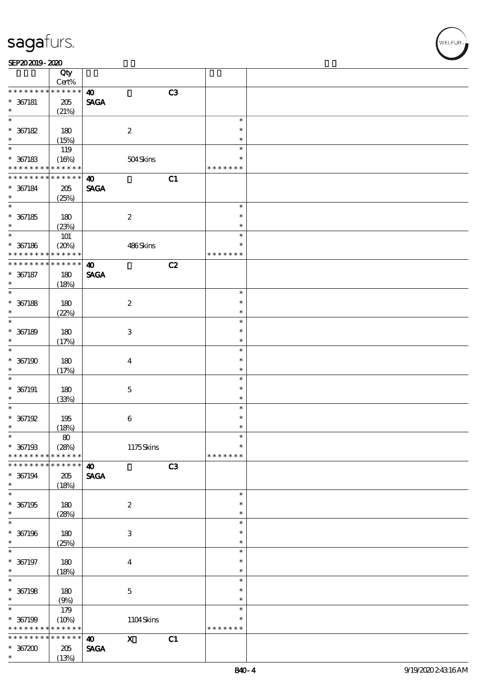| SEP202019-2020 |  |
|----------------|--|
|----------------|--|

|                      | Qty                     |                       |                           |    |                  |  |
|----------------------|-------------------------|-----------------------|---------------------------|----|------------------|--|
|                      | $Cert\%$<br>* * * * * * |                       |                           |    |                  |  |
| * * * * * * * *      |                         | $\boldsymbol{\omega}$ |                           | C3 |                  |  |
| $* 367181$<br>$\ast$ | $205\,$                 | <b>SAGA</b>           |                           |    |                  |  |
| $\ast$               | (21%)                   |                       |                           |    | $\ast$           |  |
| $* 367182$           | 180                     |                       | $\boldsymbol{2}$          |    | $\ast$           |  |
| $\ast$               | (15%)                   |                       |                           |    | $\ast$           |  |
| $\ast$               | 119                     |                       |                           |    | $\ast$           |  |
| $* 367183$           | (16%)                   |                       | 504Skins                  |    | *                |  |
| * * * * * * * *      | * * * * * *             |                       |                           |    | * * * * * * *    |  |
| * * * * * * * *      | * * * * * *             | $\boldsymbol{\omega}$ |                           | C1 |                  |  |
| $* 367184$           | 205                     | <b>SAGA</b>           |                           |    |                  |  |
| $\ast$               | (25%)                   |                       |                           |    |                  |  |
| $\overline{\ast}$    |                         |                       |                           |    | $\ast$           |  |
| $^*$ 367185          | 180                     |                       | $\boldsymbol{2}$          |    | $\ast$           |  |
| $\ast$               | (23%)                   |                       |                           |    | $\ast$           |  |
| $\ast$               | $101$                   |                       |                           |    | $\ast$           |  |
| $* 367186$           | (20%)                   |                       | 486Skins                  |    | $\ast$           |  |
| * * * * * * *        | $* * * * * * *$         |                       |                           |    | * * * * * * *    |  |
| * * * * * * *        | * * * * * *             | $\boldsymbol{\omega}$ |                           | C2 |                  |  |
| $* 367187$           | 180                     | <b>SAGA</b>           |                           |    |                  |  |
| $\ast$               | (18%)                   |                       |                           |    |                  |  |
| $\ast$               |                         |                       |                           |    | $\ast$           |  |
| $* 367188$<br>$\ast$ | 180                     |                       | $\boldsymbol{z}$          |    | $\ast$<br>$\ast$ |  |
| $\ast$               | (22%)                   |                       |                           |    | $\ast$           |  |
| $* 367189$           |                         |                       |                           |    | $\ast$           |  |
| $\ast$               | 180                     |                       | $\ensuremath{\mathsf{3}}$ |    | $\ast$           |  |
| $\ast$               | (17%)                   |                       |                           |    | $\ast$           |  |
| $* 367190$           | 180                     |                       | $\boldsymbol{4}$          |    | $\ast$           |  |
| $\ast$               | (17%)                   |                       |                           |    | $\ast$           |  |
| $\ast$               |                         |                       |                           |    | $\ast$           |  |
| $*$ 367191           | 180                     |                       | $\mathbf 5$               |    | $\ast$           |  |
| $\ast$               | (33%)                   |                       |                           |    | $\ast$           |  |
| $\ast$               |                         |                       |                           |    | $\ast$           |  |
| $* 367192$           | 195                     |                       | $\,6\,$                   |    | $\ast$           |  |
| $\ast$               | (18%)                   |                       |                           |    | $\ast$           |  |
| $\ast$               | $\pmb{8}\pmb{0}$        |                       |                           |    | $\ast$           |  |
| $^*$ 367193          | (28%)                   |                       | 1175Skins                 |    | $\ast$           |  |
| * * * * * * * *      | * * * * * *             |                       |                           |    | * * * * * * *    |  |
| * * * * * * *        | * * * * * *             | $\boldsymbol{\omega}$ |                           | C3 |                  |  |
| $* 367194$           | 205                     | <b>SAGA</b>           |                           |    |                  |  |
| $\ast$               | (18%)                   |                       |                           |    |                  |  |
| $\ast$               |                         |                       |                           |    | $\ast$<br>$\ast$ |  |
| $* 367195$<br>$\ast$ | 180                     |                       | $\boldsymbol{2}$          |    | $\ast$           |  |
| $\ast$               | (28%)                   |                       |                           |    | $\ast$           |  |
| $* 367196$           | $180\,$                 |                       | $\ensuremath{\mathsf{3}}$ |    | $\ast$           |  |
| $\ast$               | (25%)                   |                       |                           |    | $\ast$           |  |
| $\ast$               |                         |                       |                           |    | $\ast$           |  |
| $* 367197$           | $180\,$                 |                       | $\boldsymbol{4}$          |    | $\ast$           |  |
| $\ast$               | (18%)                   |                       |                           |    | $\ast$           |  |
| $\overline{\ast}$    |                         |                       |                           |    | $\ast$           |  |
| $* 367198$           | 180                     |                       | $\bf 5$                   |    | $\ast$           |  |
| $\ast$               | (9%)                    |                       |                           |    | $\ast$           |  |
| $\ast$               | 179                     |                       |                           |    | $\ast$           |  |
| $* 367199$           | (10%)                   |                       | 1104Skins                 |    | $\ast$           |  |
| * * * * * * * *      | * * * * * *             |                       |                           |    | * * * * * * *    |  |
| * * * * * * *<br>∗   | * * * * * *             | $\boldsymbol{\omega}$ | $\mathbf x$               | C1 |                  |  |
| $*367200$            | 205                     | <b>SAGA</b>           |                           |    |                  |  |
| $\ast$               | (13%)                   |                       |                           |    |                  |  |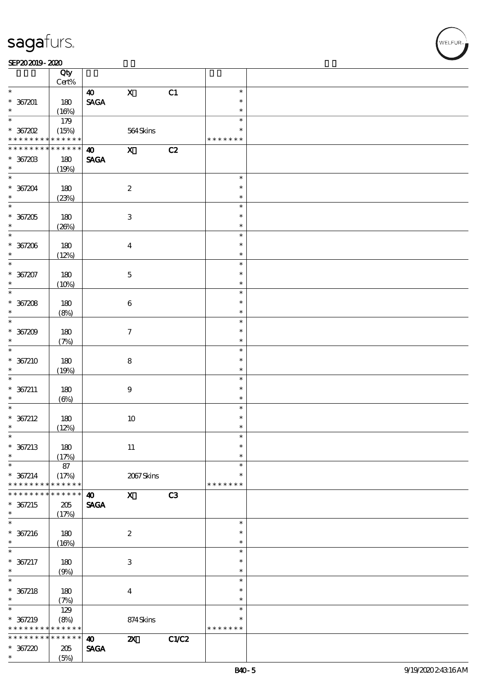#### SEP202019-2020

|                     | Qty<br>$Cert\%$ |                                |                           |       |               |  |
|---------------------|-----------------|--------------------------------|---------------------------|-------|---------------|--|
| $\ast$              |                 |                                | $\mathbf X$               |       | $\ast$        |  |
|                     |                 | 40                             |                           | C1    |               |  |
| $* 367201$          | 180             | $\operatorname{\mathsf{SAGA}}$ |                           |       | $\ast$        |  |
| $\ast$              | (16%)           |                                |                           |       | $\ast$        |  |
| $\overline{\ast}$   | 179             |                                |                           |       | $\ast$        |  |
| $*$ 367202          | (15%)           |                                | 564Skins                  |       | $\ast$        |  |
| * * * * * * * *     | * * * * * *     |                                |                           |       | * * * * * * * |  |
| * * * * * * *       | * * * * * *     | $\boldsymbol{\omega}$          | $\mathbf{x}$              | C2    |               |  |
|                     |                 | <b>SAGA</b>                    |                           |       |               |  |
| $*367203$<br>$\ast$ | 180             |                                |                           |       |               |  |
|                     | (19%)           |                                |                           |       |               |  |
| $\ast$              |                 |                                |                           |       | $\ast$        |  |
| $* 367204$          | 180             |                                | $\boldsymbol{2}$          |       | $\ast$        |  |
| $\ast$              | (23%)           |                                |                           |       | $\ast$        |  |
|                     |                 |                                |                           |       | $\ast$        |  |
| $* 367205$          | 180             |                                | $\ensuremath{\mathbf{3}}$ |       | $\ast$        |  |
| $\ast$              | (20%)           |                                |                           |       | $\ast$        |  |
| $\overline{\ast}$   |                 |                                |                           |       | $\ast$        |  |
| $*367206$           |                 |                                |                           |       | $\ast$        |  |
|                     | 180             |                                | $\bf{4}$                  |       |               |  |
| $\ast$              | (12%)           |                                |                           |       | $\ast$        |  |
| $\overline{\ast}$   |                 |                                |                           |       | $\ast$        |  |
| $* 367207$          | 180             |                                | $\bf 5$                   |       | $\ast$        |  |
| $\ast$              | (10%)           |                                |                           |       | $\ast$        |  |
| $\overline{\ast}$   |                 |                                |                           |       | $\ast$        |  |
| $* 367208$          | 180             |                                | $\bf 6$                   |       | $\ast$        |  |
| $\ast$              | (8%)            |                                |                           |       | $\ast$        |  |
| $\overline{\ast}$   |                 |                                |                           |       | $\ast$        |  |
| $* 367209$          | 180             |                                | $\boldsymbol{\tau}$       |       | $\ast$        |  |
| $\ast$              |                 |                                |                           |       | $\ast$        |  |
| $\overline{\ast}$   | (7%)            |                                |                           |       |               |  |
|                     |                 |                                |                           |       | $\ast$        |  |
| $* 367210$          | 180             |                                | ${\bf 8}$                 |       | $\ast$        |  |
| $\ast$              | (19%)           |                                |                           |       | $\ast$        |  |
| $\ast$              |                 |                                |                           |       | $\ast$        |  |
| $* 367211$          | 180             |                                | $\boldsymbol{9}$          |       | $\ast$        |  |
| $\ast$              | $(\Theta)$      |                                |                           |       | $\ast$        |  |
| $\ast$              |                 |                                |                           |       | $\ast$        |  |
| $* 367212$          | 180             |                                |                           |       | $\ast$        |  |
| $\ast$              |                 |                                | $10\,$                    |       | $\ast$        |  |
|                     | (12%)           |                                |                           |       |               |  |
| $\ast$              |                 |                                |                           |       | $\ast$        |  |
| $* 367213$          | 180             |                                | $11\,$                    |       | $\ast$        |  |
| $\ast$              | (17%)           |                                |                           |       | $\ast$        |  |
| $\ast$              | 87              |                                |                           |       | $\ast$        |  |
| $* 367214$          | (17%)           |                                | 2067Skins                 |       | $\ast$        |  |
| * * * * * * * *     | * * * * * *     |                                |                           |       | * * * * * * * |  |
| * * * * * * *       | * * * * * *     | $\boldsymbol{\omega}$          | $\mathbf{x}$              | C3    |               |  |
| $* 367215$          | 205             | <b>SAGA</b>                    |                           |       |               |  |
| $\ast$              |                 |                                |                           |       |               |  |
| $\ast$              | (17%)           |                                |                           |       | $\ast$        |  |
|                     |                 |                                |                           |       |               |  |
| $* 367216$          | 180             |                                | $\boldsymbol{2}$          |       | $\ast$        |  |
| $\ast$              | (16%)           |                                |                           |       | $\ast$        |  |
| $\ast$              |                 |                                |                           |       | $\ast$        |  |
| $* 367217$          | 180             |                                | $\ensuremath{\mathbf{3}}$ |       | $\ast$        |  |
| $\ast$              | (9%)            |                                |                           |       | $\ast$        |  |
| $\overline{\ast}$   |                 |                                |                           |       | $\ast$        |  |
| $* 367218$          | 180             |                                | $\bf{4}$                  |       | $\ast$        |  |
| $\ast$              | (7%)            |                                |                           |       | $\ast$        |  |
| $\ast$              |                 |                                |                           |       | $\ast$        |  |
|                     | 129             |                                |                           |       | $\ast$        |  |
| $* 367219$          | (8%)            |                                | 874Skins                  |       |               |  |
| * * * * * * * *     | * * * * * *     |                                |                           |       | * * * * * * * |  |
| * * * * * * * *     | * * * * * *     | $\boldsymbol{\omega}$          | $\boldsymbol{\mathsf{z}}$ | C1/C2 |               |  |
| $*367220$           | 205             | <b>SAGA</b>                    |                           |       |               |  |
| $\ast$              | (5%)            |                                |                           |       |               |  |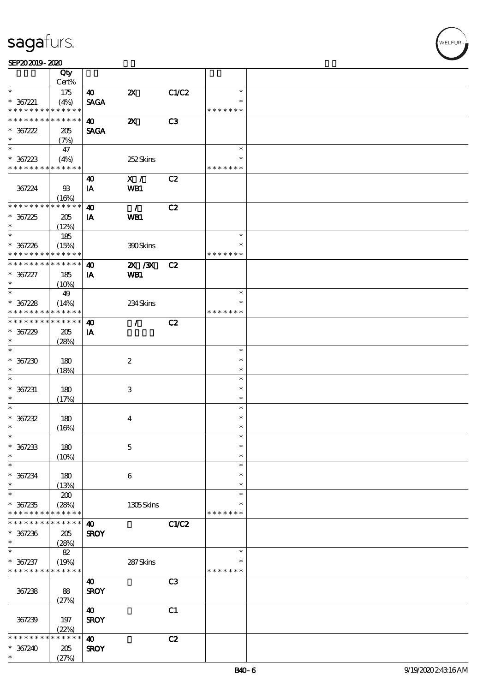#### SEP202019-2020

|                             | Qty                        |                                      |                           |       |                  |  |
|-----------------------------|----------------------------|--------------------------------------|---------------------------|-------|------------------|--|
| $\ast$                      | Cert%                      |                                      |                           |       | $\ast$           |  |
| $* 367221$                  | 175<br>(4%)                | $\boldsymbol{\omega}$<br><b>SAGA</b> | $\boldsymbol{\mathsf{z}}$ | C1/C2 | $\ast$           |  |
| * * * * * * * * * * * * * * |                            |                                      |                           |       | * * * * * * *    |  |
| * * * * * * * *             | $******$                   | $\boldsymbol{\omega}$                | $\boldsymbol{\mathsf{z}}$ | C3    |                  |  |
| $* 367222$                  | 205                        | <b>SAGA</b>                          |                           |       |                  |  |
| $\ast$                      | (7%)                       |                                      |                           |       |                  |  |
| $\overline{\ast}$           | 47                         |                                      |                           |       | $\ast$           |  |
| $* 367223$                  | (4%)                       |                                      | 252Skins                  |       | $\ast$           |  |
| * * * * * * * * * * * * * * |                            |                                      |                           |       | * * * * * * *    |  |
|                             |                            | 40                                   | X /                       | C2    |                  |  |
| 367224                      | $93$                       | IA                                   | WB1                       |       |                  |  |
| * * * * * * * *             | (16%)<br>* * * * * *       |                                      |                           |       |                  |  |
|                             |                            | $\boldsymbol{\omega}$                | $\mathcal{L}$             | C2    |                  |  |
| $* 367225$<br>$\ast$        | 205<br>(12%)               | IA                                   | WB1                       |       |                  |  |
| $*$                         | 185                        |                                      |                           |       | $\ast$           |  |
| $* 367226$                  | (15%)                      |                                      | 390Skins                  |       | $\ast$           |  |
| * * * * * * * * * * * * * * |                            |                                      |                           |       | * * * * * * *    |  |
| * * * * * * * *             | $* * * * * * *$            | $\boldsymbol{\omega}$                | 2X / 3X                   | C2    |                  |  |
| $* 367227$                  | 185                        | IA                                   | WB1                       |       |                  |  |
| $\ast$                      | (10%)                      |                                      |                           |       |                  |  |
| $\ast$                      | 49                         |                                      |                           |       | $\ast$           |  |
| $* 367228$                  | (14%)                      |                                      | 234Skins                  |       | $\ast$           |  |
| * * * * * * * *             | $* * * * * * *$            |                                      |                           |       | * * * * * * *    |  |
| * * * * * * * * * * * * * * |                            | $\boldsymbol{\omega}$                | $\mathcal{L}$             | C2    |                  |  |
| $* 367229$                  | 205                        | IA                                   |                           |       |                  |  |
| $\ast$                      | (28%)                      |                                      |                           |       |                  |  |
| $\ast$                      |                            |                                      |                           |       | $\ast$           |  |
| $*367230$                   | 180                        |                                      | $\boldsymbol{2}$          |       | $\ast$           |  |
| $\ast$<br>$\ast$            | (18%)                      |                                      |                           |       | $\ast$<br>$\ast$ |  |
| $* 367231$                  |                            |                                      |                           |       | $\ast$           |  |
| $\ast$                      | 180<br>(17%)               |                                      | $\,3\,$                   |       | $\ast$           |  |
| $\ast$                      |                            |                                      |                           |       | $\ast$           |  |
| $* 367232$                  | 180                        |                                      | $\bf{4}$                  |       | $\ast$           |  |
| $\ast$                      | (16%)                      |                                      |                           |       | $\ast$           |  |
| $\ast$                      |                            |                                      |                           |       | $\ast$           |  |
| $* 367233$                  | 180                        |                                      | $\mathbf 5$               |       | $\ast$           |  |
| $\ast$                      | (10%)                      |                                      |                           |       | $\ast$           |  |
| $\ast$                      |                            |                                      |                           |       | $\ast$           |  |
| $* 367234$                  | 180                        |                                      | $\bf 6$                   |       | $\ast$           |  |
| $\ast$                      | (13%)                      |                                      |                           |       | $\ast$           |  |
| $\ast$                      | 200                        |                                      |                           |       | $\ast$           |  |
| $*367235$                   | (28%)                      |                                      | 1305Skins                 |       |                  |  |
| * * * * * * * *<br>* * *    | * * * * * *<br>* * * * * * |                                      |                           |       | * * * * * * *    |  |
| $* 367236$                  |                            | $\boldsymbol{\omega}$<br><b>SROY</b> |                           | C1/C2 |                  |  |
| $\ast$                      | 205<br>(28%)               |                                      |                           |       |                  |  |
| $\ast$                      | 82                         |                                      |                           |       | $\ast$           |  |
| $* 367237$                  | (19%)                      |                                      | 287Skins                  |       | $\ast$           |  |
| * * * * * * * * * * * * * * |                            |                                      |                           |       | * * * * * * *    |  |
|                             |                            | $\boldsymbol{\omega}$                |                           | C3    |                  |  |
| 367238                      | 88                         | <b>SROY</b>                          |                           |       |                  |  |
|                             | (27%)                      |                                      |                           |       |                  |  |
|                             |                            | 40                                   |                           | C1    |                  |  |
| 367239                      | 197                        | <b>SROY</b>                          |                           |       |                  |  |
|                             | (22%)                      |                                      |                           |       |                  |  |
| $* * *$                     | * * * * * *                | $\boldsymbol{\omega}$                |                           | C2    |                  |  |
| $* 367240$                  | 205                        | <b>SROY</b>                          |                           |       |                  |  |
| $\ast$                      | (27%)                      |                                      |                           |       |                  |  |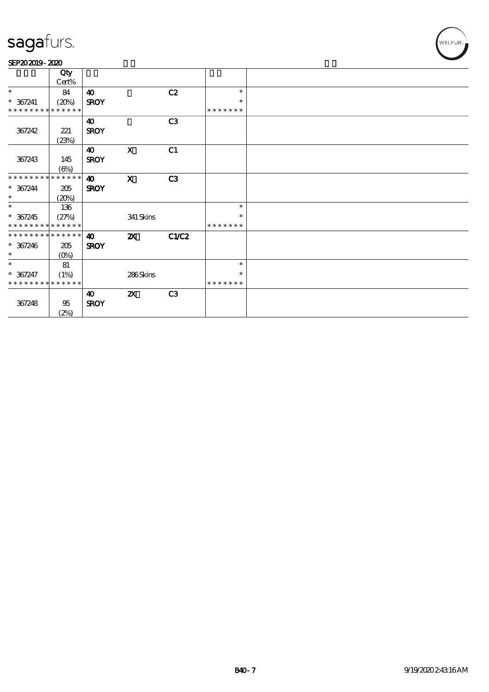#### SEP202019-2020

|                             | Qty<br>Cert%  |                       |                           |              |               |  |
|-----------------------------|---------------|-----------------------|---------------------------|--------------|---------------|--|
| $\ast$                      | 84            | $\boldsymbol{\omega}$ |                           | C2           | $\ast$        |  |
| $* 367241$                  | (20%)         | <b>SROY</b>           |                           |              | $\ast$        |  |
| * * * * * * * * * * * * * * |               |                       |                           |              | * * * * * * * |  |
|                             |               | 40                    |                           | C3           |               |  |
| 367242                      | 221           | <b>SROY</b>           |                           |              |               |  |
|                             | (23%)         |                       |                           |              |               |  |
|                             |               | $\boldsymbol{\omega}$ | $\mathbf x$               | C1           |               |  |
| 367243                      | 145           | <b>SROY</b>           |                           |              |               |  |
|                             | $(\Theta\% )$ |                       |                           |              |               |  |
| * * * * * * * *             | * * * * * *   | $\boldsymbol{\omega}$ | $\mathbf x$               | C3           |               |  |
| $* 367244$                  | 205           | <b>SROY</b>           |                           |              |               |  |
| $\ast$                      | (20%)         |                       |                           |              |               |  |
| $\ast$                      | 136           |                       |                           |              | $\ast$        |  |
| $* 367245$                  | (27%)         |                       | 341 Skins                 |              | $\ast$        |  |
| * * * * * * * * * * * * * * |               |                       |                           |              | * * * * * * * |  |
| * * * * * * * * * * * * * * |               | $\boldsymbol{\omega}$ | $\boldsymbol{\mathsf{X}}$ | <b>C1/C2</b> |               |  |
| $* 367246$                  | 205           | <b>SROY</b>           |                           |              |               |  |
| $\ast$                      | $(O\!/\!o)$   |                       |                           |              |               |  |
| $\ast$                      | 81            |                       |                           |              | $\ast$        |  |
| $* 367247$                  | (1%)          |                       | 286Skins                  |              | ∗             |  |
| * * * * * * * * * * * * * * |               |                       |                           |              | * * * * * * * |  |
|                             |               | $\boldsymbol{\omega}$ | $\boldsymbol{\mathsf{X}}$ | C3           |               |  |
| 367248                      | $95\,$        | <b>SROY</b>           |                           |              |               |  |
|                             | (2%)          |                       |                           |              |               |  |

WELFUR<sub>™</sub>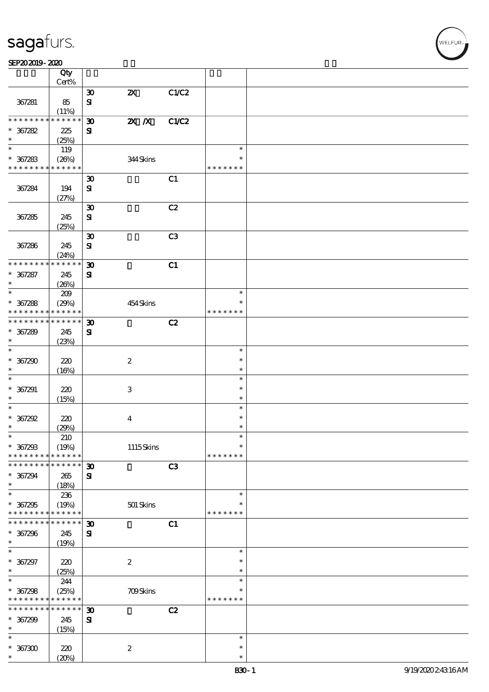|                                           | Qty                  |                                             |                                                 |                |                  |  |
|-------------------------------------------|----------------------|---------------------------------------------|-------------------------------------------------|----------------|------------------|--|
|                                           | Cert%                |                                             |                                                 |                |                  |  |
| 367281                                    | 85                   | $\boldsymbol{\mathfrak{D}}$<br>$\mathbf{S}$ | $\boldsymbol{\mathsf{Z}}$                       | C1/C2          |                  |  |
|                                           | (11%)                |                                             |                                                 |                |                  |  |
| * * * * * * * *                           | * * * * * *          | $\boldsymbol{\mathfrak{D}}$                 | $\overline{\mathbf{X}}$ $\overline{\mathbf{X}}$ | <b>C1/C2</b>   |                  |  |
| $* 367282$                                | 225                  | ${\bf s}$                                   |                                                 |                |                  |  |
| $\ast$                                    | (25%)                |                                             |                                                 |                |                  |  |
| $\ast$                                    | 119                  |                                             |                                                 |                | $\ast$           |  |
| $* 367283$<br>* * * * * * * * * * * * * * | (26%)                |                                             | 344Skins                                        |                | * * * * * * *    |  |
|                                           |                      | $\boldsymbol{\mathfrak{D}}$                 |                                                 | C1             |                  |  |
| 367284                                    | 194                  | $\mathbf{S}$                                |                                                 |                |                  |  |
|                                           | (27%)                |                                             |                                                 |                |                  |  |
|                                           |                      | $\boldsymbol{\mathfrak{D}}$                 |                                                 | C2             |                  |  |
| 367285                                    | 245                  | ${\bf s}$                                   |                                                 |                |                  |  |
|                                           | (25%)                |                                             |                                                 |                |                  |  |
|                                           |                      | $\boldsymbol{\mathfrak{D}}$                 |                                                 | C <sub>3</sub> |                  |  |
| 367286                                    | 245                  | $\mathbf{S}$                                |                                                 |                |                  |  |
| * * * * * * * *                           | (24%)<br>* * * * * * | $\boldsymbol{\mathfrak{D}}$                 |                                                 | C1             |                  |  |
| $* 367287$                                | 245                  | $\mathbf{S}$                                |                                                 |                |                  |  |
| $\ast$                                    | (20%)                |                                             |                                                 |                |                  |  |
| $\ast$                                    | $209\,$              |                                             |                                                 |                | $\ast$           |  |
| $* 367288$                                | (29%)                |                                             | 454Skins                                        |                | $\ast$           |  |
| * * * * * * * *                           | * * * * * *          |                                             |                                                 |                | * * * * * * *    |  |
| * * * * * * * *                           | * * * * * *          | $\boldsymbol{\mathfrak{D}}$                 |                                                 | C2             |                  |  |
| $* 367289$<br>$\ast$                      | 245<br>(23%)         | $\mathbf{S}$                                |                                                 |                |                  |  |
| $\ast$                                    |                      |                                             |                                                 |                | $\ast$           |  |
| $* 367290$                                | 220                  |                                             | $\boldsymbol{2}$                                |                | $\ast$           |  |
| $\ast$                                    | (16%)                |                                             |                                                 |                | $\ast$           |  |
| $\ast$                                    |                      |                                             |                                                 |                | $\ast$           |  |
| $* 367291$                                | 220                  |                                             | $\ensuremath{\mathbf{3}}$                       |                | $\ast$           |  |
| $\ast$<br>$\ast$                          | (15%)                |                                             |                                                 |                | $\ast$<br>$\ast$ |  |
| $* 367292$                                | 220                  |                                             | $\boldsymbol{4}$                                |                | $\ast$           |  |
| $\ast$                                    | (29%)                |                                             |                                                 |                | $\ast$           |  |
| $\ast$                                    | 210                  |                                             |                                                 |                | $\ast$           |  |
| $* 367298$                                | (19%)                |                                             | 1115Skins                                       |                | $\ast$           |  |
| * * * * * * * *                           | * * * * * *          |                                             |                                                 |                | * * * * * * *    |  |
| * * * * * * *                             | * * * * * *          | $\boldsymbol{\mathfrak{D}}$                 |                                                 | C3             |                  |  |
| $* 367294$<br>$\ast$                      | 265                  | ${\bf s}$                                   |                                                 |                |                  |  |
| $\ast$                                    | (18%)<br>236         |                                             |                                                 |                | $\ast$           |  |
| $* 367295$                                | (19%)                |                                             | 501 Skins                                       |                | ∗                |  |
| * * * * * * * *                           | * * * * * *          |                                             |                                                 |                | * * * * * * *    |  |
| * * * *                                   | * * * * * *          | $\boldsymbol{\mathfrak{D}}$                 |                                                 | C1             |                  |  |
| $* 367296$                                | 245                  | $\mathbf{S}$                                |                                                 |                |                  |  |
| $\ast$<br>$\ast$                          | (19%)                |                                             |                                                 |                |                  |  |
| $* 367297$                                | 220                  |                                             | $\boldsymbol{2}$                                |                | $\ast$<br>$\ast$ |  |
| $\ast$                                    | (25%)                |                                             |                                                 |                | $\ast$           |  |
| $\overline{\ast}$                         | 244                  |                                             |                                                 |                | $\ast$           |  |
| $* 367298$                                | (25%)                |                                             | 709Skins                                        |                | $\ast$           |  |
| * * * * * * * *                           | * * * * * *          |                                             |                                                 |                | * * * * * * *    |  |
| * * * * * * * *                           | * * * * * *          | $\boldsymbol{\mathfrak{D}}$                 |                                                 | C2             |                  |  |
| $* 367299$<br>$\ast$                      | 245                  | $\mathbf{S}$                                |                                                 |                |                  |  |
| $\ast$                                    | (15%)                |                                             |                                                 |                | $\ast$           |  |
| $* 367300$                                | 220                  |                                             | $\boldsymbol{2}$                                |                | $\ast$           |  |
| $\ast$                                    | (20%)                |                                             |                                                 |                | $\ast$           |  |

.<br>WELFUR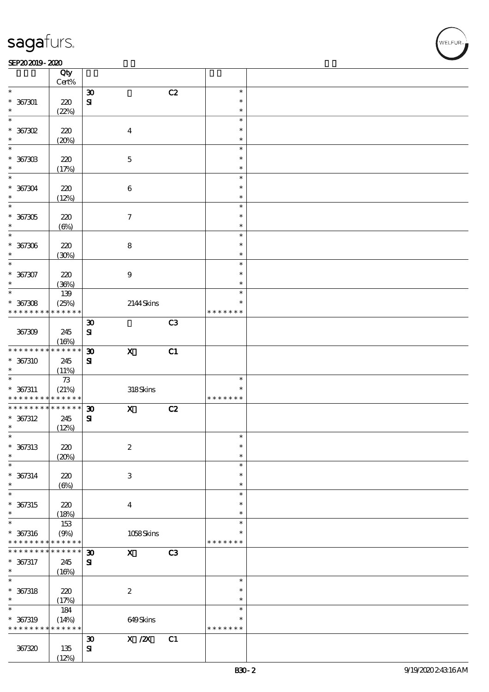#### $SEP202019 - 2020$

|                      | Qty<br>Cert%    |                                             |                           |    |                  |  |
|----------------------|-----------------|---------------------------------------------|---------------------------|----|------------------|--|
| $\ast$               |                 |                                             |                           |    | $\ast$           |  |
| $* 367301$           | 220             | $\boldsymbol{\mathfrak{D}}$<br>$\mathbf{S}$ |                           | C2 | $\ast$           |  |
| $\ast$               | (22%)           |                                             |                           |    | $\ast$           |  |
| $\ast$               |                 |                                             |                           |    | $\ast$           |  |
| $*$ 367302           | 220             |                                             | $\boldsymbol{4}$          |    | $\ast$           |  |
| *                    | (20%)           |                                             |                           |    | $\ast$           |  |
| $\ast$               |                 |                                             |                           |    | $\ast$           |  |
| $* 367303$           | 220             |                                             | $\mathbf 5$               |    | $\ast$           |  |
|                      | (17%)           |                                             |                           |    | $\ast$           |  |
| $\ast$               |                 |                                             |                           |    | $\ast$           |  |
| $* 367304$           | 220             |                                             | $\bf 6$                   |    | $\ast$           |  |
| $\ast$               | (12%)           |                                             |                           |    | $\ast$           |  |
| $\ast$               |                 |                                             |                           |    | $\ast$           |  |
| $* 367305$           | 220             |                                             | $\boldsymbol{7}$          |    | $\ast$           |  |
| $\ast$               | $(\Theta)$      |                                             |                           |    | $\ast$           |  |
|                      |                 |                                             |                           |    | $\ast$<br>$\ast$ |  |
| $* 367306$<br>$\ast$ | 220             |                                             | ${\bf 8}$                 |    | $\ast$           |  |
| $\ast$               | (30%)           |                                             |                           |    | $\ast$           |  |
| $* 367307$           | 220             |                                             | $\boldsymbol{9}$          |    | $\ast$           |  |
| $\ast$               | (36%)           |                                             |                           |    | $\ast$           |  |
| $\ast$               | 139             |                                             |                           |    | $\ast$           |  |
| $* 367308$           | (25%)           |                                             | 2144Skins                 |    | $\ast$           |  |
| * * * * * * * *      | * * * * * *     |                                             |                           |    | * * * * * * *    |  |
|                      |                 | $\boldsymbol{\mathfrak{D}}$                 |                           | C3 |                  |  |
| 367309               | 245             | ${\bf S\!I}$                                |                           |    |                  |  |
|                      | (16%)           |                                             |                           |    |                  |  |
| * * * * * * * *      | * * * * * *     | $\boldsymbol{\mathfrak{D}}$                 | $\mathbf X$               | C1 |                  |  |
| $* 367310$           | 245             | ${\bf s}$                                   |                           |    |                  |  |
| $\ast$               | (11%)           |                                             |                           |    |                  |  |
| $\ast$               | $73$            |                                             |                           |    | $\ast$           |  |
| $* 367311$           | (21%)           |                                             | 318Skins                  |    | $\ast$           |  |
| * * * * * * * *      | * * * * * *     |                                             |                           |    | * * * * * * *    |  |
| * * * * * * * *      | * * * * * *     | $\boldsymbol{\mathfrak{D}}$                 | $\boldsymbol{\mathrm{X}}$ | C2 |                  |  |
| $* 367312$<br>$\ast$ | 245             | ${\bf s}$                                   |                           |    |                  |  |
| *                    | (12%)           |                                             |                           |    | ж                |  |
| $* 367313$           | 220             |                                             | $\boldsymbol{2}$          |    | $\ast$           |  |
| $\ast$               | (20%)           |                                             |                           |    | $\ast$           |  |
| $\ast$               |                 |                                             |                           |    | $\ast$           |  |
| $* 367314$           | $220$           |                                             | $\ensuremath{\mathbf{3}}$ |    | $\ast$           |  |
| $\ast$               | $(\Theta\%)$    |                                             |                           |    | $\ast$           |  |
| $\ast$               |                 |                                             |                           |    | $\ast$           |  |
| $* 367315$           | 220             |                                             | $\boldsymbol{4}$          |    | $\ast$           |  |
| $\ast$               | (18%)           |                                             |                           |    | $\ast$           |  |
| $\ast$               | 153             |                                             |                           |    | $\ast$           |  |
| $* 367316$           | (9%)            |                                             | 1058Skins                 |    | $\ast$           |  |
| * * * * * * * *      | * * * * * *     |                                             |                           |    | * * * * * * *    |  |
| * * * * * * * *      | $* * * * * * *$ | $\boldsymbol{\mathfrak{D}}$                 | $\boldsymbol{\mathsf{X}}$ | C3 |                  |  |
| $* 367317$           | 245             | $\mathbf{S}$                                |                           |    |                  |  |
| $\ast$<br>$\ast$     | (16%)           |                                             |                           |    | $\ast$           |  |
|                      |                 |                                             |                           |    | $\ast$           |  |
| $* 367318$<br>$\ast$ | 220<br>(17%)    |                                             | $\boldsymbol{2}$          |    | $\ast$           |  |
| $\ast$               | 184             |                                             |                           |    | $\ast$           |  |
| $* 367319$           | (14%)           |                                             | 649Skins                  |    | $\ast$           |  |
| * * * * * * * *      | * * * * * *     |                                             |                           |    | * * * * * * *    |  |
|                      |                 | $\boldsymbol{\mathfrak{D}}$                 | X / ZX                    | C1 |                  |  |
| 367320               | 135             | ${\bf S\!I}$                                |                           |    |                  |  |
|                      | (12%)           |                                             |                           |    |                  |  |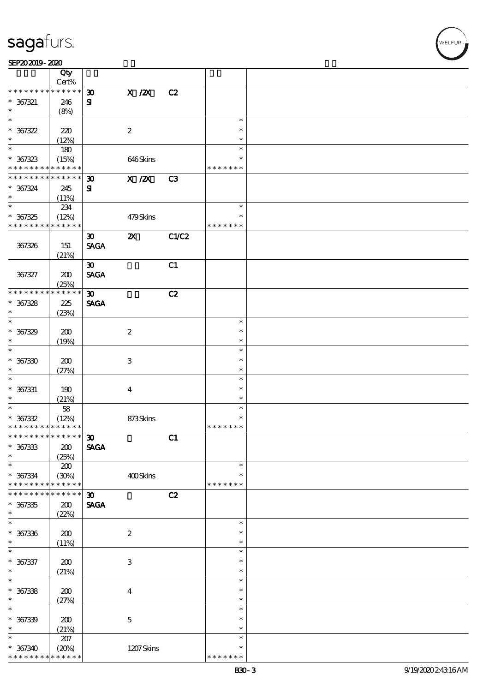| SEP202019-2020 |  |
|----------------|--|
|----------------|--|

|                                                        | Qty             |                             |                           |                |               |  |
|--------------------------------------------------------|-----------------|-----------------------------|---------------------------|----------------|---------------|--|
|                                                        | Cert%           |                             |                           |                |               |  |
| * * * * * * * *                                        | * * * * * *     | $\boldsymbol{\mathfrak{D}}$ | X / ZX                    | C2             |               |  |
| $* 367321$<br>$\ast$                                   | 246             | ${\bf s}$                   |                           |                |               |  |
| $\ast$                                                 | (8%)            |                             |                           |                | $\ast$        |  |
|                                                        |                 |                             |                           |                | $\ast$        |  |
| $* 367322$<br>$\ast$                                   | 220             |                             | $\boldsymbol{2}$          |                | $\ast$        |  |
| $\ast$                                                 | (12%)           |                             |                           |                | $\ast$        |  |
|                                                        | 180             |                             |                           |                | *             |  |
| $* 367323$<br>* * * * * * * * <mark>* * * * * *</mark> | (15%)           |                             | 646Skins                  |                | * * * * * * * |  |
| * * * * * * * *                                        | $* * * * * * *$ | $\boldsymbol{\mathfrak{D}}$ |                           | C <sub>3</sub> |               |  |
| $* 367324$                                             | 245             |                             | $X$ / $ZX$                |                |               |  |
| $\ast$                                                 | (11%)           | ${\bf s}$                   |                           |                |               |  |
| $\overline{\ast}$                                      | 234             |                             |                           |                | $\ast$        |  |
| $* 367325$                                             | (12%)           |                             | 479Skins                  |                | $\ast$        |  |
| * * * * * * * *                                        | * * * * * *     |                             |                           |                | * * * * * * * |  |
|                                                        |                 | $\boldsymbol{\mathfrak{D}}$ | $\boldsymbol{\mathsf{z}}$ | C1/C2          |               |  |
| 367326                                                 | 151             | <b>SAGA</b>                 |                           |                |               |  |
|                                                        | (21%)           |                             |                           |                |               |  |
|                                                        |                 | $\boldsymbol{\mathfrak{D}}$ |                           | C1             |               |  |
| 367327                                                 | 200             | <b>SAGA</b>                 |                           |                |               |  |
|                                                        | (25%)           |                             |                           |                |               |  |
| * * * * * * * *                                        | * * * * * *     | $\boldsymbol{\mathfrak{D}}$ |                           | C2             |               |  |
| $* 367328$                                             | 225             | <b>SAGA</b>                 |                           |                |               |  |
| $\ast$                                                 | (23%)           |                             |                           |                |               |  |
| $\ast$                                                 |                 |                             |                           |                | $\ast$        |  |
| $* 367329$                                             | 200             |                             | $\boldsymbol{2}$          |                | $\ast$        |  |
| $\ast$                                                 | (19%)           |                             |                           |                | $\ast$        |  |
| $\ast$                                                 |                 |                             |                           |                | $\ast$        |  |
| $* 367330$                                             | 200             |                             | 3                         |                | $\ast$        |  |
| $\ast$                                                 | (27%)           |                             |                           |                | $\ast$        |  |
| $\ast$                                                 |                 |                             |                           |                | $\ast$        |  |
| $* 367331$                                             | 190             |                             | $\bf{4}$                  |                | $\ast$        |  |
| $\ast$                                                 | (21%)           |                             |                           |                | $\ast$        |  |
| $\ast$                                                 | ${\bf 58}$      |                             |                           |                | $\ast$        |  |
| $* 367332$                                             | (12%)           |                             | 873Skins                  |                | $\ast$        |  |
| * * * * * * * * <mark>* * * * * * *</mark>             |                 |                             |                           |                | * * * * * * * |  |
| *************** 30                                     |                 |                             |                           | C1             |               |  |
| $* 367333$                                             | 200             | <b>SAGA</b>                 |                           |                |               |  |
| $\ast$                                                 | (25%)           |                             |                           |                |               |  |
| $\ast$                                                 | 200             |                             |                           |                | $\ast$        |  |
| $* 367334$                                             | (30%)           |                             | 400Skins                  |                | $\ast$        |  |
| * * * * * * *                                          | * * * * * *     |                             |                           |                | * * * * * * * |  |
| $* *$                                                  | * * * * * *     | $\boldsymbol{\mathfrak{D}}$ |                           | C2             |               |  |
| $* 367335$                                             | 200             | <b>SAGA</b>                 |                           |                |               |  |
| $\ast$                                                 | (22%)           |                             |                           |                |               |  |
| $\ast$                                                 |                 |                             |                           |                | $\ast$        |  |
| $* 367336$                                             | $\pmb{30}$      |                             | $\boldsymbol{2}$          |                | $\ast$        |  |
| $\ast$                                                 | (11%)           |                             |                           |                | $\ast$        |  |
| $\ast$                                                 |                 |                             |                           |                | $\ast$        |  |
| $* 367337$                                             | $\pmb{30}$      |                             | $\,3$                     |                | $\ast$        |  |
| $\ast$                                                 | (21%)           |                             |                           |                | $\ast$        |  |
| $\ast$                                                 |                 |                             |                           |                | $\ast$        |  |
| $* 367338$                                             | 200             |                             | $\boldsymbol{4}$          |                | $\ast$        |  |
| $\ast$                                                 | (27%)           |                             |                           |                | $\ast$        |  |
| $\ast$                                                 |                 |                             |                           |                | $\ast$        |  |
| $* 367339$                                             | 200             |                             | $\mathbf 5$               |                | $\ast$        |  |
| $\ast$                                                 | (21%)           |                             |                           |                | $\ast$        |  |
| $\ast$                                                 | 207             |                             |                           |                | $\ast$        |  |
| $* 367340$                                             | (20%)           |                             | 1207Skins                 |                | $\ast$        |  |
| * * * * * * *                                          | * * * * * *     |                             |                           |                | * * * * * * * |  |

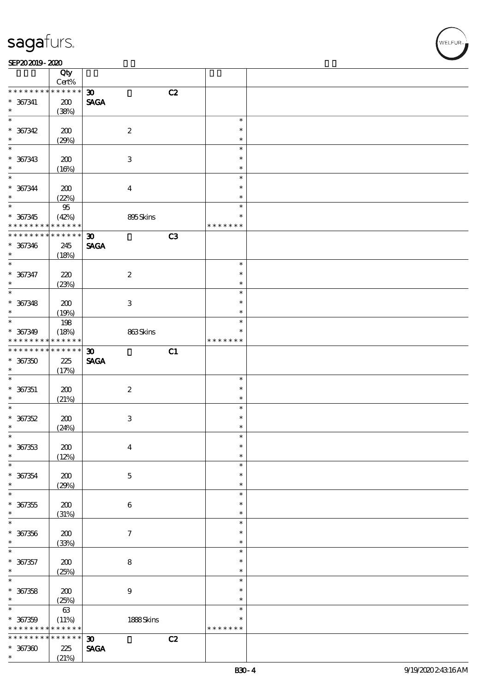#### $SEP202019 - 2020$

|                                | Qty<br>Cert%    |                                   |               |  |
|--------------------------------|-----------------|-----------------------------------|---------------|--|
| * * * * * * * *                | * * * * * *     | C2<br>30 <sub>o</sub>             |               |  |
|                                |                 |                                   |               |  |
| $* 367341$<br>$\ast$           | 200             | <b>SAGA</b>                       |               |  |
|                                | (38%)           |                                   |               |  |
| $\overline{\ast}$              |                 |                                   | $\ast$        |  |
| $* 367342$                     | 200             | $\boldsymbol{2}$                  | $\ast$        |  |
| $\ast$                         | (29%)           |                                   | $\ast$        |  |
| $\overline{\ast}$              |                 |                                   | $\ast$        |  |
| $* 367343$                     | 200             | $\ensuremath{\mathbf{3}}$         | $\ast$        |  |
| $\ast$                         |                 |                                   | $\ast$        |  |
| $\ast$                         | (16%)           |                                   | $\ast$        |  |
|                                |                 |                                   |               |  |
| $* 367344$                     | 200             | $\overline{\mathbf{4}}$           | $\ast$        |  |
| $\ast$                         | (22%)           |                                   | $\ast$        |  |
| $\overline{\ast}$              | $9\!5$          |                                   | $\ast$        |  |
| $* 367345$                     | (42%)           | 895Skins                          | $\ast$        |  |
| * * * * * * * * <mark>*</mark> | * * * * * *     |                                   | * * * * * * * |  |
| * * * * * * * *                | $******$        | C3<br>$\boldsymbol{\mathfrak{D}}$ |               |  |
|                                |                 |                                   |               |  |
| $* 367346$                     | 245             | <b>SAGA</b>                       |               |  |
| $\ast$                         | (18%)           |                                   |               |  |
| $\ast$                         |                 |                                   | $\ast$        |  |
| $* 367347$                     | 220             | $\boldsymbol{2}$                  | $\ast$        |  |
| $\ast$                         | (23%)           |                                   | $\ast$        |  |
| $\ast$                         |                 |                                   | $\ast$        |  |
| $* 367348$                     |                 | $\ensuremath{\mathbf{3}}$         | $\ast$        |  |
| $\ast$                         | 200             |                                   |               |  |
|                                | (19%)           |                                   | $\ast$        |  |
| $\overline{\ast}$              | 198             |                                   | $\ast$        |  |
| $* 367349$                     | (18%)           | 863Skins                          | $\ast$        |  |
| * * * * * * * *                | * * * * * *     |                                   | * * * * * * * |  |
| * * * * * * * *                | $* * * * * * *$ | $\boldsymbol{\mathfrak{D}}$<br>C1 |               |  |
| $* 367350$                     | 225             | <b>SAGA</b>                       |               |  |
| $\ast$                         | (17%)           |                                   |               |  |
| $\ast$                         |                 |                                   | $\ast$        |  |
|                                |                 |                                   |               |  |
| $* 367351$                     | 200             | $\boldsymbol{2}$                  | $\ast$        |  |
| $\ast$                         | (21%)           |                                   | $\ast$        |  |
| $\ast$                         |                 |                                   | $\ast$        |  |
| $* 367352$                     | 200             | $\ensuremath{\mathbf{3}}$         | $\ast$        |  |
| $\ast$                         | (24%)           |                                   | $\ast$        |  |
| $\ast$                         |                 |                                   |               |  |
|                                |                 |                                   | $\ast$        |  |
|                                |                 |                                   |               |  |
| $* 367353$                     | $\pmb{30}$      | $\boldsymbol{4}$                  | $\ast$        |  |
| $\ast$                         | (12%)           |                                   | $\ast$        |  |
| $\ast$                         |                 |                                   | $\ast$        |  |
| $* 367354$                     | 200             | $\mathbf 5$                       | $\ast$        |  |
| $\ast$                         | (29%)           |                                   | $\ast$        |  |
| *                              |                 |                                   | $\ast$        |  |
|                                |                 |                                   | $\ast$        |  |
| $* 367355$<br>$\ast$           | 200             | $\boldsymbol{6}$                  | $\ast$        |  |
|                                | (31%)           |                                   |               |  |
| $\ast$                         |                 |                                   | $\ast$        |  |
| $* 367356$                     | $200$           | $\boldsymbol{7}$                  | $\ast$        |  |
| $\ast$                         | (33%)           |                                   | $\ast$        |  |
| $\ast$                         |                 |                                   | $\ast$        |  |
|                                |                 |                                   | $\ast$        |  |
| $* 367357$<br>$\ast$           | 200             | $\bf 8$                           | $\ast$        |  |
| $\ast$                         | (25%)           |                                   | $\ast$        |  |
|                                |                 |                                   | $\ast$        |  |
| $* 367358$                     | 200             | $9$                               |               |  |
| $\ast$                         | (25%)           |                                   | $\ast$        |  |
| $\ast$                         | $63\,$          |                                   | $\ast$        |  |
| $* 367359$                     | (11%)           | 1888Skins                         | *             |  |
| * * * * * * * *                | * * * * * *     |                                   | * * * * * * * |  |
| * * * * * * * *                | * * * * * *     |                                   |               |  |
|                                |                 | C2<br>$\boldsymbol{\mathfrak{D}}$ |               |  |
| $* 367300$<br>$\ast$           | 225<br>(21%)    | $\operatorname{\mathsf{SAGA}}$    |               |  |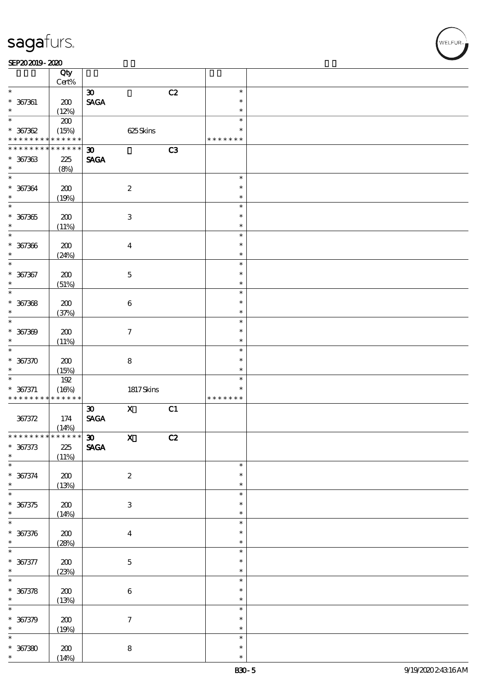|                                              | Qty<br>$\mbox{Cert}\%$ |                                |                           |    |                  |  |
|----------------------------------------------|------------------------|--------------------------------|---------------------------|----|------------------|--|
| $\ast$                                       |                        |                                |                           |    | $\ast$           |  |
|                                              |                        | $\boldsymbol{\mathfrak{D}}$    |                           | C2 |                  |  |
| $* 367361$                                   | 200                    | <b>SAGA</b>                    |                           |    | $\ast$           |  |
| $\ast$                                       | (12%)                  |                                |                           |    | $\ast$           |  |
| $\ast$                                       | 200                    |                                |                           |    | $\ast$           |  |
| $* 367362$                                   | (15%)                  |                                | 625Skins                  |    | $\ast$           |  |
| * * * * * * * *                              | * * * * * *            |                                |                           |    | * * * * * * *    |  |
| * * * * * * *                                | * * * * * *            | $\boldsymbol{\mathfrak{D}}$    |                           | C3 |                  |  |
| $* 367363$                                   | 225                    | <b>SAGA</b>                    |                           |    |                  |  |
| $\ast$                                       |                        |                                |                           |    |                  |  |
| $\ast$                                       | (8%)                   |                                |                           |    |                  |  |
|                                              |                        |                                |                           |    | $\ast$           |  |
| $* 367364$                                   | 200                    |                                | $\boldsymbol{2}$          |    | $\ast$           |  |
| $\ast$                                       | (19%)                  |                                |                           |    | $\ast$           |  |
| $\overline{\ast}$                            |                        |                                |                           |    | $\ast$           |  |
| $* 367365$                                   | $200$                  |                                | $\ensuremath{\mathbf{3}}$ |    | $\ast$           |  |
| $\ast$                                       | (11%)                  |                                |                           |    | $\ast$           |  |
| $\ast$                                       |                        |                                |                           |    | $\ast$           |  |
| $* 367366$                                   |                        |                                |                           |    | $\ast$           |  |
| $\ast$                                       | 200                    |                                | $\bf{4}$                  |    | $\ast$           |  |
|                                              | (24%)                  |                                |                           |    |                  |  |
| $\ast$                                       |                        |                                |                           |    | $\ast$           |  |
| $* 367367$                                   | 200                    |                                | $\mathbf 5$               |    | $\ast$           |  |
| $\ast$                                       | (51%)                  |                                |                           |    | $\ast$           |  |
| $\ast$                                       |                        |                                |                           |    | $\ast$           |  |
| $* 367368$                                   | 200                    |                                | $\bf 6$                   |    | $\ast$           |  |
| $\ast$                                       | (37%)                  |                                |                           |    | $\ast$           |  |
| $\ast$                                       |                        |                                |                           |    | $\ast$           |  |
| $* 367309$                                   |                        |                                | $\boldsymbol{\tau}$       |    | $\ast$           |  |
| $\ast$                                       | 200                    |                                |                           |    |                  |  |
|                                              | (11%)                  |                                |                           |    | $\ast$           |  |
| $\ast$                                       |                        |                                |                           |    | $\ast$           |  |
| $* 367370$                                   | 200                    |                                | $\bf8$                    |    | $\ast$           |  |
|                                              |                        |                                |                           |    | $\ast$           |  |
| $\ast$                                       | (15%)                  |                                |                           |    |                  |  |
| $\overline{\ast}$                            | 192                    |                                |                           |    | $\ast$           |  |
|                                              |                        |                                |                           |    | $\ast$           |  |
| $* 367371$<br>* * * * * * * * <mark>*</mark> | (16%)<br>* * * * * *   |                                | $1817$ Skins              |    | * * * * * * *    |  |
|                                              |                        |                                |                           |    |                  |  |
|                                              |                        | $\boldsymbol{\mathfrak{D}}$    | $\mathbf X$               | C1 |                  |  |
| 367372                                       | 174                    | $\operatorname{\mathsf{SAGA}}$ |                           |    |                  |  |
|                                              | (14%)                  |                                |                           |    |                  |  |
| * * * * * * * * <mark>* * * * * *</mark>     |                        | 30 <sub>1</sub>                | $\mathbf{X}$              | C2 |                  |  |
| $* 367373$                                   | $225\,$                | <b>SAGA</b>                    |                           |    |                  |  |
| $\ast$                                       | (11%)                  |                                |                           |    |                  |  |
| $\ast$                                       |                        |                                |                           |    | $\ast$           |  |
| $* 367374$                                   | ${\bf Z0}$             |                                | $\boldsymbol{z}$          |    | $\ast$           |  |
| $\ast$                                       | (13%)                  |                                |                           |    | $\ast$           |  |
| $\overline{\ast}$                            |                        |                                |                           |    | $\ast$           |  |
|                                              |                        |                                |                           |    | $\ast$           |  |
| $* 367375$<br>$\ast$                         | ${\bf Z0}$             |                                | $\ensuremath{\mathbf{3}}$ |    | $\ast$           |  |
| $\ast$                                       | (14%)                  |                                |                           |    | $\ast$           |  |
|                                              |                        |                                |                           |    |                  |  |
| $* 367376$                                   | $200\,$                |                                | $\boldsymbol{4}$          |    | $\ast$           |  |
| $\ast$                                       | (28%)                  |                                |                           |    | $\ast$           |  |
| $\overline{\ast}$                            |                        |                                |                           |    | $\ast$           |  |
| $* 367377$                                   | $200$                  |                                | $\bf 5$                   |    | $\ast$           |  |
| $\ast$                                       | (23%)                  |                                |                           |    | $\ast$           |  |
| $\overline{\ast}$                            |                        |                                |                           |    | $\ast$           |  |
|                                              |                        |                                |                           |    | $\ast$           |  |
| $* 367378$<br>$\ast$                         | ${\bf Z0}$             |                                | $\bf 6$                   |    | $\ast$           |  |
| $\ast$                                       | (13%)                  |                                |                           |    | $\ast$           |  |
|                                              |                        |                                |                           |    | $\ast$           |  |
| $* 367379$                                   | $200\,$                |                                | $\boldsymbol{\tau}$       |    | $\ast$           |  |
| $\ast$                                       | (19%)                  |                                |                           |    |                  |  |
| ¥                                            |                        |                                |                           |    | $\ast$           |  |
| $* 367380$<br>$\ast$                         | 200<br>(14%)           |                                | ${\bf 8}$                 |    | $\ast$<br>$\ast$ |  |

.<br>WELFUR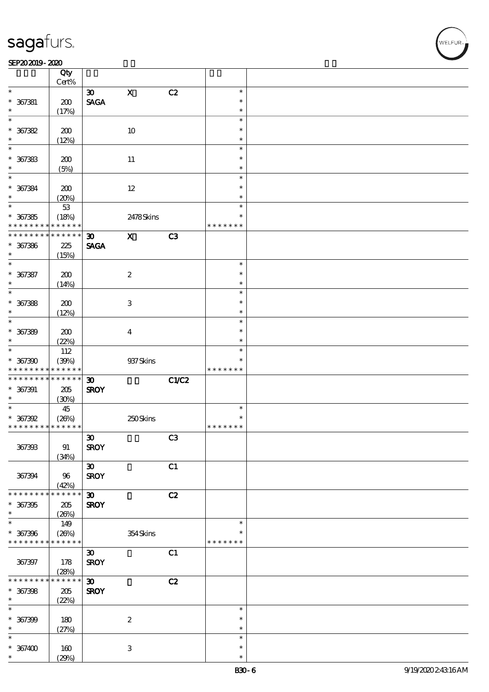#### $SEP202019 - 2020$

|                                            | Qty<br>Cert%    |                                |                           |                |               |  |
|--------------------------------------------|-----------------|--------------------------------|---------------------------|----------------|---------------|--|
| $\ast$                                     |                 |                                |                           |                | $\ast$        |  |
|                                            |                 | $\boldsymbol{\mathfrak{D}}$    | $\mathbf X$               | C2             |               |  |
| $* 367381$                                 | 200             | $\operatorname{\mathbf{SAGA}}$ |                           |                | $\ast$        |  |
| *                                          | (17%)           |                                |                           |                | $\ast$        |  |
| $\ast$                                     |                 |                                |                           |                | $\ast$        |  |
| $* 367382$                                 | 200             |                                | $10\,$                    |                | $\ast$        |  |
| $\ast$                                     | (12%)           |                                |                           |                | $\ast$        |  |
| $\ast$                                     |                 |                                |                           |                | $\ast$        |  |
|                                            |                 |                                |                           |                | $\ast$        |  |
| $* 367383$                                 | 200             |                                | 11                        |                |               |  |
| $\ast$                                     | (5%)            |                                |                           |                | $\ast$        |  |
| $\ast$                                     |                 |                                |                           |                | $\ast$        |  |
| $* 367384$                                 | 200             |                                | 12                        |                | $\ast$        |  |
| $\ast$                                     | (20%)           |                                |                           |                | $\ast$        |  |
| $\ast$                                     | $5\!3$          |                                |                           |                | $\ast$        |  |
| $* 367385$                                 | (18%)           |                                | 2478Skins                 |                | $\ast$        |  |
| * * * * * * * *                            | * * * * * *     |                                |                           |                | * * * * * * * |  |
| * * * * * * * *                            | $******$        |                                |                           |                |               |  |
|                                            |                 | $\boldsymbol{\mathfrak{D}}$    | $\boldsymbol{\mathsf{X}}$ | C3             |               |  |
| $* 367386$                                 | 225             | <b>SAGA</b>                    |                           |                |               |  |
| $\ast$                                     | (15%)           |                                |                           |                |               |  |
| $\ast$                                     |                 |                                |                           |                | $\ast$        |  |
| $* 367387$                                 | 200             |                                | $\boldsymbol{2}$          |                | $\ast$        |  |
| $\ast$                                     | (14%)           |                                |                           |                | $\ast$        |  |
| $\ast$                                     |                 |                                |                           |                | $\ast$        |  |
|                                            |                 |                                |                           |                | $\ast$        |  |
| $* 367388$                                 | 200             |                                | $\ensuremath{\mathbf{3}}$ |                |               |  |
| $\ast$                                     | (12%)           |                                |                           |                | $\ast$        |  |
| $\ast$                                     |                 |                                |                           |                | $\ast$        |  |
| $* 367389$                                 | 200             |                                | $\bf{4}$                  |                | $\ast$        |  |
| $\ast$                                     | (22%)           |                                |                           |                | $\ast$        |  |
| $\overline{\ast}$                          | 112             |                                |                           |                | $\ast$        |  |
| $* 367300$                                 | (39%)           |                                | 937 Skins                 |                | $\ast$        |  |
| * * * * * * * *                            | * * * * * *     |                                |                           |                | * * * * * * * |  |
| * * * * * * * *                            | $* * * * * * *$ |                                |                           |                |               |  |
|                                            |                 |                                |                           |                |               |  |
|                                            |                 | $\boldsymbol{\mathfrak{D}}$    |                           | C1/C2          |               |  |
| $* 367391$                                 | 205             | <b>SROY</b>                    |                           |                |               |  |
| $\ast$                                     | (30%)           |                                |                           |                |               |  |
| $\overline{\ast}$                          | 45              |                                |                           |                | $\ast$        |  |
| $* 367392$                                 | (20%)           |                                | 250Skins                  |                | $\ast$        |  |
| * * * * * * * * <mark>* * * * * * *</mark> |                 |                                |                           |                | * * * * * * * |  |
|                                            |                 |                                |                           |                |               |  |
|                                            |                 | $\boldsymbol{\mathfrak{D}}$    |                           | C <sub>3</sub> |               |  |
| 367393                                     | 91              | <b>SROY</b>                    |                           |                |               |  |
|                                            | (34%)           |                                |                           |                |               |  |
|                                            |                 | $\boldsymbol{\mathfrak{D}}$    |                           | C1             |               |  |
| 367394                                     | 96              | <b>SROY</b>                    |                           |                |               |  |
|                                            | (42%)           |                                |                           |                |               |  |
| * * * * * * * *                            | $* * * * * * *$ | $\boldsymbol{\mathfrak{D}}$    |                           | C2             |               |  |
| $* 367395$                                 | 205             | <b>SROY</b>                    |                           |                |               |  |
| $\ast$                                     |                 |                                |                           |                |               |  |
| $\ast$                                     | (20%)           |                                |                           |                | $\ast$        |  |
|                                            | 149             |                                |                           |                |               |  |
| $* 367396$                                 | (20%)           |                                | 354Skins                  |                |               |  |
| * * * * * * * *                            | * * * * * *     |                                |                           |                | * * * * * * * |  |
|                                            |                 | $\boldsymbol{\mathfrak{D}}$    |                           | C1             |               |  |
| 367397                                     | 178             | <b>SROY</b>                    |                           |                |               |  |
|                                            | (28%)           |                                |                           |                |               |  |
| * * * * * * * *                            | $******$        | $\boldsymbol{\mathfrak{D}}$    |                           | C2             |               |  |
|                                            |                 |                                |                           |                |               |  |
| $* 367398$<br>$\ast$                       | 205             | <b>SROY</b>                    |                           |                |               |  |
|                                            | (22%)           |                                |                           |                |               |  |
| $\ast$                                     |                 |                                |                           |                | $\ast$        |  |
| $* 367309$                                 | 180             |                                | $\boldsymbol{2}$          |                | $\ast$        |  |
| $\ast$                                     | (27%)           |                                |                           |                | $\ast$        |  |
| $\ast$                                     |                 |                                |                           |                | $\ast$        |  |
| $* 367400$                                 | 160             |                                | 3                         |                | $\ast$        |  |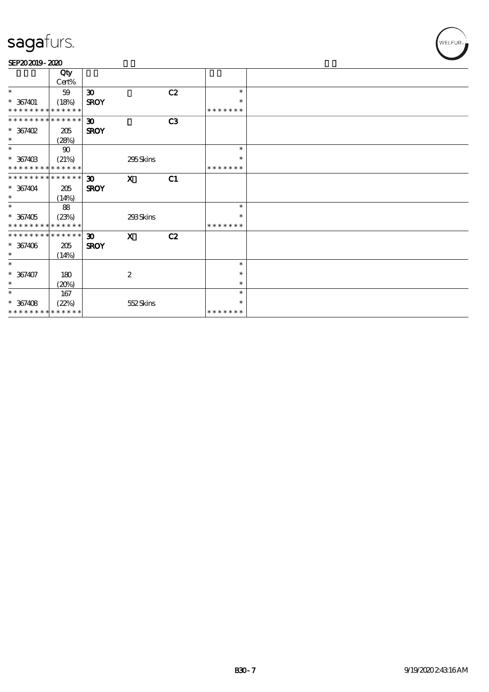#### SEP202019-2020

|                             | Qty<br>Cert% |                             |                  |    |               |  |
|-----------------------------|--------------|-----------------------------|------------------|----|---------------|--|
| $\ast$                      | 59           | $\boldsymbol{\mathfrak{D}}$ |                  | C2 | $\ast$        |  |
| $* 367401$                  | (18%)        | <b>SROY</b>                 |                  |    | $\ast$        |  |
| * * * * * * * * * * * * * * |              |                             |                  |    | * * * * * * * |  |
| * * * * * * * * * * * * * * |              | $\boldsymbol{\mathfrak{D}}$ |                  | C3 |               |  |
| $* 367402$                  | 205          | <b>SROY</b>                 |                  |    |               |  |
| $\ast$                      | (28%)        |                             |                  |    |               |  |
| $\ast$                      | 90           |                             |                  |    | $\ast$        |  |
| $* 36740B$                  | (21%)        |                             | 295Skins         |    | $\ast$        |  |
| * * * * * * * * * * * * * * |              |                             |                  |    | * * * * * * * |  |
| **************              |              | 30 <sub>o</sub>             | $\mathbf{x}$     | C1 |               |  |
| $* 367404$                  | 205          | <b>SROY</b>                 |                  |    |               |  |
| $\ast$                      | (14%)        |                             |                  |    |               |  |
| $\ast$                      | 88           |                             |                  |    | $\ast$        |  |
| $* 367405$                  | (23%)        |                             | 293Skins         |    | $\ast$        |  |
| * * * * * * * * * * * * * * |              |                             |                  |    | * * * * * * * |  |
| * * * * * * * * * * * * * * |              | $\boldsymbol{\mathfrak{D}}$ | $\mathbf{x}$     | C2 |               |  |
| $* 367406$                  | 205          | <b>SROY</b>                 |                  |    |               |  |
| $*$                         | (14%)        |                             |                  |    |               |  |
| $\ast$                      |              |                             |                  |    | $\ast$        |  |
| $* 367407$                  | 180          |                             | $\boldsymbol{2}$ |    | ∗             |  |
| $\ast$                      | (20%)        |                             |                  |    | $\ast$        |  |
| $\ast$                      | 167          |                             |                  |    | $\ast$        |  |
| $* 367408$                  | (22%)        |                             | 552Skins         |    | $\ast$        |  |
| * * * * * * * * * * * * * * |              |                             |                  |    | * * * * * * * |  |

WELFUR<sub>™</sub>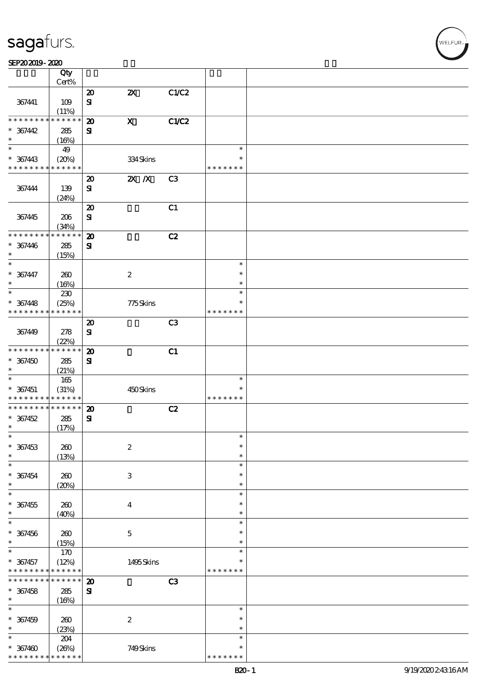| SEP202019-2020 |  |
|----------------|--|
|----------------|--|

|                      | Qty             |                                            |                           |                |                  |  |
|----------------------|-----------------|--------------------------------------------|---------------------------|----------------|------------------|--|
|                      | Cert%           |                                            |                           |                |                  |  |
| 367441               | 109             | $\boldsymbol{\mathsf{20}}$<br>$\mathbf{S}$ | $\boldsymbol{\mathsf{z}}$ | C1/C2          |                  |  |
|                      | (11%)           |                                            |                           |                |                  |  |
| * * * * * * * *      | * * * * * *     | $\boldsymbol{\mathbf{z}}$                  | $\mathbf X$               | C1/C2          |                  |  |
| $* 367442$           | 285             | ${\bf S}$                                  |                           |                |                  |  |
| $\ast$               | (16%)           |                                            |                           |                |                  |  |
| $\ast$               | 49              |                                            |                           |                | $\ast$           |  |
| $* 367443$           | (20%)           |                                            | 334Skins                  |                | ∗                |  |
| * * * * * * * *      | * * * * * *     |                                            |                           |                | * * * * * * *    |  |
|                      |                 | $\boldsymbol{\mathfrak{D}}$                | $X$ $N$                   | C3             |                  |  |
| 367444               | 139<br>(24%)    | $\mathbf{S}$                               |                           |                |                  |  |
|                      |                 | $\boldsymbol{\mathfrak{D}}$                |                           | C1             |                  |  |
| 367445               | 206             | $\mathbf{S}$                               |                           |                |                  |  |
|                      | (34%)           |                                            |                           |                |                  |  |
| * * * * * * * *      | * * * * * *     | $\boldsymbol{\mathbf{z}}$                  |                           | C2             |                  |  |
| $* 367446$           | 285             | ${\bf s}$                                  |                           |                |                  |  |
| $\ast$               | (15%)           |                                            |                           |                |                  |  |
| $\ast$               |                 |                                            |                           |                | $\ast$           |  |
| $* 367447$<br>$\ast$ | 260             |                                            | $\boldsymbol{2}$          |                | $\ast$<br>$\ast$ |  |
| $\ast$               | (16%)<br>230    |                                            |                           |                | $\ast$           |  |
| $* 367448$           | (25%)           |                                            | 775Skins                  |                | $\ast$           |  |
| * * * * * * * *      | * * * * * *     |                                            |                           |                | * * * * * * *    |  |
|                      |                 | $\boldsymbol{\mathfrak{D}}$                |                           | C <sub>3</sub> |                  |  |
| 367449               | 278             | ${\bf S}$                                  |                           |                |                  |  |
|                      | (22%)           |                                            |                           |                |                  |  |
| * * * * * * * *      | * * * * * *     | $\boldsymbol{\mathsf{20}}$                 |                           | C1             |                  |  |
| $* 367450$           | 285             | ${\bf s}$                                  |                           |                |                  |  |
| $\ast$<br>$\ast$     | (21%)           |                                            |                           |                | $\ast$           |  |
| $* 367451$           | 165<br>(31%)    |                                            | 450Skins                  |                | $\ast$           |  |
| * * * * * * * *      | * * * * * *     |                                            |                           |                | * * * * * * *    |  |
| * * * * * * * *      | $* * * * * * *$ | $\boldsymbol{\mathfrak{D}}$                |                           | C2             |                  |  |
| $* 367452$           | 285             | ${\bf S}$                                  |                           |                |                  |  |
| $\ast$               | (17%)           |                                            |                           |                |                  |  |
| $*$                  |                 |                                            |                           |                | $\ast$           |  |
| $* 367453$           | 260             |                                            | $\boldsymbol{2}$          |                | $\ast$           |  |
| $\ast$<br>$\ast$     | (13%)           |                                            |                           |                | $\ast$<br>$\ast$ |  |
| $* 367454$           | 260             |                                            | 3                         |                | $\ast$           |  |
| $\ast$               | (20%)           |                                            |                           |                | $\ast$           |  |
| $\ast$               |                 |                                            |                           |                | $\ast$           |  |
| $* 367455$           | 260             |                                            | $\overline{4}$            |                | $\ast$           |  |
| $\ast$               | (40%)           |                                            |                           |                | $\ast$           |  |
| $\ast$               |                 |                                            |                           |                | $\ast$           |  |
| $* 367456$<br>$\ast$ | 260             |                                            | $\mathbf 5$               |                | $\ast$           |  |
| $\ast$               | (15%)<br>170    |                                            |                           |                | $\ast$<br>$\ast$ |  |
| $* 367457$           | (12%)           |                                            | 1495Skins                 |                | $\ast$           |  |
| * * * * * * * *      | * * * * * *     |                                            |                           |                | * * * * * * *    |  |
| * * * * * * *        | $******$        | $\boldsymbol{\mathsf{20}}$                 |                           | C <sub>3</sub> |                  |  |
| $* 367458$           | 285             | ${\bf s}$                                  |                           |                |                  |  |
| $\ast$               | (16%)           |                                            |                           |                |                  |  |
| $\ast$               |                 |                                            |                           |                | $\ast$           |  |
| $* 367459$           | 260             |                                            | $\boldsymbol{2}$          |                | $\ast$           |  |
| $\ast$<br>$\ast$     | (23%)           |                                            |                           |                | $\ast$<br>$\ast$ |  |
| $* 367400$           | 204<br>(20%)    |                                            | 749Skins                  |                | $\ast$           |  |
| * * * * * * *        | * * * * * *     |                                            |                           |                | * * * * * * *    |  |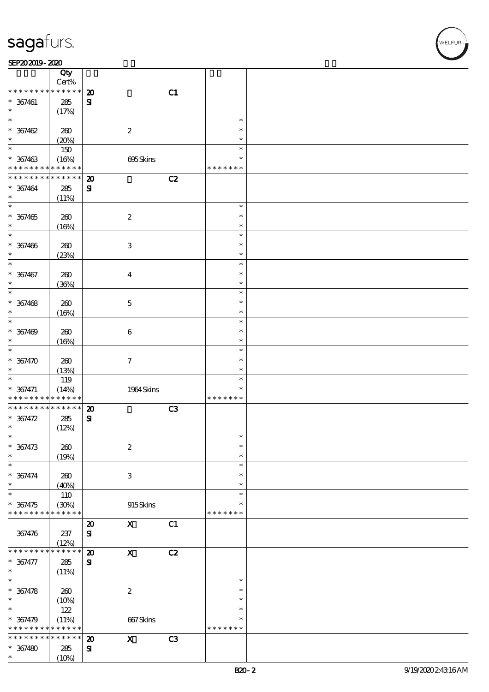#### SEP202019-2020

|                   | Qty<br>Cert% |                             |                           |    |               |  |
|-------------------|--------------|-----------------------------|---------------------------|----|---------------|--|
| * * * * * * * *   | * * * * * *  | $\boldsymbol{\mathfrak{D}}$ |                           | C1 |               |  |
|                   |              |                             |                           |    |               |  |
| $* 367461$        | $285\,$      | $\mathbf{S}$                |                           |    |               |  |
| $\ast$            | (17%)        |                             |                           |    |               |  |
| $\ast$            |              |                             |                           |    | $\ast$        |  |
| $* 367462$        | 260          |                             | $\boldsymbol{2}$          |    | $\ast$        |  |
| *                 | (20%)        |                             |                           |    | $\ast$        |  |
| $\overline{\ast}$ | 150          |                             |                           |    | $\ast$        |  |
|                   |              |                             |                           |    | $\ast$        |  |
| $* 367463$        | (16%)        |                             | 695Skins                  |    |               |  |
| * * * * * * * *   | * * * * * *  |                             |                           |    | * * * * * * * |  |
| * * * * * * * *   | * * * * * *  | $\boldsymbol{\mathfrak{D}}$ |                           | C2 |               |  |
| $* 367464$        | $285\,$      | ${\bf s}$                   |                           |    |               |  |
| $\ast$            | (11%)        |                             |                           |    |               |  |
| $\ast$            |              |                             |                           |    | $\ast$        |  |
| $* 367465$        | 260          |                             | $\boldsymbol{2}$          |    | $\ast$        |  |
| $\ast$            |              |                             |                           |    | $\ast$        |  |
| $\ast$            | (16%)        |                             |                           |    |               |  |
|                   |              |                             |                           |    | $\ast$        |  |
| $* 367466$        | 260          |                             | $\ensuremath{\mathbf{3}}$ |    | $\ast$        |  |
| $\ast$            | (23%)        |                             |                           |    | $\ast$        |  |
| $\ast$            |              |                             |                           |    | $\ast$        |  |
| $* 367467$        | $200$        |                             | $\bf{4}$                  |    | $\ast$        |  |
| $\ast$            | (36%)        |                             |                           |    | $\ast$        |  |
| $\ast$            |              |                             |                           |    | $\ast$        |  |
|                   |              |                             |                           |    |               |  |
| $* 367468$        | 260          |                             | $\mathbf 5$               |    | $\ast$        |  |
| $\ast$            | (16%)        |                             |                           |    | $\ast$        |  |
| $\ast$            |              |                             |                           |    | $\ast$        |  |
| $* 367409$        | 260          |                             | 6                         |    | $\ast$        |  |
| $\ast$            | (16%)        |                             |                           |    | $\ast$        |  |
| $\ast$            |              |                             |                           |    | $\ast$        |  |
| $* 367470$        | 260          |                             | $\boldsymbol{\tau}$       |    | $\ast$        |  |
| $\ast$            |              |                             |                           |    | $\ast$        |  |
|                   | (13%)        |                             |                           |    |               |  |
| $\ast$            | 119          |                             |                           |    | $\ast$        |  |
| $* 367471$        | (14%)        |                             | 1964Skins                 |    | $\ast$        |  |
| * * * * * * * *   | * * * * * *  |                             |                           |    | * * * * * * * |  |
| * * * * * * * *   | $******$     | $\boldsymbol{\mathbf{z}}$   |                           | C3 |               |  |
| $* 367472$        | 285          | $\mathbf{S}$                |                           |    |               |  |
| $\ast$            | (12%)        |                             |                           |    |               |  |
| $\ast$            |              |                             |                           |    | $\ast$        |  |
| $* 367473$        |              |                             |                           |    | $\ast$        |  |
| $\ast$            | 200          |                             | $\boldsymbol{2}$          |    | $\ast$        |  |
|                   | (19%)        |                             |                           |    |               |  |
| $\ast$            |              |                             |                           |    | $\ast$        |  |
| $* 367474$        | 260          |                             | 3                         |    | $\ast$        |  |
| $\ast$            | (40%)        |                             |                           |    | $\ast$        |  |
| $\ast$            | 110          |                             |                           |    | $\ast$        |  |
| $* 367475$        | (30%)        |                             | 915Skins                  |    | ∗             |  |
| * * * * * * * *   | * * * * * *  |                             |                           |    | * * * * * * * |  |
|                   |              | $\boldsymbol{\mathfrak{D}}$ | $\mathbf x$               | C1 |               |  |
|                   |              |                             |                           |    |               |  |
| 367476            | 237          | ${\bf s}$                   |                           |    |               |  |
|                   | (12%)        |                             |                           |    |               |  |
| * * * * * * *     | * * * * *    | $\boldsymbol{\mathbf{z}}$   | $\boldsymbol{\mathsf{X}}$ | C2 |               |  |
| $* 367477$        | ${\bf 285}$  | ${\bf s}$                   |                           |    |               |  |
| $\ast$            | (11%)        |                             |                           |    |               |  |
| $\overline{\ast}$ |              |                             |                           |    | $\ast$        |  |
| $* 367478$        | 260          |                             | $\boldsymbol{2}$          |    | $\ast$        |  |
| $\ast$            | (10%)        |                             |                           |    | $\ast$        |  |
| $\ast$            |              |                             |                           |    | $\ast$        |  |
|                   | 122          |                             |                           |    |               |  |
| $* 367479$        | (11%)        |                             | 667Skins                  |    | $\ast$        |  |
| * * * * * * * *   | * * * * * *  |                             |                           |    | * * * * * * * |  |
| * * * * * * * *   | * * * * * *  | $\boldsymbol{\mathbf{z}}$   | $\mathbf{x}$              | C3 |               |  |
| $* 367480$        | 285          | ${\bf s}$                   |                           |    |               |  |
| $\ast$            | (10%)        |                             |                           |    |               |  |
|                   |              |                             |                           |    |               |  |

**VELFUR**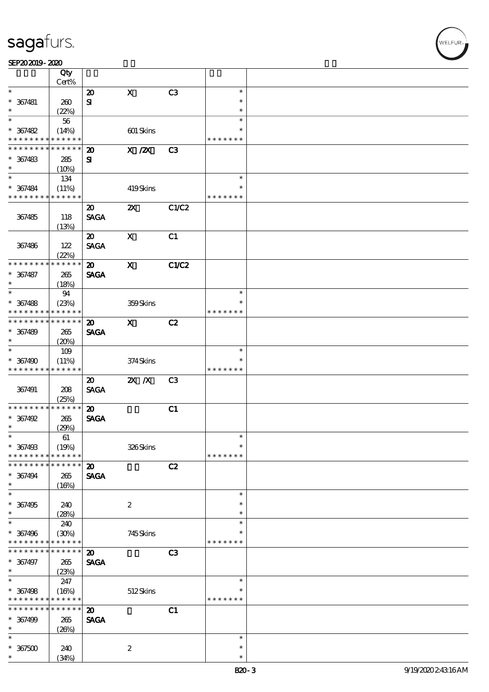|                               | Qty<br>Cert% |                             |                           |                |                  |  |
|-------------------------------|--------------|-----------------------------|---------------------------|----------------|------------------|--|
| $\ast$                        |              | $\boldsymbol{\mathbf{z}}$   | $\mathbf X$               | C3             | $\ast$           |  |
| $* 367481$                    | 260          | ${\bf s}$                   |                           |                | $\ast$           |  |
| $\ast$                        | (22%)        |                             |                           |                | $\ast$           |  |
| $\ast$                        | 56           |                             |                           |                | $\ast$           |  |
| $* 367482$                    | (14%)        |                             | 601 Skins                 |                | $\ast$           |  |
| * * * * * * * *               | * * * * * *  |                             |                           |                | * * * * * * *    |  |
| * * * *<br>* * *              | * * * * * *  |                             |                           | C <sub>3</sub> |                  |  |
| $* 367483$                    |              | $\boldsymbol{\mathfrak{D}}$ | $X$ / $ZX$                |                |                  |  |
| $\ast$                        | 285          | ${\bf s}$                   |                           |                |                  |  |
| $\ast$                        | (10%)        |                             |                           |                | $\ast$           |  |
|                               | 134          |                             |                           |                | $\ast$           |  |
| $* 367484$<br>* * * * * * * * | (11%)        |                             | 419Skins                  |                |                  |  |
|                               | * * * * * *  |                             |                           |                | * * * * * * *    |  |
|                               |              | $\boldsymbol{\mathfrak{D}}$ | $\boldsymbol{\mathsf{z}}$ | C1/C2          |                  |  |
| 367485                        | 118          | <b>SAGA</b>                 |                           |                |                  |  |
|                               | (13%)        |                             |                           |                |                  |  |
|                               |              | $\boldsymbol{\mathfrak{D}}$ | $\boldsymbol{\mathrm{X}}$ | C1             |                  |  |
| 367486                        | 122          | <b>SAGA</b>                 |                           |                |                  |  |
|                               | (22%)        |                             |                           |                |                  |  |
| * * * * * * * *               | * * * * * *  | $\boldsymbol{\mathfrak{D}}$ | $\boldsymbol{\mathrm{X}}$ | <b>C1/C2</b>   |                  |  |
| $* 367487$                    | 265          | <b>SAGA</b>                 |                           |                |                  |  |
| $\ast$                        | (18%)        |                             |                           |                |                  |  |
| $\ast$                        | 94           |                             |                           |                | $\ast$           |  |
| $* 367488$                    | (23%)        |                             | 359Skins                  |                | $\ast$           |  |
| * * * * * * *                 | * * * * * *  |                             |                           |                | * * * * * * *    |  |
| * * * * * * *                 | * * * * * *  | $\boldsymbol{\mathfrak{D}}$ | $\mathbf x$               | C2             |                  |  |
| $* 367489$                    | 265          | <b>SAGA</b>                 |                           |                |                  |  |
| $\ast$                        | (20%)        |                             |                           |                |                  |  |
| $\ast$                        | 109          |                             |                           |                | $\ast$           |  |
| $* 367490$                    | (11%)        |                             | 374Skins                  |                |                  |  |
| * * * * * * * *               | * * * * * *  |                             |                           |                | * * * * * * *    |  |
|                               |              | $\boldsymbol{\mathfrak{D}}$ | $X$ $N$                   | C <sub>3</sub> |                  |  |
| 367491                        | 208          | <b>SAGA</b>                 |                           |                |                  |  |
|                               | (25%)        |                             |                           |                |                  |  |
| * * * * * * * *               | * * * * *    | $\boldsymbol{\mathfrak{D}}$ |                           | C1             |                  |  |
| $* 367492$                    | 265          | <b>SAGA</b>                 |                           |                |                  |  |
| $\ast$                        | (29%)        |                             |                           |                |                  |  |
| $\ast$                        | 61           |                             |                           |                | $\ast$           |  |
| $* 367493$                    | (19%)        |                             | 326Skins                  |                | $\ast$           |  |
| * * * * * * * *               | * * * * * *  |                             |                           |                | * * * * * * *    |  |
| * * * * * * *                 | * * * * * *  | $\boldsymbol{\mathbf{z}}$   |                           | C2             |                  |  |
| $* 367494$                    | 265          | <b>SAGA</b>                 |                           |                |                  |  |
| $\ast$                        | (16%)        |                             |                           |                |                  |  |
| $\ast$                        |              |                             |                           |                | $\ast$           |  |
| $* 367495$                    | 240          |                             | $\boldsymbol{2}$          |                | $\ast$           |  |
| $\ast$                        | (28%)        |                             |                           |                | $\ast$           |  |
| $\ast$                        | 240          |                             |                           |                | $\ast$           |  |
| $* 367496$                    | (30%)        |                             | 745Skins                  |                | ∗                |  |
| * * * * * * * *               | * * * * * *  |                             |                           |                | * * * * * * *    |  |
| * * * * * * *                 | * * * * * *  | $\boldsymbol{\mathbf{z}}$   |                           | C3             |                  |  |
|                               |              |                             |                           |                |                  |  |
| * 367497<br>$\ast$            | 265          | <b>SAGA</b>                 |                           |                |                  |  |
| $\overline{\ast}$             | (23%)        |                             |                           |                | $\ast$           |  |
|                               | 247          |                             |                           |                |                  |  |
| $* 367498$                    | (16%)        |                             | 512Skins                  |                | ∗                |  |
| * * * * * * * *               | * * * * * *  |                             |                           |                | * * * * * * *    |  |
| * * * * * * * *               | * * * * * *  | $\boldsymbol{\mathbf{z}}$   |                           | C1             |                  |  |
| $* 367499$                    |              |                             |                           |                |                  |  |
|                               | 265          | <b>SAGA</b>                 |                           |                |                  |  |
| $\ast$                        | (20%)        |                             |                           |                |                  |  |
| $\ast$                        |              |                             |                           |                | $\ast$           |  |
| $*367500$<br>$\ast$           | 240<br>(34%) |                             | $\boldsymbol{z}$          |                | $\ast$<br>$\ast$ |  |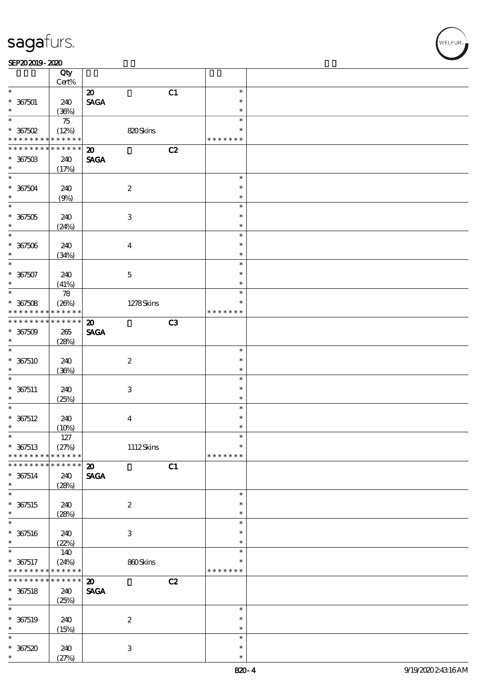#### SEP202019-2020

|                               | Qty<br>Cert%         |                                |                           |                         |  |
|-------------------------------|----------------------|--------------------------------|---------------------------|-------------------------|--|
| $\ast$                        |                      | $\boldsymbol{\mathfrak{D}}$    | C1                        | $\ast$                  |  |
| $* 367501$                    | 240                  | $\operatorname{\mathsf{SAGA}}$ |                           | $\ast$                  |  |
| $\ast$                        | (36%)                |                                |                           | $\ast$                  |  |
| $\ast$                        | 75                   |                                |                           | $\ast$                  |  |
| $*$ 367502                    | (12%)                |                                | 820Skins                  | $\ast$                  |  |
| * * * * * * * *               | * * * * * *          |                                |                           | * * * * * * *           |  |
| * * * * * * *                 | * * * * * *          | $\boldsymbol{\mathsf{20}}$     | C2                        |                         |  |
| $* 36750B$                    | 240                  | <b>SAGA</b>                    |                           |                         |  |
| $\ast$                        | (17%)                |                                |                           |                         |  |
| $\ast$                        |                      |                                |                           | $\ast$                  |  |
| $* 367504$                    | 240                  |                                | $\boldsymbol{2}$          | $\ast$                  |  |
| $\ast$                        | (9%)                 |                                |                           | $\ast$                  |  |
| $\overline{\ast}$             |                      |                                |                           | $\ast$                  |  |
| $* 367505$                    | 240                  |                                | $\ensuremath{\mathbf{3}}$ | $\ast$                  |  |
| $\ast$                        | (24%)                |                                |                           | $\ast$                  |  |
| $\ast$                        |                      |                                |                           | $\ast$                  |  |
| $* 367506$                    | 240                  |                                | $\overline{\mathbf{4}}$   | $\ast$                  |  |
| $\ast$                        | (34%)                |                                |                           | $\ast$                  |  |
| $\ast$                        |                      |                                |                           | $\ast$                  |  |
| $* 367507$                    | 240                  |                                | $\mathbf 5$               | $\ast$                  |  |
| $\ast$<br>$\overline{\ast}$   | (41%)                |                                |                           | $\ast$                  |  |
|                               | ${\bf 78}$           |                                |                           | $\ast$                  |  |
| $* 367508$<br>* * * * * * * * | (20%)<br>* * * * * * |                                | 1278Skins                 | $\ast$<br>* * * * * * * |  |
| * * * * * * * *               | $******$             | $\boldsymbol{\mathbf{z}}$      | C3                        |                         |  |
| $* 367509$                    | 265                  | <b>SAGA</b>                    |                           |                         |  |
| $\ast$                        | (28%)                |                                |                           |                         |  |
| $\ast$                        |                      |                                |                           | $\ast$                  |  |
| $* 367510$                    | 240                  |                                | $\boldsymbol{2}$          | $\ast$                  |  |
| $\ast$                        | (36%)                |                                |                           | $\ast$                  |  |
| $\ast$                        |                      |                                |                           | $\ast$                  |  |
| $* 367511$                    | 240                  |                                | $\ensuremath{\mathbf{3}}$ | $\ast$                  |  |
| $\ast$                        | (25%)                |                                |                           | $\ast$                  |  |
| $\ast$                        |                      |                                |                           | $\ast$                  |  |
| $* 367512$                    | 240                  |                                | $\bf{4}$                  | $\ast$                  |  |
| $\ast$                        | (10%)                |                                |                           | $\ast$                  |  |
| $\ast$                        | $127\,$              |                                |                           | $\ast$                  |  |
| $* 367513$                    | (27%)                |                                | 1112Skins                 | $\ast$                  |  |
| * * * * * * * *               | * * * * * *          |                                |                           | * * * * * * *           |  |
| * * * * * * *                 | * * * * * *          | $\boldsymbol{\mathfrak{D}}$    | C1                        |                         |  |
| $* 367514$<br>$\ast$          | 240                  | <b>SAGA</b>                    |                           |                         |  |
| *                             | (28%)                |                                |                           | $\ast$                  |  |
| $*367515$                     | 240                  |                                | $\boldsymbol{2}$          | $\ast$                  |  |
| $\ast$                        | (28%)                |                                |                           | $\ast$                  |  |
| $\ast$                        |                      |                                |                           | $\ast$                  |  |
| $* 367516$                    | 240                  |                                | $\ensuremath{\mathsf{3}}$ | $\ast$                  |  |
| $\ast$                        | (22%)                |                                |                           | $\ast$                  |  |
| $\ast$                        | 140                  |                                |                           | $\ast$                  |  |
| $* 367517$                    | (24%)                |                                | 860Skins                  | $\ast$                  |  |
| * * * * * * * *               | * * * * * *          |                                |                           | * * * * * * *           |  |
| * * * * * * * *               | $******$             | $\boldsymbol{\mathfrak{D}}$    | C2                        |                         |  |
| $* 367518$                    | 240                  | <b>SAGA</b>                    |                           |                         |  |
| $\ast$                        | (25%)                |                                |                           |                         |  |
| $\ast$                        |                      |                                |                           | $\ast$                  |  |
| $* 367519$                    | 240                  |                                | $\boldsymbol{2}$          | $\ast$                  |  |
| $\ast$<br>$\ast$              | (15%)                |                                |                           | $\ast$<br>$\ast$        |  |
|                               |                      |                                |                           | $\ast$                  |  |
| $*367520$<br>$\ast$           | 240<br>(27%)         |                                | $\ensuremath{\mathbf{3}}$ | $\ast$                  |  |
|                               |                      |                                |                           |                         |  |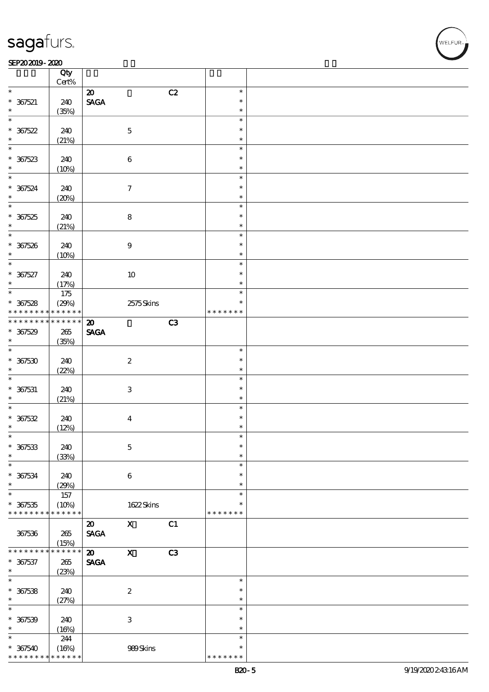#### $SEP202019 - 2020$

|                                    | Qty                  |                                |                           |    |                  |  |
|------------------------------------|----------------------|--------------------------------|---------------------------|----|------------------|--|
| $\ast$                             | $Cert\%$             |                                |                           |    | $\ast$           |  |
|                                    |                      | $\boldsymbol{\mathfrak{D}}$    |                           | C2 | $\ast$           |  |
| $* 367521$                         | 240                  | $\operatorname{\mathsf{SAGA}}$ |                           |    |                  |  |
| $\ast$                             | (35%)                |                                |                           |    | $\ast$<br>$\ast$ |  |
|                                    |                      |                                |                           |    |                  |  |
| $* 367522$                         | 240                  |                                | $\mathbf 5$               |    | $\ast$           |  |
| $\ast$<br>$\overline{\ast}$        | (21%)                |                                |                           |    | $\ast$           |  |
|                                    |                      |                                |                           |    | $\ast$           |  |
| $*357523$                          | 240                  |                                | $\bf 6$                   |    | $\ast$           |  |
| $\overline{\phantom{0}}$           | (10%)                |                                |                           |    | $\ast$           |  |
|                                    |                      |                                |                           |    | $\ast$           |  |
| $* 367524$                         | 240                  |                                | $\boldsymbol{7}$          |    | $\ast$           |  |
| $\ast$<br>$\overline{\phantom{0}}$ | (20%)                |                                |                           |    | $\ast$           |  |
|                                    |                      |                                |                           |    | $\ast$           |  |
| $* 367525$                         | 240                  |                                | $\bf 8$                   |    | $\ast$           |  |
| $\ast$                             | (21%)                |                                |                           |    | $\ast$           |  |
| $\overline{\ast}$                  |                      |                                |                           |    | $\ast$           |  |
| $* 367526$                         | 240                  |                                | $\boldsymbol{9}$          |    | $\ast$           |  |
| $\ast$                             | (10%)                |                                |                           |    | $\ast$           |  |
| $\ast$                             |                      |                                |                           |    | $\ast$           |  |
| $* 367527$                         | 240                  |                                | $10\,$                    |    | $\ast$           |  |
| $\ast$<br>$\overline{\ast}$        | (17%)                |                                |                           |    | $\ast$<br>$\ast$ |  |
|                                    | 175                  |                                |                           |    |                  |  |
| $* 367528$                         | (29%)<br>* * * * * * |                                | 2575Skins                 |    | $\ast$           |  |
| * * * * * * * *                    | $******$             |                                |                           |    | * * * * * * *    |  |
| * * * * * * *                      |                      | $\boldsymbol{\mathfrak{D}}$    |                           | C3 |                  |  |
| $* 367529$<br>$\ast$               | $265\,$              | <b>SAGA</b>                    |                           |    |                  |  |
| $\ast$                             | (35%)                |                                |                           |    |                  |  |
|                                    |                      |                                |                           |    | $\ast$           |  |
| $*367530$                          | 240                  |                                | $\boldsymbol{2}$          |    | $\ast$           |  |
| $\ast$                             | (22%)                |                                |                           |    | $\ast$           |  |
| $\ast$                             |                      |                                |                           |    | $\ast$           |  |
| $* 367531$                         | 240                  |                                | $\,3$                     |    | $\ast$           |  |
| $\ast$<br>$\ast$                   | (21%)                |                                |                           |    | $\ast$<br>$\ast$ |  |
|                                    |                      |                                |                           |    | $\ast$           |  |
| $* 367532$<br>$\ast$               | 240                  |                                | $\bf{4}$                  |    | $\ast$           |  |
| $\ast$                             | (12%)                |                                |                           |    | $\ast$           |  |
|                                    |                      |                                |                           |    | $\ast$           |  |
| $* 367533$<br>$\ast$               | 240                  |                                | $\mathbf 5$               |    | $\ast$           |  |
| $\ast$                             | (33%)                |                                |                           |    | $\ast$           |  |
|                                    |                      |                                |                           |    | $\ast$           |  |
| $* 367534$<br>$\ast$               | 240                  |                                | $\boldsymbol{6}$          |    | $\ast$           |  |
| $\ast$                             | (29%)<br>157         |                                |                           |    | $\ast$           |  |
| $* 367535$                         | (10%)                |                                | 1622Skins                 |    | ∗                |  |
| * * * * * * * *                    | * * * * * *          |                                |                           |    | * * * * * * *    |  |
|                                    |                      | $\boldsymbol{\mathsf{20}}$     | $\boldsymbol{\mathrm{X}}$ | C1 |                  |  |
| 367536                             | 265                  | <b>SAGA</b>                    |                           |    |                  |  |
|                                    | (15%)                |                                |                           |    |                  |  |
| * * * * *                          | $* * * * * *$        | $\boldsymbol{\mathfrak{D}}$    | $\boldsymbol{\mathrm{X}}$ | C3 |                  |  |
| $* 367537$                         | $265\,$              | <b>SAGA</b>                    |                           |    |                  |  |
| $\ast$                             | (23%)                |                                |                           |    |                  |  |
| $\overline{\ast}$                  |                      |                                |                           |    | $\ast$           |  |
| $* 367538$                         | 240                  |                                | $\boldsymbol{2}$          |    | $\ast$           |  |
| $\ast$                             | (27%)                |                                |                           |    | $\ast$           |  |
| $\ast$                             |                      |                                |                           |    | $\ast$           |  |
| $* 367539$                         | 240                  |                                | $\,3$                     |    | $\ast$           |  |
| $\ast$                             | (16%)                |                                |                           |    | $\ast$           |  |
| $\ast$                             | 244                  |                                |                           |    | $\ast$           |  |
| $* 367540$                         | (16%)                |                                | 989Skins                  |    | $\ast$           |  |
| * * * * * * * *                    | * * * * * *          |                                |                           |    | * * * * * * *    |  |
|                                    |                      |                                |                           |    |                  |  |

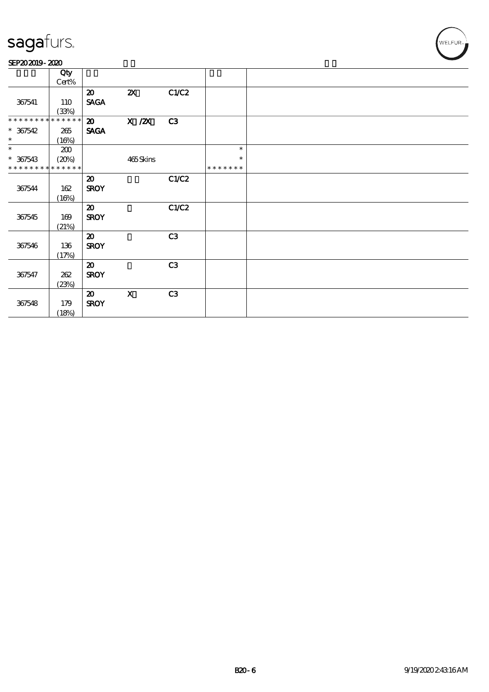#### SEP202019-2020

|                             | Qty   |                             |                           |       |               |  |  |  |
|-----------------------------|-------|-----------------------------|---------------------------|-------|---------------|--|--|--|
|                             | Cert% |                             |                           |       |               |  |  |  |
|                             |       | $\boldsymbol{\mathfrak{D}}$ | $\boldsymbol{\mathsf{X}}$ | C1/C2 |               |  |  |  |
| 367541                      | 110   | <b>SAGA</b>                 |                           |       |               |  |  |  |
|                             | (33%) |                             |                           |       |               |  |  |  |
| * * * * * * * * * * * * * * |       | $\boldsymbol{\mathfrak{D}}$ | $X$ / $ZX$                | C3    |               |  |  |  |
| $* 367542$                  | 265   | <b>SAGA</b>                 |                           |       |               |  |  |  |
| $\ast$                      | (16%) |                             |                           |       |               |  |  |  |
| $\ast$                      | 200   |                             |                           |       | $\ast$        |  |  |  |
| $* 367543$                  | (20%) |                             | 465Skins                  |       | $\ast$        |  |  |  |
| * * * * * * * * * * * * * * |       |                             |                           |       | * * * * * * * |  |  |  |
|                             |       | $\boldsymbol{\mathfrak{D}}$ |                           | C1/C2 |               |  |  |  |
| 367544                      | 162   | <b>SROY</b>                 |                           |       |               |  |  |  |
|                             | (16%) |                             |                           |       |               |  |  |  |
|                             |       | $\boldsymbol{\mathfrak{D}}$ |                           | C1/C2 |               |  |  |  |
| 367545                      | 169   | <b>SROY</b>                 |                           |       |               |  |  |  |
|                             | (21%) |                             |                           |       |               |  |  |  |
|                             |       | $\boldsymbol{\mathfrak{D}}$ |                           | C3    |               |  |  |  |
| 367546                      | 136   | <b>SROY</b>                 |                           |       |               |  |  |  |
|                             | (17%) |                             |                           |       |               |  |  |  |
|                             |       | $\boldsymbol{\mathfrak{D}}$ |                           | C3    |               |  |  |  |
| 367547                      | 262   | <b>SROY</b>                 |                           |       |               |  |  |  |
|                             | (23%) |                             |                           |       |               |  |  |  |
|                             |       | $\boldsymbol{\mathfrak{D}}$ | $\boldsymbol{\mathrm{X}}$ | C3    |               |  |  |  |
| 367548                      | 179   | <b>SROY</b>                 |                           |       |               |  |  |  |
|                             | (18%) |                             |                           |       |               |  |  |  |

WELFUR<sub>T</sub>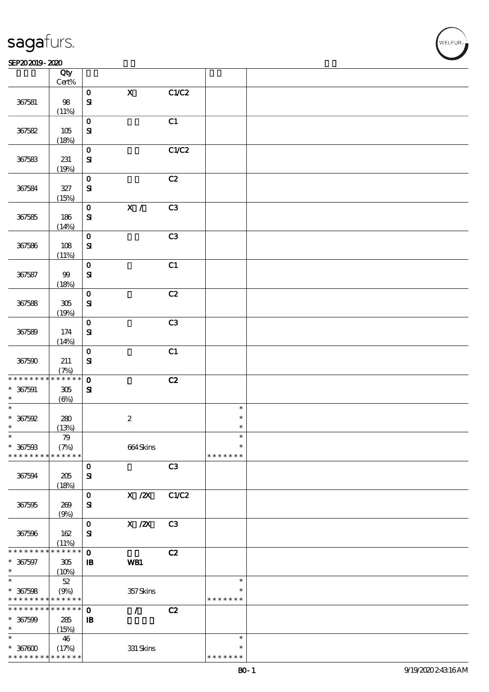#### $SEP202019 - 2020$

|                   | Qty<br>Cert%        |                             |                                       |                |               |  |
|-------------------|---------------------|-----------------------------|---------------------------------------|----------------|---------------|--|
|                   |                     | $\mathbf 0$                 | $\mathbf X$                           | C1/C2          |               |  |
| 367581            | 98                  | $\mathbf{S}$                |                                       |                |               |  |
|                   | (11%)               |                             |                                       |                |               |  |
| 367582            | 105                 | $\mathbf 0$<br>${\bf S}$    |                                       | C1             |               |  |
|                   | (18%)               |                             |                                       |                |               |  |
| 367583            | 231                 | $\mathbf 0$<br>${\bf S\!I}$ |                                       | C1/C2          |               |  |
|                   | (19%)               |                             |                                       |                |               |  |
|                   |                     | $\mathbf O$                 |                                       | C2             |               |  |
| 367584            | $327\,$<br>(15%)    | $\mathbf{S}$                |                                       |                |               |  |
|                   |                     | $\mathbf 0$                 | X /                                   | C <sub>3</sub> |               |  |
| 367585            | 186                 | ${\bf s}$                   |                                       |                |               |  |
|                   | (14%)               |                             |                                       |                |               |  |
| 367586            | 108                 | $\mathbf 0$<br>${\bf S\!I}$ |                                       | C <sub>3</sub> |               |  |
|                   | (11%)               |                             |                                       |                |               |  |
|                   |                     | $\mathbf 0$                 |                                       | C1             |               |  |
| 367587            | $99$<br>(18%)       | ${\bf S}$                   |                                       |                |               |  |
|                   |                     | $\mathbf 0$                 |                                       | C2             |               |  |
| 367588            | 305                 | ${\bf S}$                   |                                       |                |               |  |
|                   | (19%)               |                             |                                       |                |               |  |
|                   |                     | $\mathbf 0$                 |                                       | C <sub>3</sub> |               |  |
| 367589            | 174                 | ${\bf S}$                   |                                       |                |               |  |
|                   | (14%)               |                             |                                       |                |               |  |
|                   |                     | $\mathbf O$                 |                                       | C1             |               |  |
| 367590            | 211                 | ${\bf S}$                   |                                       |                |               |  |
|                   | (7%)                |                             |                                       |                |               |  |
| * * * * * * * *   | $******$            | $\mathbf{o}$                |                                       | C2             |               |  |
| $* 367591$        | $305\,$             | $\mathbf{S}$                |                                       |                |               |  |
| $\ast$            | $(\Theta)$          |                             |                                       |                |               |  |
| $\ast$            |                     |                             |                                       |                | $\ast$        |  |
| $*367592$         | 280                 |                             | $\boldsymbol{2}$                      |                | $\ast$        |  |
| $\ast$            | (13%)               |                             |                                       |                | $\ast$        |  |
| $\ast$            | 79                  |                             |                                       |                | $\ast$        |  |
| $* 367503$        | (7%)<br>* * * * * * |                             | 664Skins                              |                | $\ast$        |  |
| * * * * * * * *   |                     |                             |                                       |                | * * * * * * * |  |
|                   |                     | $\mathbf 0$                 |                                       | C3             |               |  |
| 367594            | 205<br>(18%)        | ${\bf s}$                   |                                       |                |               |  |
|                   |                     | $\mathbf{o}$                | $\boldsymbol{\mathrm{X}}$ / <b>2X</b> | C1/C2          |               |  |
| 367595            | 269                 | ${\bf s}$                   |                                       |                |               |  |
|                   | (9%)                |                             |                                       |                |               |  |
|                   |                     | $\mathbf O$                 | X / ZX                                | C <sub>3</sub> |               |  |
| 367596            | 162                 | ${\bf s}$                   |                                       |                |               |  |
|                   | (11%)               |                             |                                       |                |               |  |
| * * * * * * *     | $* * * * * *$<br>*  | $\mathbf{o}$                |                                       | C2             |               |  |
| $* 367597$        | 305                 | $\mathbf{B}$                | WB1                                   |                |               |  |
| $\ast$            | (10%)               |                             |                                       |                |               |  |
| $\overline{\ast}$ | $52\,$              |                             |                                       |                | $\ast$        |  |
| $* 367508$        | (9%)                |                             | 357Skins                              |                | $\ast$        |  |
| * * * * * * * *   | * * * * * *         |                             |                                       |                | * * * * * * * |  |
| * * * * * * * *   | $* * * * * * *$     | $\mathbf 0$                 | $\mathcal{L}$                         | C2             |               |  |
| $* 367509$        | 285                 | $\, {\bf I} \! {\bf B} \,$  |                                       |                |               |  |
| $\ast$            | (15%)               |                             |                                       |                |               |  |
| $\ast$            | 46                  |                             |                                       |                | $\ast$        |  |
| $*367600$         | (17%)               |                             | $331$ Skins                           |                | $\ast$        |  |
| * * * * * * * *   | * * * * * *         |                             |                                       |                | * * * * * * * |  |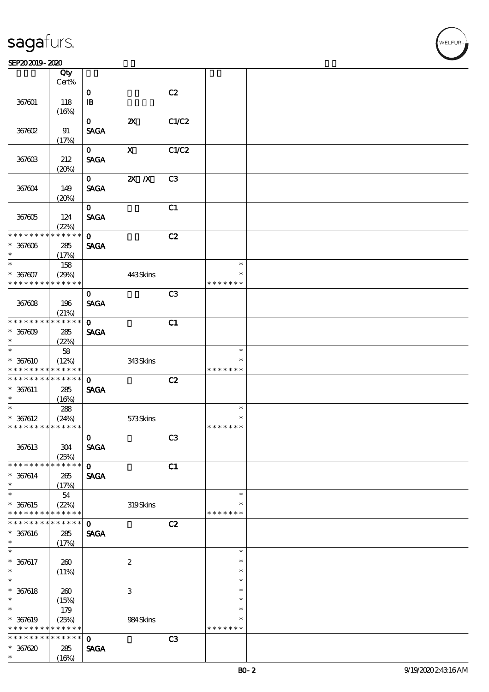#### $SEP202019 - 2020$

|                                          | Qty             |              |                           |                |               |  |
|------------------------------------------|-----------------|--------------|---------------------------|----------------|---------------|--|
|                                          | Cert%           |              |                           |                |               |  |
|                                          |                 | $\mathbf O$  |                           | C2             |               |  |
| 367601                                   | 118             | $\mathbf{B}$ |                           |                |               |  |
|                                          | (16%)           |              |                           |                |               |  |
|                                          |                 | $\mathbf{O}$ | $\boldsymbol{\mathsf{X}}$ | C1/C2          |               |  |
| 367602                                   | 91              | <b>SAGA</b>  |                           |                |               |  |
|                                          | (17%)           |              |                           |                |               |  |
|                                          |                 | $\mathbf{O}$ | $\mathbf{X}$              | C1/C2          |               |  |
| 367603                                   | 212             | <b>SAGA</b>  |                           |                |               |  |
|                                          |                 |              |                           |                |               |  |
|                                          | (20%)           |              |                           |                |               |  |
|                                          |                 | $\mathbf{O}$ | $X$ $N$                   | C3             |               |  |
| 367604                                   | 149             | <b>SAGA</b>  |                           |                |               |  |
|                                          | (20%)           |              |                           |                |               |  |
|                                          |                 | $\mathbf{O}$ |                           | C1             |               |  |
| 367805                                   | 124             | <b>SAGA</b>  |                           |                |               |  |
|                                          | (22%)           |              |                           |                |               |  |
| * * * * * * * *                          | $***$ * *       | $\mathbf{o}$ |                           | C2             |               |  |
| $* 367006$                               | 285             | <b>SAGA</b>  |                           |                |               |  |
| $\ast$                                   | (17%)           |              |                           |                |               |  |
| $\ast$                                   | 158             |              |                           |                | $\ast$        |  |
|                                          |                 |              |                           |                |               |  |
| $* 367007$                               | (29%)           |              | 443Skins                  |                | * * * * * * * |  |
| * * * * * * * *                          | * * * * * *     |              |                           |                |               |  |
|                                          |                 | $\mathbf{o}$ |                           | C <sub>3</sub> |               |  |
| 367608                                   | 196             | <b>SAGA</b>  |                           |                |               |  |
|                                          | (21%)           |              |                           |                |               |  |
| * * * * * * * *                          | $* * * * * * *$ | $\mathbf{o}$ |                           | C1             |               |  |
| $* 367009$                               | 285             | <b>SAGA</b>  |                           |                |               |  |
| $\ast$                                   | (22%)           |              |                           |                |               |  |
| $\overline{\phantom{0}}$                 | 58              |              |                           |                | $\ast$        |  |
|                                          |                 |              |                           |                | $\ast$        |  |
| $* 367610$                               | (12%)           |              | 343Skins                  |                |               |  |
| * * * * * * * * <mark>* * * * * *</mark> |                 |              |                           |                | * * * * * * * |  |
| * * * * * * * * * * * * * * *            |                 | $\mathbf{o}$ |                           | C2             |               |  |
| $* 367611$                               | 285             | <b>SAGA</b>  |                           |                |               |  |
| $\ast$                                   | (16%)           |              |                           |                |               |  |
| $\ast$                                   | 288             |              |                           |                | $\ast$        |  |
| $* 367612$                               | (24%)           |              | 573Skins                  |                | $\ast$        |  |
| * * * * * * * * <mark>* * * * * *</mark> |                 |              |                           |                | * * * * * * * |  |
|                                          |                 | $\mathbf{o}$ |                           | C3             |               |  |
| 367613                                   | 304             | <b>SAGA</b>  |                           |                |               |  |
|                                          | (25%)           |              |                           |                |               |  |
| * * * * * * *                            | * * * * * *     | $\mathbf 0$  |                           | C1             |               |  |
|                                          |                 |              |                           |                |               |  |
| $* 367614$<br>$\ast$                     | 265             | <b>SAGA</b>  |                           |                |               |  |
|                                          | (17%)           |              |                           |                |               |  |
| $\ast$                                   | 54              |              |                           |                | $\ast$        |  |
| $* 367615$                               | (22%)           |              | 319Skins                  |                | $\ast$        |  |
| * * * * * * * *                          | * * * * * *     |              |                           |                | * * * * * * * |  |
| * * * * * * * *                          | * * * * * *     | $\mathbf 0$  |                           | C2             |               |  |
| $* 367616$                               | 285             | <b>SAGA</b>  |                           |                |               |  |
| $\ast$                                   | (17%)           |              |                           |                |               |  |
| $\ast$                                   |                 |              |                           |                | $\ast$        |  |
| $* 367617$                               | 260             |              | $\boldsymbol{2}$          |                | $\ast$        |  |
| *                                        | (11%)           |              |                           |                | $\ast$        |  |
| $\ast$                                   |                 |              |                           |                | $\ast$        |  |
|                                          |                 |              |                           |                | $\ast$        |  |
| $* 367618$                               | 260             |              | $\,3$                     |                |               |  |
| $\ast$                                   | (15%)           |              |                           |                | $\ast$        |  |
| $\ast$                                   | 179             |              |                           |                | $\ast$        |  |
| $* 367619$                               | (25%)           |              | 984Skins                  |                | $\ast$        |  |
| * * * * * * * *                          | * * * * * *     |              |                           |                | * * * * * * * |  |
| * * * * * * * *                          | ******          | $\mathbf 0$  |                           | C3             |               |  |
| $*367620$                                | 285             | <b>SAGA</b>  |                           |                |               |  |
| $\ast$                                   | (16%)           |              |                           |                |               |  |
|                                          |                 |              |                           |                |               |  |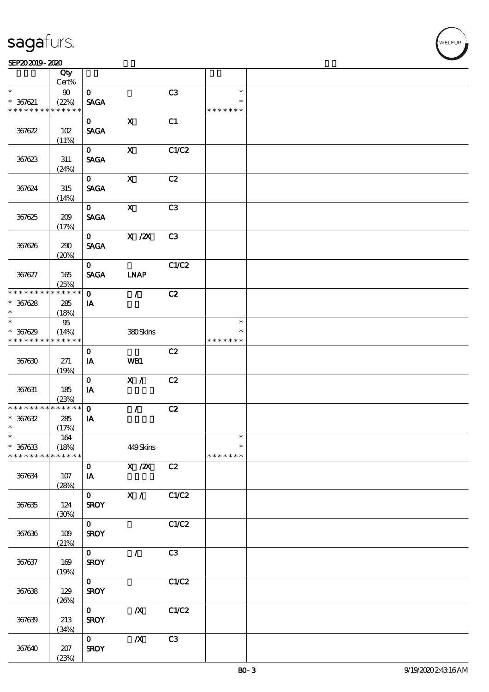$\top$ 

#### $SEP202019 - 2020$

|                               | Qty<br>Cert%         |                             |                           |                |                         |  |
|-------------------------------|----------------------|-----------------------------|---------------------------|----------------|-------------------------|--|
| $\ast$                        | $90\,$               | $\mathbf{O}$                |                           | C3             | $\ast$                  |  |
| $* 367621$                    | (22%)                | <b>SAGA</b>                 |                           |                | $\ast$                  |  |
| * * * * * * * *               | * * * * * *          |                             |                           |                | * * * * * * *           |  |
| 367622                        | 102                  | $\mathbf{O}$<br><b>SAGA</b> | $\mathbf X$               | C1             |                         |  |
|                               | (11%)                |                             |                           |                |                         |  |
| 367623                        | 311<br>(24%)         | $\mathbf{O}$<br><b>SAGA</b> | $\boldsymbol{\mathrm{X}}$ | C1/C2          |                         |  |
|                               |                      | $\mathbf{O}$                | $\mathbf x$               | C2             |                         |  |
| 367624                        | 315<br>(14%)         | <b>SAGA</b>                 |                           |                |                         |  |
|                               |                      | $\mathbf{O}$                | $\boldsymbol{\mathsf{X}}$ | C <sub>3</sub> |                         |  |
| 367625                        | 209<br>(17%)         | <b>SAGA</b>                 |                           |                |                         |  |
|                               |                      | $\mathbf{O}$                | $X$ / $ZX$                | C3             |                         |  |
| 367626                        | 290<br>(20%)         | <b>SAGA</b>                 |                           |                |                         |  |
|                               |                      | $\mathbf{O}$                |                           | C1/C2          |                         |  |
| 367627                        | 165<br>(25%)         | <b>SAGA</b>                 | <b>INAP</b>               |                |                         |  |
| * * * * * * * *               | * * * * * *          | $\mathbf{O}$                | $\mathcal{L}$             | C2             |                         |  |
| $* 367628$                    | 285                  | IA                          |                           |                |                         |  |
| $\ast$                        | (18%)                |                             |                           |                |                         |  |
| $\ast$                        | $95\,$               |                             |                           |                | $\ast$                  |  |
| $* 367629$<br>* * * * * * * * | (14%)<br>* * * * * * |                             | 380Skins                  |                | *<br>* * * * * * *      |  |
|                               |                      | $\mathbf 0$                 |                           | C2             |                         |  |
| 367630                        | 271<br>(19%)         | IA                          | WB1                       |                |                         |  |
|                               |                      | $\mathbf{o}$                | X /                       | C2             |                         |  |
| 367631                        | 185<br>(23%)         | IA                          |                           |                |                         |  |
| * * * * * * * *               | $* * * * * *$        | $\mathbf{o}$                | $\mathcal{L}$             | C2             |                         |  |
| $* 367632$                    | 285                  | $\mathbf{I} \mathbf{A}$     |                           |                |                         |  |
| $\ast$                        | (17%)                |                             |                           |                |                         |  |
| $\ast$                        | 164                  |                             |                           |                | $\ast$                  |  |
| $* 367633$<br>* * * * * * * * | (18%)<br>* * * * * * |                             | 449Skins                  |                | $\ast$<br>* * * * * * * |  |
|                               |                      | $\mathbf{O}$                | X / ZX                    | C2             |                         |  |
| 367634                        | 107<br>(28%)         | IA                          |                           |                |                         |  |
|                               |                      | $\mathbf{O}$                | X /                       | C1/C2          |                         |  |
| 367635                        | 124<br>(30%)         | <b>SROY</b>                 |                           |                |                         |  |
|                               |                      | $\mathbf{O}$                |                           | C1/C2          |                         |  |
| 367636                        | 109<br>(21%)         | <b>SROY</b>                 |                           |                |                         |  |
|                               |                      | $\mathbf{O}$                | $\mathcal{L}$             | C3             |                         |  |
| 367637                        | 169<br>(19%)         | <b>SROY</b>                 |                           |                |                         |  |
|                               |                      | $\mathbf{O}$                |                           | C1/C2          |                         |  |
| 367638                        | 129<br>(20%)         | <b>SROY</b>                 |                           |                |                         |  |
|                               |                      | $\mathbf{0}$                | $\boldsymbol{X}$          | C1/C2          |                         |  |
| 367639                        | 213<br>(34%)         | <b>SROY</b>                 |                           |                |                         |  |
|                               |                      | $\mathbf{O}$                | $\boldsymbol{X}$          | C3             |                         |  |
| 367640                        | 207                  | <b>SROY</b>                 |                           |                |                         |  |
|                               | (23%)                |                             |                           |                |                         |  |

 $\overline{\mathbf{r}}$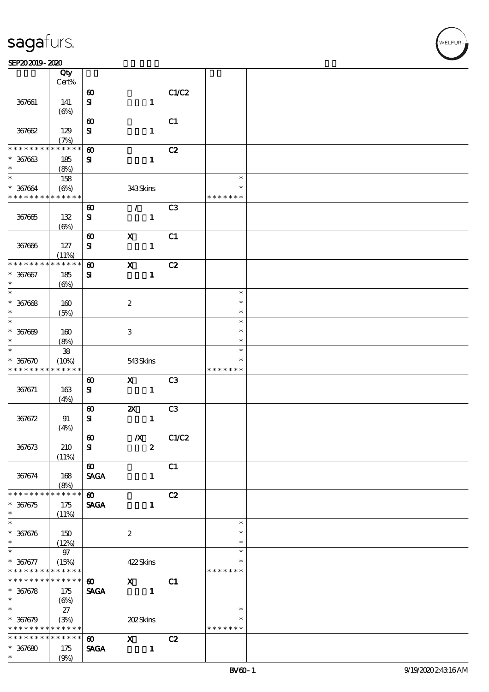$\top$ 

#### $SEP202019 - 2020$

|                                            | Qty                        |                                    |                                      |                |                  |  |
|--------------------------------------------|----------------------------|------------------------------------|--------------------------------------|----------------|------------------|--|
|                                            | Cert%                      |                                    |                                      |                |                  |  |
|                                            |                            | $\boldsymbol{\omega}$              |                                      | C1/C2          |                  |  |
| 367661                                     | 141<br>$(\Theta)$          | $\bf S\!I$                         | $\mathbf{1}$                         |                |                  |  |
|                                            |                            | $\boldsymbol{\omega}$              |                                      | C1             |                  |  |
| 367662                                     | 129                        | ${\bf s}$                          | $\mathbf{1}$                         |                |                  |  |
|                                            | (7%)                       |                                    |                                      |                |                  |  |
| * * * * * * *                              | * * * * * *                | $\boldsymbol{\omega}$              |                                      | C2             |                  |  |
| $* 367663$                                 | 185                        | ${\bf s}$                          | $\mathbf{1}$                         |                |                  |  |
| $\ast$                                     | (8%)                       |                                    |                                      |                |                  |  |
| $\ast$                                     | 158                        |                                    |                                      |                | $\ast$           |  |
| $* 367664$                                 | $(\Theta\%)$               |                                    | 343Skins                             |                | $\ast$           |  |
| * * * * * * * * * * * * * *                |                            |                                    |                                      |                | * * * * * * *    |  |
|                                            |                            | $\boldsymbol{\omega}$              | $\mathcal{L}$                        | C <sub>3</sub> |                  |  |
| 367665                                     | 132<br>$(\Theta)$          | ${\bf s}$                          | $\mathbf{1}$                         |                |                  |  |
|                                            |                            | $\boldsymbol{\omega}$              | $\boldsymbol{\mathrm{X}}$            | C1             |                  |  |
| 367666                                     | 127                        | $\mathbf{S}$                       | $\mathbf{1}$                         |                |                  |  |
|                                            | (11%)                      |                                    |                                      |                |                  |  |
| * * * * * * * *                            | * * * * * *                | $\boldsymbol{\omega}$              | $\boldsymbol{\mathrm{X}}$            | C2             |                  |  |
| $* 367667$                                 | 185                        | ${\bf s}$                          | $\mathbf{1}$                         |                |                  |  |
| $\ast$                                     | $(\Theta)$                 |                                    |                                      |                |                  |  |
| $\ast$                                     |                            |                                    |                                      |                | $\ast$           |  |
| $* 367668$                                 | 160                        |                                    | $\boldsymbol{2}$                     |                | $\ast$           |  |
| $\ast$<br>$\ast$                           | (5%)                       |                                    |                                      |                | $\ast$<br>$\ast$ |  |
|                                            |                            |                                    |                                      |                | ∗                |  |
| $* 367609$<br>$\ast$                       | 160<br>(8%)                |                                    | $\ensuremath{\mathsf{3}}$            |                | ∗                |  |
| $\ast$                                     | ${\bf 38}$                 |                                    |                                      |                | $\ast$           |  |
| $* 367670$                                 | (10%)                      |                                    | 543Skins                             |                |                  |  |
| * * * * * * * *                            | * * * * * *                |                                    |                                      |                | * * * * * * *    |  |
|                                            |                            | $\boldsymbol{\omega}$              | $\mathbf{X}$                         | C <sub>3</sub> |                  |  |
| 367671                                     | 163                        | ${\bf s}$                          | $\mathbf{1}$                         |                |                  |  |
|                                            | (4%)                       |                                    |                                      |                |                  |  |
|                                            |                            | $\boldsymbol{\omega}$              | $\boldsymbol{\mathsf{z}}$            | C <sub>3</sub> |                  |  |
| 367672                                     | 91                         | ${\bf s}$                          | $\mathbf{1}$                         |                |                  |  |
|                                            | (4%)                       |                                    |                                      |                |                  |  |
| 367673                                     | 210                        | $\boldsymbol{\omega}$<br>${\bf s}$ | $\boldsymbol{X}$<br>$\boldsymbol{z}$ | C1/C2          |                  |  |
|                                            | (11%)                      |                                    |                                      |                |                  |  |
|                                            |                            | $\boldsymbol{\omega}$              |                                      | C1             |                  |  |
| 367674                                     | 168                        | <b>SAGA</b>                        | $\mathbf{1}$                         |                |                  |  |
|                                            | (8%)                       |                                    |                                      |                |                  |  |
| * * * * * * * *                            | * * * * * *                | $\boldsymbol{\omega}$              |                                      | C2             |                  |  |
| $* 367675$                                 | 175                        | <b>SAGA</b>                        | $\mathbf{1}$                         |                |                  |  |
| $\ast$                                     | (11%)                      |                                    |                                      |                |                  |  |
| $\ast$                                     |                            |                                    |                                      |                | $\ast$           |  |
| $* 367676$                                 | 150                        |                                    | $\boldsymbol{2}$                     |                | $\ast$           |  |
| $\ast$<br>$\ast$                           | (12%)                      |                                    |                                      |                | $\ast$<br>$\ast$ |  |
| $* 367677$                                 | 97<br>(15%)                |                                    | 422Skins                             |                | ∗                |  |
| * * * * * * * * <mark>* * * * * * *</mark> |                            |                                    |                                      |                | * * * * * * *    |  |
| * * * * * * * *                            | $******$                   | $\boldsymbol{\omega}$              | $\mathbf x$                          | C1             |                  |  |
| $* 367678$                                 | 175                        | <b>SAGA</b>                        | $\blacksquare$                       |                |                  |  |
| $\ast$                                     | (6%)                       |                                    |                                      |                |                  |  |
| $\ast$                                     | 27                         |                                    |                                      |                | $\ast$           |  |
| $* 367679$                                 | (3%)                       |                                    | 202Skins                             |                | ∗                |  |
| * * * * * * * * <mark>* * * * * * *</mark> |                            |                                    |                                      |                | * * * * * * *    |  |
| * * * * * * * *                            | $\ast\ast\ast\ast\ast\ast$ | $\boldsymbol{\omega}$              | $\mathbf{x}$                         | C2             |                  |  |
| $* 367680$                                 | 175                        | <b>SAGA</b>                        | $\blacksquare$                       |                |                  |  |
| $\ast$                                     | (9%)                       |                                    |                                      |                |                  |  |

 $\overline{\mathbf{r}}$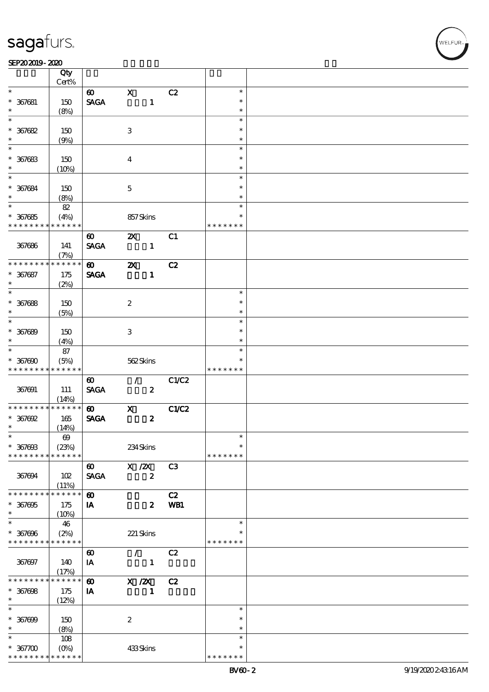┯

#### $SEP202019 - 2020$

|                                           | Qty                             |                       |                           |                |                    |  |
|-------------------------------------------|---------------------------------|-----------------------|---------------------------|----------------|--------------------|--|
|                                           | Cert%                           |                       |                           |                |                    |  |
| $\ast$                                    |                                 | $\boldsymbol{\omega}$ | $\boldsymbol{\mathrm{X}}$ | C2             | $\ast$<br>$\ast$   |  |
| $* 367681$<br>$\ast$                      | 150<br>(8%)                     | <b>SAGA</b>           | $\mathbf{1}$              |                | $\ast$             |  |
| $\ast$                                    |                                 |                       |                           |                | $\ast$             |  |
| $* 367682$                                | 150                             |                       | $\ensuremath{\mathsf{3}}$ |                | $\ast$             |  |
| $\ast$                                    | (9%)                            |                       |                           |                | $\ast$             |  |
| $\overline{\ast}$                         |                                 |                       |                           |                | $\ast$             |  |
| $* 367683$                                | 150                             |                       | $\overline{\mathbf{4}}$   |                | $\ast$             |  |
| $\ast$                                    | (10%)                           |                       |                           |                | $\ast$             |  |
| $\ast$                                    |                                 |                       |                           |                | $\ast$             |  |
| $* 367684$                                | 150                             |                       | $\mathbf 5$               |                | $\ast$             |  |
| $\ast$<br>$\overline{\phantom{0}}$        | (8%)                            |                       |                           |                | $\ast$<br>$\ast$   |  |
|                                           | 82                              |                       |                           |                | $\ast$             |  |
| $* 367685$<br>* * * * * * * *             | (4%)<br>* * * * * *             |                       | 857Skins                  |                | * * * * * * *      |  |
|                                           |                                 | $\boldsymbol{\omega}$ | $\boldsymbol{\mathsf{Z}}$ | C1             |                    |  |
| 367686                                    | 141                             | <b>SAGA</b>           | $\mathbf{1}$              |                |                    |  |
|                                           | (7%)                            |                       |                           |                |                    |  |
| * * * * * * * *                           | * * * * * *                     | $\boldsymbol{\omega}$ | $\boldsymbol{\mathsf{z}}$ | C2             |                    |  |
| $* 367687$                                | 175                             | <b>SAGA</b>           | $\mathbf{1}$              |                |                    |  |
| $\ast$                                    | (2%)                            |                       |                           |                |                    |  |
| $\overline{\ast}$                         |                                 |                       |                           |                | $\ast$             |  |
| $* 367688$                                | 150                             |                       | $\boldsymbol{z}$          |                | $\ast$             |  |
| $\ast$<br>$*$                             | (5%)                            |                       |                           |                | $\ast$             |  |
|                                           |                                 |                       |                           |                | $\ast$<br>∗        |  |
| $* 367689$<br>$\ast$                      | 150                             |                       | $\ensuremath{\mathsf{3}}$ |                | ∗                  |  |
| $\ast$                                    | (4%)<br>87                      |                       |                           |                | ∗                  |  |
| $* 367000$                                | (5%)                            |                       | 562Skins                  |                |                    |  |
| * * * * * * * *                           | $\ast\ast\ast\ast\ast\ast$      |                       |                           |                | * * * * * * *      |  |
|                                           |                                 | $\boldsymbol{\omega}$ | $\mathcal{F}$             | C1/C2          |                    |  |
| 367691                                    | 111                             | <b>SAGA</b>           | $\boldsymbol{z}$          |                |                    |  |
|                                           | (14%)                           |                       |                           |                |                    |  |
| * * * * * * * *                           | * * * * * *                     | $\boldsymbol{\omega}$ | $\boldsymbol{\mathrm{X}}$ | C1/C2          |                    |  |
| $*$ 367692                                | 165                             | <b>SAGA</b>           | $\boldsymbol{2}$          |                |                    |  |
| $\ast$<br>$\ast$                          | (14%)                           |                       |                           |                | $\ast$             |  |
| $* 367698$                                | $\boldsymbol{\omega}$<br>(23%)  |                       | 234Skins                  |                | $\ast$             |  |
| * * * * * * * *                           | * * * * * *                     |                       |                           |                | * * * * * * *      |  |
|                                           |                                 | $\boldsymbol{\omega}$ | $X \, /ZX$                | C <sub>3</sub> |                    |  |
| 367694                                    | 102                             | <b>SAGA</b>           | $\boldsymbol{z}$          |                |                    |  |
|                                           | (11%)                           |                       |                           |                |                    |  |
| * * * * * * * *                           | * * * * * *                     | $\boldsymbol{\omega}$ |                           | C2             |                    |  |
| $* 367005$                                | 175                             | IA                    | $\boldsymbol{z}$          | WB1            |                    |  |
| $\ast$                                    | (10%)                           |                       |                           |                |                    |  |
| $\ast$                                    | 46                              |                       |                           |                | $\ast$             |  |
| $* 367006$<br>* * * * * * * * * * * * * * | (2%)                            |                       | 221 Skins                 |                | ∗<br>* * * * * * * |  |
|                                           |                                 | $\boldsymbol{\omega}$ | $\mathcal{L}$             | C2             |                    |  |
| 367697                                    | 140                             | IA                    | $\mathbf{1}$              |                |                    |  |
|                                           | (17%)                           |                       |                           |                |                    |  |
| * * * * * * *                             | * * * * * *                     | $\boldsymbol{\omega}$ | $X$ / $ZX$                | C2             |                    |  |
| $* 367008$                                | 175                             | IA                    | $\mathbf{1}$              |                |                    |  |
| $\ast$                                    | (12%)                           |                       |                           |                |                    |  |
| $\ast$                                    |                                 |                       |                           |                | $\ast$             |  |
| $* 367000$                                | 150                             |                       | $\boldsymbol{z}$          |                | $\ast$             |  |
| $\ast$                                    | (8%)                            |                       |                           |                | $\ast$             |  |
| $\ast$                                    | 108                             |                       |                           |                | $\ast$             |  |
| $* 367700$                                | $(O\!\!\!\!\!\!\backslash\rho)$ |                       | 433Skins                  |                | ∗<br>* * * * * * * |  |
| * * * * * * * *                           | * * * * * *                     |                       |                           |                |                    |  |

 $\overline{\mathbf{r}}$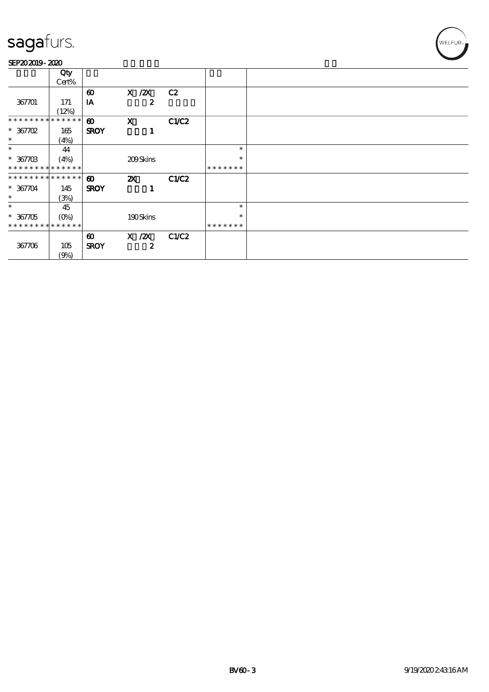#### SEP202019-2020

|                               | Qty<br>Cert% |                       |                           |       |         |  |
|-------------------------------|--------------|-----------------------|---------------------------|-------|---------|--|
|                               |              | $\boldsymbol{\omega}$ | $X$ / $ZX$                | C2    |         |  |
| 367701                        | 171          | IA                    | $\boldsymbol{z}$          |       |         |  |
|                               | (12%)        |                       |                           |       |         |  |
| * * * * * * * * * * * * * * * |              | $\boldsymbol{\omega}$ | $\mathbf X$               | C1/C2 |         |  |
| $* 36702$                     | 165          | <b>SROY</b>           |                           |       |         |  |
| $\ast$                        | (4%)         |                       |                           |       |         |  |
| $\ast$                        | 44           |                       |                           |       | $\ast$  |  |
| $* 36770B$                    | (4%)         |                       | 209Skins                  |       | ∗       |  |
| * * * * * * * * * * * * * *   |              |                       |                           |       | ******* |  |
| * * * * * * * * * * * * * *   |              | $\boldsymbol{\omega}$ | $\boldsymbol{\mathsf{Z}}$ | C1/C2 |         |  |
| $* 367704$                    | 145          | <b>SROY</b>           |                           |       |         |  |
| $\ast$                        | (3%)         |                       |                           |       |         |  |
| $\ast$                        | 45           |                       |                           |       | $\ast$  |  |
| $* 367705$                    | $(O\%)$      |                       | 190Skins                  |       | $\ast$  |  |
| * * * * * * * *               | * * * * * *  |                       |                           |       | ******* |  |
|                               |              | $\boldsymbol{\omega}$ | $X$ / $ZX$                | C1/C2 |         |  |
| 367706                        | 105          | <b>SROY</b>           | $\boldsymbol{z}$          |       |         |  |
|                               | (9%)         |                       |                           |       |         |  |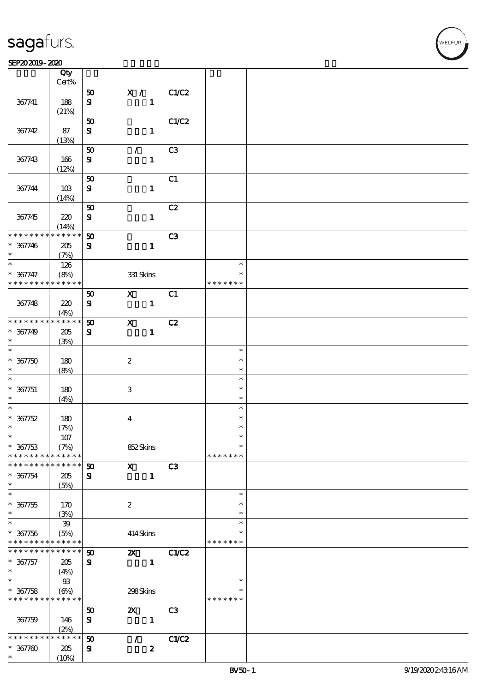#### $SEP202019 - 2020$

|                                          | Qty<br>Cert%    |                             |                           |                |               |  |
|------------------------------------------|-----------------|-----------------------------|---------------------------|----------------|---------------|--|
|                                          |                 |                             |                           |                |               |  |
|                                          |                 | 50                          | $\mathbf{X}$ /            | C1/C2          |               |  |
| 367741                                   | 188             | ${\bf s}$                   | $\mathbf{1}$              |                |               |  |
|                                          | (21%)           |                             |                           |                |               |  |
|                                          |                 | ${\bf 50}$                  |                           | C1/C2          |               |  |
| 367742                                   | 87              | ${\bf s}$                   | $\mathbf{1}$              |                |               |  |
|                                          | (13%)           |                             |                           |                |               |  |
|                                          |                 | 50                          | $\mathcal{L}$             | C <sub>3</sub> |               |  |
|                                          |                 |                             |                           |                |               |  |
| 367743                                   | 166             | ${\bf s}$                   | $\mathbf{1}$              |                |               |  |
|                                          | (12%)           |                             |                           |                |               |  |
|                                          |                 | ${\bf 50}$                  |                           | C1             |               |  |
| 367744                                   | 10B             | ${\bf s}$                   | $\mathbf{1}$              |                |               |  |
|                                          | (14%)           |                             |                           |                |               |  |
|                                          |                 | ${\bf 50}$                  |                           | C2             |               |  |
|                                          |                 |                             |                           |                |               |  |
| 367745                                   | 220             | ${\bf s}$                   | $\mathbf{1}$              |                |               |  |
|                                          | (14%)<br>****** |                             |                           |                |               |  |
| * * * * * * * *                          |                 | 50                          |                           | C3             |               |  |
| $* 367746$                               | 205             | ${\bf s}$                   | $\mathbf{1}$              |                |               |  |
| $\ast$                                   | (7%)            |                             |                           |                |               |  |
| $\ast$                                   | 126             |                             |                           |                | $\ast$        |  |
| $* 367747$                               | (8%)            |                             | 331 Skins                 |                | $\ast$        |  |
| * * * * * * * * <mark>* * * * * *</mark> |                 |                             |                           |                | * * * * * * * |  |
|                                          |                 |                             |                           |                |               |  |
|                                          |                 | 50                          | $\mathbf{x}$              | C1             |               |  |
| 367748                                   | 220             | ${\bf s}$                   | $\mathbf{1}$              |                |               |  |
|                                          | (4%)            |                             |                           |                |               |  |
| * * * * * * * *                          | * * * * * *     | $\boldsymbol{\mathfrak{D}}$ | $\boldsymbol{\mathrm{X}}$ | C2             |               |  |
| $* 367749$                               | 205             | ${\bf s}$                   | $\mathbf{1}$              |                |               |  |
| $\ast$                                   | (3%)            |                             |                           |                |               |  |
| $\overline{\ast}$                        |                 |                             |                           |                | $\ast$        |  |
|                                          |                 |                             |                           |                | $\ast$        |  |
| $* 367750$                               | 180             |                             | $\boldsymbol{2}$          |                |               |  |
| $\ast$                                   | (8%)            |                             |                           |                | $\ast$        |  |
| $\ast$                                   |                 |                             |                           |                | $\ast$        |  |
| $* 367751$                               | 180             |                             | $\ensuremath{\mathsf{3}}$ |                | $\ast$        |  |
| $\ast$                                   | (4%)            |                             |                           |                | $\ast$        |  |
| $\ast$                                   |                 |                             |                           |                | $\ast$        |  |
| $* 367752$                               | 180             |                             | $\boldsymbol{4}$          |                | $\ast$        |  |
| $\ast$                                   |                 |                             |                           |                | $\ast$        |  |
| $\ast$                                   | (7%)            |                             |                           |                | $\ast$        |  |
|                                          | $107\,$         |                             |                           |                |               |  |
| $* 367753$                               | (7%)            |                             | 852Skins                  |                | $\ast$        |  |
| * * * * * * * *                          | * * * * * *     |                             |                           |                | * * * * * * * |  |
| * * * * * * *                            | * * * * * *     | $\boldsymbol{\mathfrak{D}}$ | $\mathbf{x}$              | C <sub>3</sub> |               |  |
| $* 367754$                               | 205             | ${\bf s}$                   | $\mathbf{1}$              |                |               |  |
| $\ast$                                   | (5%)            |                             |                           |                |               |  |
| $\overline{\phantom{0}}$                 |                 |                             |                           |                | $\ast$        |  |
|                                          |                 |                             |                           |                | $\ast$        |  |
| $* 367755$                               | 170             |                             | $\boldsymbol{2}$          |                |               |  |
| $\ast$                                   | (3%)            |                             |                           |                | $\ast$        |  |
| $\ast$                                   | 39              |                             |                           |                | $\ast$        |  |
| $* 367756$                               | (5%)            |                             | 414Skins                  |                | $\ast$        |  |
| * * * * * * * *                          | * * * * * *     |                             |                           |                | * * * * * * * |  |
| * * * * * * *                            | * * * * * *     | 50                          | $\boldsymbol{\alpha}$     | C1/C2          |               |  |
| $* 367757$                               | 205             | ${\bf s}$                   | $\mathbf{1}$              |                |               |  |
| $\ast$                                   |                 |                             |                           |                |               |  |
| $\overline{\phantom{0}}$                 | (4%)            |                             |                           |                | $\ast$        |  |
|                                          | $93\,$          |                             |                           |                |               |  |
| $* 367758$                               | $(\Theta)$      |                             | 298Skins                  |                |               |  |
| * * * * * * * *                          | * * * * * *     |                             |                           |                | * * * * * * * |  |
|                                          |                 | 50                          | $\boldsymbol{\mathsf{Z}}$ | C <sub>3</sub> |               |  |
| 367759                                   | 146             | ${\bf s}$                   | $\mathbf{1}$              |                |               |  |
|                                          | (2%)            |                             |                           |                |               |  |
| * * * * *                                | * * * * *       |                             |                           | C1/C2          |               |  |
|                                          |                 | 50                          | $\mathcal{L}$             |                |               |  |
| $* 367700$                               | 205             | ${\bf s}$                   | $\boldsymbol{z}$          |                |               |  |
| $\ast$                                   | (10%)           |                             |                           |                |               |  |

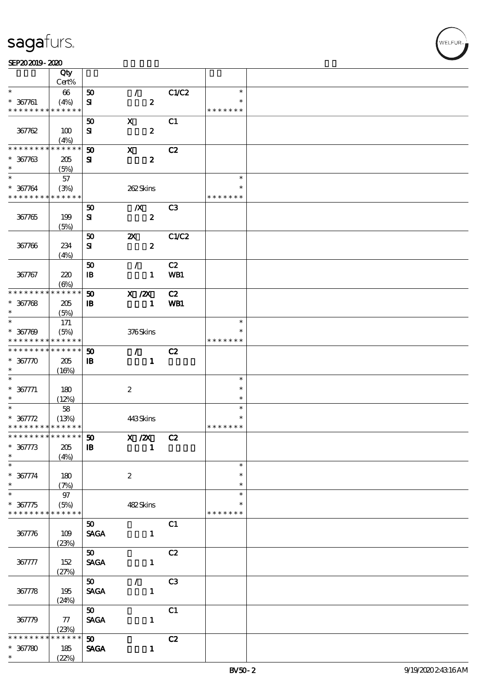#### SEP202019-2020

|                                           | Qty                 |                             |                            |                |                  |  |
|-------------------------------------------|---------------------|-----------------------------|----------------------------|----------------|------------------|--|
|                                           | Cert%               |                             |                            |                |                  |  |
| $\ast$                                    | 66                  | 50                          | $\mathcal{F}^{\mathbb{Z}}$ | C1/C2          | $\ast$<br>$\ast$ |  |
| $* 367761$<br>* * * * * * * * * * * * * * | (4%)                | ${\bf s}$                   | $\boldsymbol{z}$           |                | * * * * * * *    |  |
|                                           |                     |                             |                            |                |                  |  |
|                                           |                     | 50                          | $\mathbf x$                | C1             |                  |  |
| 367762                                    | 100                 | ${\bf s}$                   | $\boldsymbol{z}$           |                |                  |  |
| * * * * * * * *                           | (4%)<br>* * * * * * |                             |                            |                |                  |  |
|                                           |                     | $\boldsymbol{\mathfrak{D}}$ | $\mathbf{x}$               | C2             |                  |  |
| $* 367763$<br>$\ast$                      | 205                 | ${\bf s}$                   | $\boldsymbol{z}$           |                |                  |  |
| $\ast$                                    | (5%)                |                             |                            |                |                  |  |
|                                           | 57                  |                             |                            |                | $\ast$           |  |
| $* 367764$                                | (3%)                |                             | 262Skins                   |                | $\ast$           |  |
| * * * * * * * * * * * * * *               |                     |                             |                            |                | * * * * * * *    |  |
|                                           |                     | 50                          | $\boldsymbol{X}$           | C <sub>3</sub> |                  |  |
| 367765                                    | 199                 | ${\bf s}$                   | $\boldsymbol{z}$           |                |                  |  |
|                                           | (5%)                |                             |                            |                |                  |  |
|                                           |                     | 50                          | $\boldsymbol{\mathsf{X}}$  | C1/C2          |                  |  |
| 367766                                    | 234                 | ${\bf s}$                   | $\boldsymbol{2}$           |                |                  |  |
|                                           | (4%)                |                             |                            |                |                  |  |
|                                           |                     | 50                          | $\mathcal{L}$              | C2             |                  |  |
| 367767                                    | 220                 | $\mathbf{B}$                | $\mathbf{1}$               | WB1            |                  |  |
|                                           | $(\Theta\%)$        |                             |                            |                |                  |  |
| * * * * * * * *                           | * * * * * *         | $\boldsymbol{\mathfrak{D}}$ | $X$ / $ZX$                 | C2             |                  |  |
| $* 367768$                                | 205                 | $\mathbf{B}$                | $\mathbf{1}$               | WB1            |                  |  |
| $\ast$                                    | (5%)                |                             |                            |                |                  |  |
| $\ast$                                    | 171                 |                             |                            |                | $\ast$           |  |
| $* 367709$                                | (5%)                |                             | 376Skins                   |                |                  |  |
| * * * * * * * * * * * * * *               |                     |                             |                            |                | * * * * * * *    |  |
| * * * * * * * *                           | $* * * * * * *$     | 50                          | $\mathcal{L}$              | C2             |                  |  |
| $* 367770$                                | 205                 | $\mathbf{B}$                | $\mathbf{1}$               |                |                  |  |
| $\ast$                                    | (16%)               |                             |                            |                |                  |  |
| $\ast$                                    |                     |                             |                            |                | $\ast$           |  |
| $* 367771$                                | 180                 |                             | $\boldsymbol{2}$           |                | $\ast$           |  |
| $\ast$                                    | (12%)               |                             |                            |                | $\ast$           |  |
| $\ast$                                    | 58                  |                             |                            |                | $\ast$           |  |
| $* 367772$                                | (13%)               |                             | 443Skins                   |                | ∗                |  |
| * * * * * * * * * * * * * *               |                     |                             |                            |                | * * * * * * *    |  |
| *************** 50                        |                     |                             | $X / ZX$ C <sub>2</sub>    |                |                  |  |
| $* 367773$                                | 205                 | $\mathbf{B}$                | $\mathbf{1}$               |                |                  |  |
| $\ast$                                    | (4%)                |                             |                            |                |                  |  |
| $\ast$                                    |                     |                             |                            |                | $\ast$           |  |
| $* 367774$                                | 180                 |                             | $\boldsymbol{2}$           |                | $\ast$           |  |
| $\ast$                                    | (7%)                |                             |                            |                | $\ast$           |  |
| $\ast$                                    | $97\,$              |                             |                            |                | $\ast$           |  |
| $* 367775$                                | (5%)                |                             | 482Skins                   |                |                  |  |
| * * * * * * * *                           | * * * * * *         |                             |                            |                | * * * * * * *    |  |
|                                           |                     | 50 <sub>o</sub>             |                            | C1             |                  |  |
| $36776$                                   | 109                 | <b>SAGA</b>                 | $\mathbf{1}$               |                |                  |  |
|                                           | (23%)               |                             |                            |                |                  |  |
|                                           |                     | 50                          |                            | C2             |                  |  |
| 367777                                    | 152                 | <b>SAGA</b>                 | $\mathbf{1}$               |                |                  |  |
|                                           | (27%)               |                             |                            |                |                  |  |
|                                           |                     | 50                          | $\mathcal{L}$              | C <sub>3</sub> |                  |  |
| 367778                                    | 195                 | <b>SAGA</b>                 | $\mathbf 1$                |                |                  |  |
|                                           | (24%)               |                             |                            |                |                  |  |
|                                           |                     | 50                          |                            | C1             |                  |  |
| 367779                                    | 77                  | <b>SAGA</b>                 | $\mathbf{1}$               |                |                  |  |
|                                           | (23%)               |                             |                            |                |                  |  |
| $***$<br>$\ast$                           | * * * * * *         | 50                          |                            | C2             |                  |  |
| $* 367780$                                | 185                 | <b>SAGA</b>                 | $\mathbf{1}$               |                |                  |  |
| $\ast$                                    | (22%)               |                             |                            |                |                  |  |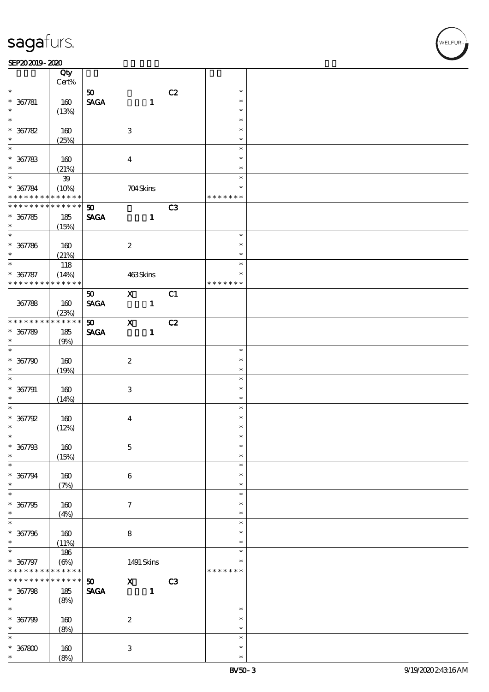### $SEP202019 - 2020$

|                             | Qty<br>$Cert\%$ |                             |                           |              |                |               |  |
|-----------------------------|-----------------|-----------------------------|---------------------------|--------------|----------------|---------------|--|
| $\ast$                      |                 | $\boldsymbol{\mathfrak{D}}$ |                           |              | C2             | $\ast$        |  |
| $* 367781$                  | 160             | <b>SAGA</b>                 |                           | $\mathbf{1}$ |                | $\ast$        |  |
| $\ast$                      |                 |                             |                           |              |                | $\ast$        |  |
| $\overline{\ast}$           | (13%)           |                             |                           |              |                | $\ast$        |  |
|                             |                 |                             |                           |              |                | $\ast$        |  |
| $* 367782$                  | 160             |                             | $\ensuremath{\mathbf{3}}$ |              |                |               |  |
| $\ast$                      | (25%)           |                             |                           |              |                | $\ast$        |  |
| $\overline{\ast}$           |                 |                             |                           |              |                | $\ast$        |  |
| $* 367783$                  | 160             |                             | $\boldsymbol{4}$          |              |                | $\ast$        |  |
| $\ast$                      | (21%)           |                             |                           |              |                | $\ast$        |  |
| $\overline{\phantom{0}}$    | ${\bf 39}$      |                             |                           |              |                | $\ast$        |  |
| $* 36784$                   | (10%)           |                             | 704Skins                  |              |                | $\ast$        |  |
| * * * * * * * * * * * * * * |                 |                             |                           |              |                | * * * * * * * |  |
| * * * * * * * *             | $* * * * * * *$ | 50                          |                           |              | C3             |               |  |
| $* 367785$                  | 185             | <b>SAGA</b>                 |                           | $\mathbf{1}$ |                |               |  |
| $\ast$                      | (15%)           |                             |                           |              |                |               |  |
| $\overline{\phantom{0}}$    |                 |                             |                           |              |                | $\ast$        |  |
| $* 367786$                  | 160             |                             | $\boldsymbol{2}$          |              |                | $\ast$        |  |
| $\ast$                      |                 |                             |                           |              |                | $\ast$        |  |
| $\ast$                      | (21%)           |                             |                           |              |                | $\ast$        |  |
|                             | 118             |                             |                           |              |                |               |  |
| $* 367787$                  | (14%)           |                             | 463Skins                  |              |                | $\ast$        |  |
| * * * * * * * *             | * * * * * *     |                             |                           |              |                | * * * * * * * |  |
|                             |                 | 50                          | $\mathbf{x}$              |              | C1             |               |  |
| 367788                      | 160             | <b>SAGA</b>                 |                           | $\mathbf{1}$ |                |               |  |
|                             | (23%)           |                             |                           |              |                |               |  |
| * * * * * * * *             | * * * * * *     | 50                          | $\boldsymbol{\mathrm{X}}$ |              | C2             |               |  |
| $* 367789$                  | 185             | <b>SAGA</b>                 |                           | $\mathbf{1}$ |                |               |  |
| $\ast$                      | (9%)            |                             |                           |              |                |               |  |
| $\overline{\ast}$           |                 |                             |                           |              |                | $\ast$        |  |
| $* 367790$                  | 160             |                             | $\boldsymbol{2}$          |              |                | $\ast$        |  |
| $\ast$                      | (19%)           |                             |                           |              |                | $\ast$        |  |
| $\ast$                      |                 |                             |                           |              |                | $\ast$        |  |
| $* 367791$                  |                 |                             |                           |              |                | $\ast$        |  |
| $\ast$                      | 160             |                             | $\ensuremath{\mathbf{3}}$ |              |                | $\ast$        |  |
| $\ast$                      | (14%)           |                             |                           |              |                | $\ast$        |  |
|                             |                 |                             |                           |              |                |               |  |
| $*367792$                   | 160             |                             | $\bf{4}$                  |              |                | $\ast$        |  |
| $\ast$                      | (12%)           |                             |                           |              |                | $\ast$        |  |
| $\ast$                      |                 |                             |                           |              |                | $\ast$        |  |
| $* 367793$                  | $160$           |                             | $\mathbf 5$               |              |                | $\ast$        |  |
| $\ast$                      | (15%)           |                             |                           |              |                | $\ast$        |  |
| $\ast$                      |                 |                             |                           |              |                | $\ast$        |  |
| $* 367794$                  | 160             |                             | $\bf 6$                   |              |                | $\ast$        |  |
| $\ast$                      | (7%)            |                             |                           |              |                | $\ast$        |  |
| $\ast$                      |                 |                             |                           |              |                | $\ast$        |  |
| $* 367795$                  | 160             |                             | $\tau$                    |              |                | $\ast$        |  |
| $\ast$                      | (4%)            |                             |                           |              |                | $\ast$        |  |
| $\ast$                      |                 |                             |                           |              |                | $\ast$        |  |
| $* 367796$                  | 160             |                             | ${\bf 8}$                 |              |                | $\ast$        |  |
| $\ast$                      |                 |                             |                           |              |                | $\ast$        |  |
| $\ast$                      | (11%)           |                             |                           |              |                | $\ast$        |  |
|                             | 186             |                             |                           |              |                | $\ast$        |  |
| $* 367797$                  | $(\Theta\%)$    |                             | 1491 Skins                |              |                |               |  |
| * * * * * * * *             | * * * * * *     |                             |                           |              |                | * * * * * * * |  |
| * * * * * * *               | $******$        | 50                          | $\mathbf{x}$              |              | C <sub>3</sub> |               |  |
| $* 367798$                  | 185             | <b>SAGA</b>                 |                           | $\mathbf{1}$ |                |               |  |
| $\ast$                      | (8%)            |                             |                           |              |                |               |  |
| $\ast$                      |                 |                             |                           |              |                | $\ast$        |  |
| $* 367799$                  | 160             |                             | $\boldsymbol{2}$          |              |                | $\ast$        |  |
| $\ast$                      | (8%)            |                             |                           |              |                | $\ast$        |  |
| $\ast$                      |                 |                             |                           |              |                | $\ast$        |  |
| $* 367800$                  | 160             |                             | $\,3$                     |              |                | $\ast$        |  |
| $\ast$                      | (8%)            |                             |                           |              |                | $\ast$        |  |
|                             |                 |                             |                           |              |                |               |  |

**NELFUR**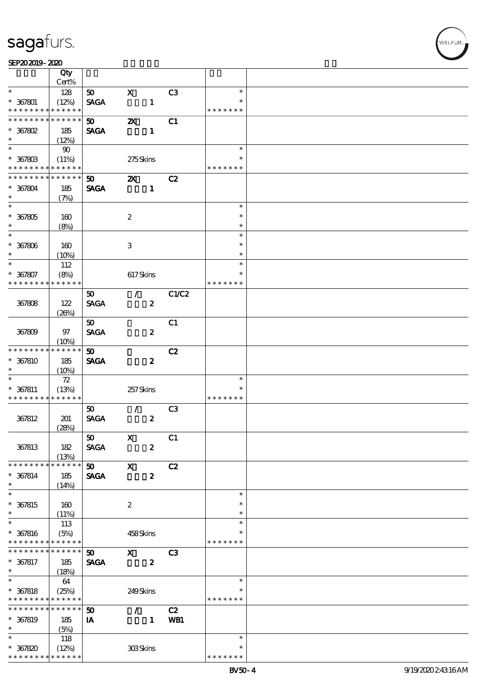### SEP202019-2020

|                                            | Qty                        |                             |                           |                  |                |                    |  |
|--------------------------------------------|----------------------------|-----------------------------|---------------------------|------------------|----------------|--------------------|--|
| $\ast$                                     | Cert%                      |                             |                           |                  |                | $\ast$             |  |
|                                            | 128                        | 50                          | $\mathbf X$               |                  | C3             |                    |  |
| $* 367801$                                 | (12%)                      | <b>SAGA</b>                 |                           | $\mathbf{1}$     |                | * * * * * * *      |  |
| * * * * * * * *<br>* * * * * * * *         | * * * * * *<br>* * * * * * |                             |                           |                  |                |                    |  |
|                                            |                            | $\boldsymbol{\mathfrak{D}}$ | $\boldsymbol{\mathsf{z}}$ |                  | C1             |                    |  |
| $*$ 367802                                 | 185                        | <b>SAGA</b>                 |                           | $\mathbf{1}$     |                |                    |  |
| $\ast$                                     | (12%)                      |                             |                           |                  |                |                    |  |
|                                            | 90                         |                             |                           |                  |                | $\ast$             |  |
| $* 36780B$                                 | (11%)                      |                             | 275Skins                  |                  |                |                    |  |
| * * * * * * * *                            | * * * * * *                |                             |                           |                  |                | * * * * * * *      |  |
| * * * * * * * *                            | * * * * * *                | 50                          | $\boldsymbol{\mathsf{z}}$ |                  | C2             |                    |  |
| $* 367804$                                 | 185                        | <b>SAGA</b>                 |                           | $\mathbf{1}$     |                |                    |  |
| $\ast$                                     | (7%)                       |                             |                           |                  |                |                    |  |
| $\overline{\ast}$                          |                            |                             |                           |                  |                | $\ast$             |  |
| $* 367805$                                 | 160                        |                             | $\boldsymbol{2}$          |                  |                | $\ast$             |  |
| $\ast$                                     | (8%)                       |                             |                           |                  |                | $\ast$             |  |
| $\ast$                                     |                            |                             |                           |                  |                | $\ast$             |  |
| $* 367806$                                 | 160                        |                             | $\,3$                     |                  |                | $\ast$             |  |
| $\ast$                                     | (10%)                      |                             |                           |                  |                | $\ast$             |  |
| $\ast$                                     | 112                        |                             |                           |                  |                | $\ast$             |  |
| $* 367807$                                 | (8%)                       |                             | 617Skins                  |                  |                | $\ast$             |  |
| * * * * * * * *                            | $* * * * * *$              |                             |                           |                  |                | * * * * * * *      |  |
|                                            |                            | 50                          | $\mathcal{L}$             |                  | C1/C2          |                    |  |
| 367808                                     | 122                        | <b>SAGA</b>                 |                           | $\pmb{2}$        |                |                    |  |
|                                            | (20%)                      |                             |                           |                  |                |                    |  |
|                                            |                            | 50 <sub>o</sub>             |                           |                  | C <sub>1</sub> |                    |  |
| 367809                                     | 97                         | <b>SAGA</b>                 |                           | $\boldsymbol{z}$ |                |                    |  |
|                                            | (10%)                      |                             |                           |                  |                |                    |  |
| * * * * * * * *                            | * * * * * *                | 50                          |                           |                  | C2             |                    |  |
| * 367810                                   | 185                        | <b>SAGA</b>                 |                           | $\boldsymbol{z}$ |                |                    |  |
| $\ast$                                     | (10%)                      |                             |                           |                  |                |                    |  |
| $\ast$                                     | $72\,$                     |                             |                           |                  |                | $\ast$             |  |
| $* 367811$                                 | (13%)                      |                             | 257Skins                  |                  |                | $\ast$             |  |
| * * * * * * * *                            | * * * * * *                |                             |                           |                  |                | * * * * * * *      |  |
|                                            |                            | 50                          | $\mathcal{L}$             |                  | C <sub>3</sub> |                    |  |
| 367812                                     | 201                        | <b>SAGA</b>                 |                           | $\pmb{2}$        |                |                    |  |
|                                            | (28%)                      |                             |                           |                  |                |                    |  |
|                                            |                            | 50                          | $\mathbf{X}$              |                  | C1             |                    |  |
| 367813                                     | 182                        | <b>SAGA</b>                 |                           | $\boldsymbol{z}$ |                |                    |  |
|                                            | (13%)                      |                             |                           |                  |                |                    |  |
| * * * * * * * *                            | * * * * * *                | $\boldsymbol{\mathfrak{D}}$ | $\mathbf{X}$              |                  | C2             |                    |  |
| $* 367814$                                 | 185                        | <b>SAGA</b>                 |                           | $\boldsymbol{z}$ |                |                    |  |
| $\ast$                                     | (14%)                      |                             |                           |                  |                |                    |  |
| $\overline{\ast}$                          |                            |                             |                           |                  |                | $\ast$             |  |
| $* 367815$                                 | 160                        |                             | $\boldsymbol{2}$          |                  |                | ∗                  |  |
| $\ast$                                     | (11%)                      |                             |                           |                  |                | $\ast$             |  |
| $\overline{\ast}$                          | 113                        |                             |                           |                  |                | $\ast$             |  |
| $* 367816$                                 | (5%)                       |                             | 458Skins                  |                  |                | $\ast$             |  |
| * * * * * * * * <mark>* * * * * * *</mark> |                            |                             |                           |                  |                | * * * * *<br>$* *$ |  |
| * * * * * * * *                            | $* * * * * * *$            | $\boldsymbol{\mathfrak{D}}$ | $\mathbf{X}$              |                  | C3             |                    |  |
| $* 367817$                                 | 185                        | <b>SAGA</b>                 |                           | $\boldsymbol{z}$ |                |                    |  |
| $\ast$                                     | (18%)                      |                             |                           |                  |                |                    |  |
| $\ast$                                     | 64                         |                             |                           |                  |                | $\ast$             |  |
| $* 367818$                                 | (25%)                      |                             | 249Skins                  |                  |                |                    |  |
| * * * * * * * * <mark>* * * * * * *</mark> |                            |                             |                           |                  |                | * * * * * * *      |  |
| * * * * * * * *                            | $* * * * * * *$            | 50                          | $\mathcal{L}$             |                  | C2             |                    |  |
| $* 367819$                                 | 185                        | IA                          |                           | $\mathbf{1}$     | WB1            |                    |  |
| $\ast$                                     | (5%)                       |                             |                           |                  |                |                    |  |
| $\ast$                                     | 118                        |                             |                           |                  |                | $\ast$             |  |
| $* 367820$                                 | (12%)                      |                             | 308Skins                  |                  |                | $\ast$             |  |
| * * * * * * * *                            | * * * * * *                |                             |                           |                  |                | * * * * * * *      |  |
|                                            |                            |                             |                           |                  |                |                    |  |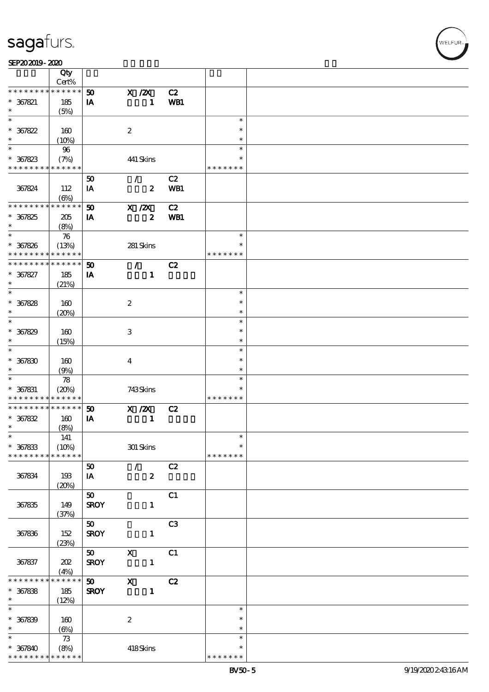### SEP202019-2020

|                             | Qty             |             |                  |                |               |  |
|-----------------------------|-----------------|-------------|------------------|----------------|---------------|--|
|                             | Cert%           |             |                  |                |               |  |
| * * * * * * * *             | $******$        | 50          | $X$ / $ZX$       | C2             |               |  |
|                             |                 |             |                  |                |               |  |
| $* 367821$                  | 185             | IA          | $\mathbf{1}$     | WB1            |               |  |
| $\ast$                      | (5%)            |             |                  |                |               |  |
| $\ast$                      |                 |             |                  |                | $\ast$        |  |
|                             |                 |             |                  |                |               |  |
| $* 367822$                  | 160             |             | $\boldsymbol{2}$ |                | $\ast$        |  |
| $\ast$                      |                 |             |                  |                |               |  |
|                             | (10%)           |             |                  |                | $\ast$        |  |
| $\ast$                      | $96\,$          |             |                  |                | $\ast$        |  |
|                             |                 |             |                  |                | ∗             |  |
| $* 367823$                  | (7%)            |             | 441 Skins        |                |               |  |
| * * * * * * * * * * * * * * |                 |             |                  |                | * * * * * * * |  |
|                             |                 | 50          | $\mathcal{L}$    | C2             |               |  |
|                             |                 |             |                  |                |               |  |
| 367824                      | 112             | IA          | $\boldsymbol{z}$ | WB1            |               |  |
|                             | $(\Theta)$      |             |                  |                |               |  |
|                             |                 |             |                  |                |               |  |
| * * * * * * * *             | * * * * * *     | 50          | $X$ / $ZX$       | C2             |               |  |
| $* 367825$                  | 205             | IA          | $\boldsymbol{z}$ | WB1            |               |  |
| $\ast$                      |                 |             |                  |                |               |  |
|                             | (8%)            |             |                  |                |               |  |
| $\ast$                      | 76              |             |                  |                | $\ast$        |  |
| $* 367826$                  | (13%)           |             | 281 Skins        |                | $\ast$        |  |
|                             |                 |             |                  |                |               |  |
| * * * * * * * * * * * * * * |                 |             |                  |                | * * * * * * * |  |
| * * * * * * * * * * * * * * |                 | 50          | $\mathcal{T}$    | C2             |               |  |
|                             |                 |             |                  |                |               |  |
| $* 367827$                  | 185             | IA          | $\mathbf{1}$     |                |               |  |
| $\ast$                      | (21%)           |             |                  |                |               |  |
| $\ast$                      |                 |             |                  |                | $\ast$        |  |
|                             |                 |             |                  |                |               |  |
| $* 367828$                  | 160             |             | $\boldsymbol{2}$ |                | $\ast$        |  |
| $\ast$                      |                 |             |                  |                | $\ast$        |  |
|                             | (20%)           |             |                  |                |               |  |
| $\ast$                      |                 |             |                  |                | $\ast$        |  |
| $* 367829$                  | 160             |             | $\,3$            |                | $\ast$        |  |
|                             |                 |             |                  |                |               |  |
| $\ast$                      | (15%)           |             |                  |                | $\ast$        |  |
| $\ast$                      |                 |             |                  |                | $\ast$        |  |
|                             |                 |             |                  |                |               |  |
| $* 367830$                  | 160             |             | $\boldsymbol{4}$ |                | $\ast$        |  |
| $\ast$                      | (9%)            |             |                  |                | $\ast$        |  |
| $\ast$                      |                 |             |                  |                | $\ast$        |  |
|                             | 78              |             |                  |                |               |  |
| $* 367831$                  | (20%)           |             | 743Skins         |                |               |  |
| * * * * * * * * * * * * * * |                 |             |                  |                | * * * * * * * |  |
|                             |                 |             |                  |                |               |  |
| * * * * * * * *             | $* * * * * * *$ | 50          | $X$ / $ZX$       | C2             |               |  |
| $* 367832$                  | 160             | IA          | $\mathbf{1}$     |                |               |  |
| $\ast$                      |                 |             |                  |                |               |  |
|                             | (8%)            |             |                  |                |               |  |
| $*$                         | 141             |             |                  |                | $\star$       |  |
| $* 367833$                  | (10%)           |             | $301$ Skins      |                | $\ast$        |  |
|                             |                 |             |                  |                |               |  |
| * * * * * * * * * * * * * * |                 |             |                  |                | * * * * * * * |  |
|                             |                 | 50          | $\mathcal{L}$    | C2             |               |  |
|                             |                 |             |                  |                |               |  |
| 367834                      | 193             | IA          | $\boldsymbol{z}$ |                |               |  |
|                             | (20%)           |             |                  |                |               |  |
|                             |                 | 50          |                  | C1             |               |  |
|                             |                 |             |                  |                |               |  |
| 367835                      | 149             | <b>SROY</b> | $\mathbf{1}$     |                |               |  |
|                             | (37%)           |             |                  |                |               |  |
|                             |                 |             |                  |                |               |  |
|                             |                 | 50          |                  | C <sub>3</sub> |               |  |
| 367836                      | 152             | <b>SROY</b> | $\mathbf{1}$     |                |               |  |
|                             |                 |             |                  |                |               |  |
|                             | (23%)           |             |                  |                |               |  |
|                             |                 | 50          | $\mathbf{x}$     | C1             |               |  |
| 367837                      | 202             | <b>SROY</b> | $\mathbf{1}$     |                |               |  |
|                             |                 |             |                  |                |               |  |
|                             | (4%)            |             |                  |                |               |  |
| * * * * * * * *             | * * * * * *     | 50          | $\mathbf x$      | C2             |               |  |
|                             |                 |             |                  |                |               |  |
| $* 367838$                  | $185\,$         | <b>SROY</b> | $\mathbf{1}$     |                |               |  |
| $\ast$                      | (12%)           |             |                  |                |               |  |
| $\overline{\ast}$           |                 |             |                  |                | $\ast$        |  |
|                             |                 |             |                  |                |               |  |
| $* 367839$                  | 160             |             | $\boldsymbol{2}$ |                | $\ast$        |  |
| $\ast$                      | $(\Theta)$      |             |                  |                | $\ast$        |  |
| $*$                         |                 |             |                  |                |               |  |
|                             | $73$            |             |                  |                | $\ast$        |  |
| $* 367840$                  | (8%)            |             | 418Skins         |                |               |  |
| * * * * * * * * * * * * * * |                 |             |                  |                |               |  |
|                             |                 |             |                  |                | * * * * * * * |  |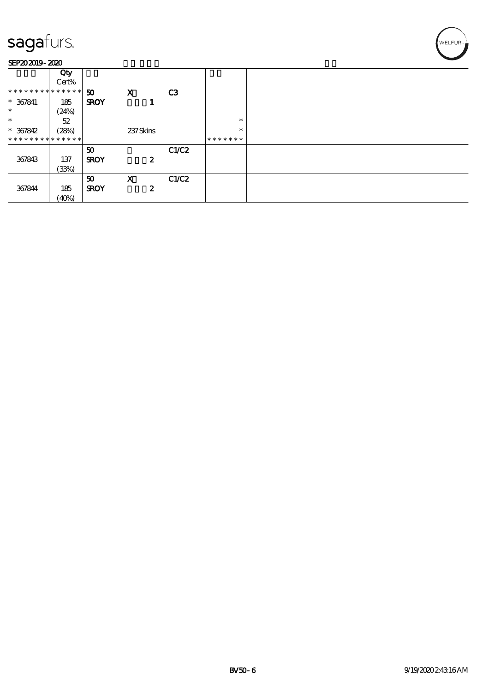

| SEP202019-2020                |              |             |             |                  |                |               |  |
|-------------------------------|--------------|-------------|-------------|------------------|----------------|---------------|--|
|                               | Qty<br>Cert% |             |             |                  |                |               |  |
| * * * * * * * * * * * * * * * |              | 50          | X           |                  | C <sub>3</sub> |               |  |
| $* 367841$                    | 185          | <b>SROY</b> |             |                  |                |               |  |
| $\ast$                        | (24%)        |             |             |                  |                |               |  |
| $\ast$                        | 52           |             |             |                  |                | $\ast$        |  |
| $* 367842$                    | (28%)        |             | 237Skins    |                  |                | $\ast$        |  |
| * * * * * * * * * * * * * *   |              |             |             |                  |                | * * * * * * * |  |
|                               |              | 50          |             |                  | C1/C2          |               |  |
| 367843                        | 137          | <b>SROY</b> |             | $\boldsymbol{z}$ |                |               |  |
|                               | (33%)        |             |             |                  |                |               |  |
|                               |              | 50          | $\mathbf X$ |                  | C1/C2          |               |  |
| 367844                        | 185          | <b>SROY</b> |             | 2                |                |               |  |
|                               | (40%)        |             |             |                  |                |               |  |

WELFUR<sub>™</sub>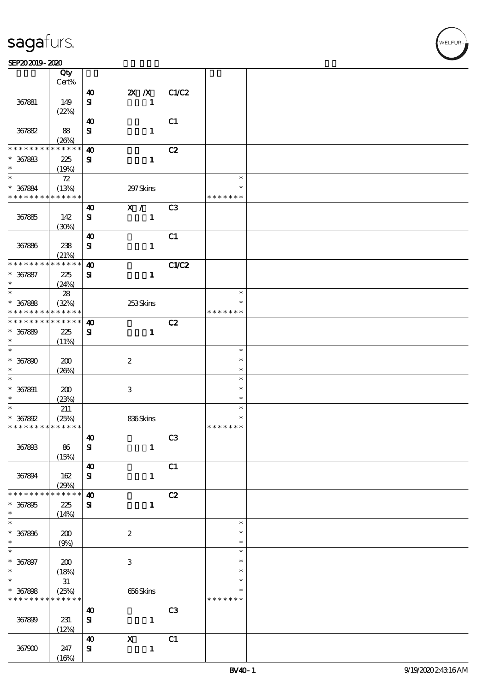| <b>saga</b> furs. |
|-------------------|
|-------------------|

 $\top$ 

#### $S$ EP20 2019 - 2020  $\frac{1}{1}$   $\frac{1}{1}$   $\frac{1}{1}$   $\frac{1}{1}$   $\frac{1}{1}$   $\frac{1}{1}$   $\frac{1}{1}$   $\frac{1}{1}$   $\frac{1}{1}$   $\frac{1}{1}$   $\frac{1}{1}$   $\frac{1}{1}$   $\frac{1}{1}$   $\frac{1}{1}$   $\frac{1}{1}$   $\frac{1}{1}$   $\frac{1}{1}$   $\frac{1}{1}$   $\frac{1}{1}$   $\frac{1}{1}$   $\frac{\overline{p}}{\sqrt{p}}$

|                                          | Qty<br>Cert%         |                        |                           |                |               |  |
|------------------------------------------|----------------------|------------------------|---------------------------|----------------|---------------|--|
|                                          |                      |                        |                           |                |               |  |
|                                          |                      | $\boldsymbol{\omega}$  | $X$ $X$                   | C1/C2          |               |  |
| 367881                                   | 149                  | ${\bf s}$              | $\mathbf{1}$              |                |               |  |
|                                          | (22%)                |                        |                           |                |               |  |
|                                          |                      | $\boldsymbol{\omega}$  |                           | C1             |               |  |
| 367882                                   | 88                   | ${\bf s}$              | $\mathbf{1}$              |                |               |  |
|                                          | (20%)                |                        |                           |                |               |  |
| * * * * * * *                            | * * * * * *          | $\boldsymbol{\omega}$  |                           | C2             |               |  |
|                                          |                      |                        |                           |                |               |  |
| $* 367883$                               | 225                  | ${\bf s}$              | $\mathbf{1}$              |                |               |  |
| $\ast$                                   | (19%)                |                        |                           |                |               |  |
| $\ast$                                   | $\boldsymbol{z}$     |                        |                           |                | $\ast$        |  |
| $* 367884$                               | (13%)                |                        | 297 Skins                 |                | $\ast$        |  |
| * * * * * * * *                          | * * * * * *          |                        |                           |                | * * * * * * * |  |
|                                          |                      | 40                     | X /                       | C3             |               |  |
| 367885                                   | 142                  | ${\bf s}$              | $\mathbf{1}$              |                |               |  |
|                                          |                      |                        |                           |                |               |  |
|                                          | (30%)                |                        |                           |                |               |  |
|                                          |                      | $\boldsymbol{\omega}$  |                           | C1             |               |  |
| 367886                                   | 238                  | ${\bf s}$              | $\mathbf{1}$              |                |               |  |
|                                          | (21%)                |                        |                           |                |               |  |
| * * * * * * * *                          | * * * * * *          | $\boldsymbol{\omega}$  |                           | C1/C2          |               |  |
| $* 367887$                               | 225                  | ${\bf s}$              | $\mathbf{1}$              |                |               |  |
| $\ast$                                   | (24%)                |                        |                           |                |               |  |
| $\ast$                                   | 28                   |                        |                           |                | $\ast$        |  |
| $* 367888$                               |                      |                        |                           |                | $\ast$        |  |
| * * * * * * * *                          | (32%)<br>* * * * * * |                        | 253Skins                  |                |               |  |
|                                          |                      |                        |                           |                | * * * * * * * |  |
| * * * * * * * *                          | * * * * * *          | $\boldsymbol{\omega}$  |                           | C2             |               |  |
| $* 367889$                               | 225                  | ${\bf s}$              | $\mathbf{1}$              |                |               |  |
| $\ast$                                   | (11%)                |                        |                           |                |               |  |
| $\ast$                                   |                      |                        |                           |                | $\ast$        |  |
| $* 367800$                               | 200                  |                        | $\boldsymbol{2}$          |                | $\ast$        |  |
| $\ast$                                   | (20%)                |                        |                           |                | $\ast$        |  |
| $\ast$                                   |                      |                        |                           |                | $\ast$        |  |
|                                          |                      |                        |                           |                |               |  |
| $* 367891$                               | 200                  |                        | $\,3\,$                   |                | $\ast$        |  |
| $\ast$                                   | (23%)                |                        |                           |                | $\ast$        |  |
| $\ast$                                   | 211                  |                        |                           |                | $\ast$        |  |
| $*367892$                                | (25%)                |                        | 836Skins                  |                | $\ast$        |  |
| * * * * * * * * <mark>* * * * * *</mark> |                      |                        |                           |                | * * * * * * * |  |
|                                          |                      | $\boldsymbol{\omega}$  |                           | C3             |               |  |
| 367893                                   | 86                   | ${\bf s}$              | $\mathbf{1}$              |                |               |  |
|                                          | (15%)                |                        |                           |                |               |  |
|                                          |                      |                        |                           |                |               |  |
|                                          |                      | $\boldsymbol{\omega}$  |                           | C1             |               |  |
| 367894                                   | 162                  | ${\bf s}$              | $\mathbf{1}$              |                |               |  |
|                                          | (29%)                |                        |                           |                |               |  |
| * * * * * * * *                          | * * * * * *          | $\boldsymbol{\Lambda}$ |                           | C2             |               |  |
| $* 367895$                               | 225                  | ${\bf s}$              | $\mathbf{1}$              |                |               |  |
| $\ast$                                   | (14%)                |                        |                           |                |               |  |
| $\ast$                                   |                      |                        |                           |                | $\ast$        |  |
| $* 367896$                               | 200                  |                        | $\boldsymbol{2}$          |                | $\ast$        |  |
| $\ast$                                   | (9%)                 |                        |                           |                | $\ast$        |  |
| $\ast$                                   |                      |                        |                           |                | $\ast$        |  |
|                                          |                      |                        |                           |                |               |  |
| $* 367897$                               | 200                  |                        | $\,3$                     |                | $\ast$        |  |
| $\ast$                                   | (18%)                |                        |                           |                | $\ast$        |  |
| $\overline{\phantom{0}}$                 | $3\!1$               |                        |                           |                | $\ast$        |  |
| $* 367808$                               | (25%)                |                        | 656Skins                  |                | $\ast$        |  |
| * * * * * * * *                          | * * * * * *          |                        |                           |                | * * * * * * * |  |
|                                          |                      | $\boldsymbol{\omega}$  |                           | C <sub>3</sub> |               |  |
| 367899                                   | 231                  | ${\bf s}$              | $\mathbf{1}$              |                |               |  |
|                                          |                      |                        |                           |                |               |  |
|                                          | (12%)                |                        |                           |                |               |  |
|                                          |                      | $\boldsymbol{\omega}$  | $\boldsymbol{\mathrm{X}}$ | C1             |               |  |
| 367900                                   | 247                  | ${\bf s}$              | $\mathbf{1}$              |                |               |  |
|                                          | (16%)                |                        |                           |                |               |  |

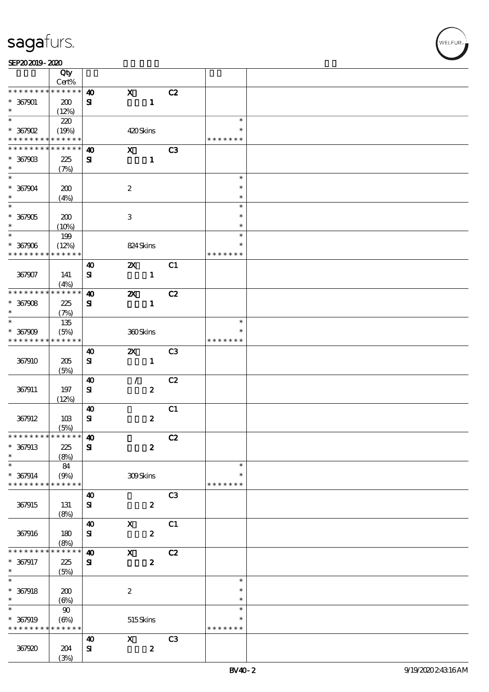|                                           | Qty             |                       |                           |                  |                |                  |  |
|-------------------------------------------|-----------------|-----------------------|---------------------------|------------------|----------------|------------------|--|
|                                           | Cert%           |                       |                           |                  |                |                  |  |
| * * * * * * * *                           | $******$        | $\boldsymbol{\omega}$ | $\mathbf x$               |                  | C2             |                  |  |
| $* 367901$<br>$\ast$                      | 200<br>(12%)    | ${\bf s}$             |                           | $\mathbf{1}$     |                |                  |  |
| $\ast$                                    | 220             |                       |                           |                  |                | $\ast$           |  |
| $*$ 367902                                | (19%)           |                       | 420Skins                  |                  |                | *                |  |
| * * * * * * * *                           | $* * * * * * *$ |                       |                           |                  |                | * * * * * * *    |  |
| * * * * * * *                             | * * * * * *     | $\boldsymbol{\omega}$ | $\mathbf{x}$              |                  | C3             |                  |  |
| $* 36790B$                                | 225             | ${\bf s}$             |                           | $\mathbf{1}$     |                |                  |  |
| $\ast$                                    | (7%)            |                       |                           |                  |                |                  |  |
| $\overline{\ast}$                         |                 |                       |                           |                  |                | $\ast$           |  |
| $* 367904$                                | 200             |                       | $\boldsymbol{2}$          |                  |                | $\ast$           |  |
| $\ast$<br>$\overline{\ast}$               | (4%)            |                       |                           |                  |                | $\ast$           |  |
|                                           |                 |                       |                           |                  |                | $\ast$<br>$\ast$ |  |
| $^\ast$ 367905<br>$\ast$                  | 200<br>(10%)    |                       | $\ensuremath{\mathsf{3}}$ |                  |                | $\ast$           |  |
| $\ast$                                    | 199             |                       |                           |                  |                | $\ast$           |  |
| $* 367906$                                | (12%)           |                       | 824 Skins                 |                  |                | $\ast$           |  |
| * * * * * * * *                           | * * * * * *     |                       |                           |                  |                | * * * * * * *    |  |
|                                           |                 | $\boldsymbol{\omega}$ | $\boldsymbol{\mathsf{Z}}$ |                  | C1             |                  |  |
| 367907                                    | 141             | $\bf S$               |                           | $\mathbf{1}$     |                |                  |  |
|                                           | (4%)            |                       |                           |                  |                |                  |  |
| * * * * * * * *                           | * * * * * *     | $\boldsymbol{\omega}$ | $\boldsymbol{\mathsf{z}}$ |                  | C2             |                  |  |
| $* 367908$                                | 225             | ${\bf s}$             |                           | $\mathbf{1}$     |                |                  |  |
| $\ast$                                    | (7%)            |                       |                           |                  |                |                  |  |
| $\ast$                                    | 135             |                       |                           |                  |                | $\ast$           |  |
| $* 367909$<br>* * * * * * * * * * * * * * | (5%)            |                       | 360Skins                  |                  |                | * * * * * * *    |  |
|                                           |                 | $\boldsymbol{\omega}$ | $\boldsymbol{\mathsf{Z}}$ |                  | C <sub>3</sub> |                  |  |
| 367910                                    | 205             | ${\bf s}$             |                           | $\mathbf{1}$     |                |                  |  |
|                                           | (5%)            |                       |                           |                  |                |                  |  |
|                                           |                 | $\boldsymbol{\omega}$ | $\mathcal{L}$             |                  | C2             |                  |  |
| 367911                                    | 197             | ${\bf s}$             |                           | $\pmb{2}$        |                |                  |  |
|                                           | (12%)           |                       |                           |                  |                |                  |  |
|                                           |                 | $\boldsymbol{\omega}$ |                           |                  | C1             |                  |  |
| 367912                                    | 10B             | ${\bf s}$             |                           | $\pmb{2}$        |                |                  |  |
| * * * * * * * * * * * * * * *             | (5%)            |                       |                           |                  |                |                  |  |
|                                           |                 | $\boldsymbol{\omega}$ |                           |                  | C2             |                  |  |
| $* 367913$<br>$\ast$                      | 225<br>(8%)     | ${\bf s}$             |                           | $\boldsymbol{z}$ |                |                  |  |
| $\ast$                                    | 84              |                       |                           |                  |                | $\ast$           |  |
| $* 367914$                                | (9%)            |                       | 309Skins                  |                  |                | $\ast$           |  |
| * * * * * * * *                           | * * * * * *     |                       |                           |                  |                | * * * * * * *    |  |
|                                           |                 | $\boldsymbol{\omega}$ |                           |                  | C <sub>3</sub> |                  |  |
| 367915                                    | 131             | ${\bf s}$             |                           | $\boldsymbol{z}$ |                |                  |  |
|                                           | (8%)            |                       |                           |                  |                |                  |  |
|                                           |                 | $\boldsymbol{\omega}$ | $\mathbf{X}$              |                  | C1             |                  |  |
| 367916                                    | 180             | ${\bf s}$             |                           | $\boldsymbol{z}$ |                |                  |  |
|                                           | (8%)            |                       |                           |                  |                |                  |  |
| * * * * * *                               | * * * * * *     | $\boldsymbol{\omega}$ | $\boldsymbol{\mathrm{X}}$ |                  | C2             |                  |  |
| $* 367917$<br>$*$                         | 225             | ${\bf s}$             |                           | $\boldsymbol{2}$ |                |                  |  |
| $\overline{\phantom{0}}$                  | (5%)            |                       |                           |                  |                | $\ast$           |  |
| $* 367918$                                | 200             |                       | $\boldsymbol{2}$          |                  |                | $\ast$           |  |
| $\ast$                                    | $(\Theta)$      |                       |                           |                  |                | $\ast$           |  |
| $\ast$                                    | $90\,$          |                       |                           |                  |                | $\ast$           |  |
| $* 367919$                                | $(\Theta)$      |                       | $515S$ kins               |                  |                | $\ast$           |  |
| * * * * * * * *                           | * * * * * *     |                       |                           |                  |                | * * * * * * *    |  |
|                                           |                 | $\boldsymbol{\omega}$ | $\boldsymbol{\mathrm{X}}$ |                  | C <sub>3</sub> |                  |  |
| 367920                                    | 204             | ${\bf s}$             |                           | $\boldsymbol{z}$ |                |                  |  |
|                                           | (3%)            |                       |                           |                  |                |                  |  |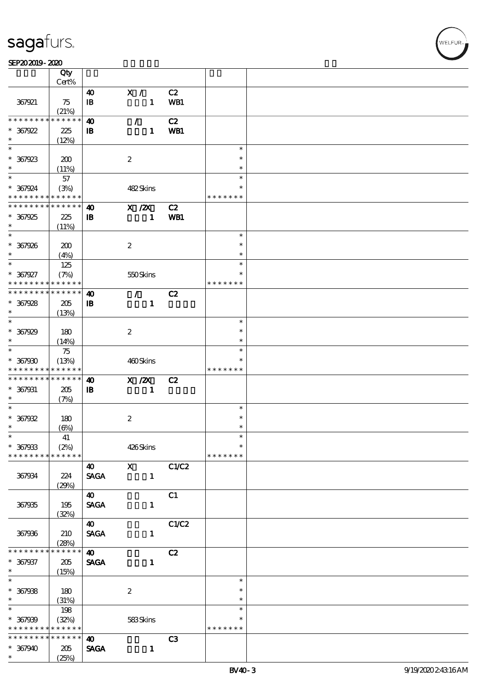### $SEP202019 - 2020$

| SEPAJAJY-AAJ                               |                      |                       |                           |                |                  |  |
|--------------------------------------------|----------------------|-----------------------|---------------------------|----------------|------------------|--|
|                                            | Qty                  |                       |                           |                |                  |  |
|                                            | Cert%                |                       |                           |                |                  |  |
|                                            |                      | 40                    | $X / \sqrt{2}$            | C2             |                  |  |
| 367921                                     | 75                   | $\mathbf{B}$          | $\mathbf{1}$              | WB1            |                  |  |
|                                            | (21%)                |                       |                           |                |                  |  |
| * * * * * * * *                            | * * * * * *          | $\boldsymbol{\omega}$ | $\mathcal{L}$             | C2             |                  |  |
| $* 367922$                                 | 225                  | $\mathbf{B}$          | $\mathbf{1}$              | WB1            |                  |  |
| $\ast$                                     | (12%)                |                       |                           |                |                  |  |
| $\ast$                                     |                      |                       |                           |                | $\ast$           |  |
| $* 367923$                                 | 200                  |                       | $\boldsymbol{2}$          |                | $\ast$           |  |
| $\ast$                                     | (11%)                |                       |                           |                | $\ast$           |  |
| $\ast$                                     | 57                   |                       |                           |                | $\ast$           |  |
| * 367924                                   | (3%)                 |                       | 482Skins                  |                | *                |  |
| * * * * * * * *                            | * * * * * *          |                       |                           |                | * * * * * * *    |  |
| * * * * * * * *                            | $* * * * * * *$      | $\boldsymbol{\omega}$ | $X$ / $ZX$                | C2             |                  |  |
| $*367925$                                  | 225                  | $\mathbf{B}$          | $\mathbf{1}$              | WB1            |                  |  |
| $\ast$                                     | (11%)                |                       |                           |                |                  |  |
| $\ast$                                     |                      |                       |                           |                | $\ast$           |  |
| * 367926                                   | 200                  |                       | $\boldsymbol{2}$          |                | $\ast$           |  |
| $\ast$                                     | (4%)                 |                       |                           |                | $\ast$           |  |
| $\overline{\phantom{0}}$                   | 125                  |                       |                           |                | $\ast$           |  |
| $* 367927$                                 | (7%)                 |                       | 550Skins                  |                |                  |  |
| * * * * * * * * <mark>* * * * * * *</mark> |                      |                       |                           |                | * * * * * * *    |  |
| * * * * * * * * <mark>*</mark>             | $* * * * * * *$      | $\boldsymbol{\omega}$ | $\mathcal{F}$             | C2             |                  |  |
| $* 367928$                                 | 205                  | $\mathbf{B}$          | $\mathbf{1}$              |                |                  |  |
| $\ast$                                     | (13%)                |                       |                           |                |                  |  |
| $\ast$                                     |                      |                       |                           |                | $\ast$           |  |
| $* 367929$                                 | 180                  |                       | $\boldsymbol{2}$          |                | $\ast$           |  |
|                                            | (14%)                |                       |                           |                | $\ast$           |  |
| $\overline{\mathbf{r}}$                    | 75                   |                       |                           |                | $\ast$           |  |
| $* 367900$                                 | (13%)                |                       | 460Skins                  |                | $\ast$           |  |
| * * * * * * * * <mark>* * * * * * *</mark> |                      |                       |                           |                | * * * * * * *    |  |
| * * * * * * * *                            | * * * * * *          | 40                    | X / ZX                    | C2             |                  |  |
| $* 367931$                                 | 205                  | $\mathbf{B}$          | $\mathbf{1}$              |                |                  |  |
| $\ast$<br>$\ast$                           | (7%)                 |                       |                           |                |                  |  |
|                                            |                      |                       |                           |                | $\ast$           |  |
| $* 367932$<br>$\ast$                       | 180                  |                       | $\boldsymbol{2}$          |                | $\ast$           |  |
| $\ast$                                     | (6%)                 |                       |                           |                | $\ast$<br>$\ast$ |  |
|                                            | 41                   |                       |                           |                | $\ast$           |  |
| $* 367933$<br>* * * * * * * *              | (2%)<br>* * * * * *  |                       | 426Skins                  |                | * * * * * * *    |  |
|                                            |                      |                       |                           |                |                  |  |
|                                            |                      | 40                    | $\boldsymbol{\mathsf{X}}$ | C1/C2          |                  |  |
| 367934                                     | 224                  | <b>SAGA</b>           | $\mathbf{1}$              |                |                  |  |
|                                            | (29%)                | $\boldsymbol{\omega}$ |                           | C1             |                  |  |
|                                            |                      |                       |                           |                |                  |  |
| 367935                                     | 195                  | <b>SAGA</b>           | $\mathbf{1}$              |                |                  |  |
|                                            | (32%)                | 40                    |                           | C1/C2          |                  |  |
|                                            |                      |                       |                           |                |                  |  |
| 367936                                     | 210                  | <b>SAGA</b>           | $\mathbf{1}$              |                |                  |  |
| * * * * * * *                              | (28%)<br>* * * * * * | $\boldsymbol{\omega}$ |                           | C2             |                  |  |
| * 367937                                   | 205                  | <b>SAGA</b>           | $\mathbf{1}$              |                |                  |  |
| $\ast$                                     | (15%)                |                       |                           |                |                  |  |
| $\ast$                                     |                      |                       |                           |                | $\ast$           |  |
| $* 367938$                                 | 180                  |                       | $\boldsymbol{2}$          |                | $\ast$           |  |
| $\ast$                                     | (31%)                |                       |                           |                | $\ast$           |  |
| $\ast$                                     | 198                  |                       |                           |                | $\ast$           |  |
| $* 367939$                                 | (32%)                |                       | 583Skins                  |                | $\ast$           |  |
| * * * * * * * * <mark>* * * * * *</mark>   |                      |                       |                           |                | * * * * * * *    |  |
| * * * * * * * *                            | $******$             | $\boldsymbol{\omega}$ |                           | C <sub>3</sub> |                  |  |
| $* 367940$                                 | 205                  | <b>SAGA</b>           | $\mathbf{1}$              |                |                  |  |
| $\ast$                                     | (25%)                |                       |                           |                |                  |  |
|                                            |                      |                       |                           |                |                  |  |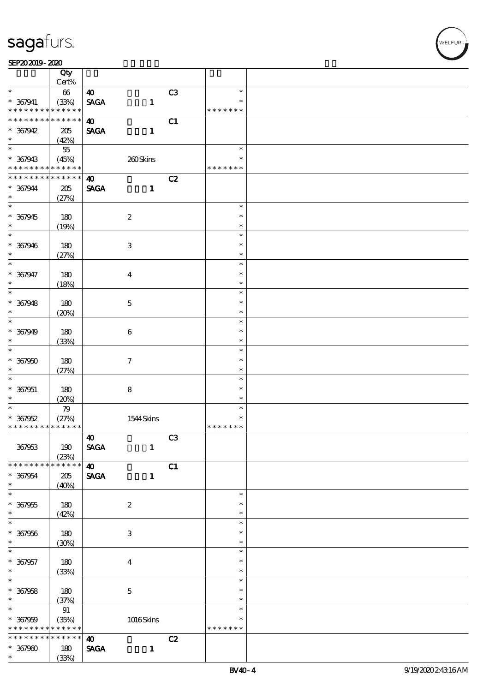### SEP202019-2020

|                                            | Qty<br>Cert%         |                           |              |    |               |  |
|--------------------------------------------|----------------------|---------------------------|--------------|----|---------------|--|
| $\ast$                                     | $66\,$               | $\boldsymbol{\omega}$     |              | C3 | $\ast$        |  |
|                                            |                      |                           |              |    | $\ast$        |  |
| $* 367941$                                 | (33%)                | <b>SAGA</b>               | $\mathbf{1}$ |    |               |  |
| * * * * * * * *                            | * * * * * *          |                           |              |    | * * * * * * * |  |
| * * * * * * * *                            | * * * * * *          | $\boldsymbol{\omega}$     |              | C1 |               |  |
| $* 367942$                                 | $205\,$              | <b>SAGA</b>               | $\mathbf{1}$ |    |               |  |
| $\ast$                                     | (42%)                |                           |              |    |               |  |
|                                            | $5\!$                |                           |              |    | $\ast$        |  |
| * 367943                                   | (45%)                |                           | 260Skins     |    | $\ast$        |  |
| * * * * * * * * <mark>* * * * * * *</mark> |                      |                           |              |    | * * * * * * * |  |
| * * * * * * * *                            | * * * * * *          | $\boldsymbol{\omega}$     |              | C2 |               |  |
|                                            |                      |                           |              |    |               |  |
| $* 367944$                                 | $205\,$              | <b>SAGA</b>               | $\mathbf{1}$ |    |               |  |
| $\ast$                                     | (27%)                |                           |              |    |               |  |
|                                            |                      |                           |              |    | $\ast$        |  |
| * 367945                                   | 180                  | $\boldsymbol{2}$          |              |    | $\ast$        |  |
| $\ast$                                     | (19%)                |                           |              |    | $\ast$        |  |
| $\ast$                                     |                      |                           |              |    | $\ast$        |  |
| $* 367946$                                 | 180                  | $\ensuremath{\mathbf{3}}$ |              |    | $\ast$        |  |
| $\ast$                                     | (27%)                |                           |              |    | $\ast$        |  |
| $\ast$                                     |                      |                           |              |    | $\ast$        |  |
|                                            |                      |                           |              |    | $\ast$        |  |
| $* 367947$                                 | 180                  | $\boldsymbol{4}$          |              |    |               |  |
| $\ast$                                     | (18%)                |                           |              |    | $\ast$        |  |
| $\ast$                                     |                      |                           |              |    | $\ast$        |  |
| $* 367948$                                 | 180                  | $\mathbf 5$               |              |    | $\ast$        |  |
| $\ast$                                     | (20%)                |                           |              |    | $\ast$        |  |
| $\ast$                                     |                      |                           |              |    | $\ast$        |  |
| $* 367949$                                 | 180                  | $\boldsymbol{6}$          |              |    | $\ast$        |  |
| $\ast$                                     | (33%)                |                           |              |    | $\ast$        |  |
| $\overline{\ast}$                          |                      |                           |              |    | $\ast$        |  |
|                                            |                      |                           |              |    | $\ast$        |  |
| $* 367950$                                 | 180                  | $\tau$                    |              |    |               |  |
| $\ast$                                     | (27%)                |                           |              |    | $\ast$        |  |
| $\ast$                                     |                      |                           |              |    | $\ast$        |  |
| $* 367951$                                 | 180                  | $\bf 8$                   |              |    | $\ast$        |  |
| $\ast$                                     | (20%)                |                           |              |    | $\ast$        |  |
| $\overline{\ast}$                          | 79                   |                           |              |    | $\ast$        |  |
| $* 367952$                                 | (27%)                |                           | 1544 Skins   |    | $\ast$        |  |
| * * * * * * * * <mark>* * * * * * *</mark> |                      |                           |              |    | * * * * * * * |  |
|                                            |                      | $\boldsymbol{\omega}$     |              | C3 |               |  |
| 367963                                     | 190                  | <b>SAGA</b>               | $\mathbf{1}$ |    |               |  |
|                                            |                      |                           |              |    |               |  |
| * * * * * * * *                            | (23%)<br>* * * * * * |                           |              |    |               |  |
|                                            |                      | $\boldsymbol{\omega}$     |              | C1 |               |  |
| $* 367054$                                 | 205                  | <b>SAGA</b>               | $\mathbf{1}$ |    |               |  |
| $\ast$                                     | (40%)                |                           |              |    |               |  |
| $\overline{\ast}$                          |                      |                           |              |    | $\ast$        |  |
| $* 367955$                                 | 180                  | $\boldsymbol{2}$          |              |    | $\ast$        |  |
| $\ast$                                     | (42%)                |                           |              |    | $\ast$        |  |
| $\ast$                                     |                      |                           |              |    | $\ast$        |  |
| $* 367956$                                 | 180                  | $\ensuremath{\mathbf{3}}$ |              |    | $\ast$        |  |
| $\ast$                                     |                      |                           |              |    | $\ast$        |  |
| $\ast$                                     | (30%)                |                           |              |    | $\ast$        |  |
|                                            |                      |                           |              |    |               |  |
| $* 367957$                                 | 180                  | $\boldsymbol{4}$          |              |    | $\ast$        |  |
| $\ast$                                     | (33%)                |                           |              |    | $\ast$        |  |
| $\overline{\ast}$                          |                      |                           |              |    | $\ast$        |  |
| $* 367958$                                 | 180                  | $\mathbf 5$               |              |    | $\ast$        |  |
| $\ast$                                     | (37%)                |                           |              |    | $\ast$        |  |
| $\overline{\ast}$                          | 91                   |                           |              |    | $\ast$        |  |
| $* 367959$                                 | (35%)                |                           | 1016Skins    |    | *             |  |
| * * * * * * * *                            | * * * * * *          |                           |              |    | * * * * * * * |  |
| * * * * * * * *                            | * * * * * *          | $\boldsymbol{\omega}$     |              | C2 |               |  |
|                                            |                      |                           |              |    |               |  |
| $* 367900$<br>$\ast$                       | 180                  | <b>SAGA</b>               | $\mathbf{1}$ |    |               |  |
|                                            | (33%)                |                           |              |    |               |  |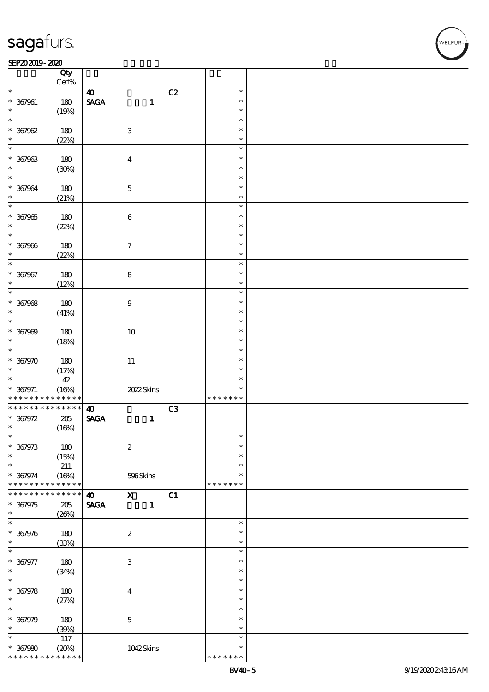### SEP202019-2020

|                               | Qty<br>$\mbox{Cert}\%$ |                                |                           |    |                         |  |
|-------------------------------|------------------------|--------------------------------|---------------------------|----|-------------------------|--|
|                               |                        |                                |                           |    |                         |  |
| $\ast$                        |                        | $\boldsymbol{\omega}$          |                           | C2 | $\ast$                  |  |
| $* 367961$                    | 180                    | $\operatorname{\mathsf{SAGA}}$ | $\mathbf{1}$              |    | $\ast$                  |  |
| $\ast$                        | (19%)                  |                                |                           |    | $\ast$                  |  |
| $\ast$                        |                        |                                |                           |    | $\ast$                  |  |
|                               |                        |                                |                           |    |                         |  |
| $* 367962$                    | 180                    |                                | $\ensuremath{\mathbf{3}}$ |    | $\ast$                  |  |
| *                             | (22%)                  |                                |                           |    | $\ast$                  |  |
| $\ast$                        |                        |                                |                           |    | $\ast$                  |  |
|                               |                        |                                |                           |    |                         |  |
| $* 367963$                    | 180                    |                                | $\boldsymbol{4}$          |    | $\ast$                  |  |
|                               | (30%)                  |                                |                           |    | $\ast$                  |  |
| $\ast$                        |                        |                                |                           |    | $\ast$                  |  |
|                               |                        |                                |                           |    | $\ast$                  |  |
| * 367964                      | 180                    |                                | $\mathbf 5$               |    |                         |  |
| $\ast$                        | (21%)                  |                                |                           |    | $\ast$                  |  |
| $\ast$                        |                        |                                |                           |    | $\ast$                  |  |
| $* 367965$                    |                        |                                |                           |    | $\ast$                  |  |
|                               | 180                    |                                | $\bf 6$                   |    |                         |  |
|                               | (22%)                  |                                |                           |    | $\ast$                  |  |
| $\ast$                        |                        |                                |                           |    | $\ast$                  |  |
| $* 367906$                    | 180                    |                                | $\boldsymbol{\tau}$       |    | $\ast$                  |  |
| $\ast$                        |                        |                                |                           |    |                         |  |
|                               | (22%)                  |                                |                           |    | $\ast$                  |  |
| $\ast$                        |                        |                                |                           |    | $\ast$                  |  |
| $* 367967$                    | 180                    |                                | ${\bf 8}$                 |    | $\ast$                  |  |
| $\ast$                        | (12%)                  |                                |                           |    | $\ast$                  |  |
| $\overline{\ast}$             |                        |                                |                           |    |                         |  |
|                               |                        |                                |                           |    | $\ast$                  |  |
| $* 367968$                    | $180\,$                |                                | $\boldsymbol{9}$          |    | $\ast$                  |  |
| $\ast$                        | (41%)                  |                                |                           |    | $\ast$                  |  |
| $\ast$                        |                        |                                |                           |    | $\ast$                  |  |
|                               |                        |                                |                           |    |                         |  |
| $* 367909$                    | 180                    |                                | $10\,$                    |    | $\ast$                  |  |
| $\ast$                        | (18%)                  |                                |                           |    | $\ast$                  |  |
| $\ast$                        |                        |                                |                           |    | $\ast$                  |  |
|                               |                        |                                |                           |    |                         |  |
| $* 367970$                    | 180                    |                                | $11\,$                    |    | $\ast$                  |  |
| $\ast$                        | (17%)                  |                                |                           |    | $\ast$                  |  |
| $\overline{\ast}$             | $42\,$                 |                                |                           |    | $\ast$                  |  |
|                               |                        |                                |                           |    | $\ast$                  |  |
| $* 367971$                    | (16%)<br>* * * * * *   |                                | 2022 Skins                |    |                         |  |
| * * * * * * * *               |                        |                                |                           |    | * * * * * * *           |  |
| * * * * * * * *               | ******                 | $\boldsymbol{\omega}$          |                           | C3 |                         |  |
| $* 367972$                    | $205\,$                | <b>SAGA</b>                    | $\mathbf{1}$              |    |                         |  |
| $\ast$                        |                        |                                |                           |    |                         |  |
|                               | (16%)                  |                                |                           |    |                         |  |
|                               |                        |                                |                           |    | ж                       |  |
| $* 367973$                    | 180                    |                                | $\boldsymbol{2}$          |    | $\ast$                  |  |
| $\ast$                        | (15%)                  |                                |                           |    | $\ast$                  |  |
| $\ast$                        |                        |                                |                           |    | $\ast$                  |  |
|                               | 211                    |                                |                           |    |                         |  |
| $* 367974$                    | (16%)                  |                                | 596Skins                  |    | $\ast$                  |  |
| * * * * * * * *               | * * * * * *            |                                |                           |    |                         |  |
| * * * * * * *                 |                        |                                |                           |    | * * * * * * *           |  |
|                               | * * * * * *            |                                |                           |    |                         |  |
|                               |                        | $\boldsymbol{\omega}$          | $\overline{\mathbf{X}}$   | C1 |                         |  |
| $* 367975$                    | $205\,$                | <b>SAGA</b>                    | $\mathbf{1}$              |    |                         |  |
| $\ast$                        | (20%)                  |                                |                           |    |                         |  |
| $\ast$                        |                        |                                |                           |    | $\ast$                  |  |
|                               |                        |                                |                           |    | $\ast$                  |  |
| $* 367976$                    | 180                    |                                | $\boldsymbol{z}$          |    |                         |  |
| $\ast$                        | (33%)                  |                                |                           |    | $\ast$                  |  |
| $\ast$                        |                        |                                |                           |    | $\ast$                  |  |
|                               |                        |                                |                           |    | $\ast$                  |  |
| $* 367977$                    | 180                    |                                | $\ensuremath{\mathsf{3}}$ |    |                         |  |
| $\ast$                        | (34%)                  |                                |                           |    | $\ast$                  |  |
| $\ast$                        |                        |                                |                           |    | $\ast$                  |  |
|                               |                        |                                | $\boldsymbol{4}$          |    | $\ast$                  |  |
| $* 367978$<br>$\ast$          | 180                    |                                |                           |    | $\ast$                  |  |
|                               | (27%)                  |                                |                           |    |                         |  |
| $\ast$                        |                        |                                |                           |    | $\ast$                  |  |
| $* 367979$                    | 180                    |                                | $\mathbf 5$               |    | $\ast$                  |  |
| $\ast$                        |                        |                                |                           |    | $\ast$                  |  |
| $\ast$                        | (30%)                  |                                |                           |    | $\ast$                  |  |
|                               | $117\,$                |                                |                           |    |                         |  |
| $* 367980$<br>* * * * * * * * | (20%)<br>* * * * * *   |                                | 1042Skins                 |    | $\ast$<br>* * * * * * * |  |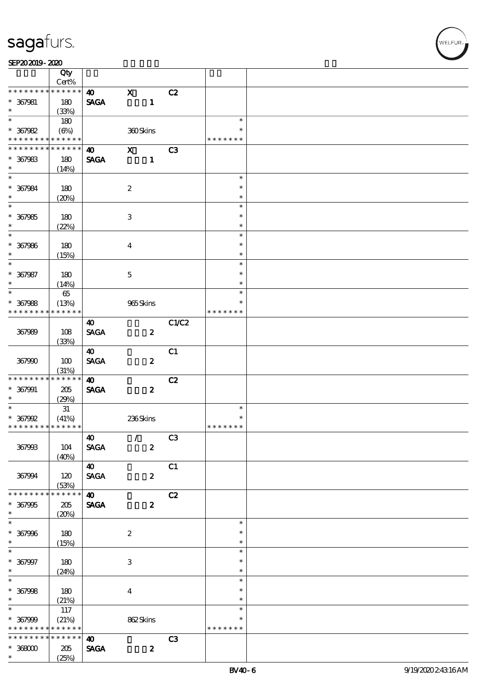| SEP202019-2020 |  |
|----------------|--|
|----------------|--|

|                                          | Qty<br>Cert% |                                      |                              |       |               |  |
|------------------------------------------|--------------|--------------------------------------|------------------------------|-------|---------------|--|
| * * * * * * * *                          | * * * * * *  |                                      |                              |       |               |  |
| $* 367981$                               | 180          | $\boldsymbol{\omega}$<br><b>SAGA</b> | $\mathbf{x}$<br>$\mathbf{1}$ | C2    |               |  |
| $\ast$                                   | (33%)        |                                      |                              |       |               |  |
| $\ast$                                   | 180          |                                      |                              |       | $\ast$        |  |
| $* 367982$                               | (6%)         |                                      | 360Skins                     |       | $\ast$        |  |
| * * * * * * * * <mark>* * * * * *</mark> |              |                                      |                              |       | * * * * * * * |  |
| * * * * * * * *                          | * * * * * *  | $\boldsymbol{\omega}$                | $\mathbf{x}$                 | C3    |               |  |
| $* 367983$                               | 180          | <b>SAGA</b>                          | $\mathbf{1}$                 |       |               |  |
| $\ast$                                   | (14%)        |                                      |                              |       |               |  |
| $\ast$                                   |              |                                      |                              |       | $\ast$        |  |
|                                          |              |                                      |                              |       | $\ast$        |  |
| $* 367984$                               | 180          |                                      | $\boldsymbol{2}$             |       |               |  |
| $\ast$<br>$\overline{\phantom{a}^*}$     | (20%)        |                                      |                              |       | $\ast$        |  |
|                                          |              |                                      |                              |       | $\ast$        |  |
| $* 367985$                               | 180          |                                      | $\,3$                        |       | $\ast$        |  |
| $\ast$                                   | (22%)        |                                      |                              |       | $\ast$        |  |
| $\overline{\ast}$                        |              |                                      |                              |       | $\ast$        |  |
| $* 367986$                               | 180          |                                      | $\bf{4}$                     |       | $\ast$        |  |
| $\ast$                                   | (15%)        |                                      |                              |       | $\ast$        |  |
| $\ast$                                   |              |                                      |                              |       | $\ast$        |  |
| $* 367987$                               | 180          |                                      | $\mathbf 5$                  |       | $\ast$        |  |
| $\ast$                                   | (14%)        |                                      |                              |       | $\ast$        |  |
| $\ast$                                   |              |                                      |                              |       | $\ast$        |  |
|                                          | $65\,$       |                                      |                              |       | ∗             |  |
| $* 367988$                               | (13%)        |                                      | 965Skins                     |       |               |  |
| * * * * * * * *                          | * * * * * *  |                                      |                              |       | * * * * * * * |  |
|                                          |              | 40                                   |                              | C1/C2 |               |  |
| 367989                                   | 108          | <b>SAGA</b>                          | $\boldsymbol{z}$             |       |               |  |
|                                          | (33%)        |                                      |                              |       |               |  |
|                                          |              | $\boldsymbol{\omega}$                |                              | C1    |               |  |
| 367990                                   | 100          | <b>SAGA</b>                          | $\boldsymbol{z}$             |       |               |  |
|                                          | (31%)        |                                      |                              |       |               |  |
| * * * * * * * *                          | * * * * * *  | $\boldsymbol{\omega}$                |                              | C2    |               |  |
| $* 367991$                               | 205          | <b>SAGA</b>                          | $\boldsymbol{z}$             |       |               |  |
| $*$                                      | (29%)        |                                      |                              |       |               |  |
|                                          | 31           |                                      |                              |       | $\ast$        |  |
| $*367992$                                | (41%)        |                                      | 236Skins                     |       |               |  |
| * * * * * * * * * * * * * *              |              |                                      |                              |       | * * * * * * * |  |
|                                          |              |                                      |                              |       |               |  |
|                                          |              | 40                                   | $\sqrt{C3}$                  |       |               |  |
| 367993                                   | 104          | <b>SAGA</b>                          | $\boldsymbol{z}$             |       |               |  |
|                                          | (40%)        |                                      |                              |       |               |  |
|                                          |              | $\boldsymbol{40}$                    |                              | C1    |               |  |
| 367994                                   | 120          | <b>SAGA</b>                          | $\boldsymbol{z}$             |       |               |  |
|                                          | (53%)        |                                      |                              |       |               |  |
| * * * * * * *                            | * * * * * *  | $\boldsymbol{\omega}$                |                              | C2    |               |  |
| $* 367995$                               | 205          | <b>SAGA</b>                          | $\boldsymbol{z}$             |       |               |  |
| $\ast$                                   | (20%)        |                                      |                              |       |               |  |
| $\ast$                                   |              |                                      |                              |       | $\ast$        |  |
| $* 367996$                               | $180$        |                                      | $\boldsymbol{2}$             |       | $\ast$        |  |
| $\ast$                                   | (15%)        |                                      |                              |       | $\ast$        |  |
| $\overline{\phantom{0}}$                 |              |                                      |                              |       | $\ast$        |  |
|                                          |              |                                      |                              |       | $\ast$        |  |
| $* 367997$                               | 180          |                                      | 3                            |       |               |  |
| $*$<br>$\overline{\phantom{0}}$          | (24%)        |                                      |                              |       | $\ast$        |  |
|                                          |              |                                      |                              |       | $\ast$        |  |
| $* 367998$                               | 180          |                                      | $\bf{4}$                     |       | $\ast$        |  |
| $\ast$                                   | (21%)        |                                      |                              |       | $\ast$        |  |
| $\ast$                                   | 117          |                                      |                              |       | $\ast$        |  |
| $* 367999$                               | (21%)        |                                      | 862Skins                     |       | ∗             |  |
| * * * * * * * *                          | * * * * * *  |                                      |                              |       | * * * * * * * |  |
| * * * * * * * *                          | * * * * * *  | $\boldsymbol{\omega}$                |                              | C3    |               |  |
| $^\ast$ 368000                           | 205          | <b>SAGA</b>                          | $\boldsymbol{z}$             |       |               |  |
| $\ast$                                   | (25%)        |                                      |                              |       |               |  |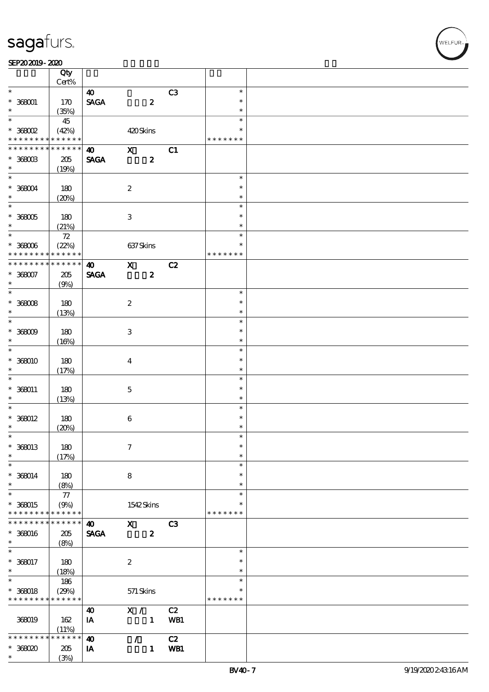### $SEP202019 - 2020$

|                              | Qty<br>Cert%         |                       |                           |     |               |  |
|------------------------------|----------------------|-----------------------|---------------------------|-----|---------------|--|
| $\ast$                       |                      | $\boldsymbol{\omega}$ |                           | C3  | $\ast$        |  |
|                              |                      |                       |                           |     |               |  |
| $* 368001$                   | 170                  | <b>SAGA</b>           | $\boldsymbol{z}$          |     | $\ast$        |  |
| $\ast$                       | (35%)                |                       |                           |     | $\ast$        |  |
| $\overline{\ast}$            | 45                   |                       |                           |     | $\ast$        |  |
| $*368002$                    | (42%)                |                       | 420Skins                  |     | $\ast$        |  |
| * * * * * * * *              | * * * * * *          |                       |                           |     | * * * * * * * |  |
| * * * * * * * *              | * * * * * *          | $\boldsymbol{\omega}$ | $\mathbf{x}$              | C1  |               |  |
| $*$ 368003                   |                      | <b>SAGA</b>           | $\boldsymbol{z}$          |     |               |  |
| $\ast$                       | 205                  |                       |                           |     |               |  |
|                              | (19%)                |                       |                           |     |               |  |
| $\overline{\mathbf{r}}$      |                      |                       |                           |     | $\ast$        |  |
| $* 36004$                    | 180                  |                       | $\boldsymbol{2}$          |     | $\ast$        |  |
| $\ast$                       | (20%)                |                       |                           |     | $\ast$        |  |
| $\overline{\ast}$            |                      |                       |                           |     | $\ast$        |  |
| $* 36005$                    | 180                  |                       | $\ensuremath{\mathbf{3}}$ |     | $\ast$        |  |
| $\ast$                       | (21%)                |                       |                           |     | $\ast$        |  |
|                              | 72                   |                       |                           |     | $\ast$        |  |
|                              |                      |                       |                           |     | $\ast$        |  |
| $* 36006$<br>* * * * * * * * | (22%)<br>* * * * * * |                       | 637Skins                  |     | * * * * * * * |  |
|                              |                      |                       |                           |     |               |  |
| * * * * * * * *              | * * * * * *          | $\boldsymbol{\omega}$ | $\mathbf{x}$              | C2  |               |  |
| $* 368007$                   | 205                  | <b>SAGA</b>           | $\boldsymbol{z}$          |     |               |  |
| $\ast$                       | (9%)                 |                       |                           |     |               |  |
| $\overline{\ast}$            |                      |                       |                           |     | $\ast$        |  |
| $* 36008$                    | 180                  |                       | $\boldsymbol{2}$          |     | $\ast$        |  |
| $\ast$                       | (13%)                |                       |                           |     | $\ast$        |  |
|                              |                      |                       |                           |     | $\ast$        |  |
| $* 36009$                    | 180                  |                       | $\ensuremath{\mathbf{3}}$ |     | $\ast$        |  |
| $\ast$                       |                      |                       |                           |     | $\ast$        |  |
| $\overline{\ast}$            | (16%)                |                       |                           |     |               |  |
|                              |                      |                       |                           |     | $\ast$        |  |
| $*36000$                     | 180                  |                       | $\boldsymbol{4}$          |     | $\ast$        |  |
| $\ast$                       | (17%)                |                       |                           |     | $\ast$        |  |
| $\ast$                       |                      |                       |                           |     | $\ast$        |  |
| $* 368011$                   | 180                  |                       | $\bf 5$                   |     | $\ast$        |  |
| $\ast$                       | (13%)                |                       |                           |     | $\ast$        |  |
| $\overline{\ast}$            |                      |                       |                           |     | $\ast$        |  |
| $* 360012$                   | 180                  |                       | $\bf 6$                   |     | $\ast$        |  |
| $\ast$                       | (20%)                |                       |                           |     | $\ast$        |  |
| $\ast$                       |                      |                       |                           |     | $\ast$        |  |
|                              |                      |                       |                           |     | $\ast$        |  |
| $* 360013$                   | 180                  |                       | $\mathcal I$              |     |               |  |
| $\ast$                       | (17%)                |                       |                           |     | $\ast$        |  |
| $\ast$                       |                      |                       |                           |     | $\ast$        |  |
| $* 368014$                   | 180                  |                       | 8                         |     | $\ast$        |  |
| $\ast$                       | (8%)                 |                       |                           |     | $\ast$        |  |
| $\ast$                       | $77\,$               |                       |                           |     | $\ast$        |  |
| * 368015                     | (9%)                 |                       | 1542Skins                 |     | *             |  |
| * * * * * * * *              | * * * * * *          |                       |                           |     | * * * * * * * |  |
| * * * * * * *                | * * * * * *          | $\boldsymbol{\omega}$ | $\mathbf{X}$              | C3  |               |  |
| * 368016                     | 205                  | <b>SAGA</b>           | $\boldsymbol{z}$          |     |               |  |
| $\ast$                       |                      |                       |                           |     |               |  |
| $\ast$                       | (8%)                 |                       |                           |     |               |  |
|                              |                      |                       |                           |     | $\ast$        |  |
| $* 368017$                   | 180                  |                       | $\boldsymbol{2}$          |     | $\ast$        |  |
| $\ast$                       | (18%)                |                       |                           |     | $\ast$        |  |
| $\overline{\ast}$            | 186                  |                       |                           |     | $\ast$        |  |
| $* 368018$                   | (29%)                |                       | 571 Skins                 |     | $\ast$        |  |
| * * * * * * * *              | * * * * * *          |                       |                           |     | * * * * * * * |  |
|                              |                      | $\boldsymbol{\omega}$ | X /                       | C2  |               |  |
| 368019                       | 162                  | IA                    | $\mathbf{1}$              | WB1 |               |  |
|                              | (11%)                |                       |                           |     |               |  |
| * * * * *                    | * * * * *<br>*       | $\boldsymbol{\omega}$ | $\mathcal{L}$             | C2  |               |  |
| $*368020$                    | 205                  | IA                    | $\mathbf{1}$              | WB1 |               |  |
| $\ast$                       | (3%)                 |                       |                           |     |               |  |
|                              |                      |                       |                           |     |               |  |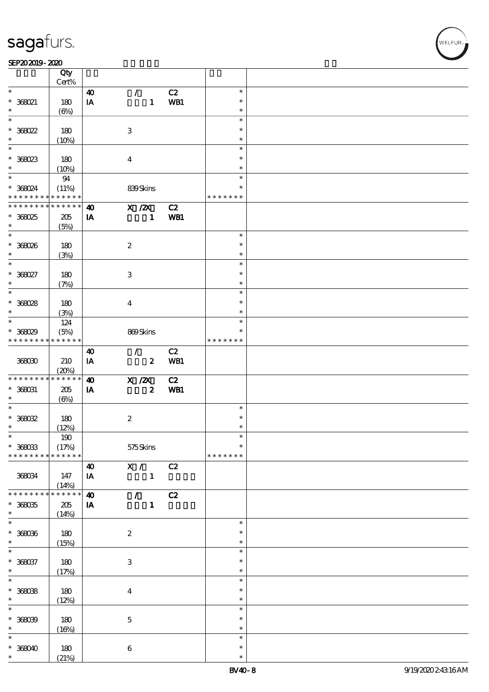### $SEP202019 - 2020$  $\frac{\text{SEP202019 - 2020}}{\text{C}}$

|                                                                  | Qty<br>Cert%    |                       |                         |     |               |  |
|------------------------------------------------------------------|-----------------|-----------------------|-------------------------|-----|---------------|--|
|                                                                  |                 |                       |                         |     |               |  |
| $\ast$                                                           |                 | $\boldsymbol{\omega}$ | $\mathcal{L}$           | C2  | $\ast$        |  |
| * 368021                                                         | 180             | IA                    | $\mathbf{1}$            | WB1 | $\ast$        |  |
| $\ast$                                                           | $(\Theta)$      |                       |                         |     | $\ast$        |  |
| $\ast$                                                           |                 |                       |                         |     | $\ast$        |  |
| $*368022$                                                        | 180             |                       | 3                       |     | $\ast$        |  |
| $\ast$                                                           | (10%)           |                       |                         |     | $\ast$        |  |
|                                                                  |                 |                       |                         |     | $\ast$        |  |
|                                                                  |                 |                       |                         |     |               |  |
| $*368023$                                                        | 180             |                       | $\overline{4}$          |     | $\ast$        |  |
| $\ast$                                                           | (10%)           |                       |                         |     | $\ast$        |  |
|                                                                  | 94              |                       |                         |     | $\ast$        |  |
| * 368024                                                         | (11%)           |                       | 839Skins                |     | $\ast$        |  |
| * * * * * * * * <mark>* * * * * * *</mark>                       |                 |                       |                         |     | * * * * * * * |  |
| * * * * * * * *                                                  | $* * * * * * *$ | $\boldsymbol{\omega}$ | $X$ / $ZX$              | C2  |               |  |
|                                                                  |                 |                       | $\mathbf{1}$            |     |               |  |
| $*368025$                                                        | 205             | IA                    |                         | WB1 |               |  |
| $*$                                                              | (5%)            |                       |                         |     |               |  |
|                                                                  |                 |                       |                         |     | $\ast$        |  |
| $*360036$                                                        | 180             |                       | $\boldsymbol{2}$        |     | $\ast$        |  |
| $\ast$                                                           | (3%)            |                       |                         |     | $\ast$        |  |
| $\overline{\ast}$                                                |                 |                       |                         |     | $\ast$        |  |
| $*368027$                                                        | 180             |                       | $\,3$                   |     | $\ast$        |  |
| $\ast$                                                           |                 |                       |                         |     | $\ast$        |  |
| $\overline{\phantom{0}}$                                         | (7%)            |                       |                         |     |               |  |
|                                                                  |                 |                       |                         |     | $\ast$        |  |
| $* 36028$                                                        | 180             |                       | $\overline{\mathbf{4}}$ |     | $\ast$        |  |
| $\ast$                                                           | (3%)            |                       |                         |     | $\ast$        |  |
|                                                                  | 124             |                       |                         |     | $\ast$        |  |
| $*36029$                                                         | (5%)            |                       | 869Skins                |     | *             |  |
| * * * * * * * *                                                  | * * * * * *     |                       |                         |     | * * * * * * * |  |
|                                                                  |                 |                       |                         |     |               |  |
|                                                                  |                 | $\boldsymbol{\omega}$ | $\mathcal{L}$           | C2  |               |  |
| 368030                                                           | 210             | IA                    | $\boldsymbol{z}$        | WB1 |               |  |
|                                                                  | (20%)           |                       |                         |     |               |  |
| * * * * * * * *                                                  | * * * * * *     | $\boldsymbol{\omega}$ | X / ZX                  | C2  |               |  |
| $* 368031$                                                       | 205             | IA                    | $\boldsymbol{z}$        | WB1 |               |  |
| $\ast$                                                           | $(\Theta)$      |                       |                         |     |               |  |
| $\ast$                                                           |                 |                       |                         |     | $\ast$        |  |
|                                                                  |                 |                       |                         |     |               |  |
| $* 36002$                                                        | 180             |                       | $\boldsymbol{2}$        |     | $\ast$        |  |
| $\ast$                                                           | (12%)           |                       |                         |     | $\ast$        |  |
| $*$                                                              | $190\,$         |                       |                         |     | $\ast$        |  |
| $* 368033$                                                       | (17%)           |                       | 575Skins                |     | $\ast$        |  |
| * * * * * * * *                                                  | * * * * * *     |                       |                         |     | * * * * * * * |  |
|                                                                  |                 | $\boldsymbol{\omega}$ | X /                     | C2  |               |  |
| 368034                                                           |                 |                       | $\mathbf{1}$            |     |               |  |
|                                                                  | 147             | IA                    |                         |     |               |  |
|                                                                  | (14%)           |                       |                         |     |               |  |
| * * * * * * * *                                                  | * * * * * *     | $\boldsymbol{\omega}$ | $\mathcal{L}$           | C2  |               |  |
| $* 368035$                                                       | 205             | IA                    | $\mathbf{1}$            |     |               |  |
| $\ast$                                                           | (14%)           |                       |                         |     |               |  |
| $\ast$                                                           |                 |                       |                         |     | $\ast$        |  |
| $* 368036$                                                       | $180$           |                       | $\boldsymbol{2}$        |     | $\ast$        |  |
| $\ast$                                                           |                 |                       |                         |     |               |  |
| $\ast$                                                           |                 |                       |                         |     | $\ast$        |  |
|                                                                  | (15%)           |                       |                         |     |               |  |
|                                                                  |                 |                       |                         |     | $\ast$        |  |
| $* 368037$                                                       | 180             |                       | $\,3\,$                 |     | $\ast$        |  |
| $\ast$                                                           | (17%)           |                       |                         |     | $\ast$        |  |
|                                                                  |                 |                       |                         |     | $\ast$        |  |
|                                                                  |                 |                       |                         |     | $\ast$        |  |
|                                                                  | 180             |                       | $\boldsymbol{4}$        |     | $\ast$        |  |
|                                                                  | (12%)           |                       |                         |     | $\ast$        |  |
|                                                                  |                 |                       |                         |     |               |  |
| $\overline{\ast}$<br>$*368038$<br>$\ast$<br>$\ast$<br>$* 368039$ | 180             |                       | $\mathbf 5$             |     | $\ast$        |  |
| $\ast$                                                           | (16%)           |                       |                         |     | $\ast$        |  |
| $\ast$                                                           |                 |                       |                         |     | $\ast$        |  |
| $* 368040$                                                       | 180             |                       | $\boldsymbol{6}$        |     | $\ast$        |  |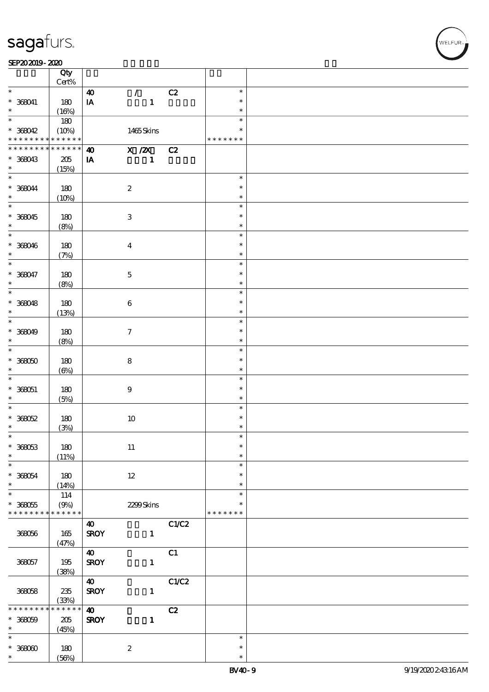### SEP202019-2020

|                   | Qty<br>Cert%    |                       |                           |       |               |  |
|-------------------|-----------------|-----------------------|---------------------------|-------|---------------|--|
| $\ast$            |                 | $\boldsymbol{40}$     | $\mathcal{L}$             | C2    | $\ast$        |  |
|                   |                 |                       |                           |       | $\ast$        |  |
| $* 368041$        | 180             | IA                    | $\mathbf{1}$              |       |               |  |
| $\ast$            | (16%)           |                       |                           |       | $\ast$        |  |
| $\overline{\ast}$ | 180             |                       |                           |       | $\ast$        |  |
| $* 368042$        | (10%)           |                       | 1465Skins                 |       | $\ast$        |  |
| * * * * * * * *   | * * * * * *     |                       |                           |       | * * * * * * * |  |
| * * * * * * * *   | * * * * * *     | $\boldsymbol{\omega}$ | X / ZX                    | C2    |               |  |
| * 368043          |                 | IA                    | $\mathbf{1}$              |       |               |  |
| $\ast$            | 205             |                       |                           |       |               |  |
|                   | (15%)           |                       |                           |       |               |  |
| $\ast$            |                 |                       |                           |       | $\ast$        |  |
| $* 368044$        | 180             |                       | $\boldsymbol{2}$          |       | $\ast$        |  |
| $\ast$            | (10%)           |                       |                           |       | $\ast$        |  |
|                   |                 |                       |                           |       | $\ast$        |  |
|                   |                 |                       | $\ensuremath{\mathbf{3}}$ |       | $\ast$        |  |
| * 368045          | 180             |                       |                           |       |               |  |
| $\ast$            | (8%)            |                       |                           |       | $\ast$        |  |
| $*$               |                 |                       |                           |       | $\ast$        |  |
| * 368046          | 180             |                       | $\bf{4}$                  |       | $\ast$        |  |
| $\ast$            | (7%)            |                       |                           |       | $\ast$        |  |
| $\overline{\ast}$ |                 |                       |                           |       | $\ast$        |  |
| * 368047          | 180             |                       | $\bf 5$                   |       | $\ast$        |  |
| $\ast$            |                 |                       |                           |       | $\ast$        |  |
| $\overline{\ast}$ | (8%)            |                       |                           |       | $\ast$        |  |
|                   |                 |                       |                           |       |               |  |
| $* 368048$        | 180             |                       | $\bf 6$                   |       | $\ast$        |  |
| $\ast$            | (13%)           |                       |                           |       | $\ast$        |  |
| $\overline{\ast}$ |                 |                       |                           |       | $\ast$        |  |
| $* 368049$        | 180             |                       | $\boldsymbol{\tau}$       |       | $\ast$        |  |
| $\ast$            | (8%)            |                       |                           |       | $\ast$        |  |
| $\overline{\ast}$ |                 |                       |                           |       | $\ast$        |  |
|                   |                 |                       |                           |       |               |  |
| $* 36000$         | 180             |                       | ${\bf 8}$                 |       | $\ast$        |  |
| $\ast$            | $(\Theta)$      |                       |                           |       | $\ast$        |  |
| $\ast$            |                 |                       |                           |       | $\ast$        |  |
| $* 368051$        | 180             |                       | $\boldsymbol{9}$          |       | $\ast$        |  |
| $\ast$            | (5%)            |                       |                           |       | $\ast$        |  |
| $\ast$            |                 |                       |                           |       | $\ast$        |  |
|                   |                 |                       |                           |       | $\ast$        |  |
| $* 360052$        | 180             |                       | $10\,$                    |       |               |  |
| $\ast$            | (3%)            |                       |                           |       | $\ast$        |  |
| $\ast$            |                 |                       |                           |       | $\ast$        |  |
| $* 36003$         | 180             |                       | $11\,$                    |       | $\ast$        |  |
| $\ast$            | (11%)           |                       |                           |       | $\ast$        |  |
| $\ast$            |                 |                       |                           |       | $\ast$        |  |
| $* 360054$        | 180             |                       | $12\,$                    |       | $\ast$        |  |
| $\ast$            |                 |                       |                           |       | $\ast$        |  |
| $\overline{\ast}$ | (14%)           |                       |                           |       | $\ast$        |  |
|                   | 114             |                       |                           |       |               |  |
| $* 368055$        | (9%)            |                       | 2299Skins                 |       |               |  |
| * * * * * * * *   | $* * * * * * *$ |                       |                           |       | * * * * * * * |  |
|                   |                 | 40                    |                           | C1/C2 |               |  |
| 368056            | $165\,$         | <b>SROY</b>           | $\mathbf{1}$              |       |               |  |
|                   | (47%)           |                       |                           |       |               |  |
|                   |                 | $\boldsymbol{\omega}$ |                           | C1    |               |  |
|                   |                 |                       |                           |       |               |  |
| 368057            | 195             | <b>SROY</b>           | $\mathbf{1}$              |       |               |  |
|                   | (38%)           |                       |                           |       |               |  |
|                   |                 | $\boldsymbol{\omega}$ |                           | C1/C2 |               |  |
| 368058            | 235             | <b>SROY</b>           | $\mathbf{1}$              |       |               |  |
|                   | (33%)           |                       |                           |       |               |  |
| * * * * * * *     | * * * * * *     | $\boldsymbol{\omega}$ |                           | C2    |               |  |
| $* 36000$         |                 |                       | $\mathbf{1}$              |       |               |  |
|                   | 205             | <b>SROY</b>           |                           |       |               |  |
| $\ast$            | (45%)           |                       |                           |       |               |  |
| $\ast$            |                 |                       |                           |       | $\ast$        |  |
| $* 36000$         | 180             |                       | $\boldsymbol{2}$          |       | $\ast$        |  |
| $\ast$            | (56%)           |                       |                           |       | $\ast$        |  |
|                   |                 |                       |                           |       |               |  |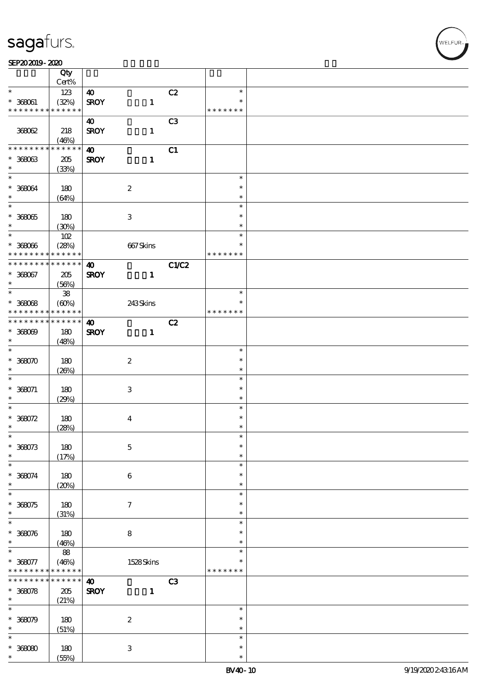### SEP202019-2020

|                                                                      | Qty<br>Cert%    |                       |                           |       |               |  |
|----------------------------------------------------------------------|-----------------|-----------------------|---------------------------|-------|---------------|--|
| $\ast$                                                               |                 | $\boldsymbol{\omega}$ |                           | C2    | $\ast$        |  |
|                                                                      | 123             |                       |                           |       |               |  |
| $* 360001$                                                           | (32%)           | <b>SROY</b>           | $\mathbf{1}$              |       | $\ast$        |  |
| * * * * * * * *                                                      | * * * * * *     |                       |                           |       | * * * * * * * |  |
|                                                                      |                 | $\boldsymbol{\omega}$ |                           | C3    |               |  |
| 368062                                                               | 218             | <b>SROY</b>           | $\mathbf{1}$              |       |               |  |
|                                                                      | (46%)           |                       |                           |       |               |  |
| * * * * * * * *                                                      | * * * * * *     | $\boldsymbol{\omega}$ |                           | C1    |               |  |
| $* 36003$                                                            |                 | <b>SROY</b>           | $\mathbf{1}$              |       |               |  |
| $\ast$                                                               | 205             |                       |                           |       |               |  |
|                                                                      | (33%)           |                       |                           |       |               |  |
| $\ast$                                                               |                 |                       |                           |       | $\ast$        |  |
| * 368064                                                             | 180             |                       | $\boldsymbol{2}$          |       | $\ast$        |  |
| $\ast$                                                               | (64%)           |                       |                           |       | $\ast$        |  |
| $\overline{\ast}$                                                    |                 |                       |                           |       | $\ast$        |  |
| $* 36005$                                                            | 180             |                       | $\ensuremath{\mathbf{3}}$ |       | $\ast$        |  |
| $\ast$                                                               | (30%)           |                       |                           |       | $\ast$        |  |
| $\ast$                                                               | $102$           |                       |                           |       | $\ast$        |  |
| $* 36006$                                                            | (28%)           |                       |                           |       | $\ast$        |  |
| * * * * * * * *                                                      | * * * * * *     |                       | 667Skins                  |       | * * * * * * * |  |
|                                                                      |                 |                       |                           |       |               |  |
| * * * * * * * *                                                      | * * * * * *     | $\boldsymbol{\omega}$ |                           | C1/C2 |               |  |
| $* 368067$                                                           | 205             | <b>SROY</b>           | $\mathbf{1}$              |       |               |  |
| $\ast$                                                               | (56%)           |                       |                           |       |               |  |
| $\overline{\ast}$                                                    | ${\bf 38}$      |                       |                           |       | $\ast$        |  |
| $* 36008$                                                            | (60%)           |                       | 243Skins                  |       | $\ast$        |  |
| * * * * * * * *                                                      | * * * * * *     |                       |                           |       | * * * * * * * |  |
| * * * * * * * *                                                      | $* * * * * * *$ | $\boldsymbol{\omega}$ |                           | C2    |               |  |
| $*368009$                                                            | 180             | <b>SROY</b>           | $\mathbf{1}$              |       |               |  |
| $\ast$                                                               |                 |                       |                           |       |               |  |
| $\ast$                                                               | (48%)           |                       |                           |       | $\ast$        |  |
|                                                                      |                 |                       |                           |       |               |  |
| $* 36000$                                                            | 180             |                       | $\boldsymbol{2}$          |       | $\ast$        |  |
| $\ast$                                                               | (20%)           |                       |                           |       | $\ast$        |  |
| $\ast$                                                               |                 |                       |                           |       | $\ast$        |  |
| $* 368071$                                                           | 180             |                       | $\ensuremath{\mathbf{3}}$ |       | $\ast$        |  |
| $\ast$                                                               | (29%)           |                       |                           |       | $\ast$        |  |
| $\ast$                                                               |                 |                       |                           |       | $\ast$        |  |
| $* 360072$                                                           | 180             |                       | $\bf{4}$                  |       | $\ast$        |  |
| $\ast$                                                               | (28%)           |                       |                           |       | $\ast$        |  |
| $\ast$                                                               |                 |                       |                           |       | $\ast$        |  |
| $* 368073$                                                           | 180             |                       |                           |       |               |  |
|                                                                      |                 |                       |                           |       |               |  |
| $\ast$<br>$\ast$                                                     |                 |                       | $\mathbf 5$               |       | $\ast$        |  |
|                                                                      | (17%)           |                       |                           |       | $\ast$        |  |
|                                                                      |                 |                       |                           |       | $\ast$        |  |
|                                                                      | 180             |                       | $\bf 6$                   |       | $\ast$        |  |
|                                                                      | (20%)           |                       |                           |       | $\ast$        |  |
| $* 368074$<br>$\ast$<br>$\ast$                                       |                 |                       |                           |       | $\ast$        |  |
|                                                                      | 180             |                       | $\tau$                    |       | $\ast$        |  |
|                                                                      |                 |                       |                           |       | $\ast$        |  |
| $* 368075$<br>$\ast$<br>$\ast$                                       | (31%)           |                       |                           |       | $\ast$        |  |
|                                                                      |                 |                       |                           |       | $\ast$        |  |
| $* 368076$                                                           | 180             |                       | ${\bf 8}$                 |       | $\ast$        |  |
| $\ast$                                                               | (46%)           |                       |                           |       |               |  |
| $\ast$                                                               | 88              |                       |                           |       | $\ast$        |  |
| $* 368077$                                                           | (46%)           |                       | 1528Skins                 |       | $\ast$        |  |
|                                                                      | * * * * * *     |                       |                           |       | * * * * * * * |  |
|                                                                      | * * * * * *     | $\boldsymbol{\omega}$ |                           | C3    |               |  |
|                                                                      | $205\,$         | <b>SROY</b>           | $\mathbf{1}$              |       |               |  |
|                                                                      | (21%)           |                       |                           |       |               |  |
| * * * * * * * *<br>* * * * * * * *<br>$* 368078$<br>$\ast$<br>$\ast$ |                 |                       |                           |       | $\ast$        |  |
| $* 360079$                                                           | 180             |                       | $\boldsymbol{2}$          |       | $\ast$        |  |
| $\ast$                                                               |                 |                       |                           |       | $\ast$        |  |
| $\ast$                                                               | (51%)           |                       |                           |       | $\ast$        |  |
|                                                                      |                 |                       |                           |       | $\ast$        |  |
| $* 36000$<br>$\ast$                                                  | 180<br>(55%)    |                       | $\ensuremath{\mathbf{3}}$ |       | $\ast$        |  |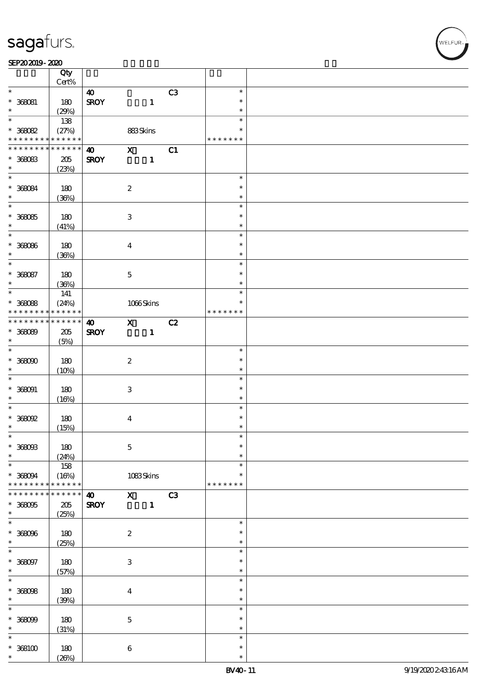$\top$ 

|                                    | Qty<br>Cert%               |                       |                           |              |    |               |  |
|------------------------------------|----------------------------|-----------------------|---------------------------|--------------|----|---------------|--|
| $\ast$                             |                            |                       |                           |              |    |               |  |
|                                    |                            | $\boldsymbol{\omega}$ |                           |              | C3 | $\ast$        |  |
| $* 360081$                         | 180                        | <b>SROY</b>           |                           | $\mathbf{1}$ |    | $\ast$        |  |
| $\ast$                             | (29%)                      |                       |                           |              |    | $\ast$        |  |
| $\overline{\ast}$                  | 138                        |                       |                           |              |    | $\ast$        |  |
| $* 36002$                          | (27%)                      |                       | 883Skins                  |              |    | $\ast$        |  |
| * * * * * * * *                    | $\ast\ast\ast\ast\ast\ast$ |                       |                           |              |    | * * * * * * * |  |
| * * * * * * * *                    | * * * * * *                | $\boldsymbol{\omega}$ | $\boldsymbol{\mathsf{X}}$ |              | C1 |               |  |
| $* 36003$                          | 205                        | <b>SROY</b>           |                           | $\mathbf{1}$ |    |               |  |
| $\ast$                             | (23%)                      |                       |                           |              |    |               |  |
| $\overline{\mathbf{r}}$            |                            |                       |                           |              |    | $\ast$        |  |
| $* 360034$                         | 180                        |                       | $\boldsymbol{2}$          |              |    | $\ast$        |  |
| $\ast$                             | (36%)                      |                       |                           |              |    | $\ast$        |  |
| $\overline{\phantom{0}}$           |                            |                       |                           |              |    | $\ast$        |  |
|                                    |                            |                       |                           |              |    | $\ast$        |  |
| $* 36005$                          | 180                        |                       | $\ensuremath{\mathbf{3}}$ |              |    | $\ast$        |  |
| $\ast$<br>$\overline{\phantom{0}}$ | (41%)                      |                       |                           |              |    |               |  |
|                                    |                            |                       |                           |              |    | $\ast$        |  |
| * 368086                           | 180                        |                       | $\boldsymbol{4}$          |              |    | $\ast$        |  |
| $\ast$                             | (36%)                      |                       |                           |              |    | $\ast$        |  |
| $\overline{\ast}$                  |                            |                       |                           |              |    | $\ast$        |  |
| $* 360087$                         | 180                        |                       | $\bf 5$                   |              |    | $\ast$        |  |
| $\ast$                             | (36%)                      |                       |                           |              |    | $\ast$        |  |
| $\overline{\ast}$                  | 141                        |                       |                           |              |    | $\ast$        |  |
| $* 36008$                          | (24%)                      |                       |                           | 1066Skins    |    | $\ast$        |  |
| * * * * * * * *                    | * * * * * *                |                       |                           |              |    | * * * * * * * |  |
| * * * * * * * *                    | $******$                   | $\boldsymbol{\omega}$ | $\mathbf{x}$              |              | C2 |               |  |
| $* 368089$                         | 205                        | <b>SROY</b>           |                           | $\mathbf{1}$ |    |               |  |
| $\ast$                             | (5%)                       |                       |                           |              |    |               |  |
| $\overline{\ast}$                  |                            |                       |                           |              |    | $\ast$        |  |
| $* 36000$                          | 180                        |                       | $\boldsymbol{2}$          |              |    | $\ast$        |  |
| $\ast$                             |                            |                       |                           |              |    | $\ast$        |  |
| $\ast$                             | (10%)                      |                       |                           |              |    | $\ast$        |  |
|                                    |                            |                       |                           |              |    |               |  |
| $* 36001$                          | 180                        |                       | $\ensuremath{\mathbf{3}}$ |              |    | $\ast$        |  |
| $\ast$                             | (16%)                      |                       |                           |              |    | $\ast$        |  |
| $\ast$                             |                            |                       |                           |              |    | $\ast$        |  |
| $*$ 368092                         | 180                        |                       | $\bf{4}$                  |              |    | $\ast$        |  |
| $\ast$                             | (15%)                      |                       |                           |              |    | $\ast$        |  |
| $\ast$                             |                            |                       |                           |              |    | $\ast$        |  |
| $* 3600B$                          | 180                        |                       | $\mathbf 5$               |              |    | $\ast$        |  |
| $\ast$                             | (24%)                      |                       |                           |              |    | $\ast$        |  |
| $\ast$                             | 158                        |                       |                           |              |    | $\ast$        |  |
| * 368094                           | (16%)                      |                       |                           | 1083Skins    |    | $\ast$        |  |
| * * * * * * * *                    | * * * * * *                |                       |                           |              |    | * * * * * * * |  |
| * * * * * * *                      | * * * * * *                | $\boldsymbol{\omega}$ | $\mathbf{x}$              |              | C3 |               |  |
| $*36805$                           | 205                        | <b>SROY</b>           |                           | $\mathbf{1}$ |    |               |  |
| $\ast$                             | (25%)                      |                       |                           |              |    |               |  |
| $\ast$                             |                            |                       |                           |              |    | $\ast$        |  |
| $* 36006$                          | 180                        |                       | $\boldsymbol{2}$          |              |    | $\ast$        |  |
| $\ast$                             |                            |                       |                           |              |    | $\ast$        |  |
| $\ast$                             | (25%)                      |                       |                           |              |    | $\ast$        |  |
|                                    |                            |                       |                           |              |    | $\ast$        |  |
| $* 368097$                         | 180                        |                       | $\,3$                     |              |    |               |  |
| $\ast$<br>$\overline{\ast}$        | (57%)                      |                       |                           |              |    | $\ast$        |  |
|                                    |                            |                       |                           |              |    | $\ast$        |  |
| $* 36008$                          | 180                        |                       | $\bf{4}$                  |              |    | $\ast$        |  |
| $\ast$                             | (30%)                      |                       |                           |              |    | $\ast$        |  |
| $\ast$                             |                            |                       |                           |              |    | $\ast$        |  |
| $* 36009$                          | 180                        |                       | $\mathbf 5$               |              |    | $\ast$        |  |
| $\ast$                             | (31%)                      |                       |                           |              |    | $\ast$        |  |
| $\ast$                             |                            |                       |                           |              |    | $\ast$        |  |
| $*$ 368100                         | 180                        |                       | $\bf 6$                   |              |    | $\ast$        |  |
|                                    |                            |                       |                           |              |    |               |  |

 $\top$ 

.<br>WELFUR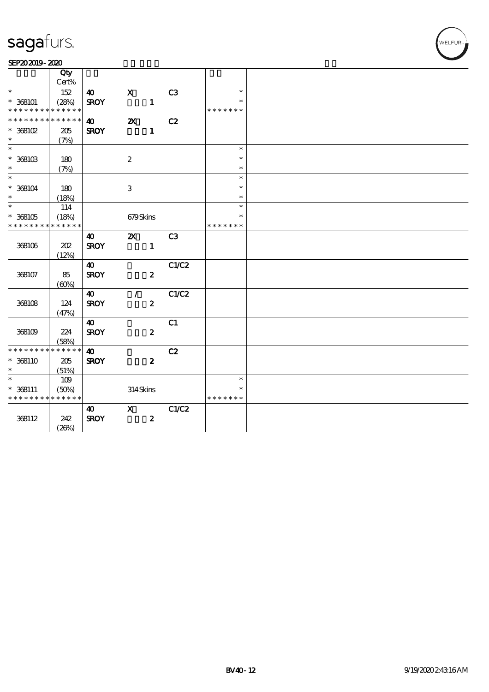### SEP202019-2020

|                               | Qty                        |                       |                           |                  |                |               |  |
|-------------------------------|----------------------------|-----------------------|---------------------------|------------------|----------------|---------------|--|
|                               | Cert%                      |                       |                           |                  |                |               |  |
| $\ast$                        | 152                        | $\boldsymbol{\omega}$ | $\mathbf X$               |                  | C <sub>3</sub> | $\ast$        |  |
| $* 368101$                    | (28%)                      | <b>SROY</b>           |                           | $\mathbf{1}$     |                | $\ast$        |  |
| * * * * * * * * * * * * * *   |                            |                       |                           |                  |                | * * * * * * * |  |
| * * * * * * * *               | * * * * * *                | $\boldsymbol{\omega}$ | $\boldsymbol{\mathsf{z}}$ |                  | C2             |               |  |
| $*$ 368102                    | 205                        | <b>SROY</b>           |                           | $\mathbf{1}$     |                |               |  |
| $\ast$                        | (7%)                       |                       |                           |                  |                |               |  |
| $\ast$                        |                            |                       |                           |                  |                | $\ast$        |  |
| $^*$ 368103 $\,$              | 180                        |                       | $\boldsymbol{2}$          |                  |                | $\ast$        |  |
| $\ast$                        | (7%)                       |                       |                           |                  |                | $\ast$        |  |
| $\ast$                        |                            |                       |                           |                  |                | $\ast$        |  |
| $* 368104$                    | 180                        |                       | 3                         |                  |                | $\ast$        |  |
| $\ast$                        | (18%)                      |                       |                           |                  |                | $\ast$        |  |
| $\ast$                        | 114                        |                       |                           |                  |                | $\ast$        |  |
| $^\ast$ 368105                | (18%)                      |                       | 679Skins                  |                  |                | $\ast$        |  |
| * * * * * * * *               | * * * * * *                |                       |                           |                  |                | * * * * * * * |  |
|                               |                            | $\boldsymbol{\omega}$ | $\boldsymbol{\mathsf{X}}$ |                  | C <sub>3</sub> |               |  |
| 368106                        | 202                        | <b>SROY</b>           |                           | $\mathbf{1}$     |                |               |  |
|                               | (12%)                      |                       |                           |                  |                |               |  |
|                               |                            | $\boldsymbol{\omega}$ |                           |                  | C1/C2          |               |  |
| 368107                        | 85                         | <b>SROY</b>           |                           | $\boldsymbol{z}$ |                |               |  |
|                               | (60%)                      |                       |                           |                  |                |               |  |
|                               |                            | 40                    | $\mathcal{L}$             |                  | C1/C2          |               |  |
| 368108                        | 124                        | <b>SROY</b>           |                           | $\boldsymbol{z}$ |                |               |  |
|                               | (47%)                      |                       |                           |                  |                |               |  |
|                               |                            | 40                    |                           |                  | C1             |               |  |
| 368109                        | 224                        | <b>SROY</b>           |                           | $\boldsymbol{z}$ |                |               |  |
|                               | (58%)                      |                       |                           |                  |                |               |  |
| * * * * * * * *               | $\ast\ast\ast\ast\ast\ast$ | $\boldsymbol{\omega}$ |                           |                  | C2             |               |  |
| * 368110                      | 205                        | <b>SROY</b>           |                           | $\boldsymbol{z}$ |                |               |  |
| $\ast$                        |                            |                       |                           |                  |                |               |  |
| $\overline{\ast}$             | (51%)<br>109               |                       |                           |                  |                | $\ast$        |  |
|                               |                            |                       |                           |                  |                | $\ast$        |  |
| $* 368111$<br>* * * * * * * * | (50%)<br>* * * * * *       |                       | 314Skins                  |                  |                | * * * * * * * |  |
|                               |                            |                       |                           |                  |                |               |  |
|                               |                            | 40                    | $\mathbf x$               |                  | C1/C2          |               |  |
| 368112                        | 242                        | <b>SROY</b>           |                           | $\boldsymbol{z}$ |                |               |  |
|                               | (20%)                      |                       |                           |                  |                |               |  |

WELFUR-<br>
.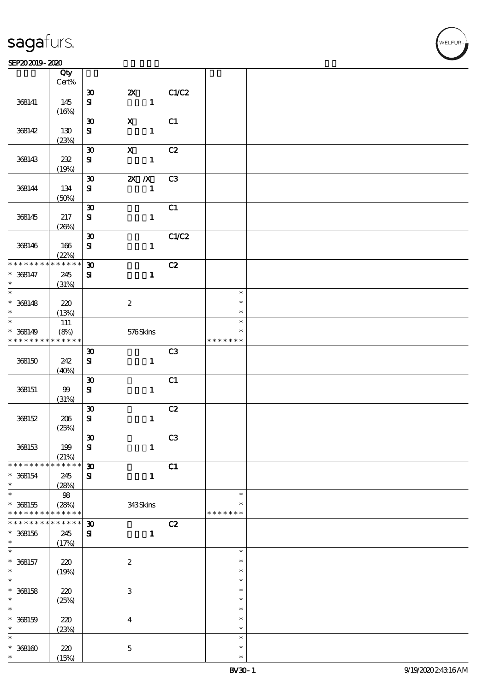### $SEP202019 - 2020$

|                               | Qty<br>Cert%    |                             |                           |              |                |               |  |
|-------------------------------|-----------------|-----------------------------|---------------------------|--------------|----------------|---------------|--|
|                               |                 |                             |                           |              |                |               |  |
|                               |                 | $\boldsymbol{\mathfrak{D}}$ | $\boldsymbol{\alpha}$     |              | C1/C2          |               |  |
| 368141                        | 145             | $\mathbf{S}$                |                           | $\mathbf{1}$ |                |               |  |
|                               | (16%)           |                             |                           |              |                |               |  |
|                               |                 | $\boldsymbol{\mathfrak{D}}$ | $\mathbf X$               |              | C1             |               |  |
| 368142                        | 130             | ${\bf S}$                   |                           | $\mathbf{1}$ |                |               |  |
|                               | (23%)           |                             |                           |              |                |               |  |
|                               |                 | $\pmb{\mathfrak{D}}$        | $\mathbf x$               |              | C2             |               |  |
| 368143                        | 232             | ${\bf s}$                   |                           | $\mathbf{1}$ |                |               |  |
|                               | (19%)           |                             |                           |              |                |               |  |
|                               |                 | $\boldsymbol{\mathfrak{D}}$ | $X$ $X$                   |              | C3             |               |  |
| 368144                        | 134             | $\mathbf{S}$                |                           | $\mathbf{1}$ |                |               |  |
|                               |                 |                             |                           |              |                |               |  |
|                               | (50%)           |                             |                           |              | C1             |               |  |
|                               |                 | $\boldsymbol{\mathfrak{D}}$ |                           |              |                |               |  |
| 368145                        | 217             | ${\bf s}$                   |                           | $\mathbf{1}$ |                |               |  |
|                               | (20%)           |                             |                           |              |                |               |  |
|                               |                 | $\boldsymbol{\mathfrak{D}}$ |                           |              | C1/C2          |               |  |
| 368146                        | 166             | ${\bf S\!I}$                |                           | $\mathbf{1}$ |                |               |  |
|                               | (22%)           |                             |                           |              |                |               |  |
| * * * * * * * *               | $***$ * * * * * | $\boldsymbol{\mathfrak{D}}$ |                           |              | C2             |               |  |
| $* 368147$                    | 245             | $\mathbf{S}$                |                           | $\mathbf{1}$ |                |               |  |
| $\ast$                        | (31%)           |                             |                           |              |                |               |  |
|                               |                 |                             |                           |              |                | $\ast$        |  |
| $* 368148$                    | 220             |                             | $\boldsymbol{2}$          |              |                | $\ast$        |  |
| $\ast$                        | (13%)           |                             |                           |              |                | $\ast$        |  |
| $\overline{\ast}$             | $111\,$         |                             |                           |              |                | $\ast$        |  |
| $* 368149$                    | (8%)            |                             | 576Skins                  |              |                | $\ast$        |  |
| * * * * * * * *               | * * * * * *     |                             |                           |              |                | * * * * * * * |  |
|                               |                 |                             |                           |              |                |               |  |
|                               |                 | $\boldsymbol{\mathfrak{D}}$ |                           |              | C <sub>3</sub> |               |  |
| 368150                        | 242             | ${\bf S}$                   |                           | $\mathbf{1}$ |                |               |  |
|                               | (40%)           |                             |                           |              |                |               |  |
|                               |                 | $\boldsymbol{\mathfrak{D}}$ |                           |              | C1             |               |  |
| 368151                        | 99              | ${\bf s}$                   |                           | $\mathbf{1}$ |                |               |  |
|                               | (31%)           |                             |                           |              |                |               |  |
|                               |                 | $\pmb{\mathfrak{D}}$        |                           |              | C2             |               |  |
| 368152                        | 206             | $\mathbf{S}$                |                           | $\mathbf{1}$ |                |               |  |
|                               | (25%)           |                             |                           |              |                |               |  |
|                               |                 | $\boldsymbol{\mathfrak{D}}$ |                           |              | C3             |               |  |
| 368153                        | 199             | ${\bf S}$                   |                           | $\mathbf{1}$ |                |               |  |
|                               | (21%)           |                             |                           |              |                |               |  |
| * * * * * * * *               | * * * * * *     | $\boldsymbol{\mathfrak{D}}$ |                           |              | C1             |               |  |
| $* 368154$                    | 245             | ${\bf s}$                   |                           | $\mathbf{1}$ |                |               |  |
| $\ast$                        | (28%)           |                             |                           |              |                |               |  |
| $\ast$                        | $98\,$          |                             |                           |              |                | $\ast$        |  |
|                               | (28%)           |                             |                           |              |                | $\ast$        |  |
| $* 368155$<br>* * * * * * * * | * * * * * *     |                             | 343Skins                  |              |                | * * * * * * * |  |
| * * * * * * * *               | $******$        |                             |                           |              |                |               |  |
|                               |                 | $\boldsymbol{\mathfrak{D}}$ |                           |              | C2             |               |  |
| $* 368156$                    | 245             | ${\bf s}$                   |                           | $\mathbf{1}$ |                |               |  |
| $\ast$                        | (17%)           |                             |                           |              |                |               |  |
| $\ast$                        |                 |                             |                           |              |                | $\ast$        |  |
| $* 368157$                    | 220             |                             | $\boldsymbol{2}$          |              |                | $\ast$        |  |
| $\ast$                        | (19%)           |                             |                           |              |                | $\ast$        |  |
| $\ast$                        |                 |                             |                           |              |                | $\ast$        |  |
| $* 368158$                    | 220             |                             | $\ensuremath{\mathbf{3}}$ |              |                | $\ast$        |  |
| $\ast$                        | (25%)           |                             |                           |              |                | $\ast$        |  |
| $\ast$                        |                 |                             |                           |              |                | $\ast$        |  |
| $* 368159$                    | 220             |                             | $\boldsymbol{4}$          |              |                | $\ast$        |  |
| $\ast$                        | (23%)           |                             |                           |              |                | $\ast$        |  |
| $\ast$                        |                 |                             |                           |              |                | $\ast$        |  |
|                               |                 |                             |                           |              |                | $\ast$        |  |
| $*368160$<br>*                | 220             |                             | $\mathbf 5$               |              |                | $\ast$        |  |
|                               | (15%)           |                             |                           |              |                |               |  |

**NELFUR**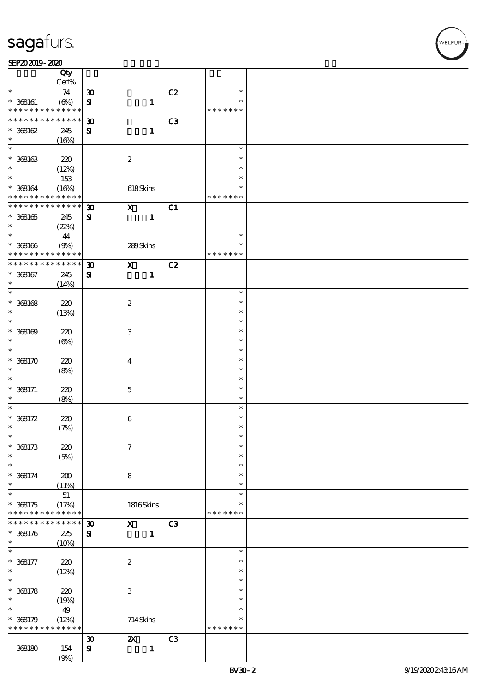### SEP202019-2020

|                                            | Qty<br>Cert% |                             |                           |              |                |               |  |
|--------------------------------------------|--------------|-----------------------------|---------------------------|--------------|----------------|---------------|--|
| $\ast$                                     | 74           |                             |                           |              | C2             | $\ast$        |  |
|                                            |              | $\boldsymbol{\mathfrak{D}}$ |                           |              |                |               |  |
| $* 368161$                                 | $(\Theta_0)$ | ${\bf s}$                   |                           | $\mathbf{1}$ |                | $\ast$        |  |
| * * * * * * * * <mark>* * * * * *</mark>   |              |                             |                           |              |                | * * * * * * * |  |
| * * * * * * * *                            | * * * * * *  | $\boldsymbol{\mathfrak{D}}$ |                           |              | C <sub>3</sub> |               |  |
| $*368162$                                  | 245          | ${\bf s}$                   |                           | $\mathbf{1}$ |                |               |  |
| $\ast$                                     | (16%)        |                             |                           |              |                |               |  |
| $\overline{\ast}$                          |              |                             |                           |              |                | $\ast$        |  |
|                                            |              |                             |                           |              |                |               |  |
| $* 368163$                                 | 220          |                             | $\boldsymbol{2}$          |              |                | $\ast$        |  |
| $\ast$                                     | (12%)        |                             |                           |              |                | $\ast$        |  |
|                                            | 153          |                             |                           |              |                | $\ast$        |  |
| $* 368164$                                 | (16%)        |                             | 618Skins                  |              |                | $\ast$        |  |
| * * * * * * * * <mark>* * * * * * *</mark> |              |                             |                           |              |                | * * * * * * * |  |
| * * * * * * * *                            | ******       |                             |                           |              |                |               |  |
|                                            |              | $\boldsymbol{\mathfrak{D}}$ | $\boldsymbol{\mathrm{X}}$ |              | C1             |               |  |
| $* 368165$                                 | 245          | ${\bf s}$                   |                           | $\mathbf{1}$ |                |               |  |
| $\ast$                                     | (22%)        |                             |                           |              |                |               |  |
| $\overline{\phantom{0}}$                   | 44           |                             |                           |              |                | $\ast$        |  |
| $* 368166$                                 | (9%)         |                             | 289Skins                  |              |                | $\ast$        |  |
| * * * * * * * *                            | * * * * * *  |                             |                           |              |                | * * * * * * * |  |
| * * * * * * * *                            | * * * * * *  |                             |                           |              |                |               |  |
|                                            |              | $\boldsymbol{\mathfrak{D}}$ | $\mathbf{X}$              |              | C2             |               |  |
| $* 368167$                                 | 245          | ${\bf S}$                   |                           | $\mathbf{1}$ |                |               |  |
| $\ast$                                     | (14%)        |                             |                           |              |                |               |  |
| $\overline{\ast}$                          |              |                             |                           |              |                | $\ast$        |  |
| $* 368168$                                 | 220          |                             | $\boldsymbol{2}$          |              |                | $\ast$        |  |
| $\ast$                                     | (13%)        |                             |                           |              |                | $\ast$        |  |
| $\overline{\ast}$                          |              |                             |                           |              |                | $\ast$        |  |
|                                            |              |                             |                           |              |                |               |  |
| $* 368169$                                 | 220          |                             | $\,3$                     |              |                | $\ast$        |  |
| $\ast$                                     | $(\Theta)$   |                             |                           |              |                | $\ast$        |  |
| $\overline{\ast}$                          |              |                             |                           |              |                | $\ast$        |  |
| $* 368170$                                 | 220          |                             | $\boldsymbol{4}$          |              |                | $\ast$        |  |
| $\ast$                                     |              |                             |                           |              |                | $\ast$        |  |
| $\ast$                                     | (8%)         |                             |                           |              |                |               |  |
|                                            |              |                             |                           |              |                | $\ast$        |  |
| $* 368171$                                 | 220          |                             | $\mathbf 5$               |              |                | $\ast$        |  |
| $\ast$                                     | (8%)         |                             |                           |              |                | $\ast$        |  |
| $\ast$                                     |              |                             |                           |              |                | $\ast$        |  |
| $* 368172$                                 | 220          |                             | $\bf 6$                   |              |                | $\ast$        |  |
| $\ast$                                     | (7%)         |                             |                           |              |                | $\ast$        |  |
| $\ast$                                     |              |                             |                           |              |                | $\ast$        |  |
|                                            |              |                             |                           |              |                |               |  |
| $* 368173$                                 | 220          |                             | $\tau$                    |              |                | $\ast$        |  |
| $\ast$                                     | (5%)         |                             |                           |              |                | $\ast$        |  |
| $\ast$                                     |              |                             |                           |              |                | $\ast$        |  |
| $* 368174$                                 | 200          |                             | 8                         |              |                | $\ast$        |  |
| $\ast$                                     | (11%)        |                             |                           |              |                | $\ast$        |  |
| $\overline{\ast}$                          |              |                             |                           |              |                | $\ast$        |  |
|                                            | 51           |                             |                           |              |                |               |  |
| $* 368175$                                 | (17%)        |                             | 1816Skins                 |              |                | *             |  |
| * * * * * * * *                            | * * * * * *  |                             |                           |              |                | * * * * * * * |  |
| * * * * * * * *                            | * * * * * *  | $\boldsymbol{\mathfrak{D}}$ | $\mathbf{x}$              |              | C3             |               |  |
| $* 368176$                                 | 225          | ${\bf s}$                   |                           | $\mathbf{1}$ |                |               |  |
| $\ast$                                     | (10%)        |                             |                           |              |                |               |  |
| $\ast$                                     |              |                             |                           |              |                | $\ast$        |  |
|                                            |              |                             |                           |              |                | $\ast$        |  |
| $* 368177$                                 | 220          |                             | $\boldsymbol{2}$          |              |                |               |  |
| $\ast$                                     | (12%)        |                             |                           |              |                | $\ast$        |  |
| $\overline{\ast}$                          |              |                             |                           |              |                | $\ast$        |  |
| $* 368178$                                 | 220          |                             | $\,3$                     |              |                | $\ast$        |  |
| $\ast$                                     | (19%)        |                             |                           |              |                | $\ast$        |  |
| $\ast$                                     | 49           |                             |                           |              |                | $\ast$        |  |
|                                            |              |                             |                           |              |                | $\ast$        |  |
| $* 368179$                                 | (12%)        |                             | $714S$ kins               |              |                |               |  |
| * * * * * * * *                            | * * * * * *  |                             |                           |              |                | * * * * * * * |  |
|                                            |              | $\boldsymbol{\mathfrak{D}}$ | $\boldsymbol{\mathsf{X}}$ |              | C <sub>3</sub> |               |  |
| 368180                                     | 154          | ${\bf s}$                   |                           | $\mathbf{1}$ |                |               |  |
|                                            | (9%)         |                             |                           |              |                |               |  |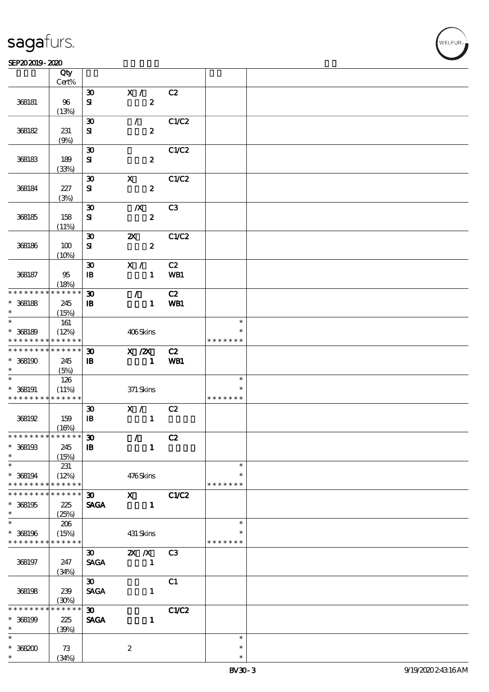### $SEP202019 - 2020$

|                   | Qty<br>Cert%  |                             |                           |                |               |  |
|-------------------|---------------|-----------------------------|---------------------------|----------------|---------------|--|
|                   |               |                             |                           |                |               |  |
|                   |               | $\boldsymbol{\mathfrak{D}}$ | X /                       | C2             |               |  |
| 368181            | 96            | ${\bf s}$                   | $\pmb{2}$                 |                |               |  |
|                   | (13%)         |                             |                           |                |               |  |
|                   |               | $\boldsymbol{\mathfrak{D}}$ | $\mathcal{L}$             | C1/C2          |               |  |
| 368182            | 231           | ${\bf s}$                   | $\pmb{2}$                 |                |               |  |
|                   | (9%)          |                             |                           |                |               |  |
|                   |               | $\boldsymbol{\mathfrak{D}}$ |                           | C1/C2          |               |  |
| 368183            | 189           | ${\bf s}$                   | $\pmb{2}$                 |                |               |  |
|                   | (33%)         |                             |                           |                |               |  |
|                   |               | $\boldsymbol{\mathfrak{D}}$ | $\mathbf X$               | C1/C2          |               |  |
| 368184            | 227           | ${\bf s}$                   | $\boldsymbol{2}$          |                |               |  |
|                   | (3%)          |                             |                           |                |               |  |
|                   |               | $\boldsymbol{\mathfrak{D}}$ | $\boldsymbol{X}$          | C3             |               |  |
| 368185            | 158           | ${\bf S}$                   | $\pmb{2}$                 |                |               |  |
|                   | (11%)         |                             |                           |                |               |  |
|                   |               | $\boldsymbol{\mathfrak{D}}$ | $\boldsymbol{\mathsf{Z}}$ | C1/C2          |               |  |
| 368186            | 100           | ${\bf s}$                   | $\pmb{2}$                 |                |               |  |
|                   | (10%)         |                             |                           |                |               |  |
|                   |               | $\boldsymbol{\mathfrak{D}}$ | X /                       | C2             |               |  |
| 368187            | 95            | $\mathbf{B}$                | $\mathbf{1}$              | WB1            |               |  |
|                   | (18%)         |                             |                           |                |               |  |
| * * * * * * * *   | * * * * * *   | $\boldsymbol{\mathfrak{D}}$ | $\mathcal{L}$             | C2             |               |  |
| $* 368188$        | 245           | $\mathbf{B}$                | $\mathbf{1}$              | WB1            |               |  |
| $\ast$            | (15%)         |                             |                           |                |               |  |
| $\ast$            | 161           |                             |                           |                | $\ast$        |  |
| $* 368189$        | (12%)         |                             | 406Skins                  |                | $\ast$        |  |
| * * * * * * * *   | * * * * * *   |                             |                           |                | * * * * * * * |  |
| * * * * * * * *   | * * * * * *   | $\boldsymbol{\mathfrak{D}}$ | $X$ / $ZX$                | C2             |               |  |
| $*368190$         | 245           | $\mathbf{B}$                | $\mathbf{1}$              | WB1            |               |  |
| $\ast$            | (5%)          |                             |                           |                |               |  |
| $\ast$            | 126           |                             |                           |                | $\ast$        |  |
| $* 368191$        | (11%)         |                             | 371 Skins                 |                | $\ast$        |  |
| * * * * * * * *   | * * * * * *   |                             |                           |                | * * * * * * * |  |
|                   |               |                             | X /                       | C2             |               |  |
|                   |               | $\boldsymbol{\mathfrak{D}}$ |                           |                |               |  |
| 368192            | 159           | $\mathbf{B}$                | $\mathbf{1}$              |                |               |  |
| ************** 30 | (16%)         |                             |                           |                |               |  |
|                   |               |                             | $\sqrt{C^2}$              |                |               |  |
| $* 368193$        | 245           | $\mathbf I\mathbf B$        | $\mathbf{1}$              |                |               |  |
| $\ast$            | (15%)         |                             |                           |                |               |  |
| $\ast$            | 231           |                             |                           |                | $\ast$        |  |
| $* 368194$        | (12%)         |                             | 476Skins                  |                | $\ast$        |  |
| * * * * * * * *   | * * * * * *   |                             |                           |                | * * * * * * * |  |
| * * * * * * * *   | * * * * * *   | $\boldsymbol{\mathfrak{D}}$ | $\mathbf{x}$              | C1/C2          |               |  |
| $* 368195$        | 225           | <b>SAGA</b>                 | $\mathbf{1}$              |                |               |  |
| $\ast$            | (25%)         |                             |                           |                |               |  |
| $\ast$            | 206           |                             |                           |                | $\ast$        |  |
| * 368196          | (15%)         |                             | 431 Skins                 |                |               |  |
| * * * * * * * *   | * * * * * *   |                             |                           |                | * * * * * * * |  |
|                   |               | $\boldsymbol{\mathfrak{D}}$ | $X$ $X$                   | C <sub>3</sub> |               |  |
| 368197            | 247           | <b>SAGA</b>                 | $\mathbf{1}$              |                |               |  |
|                   | (34%)         |                             |                           |                |               |  |
|                   |               | $\boldsymbol{\mathfrak{D}}$ |                           | C1             |               |  |
| 368198            | 239           | <b>SAGA</b>                 | $\mathbf{1}$              |                |               |  |
|                   | (30%)         |                             |                           |                |               |  |
| * * * * * *       | $* * * * * *$ | $\boldsymbol{\mathfrak{B}}$ |                           | C1/C2          |               |  |
| * 368199          | 225           | <b>SAGA</b>                 | $\mathbf{1}$              |                |               |  |
| $\ast$            | (39%)         |                             |                           |                |               |  |
| $\ast$            |               |                             |                           |                | $\ast$        |  |
| $*368200$         | 73            |                             | $\boldsymbol{2}$          |                | $\ast$        |  |
| $\ast$            | (34%)         |                             |                           |                | $\ast$        |  |

**NELFUR**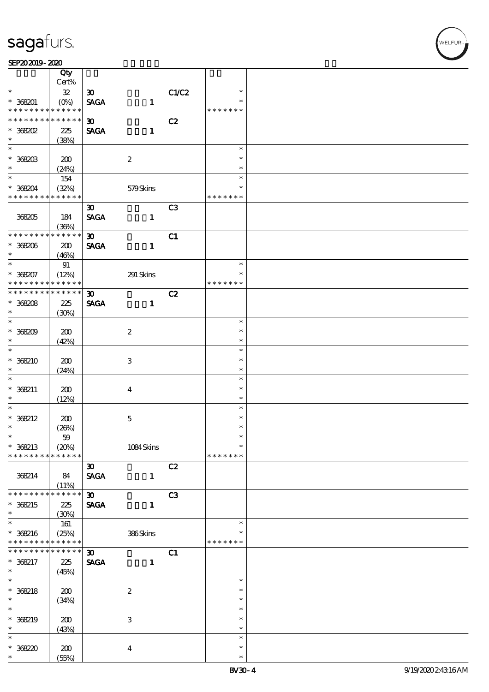### SEP202019-2020

|                               | Qty<br>Cert%           |                             |                           |                |               |  |
|-------------------------------|------------------------|-----------------------------|---------------------------|----------------|---------------|--|
| $\ast$                        |                        |                             |                           |                | $\ast$        |  |
|                               | ${\bf 3\!}$            | $\boldsymbol{\mathfrak{D}}$ |                           | C1/C2          | $\ast$        |  |
| $*368201$<br>* * * * * * * *  | $(O\%)$<br>* * * * * * | <b>SAGA</b>                 | $\mathbf{1}$              |                | * * * * * * * |  |
|                               |                        |                             |                           |                |               |  |
| * * * * * * * *               | * * * * * *            | 30 <sub>1</sub>             |                           | C2             |               |  |
| $*$ 368202                    | 225                    | <b>SAGA</b>                 | $\mathbf{1}$              |                |               |  |
| $\ast$                        | (38%)                  |                             |                           |                |               |  |
|                               |                        |                             |                           |                | $\ast$        |  |
| $*$ 368203                    | 200                    |                             | $\boldsymbol{2}$          |                | $\ast$        |  |
| $\ast$                        | (24%)                  |                             |                           |                | $\ast$        |  |
| $*$                           | 154                    |                             |                           |                | $\ast$        |  |
| $*368204$                     | (32%)                  |                             | 579Skins                  |                | $\ast$        |  |
| * * * * * * * *               | * * * * * *            |                             |                           |                | * * * * * * * |  |
|                               |                        | $\boldsymbol{\mathfrak{D}}$ |                           | C <sub>3</sub> |               |  |
| 368205                        | 184                    | <b>SAGA</b>                 | $\mathbf{1}$              |                |               |  |
|                               | (36%)                  |                             |                           |                |               |  |
| * * * * * * * *               | * * * * * *            | 30 <sub>o</sub>             |                           | C1             |               |  |
| $*368206$                     | 200                    | <b>SAGA</b>                 | $\mathbf{1}$              |                |               |  |
| $\ast$                        | (46%)                  |                             |                           |                |               |  |
| $\ast$                        |                        |                             |                           |                | $\ast$        |  |
|                               | 91                     |                             |                           |                | $\ast$        |  |
| $* 368207$<br>* * * * * * * * | (12%)<br>* * * * * *   |                             | 291 Skins                 |                | * * * * * * * |  |
|                               | * * * * * *            |                             |                           |                |               |  |
| * * * * * * * *               |                        | $\boldsymbol{\mathfrak{D}}$ |                           | C2             |               |  |
| $*368208$                     | 225                    | <b>SAGA</b>                 | $\mathbf{1}$              |                |               |  |
| $\ast$                        | (30%)                  |                             |                           |                |               |  |
| $\overline{\phantom{0}}$      |                        |                             |                           |                | $\ast$        |  |
| $* 36800$                     | 200                    |                             | $\boldsymbol{2}$          |                | $\ast$        |  |
| $\ast$                        | (42%)                  |                             |                           |                | $\ast$        |  |
| $\overline{\ast}$             |                        |                             |                           |                | $\ast$        |  |
| $*368210$                     | 200                    |                             | $\,3$                     |                | $\ast$        |  |
| $\ast$                        | (24%)                  |                             |                           |                | $\ast$        |  |
| $\ast$                        |                        |                             |                           |                | $\ast$        |  |
| $* 368211$                    | 200                    |                             | $\bf{4}$                  |                | $\ast$        |  |
| $\ast$                        | (12%)                  |                             |                           |                | $\ast$        |  |
| $\ast$                        |                        |                             |                           |                | $\ast$        |  |
| $* 368212$                    | 200                    |                             | $\mathbf 5$               |                | $\ast$        |  |
| $\ast$                        | (20%)                  |                             |                           |                | $\ast$        |  |
| $*$                           | ${\bf 59}$             |                             |                           |                | $\ast$        |  |
| $* 368213$                    | (20%)                  |                             | 1084Skins                 |                | $\ast$        |  |
| * * * * * * * *               | * * * * * *            |                             |                           |                | * * * * * * * |  |
|                               |                        | $\boldsymbol{\mathfrak{D}}$ |                           | C2             |               |  |
| 368214                        |                        | <b>SAGA</b>                 | $\mathbf{1}$              |                |               |  |
|                               | 84                     |                             |                           |                |               |  |
| * * * * * * * *               | (11%)<br>* * * * * *   | $\boldsymbol{\mathfrak{D}}$ |                           | C3             |               |  |
|                               |                        |                             |                           |                |               |  |
| * 368215<br>$\ast$            | 225                    | <b>SAGA</b>                 | $\mathbf{1}$              |                |               |  |
| $\overline{\ast}$             | (30%)                  |                             |                           |                | $\ast$        |  |
|                               | 161                    |                             |                           |                |               |  |
| $* 368216$                    | (25%)                  |                             | 386Skins                  |                | ∗             |  |
| * * * * * * * *               | * * * * * *            |                             |                           |                | * * * * * * * |  |
| * * * * * * *                 | * * * * * *            | $\boldsymbol{\mathfrak{D}}$ |                           | C1             |               |  |
| * 368217                      | 225                    | <b>SAGA</b>                 | $\mathbf{1}$              |                |               |  |
| $\ast$                        | (45%)                  |                             |                           |                |               |  |
| $\overline{\phantom{0}}$      |                        |                             |                           |                | $\ast$        |  |
| $* 368218$                    | 200                    |                             | $\boldsymbol{2}$          |                | $\ast$        |  |
| $\ast$                        | (34%)                  |                             |                           |                | $\ast$        |  |
| $\ast$                        |                        |                             |                           |                | $\ast$        |  |
| * 368219                      | 200                    |                             | $\ensuremath{\mathbf{3}}$ |                | $\ast$        |  |
| $\ast$                        | (43%)                  |                             |                           |                | $\ast$        |  |
| $\ast$                        |                        |                             |                           |                | $\ast$        |  |
| $*36820$                      | 200                    |                             | $\bf{4}$                  |                | $\ast$        |  |
| $\ast$                        | (55%)                  |                             |                           |                | $\ast$        |  |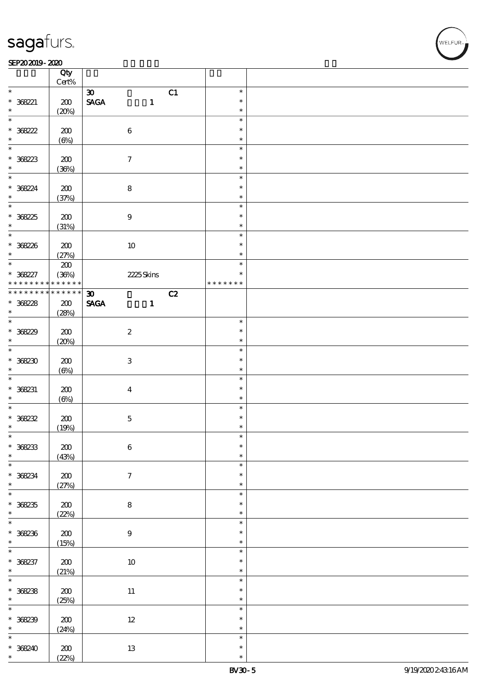### $SEP202019 - 2020$

|                                            | Qty<br>$\mbox{Cert}\%$ |                                                             |                           |    |                  |  |
|--------------------------------------------|------------------------|-------------------------------------------------------------|---------------------------|----|------------------|--|
| $\ast$                                     |                        |                                                             |                           |    | $\ast$           |  |
| $* 368221$                                 | $200$                  | $\boldsymbol{\mathfrak{D}}$<br>$\ensuremath{\mathsf{SAGA}}$ | $\mathbf{1}$              | C1 | $\ast$           |  |
| $\ast$                                     | (20%)                  |                                                             |                           |    | $\ast$           |  |
| $\overline{\ast}$<br>* 368222              | 200                    |                                                             | $\bf 6$                   |    | $\ast$<br>$\ast$ |  |
| $\ast$                                     | $(\Theta)$             |                                                             |                           |    | $\ast$           |  |
|                                            |                        |                                                             |                           |    | $\ast$           |  |
| $* 368223$<br>$\ast$                       | 200                    |                                                             | $\boldsymbol{7}$          |    | $\ast$<br>$\ast$ |  |
|                                            | (36%)                  |                                                             |                           |    |                  |  |
| $\ast$                                     |                        |                                                             |                           |    | $\ast$           |  |
| * 36824<br>$\ast$                          | 200<br>(37%)           |                                                             | ${\bf 8}$                 |    | $\ast$<br>$\ast$ |  |
| $\overline{\phantom{0}}$                   |                        |                                                             |                           |    | $\ast$           |  |
|                                            |                        |                                                             |                           |    | $\ast$           |  |
| $* 36825$                                  | 200                    |                                                             | $\boldsymbol{9}$          |    |                  |  |
|                                            | (31%)                  |                                                             |                           |    | $\ast$           |  |
|                                            |                        |                                                             |                           |    | $\ast$           |  |
| * 368226<br>$\ast$                         | 200<br>(27%)           |                                                             | $10\,$                    |    | $\ast$<br>$\ast$ |  |
| $\ddot{x}$                                 |                        |                                                             |                           |    |                  |  |
|                                            | ${\bf 20}$             |                                                             |                           |    | $\ast$           |  |
| $* 368227$                                 | (36%)                  |                                                             | 2225Skins                 |    | $\ast$           |  |
| * * * * * * * * <mark>* * * * * * *</mark> |                        |                                                             |                           |    | * * * * * * *    |  |
| * * * * * * * * * * * * * *                |                        | $\boldsymbol{\mathfrak{D}}$                                 |                           | C2 |                  |  |
|                                            |                        |                                                             |                           |    |                  |  |
| $* 36828$                                  | $200\,$                | $\ensuremath{\mathsf{SAGA}}$                                | $\mathbf{1}$              |    |                  |  |
| $\ast$                                     | (28%)                  |                                                             |                           |    |                  |  |
| $\overline{\ast}$                          |                        |                                                             |                           |    | $\ast$           |  |
|                                            |                        |                                                             |                           |    |                  |  |
| $* 368229$                                 | 200                    |                                                             | $\boldsymbol{2}$          |    | $\ast$           |  |
| $\ast$                                     | (20%)                  |                                                             |                           |    | $\ast$           |  |
| $\overline{\ast}$                          |                        |                                                             |                           |    | $\ast$           |  |
|                                            |                        |                                                             |                           |    |                  |  |
| $*368230$                                  | 200                    |                                                             | $\ensuremath{\mathbf{3}}$ |    | $\ast$           |  |
| $\ast$                                     | $(\Theta)$             |                                                             |                           |    | $\ast$           |  |
| $\overline{\ast}$                          |                        |                                                             |                           |    | $\ast$           |  |
|                                            |                        |                                                             |                           |    | $\ast$           |  |
| $* 368231$                                 | 200                    |                                                             | $\boldsymbol{4}$          |    |                  |  |
| $\ast$                                     | $(\Theta)$             |                                                             |                           |    | $\ast$           |  |
| $\ast$                                     |                        |                                                             |                           |    | $\ast$           |  |
| $* 368232$                                 | 200                    |                                                             | $\mathbf 5$               |    | $\ast$           |  |
|                                            |                        |                                                             |                           |    |                  |  |
| $\ast$                                     | (19%)                  |                                                             |                           |    | $\ast$           |  |
| $\ast$                                     |                        |                                                             |                           |    | ж                |  |
| $* 36233$                                  | 200                    |                                                             | $\bf 6$                   |    | $\ast$           |  |
| $\ast$                                     |                        |                                                             |                           |    | $\ast$           |  |
| $\overline{\ast}$                          | (43%)                  |                                                             |                           |    |                  |  |
|                                            |                        |                                                             |                           |    | $\ast$           |  |
| $* 368234$                                 | ${\bf Z0}$             |                                                             | $\boldsymbol{7}$          |    | $\ast$           |  |
| $\ast$                                     | (27%)                  |                                                             |                           |    | $\ast$           |  |
| $\ast$                                     |                        |                                                             |                           |    | $\ast$           |  |
|                                            |                        |                                                             |                           |    | $\ast$           |  |
| $* 368235$                                 | $\pmb{30}$             |                                                             | $\bf 8$                   |    |                  |  |
| $\ast$                                     | (22%)                  |                                                             |                           |    | $\ast$           |  |
| $\overline{\ast}$                          |                        |                                                             |                           |    | $\ast$           |  |
| $* 36236$                                  | $200$                  |                                                             | $9$                       |    | $\ast$           |  |
|                                            |                        |                                                             |                           |    |                  |  |
| $\ast$                                     | (15%)                  |                                                             |                           |    | $\ast$           |  |
|                                            |                        |                                                             |                           |    | $\ast$           |  |
| $* 368237$                                 | ${\bf Z0}$             |                                                             | $10\,$                    |    | $\ast$           |  |
| $\ast$                                     |                        |                                                             |                           |    | $\ast$           |  |
| $*$                                        | (21%)                  |                                                             |                           |    |                  |  |
|                                            |                        |                                                             |                           |    | $\ast$           |  |
| $*368238$                                  | $200\,$                |                                                             | $11\,$                    |    | $\ast$           |  |
| $\ast$                                     | (25%)                  |                                                             |                           |    | $\ast$           |  |
| $\overline{\ast}$                          |                        |                                                             |                           |    | $\ast$           |  |
|                                            |                        |                                                             |                           |    |                  |  |
| $* 368239$                                 | $200$                  |                                                             | $12\,$                    |    | $\ast$           |  |
| $\ast$                                     | (24%)                  |                                                             |                           |    | $\ast$           |  |
| $\ast$                                     |                        |                                                             |                           |    | $\ast$           |  |
|                                            |                        |                                                             |                           |    |                  |  |
|                                            |                        |                                                             |                           |    |                  |  |
| $* 368240$<br>$\ast$                       | ${\bf Z0}$<br>(22%)    |                                                             | $1\!3$                    |    | $\ast$<br>$\ast$ |  |

**NELFUR**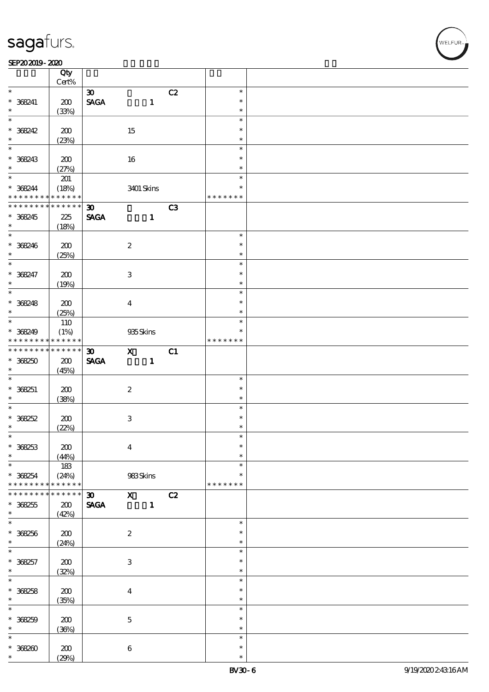### $SEP202019 - 2020$

|                                            | Qty<br>Cert%    |                             |                           |              |    |               |  |
|--------------------------------------------|-----------------|-----------------------------|---------------------------|--------------|----|---------------|--|
| $\ast$                                     |                 |                             |                           |              |    | $\ast$        |  |
|                                            |                 | $\boldsymbol{\infty}$       |                           |              | C2 |               |  |
| $* 368241$                                 | 200             | <b>SAGA</b>                 |                           | $\mathbf{1}$ |    | $\ast$        |  |
| $\ast$                                     | (33%)           |                             |                           |              |    | $\ast$        |  |
| $\overline{\phantom{0}}$                   |                 |                             |                           |              |    | $\ast$        |  |
| $* 368242$                                 | 200             |                             | 15                        |              |    | $\ast$        |  |
| $\ast$                                     | (23%)           |                             |                           |              |    | $\ast$        |  |
|                                            |                 |                             |                           |              |    | $\ast$        |  |
| * 368243                                   | 200             |                             | 16                        |              |    | $\ast$        |  |
| $\ast$                                     |                 |                             |                           |              |    | $\ast$        |  |
|                                            | (27%)           |                             |                           |              |    |               |  |
| $*$                                        | 201             |                             |                           |              |    | $\ast$        |  |
| $* 368244$                                 | (18%)           |                             |                           | 3401 Skins   |    | $\ast$        |  |
| * * * * * * * * <mark>* * * * * * *</mark> |                 |                             |                           |              |    | * * * * * * * |  |
| * * * * * * * *                            | $* * * * * * *$ | $\boldsymbol{\mathfrak{D}}$ |                           |              | C3 |               |  |
| $* 368245$                                 | 225             | <b>SAGA</b>                 |                           | $\mathbf{1}$ |    |               |  |
| $\ast$                                     | (18%)           |                             |                           |              |    |               |  |
| $\overline{\phantom{0}}$                   |                 |                             |                           |              |    | $\ast$        |  |
|                                            |                 |                             |                           |              |    |               |  |
| * 368246                                   | 200             |                             | $\boldsymbol{2}$          |              |    | $\ast$        |  |
| $\ast$                                     | (25%)           |                             |                           |              |    | $\ast$        |  |
| $\overline{\ast}$                          |                 |                             |                           |              |    | $\ast$        |  |
| $* 368247$                                 | 200             |                             | 3                         |              |    | $\ast$        |  |
| $\ast$                                     | (19%)           |                             |                           |              |    | $\ast$        |  |
|                                            |                 |                             |                           |              |    | $\ast$        |  |
|                                            |                 |                             |                           |              |    | $\ast$        |  |
| $* 368248$                                 | 200             |                             | $\boldsymbol{4}$          |              |    |               |  |
| $\ast$                                     | (25%)           |                             |                           |              |    | $\ast$        |  |
|                                            | 110             |                             |                           |              |    | $\ast$        |  |
| $* 368249$                                 | (1%)            |                             |                           | 935Skins     |    | $\ast$        |  |
| * * * * * * * *                            | * * * * * *     |                             |                           |              |    | * * * * * * * |  |
| * * * * * * * *                            | $******$        | $\boldsymbol{\mathfrak{D}}$ | $\mathbf{x}$              |              | C1 |               |  |
| $*368250$                                  | 200             | <b>SAGA</b>                 |                           | $\mathbf{1}$ |    |               |  |
| $\ast$                                     |                 |                             |                           |              |    |               |  |
| $\overline{\phantom{0}}$                   | (45%)           |                             |                           |              |    |               |  |
|                                            |                 |                             |                           |              |    | $\ast$        |  |
| $* 368251$                                 | 200             |                             | $\boldsymbol{2}$          |              |    | $\ast$        |  |
| $\ast$                                     | (38%)           |                             |                           |              |    | $\ast$        |  |
|                                            |                 |                             |                           |              |    | $\ast$        |  |
| $* 368252$                                 | 200             |                             | $\ensuremath{\mathbf{3}}$ |              |    | $\ast$        |  |
| $\ast$                                     | (22%)           |                             |                           |              |    | $\ast$        |  |
| $\ast$                                     |                 |                             |                           |              |    | $\ast$        |  |
|                                            |                 |                             |                           |              |    | $\ast$        |  |
| $* 36253$                                  | 200             |                             | $\boldsymbol{4}$          |              |    |               |  |
| $\ast$                                     | (44%)           |                             |                           |              |    | $\ast$        |  |
| $\ast$                                     | 183             |                             |                           |              |    | $\ast$        |  |
| $* 368254$                                 | (24%)           |                             |                           | 983Skins     |    | $\ast$        |  |
| * * * * * * *                              | * * * * * *     |                             |                           |              |    | * * * * * * * |  |
|                                            | * * * * * *     | $\boldsymbol{\mathfrak{D}}$ | $\mathbf{x}$              |              | C2 |               |  |
| $* 368255$                                 | 200             | <b>SAGA</b>                 |                           | $\mathbf{1}$ |    |               |  |
| $\ast$                                     | (42%)           |                             |                           |              |    |               |  |
| $\ast$                                     |                 |                             |                           |              |    | $\ast$        |  |
|                                            |                 |                             |                           |              |    |               |  |
| $*368256$                                  | $200$           |                             | $\boldsymbol{2}$          |              |    | $\ast$        |  |
| $\ast$                                     | (24%)           |                             |                           |              |    | $\ast$        |  |
| $\ast$                                     |                 |                             |                           |              |    | $\ast$        |  |
| $* 368257$                                 | $200$           |                             | $\ensuremath{\mathbf{3}}$ |              |    | $\ast$        |  |
| $\ast$                                     | (32%)           |                             |                           |              |    | $\ast$        |  |
| $\overline{\ast}$                          |                 |                             |                           |              |    | $\ast$        |  |
| $* 368258$                                 |                 |                             |                           |              |    | $\ast$        |  |
| $\ast$                                     | 200             |                             | $\bf{4}$                  |              |    | $\ast$        |  |
|                                            | (35%)           |                             |                           |              |    |               |  |
| $\ast$                                     |                 |                             |                           |              |    | $\ast$        |  |
| $* 368259$                                 | 200             |                             | $\mathbf 5$               |              |    | $\ast$        |  |
| $\ast$                                     | (36%)           |                             |                           |              |    | $\ast$        |  |
| $\ast$                                     |                 |                             |                           |              |    | $\ast$        |  |
| $*36820$                                   | 200             |                             | $\bf 6$                   |              |    | $\ast$        |  |
| $\ast$                                     | (29%)           |                             |                           |              |    | $\ast$        |  |
|                                            |                 |                             |                           |              |    |               |  |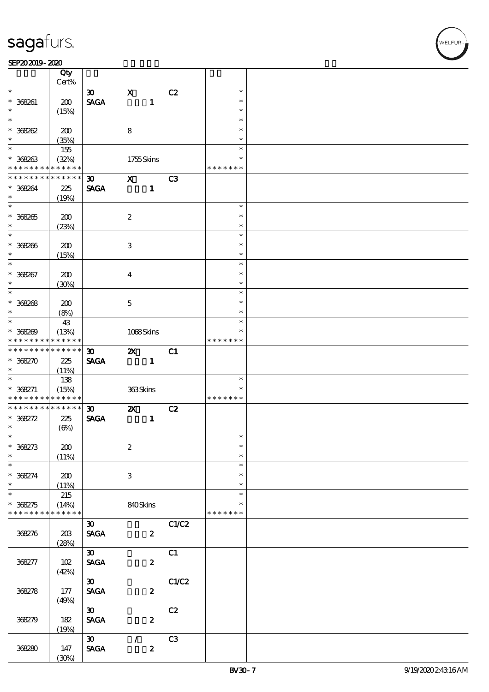### SEP202019-2020

|                          | Qty<br>Cert% |                                |                           |                  |                |               |  |
|--------------------------|--------------|--------------------------------|---------------------------|------------------|----------------|---------------|--|
| $\ast$                   |              |                                |                           |                  |                | $\ast$        |  |
|                          |              | $\boldsymbol{\mathfrak{D}}$    | $\mathbf x$               |                  | C2             |               |  |
| $* 368261$               | 200          | <b>SAGA</b>                    |                           | $\mathbf{1}$     |                | $\ast$        |  |
| $\ast$                   | (15%)        |                                |                           |                  |                | $\ast$        |  |
| $\ast$                   |              |                                |                           |                  |                | $\ast$        |  |
| $*368262$                | 200          |                                | 8                         |                  |                | $\ast$        |  |
| $\ast$                   | (35%)        |                                |                           |                  |                | $\ast$        |  |
| $\overline{\phantom{0}}$ | 155          |                                |                           |                  |                | $\ast$        |  |
|                          |              |                                |                           |                  |                | $\ast$        |  |
| * 368263                 | (32%)        |                                | 1755Skins                 |                  |                |               |  |
| * * * * * * * *          | * * * * * *  |                                |                           |                  |                | * * * * * * * |  |
| * * * * * * * *          | * * * * * *  | $\boldsymbol{\mathfrak{D}}$    | $\mathbf{x}$              |                  | C3             |               |  |
| * 368264                 | 225          | <b>SAGA</b>                    |                           | $\mathbf{1}$     |                |               |  |
| $\ast$                   | (19%)        |                                |                           |                  |                |               |  |
|                          |              |                                |                           |                  |                | $\ast$        |  |
| $*368265$                | 200          |                                | $\boldsymbol{2}$          |                  |                | $\ast$        |  |
| $\ast$                   |              |                                |                           |                  |                | $\ast$        |  |
| $*$                      | (23%)        |                                |                           |                  |                |               |  |
|                          |              |                                |                           |                  |                | $\ast$        |  |
| $* 368266$               | 200          |                                | $\ensuremath{\mathbf{3}}$ |                  |                | $\ast$        |  |
| $\ast$                   | (15%)        |                                |                           |                  |                | $\ast$        |  |
| $\overline{\ast}$        |              |                                |                           |                  |                | $\ast$        |  |
| $* 368267$               | 200          |                                | $\boldsymbol{4}$          |                  |                | $\ast$        |  |
| $\ast$                   | (30%)        |                                |                           |                  |                | $\ast$        |  |
| $\overline{\ast}$        |              |                                |                           |                  |                | $\ast$        |  |
|                          |              |                                |                           |                  |                |               |  |
| $* 368268$               | 200          |                                | $\mathbf 5$               |                  |                | $\ast$        |  |
| $\ast$                   | (8%)         |                                |                           |                  |                | $\ast$        |  |
|                          | 43           |                                |                           |                  |                | $\ast$        |  |
| $* 368209$               | (13%)        |                                | 1068Skins                 |                  |                | *             |  |
| * * * * * * * *          | * * * * * *  |                                |                           |                  |                | * * * * * * * |  |
| * * * * * * * *          | * * * * * *  | $\boldsymbol{\mathfrak{D}}$    | $\boldsymbol{\mathsf{z}}$ |                  | C1             |               |  |
| $* 368270$               | 225          | <b>SAGA</b>                    |                           | $\mathbf{1}$     |                |               |  |
|                          |              |                                |                           |                  |                |               |  |
|                          |              |                                |                           |                  |                |               |  |
| $\ast$                   | (11%)        |                                |                           |                  |                |               |  |
|                          | 138          |                                |                           |                  |                | $\ast$        |  |
| $* 368271$               | (15%)        |                                | 363Skins                  |                  |                | $\ast$        |  |
| * * * * * * * *          | * * * * * *  |                                |                           |                  |                | * * * * * * * |  |
| * * * * * * * *          | ******       | $\boldsymbol{\mathfrak{D}}$    | $\boldsymbol{\mathsf{z}}$ |                  | C2             |               |  |
| $* 368272$               | 225          |                                |                           |                  |                |               |  |
| $\ast$                   |              | <b>SAGA</b>                    |                           | $\mathbf{1}$     |                |               |  |
| $\ast$                   | $(\Theta)$   |                                |                           |                  |                | $\ast$        |  |
|                          |              |                                |                           |                  |                | $\ast$        |  |
| $* 368273$               | 200          |                                | $\boldsymbol{2}$          |                  |                |               |  |
| $\ast$                   | (11%)        |                                |                           |                  |                | $\ast$        |  |
| $\ast$                   |              |                                |                           |                  |                | $\ast$        |  |
| $* 368274$               | 200          |                                | 3                         |                  |                | $\ast$        |  |
| $\ast$                   | (11%)        |                                |                           |                  |                | $\ast$        |  |
| $\overline{\ast}$        | 215          |                                |                           |                  |                | $\ast$        |  |
| $* 368275$               | (14%)        |                                | 840Skins                  |                  |                | *             |  |
| * * * * * * * *          | * * * * * *  |                                |                           |                  |                | * * * * * * * |  |
|                          |              |                                |                           |                  |                |               |  |
|                          |              | $\boldsymbol{\mathfrak{D}}$    |                           |                  | C1/C2          |               |  |
| 368276                   | 203          | <b>SAGA</b>                    |                           | $\boldsymbol{z}$ |                |               |  |
|                          | (28%)        |                                |                           |                  |                |               |  |
|                          |              | $\boldsymbol{\mathfrak{D}}$    |                           |                  | C1             |               |  |
| 368277                   | 102          | $\operatorname{\mathsf{SAGA}}$ |                           | $\boldsymbol{2}$ |                |               |  |
|                          | (42%)        |                                |                           |                  |                |               |  |
|                          |              | $\boldsymbol{\infty}$          |                           |                  | C1/C2          |               |  |
| 368278                   |              |                                |                           |                  |                |               |  |
|                          | 177          | <b>SAGA</b>                    |                           | $\pmb{2}$        |                |               |  |
|                          | (49%)        |                                |                           |                  |                |               |  |
|                          |              | $\boldsymbol{\mathfrak{D}}$    |                           |                  | C2             |               |  |
| 368279                   | 182          | <b>SAGA</b>                    |                           | $\boldsymbol{2}$ |                |               |  |
|                          | (19%)        |                                |                           |                  |                |               |  |
|                          |              | $\boldsymbol{\mathfrak{D}}$    | $\mathcal{L}$             |                  | C <sub>3</sub> |               |  |
| 368280                   | 147          | <b>SAGA</b>                    |                           | $\boldsymbol{2}$ |                |               |  |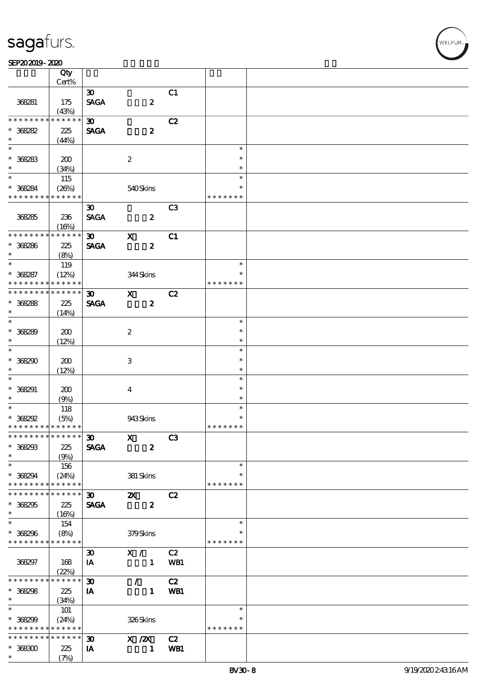### SEP202019-2020

|                             | Qty                  |                             |                           |                  |                |               |  |
|-----------------------------|----------------------|-----------------------------|---------------------------|------------------|----------------|---------------|--|
|                             | $Cert\%$             |                             |                           |                  |                |               |  |
|                             |                      | $\boldsymbol{\mathfrak{D}}$ |                           |                  | C1             |               |  |
| 368281                      | 175                  | <b>SAGA</b>                 |                           | $\pmb{2}$        |                |               |  |
| * * * * * * * *             | (43%)<br>* * * * * * | $\boldsymbol{\mathfrak{D}}$ |                           |                  | C2             |               |  |
| $* 368282$                  | 225                  | <b>SAGA</b>                 |                           | $\boldsymbol{z}$ |                |               |  |
| $\ast$                      | (44%)                |                             |                           |                  |                |               |  |
|                             |                      |                             |                           |                  |                | $\ast$        |  |
| $* 368283$                  | 200                  |                             | $\boldsymbol{2}$          |                  |                | $\ast$        |  |
| $\ast$                      | (34%)                |                             |                           |                  |                | $\ast$        |  |
| $*$                         | 115                  |                             |                           |                  |                | $\ast$        |  |
| $* 368284$                  | (20%)                |                             | 540Skins                  |                  |                | $\ast$        |  |
| * * * * * * * *             | * * * * * *          |                             |                           |                  |                | * * * * * * * |  |
|                             |                      | $\boldsymbol{\mathfrak{D}}$ |                           |                  | C <sub>3</sub> |               |  |
| 368285                      | 236                  | <b>SAGA</b>                 |                           | $\boldsymbol{z}$ |                |               |  |
|                             | (16%)                |                             |                           |                  |                |               |  |
| * * * * * * * *             | * * * * * *          | 30 <sub>o</sub>             | $\boldsymbol{\mathsf{X}}$ |                  | C1             |               |  |
| $* 368286$                  | 225                  | <b>SAGA</b>                 |                           | $\boldsymbol{z}$ |                |               |  |
| $\ast$                      | (8%)                 |                             |                           |                  |                |               |  |
| $\ast$                      | 119                  |                             |                           |                  |                | $\ast$        |  |
| $* 368287$                  | (12%)                |                             | 344Skins                  |                  |                | $\ast$        |  |
| * * * * * * * *             | * * * * * *          |                             |                           |                  |                | * * * * * * * |  |
| * * * * * * * *             | * * * * * *          | $\boldsymbol{\mathfrak{D}}$ | $\mathbf{x}$              |                  | C2             |               |  |
| $* 368288$                  | 225                  | <b>SAGA</b>                 |                           | $\boldsymbol{z}$ |                |               |  |
| $\ast$                      | (14%)                |                             |                           |                  |                |               |  |
|                             |                      |                             |                           |                  |                | $\ast$        |  |
| $* 368289$                  | 200                  |                             | $\boldsymbol{2}$          |                  |                | $\ast$        |  |
| $\ast$                      | (12%)                |                             |                           |                  |                | $\ast$        |  |
| $\overline{\ast}$           |                      |                             |                           |                  |                | $\ast$        |  |
| $* 36820$                   | 200                  |                             | 3                         |                  |                | $\ast$        |  |
| $\ast$                      | (12%)                |                             |                           |                  |                | $\ast$        |  |
| $\ast$                      |                      |                             |                           |                  |                | $\ast$        |  |
| $* 368291$                  | 200                  |                             | $\boldsymbol{4}$          |                  |                | $\ast$        |  |
| $\ast$                      | (9%)                 |                             |                           |                  |                | $\ast$        |  |
| $\overline{\phantom{0}}$    | 118                  |                             |                           |                  |                | $\ast$        |  |
| $*$ 368292                  | (5%)                 |                             | 943Skins                  |                  |                | $\ast$        |  |
| * * * * * * * * * * * * * * |                      |                             |                           |                  |                | * * * * * * * |  |
| ************** 30           |                      |                             | $\mathbf{X}$              |                  | C3             |               |  |
| $* 368293$                  | 225                  | <b>SAGA</b>                 |                           | $\boldsymbol{z}$ |                |               |  |
| $\ast$                      | (9%)                 |                             |                           |                  |                |               |  |
| $\ast$                      | 156                  |                             |                           |                  |                | $\ast$        |  |
| $* 368294$                  | (24%)                |                             | 381 Skins                 |                  |                | ∗             |  |
| * * * * * * * *             | * * * * * *          |                             |                           |                  |                | * * * * * * * |  |
| * * * * * * *               | * * * * * *          | $\infty$                    | $\boldsymbol{\mathsf{z}}$ |                  | C2             |               |  |
| $* 368205$                  | 225                  | <b>SAGA</b>                 |                           | $\boldsymbol{z}$ |                |               |  |
| $\ast$                      | (16%)                |                             |                           |                  |                |               |  |
| $\overline{\ast}$           | 154                  |                             |                           |                  |                | $\ast$        |  |
| * 368296                    | (8%)                 |                             | 379Skins                  |                  |                | $\ast$        |  |
| * * * * * * * *             | * * * * * *          |                             |                           |                  |                | * * * * * * * |  |
|                             |                      | $\boldsymbol{\mathfrak{D}}$ | X /                       |                  | C2             |               |  |
| 368297                      | 168                  | IA                          |                           | $\mathbf{1}$     | WB1            |               |  |
|                             | (22%)                |                             |                           |                  |                |               |  |
| * * * * * * *               | * * * * * *          | $\boldsymbol{\mathfrak{D}}$ | $\mathcal{L}$             |                  | C2             |               |  |
| $* 368298$                  | 225                  | IA                          |                           | $\mathbf{1}$     | WB1            |               |  |
| $\ast$<br>$\ast$            | (34%)                |                             |                           |                  |                |               |  |
|                             | 101                  |                             |                           |                  |                | $\ast$        |  |
| $* 368299$                  | (24%)                |                             | 326Skins                  |                  |                | $\ast$        |  |
| * * * * * * * *             | * * * * * *          |                             |                           |                  |                | * * * * * * * |  |
| * * * * * * * *             | * * * * * *          | $\boldsymbol{\mathfrak{D}}$ | $X$ / $ZX$                |                  | C2             |               |  |
| $*368300$                   | 225                  | IA                          |                           | $\mathbf{1}$     | WB1            |               |  |
| $\ast$                      | (7%)                 |                             |                           |                  |                |               |  |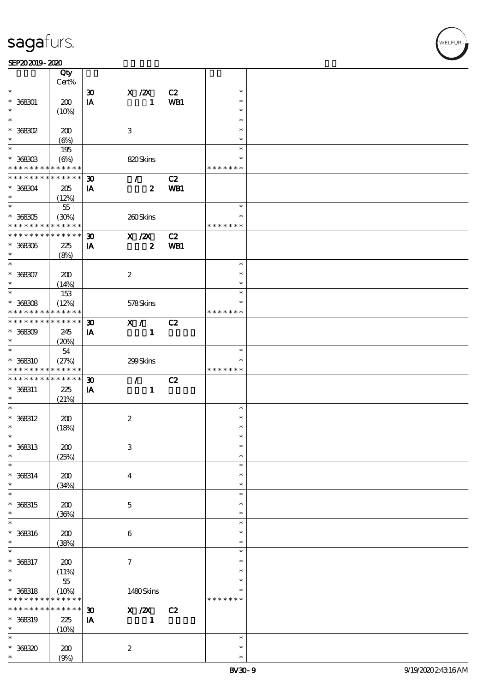┯

#### $SEP202019 - 2020$

|                                            | Qty<br>Cert%    |                             |                  |     |               |  |
|--------------------------------------------|-----------------|-----------------------------|------------------|-----|---------------|--|
| $\ast$                                     |                 |                             |                  |     | $\ast$        |  |
|                                            |                 | $\boldsymbol{\mathfrak{D}}$ | $X$ / $ZX$       | C2  |               |  |
| $* 36801$                                  | 200             | IA                          | $\mathbf{1}$     | WB1 | $\ast$        |  |
| $\ast$                                     | (10%)           |                             |                  |     | $\ast$        |  |
| $\ast$                                     |                 |                             |                  |     | $\ast$        |  |
|                                            |                 |                             |                  |     | $\ast$        |  |
| $*$ 368302                                 | 200             |                             | 3                |     |               |  |
| $\ast$                                     | $(\Theta)$      |                             |                  |     | $\ast$        |  |
|                                            | 195             |                             |                  |     | $\ast$        |  |
| $*$ 368303                                 | $(\Theta)$      |                             | 820Skins         |     | $\ast$        |  |
| * * * * * * * * <mark>* * * * * * *</mark> |                 |                             |                  |     | * * * * * * * |  |
|                                            |                 |                             |                  |     |               |  |
| * * * * * * * *                            | * * * * * *     | $\boldsymbol{\mathfrak{D}}$ | $\mathcal{T}$    | C2  |               |  |
| $* 368304$                                 | 205             | IA                          | $\boldsymbol{z}$ | WB1 |               |  |
| $\ast$                                     | (12%)           |                             |                  |     |               |  |
|                                            |                 |                             |                  |     | $\ast$        |  |
|                                            | $5\!5$          |                             |                  |     |               |  |
| $* 368305$                                 | (30%)           |                             | 260Skins         |     | $\ast$        |  |
| * * * * * * * * <mark>* * * * * * *</mark> |                 |                             |                  |     | * * * * * * * |  |
| * * * * * * * * * * * * * * *              |                 | $\boldsymbol{\mathfrak{D}}$ | $X$ / $ZX$       | C2  |               |  |
|                                            |                 |                             |                  |     |               |  |
| $* 368306$                                 | 225             | IA                          | $\boldsymbol{z}$ | WB1 |               |  |
| $\ast$                                     | (8%)            |                             |                  |     |               |  |
| $\ast$                                     |                 |                             |                  |     | $\ast$        |  |
| $* 368307$                                 | 200             |                             | $\boldsymbol{2}$ |     | $\ast$        |  |
| $\ast$                                     |                 |                             |                  |     | $\ast$        |  |
|                                            | (14%)           |                             |                  |     |               |  |
|                                            | 153             |                             |                  |     | $\ast$        |  |
| $* 368308$                                 | (12%)           |                             | 578Skins         |     | $\ast$        |  |
| * * * * * * * *                            | * * * * * *     |                             |                  |     | * * * * * * * |  |
| * * * * * * * *                            | * * * * * *     |                             |                  |     |               |  |
|                                            |                 | $\boldsymbol{\mathfrak{D}}$ | X /              | C2  |               |  |
| $*368309$                                  | 245             | IA                          | $\mathbf{1}$     |     |               |  |
| $\ast$                                     | (20%)           |                             |                  |     |               |  |
| $\overline{\ast}$                          | 54              |                             |                  |     | $\ast$        |  |
| * 368310                                   |                 |                             |                  |     | *             |  |
|                                            | (27%)           |                             | 299Skins         |     |               |  |
| * * * * * * * * * * * * * *                |                 |                             |                  |     | * * * * * * * |  |
| * * * * * * * *                            | $* * * * * * *$ | $\boldsymbol{\mathfrak{D}}$ | $\mathcal{F}$    | C2  |               |  |
| $* 368311$                                 | 225             | IA                          | $\mathbf{1}$     |     |               |  |
| $\ast$                                     | (21%)           |                             |                  |     |               |  |
| $\ast$                                     |                 |                             |                  |     |               |  |
|                                            |                 |                             |                  |     | $\ast$        |  |
| $* 368312$                                 | 200             |                             | $\boldsymbol{2}$ |     | $\ast$        |  |
| $\ast$                                     | (18%)           |                             |                  |     | $\ast$        |  |
| $\ast$                                     |                 |                             |                  |     | $\ast$        |  |
|                                            |                 |                             |                  |     | $\ast$        |  |
| * 368313                                   | 200             |                             | $\mathbf{3}$     |     |               |  |
| $\ast$                                     | (25%)           |                             |                  |     |               |  |
| $\ast$                                     |                 |                             |                  |     | $\ast$        |  |
|                                            |                 |                             |                  |     | $\ast$        |  |
|                                            |                 |                             |                  |     | $\ast$        |  |
| $* 368314$<br>$\ast$                       | 200             |                             | $\bf{4}$         |     |               |  |
|                                            | (34%)           |                             |                  |     | $\ast$        |  |
| $\ast$                                     |                 |                             |                  |     | $\ast$        |  |
| * 368315                                   | 200             |                             | $\mathbf 5$      |     | $\ast$        |  |
| $\ast$                                     |                 |                             |                  |     | $\ast$        |  |
| $\ast$                                     | (36%)           |                             |                  |     | $\ast$        |  |
|                                            |                 |                             |                  |     |               |  |
| * 368316                                   | 200             |                             | $\bf 6$          |     | $\ast$        |  |
| $\ast$                                     | (38%)           |                             |                  |     | $\ast$        |  |
| $\ast$                                     |                 |                             |                  |     | $\ast$        |  |
|                                            |                 |                             |                  |     | $\ast$        |  |
| * 368317                                   | 200             |                             | $\tau$           |     |               |  |
| $\ast$                                     | (11%)           |                             |                  |     | $\ast$        |  |
| $\overline{\ast}$                          | $5\!$           |                             |                  |     | $\ast$        |  |
| $* 368318$                                 | (10%)           |                             | 1480Skins        |     | *             |  |
| * * * * * * * *                            | * * * * * *     |                             |                  |     | * * * * * * * |  |
|                                            |                 |                             |                  |     |               |  |
| * * * * * * *                              | * * * * * *     | $\boldsymbol{\mathfrak{D}}$ | X / ZX           | C2  |               |  |
| * 368319                                   | 225             | IA                          | $\mathbf 1$      |     |               |  |
| $\ast$                                     | (10%)           |                             |                  |     |               |  |
| $\ast$                                     |                 |                             |                  |     | $\ast$        |  |
|                                            |                 |                             |                  |     | $\ast$        |  |
| $*36830$<br>$\ast$                         | 200<br>(9%)     |                             | $\boldsymbol{2}$ |     | $\ast$        |  |

 $\overline{\mathbf{r}}$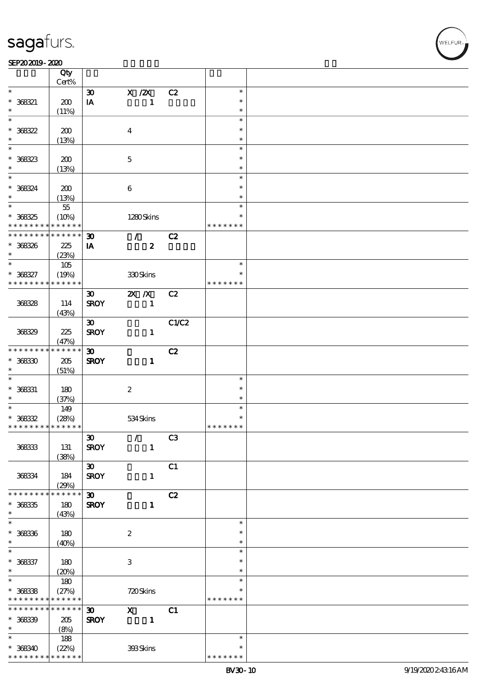$\overline{\mathsf{T}}$ 

### $SEP202019 - 2020$

|                                          | Qty<br>Cert%               |                             |                             |       |               |  |
|------------------------------------------|----------------------------|-----------------------------|-----------------------------|-------|---------------|--|
| $\ast$                                   |                            |                             |                             |       |               |  |
|                                          |                            | $\boldsymbol{\mathfrak{D}}$ | $X$ / $ZX$                  | C2    | $\ast$        |  |
| $* 368321$                               | 200                        | IA                          | $\mathbf{1}$                |       | $\ast$        |  |
| $\ast$                                   | (11%)                      |                             |                             |       | $\ast$        |  |
| $\ast$                                   |                            |                             |                             |       | $\ast$        |  |
| $* 368322$                               | 200                        |                             | $\bf{4}$                    |       | $\ast$        |  |
| $\ast$                                   | (13%)                      |                             |                             |       | $\ast$        |  |
|                                          |                            |                             |                             |       | $\ast$        |  |
| $* 368323$                               | 200                        |                             | $\mathbf 5$                 |       | $\ast$        |  |
| $\ast$                                   |                            |                             |                             |       | $\ast$        |  |
|                                          | (13%)                      |                             |                             |       |               |  |
|                                          |                            |                             |                             |       | $\ast$        |  |
| $* 368324$                               | 200                        |                             | 6                           |       | $\ast$        |  |
| $\ast$                                   | (13%)                      |                             |                             |       | $\ast$        |  |
|                                          | $5\!$                      |                             |                             |       | $\ast$        |  |
| $* 368325$                               | (10%)                      |                             | 1280Skins                   |       | $\ast$        |  |
| * * * * * * * *                          | $* * * * * * *$            |                             |                             |       | * * * * * * * |  |
| * * * * * * * *                          | * * * * * *                | $\boldsymbol{\mathfrak{D}}$ | $\mathcal{T}^{\mathcal{A}}$ | C2    |               |  |
| * 368326                                 |                            |                             |                             |       |               |  |
| $\ast$                                   | 225                        | IA                          | $\boldsymbol{z}$            |       |               |  |
| $\ast$                                   | (23%)                      |                             |                             |       |               |  |
|                                          | 105                        |                             |                             |       | $\ast$        |  |
| $* 368327$                               | (19%)                      |                             | 330Skins                    |       | $\ast$        |  |
| * * * * * * * *                          | * * * * * *                |                             |                             |       | * * * * * * * |  |
|                                          |                            | $\boldsymbol{\mathfrak{D}}$ | $X$ $X$                     | C2    |               |  |
| 36828                                    | 114                        | <b>SROY</b>                 | $\mathbf{1}$                |       |               |  |
|                                          | (43%)                      |                             |                             |       |               |  |
|                                          |                            | $\boldsymbol{\mathfrak{D}}$ |                             | C1/C2 |               |  |
| 368329                                   | 225                        | <b>SROY</b>                 | $\mathbf{1}$                |       |               |  |
|                                          | (47%)                      |                             |                             |       |               |  |
| * * * * * * * *                          | * * * * * *                | $\boldsymbol{\mathfrak{D}}$ |                             | C2    |               |  |
|                                          |                            |                             |                             |       |               |  |
| $*36830$                                 | $205\,$                    | <b>SROY</b>                 | $\mathbf{1}$                |       |               |  |
| $\ast$                                   | (51%)                      |                             |                             |       |               |  |
| $\ast$                                   |                            |                             |                             |       | $\ast$        |  |
| $* 368331$                               | 180                        |                             | $\boldsymbol{2}$            |       | $\ast$        |  |
| $\ast$                                   | (37%)                      |                             |                             |       | $\ast$        |  |
| $*$                                      | 149                        |                             |                             |       | $\ast$        |  |
| $* 36832$                                | (28%)                      |                             | 534Skins                    |       | $\ast$        |  |
| * * * * * * * * <mark>* * * * * *</mark> |                            |                             |                             |       | * * * * * * * |  |
|                                          |                            | $\boldsymbol{\mathfrak{D}}$ | $\mathcal{L}$               | C3    |               |  |
| 36833                                    | 131                        | <b>SROY</b>                 | $\mathbf{1}$                |       |               |  |
|                                          | (38%)                      |                             |                             |       |               |  |
|                                          |                            | $\boldsymbol{\mathfrak{D}}$ |                             | C1    |               |  |
|                                          |                            |                             |                             |       |               |  |
| 36834                                    | 184                        | <b>SROY</b>                 | $\mathbf{1}$                |       |               |  |
|                                          | (29%)                      |                             |                             |       |               |  |
| * * * * * * * *                          | * * * * * *                | $\boldsymbol{\mathfrak{D}}$ |                             | C2    |               |  |
| $* 36835$                                | 180                        | <b>SROY</b>                 | $\mathbf{1}$                |       |               |  |
| $\ast$                                   | (43%)                      |                             |                             |       |               |  |
| $\ast$                                   |                            |                             |                             |       | $\ast$        |  |
| $* 368336$                               | 180                        |                             | $\boldsymbol{z}$            |       | $\ast$        |  |
| $\ast$                                   | (40%)                      |                             |                             |       | $\ast$        |  |
| $\ast$                                   |                            |                             |                             |       | $\ast$        |  |
| $* 368337$                               | 180                        |                             | $\,3\,$                     |       | $\ast$        |  |
| $\ast$                                   |                            |                             |                             |       | $\ast$        |  |
| $\overline{\ast}$                        | (20%)                      |                             |                             |       | $\ast$        |  |
|                                          | 180                        |                             |                             |       |               |  |
| $* 36838$                                | (27%)                      |                             | 720Skins                    |       | ∗             |  |
| * * * * * * * *                          | * * * * * *                |                             |                             |       | * * * * * * * |  |
| * * * * * * * *                          | $\ast\ast\ast\ast\ast\ast$ | $\boldsymbol{\mathfrak{D}}$ | $\mathbf{x}$                | C1    |               |  |
| $* 36839$                                | 205                        | <b>SROY</b>                 | $\mathbf{1}$                |       |               |  |
| $\ast$                                   | (8%)                       |                             |                             |       |               |  |
| $\ast$                                   | 188                        |                             |                             |       | $\ast$        |  |
| $* 368340$                               | (22%)                      |                             | 393Skins                    |       | $\ast$        |  |
| * * * * * * * *                          | * * * * * *                |                             |                             |       | * * * * * * * |  |
|                                          |                            |                             |                             |       |               |  |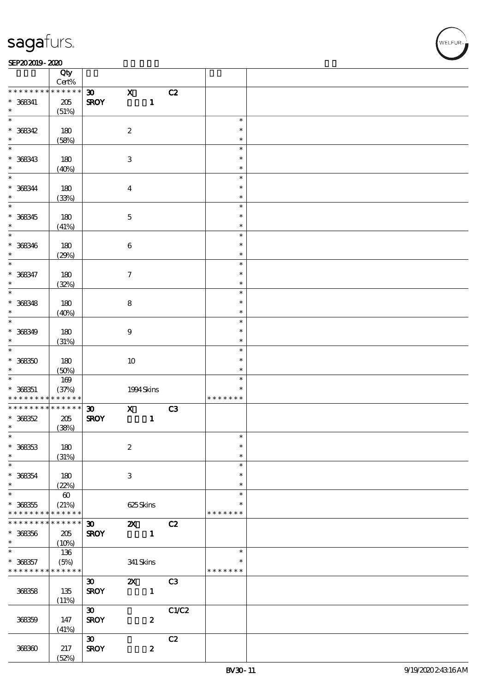### SEP202019-2020

|                                           | Qty<br>Cert%                   |                             |                           |       |                            |  |
|-------------------------------------------|--------------------------------|-----------------------------|---------------------------|-------|----------------------------|--|
| * * * * * * * *                           | * * * * * *                    | $\boldsymbol{\mathfrak{D}}$ | $\mathbf x$               | C2    |                            |  |
| $* 368341$<br>$\ast$                      | $205\,$<br>(51%)               | <b>SROY</b>                 | $\mathbf{1}$              |       |                            |  |
| $\overline{\ast}$                         |                                |                             |                           |       | $\ast$                     |  |
| $* 368342$<br>$\ast$                      | 180                            |                             | $\boldsymbol{2}$          |       | $\ast$<br>$\ast$           |  |
| $\overline{\ast}$                         | (58%)                          |                             |                           |       |                            |  |
| * 368343<br>$\ast$                        | 180<br>(40%)                   |                             | $\ensuremath{\mathbf{3}}$ |       | $\ast$<br>$\ast$<br>$\ast$ |  |
| $\overline{\ast}$                         |                                |                             |                           |       | $\ast$                     |  |
| * 368344<br>$\ast$                        | 180<br>(33%)                   |                             | $\boldsymbol{4}$          |       | $\ast$<br>$\ast$           |  |
|                                           |                                |                             |                           |       | $\ast$                     |  |
| $* 368345$<br>$\ast$                      | 180<br>(41%)                   |                             | $\mathbf 5$               |       | $\ast$<br>$\ast$           |  |
| $\overline{\ast}$                         |                                |                             |                           |       | $\ast$                     |  |
| $* 368346$<br>$\ast$                      | 180<br>(29%)                   |                             | $\bf 6$                   |       | $\ast$<br>$\ast$           |  |
| $\overline{\ast}$                         |                                |                             |                           |       | $\ast$                     |  |
| $* 368347$<br>$\ast$                      | 180<br>(32%)                   |                             | $\boldsymbol{\tau}$       |       | $\ast$<br>$\ast$           |  |
| $\overline{\ast}$                         |                                |                             |                           |       | $\ast$                     |  |
| $* 368348$<br>$\ast$                      | 180<br>(40%)                   |                             | $\bf 8$                   |       | $\ast$<br>$\ast$           |  |
| $\overline{\ast}$                         |                                |                             |                           |       | $\ast$                     |  |
| $* 368349$<br>$\ast$                      | 180<br>(31%)                   |                             | $9\,$                     |       | $\ast$<br>$\ast$           |  |
| $\overline{\ast}$                         |                                |                             |                           |       | $\ast$                     |  |
| $* 368350$<br>$\ast$                      | 180<br>(50%)                   |                             | $10\,$                    |       | $\ast$<br>$\ast$           |  |
|                                           | $169$                          |                             |                           |       | $\ast$                     |  |
| $* 368351$                                | (37%)                          |                             | 1994Skins                 |       | $\ast$                     |  |
| * * * * * * * *                           | * * * * * *                    |                             |                           |       | * * * * * * *              |  |
| * * * * * * * *                           | $******$                       | $\boldsymbol{\mathfrak{D}}$ | $\boldsymbol{\mathrm{X}}$ | C3    |                            |  |
| $* 368352$                                | 205                            | <b>SROY</b>                 | $\mathbf{1}$              |       |                            |  |
| $\ast$                                    | (38%)                          |                             |                           |       |                            |  |
| $\ast$                                    |                                |                             |                           |       | $\ast$                     |  |
| * 368353                                  | 180                            |                             | $\boldsymbol{2}$          |       | $\ast$                     |  |
| $\ast$<br>$\ast$                          | (31%)                          |                             |                           |       | $\ast$<br>$\ast$           |  |
|                                           |                                |                             |                           |       | $\ast$                     |  |
| $* 368354$<br>$\ast$<br>$\overline{\ast}$ | 180<br>(22%)                   |                             | 3                         |       | $\ast$<br>$\ast$           |  |
| $* 368355$                                | $\boldsymbol{\omega}$<br>(21%) |                             | 625Skins                  |       | ∗                          |  |
| * * * * * * * *                           | * * * * * *                    |                             |                           |       | * * * * * * *              |  |
| * * * * * * * *                           | $* * * * * * *$                | $\boldsymbol{\mathfrak{D}}$ | $\boldsymbol{\mathsf{z}}$ | C2    |                            |  |
| $* 368356$                                | 205                            | <b>SROY</b>                 | $\mathbf{1}$              |       |                            |  |
| $\ast$                                    | (10%)                          |                             |                           |       |                            |  |
| $\ast$                                    | 136                            |                             |                           |       | $\ast$                     |  |
| $* 368357$                                | (5%)                           |                             | 341 Skins                 |       | ∗                          |  |
| * * * * * * * * <mark>* * * * * *</mark>  |                                |                             |                           |       | * * * * * * *              |  |
|                                           |                                | $\boldsymbol{\mathfrak{D}}$ | $\boldsymbol{\mathsf{Z}}$ | C3    |                            |  |
| 368358                                    | 135                            | <b>SROY</b>                 | $\mathbf{1}$              |       |                            |  |
|                                           | (11%)                          |                             |                           |       |                            |  |
|                                           |                                | $\boldsymbol{\mathfrak{D}}$ |                           | C1/C2 |                            |  |
|                                           |                                | <b>SROY</b>                 | $\boldsymbol{z}$          |       |                            |  |
| 368359                                    | 147<br>(41%)                   |                             |                           |       |                            |  |
|                                           |                                | $\boldsymbol{\mathfrak{D}}$ |                           | C2    |                            |  |
| 368360                                    | 217                            | <b>SROY</b>                 | $\pmb{2}$                 |       |                            |  |
|                                           | (52%)                          |                             |                           |       |                            |  |

VELFUR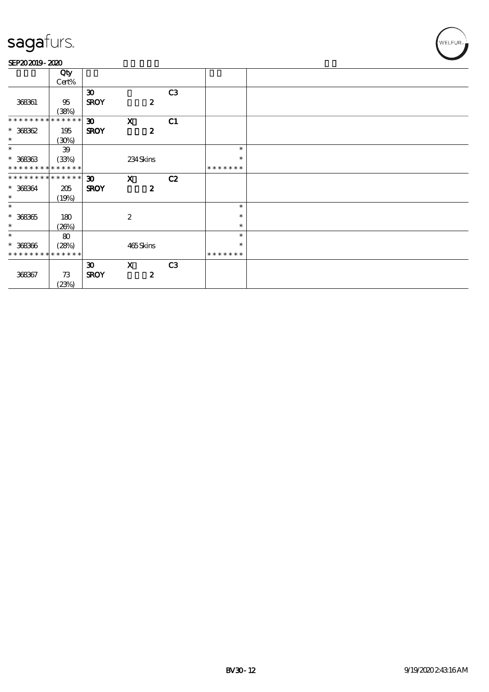### SEP202019-2020

| Cert% |                                                                                                                                                                                  |                                                                                                                                                                                                                                        |                                                                  |                                                                                                            |                            |
|-------|----------------------------------------------------------------------------------------------------------------------------------------------------------------------------------|----------------------------------------------------------------------------------------------------------------------------------------------------------------------------------------------------------------------------------------|------------------------------------------------------------------|------------------------------------------------------------------------------------------------------------|----------------------------|
|       |                                                                                                                                                                                  |                                                                                                                                                                                                                                        |                                                                  |                                                                                                            |                            |
|       |                                                                                                                                                                                  |                                                                                                                                                                                                                                        |                                                                  |                                                                                                            |                            |
|       |                                                                                                                                                                                  |                                                                                                                                                                                                                                        |                                                                  |                                                                                                            |                            |
|       |                                                                                                                                                                                  |                                                                                                                                                                                                                                        |                                                                  |                                                                                                            |                            |
|       |                                                                                                                                                                                  |                                                                                                                                                                                                                                        |                                                                  |                                                                                                            |                            |
|       |                                                                                                                                                                                  |                                                                                                                                                                                                                                        |                                                                  |                                                                                                            |                            |
|       |                                                                                                                                                                                  |                                                                                                                                                                                                                                        |                                                                  | $\ast$                                                                                                     |                            |
|       |                                                                                                                                                                                  |                                                                                                                                                                                                                                        |                                                                  | $\ast$                                                                                                     |                            |
|       |                                                                                                                                                                                  |                                                                                                                                                                                                                                        |                                                                  | * * * * * * *                                                                                              |                            |
|       |                                                                                                                                                                                  |                                                                                                                                                                                                                                        |                                                                  |                                                                                                            |                            |
|       |                                                                                                                                                                                  |                                                                                                                                                                                                                                        |                                                                  |                                                                                                            |                            |
|       |                                                                                                                                                                                  |                                                                                                                                                                                                                                        |                                                                  |                                                                                                            |                            |
|       |                                                                                                                                                                                  |                                                                                                                                                                                                                                        |                                                                  | $\ast$                                                                                                     |                            |
|       |                                                                                                                                                                                  |                                                                                                                                                                                                                                        |                                                                  | $\ast$                                                                                                     |                            |
|       |                                                                                                                                                                                  |                                                                                                                                                                                                                                        |                                                                  | $\ast$                                                                                                     |                            |
|       |                                                                                                                                                                                  |                                                                                                                                                                                                                                        |                                                                  | $\ast$                                                                                                     |                            |
|       |                                                                                                                                                                                  |                                                                                                                                                                                                                                        |                                                                  | ∗                                                                                                          |                            |
|       |                                                                                                                                                                                  |                                                                                                                                                                                                                                        |                                                                  | * * * * * * *                                                                                              |                            |
|       |                                                                                                                                                                                  |                                                                                                                                                                                                                                        |                                                                  |                                                                                                            |                            |
|       |                                                                                                                                                                                  |                                                                                                                                                                                                                                        |                                                                  |                                                                                                            |                            |
|       |                                                                                                                                                                                  |                                                                                                                                                                                                                                        |                                                                  |                                                                                                            |                            |
|       | Qty<br>95<br>(38%)<br>195<br>(30%)<br>39<br>(33%)<br>* * * * * *<br>* * * * * * * *<br>205<br>(19%)<br>180<br>(20%)<br>80<br>(28%)<br>* * * * * * * * * * * * * *<br>73<br>(23%) | $\boldsymbol{\mathfrak{D}}$<br><b>SROY</b><br>* * * * * * * * * * * * * *<br>30 <sub>o</sub><br><b>SROY</b><br>* * * * * * * * * * * * * *<br>$\boldsymbol{\mathfrak{D}}$<br><b>SROY</b><br>$\boldsymbol{\mathfrak{D}}$<br><b>SROY</b> | $\mathbf{x}$<br>$\mathbf{x}$<br>$\boldsymbol{2}$<br>$\mathbf{x}$ | $\boldsymbol{z}$<br>C1<br>$\boldsymbol{z}$<br>234Skins<br>$\boldsymbol{z}$<br>465Skins<br>$\boldsymbol{z}$ | C <sub>3</sub><br>C2<br>C3 |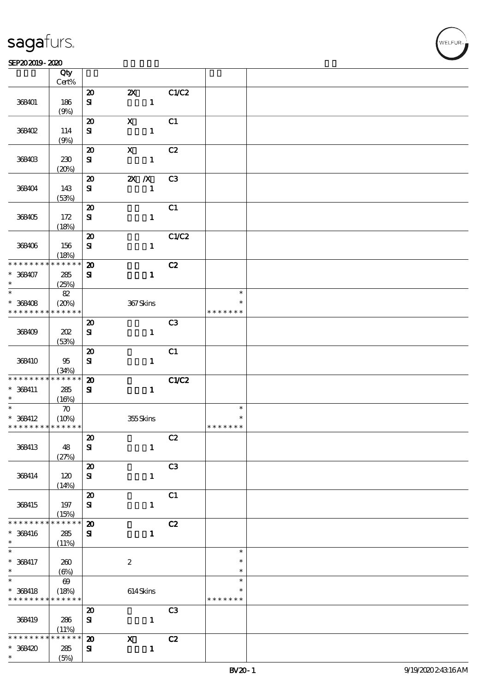### $SEP202019 - 2020$

|                                          | Qty<br>Cert%            |                             |                           |                |               |  |
|------------------------------------------|-------------------------|-----------------------------|---------------------------|----------------|---------------|--|
|                                          |                         |                             |                           |                |               |  |
|                                          |                         | $\boldsymbol{\mathbf{z}}$   | $\boldsymbol{\mathsf{Z}}$ | C1/C2          |               |  |
| 368401                                   | 186                     | ${\bf s}$                   | $\mathbf{1}$              |                |               |  |
|                                          | (9%)                    |                             |                           |                |               |  |
|                                          |                         | $\boldsymbol{\mathfrak{D}}$ | $\mathbf X$               | C1             |               |  |
| 368402                                   | 114                     | $\mathbf{S}$                | $\mathbf{1}$              |                |               |  |
|                                          | (9%)                    |                             |                           |                |               |  |
|                                          |                         | $\boldsymbol{\mathbf{z}}$   | $\boldsymbol{\mathrm{X}}$ | C2             |               |  |
| 368403                                   | 230                     | ${\bf s}$                   | $\mathbf{1}$              |                |               |  |
|                                          | (20%)                   |                             |                           |                |               |  |
|                                          |                         | $\boldsymbol{\mathsf{20}}$  | $X$ $N$                   | C3             |               |  |
| 368404                                   | 143                     | ${\bf s}$                   | $\mathbf{1}$              |                |               |  |
|                                          | (53%)                   |                             |                           |                |               |  |
|                                          |                         | $\boldsymbol{\mathfrak{D}}$ |                           | C1             |               |  |
| 368405                                   | 172                     | ${\bf s}$                   | $\mathbf{1}$              |                |               |  |
|                                          | (18%)                   |                             |                           |                |               |  |
|                                          |                         | $\boldsymbol{\mathsf{20}}$  |                           | C1/C2          |               |  |
|                                          |                         |                             |                           |                |               |  |
| 368406                                   | 156                     | ${\bf s}$                   | $\mathbf{1}$              |                |               |  |
| * * * * * * * *                          | (18%)<br>* * * * * *    |                             |                           |                |               |  |
|                                          |                         | $\boldsymbol{\mathfrak{D}}$ |                           | C2             |               |  |
| $* 368407$                               | 285                     | $\mathbf{S}$                | $\mathbf{1}$              |                |               |  |
| $\ast$                                   | (25%)                   |                             |                           |                |               |  |
| $\ast$                                   | $8\!2$                  |                             |                           |                | $\ast$        |  |
| $* 368408$                               | (20%)                   |                             | 367Skins                  |                | $\ast$        |  |
| * * * * * * * *                          | * * * * * *             |                             |                           |                | * * * * * * * |  |
|                                          |                         | $\boldsymbol{\mathbf{z}}$   |                           | C <sub>3</sub> |               |  |
| 368409                                   | 202                     | ${\bf s}$                   | $\mathbf{1}$              |                |               |  |
|                                          | (53%)                   |                             |                           |                |               |  |
|                                          |                         | $\boldsymbol{\mathsf{20}}$  |                           | C1             |               |  |
| 368410                                   | 95                      | $\mathbf{S}$                | $\mathbf{1}$              |                |               |  |
|                                          | (34%)                   |                             |                           |                |               |  |
| * * * * * * * *                          | * * * * * *             | $\boldsymbol{\mathbf{z}}$   |                           | <b>C1/C2</b>   |               |  |
| * 368411                                 | 285                     | ${\bf s}$                   | $\mathbf{1}$              |                |               |  |
| $\ast$                                   | (16%)                   |                             |                           |                |               |  |
| $\overline{\ast}$                        | $\boldsymbol{\pi}$      |                             |                           |                | $\ast$        |  |
| $* 368412$                               | (10%)                   |                             | 355Skins                  |                | $\ast$        |  |
| * * * * * * * * <mark>* * * * * *</mark> |                         |                             |                           |                | * * * * * * * |  |
|                                          |                         | $\pmb{\mathcal{Z}}$         |                           | C2             |               |  |
| 368413                                   | 48                      | ${\bf s}$                   | $\mathbf{1}$              |                |               |  |
|                                          | (27%)                   |                             |                           |                |               |  |
|                                          |                         | $\boldsymbol{\mathsf{20}}$  |                           | C3             |               |  |
| 368414                                   | 120                     | ${\bf s}$                   | $\mathbf{1}$              |                |               |  |
|                                          |                         |                             |                           |                |               |  |
|                                          | (14%)                   |                             |                           |                |               |  |
|                                          | 197                     | $\pmb{\mathcal{Z}}$         |                           | C1             |               |  |
| 368415                                   |                         | ${\bf s}$                   | $\mathbf{1}$              |                |               |  |
| * * * * * * *                            | (15%)<br>* * * * * *    |                             |                           |                |               |  |
|                                          |                         | $\boldsymbol{\mathbf{z}}$   |                           | C2             |               |  |
| $* 368416$                               | ${\bf 285}$             | ${\bf s}$                   | $\mathbf{1}$              |                |               |  |
| $\ast$                                   | (11%)                   |                             |                           |                |               |  |
| $\ast$                                   |                         |                             |                           |                | $\ast$        |  |
| $* 368417$                               | 260                     |                             | $\boldsymbol{2}$          |                | $\ast$        |  |
| $\ast$                                   | (6%)                    |                             |                           |                | $\ast$        |  |
| $\overline{\ast}$                        | $\boldsymbol{\omega}$   |                             |                           |                | $\ast$        |  |
| $* 368418$                               | (18%)                   |                             | $614$ Skins               |                | $\ast$        |  |
| * * * * * * * *                          | * * * * * *             |                             |                           |                | * * * * * * * |  |
|                                          |                         | $\boldsymbol{\mathfrak{D}}$ |                           | C <sub>3</sub> |               |  |
| 368419                                   | 286                     | ${\bf s}$                   | $\mathbf{1}$              |                |               |  |
|                                          | (11%)                   |                             |                           |                |               |  |
| * * * * * * *                            | $* * * * * *$<br>$\ast$ | $\boldsymbol{\mathbf{z}}$   | $\boldsymbol{\mathrm{X}}$ | C2             |               |  |
| $*368420$                                | 285                     | ${\bf s}$                   | $\mathbf{1}$              |                |               |  |
| $\ast$                                   | (5%)                    |                             |                           |                |               |  |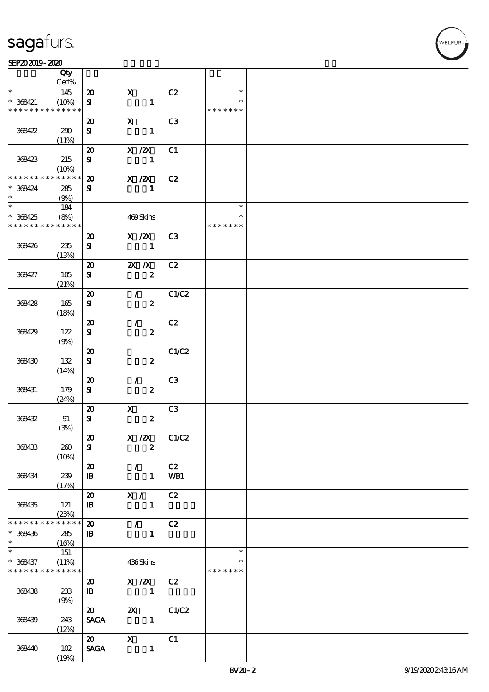### $SEP202019 - 2020$

|                                            | Qty<br>Cert%    |                                        |                                 |                |               |  |
|--------------------------------------------|-----------------|----------------------------------------|---------------------------------|----------------|---------------|--|
| $\ast$                                     | 145             | $\boldsymbol{\mathbf{z}}$              | $\mathbf{x}$                    | C2             | $\ast$        |  |
| $* 368421$                                 | (10%)           | ${\bf s}$                              | $\mathbf{1}$                    |                |               |  |
| * * * * * * * *                            | * * * * * *     |                                        |                                 |                | * * * * * * * |  |
|                                            |                 | $\boldsymbol{\mathfrak{D}}$            | $\mathbf{x}$                    | C <sub>3</sub> |               |  |
| 368422                                     | 290             | ${\bf s}$                              | $\mathbf{1}$                    |                |               |  |
|                                            | (11%)           |                                        |                                 |                |               |  |
|                                            |                 | $\boldsymbol{\mathfrak{D}}$            | $X \, / ZX$                     | C1             |               |  |
| 368423                                     | 215             | ${\bf s}$                              | $\mathbf{1}$                    |                |               |  |
|                                            | (10%)           |                                        |                                 |                |               |  |
| * * * * * * * *                            | $* * * * * * *$ | $\boldsymbol{\mathfrak{D}}$            | $X$ / $ZX$                      | C2             |               |  |
| $* 368424$                                 | 285             | ${\bf s}$                              | $\mathbf{1}$                    |                |               |  |
| $\ast$                                     | (9%)            |                                        |                                 |                |               |  |
| $\overline{\ast}$                          | 184             |                                        |                                 |                | $\ast$        |  |
| $* 368425$                                 | (8%)            |                                        | 469Skins                        |                | $\ast$        |  |
| * * * * * * * * * * * * * *                |                 |                                        |                                 |                | * * * * * * * |  |
|                                            |                 | $\boldsymbol{\mathfrak{D}}$            | $X \, /ZX$                      | C <sub>3</sub> |               |  |
| 368426                                     | 235             | ${\bf s}$                              | $\blacksquare$                  |                |               |  |
|                                            | (13%)           |                                        |                                 |                |               |  |
|                                            |                 | $\boldsymbol{\mathfrak{D}}$            | $X$ $N$                         | C2             |               |  |
| 368427                                     | 105             | ${\bf s}$                              | $\boldsymbol{z}$                |                |               |  |
|                                            | (21%)           |                                        |                                 |                |               |  |
|                                            |                 | $\boldsymbol{\mathfrak{D}}$            | $\mathcal{F}$                   | C1/C2          |               |  |
| 368428                                     | 165             | ${\bf s}$                              | $\boldsymbol{z}$                |                |               |  |
|                                            | (18%)           |                                        |                                 |                |               |  |
|                                            |                 | $\boldsymbol{\mathfrak{D}}$            | $\mathcal{F}$                   | C2             |               |  |
| 368429                                     | 122             | ${\bf s}$                              | $\boldsymbol{z}$                |                |               |  |
|                                            | (9%)            |                                        |                                 |                |               |  |
|                                            |                 | $\boldsymbol{\mathsf{20}}$             |                                 | C1/C2          |               |  |
| 368430                                     | 132             | ${\bf s}$                              | $\boldsymbol{2}$                |                |               |  |
|                                            | (14%)           |                                        |                                 |                |               |  |
|                                            |                 | $\boldsymbol{\mathbf{z}}$              | $\mathcal{F}$                   | C <sub>3</sub> |               |  |
| 368431                                     | 179             | ${\bf s}$                              | $\pmb{2}$                       |                |               |  |
|                                            | (24%)           |                                        |                                 |                |               |  |
|                                            |                 | $\boldsymbol{\mathbf{z}}$<br>${\bf s}$ | $\mathbf x$<br>$\boldsymbol{z}$ | C <sub>3</sub> |               |  |
| 368432                                     | 91<br>(3%)      |                                        |                                 |                |               |  |
|                                            |                 | $\boldsymbol{\omega}$                  | X / ZX C1/C2                    |                |               |  |
| 368433                                     | 260             | ${\bf s}$                              | $\boldsymbol{z}$                |                |               |  |
|                                            | (10%)           |                                        |                                 |                |               |  |
|                                            |                 | $\boldsymbol{\mathfrak{D}}$            | $\mathcal{L}$                   | C2             |               |  |
| 368434                                     | 239             | $\mathbf{B}$                           | $\mathbf{1}$                    | WB1            |               |  |
|                                            | (17%)           |                                        |                                 |                |               |  |
|                                            |                 | $\boldsymbol{\mathsf{20}}$             | X / C2                          |                |               |  |
| 368435                                     | 121             | $\mathbf{B}$                           | $\mathbf{1}$                    |                |               |  |
|                                            | (23%)           |                                        |                                 |                |               |  |
| * * * * * * * *                            | * * * * * *     | $\boldsymbol{\mathbf{z}}$              | $\mathcal{F}$ and $\mathcal{F}$ | C2             |               |  |
| $* 368436$                                 | 285             | $\mathbf{B}$                           | $\mathbf{1}$                    |                |               |  |
| $\ast$                                     | (16%)           |                                        |                                 |                |               |  |
| $\ast$                                     | 151             |                                        |                                 |                | $\ast$        |  |
| * 368437                                   | (11%)           |                                        | 436Skins                        |                |               |  |
| * * * * * * * * <mark>* * * * * * *</mark> |                 |                                        |                                 |                | * * * * * * * |  |
|                                            |                 | $\boldsymbol{\mathfrak{D}}$            | X / ZX C2                       |                |               |  |
| 368438                                     | 233             | $\mathbf{B}$                           | $\sim$ 1                        |                |               |  |
|                                            | (9%)            |                                        |                                 |                |               |  |
|                                            |                 | $\boldsymbol{\mathfrak{D}}$            | $\mathbf{x}$<br>$\sim$ $\sim$ 1 | C1/C2          |               |  |
| 368439                                     | 243<br>(12%)    | <b>SAGA</b>                            |                                 |                |               |  |
|                                            |                 | $\boldsymbol{\mathsf{20}}$             | $\mathbf{X}$                    | C1             |               |  |
| 36840                                      | 102             | <b>SAGA</b>                            | $\mathbf{1}$                    |                |               |  |
|                                            | (19%)           |                                        |                                 |                |               |  |

т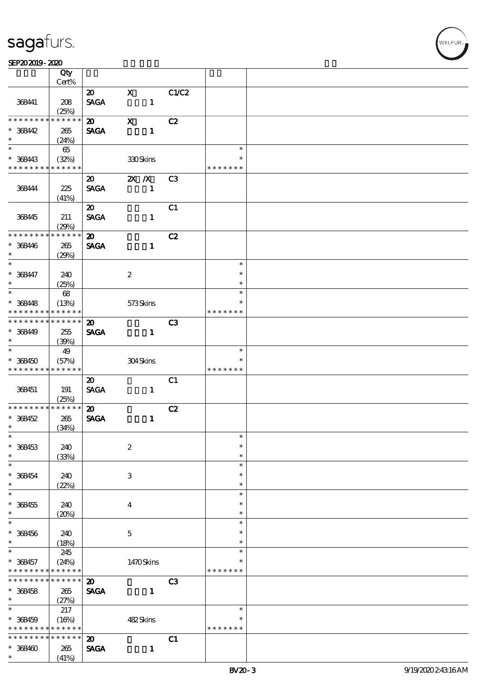### SEP202019-2020

|                                          | Qty<br>Cert%         |                                            |                              |                |                         |  |
|------------------------------------------|----------------------|--------------------------------------------|------------------------------|----------------|-------------------------|--|
|                                          |                      |                                            |                              |                |                         |  |
| 368441                                   |                      | $\boldsymbol{\mathfrak{D}}$<br><b>SAGA</b> | $\mathbf{x}$<br>$\mathbf{1}$ | C1/C2          |                         |  |
|                                          | 208<br>(25%)         |                                            |                              |                |                         |  |
| * * * * * * * *                          | * * * * * *          | $\boldsymbol{\mathsf{20}}$                 | $\mathbf{x}$                 | C2             |                         |  |
| $* 368442$                               | 265                  | <b>SAGA</b>                                | $\mathbf{1}$                 |                |                         |  |
| $\ast$                                   | (24%)                |                                            |                              |                |                         |  |
| $\overline{\ast}$                        | 65                   |                                            |                              |                | $\ast$                  |  |
| $* 368443$                               | (32%)                |                                            | 330Skins                     |                | $\ast$                  |  |
| * * * * * * * * * * * * * *              |                      |                                            |                              |                | * * * * * * *           |  |
|                                          |                      | $\boldsymbol{\mathfrak{D}}$                | $\mathbf{X}$ $\mathbf{X}$    | C <sub>3</sub> |                         |  |
| 368444                                   | 225                  | <b>SAGA</b>                                | $\mathbf{1}$                 |                |                         |  |
|                                          | (41%)                |                                            |                              |                |                         |  |
|                                          |                      | $\boldsymbol{\mathfrak{D}}$                |                              | C1             |                         |  |
| 368445                                   | 211                  | <b>SAGA</b>                                | $\mathbf{1}$                 |                |                         |  |
|                                          | (29%)                |                                            |                              |                |                         |  |
| * * * * * * * *                          | * * * * * *          | $\boldsymbol{\mathsf{20}}$                 |                              | C2             |                         |  |
| $* 368446$                               | 265                  | <b>SAGA</b>                                | $\mathbf{1}$                 |                |                         |  |
| $\ast$                                   | (29%)                |                                            |                              |                |                         |  |
| $\ast$                                   |                      |                                            |                              |                | $\ast$                  |  |
| $* 368447$                               | 240                  |                                            | $\boldsymbol{2}$             |                | $\ast$                  |  |
| $\ast$                                   | (25%)                |                                            |                              |                | $\ast$                  |  |
| $\ast$                                   | 68                   |                                            |                              |                | $\ast$                  |  |
| $* 368448$                               | (13%)                |                                            | 573Skins                     |                | $\ast$                  |  |
| * * * * * * * *                          | * * * * * *          |                                            |                              |                | * * * * * * *           |  |
| * * * * * * * *                          | * * * * * *          | $\boldsymbol{\mathfrak{D}}$                |                              | C <sub>3</sub> |                         |  |
| $* 368449$                               | 255                  | <b>SAGA</b>                                | $\mathbf{1}$                 |                |                         |  |
| $\ast$                                   | (39%)                |                                            |                              |                |                         |  |
| $\ast$                                   | 49                   |                                            |                              |                | $\ast$                  |  |
| $* 368450$                               | (57%)                |                                            | 304Skins                     |                |                         |  |
| * * * * * * * * * * * * * *              |                      |                                            |                              |                | * * * * * * *           |  |
|                                          |                      | $\boldsymbol{\mathfrak{D}}$                |                              | C1             |                         |  |
| 368451                                   | 191                  | <b>SAGA</b>                                | $\mathbf{1}$                 |                |                         |  |
|                                          | (25%)                |                                            |                              |                |                         |  |
| * * * * * * * *                          | * * * * * *          | $\boldsymbol{\mathfrak{D}}$                |                              | C2             |                         |  |
| $* 368452$                               | 265                  | <b>SAGA</b>                                | $\mathbf{1}$                 |                |                         |  |
| $\ast$                                   | (34%)                |                                            |                              |                |                         |  |
| $*$                                      |                      |                                            |                              |                | $\ast$                  |  |
| $* 368453$                               | 240                  |                                            | $\boldsymbol{2}$             |                | $\ast$                  |  |
| $\ast$                                   | (33%)                |                                            |                              |                | $\ast$                  |  |
| $\ast$                                   |                      |                                            |                              |                | $\ast$                  |  |
| $* 368454$                               | 240                  |                                            | $\,3$                        |                | $\ast$                  |  |
| $\ast$                                   | (22%)                |                                            |                              |                | $\ast$                  |  |
| $\ast$                                   |                      |                                            |                              |                | $\ast$                  |  |
| $* 368455$                               | 240                  |                                            | $\bf{4}$                     |                | $\ast$                  |  |
| $\ast$                                   | (20%)                |                                            |                              |                | $\ast$                  |  |
| $\ast$                                   |                      |                                            |                              |                | $\ast$                  |  |
| $* 368456$                               | 240                  |                                            | $\mathbf 5$                  |                | $\ast$                  |  |
| $\ast$<br>$\ast$                         | (18%)                |                                            |                              |                | $\ast$                  |  |
|                                          | 245                  |                                            |                              |                | $\ast$                  |  |
| $* 368457$<br>* * * * * * * *            | (24%)<br>* * * * * * |                                            | 1470Skins                    |                | $\ast$<br>* * * * * * * |  |
| * * * * * * * *                          | * * * * * *          |                                            |                              |                |                         |  |
| $* 368458$                               |                      | $\boldsymbol{\mathfrak{D}}$                |                              | C <sub>3</sub> |                         |  |
| $\ast$                                   | 265                  | <b>SAGA</b>                                | $\mathbf{1}$                 |                |                         |  |
| $\ast$                                   | (27%)<br>217         |                                            |                              |                | $\ast$                  |  |
| $* 368459$                               | (16%)                |                                            | 482Skins                     |                | $\ast$                  |  |
| * * * * * * * * <mark>* * * * * *</mark> |                      |                                            |                              |                | * * * * * * *           |  |
| * * * * * * * *                          | * * * * * *          | $\boldsymbol{\mathfrak{D}}$                |                              | C1             |                         |  |
| $* 368400$                               | 265                  | <b>SAGA</b>                                | $\mathbf{1}$                 |                |                         |  |
| $\ast$                                   | (41%)                |                                            |                              |                |                         |  |
|                                          |                      |                                            |                              |                |                         |  |

VELFUR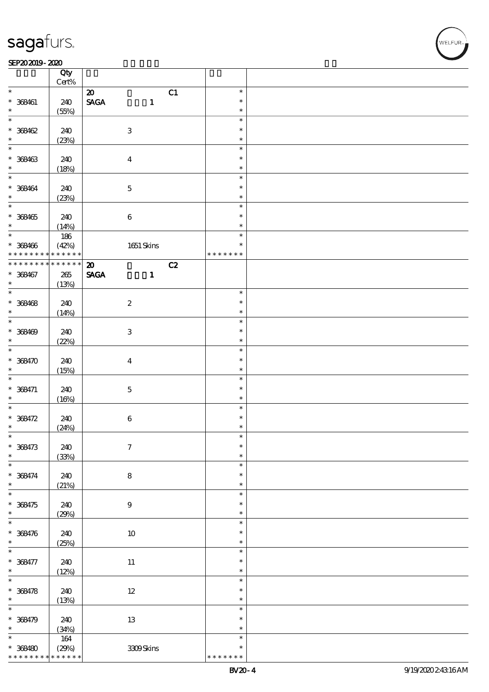### SEP202019-2020

|                   | Qty<br>$\mbox{Cert}\%$ |                                              |               |  |
|-------------------|------------------------|----------------------------------------------|---------------|--|
| $\ast$            |                        |                                              |               |  |
|                   |                        | C1<br>$\boldsymbol{\mathfrak{D}}$            | $\ast$        |  |
| $* 368461$        | 240                    | $\ensuremath{\mathsf{SAGA}}$<br>$\mathbf{1}$ | $\ast$        |  |
| $\ast$            | (55%)                  |                                              | $\ast$        |  |
| $\ast$            |                        |                                              | $\ast$        |  |
|                   |                        |                                              |               |  |
| $* 368462$        | 240                    | $\ensuremath{\mathbf{3}}$                    | $\ast$        |  |
| $\ast$            | (23%)                  |                                              | $\ast$        |  |
| $\ast$            |                        |                                              | $\ast$        |  |
|                   |                        |                                              | $\ast$        |  |
| $* 368463$        | 240                    | $\boldsymbol{4}$                             |               |  |
|                   | (18%)                  |                                              | $\ast$        |  |
| $\ast$            |                        |                                              | $\ast$        |  |
|                   |                        |                                              | $\ast$        |  |
| $* 368464$        | 240                    | $\mathbf 5$                                  |               |  |
| $\ast$            | (23%)                  |                                              | $\ast$        |  |
| $\overline{\ast}$ |                        |                                              | $\ast$        |  |
| $* 368465$        | 240                    | $\bf 6$                                      | $\ast$        |  |
| $\ast$            |                        |                                              |               |  |
|                   | (14%)                  |                                              | $\ast$        |  |
| $*$               | 186                    |                                              | $\ast$        |  |
| $* 368466$        | (42%)                  | $1651$ Skins                                 | $\ast$        |  |
| * * * * * * * *   | * * * * * *            |                                              | * * * * * * * |  |
| * * * * * * * *   |                        |                                              |               |  |
|                   | $******$               | C2<br>$\boldsymbol{\mathfrak{D}}$            |               |  |
| * 368467          | $265\,$                | <b>SAGA</b><br>$\mathbf{1}$                  |               |  |
| $\ast$            | (13%)                  |                                              |               |  |
| $\overline{\ast}$ |                        |                                              | $\ast$        |  |
|                   |                        |                                              |               |  |
| $* 368468$        | 240                    | $\boldsymbol{2}$                             | $\ast$        |  |
| $\ast$            | (14%)                  |                                              | $\ast$        |  |
| $\ast$            |                        |                                              | $\ast$        |  |
|                   |                        |                                              |               |  |
| $* 368469$        | 240                    | $\ensuremath{\mathbf{3}}$                    | $\ast$        |  |
| $\ast$            | (22%)                  |                                              | $\ast$        |  |
| $\ast$            |                        |                                              | $\ast$        |  |
| $* 368470$        | 240                    |                                              | $\ast$        |  |
|                   |                        | $\boldsymbol{4}$                             |               |  |
| $\ast$            | (15%)                  |                                              | $\ast$        |  |
| $\ast$            |                        |                                              | $\ast$        |  |
| $* 368471$        | 240                    | $\mathbf 5$                                  | $\ast$        |  |
| $\ast$            |                        |                                              | $\ast$        |  |
| $\ast$            | (16%)                  |                                              |               |  |
|                   |                        |                                              | $\ast$        |  |
| $* 368472$        | 240                    | $\bf 6$                                      | $\ast$        |  |
| $\ast$            | (24%)                  |                                              | $\ast$        |  |
|                   |                        |                                              | ж             |  |
|                   |                        |                                              | $\ast$        |  |
| $* 368473$        | 240                    | $\boldsymbol{7}$                             |               |  |
| $\ast$            | (33%)                  |                                              | $\ast$        |  |
| $\ast$            |                        |                                              | $\ast$        |  |
| $* 368474$        | 240                    | ${\bf 8}$                                    | $\ast$        |  |
|                   |                        |                                              |               |  |
| $\ast$            | (21%)                  |                                              | $\ast$        |  |
| $\ast$            |                        |                                              | $\ast$        |  |
| $* 368475$        | 240                    | $9\,$                                        | $\ast$        |  |
| $\ast$            |                        |                                              | $\ast$        |  |
|                   | (29%)                  |                                              |               |  |
| $\ast$            |                        |                                              | $\ast$        |  |
| $* 368476$        | 240                    | $10\,$                                       | $\ast$        |  |
| $\ast$            | (25%)                  |                                              | $\ast$        |  |
| $\ast$            |                        |                                              | $\ast$        |  |
|                   |                        |                                              |               |  |
| $* 368477$        | 240                    | $11\,$                                       | $\ast$        |  |
| $\ast$            | (12%)                  |                                              | $\ast$        |  |
| $\ast$            |                        |                                              | $\ast$        |  |
|                   |                        |                                              |               |  |
| * 368478          | 240                    | $12\,$                                       | $\ast$        |  |
| $\ast$            | (13%)                  |                                              | $\ast$        |  |
| $\ast$            |                        |                                              | $\ast$        |  |
| $* 368479$        | 240                    |                                              | $\ast$        |  |
|                   |                        | 13                                           |               |  |
| $\ast$            | (34%)                  |                                              | $\ast$        |  |
| $\ast$            | $164\,$                |                                              | $\ast$        |  |
| $* 368480$        | (29%)                  | 3309Skins                                    | $\ast$        |  |
| * * * * * * * *   | * * * * * *            |                                              | * * * * * * * |  |
|                   |                        |                                              |               |  |

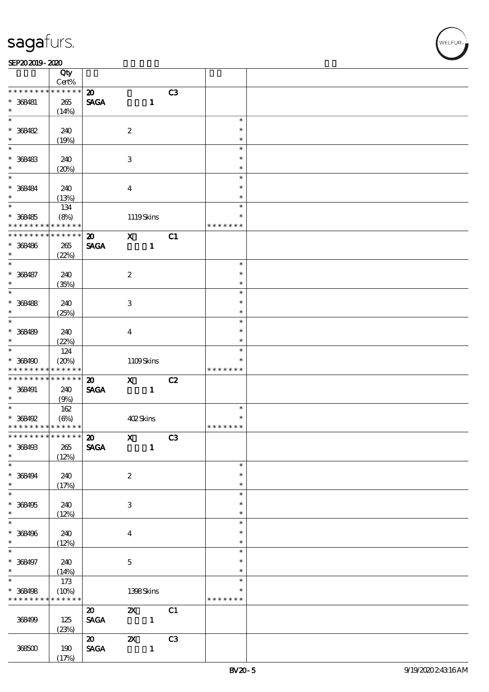$\top$ 

### $SEP202019 - 2020$

|                                            | Qty<br>Cert%    |                                |                           |                |               |  |
|--------------------------------------------|-----------------|--------------------------------|---------------------------|----------------|---------------|--|
| * * * * * * * *                            | * * * * * *     | $\boldsymbol{\mathbf{z}}$      |                           | C3             |               |  |
|                                            |                 |                                |                           |                |               |  |
| $* 368481$<br>$\ast$                       | 265             | <b>SAGA</b>                    | $\mathbf{1}$              |                |               |  |
|                                            | (14%)           |                                |                           |                |               |  |
| $\overline{\ast}$                          |                 |                                |                           |                | $\ast$        |  |
| $* 368482$                                 | 240             |                                | $\boldsymbol{2}$          |                | $\ast$        |  |
| $\ast$                                     | (19%)           |                                |                           |                | $\ast$        |  |
|                                            |                 |                                |                           |                | $\ast$        |  |
| $* 368483$                                 | 240             |                                | 3                         |                | $\ast$        |  |
| $\ast$                                     | (20%)           |                                |                           |                | $\ast$        |  |
| $\ast$                                     |                 |                                |                           |                | $\ast$        |  |
| * 368484                                   | 240             |                                | $\boldsymbol{4}$          |                | $\ast$        |  |
| $\ast$                                     |                 |                                |                           |                | $\ast$        |  |
|                                            | (13%)           |                                |                           |                | $\ast$        |  |
|                                            | 134             |                                |                           |                |               |  |
| $* 368485$                                 | (8%)            |                                | 1119Skins                 |                | $\ast$        |  |
| * * * * * * * *                            | * * * * * *     |                                |                           |                | * * * * * * * |  |
| * * * * * * * *                            | $******$        | $\boldsymbol{\mathbf{z}}$      | $\mathbf{x}$              | C1             |               |  |
| * 368486                                   | 265             | <b>SAGA</b>                    | $\mathbf{1}$              |                |               |  |
| $\ast$                                     | (22%)           |                                |                           |                |               |  |
| $\overline{\ast}$                          |                 |                                |                           |                | $\ast$        |  |
| * 368487                                   | 240             |                                | $\boldsymbol{2}$          |                | $\ast$        |  |
| $\ast$                                     | (35%)           |                                |                           |                | $\ast$        |  |
| $\overline{\ast}$                          |                 |                                |                           |                | $\ast$        |  |
| $* 368488$                                 | 240             |                                | $\,3$                     |                | $\ast$        |  |
| $\ast$                                     | (25%)           |                                |                           |                | $\ast$        |  |
| $\ast$                                     |                 |                                |                           |                | $\ast$        |  |
| $* 368489$                                 |                 |                                |                           |                | $\ast$        |  |
| $\ast$                                     | 240             |                                | $\overline{4}$            |                | $\ast$        |  |
| $\overline{\mathbf{r}}$                    | (22%)           |                                |                           |                |               |  |
|                                            | 124             |                                |                           |                | $\ast$        |  |
| $* 368490$                                 | (20%)           |                                | 1109Skins                 |                | $\ast$        |  |
| * * * * * * * *                            | * * * * * *     |                                |                           |                | * * * * * * * |  |
| * * * * * * * *                            | $* * * * * * *$ | $\boldsymbol{\mathsf{20}}$     | $\mathbf{x}$              | C2             |               |  |
| $* 368491$                                 | 240             | <b>SAGA</b>                    | $\mathbf{1}$              |                |               |  |
| $\ast$                                     | (9%)            |                                |                           |                |               |  |
| $\overline{\ast}$                          | 162             |                                |                           |                | $\ast$        |  |
| * 368492                                   | (6%)            |                                | 402Skins                  |                | $\ast$        |  |
| * * * * * * * * <mark>* * * * * * *</mark> |                 |                                |                           |                | * * * * * * * |  |
| *************** 20                         |                 |                                | $\mathbf{X}$              | C3             |               |  |
| * 368493                                   | $265\,$         | <b>SAGA</b>                    | $\mathbf{1}$              |                |               |  |
| $\ast$                                     | (12%)           |                                |                           |                |               |  |
| $\ast$                                     |                 |                                |                           |                | $\ast$        |  |
| * 368494                                   | 240             |                                | $\boldsymbol{2}$          |                | $\ast$        |  |
| $\ast$                                     | (17%)           |                                |                           |                | $\ast$        |  |
| $\overline{\ast}$                          |                 |                                |                           |                | $\ast$        |  |
| * 368495                                   | 240             |                                | 3                         |                | $\ast$        |  |
| $\ast$                                     |                 |                                |                           |                | $\ast$        |  |
| $\ast$                                     | (12%)           |                                |                           |                | $\ast$        |  |
|                                            |                 |                                |                           |                | $\ast$        |  |
| * 368496                                   | 240             |                                | $\boldsymbol{4}$          |                |               |  |
| $\ast$                                     | (12%)           |                                |                           |                | $\ast$        |  |
| $\ast$                                     |                 |                                |                           |                | $\ast$        |  |
| * 368497                                   | 240             |                                | $\mathbf 5$               |                | $\ast$        |  |
| $\ast$                                     | (14%)           |                                |                           |                | $\ast$        |  |
| $\overline{\ast}$                          | 173             |                                |                           |                | $\ast$        |  |
| $* 368498$                                 | (10%)           |                                | 1398Skins                 |                | $\ast$        |  |
| * * * * * * * *                            | * * * * * *     |                                |                           |                | * * * * * * * |  |
|                                            |                 | $\boldsymbol{\mathfrak{D}}$    | $\boldsymbol{\mathsf{Z}}$ | C1             |               |  |
| 368499                                     | 125             | $\pmb{\text{SAGA}}$            | $\mathbf 1$               |                |               |  |
|                                            | (23%)           |                                |                           |                |               |  |
|                                            |                 | $\boldsymbol{\mathsf{20}}$     | $\boldsymbol{\mathsf{X}}$ | C <sub>3</sub> |               |  |
| 368500                                     | 190             | $\operatorname{\mathsf{SAGA}}$ | $\mathbf{1}$              |                |               |  |
|                                            | (17%)           |                                |                           |                |               |  |
|                                            |                 |                                |                           |                |               |  |

 $\overline{\mathbf{r}}$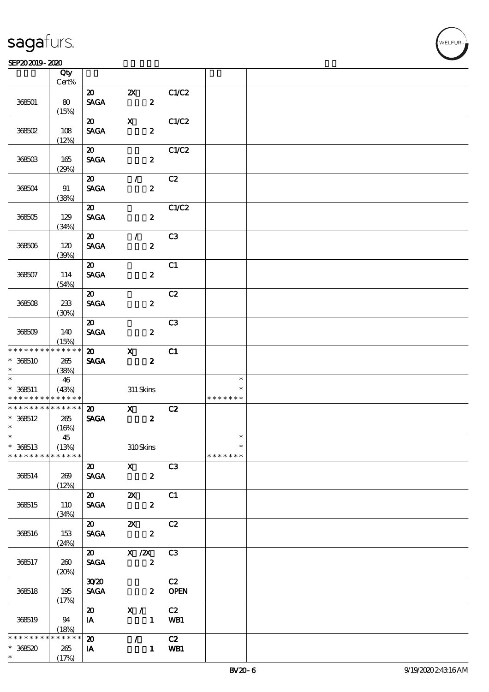### $SEP202019 - 2020$

| SEP202019-2020                                                     |                                 |                                            |                                               |                   |                                   |  |  |
|--------------------------------------------------------------------|---------------------------------|--------------------------------------------|-----------------------------------------------|-------------------|-----------------------------------|--|--|
|                                                                    | Qty<br>Cert%                    |                                            |                                               |                   |                                   |  |  |
| 368501                                                             | 80                              | $\boldsymbol{\mathfrak{D}}$<br><b>SAGA</b> | $\boldsymbol{\mathsf{Z}}$<br>$\boldsymbol{z}$ | C1/C2             |                                   |  |  |
|                                                                    | (15%)                           | $\boldsymbol{\mathfrak{D}}$                | $\mathbf x$                                   | C1/C2             |                                   |  |  |
| 368502                                                             | 108<br>(12%)                    | <b>SAGA</b>                                | $\boldsymbol{z}$                              |                   |                                   |  |  |
| 368503                                                             | 165<br>(29%)                    | $\boldsymbol{\mathfrak{D}}$<br><b>SAGA</b> | $\boldsymbol{z}$                              | C1/C2             |                                   |  |  |
| 368504                                                             | 91<br>(38%)                     | $\boldsymbol{\mathfrak{D}}$<br><b>SAGA</b> | $\mathcal{L}$<br>$\pmb{2}$                    | C2                |                                   |  |  |
| 368505                                                             | 129<br>(34%)                    | $\boldsymbol{\mathfrak{D}}$<br><b>SAGA</b> | $\boldsymbol{z}$                              | C1/C2             |                                   |  |  |
| 368506                                                             | 120<br>(39%)                    | $\boldsymbol{\mathfrak{D}}$<br><b>SAGA</b> | $\mathcal{L}$<br>$\boldsymbol{2}$             | C3                |                                   |  |  |
| 368507                                                             | 114<br>(54%)                    | $\boldsymbol{\mathfrak{D}}$<br><b>SAGA</b> | $\boldsymbol{z}$                              | C1                |                                   |  |  |
| 368508                                                             | 233<br>(30%)                    | $\boldsymbol{\mathfrak{D}}$<br><b>SAGA</b> | $\boldsymbol{z}$                              | C2                |                                   |  |  |
| 368509                                                             | 140<br>(15%)                    | $\boldsymbol{\mathfrak{D}}$<br><b>SAGA</b> | $\pmb{2}$                                     | C <sub>3</sub>    |                                   |  |  |
| * * * * * * * *<br>$*368510$<br>$\ast$                             | $* * * * * * *$<br>265<br>(38%) | $\boldsymbol{\mathfrak{D}}$<br><b>SAGA</b> | $\mathbf{x}$<br>$\boldsymbol{z}$              | C1                |                                   |  |  |
| $\ast$<br>$* 368511$<br>* * * * * * * * <mark>* * * * * * *</mark> | 46<br>(43%)                     |                                            | $311$ Skins                                   |                   | $\ast$<br>*<br>* * * * * * *      |  |  |
| * * * * * * * * <mark>* * * * * * *</mark><br>$* 36512$<br>$\ast$  | 265<br>(16%)                    | $\boldsymbol{\mathsf{20}}$<br><b>SAGA</b>  | $\mathbf{x}$<br>$\boldsymbol{2}$              | C2                |                                   |  |  |
| $\ast$<br>$* 368513$<br>* * * * * * * *                            | 45<br>(13%)<br>$* * * * * * *$  |                                            | 310Skins                                      |                   | $\ast$<br>$\ast$<br>* * * * * * * |  |  |
| 368514                                                             | 269<br>(12%)                    | $\boldsymbol{\mathfrak{D}}$<br><b>SAGA</b> | $X$ C3<br>$\overline{\mathbf{2}}$             |                   |                                   |  |  |
| 368515                                                             | 110<br>(34%)                    | $\boldsymbol{\mathsf{20}}$<br><b>SAGA</b>  | $\mathbf{X}$<br>$\boldsymbol{z}$              | C1                |                                   |  |  |
| 368516                                                             | 153<br>(24%)                    | $\boldsymbol{\mathsf{20}}$<br><b>SAGA</b>  | $\boldsymbol{\mathsf{Z}}$<br>$\boldsymbol{z}$ | C2                |                                   |  |  |
| 368517                                                             | 260<br>(20%)                    | $\boldsymbol{\omega}$<br><b>SAGA</b>       | $X$ / $ZX$<br>$\boldsymbol{z}$                | C <sub>3</sub>    |                                   |  |  |
| 368518                                                             | 195<br>(17%)                    | 3020<br><b>SAGA</b>                        | $\overline{\mathbf{z}}$                       | C2<br><b>OPEN</b> |                                   |  |  |
| 368519                                                             | 94<br>(18%)                     | <b>IA</b>                                  | $20 \times 1$<br>$\mathbf{1}$                 | C2<br>WB1         |                                   |  |  |
| * * * * * * *<br>$*368520$<br>$\ast$                               | $******$<br>265<br>(17%)        | $\boldsymbol{\mathfrak{D}}$<br>IA          | $\mathcal{L} = \mathcal{L}$<br>$\mathbf{1}$   | C2<br>WB1         |                                   |  |  |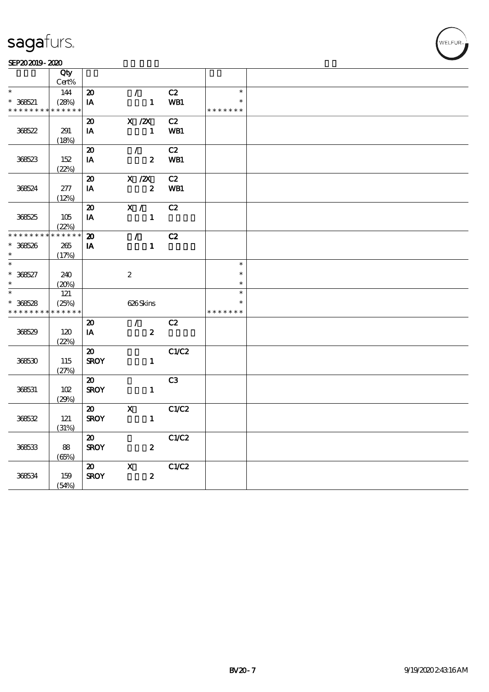### SEP202019-2020

|                 | Qty         |                             |                                  |       |               |  |
|-----------------|-------------|-----------------------------|----------------------------------|-------|---------------|--|
|                 | Cert%       |                             |                                  |       |               |  |
| $\ast$          | 144         | $\boldsymbol{\mathsf{20}}$  | $\mathcal{L}$                    | C2    | $\ast$        |  |
| $* 368521$      | (28%)       | IA                          | $\mathbf{1}$                     | WB1   | $\ast$        |  |
| * * * * * * * * | * * * * * * |                             |                                  |       | * * * * * * * |  |
|                 |             | $\boldsymbol{\mathsf{20}}$  | $X$ / $ZX$                       | C2    |               |  |
| 36622           | 291         | IA                          | $\mathbf{1}$                     | WB1   |               |  |
|                 | (18%)       |                             |                                  |       |               |  |
|                 |             | $\pmb{\mathcal{X}}$         | $\mathcal{L}$                    | C2    |               |  |
| 368523          | 152         | IA                          | $\boldsymbol{z}$                 | WB1   |               |  |
|                 | (22%)       |                             |                                  |       |               |  |
|                 |             | $\pmb{\mathcal{Z}}$         | $X$ / $ZX$                       | C2    |               |  |
| 368524          | 277         | IA                          | $\boldsymbol{z}$                 | WB1   |               |  |
|                 | (12%)       |                             |                                  |       |               |  |
|                 |             |                             | X /                              | C2    |               |  |
|                 |             | $\pmb{\mathcal{X}}$         |                                  |       |               |  |
| 368525          | 105         | IA                          | $\mathbf{1}$                     |       |               |  |
|                 | (22%)       |                             |                                  |       |               |  |
| * * * * * * * * | * * * * * * | $\boldsymbol{\mathfrak{D}}$ | $\mathcal{T} \subset \mathbb{R}$ | C2    |               |  |
| $* 368526$      | 265         | IA                          | $\mathbf{1}$                     |       |               |  |
| $\ast$          | (17%)       |                             |                                  |       |               |  |
| $\ast$          |             |                             |                                  |       | $\ast$        |  |
| $* 36627$       | 240         |                             | $\boldsymbol{2}$                 |       | $\ast$        |  |
| $\ast$          | (20%)       |                             |                                  |       | $\ast$        |  |
| $\ast$          | 121         |                             |                                  |       | $\ast$        |  |
| $* 368528$      | (25%)       |                             | 626Skins                         |       | $\ast$        |  |
| * * * * * * * * | * * * * * * |                             |                                  |       | * * * * * * * |  |
|                 |             | $\boldsymbol{\mathfrak{D}}$ | $\mathcal{L}$                    | C2    |               |  |
| 36629           | 120         | IA                          | $\boldsymbol{z}$                 |       |               |  |
|                 | (22%)       |                             |                                  |       |               |  |
|                 |             | $\boldsymbol{\mathfrak{D}}$ |                                  | C1/C2 |               |  |
| 368530          | 115         | <b>SROY</b>                 | $\mathbf{1}$                     |       |               |  |
|                 | (27%)       |                             |                                  |       |               |  |
|                 |             | $\boldsymbol{\mathfrak{D}}$ |                                  | C3    |               |  |
| 368531          | $102$       | <b>SROY</b>                 | $\mathbf{1}$                     |       |               |  |
|                 | (29%)       |                             |                                  |       |               |  |
|                 |             | $\boldsymbol{\mathfrak{D}}$ | $\mathbf X$                      | C1/C2 |               |  |
| 366532          | 121         | <b>SROY</b>                 | $\mathbf{1}$                     |       |               |  |
|                 | (31%)       |                             |                                  |       |               |  |
|                 |             | $\boldsymbol{\mathfrak{D}}$ |                                  | C1/C2 |               |  |
| 368533          | 88          | <b>SROY</b>                 | $\boldsymbol{z}$                 |       |               |  |
|                 | (65%)       |                             |                                  |       |               |  |
|                 |             | $\boldsymbol{\mathfrak{D}}$ | $\mathbf{x}$                     | C1/C2 |               |  |
| 368534          | 159         | <b>SROY</b>                 | $\boldsymbol{z}$                 |       |               |  |
|                 |             |                             |                                  |       |               |  |
|                 | (54%)       |                             |                                  |       |               |  |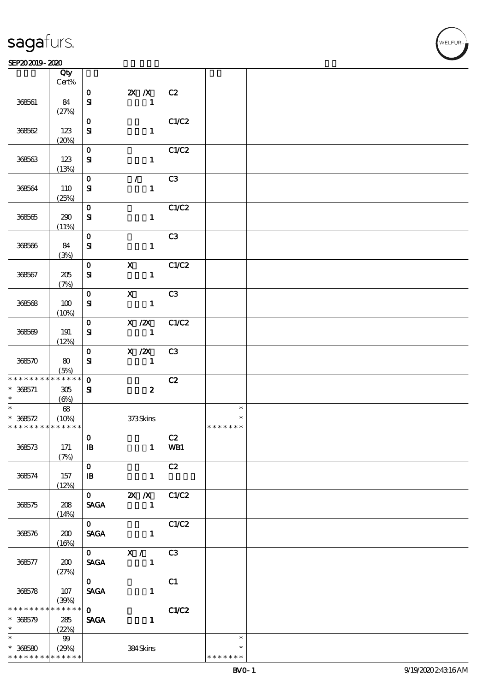#### $SEP202019 - 2020$  $\overline{\phantom{a}}$  Qty  $\overline{\phantom{a}}$

|                                                        | Qty<br>Cert%          |                                           |                                                               |                   |               |  |
|--------------------------------------------------------|-----------------------|-------------------------------------------|---------------------------------------------------------------|-------------------|---------------|--|
|                                                        |                       |                                           |                                                               |                   |               |  |
| 368561                                                 | 84                    | $\mathbf{O}$<br>${\bf s}$                 | $2X$ $\overline{X}$<br>$\mathbf{1}$                           | C2                |               |  |
|                                                        | (27%)                 |                                           |                                                               |                   |               |  |
| 368562                                                 | 123                   | $\mathbf{O}$<br>${\bf s}$                 | $\mathbf{1}$                                                  | C1/C2             |               |  |
|                                                        | (20%)                 |                                           |                                                               |                   |               |  |
| 368563                                                 | 123<br>(13%)          | $\mathbf{O}$<br>${\bf s}$                 | $\mathbf{1}$                                                  | C1/C2             |               |  |
|                                                        |                       |                                           |                                                               |                   |               |  |
| 368564                                                 | 110<br>(25%)          | $\mathbf 0$<br>${\bf s}$                  | $\mathcal{L}$<br>$\mathbf{1}$                                 | C3                |               |  |
|                                                        |                       | $\mathbf{O}$                              |                                                               | C1/C2             |               |  |
| 368565                                                 | 290<br>(11%)          | ${\bf s}$                                 | $\mathbf{1}$                                                  |                   |               |  |
|                                                        |                       | $\mathbf 0$                               |                                                               | C <sub>3</sub>    |               |  |
| 368566                                                 | 84<br>(3%)            | ${\bf S\!I}$                              | $\mathbf{1}$                                                  |                   |               |  |
|                                                        |                       | $\mathbf{o}$                              | $\mathbf{x}$                                                  | C1/C2             |               |  |
| 368567                                                 | 205<br>(7%)           | ${\bf s}$                                 | $\mathbf{1}$                                                  |                   |               |  |
|                                                        |                       | $\mathbf{O}$                              | $\mathbf{X}$                                                  | C3                |               |  |
| 368568                                                 | 100<br>(10%)          | ${\bf s}$                                 | $\mathbf{1}$                                                  |                   |               |  |
|                                                        |                       | $\mathbf{O}$                              | $X$ / $ZX$ $C1/C2$                                            |                   |               |  |
| 368569                                                 | 191<br>(12%)          | ${\bf s}$                                 | $\mathbf{1}$                                                  |                   |               |  |
|                                                        |                       | $\mathbf O$                               | $X$ / $ZX$                                                    | C3                |               |  |
| 368570                                                 | 80<br>(5%)            | ${\bf s}$                                 | $\mathbf{1}$                                                  |                   |               |  |
| * * * * * * * * <mark>* * * * * *</mark>               |                       | $\mathbf 0$                               |                                                               | C2                |               |  |
| $* 368571$<br>$\ast$                                   | $305\,$<br>$(\Theta)$ | ${\bf s}$                                 | $\boldsymbol{z}$                                              |                   |               |  |
|                                                        | 68                    |                                           |                                                               |                   | $\ast$        |  |
|                                                        | (10%)                 |                                           |                                                               |                   | $\ast$        |  |
| $* 368572$<br>* * * * * * * * <mark>* * * * * *</mark> |                       |                                           | 373Skins                                                      |                   | * * * * * * * |  |
|                                                        |                       |                                           |                                                               |                   |               |  |
| 368573                                                 | 171<br>(7%)           | $\mathbf 0$<br>$\, {\bf I} \! {\bf B} \,$ |                                                               | C2<br>1 WB1       |               |  |
|                                                        |                       | $\mathbf{O}$                              |                                                               | C2                |               |  |
| 368574                                                 | 157<br>(12%)          | $\mathbf{B}$                              | $\mathbf{1}$                                                  |                   |               |  |
|                                                        |                       |                                           | $\overline{0}$ 2X X C1/C2                                     |                   |               |  |
| 368575                                                 | 208<br>(14%)          |                                           | SAGA 1                                                        |                   |               |  |
|                                                        |                       | $\overline{\mathbf{0}}$                   |                                                               | $\overline{C1}C2$ |               |  |
| 368576                                                 | 200<br>(16%)          |                                           | SAGA 1                                                        |                   |               |  |
|                                                        |                       |                                           | $\begin{array}{ccc} 0 & \text{X} & / & \text{C3} \end{array}$ |                   |               |  |
| 368577                                                 | 200<br>(27%)          | <b>SAGA</b>                               |                                                               |                   |               |  |
|                                                        |                       | $\overline{\mathbf{o}}$                   |                                                               | C1                |               |  |
| 368578                                                 | 107<br>(30%)          | <b>SAGA</b>                               | $\blacksquare$                                                |                   |               |  |
| * * * * * * *                                          | $******$              | $\overline{\mathbf{0}}$                   |                                                               | C1/C2             |               |  |
| $* 368579$<br>$*$ and $*$                              | 285<br>(22%)          | <b>SAGA</b>                               | $\mathbf{1}$                                                  |                   |               |  |
| $\ddot{x}$                                             | $\overline{99}$       |                                           |                                                               |                   | $\ast$        |  |
| $* 36650$                                              | (29%)                 |                                           | 384Skins                                                      |                   | $\ast$        |  |
| * * * * * * * * <mark>* * * * * * *</mark>             |                       |                                           |                                                               |                   | * * * * * * * |  |
|                                                        |                       |                                           |                                                               |                   |               |  |

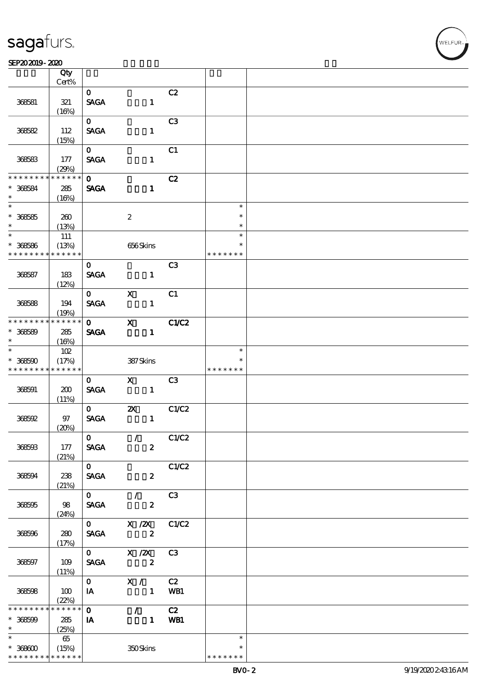### $SEP202019 - 2020$

|                               | Qty<br>Cert%         |                             |                                 |                |                         |  |
|-------------------------------|----------------------|-----------------------------|---------------------------------|----------------|-------------------------|--|
|                               |                      | $\mathbf{O}$                |                                 |                |                         |  |
| 368581                        | 321                  | <b>SAGA</b>                 | $\mathbf{1}$                    | C2             |                         |  |
|                               | (16%)                |                             |                                 |                |                         |  |
| 36662                         | 112                  | $\mathbf{O}$<br><b>SAGA</b> | $\mathbf{1}$                    | C <sub>3</sub> |                         |  |
|                               | (15%)                |                             |                                 |                |                         |  |
| 368583                        | 177<br>(29%)         | $\mathbf{O}$<br><b>SAGA</b> | $\mathbf{1}$                    | C1             |                         |  |
| * * * * * * * *               | * * * * * *          | $\mathbf{o}$                |                                 | C2             |                         |  |
| * 368584<br>$\ast$            | $285\,$<br>(16%)     | <b>SAGA</b>                 | $\mathbf{1}$                    |                |                         |  |
|                               |                      |                             |                                 |                | $\ast$                  |  |
| $* 368585$<br>$\ast$          | 260<br>(13%)         |                             | $\boldsymbol{2}$                |                | $\ast$<br>$\ast$        |  |
|                               | 111                  |                             |                                 |                | $\ast$                  |  |
| $* 366586$<br>* * * * * * * * | (13%)<br>* * * * * * |                             | 656Skins                        |                | $\ast$<br>* * * * * * * |  |
|                               |                      | $\mathbf{O}$                |                                 | C3             |                         |  |
| 368587                        | 183<br>(12%)         | <b>SAGA</b>                 | $\mathbf{1}$                    |                |                         |  |
|                               |                      | $\mathbf{O}$                | $\mathbf{x}$                    | C1             |                         |  |
| 368588                        | 194<br>(19%)         | <b>SAGA</b>                 | $\mathbf{1}$                    |                |                         |  |
| * * * * * * * *               | * * * * * *          |                             |                                 |                |                         |  |
|                               |                      | $\mathbf{O}$                | $\mathbf{x}$                    | C1/C2          |                         |  |
| $* 368589$<br>$\ast$          | 285<br>(16%)         | <b>SAGA</b>                 | $\mathbf{1}$                    |                |                         |  |
| $\overline{\ast}$             | 102                  |                             |                                 |                | $\ast$                  |  |
| $*368500$                     | (17%)                |                             | 387Skins                        |                |                         |  |
| * * * * * * * *               | * * * * * *          |                             |                                 |                | * * * * * * *           |  |
|                               |                      | $\mathbf{O}$                | $\mathbf{X}$                    | C3             |                         |  |
| 368591                        | 200<br>(11%)         | <b>SAGA</b>                 | $\mathbf{1}$                    |                |                         |  |
|                               |                      | $\mathbf{O}$                | $\boldsymbol{\mathsf{X}}$       | C1/C2          |                         |  |
| 368592                        | $97\,$               | <b>SAGA</b>                 | $\mathbf{1}$                    |                |                         |  |
|                               | (20%)                |                             |                                 |                |                         |  |
|                               |                      | $\mathbf{0}$                | $\mathcal{L}$                   | C1/C2          |                         |  |
| 368503                        | 177                  | <b>SAGA</b>                 | $\overline{\mathbf{z}}$         |                |                         |  |
|                               | (21%)                |                             |                                 |                |                         |  |
|                               |                      | $\overline{0}$              |                                 | CLC2           |                         |  |
| 368594                        | 238<br>(21%)         | SAGA                        | $\overline{\mathbf{2}}$         |                |                         |  |
|                               |                      |                             | $\overline{0}$ /                | C3             |                         |  |
| 368595                        | 98<br>(24%)          |                             | SAGA 2                          |                |                         |  |
|                               |                      |                             | 0 X /2X C1/C2                   |                |                         |  |
| 368596                        | 280<br>(17%)         |                             | SAGA 2                          |                |                         |  |
|                               |                      |                             | $0$ X $/2X$ C3                  |                |                         |  |
| 368597                        | 109<br>(11%)         | <b>SAGA</b>                 | $\overline{\mathbf{z}}$         |                |                         |  |
|                               |                      |                             | $0$ X / C2                      |                |                         |  |
| 368598                        | 100<br>(22%)         | $I$ A                       | 1 WB1                           |                |                         |  |
| * * * * * * * *               | $******$             | $\mathbf{O}$                | $\mathcal{L}$ and $\mathcal{L}$ | C2             |                         |  |
| $* 36609$                     |                      |                             |                                 |                |                         |  |
| $\star$                       | 285                  | $\mathbf{I}$                | 1 WB1                           |                |                         |  |
| $\ddot{x}$                    | (25%)                |                             |                                 |                | $\ast$                  |  |
|                               | 65                   |                             |                                 |                | $\ast$                  |  |
| $*$ 368600                    | (15%)                |                             | 350Skins                        |                |                         |  |
| * * * * * * * *               | * * * * * *          |                             |                                 |                | * * * * * * *           |  |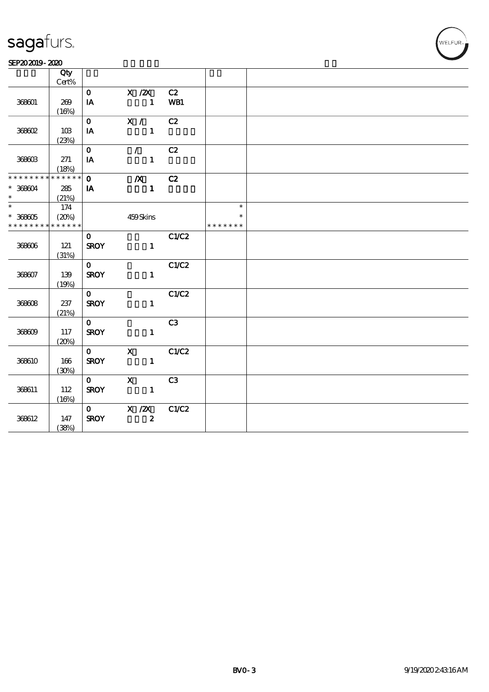### SEP202019-2020

|                             | Qty               |                   |                  |                |               |  |
|-----------------------------|-------------------|-------------------|------------------|----------------|---------------|--|
|                             | $Cert\%$          |                   |                  |                |               |  |
|                             |                   | $\mathbf{O}$      | $X$ / $ZX$       | C2             |               |  |
| 368601                      | 269               | ${\bf I} {\bf A}$ | $\mathbf{1}$     | WB1            |               |  |
|                             | (16%)             |                   |                  |                |               |  |
|                             |                   | $\mathbf{O}$      | $X / \sqrt{2}$   | C2             |               |  |
| 368602                      | 10B               | $\mathbf{IA}$     | $\mathbf{1}$     |                |               |  |
|                             | (23%)             |                   |                  |                |               |  |
|                             |                   | $\mathbf{o}$      | $\mathcal{L}$    | C2             |               |  |
| 368603                      | 271               | $\mathbf{IA}$     | $\mathbf{1}$     |                |               |  |
|                             |                   |                   |                  |                |               |  |
| * * * * * * * *             | (18%)<br>$******$ | $\mathbf{o}$      |                  | C2             |               |  |
|                             |                   |                   | $\boldsymbol{X}$ |                |               |  |
| $* 36804$<br>$\ast$         | 285               | IA                | $\mathbf{1}$     |                |               |  |
|                             | (21%)             |                   |                  |                |               |  |
|                             | 174               |                   |                  |                | $\ast$        |  |
| $* 36805$                   | (20%)             |                   | 459Skins         |                |               |  |
| * * * * * * * * * * * * * * |                   |                   |                  |                | * * * * * * * |  |
|                             |                   | $\mathbf{O}$      |                  | C1/C2          |               |  |
| 36806                       | 121               | <b>SROY</b>       | $\mathbf{1}$     |                |               |  |
|                             | (31%)             |                   |                  |                |               |  |
|                             |                   | $\mathbf{O}$      |                  | C1/C2          |               |  |
| 368607                      | 139               | <b>SROY</b>       | $\mathbf{1}$     |                |               |  |
|                             | (19%)             |                   |                  |                |               |  |
|                             |                   | $\mathbf{O}$      |                  | C1/C2          |               |  |
| 368608                      | 237               | <b>SROY</b>       | $\mathbf{1}$     |                |               |  |
|                             | (21%)             |                   |                  |                |               |  |
|                             |                   | $\mathbf{O}$      |                  | C3             |               |  |
| 368609                      | 117               | <b>SROY</b>       | $\mathbf{1}$     |                |               |  |
|                             | (20%)             |                   |                  |                |               |  |
|                             |                   | $\mathbf{O}$      | $\mathbf X$      | C1/C2          |               |  |
| 368610                      | 166               | <b>SROY</b>       | $\mathbf{1}$     |                |               |  |
|                             | (30%)             |                   |                  |                |               |  |
|                             |                   | $\mathbf{O}$      | $\mathbf{x}$     | C <sub>3</sub> |               |  |
| 368611                      | 112               | <b>SROY</b>       | $\mathbf{1}$     |                |               |  |
|                             | (16%)             |                   |                  |                |               |  |
|                             |                   | $\mathbf{O}$      | $X$ / $ZX$       | C1/C2          |               |  |
| 368612                      | 147               | <b>SROY</b>       | $\pmb{2}$        |                |               |  |
|                             | (38%)             |                   |                  |                |               |  |
|                             |                   |                   |                  |                |               |  |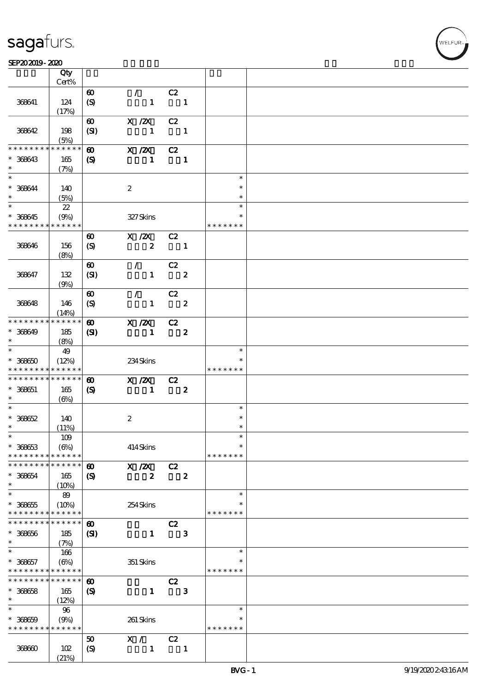### SEP202019-2020

|                     | Qty<br>Cert%    |                                           |                               |                            |                  |               |  |
|---------------------|-----------------|-------------------------------------------|-------------------------------|----------------------------|------------------|---------------|--|
|                     |                 |                                           |                               |                            |                  |               |  |
| 368641              | 124             | $\boldsymbol{\omega}$<br>$\boldsymbol{S}$ | $\mathcal{L}$<br>$\mathbf{1}$ | C2<br>$\blacksquare$       |                  |               |  |
|                     | (17%)           |                                           |                               |                            |                  |               |  |
| 368642              | 198             | $\boldsymbol{\omega}$<br>(SI)             | $X$ / $ZX$<br>$\mathbf{1}$    | C2<br>$\blacksquare$       |                  |               |  |
|                     | (5%)            |                                           |                               |                            |                  |               |  |
| * * * * * * *       | * * * * * *     | $\boldsymbol{\omega}$                     | $X$ / $ZX$                    | C2                         |                  |               |  |
| * 368643            | 165             | $\boldsymbol{\mathcal{S}}$                | $\mathbf{1}$                  | $\blacksquare$             |                  |               |  |
| $\ast$              | (7%)            |                                           |                               |                            |                  |               |  |
| $\ast$              |                 |                                           |                               |                            |                  | $\ast$        |  |
| $* 368644$          | 140             |                                           | $\boldsymbol{2}$              |                            |                  | $\ast$        |  |
| $\ast$              |                 |                                           |                               |                            |                  | $\ast$        |  |
| $\overline{\ast}$   | (5%)            |                                           |                               |                            |                  | $\ast$        |  |
|                     | $2\!2$          |                                           |                               |                            |                  |               |  |
| $* 368645$          | (9%)            |                                           | 327Skins                      |                            |                  | $\ast$        |  |
| * * * * * * * *     | * * * * * *     |                                           |                               |                            |                  | * * * * * * * |  |
|                     |                 | $\boldsymbol{\omega}$                     | $X$ / $ZX$                    | C2                         |                  |               |  |
| 368646              | 156             | $\boldsymbol{S}$                          | $\boldsymbol{z}$              | $\overline{\phantom{a}}$   |                  |               |  |
|                     | (8%)            |                                           |                               |                            |                  |               |  |
|                     |                 | $\boldsymbol{\omega}$                     | $\mathcal{L}$                 | C2                         |                  |               |  |
| 368647              | 132             | (SI)                                      | $\mathbf{1}$                  |                            | $\boldsymbol{z}$ |               |  |
|                     | (9%)            |                                           |                               |                            |                  |               |  |
|                     |                 | $\boldsymbol{\omega}$                     | $\mathcal{L}$                 | C2                         |                  |               |  |
| 368648              | 146             | $\boldsymbol{S}$                          | $\mathbf{1}$                  | $\overline{\phantom{a}}$   |                  |               |  |
|                     | (14%)           |                                           |                               |                            |                  |               |  |
| * * * * * * * *     | * * * * * *     | $\boldsymbol{\omega}$                     | $X$ / $ZX$                    | C2                         |                  |               |  |
| $* 36649$           | 185             | $\mathbf{S}$                              | $\mathbf{1}$                  | $\overline{\mathbf{z}}$    |                  |               |  |
| $\ast$              | (8%)            |                                           |                               |                            |                  |               |  |
| $\overline{\ast}$   | 49              |                                           |                               |                            |                  | $\ast$        |  |
| $* 36650$           | (12%)           |                                           | 234Skins                      |                            |                  |               |  |
| * * * * * * * *     | * * * * * *     |                                           |                               |                            |                  | * * * * * * * |  |
| * * * * * * * *     | $* * * * * * *$ | $\boldsymbol{\omega}$                     | X / ZX                        | $\overline{C}$             |                  |               |  |
| $* 368651$          | 165             | $\boldsymbol{\mathrm{(S)}}$               | $\blacksquare$                | $\overline{\phantom{a}}$ 2 |                  |               |  |
| $\ast$              | $(\Theta_0)$    |                                           |                               |                            |                  |               |  |
| $\ast$              |                 |                                           |                               |                            |                  | $\ast$        |  |
| $* 36662$           | 140             |                                           | $\boldsymbol{2}$              |                            |                  | $\ast$        |  |
| $\ast$              | (11%)           |                                           |                               |                            |                  | $\ast$        |  |
| $\ast$              | 109             |                                           |                               |                            |                  | $\ast$        |  |
| $* 36863$           | $(\Theta)$      |                                           | 414 Skins                     |                            |                  | $\ast$        |  |
| * * * * * * * *     | * * * * * *     |                                           |                               |                            |                  | * * * * * * * |  |
| * * * * * * *       | * * * * * *     | $\boldsymbol{\omega}$                     | X / ZX                        | C2                         |                  |               |  |
| $* 36664$           | 165             | $\boldsymbol{\mathcal{S}}$                | $\boldsymbol{2}$              |                            | $\boldsymbol{z}$ |               |  |
| $\ast$              | (10%)           |                                           |                               |                            |                  |               |  |
| $\ast$              | 89              |                                           |                               |                            |                  | $\ast$        |  |
| $* 368655$          | (10%)           |                                           | 254Skins                      |                            |                  |               |  |
| * * * * * * * *     | * * * * * *     |                                           |                               |                            |                  | * * * * * * * |  |
| * * * * * * *       | * * * * * *     | $\boldsymbol{\omega}$                     |                               | C2                         |                  |               |  |
| $* 36666$           | 185             | $\mathbf{S}$                              | $\mathbf{1}$                  |                            | $\mathbf{3}$     |               |  |
| $\ast$              | (7%)            |                                           |                               |                            |                  |               |  |
| $\ast$              | 166             |                                           |                               |                            |                  | $\ast$        |  |
| $* 368657$          | $(\Theta)$      |                                           | 351 Skins                     |                            |                  | ∗             |  |
| * * * * * * * *     | * * * * * *     |                                           |                               |                            |                  | * * * * * * * |  |
| * * * * * * * *     | * * * * * *     |                                           |                               |                            |                  |               |  |
|                     |                 | $\boldsymbol{\omega}$                     |                               | C2                         |                  |               |  |
| $* 36668$<br>$\ast$ | 165             | $\boldsymbol{\mathsf{(S)}}$               | $\mathbf{1}$                  |                            | $\mathbf{3}$     |               |  |
| $\ast$              | (12%)           |                                           |                               |                            |                  | $\ast$        |  |
|                     | 96              |                                           |                               |                            |                  |               |  |
| $* 36669$           | (9%)            |                                           | 261 Skins                     |                            |                  | ∗             |  |
| * * * * * * * *     | * * * * * *     |                                           |                               |                            |                  | * * * * * * * |  |
|                     |                 | 50                                        | X /                           | C2                         |                  |               |  |
| 36860               | 102             | $\boldsymbol{\mathrm{(S)}}$               | $\mathbf{1}$                  |                            | $\mathbf{1}$     |               |  |
|                     | (21%)           |                                           |                               |                            |                  |               |  |

**VELFUR**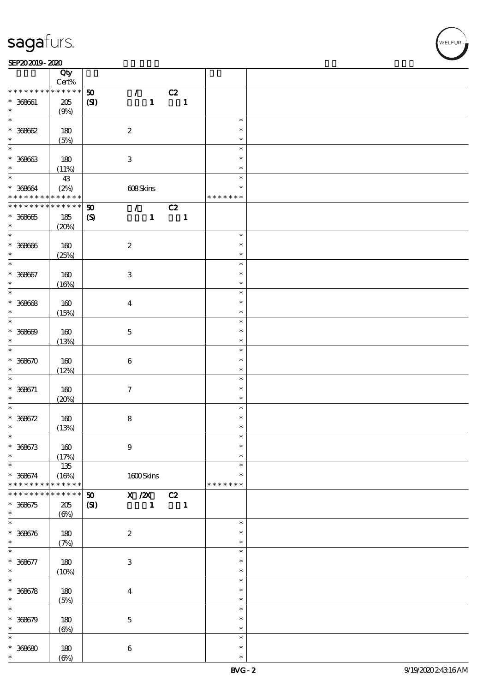### $SEP202019 - 2020$

|                                            | Qty<br>Cert%    |                             |                             |              |    |              |               |  |
|--------------------------------------------|-----------------|-----------------------------|-----------------------------|--------------|----|--------------|---------------|--|
| * * * * * * * *                            | * * * * * *     | ${\bf 50}$                  | $\mathcal{T}$               |              | C2 |              |               |  |
|                                            |                 |                             |                             |              |    |              |               |  |
| $* 368601$                                 | $205\,$         | (S)                         |                             | $\mathbf{1}$ |    | $\mathbf{1}$ |               |  |
| $\ast$<br>$\ast$                           | (9%)            |                             |                             |              |    |              |               |  |
|                                            |                 |                             |                             |              |    |              | $\ast$        |  |
| $* 36862$                                  | 180             |                             | $\boldsymbol{2}$            |              |    |              | $\ast$        |  |
| $\ast$                                     | (5%)            |                             |                             |              |    |              | $\ast$        |  |
| $\ast$                                     |                 |                             |                             |              |    |              | $\ast$        |  |
| $* 36663$                                  | 180             |                             | $\ensuremath{\mathbf{3}}$   |              |    |              | $\ast$        |  |
| $\ast$                                     | (11%)           |                             |                             |              |    |              | $\ast$        |  |
| $*$                                        | $43\,$          |                             |                             |              |    |              | $\ast$        |  |
| $* 36664$                                  | (2%)            |                             | 608Skins                    |              |    |              | $\ast$        |  |
| * * * * * * * * <mark>* * * * * * *</mark> |                 |                             |                             |              |    |              | * * * * * * * |  |
| * * * * * * * *                            | $* * * * * * *$ | $\boldsymbol{\mathfrak{D}}$ | $\mathcal{T}^{\mathcal{A}}$ |              | C2 |              |               |  |
|                                            |                 |                             |                             |              |    |              |               |  |
| $* 36865$                                  | 185             | $\boldsymbol{\mathcal{S}}$  |                             | $\mathbf{1}$ |    | $\mathbf{1}$ |               |  |
| $\ast$                                     | (20%)           |                             |                             |              |    |              |               |  |
| $*$                                        |                 |                             |                             |              |    |              | $\ast$        |  |
| $* 36666$                                  | 160             |                             | $\boldsymbol{2}$            |              |    |              | $\ast$        |  |
| $\ast$                                     | (25%)           |                             |                             |              |    |              | $\ast$        |  |
| $\overline{\ast}$                          |                 |                             |                             |              |    |              | $\ast$        |  |
| $* 368667$                                 | 160             |                             | $\,3$                       |              |    |              | $\ast$        |  |
| $\ast$                                     | (16%)           |                             |                             |              |    |              | $\ast$        |  |
| $\overline{\ast}$                          |                 |                             |                             |              |    |              | $\ast$        |  |
| $* 36668$                                  | 160             |                             | $\boldsymbol{4}$            |              |    |              | $\ast$        |  |
| $\ast$                                     | (15%)           |                             |                             |              |    |              | $\ast$        |  |
| $\overline{\ast}$                          |                 |                             |                             |              |    |              | $\ast$        |  |
|                                            |                 |                             |                             |              |    |              | $\ast$        |  |
| $* 36669$                                  | 160             |                             | $\bf 5$                     |              |    |              |               |  |
| $\ast$                                     | (13%)           |                             |                             |              |    |              | $\ast$        |  |
| $\overline{\ast}$                          |                 |                             |                             |              |    |              | $\ast$        |  |
| $* 368670$                                 | 160             |                             | $\,6\,$                     |              |    |              | $\ast$        |  |
| $\ast$                                     | (12%)           |                             |                             |              |    |              | $\ast$        |  |
| $\ast$                                     |                 |                             |                             |              |    |              | $\ast$        |  |
| $* 368671$                                 | 160             |                             | $\boldsymbol{7}$            |              |    |              | $\ast$        |  |
| $\ast$                                     | (20%)           |                             |                             |              |    |              | $\ast$        |  |
| $\ast$                                     |                 |                             |                             |              |    |              | $\ast$        |  |
| $* 366672$                                 | 160             |                             | $\bf 8$                     |              |    |              | $\ast$        |  |
| $\ast$                                     | (13%)           |                             |                             |              |    |              | $\ast$        |  |
| $\ast$                                     |                 |                             |                             |              |    |              | $\ast$        |  |
|                                            |                 |                             |                             |              |    |              | $\ast$        |  |
| $* 36673$                                  | 160             |                             | $9$                         |              |    |              |               |  |
| $\ast$                                     | (17%)           |                             |                             |              |    |              | $\ast$        |  |
| $\ast$                                     | 135             |                             |                             |              |    |              | $\ast$        |  |
| $* 368674$                                 | (16%)           |                             | $1600$ Skins                |              |    |              | $\ast$        |  |
| * * * * * * * *                            | * * * * * *     |                             |                             |              |    |              | * * * * * * * |  |
| * * * * * * *                              | $***$ * * *     | $\boldsymbol{\mathfrak{D}}$ | $X$ / $ZX$                  |              | C2 |              |               |  |
| $* 368675$                                 | 205             | $\mathbf{C}$                |                             | $\mathbf{1}$ |    | $\mathbf{1}$ |               |  |
| $\ast$                                     | $(\Theta)$      |                             |                             |              |    |              |               |  |
| $\ast$                                     |                 |                             |                             |              |    |              | $\ast$        |  |
| $* 366676$                                 | 180             |                             | $\boldsymbol{2}$            |              |    |              | $\ast$        |  |
| $\ast$                                     | (7%)            |                             |                             |              |    |              | $\ast$        |  |
| $\ast$                                     |                 |                             |                             |              |    |              | $\ast$        |  |
|                                            |                 |                             |                             |              |    |              | $\ast$        |  |
| $* 368677$                                 | $180\,$         |                             | $\,3$                       |              |    |              | $\ast$        |  |
| $\ast$                                     | (10%)           |                             |                             |              |    |              |               |  |
| $\ast$                                     |                 |                             |                             |              |    |              | $\ast$        |  |
| $* 36678$                                  | 180             |                             | $\boldsymbol{4}$            |              |    |              | $\ast$        |  |
| $\ast$                                     | (5%)            |                             |                             |              |    |              | $\ast$        |  |
| $\ast$                                     |                 |                             |                             |              |    |              | $\ast$        |  |
| $* 36679$                                  | 180             |                             | $\mathbf 5$                 |              |    |              | $\ast$        |  |
| $\ast$                                     | $(\Theta)$      |                             |                             |              |    |              | $\ast$        |  |
| $\ast$                                     |                 |                             |                             |              |    |              | $\ast$        |  |
| $* 36660$                                  | 180             |                             | $\,6\,$                     |              |    |              | $\ast$        |  |
| $\ast$                                     | $(\Theta)$      |                             |                             |              |    |              | $\ast$        |  |
|                                            |                 |                             |                             |              |    |              |               |  |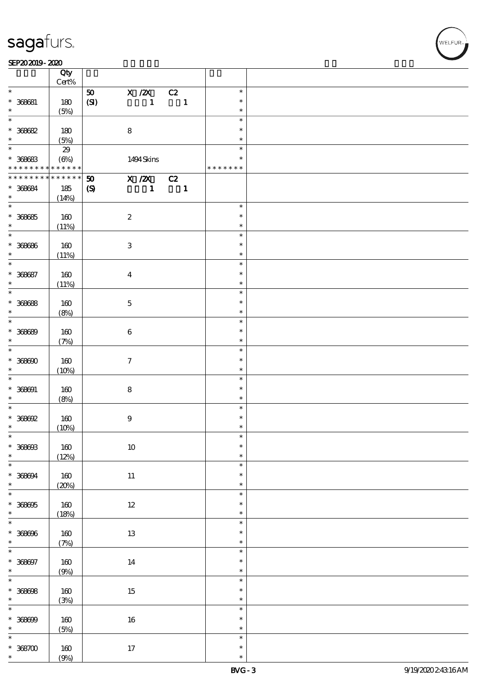$\top$ 

### $SEP202019 - 2020$

|                             | Qty<br>$\mbox{Cert}\%$ |                                                               |               |  |
|-----------------------------|------------------------|---------------------------------------------------------------|---------------|--|
| $\ast$                      |                        | X / ZX<br>${\bf 50}$<br>C2                                    | $\ast$        |  |
|                             |                        |                                                               |               |  |
| $* 368681$                  | 180                    | (SI)<br>$\mathbf{1}$<br>$\blacksquare$                        | $\ast$        |  |
| $\ast$                      | (5%)                   |                                                               | $\ast$        |  |
| $\ast$                      |                        |                                                               | $\ast$        |  |
| $* 36662$                   | 180                    | $\bf 8$                                                       | $\ast$        |  |
| $\ast$                      | (5%)                   |                                                               | $\ast$        |  |
| $\overline{\ast}$           | 29                     |                                                               | $\ast$        |  |
| $* 36663$                   | $(\Theta)$             | 1494 Skins                                                    | $\ast$        |  |
| * * * * * * * * * * * * * * |                        |                                                               | * * * * * * * |  |
| * * * * * * * *             | * * * * * *            | $X$ / $ZX$                                                    |               |  |
|                             |                        | ${\bf 50}$<br>C2                                              |               |  |
| * 368684                    | 185                    | $\boldsymbol{\mathrm{(S)}}$<br>$\mathbf{1}$<br>$\blacksquare$ |               |  |
| $\ast$                      | (14%)                  |                                                               |               |  |
|                             |                        |                                                               | $\ast$        |  |
| $* 38885$                   | 160                    | $\boldsymbol{2}$                                              | $\ast$        |  |
| $\ast$                      | (11%)                  |                                                               | $\ast$        |  |
| $\overline{\ast}$           |                        |                                                               | $\ast$        |  |
| $* 36666$                   | 160                    | $\ensuremath{\mathbf{3}}$                                     | $\ast$        |  |
| $\ast$                      | (11%)                  |                                                               | $\ast$        |  |
| $\overline{\ast}$           |                        |                                                               | $\ast$        |  |
| $* 368687$                  | 160                    | $\boldsymbol{4}$                                              | $\ast$        |  |
| $\ast$                      | (11%)                  |                                                               | $\ast$        |  |
| $\overline{\ast}$           |                        |                                                               | $\ast$        |  |
|                             |                        |                                                               | $\ast$        |  |
| $* 36668$<br>$\ast$         | 160                    | $\mathbf 5$                                                   |               |  |
| $\overline{\ast}$           | (8%)                   |                                                               | $\ast$        |  |
|                             |                        |                                                               | $\ast$        |  |
| $* 36669$                   | 160                    | $\bf 6$                                                       | $\ast$        |  |
| $\ast$                      | (7%)                   |                                                               | $\ast$        |  |
| $\overline{\ast}$           |                        |                                                               | $\ast$        |  |
| $* 368600$                  | $160$                  | $\boldsymbol{\tau}$                                           | $\ast$        |  |
| $\ast$                      | (10%)                  |                                                               | $\ast$        |  |
| $\ast$                      |                        |                                                               | $\ast$        |  |
| $* 368691$                  | 160                    | ${\bf 8}$                                                     | $\ast$        |  |
| $\ast$                      | (8%)                   |                                                               | $\ast$        |  |
| $\ast$                      |                        |                                                               | $\ast$        |  |
| $*$ 368692                  | 160                    | $\boldsymbol{9}$                                              | $\ast$        |  |
| $\ast$                      | (10%)                  |                                                               | $\ast$        |  |
| $\ast$                      |                        |                                                               | $\ast$        |  |
| $* 3666B$                   | $160$                  | $10\,$                                                        | $\ast$        |  |
| $\ast$                      |                        |                                                               | $\ast$        |  |
| $\overline{\ast}$           | (12%)                  |                                                               | $\ast$        |  |
|                             |                        |                                                               |               |  |
| $* 36604$                   | 160                    | $11\,$                                                        | $\ast$        |  |
| $\ast$                      | (20%)                  |                                                               | $\ast$        |  |
| $\overline{\ast}$           |                        |                                                               | $\ast$        |  |
| $* 36665$                   | $160\,$                | $12\,$                                                        | $\ast$        |  |
| $\ast$                      | (18%)                  |                                                               | $\ast$        |  |
| $\overline{\ast}$           |                        |                                                               | $\ast$        |  |
| $* 36666$                   | $160\,$                | $13\,$                                                        | $\ast$        |  |
| $\ast$                      | (7%)                   |                                                               | $\ast$        |  |
| $\overline{\ast}$           |                        |                                                               | $\ast$        |  |
| $* 36607$                   | 160                    | $14\,$                                                        | $\ast$        |  |
| $\ast$                      | (9%)                   |                                                               | $\ast$        |  |
| $\overline{\ast}$           |                        |                                                               | $\ast$        |  |
| $* 36608$                   | $160$                  | $15\,$                                                        | $\ast$        |  |
| $\ast$                      | (3%)                   |                                                               | $\ast$        |  |
| $\ast$                      |                        |                                                               | $\ast$        |  |
|                             |                        |                                                               | $\ast$        |  |
| $* 36600$<br>$\ast$         | $160$                  | $16\,$                                                        | $\ast$        |  |
| $\ast$                      | (5%)                   |                                                               |               |  |
|                             |                        |                                                               | $\ast$        |  |
| $*368700$                   | 160                    | $17\,$                                                        | $\ast$        |  |
| $\ast$                      | (9%)                   |                                                               | $\ast$        |  |

 $\top$ 

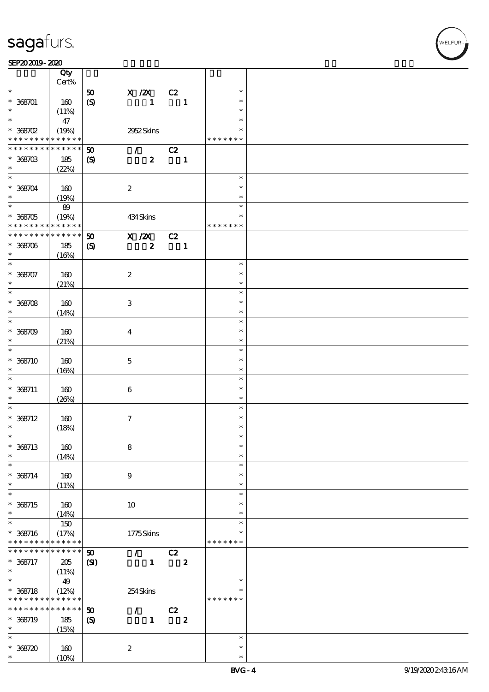### SEP202019-2020

|                                            | Qty<br>Cert% |                             |                           |                  |               |  |
|--------------------------------------------|--------------|-----------------------------|---------------------------|------------------|---------------|--|
| $\ast$                                     |              |                             |                           |                  | $\ast$        |  |
|                                            |              | ${\bf 50}$                  | X / ZX                    | C2               |               |  |
| $* 368701$                                 | 160          | $\boldsymbol{S}$            | $\mathbf{1}$              | $\mathbf{1}$     | $\ast$        |  |
|                                            | (11%)        |                             |                           |                  | $\ast$        |  |
| $\ast$                                     | 47           |                             |                           |                  | $\ast$        |  |
| $*368702$                                  | (19%)        |                             | 2952 Skins                |                  | $\ast$        |  |
| * * * * * * * *                            | $******$     |                             |                           |                  | * * * * * * * |  |
| * * * * * * *                              | * * * * * *  | $\boldsymbol{\mathfrak{D}}$ | $\mathcal{T}=\mathcal{I}$ | C2               |               |  |
| $*368703$                                  | 185          | $\boldsymbol{\mathcal{S}}$  | $\boldsymbol{z}$          | $\mathbf{1}$     |               |  |
| $\ast$                                     |              |                             |                           |                  |               |  |
| $\ast$                                     | (22%)        |                             |                           |                  |               |  |
|                                            |              |                             |                           |                  | $\ast$        |  |
| $* 368704$                                 | 160          |                             | $\boldsymbol{2}$          |                  | $\ast$        |  |
| $\ast$                                     | (19%)        |                             |                           |                  | $\ast$        |  |
|                                            | 89           |                             |                           |                  | $\ast$        |  |
| $* 368705$                                 | (19%)        |                             | 434 Skins                 |                  | $\ast$        |  |
| * * * * * * * *                            | $******$     |                             |                           |                  | * * * * * * * |  |
| * * * * * * * *                            | ******       | $\boldsymbol{\mathfrak{D}}$ | $X$ / $ZX$                | C2               |               |  |
| $* 368706$                                 | 185          |                             | $\boldsymbol{z}$          | $\blacksquare$   |               |  |
| $\ast$                                     |              | $\boldsymbol{\mathcal{S}}$  |                           |                  |               |  |
| $\ast$                                     | (16%)        |                             |                           |                  |               |  |
|                                            |              |                             |                           |                  | $\ast$        |  |
| $* 368707$                                 | 160          |                             | $\boldsymbol{2}$          |                  | $\ast$        |  |
| $\ast$                                     | (21%)        |                             |                           |                  | $\ast$        |  |
| $\overline{\ast}$                          |              |                             |                           |                  | $\ast$        |  |
| $* 368708$                                 | 160          |                             | $\bf 3$                   |                  | $\ast$        |  |
| $\ast$                                     | (14%)        |                             |                           |                  | $\ast$        |  |
| $\overline{\ast}$                          |              |                             |                           |                  | $\ast$        |  |
| $* 368709$                                 | 160          |                             | $\overline{\mathbf{4}}$   |                  | $\ast$        |  |
| $\ast$                                     |              |                             |                           |                  | $\ast$        |  |
| $\ast$                                     | (21%)        |                             |                           |                  |               |  |
|                                            |              |                             |                           |                  | $\ast$        |  |
| $* 368710$                                 | 160          |                             | $\mathbf 5$               |                  | $\ast$        |  |
| $\ast$                                     | (16%)        |                             |                           |                  | $\ast$        |  |
| $\ast$                                     |              |                             |                           |                  | $\ast$        |  |
| $* 368711$                                 | 160          |                             | $\boldsymbol{6}$          |                  | $\ast$        |  |
| $\ast$                                     | (20%)        |                             |                           |                  | $\ast$        |  |
| $\ast$                                     |              |                             |                           |                  | $\ast$        |  |
| $* 368712$                                 | 160          |                             | $\tau$                    |                  | $\ast$        |  |
| $\ast$                                     | (18%)        |                             |                           |                  | $\ast$        |  |
| $\ast$                                     |              |                             |                           |                  | $\ast$        |  |
|                                            | 160          |                             | 8                         |                  | $\ast$        |  |
| $* 368713$                                 |              |                             |                           |                  | $\ast$        |  |
| $\ast$                                     | (14%)        |                             |                           |                  |               |  |
| $\ast$                                     |              |                             |                           |                  | $\ast$        |  |
| $* 368714$                                 | 160          |                             | $\boldsymbol{9}$          |                  | $\ast$        |  |
| $\ast$                                     | (11%)        |                             |                           |                  | $\ast$        |  |
| $\ast$                                     |              |                             |                           |                  | $\ast$        |  |
| $* 368715$                                 | 160          |                             | 10                        |                  | ∗             |  |
| $\ast$                                     | (14%)        |                             |                           |                  | *             |  |
| $\ast$                                     | 150          |                             |                           |                  | $\ast$        |  |
| $* 368716$                                 | (17%)        |                             | 1775Skins                 |                  | $\ast$        |  |
| * * * * * * * *                            | * * * * * *  |                             |                           |                  | * * * * * * * |  |
| * * * * * * * *                            | * * * * * *  |                             |                           |                  |               |  |
|                                            |              | $\boldsymbol{\mathfrak{D}}$ | $\mathcal{F}$             | C2               |               |  |
| $* 368717$                                 | $205\,$      | $\mathbf{C}$                | $\mathbf{1}$              | $\boldsymbol{z}$ |               |  |
| $\ast$                                     | (11%)        |                             |                           |                  |               |  |
| $\overline{\ast}$                          | 49           |                             |                           |                  | $\ast$        |  |
| $* 368718$                                 | (12%)        |                             | 254Skins                  |                  |               |  |
| * * * * * * * * <mark>* * * * * * *</mark> |              |                             |                           |                  | * * * * * * * |  |
| * * * * * * *                              | * * * * * *  | 50                          | $\mathcal{L}$             | C2               |               |  |
| * 368719                                   | 185          | $\boldsymbol{\mathrm{(S)}}$ | $\mathbf{1}$              | $\boldsymbol{z}$ |               |  |
| $\ast$                                     | (15%)        |                             |                           |                  |               |  |
| $\ast$                                     |              |                             |                           |                  | $\ast$        |  |
|                                            |              |                             |                           |                  | $\ast$        |  |
| $* 368720$                                 | 160          |                             | $\boldsymbol{2}$          |                  |               |  |
| $\ast$                                     | (10%)        |                             |                           |                  | $\ast$        |  |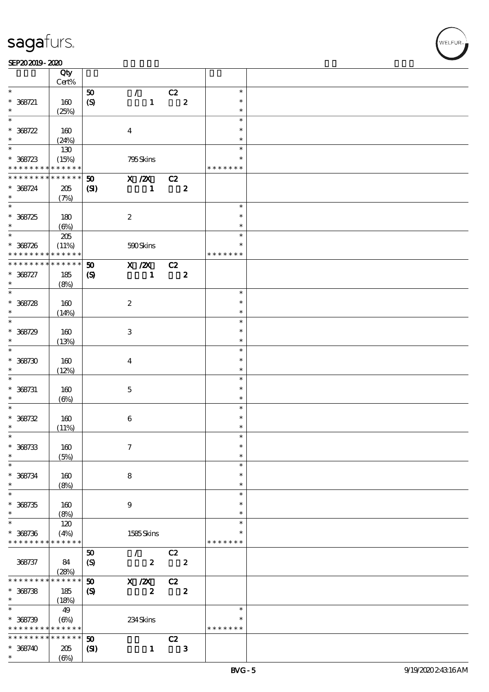### SEP202019-2020

|                   | Qty<br>Cert% |                             |                    |                  |               |  |
|-------------------|--------------|-----------------------------|--------------------|------------------|---------------|--|
| $\ast$            |              |                             |                    |                  | $\ast$        |  |
|                   |              | ${\bf 50}$                  | $\mathcal{L}$      | C2               |               |  |
| $* 368721$        | 160          | $\boldsymbol{S}$            | $\mathbf{1}$       | $\pmb{2}$        | $\ast$        |  |
|                   | (25%)        |                             |                    |                  | $\ast$        |  |
| $\ast$            |              |                             |                    |                  | $\ast$        |  |
| $* 368722$        | 160          | $\boldsymbol{4}$            |                    |                  | $\ast$        |  |
| $\ast$            | (24%)        |                             |                    |                  | $\ast$        |  |
| $\overline{\ast}$ | 130          |                             |                    |                  | $\ast$        |  |
|                   |              |                             |                    |                  | $\ast$        |  |
| $* 368723$        | (15%)        |                             | 795Skins           |                  |               |  |
| * * * * * * * *   | * * * * * *  |                             |                    |                  | * * * * * * * |  |
| * * * * * * * *   | * * * * * *  | 50                          | $\overline{X}$ /2X | C2               |               |  |
| $* 368724$        | $205\,$      | (S)                         | $\mathbf{1}$       | $\boldsymbol{z}$ |               |  |
| $\ast$            | (7%)         |                             |                    |                  |               |  |
| $\overline{\ast}$ |              |                             |                    |                  | $\ast$        |  |
| $* 368725$        |              |                             |                    |                  | $\ast$        |  |
|                   | 180          | $\boldsymbol{2}$            |                    |                  |               |  |
| $\ast$            | $(\Theta)$   |                             |                    |                  | $\ast$        |  |
| $\ast$            | $205\,$      |                             |                    |                  | $\ast$        |  |
| $* 368726$        | (11%)        |                             | 590Skins           |                  | $\ast$        |  |
| * * * * * * * *   | * * * * * *  |                             |                    |                  | * * * * * * * |  |
| * * * * * * *     | * * * * * *  | 50                          | $X$ / $ZX$         | C2               |               |  |
| $* 368727$        | 185          | $\boldsymbol{\mathrm{(S)}}$ | $\mathbf 1$        | $\boldsymbol{z}$ |               |  |
| $\ast$            |              |                             |                    |                  |               |  |
| $\ast$            | (8%)         |                             |                    |                  | $\ast$        |  |
|                   |              |                             |                    |                  |               |  |
| $* 368728$        | 160          | $\boldsymbol{2}$            |                    |                  | $\ast$        |  |
| $\ast$            | (14%)        |                             |                    |                  | $\ast$        |  |
| $\ast$            |              |                             |                    |                  | $\ast$        |  |
| $* 368729$        | 160          | $\ensuremath{\mathbf{3}}$   |                    |                  | $\ast$        |  |
| $\ast$            | (13%)        |                             |                    |                  | $\ast$        |  |
| $\ast$            |              |                             |                    |                  | $\ast$        |  |
|                   |              |                             |                    |                  |               |  |
| $* 368730$        | 160          | $\boldsymbol{4}$            |                    |                  | $\ast$        |  |
| $\ast$            | (12%)        |                             |                    |                  | $\ast$        |  |
| $\ast$            |              |                             |                    |                  | $\ast$        |  |
| $* 368731$        | 160          | $\bf 5$                     |                    |                  | $\ast$        |  |
| $\ast$            | $(\Theta)$   |                             |                    |                  | $\ast$        |  |
| $\ast$            |              |                             |                    |                  | $\ast$        |  |
|                   |              |                             |                    |                  | $\ast$        |  |
| $* 368732$        | 160          | $\bf 6$                     |                    |                  |               |  |
| $\ast$            | (11%)        |                             |                    |                  | $\ast$        |  |
| $\ast$            |              |                             |                    |                  | $\ast$        |  |
| $* 368733$        | 160          | $\tau$                      |                    |                  | $\ast$        |  |
| $\ast$            | (5%)         |                             |                    |                  | $\ast$        |  |
| $\ast$            |              |                             |                    |                  | $\ast$        |  |
| $* 368734$        | 160          | 8                           |                    |                  | $\ast$        |  |
| $\ast$            |              |                             |                    |                  | $\ast$        |  |
| *                 | (8%)         |                             |                    |                  | $\ast$        |  |
|                   |              |                             |                    |                  |               |  |
| $* 368735$        | 160          | 9                           |                    |                  | $\ast$        |  |
| $\ast$            | (8%)         |                             |                    |                  | $\ast$        |  |
| $\ast$            | 120          |                             |                    |                  | $\ast$        |  |
| $* 368736$        | (4%)         |                             | 1585Skins          |                  | $\ast$        |  |
| * * * * * * * *   | * * * * * *  |                             |                    |                  | * * * * * * * |  |
|                   |              | 50                          | $\mathcal{L}$      | C2               |               |  |
|                   |              |                             |                    |                  |               |  |
| 368737            | 84           | $\boldsymbol{\mathrm{(S)}}$ | $\boldsymbol{z}$   | $\boldsymbol{z}$ |               |  |
|                   | (28%)        |                             |                    |                  |               |  |
| * * * * * * * *   | $******$     | 50                          | $X$ / $ZX$         | C2               |               |  |
| $* 368738$        | 185          | $\boldsymbol{\mathsf{(S)}}$ | $\boldsymbol{z}$   | $\boldsymbol{z}$ |               |  |
| $\ast$            | (18%)        |                             |                    |                  |               |  |
| $\ast$            | 49           |                             |                    |                  | $\ast$        |  |
| $* 368739$        | $(\Theta\%)$ |                             | 234Skins           |                  | $\ast$        |  |
| * * * * * * * *   | * * * * * *  |                             |                    |                  | * * * * * * * |  |
| * * * * * * * *   | * * * * * *  |                             |                    |                  |               |  |
|                   |              | 50                          |                    | C2               |               |  |
| $* 368740$        | 205          | $\mathbf{C}$                | $\mathbf{1}$       | $\mathbf{3}$     |               |  |
| $\ast$            | $(\Theta)$   |                             |                    |                  |               |  |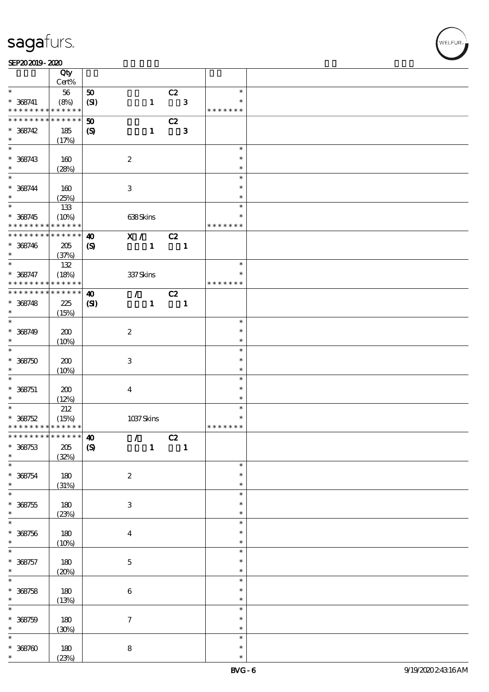$\top$ 

### $SEP202019 - 2020$

|                                            | Qty<br>Cert% |                             |                            |              |    |              |               |  |
|--------------------------------------------|--------------|-----------------------------|----------------------------|--------------|----|--------------|---------------|--|
| $\ast$                                     | $56\,$       |                             |                            |              |    |              | $\ast$        |  |
|                                            |              | ${\bf 50}$                  |                            |              | C2 |              |               |  |
| $* 368741$                                 | (8%)         | (SI)                        |                            | $\mathbf{1}$ |    | $\mathbf{3}$ | $\ast$        |  |
| * * * * * * * *                            | * * * * * *  |                             |                            |              |    |              | * * * * * * * |  |
| * * * * * * * *                            | * * * * * *  | 50                          |                            |              | C2 |              |               |  |
| $* 368742$                                 | 185          | $\boldsymbol{S}$            |                            | $\mathbf{1}$ |    | $\mathbf{3}$ |               |  |
| $\ast$                                     | (17%)        |                             |                            |              |    |              |               |  |
| $\overline{\ast}$                          |              |                             |                            |              |    |              | $\ast$        |  |
|                                            |              |                             |                            |              |    |              |               |  |
| $* 368743$                                 | 160          |                             | $\boldsymbol{2}$           |              |    |              | $\ast$        |  |
| $\ast$                                     | (28%)        |                             |                            |              |    |              | $\ast$        |  |
| $\ast$                                     |              |                             |                            |              |    |              | $\ast$        |  |
|                                            |              |                             |                            |              |    |              | $\ast$        |  |
| $* 368744$                                 | 160          |                             | $\,3$                      |              |    |              |               |  |
| $\ast$                                     | (25%)        |                             |                            |              |    |              | $\ast$        |  |
|                                            | 133          |                             |                            |              |    |              | $\ast$        |  |
| $* 368745$                                 | (10%)        |                             | 638Skins                   |              |    |              | $\ast$        |  |
| * * * * * * * *                            | * * * * * *  |                             |                            |              |    |              | * * * * * * * |  |
| * * * * * * * *                            | $******$     | $\boldsymbol{\omega}$       | X /                        |              |    |              |               |  |
|                                            |              |                             |                            |              | C2 |              |               |  |
| $* 368746$                                 | 205          | $\boldsymbol{\mathcal{S}}$  |                            | $\mathbf{1}$ |    | $\mathbf{1}$ |               |  |
| $\ast$                                     | (37%)        |                             |                            |              |    |              |               |  |
| $\ast$                                     | 132          |                             |                            |              |    |              | $\ast$        |  |
| $* 368747$                                 | (18%)        |                             | 337Skins                   |              |    |              | $\ast$        |  |
| * * * * * * * *                            | * * * * * *  |                             |                            |              |    |              | * * * * * * * |  |
| * * * * * * * * <mark>* * * * * * *</mark> |              |                             |                            |              |    |              |               |  |
|                                            |              | $\boldsymbol{\omega}$       | $\mathcal{T}^{\mathbb{Z}}$ |              | C2 |              |               |  |
| $* 368748$                                 | 225          | $\mathbf{C}$                |                            | $\mathbf{1}$ |    | $\mathbf{1}$ |               |  |
| $\ast$                                     | (15%)        |                             |                            |              |    |              |               |  |
| $\ast$                                     |              |                             |                            |              |    |              | $\ast$        |  |
| $* 368749$                                 | 200          |                             | $\boldsymbol{2}$           |              |    |              | $\ast$        |  |
| $\ast$                                     |              |                             |                            |              |    |              | $\ast$        |  |
|                                            | (10%)        |                             |                            |              |    |              |               |  |
| $\overline{\ast}$                          |              |                             |                            |              |    |              | $\ast$        |  |
| $* 368750$                                 | 200          |                             | $\,3$                      |              |    |              | $\ast$        |  |
| $\ast$                                     | (10%)        |                             |                            |              |    |              | $\ast$        |  |
| $\ast$                                     |              |                             |                            |              |    |              | $\ast$        |  |
| $* 368751$                                 |              |                             |                            |              |    |              | $\ast$        |  |
|                                            | 200          |                             | $\boldsymbol{4}$           |              |    |              |               |  |
| $\ast$                                     | (12%)        |                             |                            |              |    |              | $\ast$        |  |
| $\overline{\ast}$                          | 212          |                             |                            |              |    |              | $\ast$        |  |
| $* 368752$                                 | (15%)        |                             | 1037Skins                  |              |    |              | $\ast$        |  |
| * * * * * * * * <mark>* * * * * * *</mark> |              |                             |                            |              |    |              | * * * * * * * |  |
| ************** 10                          |              |                             | $\mathcal{L}$              |              | C2 |              |               |  |
| $* 368753$                                 |              |                             |                            |              |    |              |               |  |
|                                            | $205\,$      | $\boldsymbol{\mathrm{(S)}}$ |                            | $\mathbf{1}$ |    | $\mathbf 1$  |               |  |
| $\ast$                                     | (32%)        |                             |                            |              |    |              |               |  |
| $\ast$                                     |              |                             |                            |              |    |              | $\ast$        |  |
| $* 368754$                                 | 180          |                             | $\boldsymbol{2}$           |              |    |              | $\ast$        |  |
| $\ast$                                     | (31%)        |                             |                            |              |    |              | $\ast$        |  |
| $\overline{\ast}$                          |              |                             |                            |              |    |              | $\ast$        |  |
|                                            |              |                             |                            |              |    |              | $\ast$        |  |
| $* 368755$                                 | 180          |                             | $\,3$                      |              |    |              |               |  |
| $\ast$                                     | (23%)        |                             |                            |              |    |              | $\ast$        |  |
| $\ast$                                     |              |                             |                            |              |    |              | $\ast$        |  |
| $* 368756$                                 | $180$        |                             | $\boldsymbol{4}$           |              |    |              | $\ast$        |  |
| $\ast$                                     | (10%)        |                             |                            |              |    |              | $\ast$        |  |
| $\ast$                                     |              |                             |                            |              |    |              | $\ast$        |  |
|                                            |              |                             |                            |              |    |              |               |  |
| $* 368757$                                 | 180          |                             | $\mathbf 5$                |              |    |              | $\ast$        |  |
| $\ast$                                     | (20%)        |                             |                            |              |    |              | $\ast$        |  |
| $\overline{\ast}$                          |              |                             |                            |              |    |              | $\ast$        |  |
| $* 368758$                                 |              |                             |                            |              |    |              | $\ast$        |  |
|                                            |              |                             |                            |              |    |              |               |  |
|                                            | 180          |                             | $\bf 6$                    |              |    |              |               |  |
| $\ast$                                     | (13%)        |                             |                            |              |    |              | $\ast$        |  |
| $\ast$                                     |              |                             |                            |              |    |              | $\ast$        |  |
| $* 368759$                                 | 180          |                             | $\boldsymbol{7}$           |              |    |              | $\ast$        |  |
|                                            |              |                             |                            |              |    |              | $\ast$        |  |
| $\ast$                                     | (30%)        |                             |                            |              |    |              | $\ast$        |  |
|                                            |              |                             |                            |              |    |              | $\ast$        |  |
| $* 368700$                                 | 180<br>(23%) |                             | ${\bf 8}$                  |              |    |              | $\ast$        |  |

 $\overline{\mathbf{r}}$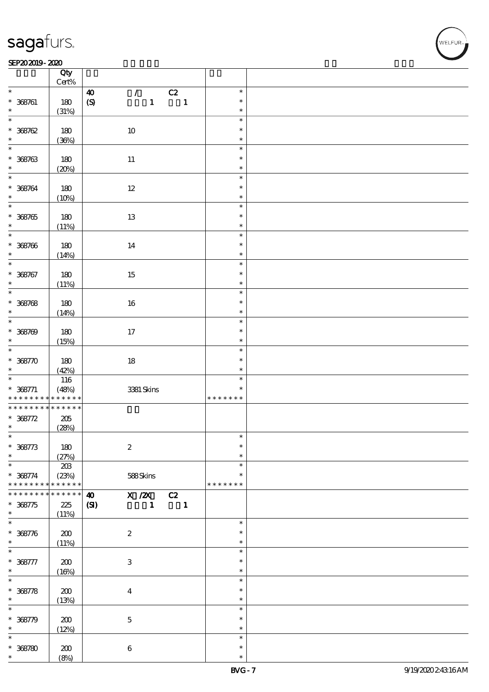$\overline{\mathsf{T}}$ 

#### SEP202019-2020  $\overline{\phantom{a}}$

|                   | Qty<br>$\mbox{Cert}\%$ |                           |               |                |               |  |
|-------------------|------------------------|---------------------------|---------------|----------------|---------------|--|
| $\ast$            |                        |                           | $\mathcal{L}$ |                | $\ast$        |  |
|                   |                        | $\boldsymbol{\omega}$     |               | C2             |               |  |
| $* 368761$        | 180                    | $\pmb{\text{(S)}}$        | $\mathbf{1}$  | $\mathbf{1}$   | $\ast$        |  |
| $\ast$            | (31%)                  |                           |               |                | $\ast$        |  |
| $\overline{\ast}$ |                        |                           |               |                | $\ast$        |  |
| $* 368762$        | 180                    | $10\,$                    |               |                | $\ast$        |  |
|                   |                        |                           |               |                |               |  |
| $\ast$            | (36%)                  |                           |               |                | $\ast$        |  |
| $\overline{\ast}$ |                        |                           |               |                | $\ast$        |  |
| $* 368763$        | 180                    | $11\,$                    |               |                | $\ast$        |  |
| $\ast$            |                        |                           |               |                | $\ast$        |  |
|                   | (20%)                  |                           |               |                |               |  |
| $\overline{\ast}$ |                        |                           |               |                | $\ast$        |  |
| $* 368764$        | 180                    | $12\,$                    |               |                | $\ast$        |  |
| $\ast$            | (10%)                  |                           |               |                | $\ast$        |  |
| $\overline{\ast}$ |                        |                           |               |                | $\ast$        |  |
|                   |                        |                           |               |                |               |  |
| $* 388765$        | 180                    | $13\,$                    |               |                | $\ast$        |  |
| $\ast$            | (11%)                  |                           |               |                | $\ast$        |  |
| $\overline{\ast}$ |                        |                           |               |                | $\ast$        |  |
|                   |                        |                           |               |                | $\ast$        |  |
| $* 368766$        | 180                    | 14                        |               |                |               |  |
| $\ast$            | (14%)                  |                           |               |                | $\ast$        |  |
| $\ast$            |                        |                           |               |                | $\ast$        |  |
| $* 368767$        | 180                    | $15\,$                    |               |                | $\ast$        |  |
| $\ast$            |                        |                           |               |                | $\ast$        |  |
| $\overline{\ast}$ | (11%)                  |                           |               |                |               |  |
|                   |                        |                           |               |                | $\ast$        |  |
| $* 368768$        | 180                    | $16\,$                    |               |                | $\ast$        |  |
| $\ast$            | (14%)                  |                           |               |                | $\ast$        |  |
| $\overline{\ast}$ |                        |                           |               |                | $\ast$        |  |
|                   |                        |                           |               |                |               |  |
| $* 368709$        | 180                    | $17\,$                    |               |                | $\ast$        |  |
| $\ast$            | (15%)                  |                           |               |                | $\ast$        |  |
| $\overline{\ast}$ |                        |                           |               |                | $\ast$        |  |
| $* 36870$         | 180                    |                           |               |                | $\ast$        |  |
|                   |                        | $18\,$                    |               |                |               |  |
| $\ast$            | (42%)                  |                           |               |                | $\ast$        |  |
|                   | 116                    |                           |               |                | $\ast$        |  |
| $* 368771$        | (48%)                  |                           | 3381 Skins    |                | $\ast$        |  |
| * * * * * * * *   | * * * * * *            |                           |               |                | * * * * * * * |  |
| * * * * * * * *   | * * * * * *            |                           |               |                |               |  |
|                   |                        |                           |               |                |               |  |
| $* 368772$        | $205\,$                |                           |               |                |               |  |
| $\ast$            | (28%)                  |                           |               |                |               |  |
| $\ast$            |                        |                           |               |                | $\ast$        |  |
|                   |                        |                           |               |                | $\ast$        |  |
| $* 368773$        | 180                    | $\boldsymbol{2}$          |               |                |               |  |
| $\ast$            | (27%)                  |                           |               |                | $\ast$        |  |
| $\ast$            | $203\,$                |                           |               |                | $\ast$        |  |
| $* 368774$        | (23%)                  |                           | 588Skins      |                | $\ast$        |  |
| * * * * * * * *   | * * * * * *            |                           |               |                | * * * * * * * |  |
| * * * * * * *     | $* * * * * *$          |                           |               |                |               |  |
|                   |                        | $\boldsymbol{\omega}$     | X / ZX        | C2             |               |  |
| $* 368775$        | 225                    | (S)                       | $\mathbf{1}$  | $\blacksquare$ |               |  |
| $\ast$            | (11%)                  |                           |               |                |               |  |
| $\ast$            |                        |                           |               |                | $\ast$        |  |
|                   |                        |                           |               |                | $\ast$        |  |
| $* 368776$        | $200\,$                | $\boldsymbol{2}$          |               |                |               |  |
| $\ast$            | (11%)                  |                           |               |                | $\ast$        |  |
| $\ast$            |                        |                           |               |                | $\ast$        |  |
| $* 368777$        | $200$                  | $\ensuremath{\mathbf{3}}$ |               |                | $\ast$        |  |
| $\ast$            |                        |                           |               |                | $\ast$        |  |
|                   | (16%)                  |                           |               |                |               |  |
| $\overline{\ast}$ |                        |                           |               |                | $\ast$        |  |
| $* 368778$        | 200                    | $\bf{4}$                  |               |                | $\ast$        |  |
| $\ast$            | (13%)                  |                           |               |                | $\ast$        |  |
| $\ast$            |                        |                           |               |                | $\ast$        |  |
|                   |                        |                           |               |                |               |  |
| $* 368779$        | 200                    | $\mathbf 5$               |               |                | $\ast$        |  |
| $\ast$            | (12%)                  |                           |               |                | $\ast$        |  |
| $\ast$            |                        |                           |               |                | $\ast$        |  |
| $* 368780$        | 200                    | $\bf 6$                   |               |                | $\ast$        |  |
| *                 | (8%)                   |                           |               |                | $\ast$        |  |
|                   |                        |                           |               |                |               |  |

 $\overline{\mathsf{T}}$ 

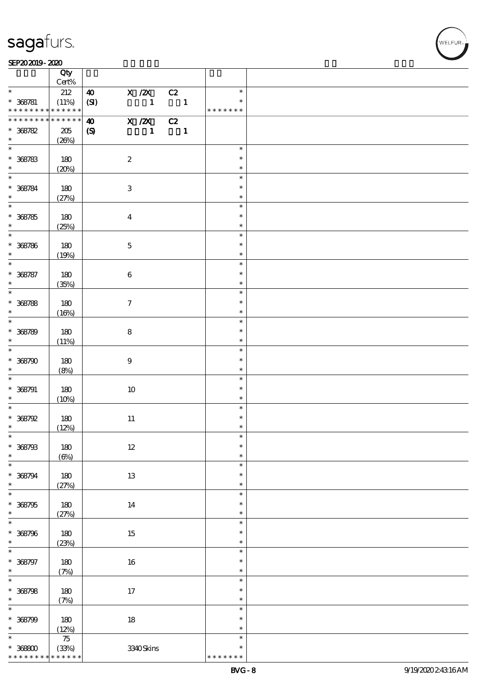### $SEP202019 - 2020$

| SEP202019-2020           |                         |                             |                     |                |               |  |
|--------------------------|-------------------------|-----------------------------|---------------------|----------------|---------------|--|
|                          | Qty                     |                             |                     |                |               |  |
|                          | $\mbox{Cert}\%$         |                             |                     |                |               |  |
| $*$                      | 212                     | $\boldsymbol{\omega}$       | X / ZX              | C2             | $\ast$        |  |
| $* 368781$               | (11%)                   | (SI)                        | $\mathbf{1}$        | $\blacksquare$ | $\ast$        |  |
| * * * * * * * *          | * * * * * *             |                             |                     |                | * * * * * * * |  |
| * * * * * * * *          | * * * * * *             | $\boldsymbol{\Lambda}$      | $X$ / $ZX$          | C2             |               |  |
| $* 368782$               | $205\,$                 | $\boldsymbol{\mathrm{(S)}}$ | $\mathbf{1}$        | $\blacksquare$ |               |  |
| $\ast$                   | (20%)                   |                             |                     |                |               |  |
| $\overline{\phantom{0}}$ |                         |                             |                     |                | $\ast$        |  |
| $* 368783$               | 180                     |                             | $\boldsymbol{2}$    |                | $\ast$        |  |
| $*$                      | (20%)                   |                             |                     |                | $\ast$        |  |
| $\overline{\ast}$        |                         |                             |                     |                | $\ast$        |  |
| $* 368784$               | 180                     |                             | $\mathbf{3}$        |                | $\ast$        |  |
| $\ast$                   | (27%)                   |                             |                     |                | $\ast$        |  |
| $\overline{\ast}$        |                         |                             |                     |                | $\ast$        |  |
| $* 368785$               | 180                     |                             | $\boldsymbol{4}$    |                | $\ast$        |  |
| $\ast$                   | (25%)                   |                             |                     |                | $\ast$        |  |
| $\ast$                   |                         |                             |                     |                | $\ast$        |  |
| $* 368786$               | 180                     |                             | $\mathbf 5$         |                | $\ast$        |  |
| $\ast$                   | (19%)                   |                             |                     |                | $\ast$        |  |
| $\overline{\ast}$        |                         |                             |                     |                | $\ast$        |  |
| $* 368787$               | 180                     |                             | $\boldsymbol{6}$    |                | $\ast$        |  |
| $\ast$                   | (35%)                   |                             |                     |                | $\ast$        |  |
| $\ast$                   |                         |                             |                     |                | $\ast$        |  |
| $* 368788$               | 180                     |                             | $\boldsymbol{\tau}$ |                | $\ast$        |  |
| $\ast$                   | (16%)                   |                             |                     |                | $\ast$        |  |
| $\ast$                   |                         |                             |                     |                | $\ast$        |  |
| $* 368789$               | 180                     |                             | $\bf 8$             |                | $\ast$        |  |
| $\ast$                   | (11%)                   |                             |                     |                | $\ast$        |  |
| $\ast$                   |                         |                             |                     |                | $\ast$        |  |
| $*368790$                | 180                     |                             | $\boldsymbol{9}$    |                | $\ast$        |  |
| $\ast$                   | (8%)                    |                             |                     |                | $\ast$        |  |
| $\ast$                   |                         |                             |                     |                | $\ast$        |  |
| $* 368791$               | 180                     |                             | $10\,$              |                | $\ast$        |  |
| $\ast$                   | (10%)                   |                             |                     |                | $\ast$        |  |
| $\ast$                   |                         |                             |                     |                | $\ast$        |  |
| $*368792$                | 180                     |                             | $11\,$              |                | $\ast$        |  |
| $\ast$                   | (12%)                   |                             |                     |                | $\ast$        |  |
| $\ast$                   |                         |                             |                     |                | $\ast$        |  |
| $* 368793$               | 180                     |                             | $12\,$              |                | $\ast$        |  |
| $\ast$                   | (6%)                    |                             |                     |                | $\ast$        |  |
| $\ast$                   |                         |                             |                     |                | $\ast$        |  |
| $* 368794$               | $180\,$                 |                             | $1\!3$              |                | $\ast$        |  |
| $\ast$                   | (27%)                   |                             |                     |                | $\ast$        |  |
| $\ast$                   |                         |                             |                     |                | $\ast$        |  |
| $* 368795$               | 180                     |                             | $14\,$              |                | $\ast$        |  |
| $\ast$                   | (27%)                   |                             |                     |                | $\ast$        |  |
| $\ast$                   |                         |                             |                     |                | $\ast$        |  |
| * 368796                 | 180                     |                             | $15\,$              |                | $\ast$        |  |
| $\ast$                   | (23%)                   |                             |                     |                | $\ast$        |  |
| $\ast$                   |                         |                             |                     |                | $\ast$        |  |
| $* 368797$               | 180                     |                             | $16\,$              |                | $\ast$        |  |
| $\ast$                   | (7%)                    |                             |                     |                | $\ast$        |  |
| $\ast$                   |                         |                             |                     |                | $\ast$        |  |
| $* 368798$               | 180                     |                             | $17$                |                | $\ast$        |  |
| $\ast$                   | (7%)                    |                             |                     |                | $\ast$        |  |
| $\ast$                   |                         |                             |                     |                | $\ast$        |  |
| $* 368799$               | 180                     |                             | $18\,$              |                | $\ast$        |  |
| $\ast$                   | (12%)                   |                             |                     |                | $\ast$        |  |
| $\overline{\ast}$        | $75\,$                  |                             |                     |                | $\ast$        |  |
| $* 36800$                | (33%)                   |                             | 3340Skins           |                | $\ast$        |  |
| * * * * * * * *          | $* * * * * *$<br>$\ast$ |                             |                     |                | * * * * * * * |  |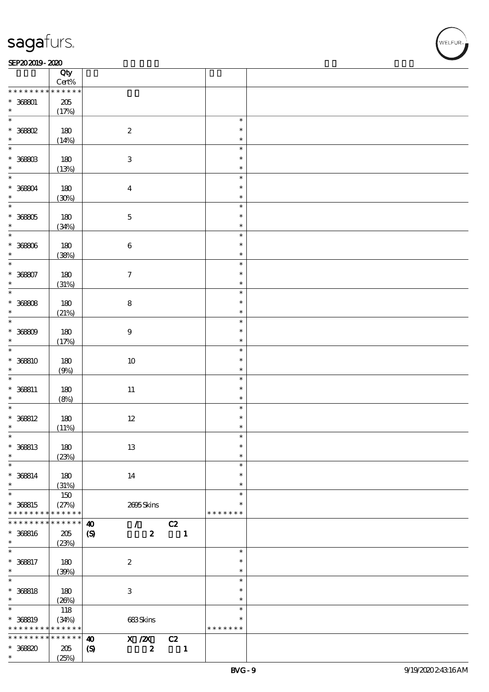### SEP202019-2020

|                             | Qty<br>Cert%               |                                                 |                         |                  |  |
|-----------------------------|----------------------------|-------------------------------------------------|-------------------------|------------------|--|
| * * * * * * *               | * * * * * *                |                                                 |                         |                  |  |
| $* 36801$                   | 205                        |                                                 |                         |                  |  |
| $\ast$                      | (17%)                      |                                                 |                         |                  |  |
| $\overline{\ast}$           |                            |                                                 |                         | $\ast$           |  |
| $*$ 368602                  | 180                        | $\boldsymbol{2}$                                |                         | $\ast$           |  |
| $\ast$<br>$\overline{\ast}$ | (14%)                      |                                                 |                         | $\ast$<br>$\ast$ |  |
|                             |                            |                                                 |                         | $\ast$           |  |
| $* 3680B$<br>$\ast$         | 180<br>(13%)               | $\ensuremath{\mathbf{3}}$                       |                         | $\ast$           |  |
| $\overline{\phantom{0}}$    |                            |                                                 |                         | $\ast$           |  |
| $* 36804$                   | $180\,$                    | $\boldsymbol{4}$                                |                         | $\ast$           |  |
| $\ast$                      | (30%)                      |                                                 |                         | $\ast$           |  |
| $\overline{\ast}$           |                            |                                                 |                         | $\ast$           |  |
| $* 36805$                   | $180\,$                    | $\mathbf 5$                                     |                         | $\ast$           |  |
| $\ast$                      | (34%)                      |                                                 |                         | $\ast$           |  |
| $\overline{\ast}$           |                            |                                                 |                         | $\ast$           |  |
| $* 36806$                   | 180                        | $\bf 6$                                         |                         | $\ast$           |  |
| $\ast$                      | (38%)                      |                                                 |                         | $\ast$           |  |
| $\overline{\ast}$           |                            |                                                 |                         | $\ast$<br>$\ast$ |  |
| $* 36807$<br>$\ast$         | 180                        | $\boldsymbol{7}$                                |                         | $\ast$           |  |
|                             | (31%)                      |                                                 |                         | $\ast$           |  |
| $* 36808$                   | 180                        | $\bf 8$                                         |                         | $\ast$           |  |
| $\ast$                      | (21%)                      |                                                 |                         | $\ast$           |  |
|                             |                            |                                                 |                         | $\ast$           |  |
| $* 36809$                   | $180\,$                    | $\boldsymbol{9}$                                |                         | $\ast$           |  |
| $\ast$                      | (17%)                      |                                                 |                         | $\ast$           |  |
| $\overline{\ast}$           |                            |                                                 |                         | $\ast$           |  |
| $*368810$                   | $180$                      | $10\,$                                          |                         | $\ast$           |  |
| $\ast$                      | (9%)                       |                                                 |                         | $\ast$           |  |
| $\ast$                      |                            |                                                 |                         | $\ast$           |  |
| $* 368811$<br>$\ast$        | $180\,$                    | 11                                              |                         | $\ast$<br>$\ast$ |  |
| $\ast$                      | (8%)                       |                                                 |                         | $\ast$           |  |
| $* 368812$                  | 180                        | $12\,$                                          |                         | $\ast$           |  |
| $\ast$                      | (11%)                      |                                                 |                         | $\ast$           |  |
| $\ast$                      |                            |                                                 |                         | $\ast$           |  |
| * 368813                    | 180                        | 13                                              |                         | $\ast$           |  |
| $\ast$                      | (23%)                      |                                                 |                         | $\ast$           |  |
| $\ast$                      |                            |                                                 |                         | $\ast$           |  |
| $* 368814$                  | 180                        | 14                                              |                         | $\ast$           |  |
| $\ast$<br>$\ast$            | (31%)                      |                                                 |                         | $\ast$<br>$\ast$ |  |
| * 368815                    | 150<br>(27%)               | 2695Skins                                       |                         | ∗                |  |
| * * * * * * * *             | * * * * * *                |                                                 |                         | * * * * * * *    |  |
| * * * * * * * *             | * * * * * *                | $\boldsymbol{\omega}$<br>$\mathcal{L}$          | C2                      |                  |  |
| $* 368816$                  | 205                        | $\boldsymbol{\mathrm{(S)}}$<br>$\boldsymbol{z}$ | $\overline{\mathbf{1}}$ |                  |  |
| $\ast$                      | (23%)                      |                                                 |                         |                  |  |
| $\ast$                      |                            |                                                 |                         | $\ast$           |  |
| $* 368817$                  | 180                        | $\boldsymbol{2}$                                |                         | $\ast$           |  |
| $\ast$                      | (30%)                      |                                                 |                         | $\ast$           |  |
| $\overline{\ast}$           |                            |                                                 |                         | $\ast$           |  |
| $* 368818$<br>$\ast$        | 180                        | $\ensuremath{\mathsf{3}}$                       |                         | $\ast$<br>$\ast$ |  |
| $\ast$                      | (20%)<br>118               |                                                 |                         | $\ast$           |  |
| * 368819                    | (34%)                      | 683Skins                                        |                         | $\ast$           |  |
| * * * * * * * *             | * * * * * *                |                                                 |                         | * * * * * * *    |  |
| * * * * * * * *             | $\ast\ast\ast\ast\ast\ast$ | X / ZX<br>$\boldsymbol{\omega}$                 | C2                      |                  |  |
| $*36880$                    | 205                        | $\pmb{2}$<br>$\boldsymbol{\mathcal{S}}$         | $\overline{\mathbf{1}}$ |                  |  |
| $\ast$                      | (25%)                      |                                                 |                         |                  |  |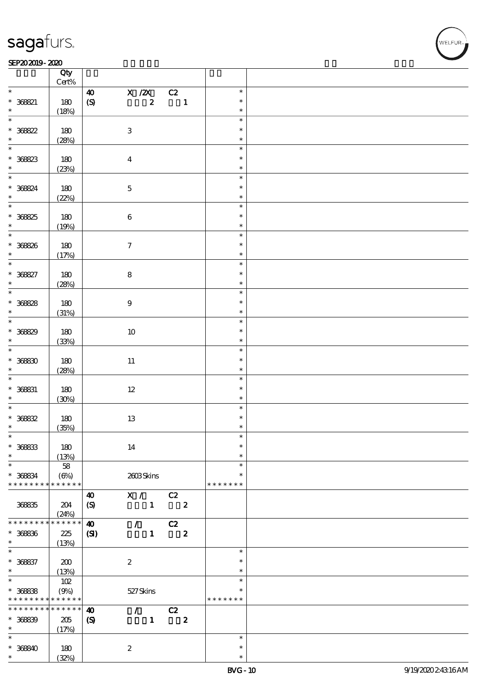### $SEP202019 - 2020$

|                                 | Qty<br>Cert% |                             |                           |                          |               |  |
|---------------------------------|--------------|-----------------------------|---------------------------|--------------------------|---------------|--|
| $\ast$                          |              |                             |                           |                          | $\ast$        |  |
|                                 |              | $\boldsymbol{\omega}$       | $\overline{X}$ /2X        | C2                       | $\ast$        |  |
| $* 368821$                      | 180          | $\pmb{\text{(S)}}$          | $\boldsymbol{z}$          | $\overline{\phantom{a}}$ |               |  |
| $\ast$                          | (18%)        |                             |                           |                          | $\ast$        |  |
| $\overline{\ast}$               |              |                             |                           |                          | $\ast$        |  |
| * 36822                         | 180          |                             | $\ensuremath{\mathbf{3}}$ |                          | $\ast$        |  |
| $\ast$                          | (28%)        |                             |                           |                          | $\ast$        |  |
|                                 |              |                             |                           |                          | $\ast$        |  |
|                                 | 180          |                             | $\boldsymbol{4}$          |                          | $\ast$        |  |
| * 36823                         | (23%)        |                             |                           |                          | $\ast$        |  |
|                                 |              |                             |                           |                          | $\ast$        |  |
| * 36824                         | 180          |                             | $\mathbf 5$               |                          | $\ast$        |  |
| $\ast$                          | (22%)        |                             |                           |                          | $\ast$        |  |
| $\overline{\phantom{0}}$        |              |                             |                           |                          | $\ast$        |  |
|                                 |              |                             |                           |                          | $\ast$        |  |
| $* 36825$                       | 180          |                             | $\bf 6$                   |                          |               |  |
| $*$<br>$\overline{\phantom{0}}$ | (19%)        |                             |                           |                          | $\ast$        |  |
|                                 |              |                             |                           |                          | $\ast$        |  |
| $* 368826$                      | 180          |                             | $\boldsymbol{7}$          |                          | $\ast$        |  |
| $\ast$                          | (17%)        |                             |                           |                          | $\ast$        |  |
| $\overline{\ast}$               |              |                             |                           |                          | $\ast$        |  |
| $* 368827$                      | 180          |                             | $\bf8$                    |                          | $\ast$        |  |
| $\ast$                          | (28%)        |                             |                           |                          | $\ast$        |  |
| $\overline{\phantom{0}}$        |              |                             |                           |                          | $\ast$        |  |
| $* 36888$                       | 180          |                             | $\boldsymbol{9}$          |                          | $\ast$        |  |
| $\ast$                          | (31%)        |                             |                           |                          | $\ast$        |  |
|                                 |              |                             |                           |                          | $\ast$        |  |
| * 368829                        | 180          |                             | $10\,$                    |                          | $\ast$        |  |
| $\ast$                          | (33%)        |                             |                           |                          | $\ast$        |  |
| $\overline{\ast}$               |              |                             |                           |                          | $\ast$        |  |
|                                 |              |                             |                           |                          | $\ast$        |  |
| $* 36830$                       | $180$        |                             | $11\,$                    |                          |               |  |
| $\ast$                          | (28%)        |                             |                           |                          | $\ast$        |  |
| $*$                             |              |                             |                           |                          | $\ast$        |  |
| $* 368831$                      | 180          |                             | $12\,$                    |                          | $\ast$        |  |
| $\ast$                          | (30%)        |                             |                           |                          | $\ast$        |  |
| $\ast$                          |              |                             |                           |                          | $\ast$        |  |
| * 368632                        | $180$        |                             | $13\,$                    |                          | $\ast$        |  |
| $\ast$                          | (35%)        |                             |                           |                          | $\ast$        |  |
| $\ast$                          |              |                             |                           |                          | $\ast$        |  |
| $* 36833$                       | 180          |                             | 14                        |                          | $\ast$        |  |
| $\ast$                          | (13%)        |                             |                           |                          | $\ast$        |  |
| $\ast$                          | 58           |                             |                           |                          | $\ast$        |  |
| $* 368834$                      | $(\Theta)$   |                             | 2603Skins                 |                          | $\ast$        |  |
| * * * * * * * *                 | * * * * * *  |                             |                           |                          | * * * * * * * |  |
|                                 |              | $\boldsymbol{\omega}$       | X /                       | C2                       |               |  |
| 36835                           | 204          | $\boldsymbol{S}$            | $\mathbf{1}$              | $\overline{\mathbf{2}}$  |               |  |
|                                 | (24%)        |                             |                           |                          |               |  |
| * * * * * * * *                 | * * * * * *  | $\boldsymbol{\omega}$       | $\mathcal{L}$             | C2                       |               |  |
|                                 |              |                             | $\mathbf{1}$              | $\boldsymbol{z}$         |               |  |
| $* 36836$<br>$*$                | 225          | $\mathbf{S}$                |                           |                          |               |  |
| $\ast$                          | (13%)        |                             |                           |                          | $\ast$        |  |
|                                 |              |                             |                           |                          |               |  |
| $* 368837$                      | 200          |                             | $\boldsymbol{2}$          |                          | $\ast$        |  |
| $\ast$                          | (13%)        |                             |                           |                          | $\ast$        |  |
| $\overline{\ast}$               | 102          |                             |                           |                          | $\ast$        |  |
| $* 36838$                       | (9%)         |                             | 527Skins                  |                          | $\ast$        |  |
| * * * * * * * *                 | * * * * * *  |                             |                           |                          | * * * * * * * |  |
| * * * * * * * *                 | * * * * * *  | $\boldsymbol{\omega}$       | $\mathcal{L}$             | C2                       |               |  |
| $* 36839$                       | 205          | $\boldsymbol{\mathrm{(S)}}$ | $\mathbf{1}$              | $\boldsymbol{2}$         |               |  |
| $\ast$                          | (17%)        |                             |                           |                          |               |  |
| $\ast$                          |              |                             |                           |                          | $\ast$        |  |
| $* 368840$                      | 180          |                             | $\boldsymbol{z}$          |                          | $\ast$        |  |
| $\ast$                          | (32%)        |                             |                           |                          | $\ast$        |  |
|                                 |              |                             |                           |                          |               |  |

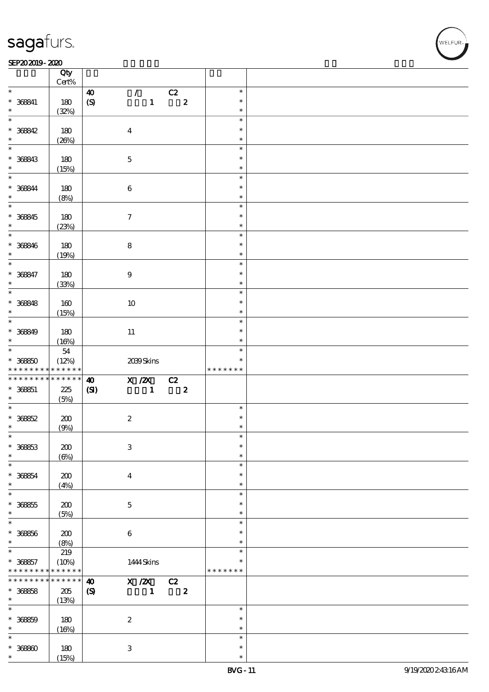$\top$ 

### $SEP202019 - 2020$

|                                                                                                                                                                                                                | Qty<br>$\mbox{Cert}\%$ |                             |                    |                         |               |  |
|----------------------------------------------------------------------------------------------------------------------------------------------------------------------------------------------------------------|------------------------|-----------------------------|--------------------|-------------------------|---------------|--|
| $\ast$                                                                                                                                                                                                         |                        | $\boldsymbol{\omega}$       | $\mathcal{L}$      |                         | $\ast$        |  |
|                                                                                                                                                                                                                |                        |                             |                    | C2                      |               |  |
| $* 368841$                                                                                                                                                                                                     | 180                    | $\boldsymbol{S}$            | $\mathbf{1}$       | $\boldsymbol{2}$        | $\ast$        |  |
| $\ast$                                                                                                                                                                                                         | (32%)                  |                             |                    |                         | $\ast$        |  |
| $\overline{\ast}$                                                                                                                                                                                              |                        |                             |                    |                         | $\ast$        |  |
| $* 368842$                                                                                                                                                                                                     | 180                    | $\boldsymbol{4}$            |                    |                         | $\ast$        |  |
| $\ast$                                                                                                                                                                                                         | (20%)                  |                             |                    |                         | $\ast$        |  |
| $\overline{\ast}$                                                                                                                                                                                              |                        |                             |                    |                         | $\ast$        |  |
|                                                                                                                                                                                                                |                        |                             |                    |                         | $\ast$        |  |
| * 368843                                                                                                                                                                                                       | 180                    | $\mathbf 5$                 |                    |                         |               |  |
| $\ast$                                                                                                                                                                                                         | (15%)                  |                             |                    |                         | $\ast$        |  |
| $\ast$                                                                                                                                                                                                         |                        |                             |                    |                         | $\ast$        |  |
| * 368844                                                                                                                                                                                                       | 180                    | $\bf 6$                     |                    |                         | $\ast$        |  |
| $\ast$                                                                                                                                                                                                         | (8%)                   |                             |                    |                         | $\ast$        |  |
| $\overline{\ast}$                                                                                                                                                                                              |                        |                             |                    |                         | $\ast$        |  |
| * 368845                                                                                                                                                                                                       | 180                    | $\boldsymbol{\tau}$         |                    |                         | $\ast$        |  |
| $\ast$                                                                                                                                                                                                         |                        |                             |                    |                         | $\ast$        |  |
| $*$                                                                                                                                                                                                            | (23%)                  |                             |                    |                         |               |  |
|                                                                                                                                                                                                                |                        |                             |                    |                         | $\ast$        |  |
| $* 368846$                                                                                                                                                                                                     | 180                    | $\bf 8$                     |                    |                         | $\ast$        |  |
| $\ast$                                                                                                                                                                                                         | (19%)                  |                             |                    |                         | $\ast$        |  |
| $\overline{\ast}$                                                                                                                                                                                              |                        |                             |                    |                         | $\ast$        |  |
| $* 368847$                                                                                                                                                                                                     | 180                    | $\boldsymbol{9}$            |                    |                         | $\ast$        |  |
| $\ast$                                                                                                                                                                                                         | (33%)                  |                             |                    |                         | $\ast$        |  |
| $\overline{\ast}$                                                                                                                                                                                              |                        |                             |                    |                         | $\ast$        |  |
|                                                                                                                                                                                                                |                        |                             |                    |                         |               |  |
| $* 368848$                                                                                                                                                                                                     | 160                    |                             | 10                 |                         | $\ast$        |  |
| $\ast$                                                                                                                                                                                                         | (15%)                  |                             |                    |                         | $\ast$        |  |
| $\overline{\ast}$                                                                                                                                                                                              |                        |                             |                    |                         | $\ast$        |  |
| $* 368849$                                                                                                                                                                                                     | 180                    |                             | $11\,$             |                         | $\ast$        |  |
| $\ast$                                                                                                                                                                                                         | (16%)                  |                             |                    |                         | $\ast$        |  |
| $\overline{\phantom{0}}$                                                                                                                                                                                       | $54\,$                 |                             |                    |                         | $\ast$        |  |
| $* 36850$                                                                                                                                                                                                      | (12%)                  |                             | 2039Skins          |                         | $\ast$        |  |
|                                                                                                                                                                                                                |                        |                             |                    |                         | * * * * * * * |  |
|                                                                                                                                                                                                                |                        |                             |                    |                         |               |  |
| * * * * * * * *                                                                                                                                                                                                | * * * * * *            |                             |                    |                         |               |  |
|                                                                                                                                                                                                                | $******$               | $\boldsymbol{\omega}$       | $X$ / $ZX$         | C2                      |               |  |
|                                                                                                                                                                                                                | 225                    | $\mathbf{C}$                | $\blacksquare$     | $\overline{\mathbf{2}}$ |               |  |
| * * * * * * * *<br>* 368651<br>$\ast$                                                                                                                                                                          | (5%)                   |                             |                    |                         |               |  |
|                                                                                                                                                                                                                |                        |                             |                    |                         | $\ast$        |  |
|                                                                                                                                                                                                                |                        |                             |                    |                         | $\ast$        |  |
| $* 36862$<br>$\ast$                                                                                                                                                                                            | 200                    | $\boldsymbol{2}$            |                    |                         | $\ast$        |  |
|                                                                                                                                                                                                                | (9%)                   |                             |                    |                         |               |  |
|                                                                                                                                                                                                                |                        |                             |                    |                         | $\ast$        |  |
| $\ast$<br>$* 36863$                                                                                                                                                                                            | $\pmb{30}$             | $\ensuremath{\mathbf{3}}$   |                    |                         | $\ast$        |  |
| $\ast$                                                                                                                                                                                                         | $(\Theta)$             |                             |                    |                         | $\ast$        |  |
| $\ast$                                                                                                                                                                                                         |                        |                             |                    |                         | $\ast$        |  |
|                                                                                                                                                                                                                | 200                    | $\bf{4}$                    |                    |                         | $\ast$        |  |
|                                                                                                                                                                                                                | (4%)                   |                             |                    |                         | $\ast$        |  |
|                                                                                                                                                                                                                |                        |                             |                    |                         | $\ast$        |  |
|                                                                                                                                                                                                                |                        |                             |                    |                         | $\ast$        |  |
|                                                                                                                                                                                                                | 200                    | $\mathbf 5$                 |                    |                         | $\ast$        |  |
|                                                                                                                                                                                                                | (5%)                   |                             |                    |                         |               |  |
|                                                                                                                                                                                                                |                        |                             |                    |                         | $\ast$        |  |
|                                                                                                                                                                                                                | $200$                  | $\bf 6$                     |                    |                         | $\ast$        |  |
|                                                                                                                                                                                                                | (8%)                   |                             |                    |                         | $\ast$        |  |
|                                                                                                                                                                                                                | 219                    |                             |                    |                         | $\ast$        |  |
|                                                                                                                                                                                                                | (10%)                  |                             | 1444Skins          |                         | $\ast$        |  |
|                                                                                                                                                                                                                | * * * * * *            |                             |                    |                         | * * * * * * * |  |
|                                                                                                                                                                                                                | $******$               |                             |                    |                         |               |  |
|                                                                                                                                                                                                                |                        | $\boldsymbol{\omega}$       | $\overline{X}$ /2X | C2                      |               |  |
|                                                                                                                                                                                                                | 205                    | $\boldsymbol{\mathrm{(S)}}$ | $\mathbf{1}$       | $\boldsymbol{z}$        |               |  |
|                                                                                                                                                                                                                | (13%)                  |                             |                    |                         |               |  |
|                                                                                                                                                                                                                |                        |                             |                    |                         | $\ast$        |  |
|                                                                                                                                                                                                                | 180                    | $\boldsymbol{2}$            |                    |                         | $\ast$        |  |
|                                                                                                                                                                                                                | (16%)                  |                             |                    |                         | $\ast$        |  |
|                                                                                                                                                                                                                |                        |                             |                    |                         | $\ast$        |  |
| $* 36864$<br>$\ast$<br>*<br>$* 36865$<br>$\ast$<br>$\ast$<br>$* 36866$<br>$\ast$<br>$\ast$<br>$* 36867$<br>* * * * * * * *<br>* * * * * * *<br>$* 368658$<br>$\ast$<br>$\ast$<br>$* 36869$<br>$\ast$<br>$\ast$ |                        |                             |                    |                         | $\ast$        |  |
| $* 36860$<br>$\ast$                                                                                                                                                                                            | 180<br>(15%)           | $\ensuremath{\mathbf{3}}$   |                    |                         | $\ast$        |  |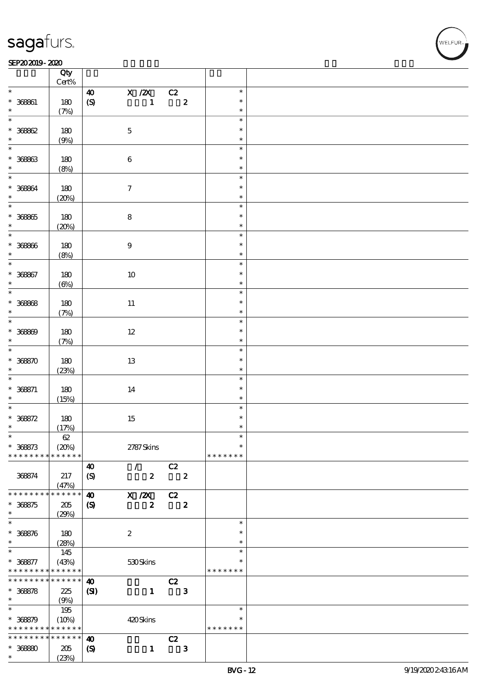### $SEP202019 - 2020$

|                          | Qty<br>$Cert\%$ |                             |                  |                         |              |               |  |
|--------------------------|-----------------|-----------------------------|------------------|-------------------------|--------------|---------------|--|
| $\ast$                   |                 |                             |                  |                         |              | $\ast$        |  |
|                          |                 | $\boldsymbol{\omega}$       | $X$ / $ZX$       | C2                      |              | $\ast$        |  |
| $* 36861$                | 180             | $\pmb{\text{(S)}}$          | $\mathbf{1}$     | $\overline{\mathbf{2}}$ |              |               |  |
| $\ast$                   | (7%)            |                             |                  |                         |              | $\ast$        |  |
| $\overline{\ast}$        |                 |                             |                  |                         |              | $\ast$        |  |
| $* 36862$                | 180             | $\mathbf 5$                 |                  |                         |              | $\ast$        |  |
| $\ast$                   | (9%)            |                             |                  |                         |              | $\ast$        |  |
|                          |                 |                             |                  |                         |              | $\ast$        |  |
| $* 36863$                | 180             | $\bf 6$                     |                  |                         |              | $\ast$        |  |
| $\ast$                   | (8%)            |                             |                  |                         |              | $\ast$        |  |
|                          |                 |                             |                  |                         |              | $\ast$        |  |
|                          | $180$           | $\boldsymbol{\tau}$         |                  |                         |              | $\ast$        |  |
| $* 36864$<br>$*$         |                 |                             |                  |                         |              | $\ast$        |  |
| $\overline{\phantom{0}}$ | (20%)           |                             |                  |                         |              |               |  |
|                          |                 |                             |                  |                         |              | $\ast$        |  |
| $* 36865$                | $180\,$         | $\bf 8$                     |                  |                         |              | $\ast$        |  |
| $*$                      | (20%)           |                             |                  |                         |              | $\ast$        |  |
|                          |                 |                             |                  |                         |              | $\ast$        |  |
| $* 36866$                | 180             | $\boldsymbol{9}$            |                  |                         |              | $\ast$        |  |
| $\ast$                   | (8%)            |                             |                  |                         |              | $\ast$        |  |
| $\overline{\ast}$        |                 |                             |                  |                         |              | $\ast$        |  |
| $* 36867$                | $180\,$         | $10\,$                      |                  |                         |              | $\ast$        |  |
| $\ast$                   | $(\Theta)$      |                             |                  |                         |              | $\ast$        |  |
| $\overline{\phantom{0}}$ |                 |                             |                  |                         |              | $\ast$        |  |
| $* 36868$                | $180\,$         | 11                          |                  |                         |              | $\ast$        |  |
| $\ast$                   |                 |                             |                  |                         |              | $\ast$        |  |
| $\overline{\phantom{0}}$ | (7%)            |                             |                  |                         |              | $\ast$        |  |
|                          |                 |                             |                  |                         |              |               |  |
| $* 36869$                | 180             | $12\,$                      |                  |                         |              | $\ast$        |  |
| $\ast$                   | (7%)            |                             |                  |                         |              | $\ast$        |  |
|                          |                 |                             |                  |                         |              | $\ast$        |  |
| $* 368870$               | 180             | 13                          |                  |                         |              | $\ast$        |  |
| $\ast$                   | (23%)           |                             |                  |                         |              | $\ast$        |  |
| $\ast$                   |                 |                             |                  |                         |              | $\ast$        |  |
| $* 368871$               | 180             | $14\,$                      |                  |                         |              | $\ast$        |  |
| $\ast$                   | (15%)           |                             |                  |                         |              | $\ast$        |  |
| $\ast$                   |                 |                             |                  |                         |              | $\ast$        |  |
| * 368872                 | $180$           | $15\,$                      |                  |                         |              | $\ast$        |  |
| $\ast$                   | (17%)           |                             |                  |                         |              | $\ast$        |  |
| $\ast$                   | $6\!2$          |                             |                  |                         |              | $\ast$        |  |
| $* 368873$               | (20%)           |                             | 2787Skins        |                         |              | $\ast$        |  |
| * * * * * * * *          | * * * * * *     |                             |                  |                         |              | * * * * * * * |  |
|                          |                 |                             |                  |                         |              |               |  |
|                          |                 | $\boldsymbol{\omega}$       | $\mathcal{F}$    | C2                      |              |               |  |
| 368874                   | 217             | $\boldsymbol{S}$            | $\boldsymbol{z}$ | $\overline{\mathbf{2}}$ |              |               |  |
|                          | (47%)           |                             |                  |                         |              |               |  |
| * * * * * * * *          | * * * * * *     | $\boldsymbol{\omega}$       | X / ZX           | C2                      |              |               |  |
| $* 368875$               | 205             | $\boldsymbol{\mathsf{(S)}}$ | $\boldsymbol{z}$ | $\overline{\mathbf{2}}$ |              |               |  |
| $\ast$                   | (29%)           |                             |                  |                         |              |               |  |
| $\ast$                   |                 |                             |                  |                         |              | $\ast$        |  |
| $* 368676$               | 180             | $\boldsymbol{2}$            |                  |                         |              | $\ast$        |  |
| $\ast$                   | (28%)           |                             |                  |                         |              | $\ast$        |  |
| $\ast$                   | 145             |                             |                  |                         |              | $\ast$        |  |
| $* 368877$               | (43%)           |                             | 530Skins         |                         |              | $\ast$        |  |
| * * * * * * * *          | * * * * * *     |                             |                  |                         |              | * * * * * * * |  |
| * * * * * * *            | * * * * * *     | $\boldsymbol{\omega}$       |                  | C2                      |              |               |  |
| $* 368878$               | 225             | (S)                         | $\mathbf{1}$     |                         | $\mathbf{3}$ |               |  |
| $\ast$                   | (9%)            |                             |                  |                         |              |               |  |
| $\ast$                   |                 |                             |                  |                         |              | $\ast$        |  |
|                          | 195             |                             |                  |                         |              | $\ast$        |  |
| $* 368879$               | (10%)           |                             | 420Skins         |                         |              |               |  |
| * * * * * * * *          | * * * * * *     |                             |                  |                         |              | * * * * * * * |  |
| * * * * * * * *          | * * * * * *     | $\boldsymbol{\omega}$       |                  | C2                      |              |               |  |
| $* 36880$                | 205             | $\boldsymbol{\mathcal{S}}$  | $\mathbf{1}$     |                         | ${\bf 3}$    |               |  |
| $\ast$                   | (23%)           |                             |                  |                         |              |               |  |

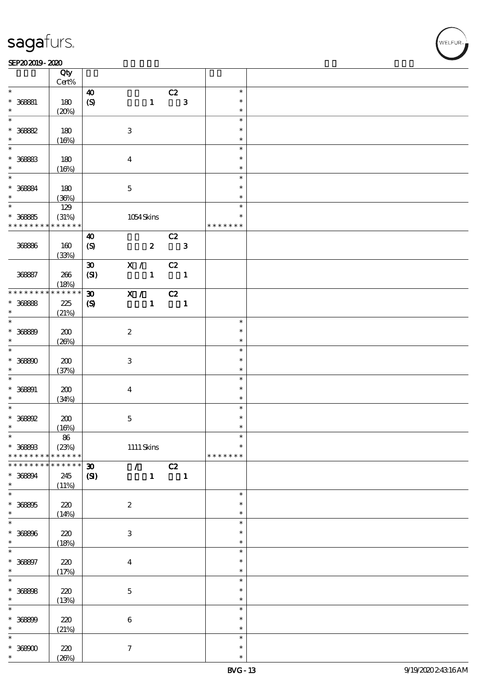### $SEP202019 - 2020$

|                                | Qty<br>$Cert\%$      |                             |                           |                |                  |                            |                |               |  |
|--------------------------------|----------------------|-----------------------------|---------------------------|----------------|------------------|----------------------------|----------------|---------------|--|
| $\ast$                         |                      | $\boldsymbol{\omega}$       |                           |                |                  | C2                         |                | $\ast$        |  |
| $* 36881$                      | 180                  | $\boldsymbol{S}$            |                           |                | $\mathbf{1}$     |                            | $\mathbf{3}$   | $\ast$        |  |
| $\ast$                         | (20%)                |                             |                           |                |                  |                            |                | $\ast$        |  |
| $\ast$                         |                      |                             |                           |                |                  |                            |                | $\ast$        |  |
| $* 36882$                      | 180                  |                             | $\ensuremath{\mathbf{3}}$ |                |                  |                            |                | $\ast$        |  |
| $\ast$                         | (16%)                |                             |                           |                |                  |                            |                | $\ast$        |  |
| $\overline{\ast}$              |                      |                             |                           |                |                  |                            |                | $\ast$        |  |
|                                |                      |                             |                           |                |                  |                            |                |               |  |
| $* 36883$                      | 180                  |                             | $\overline{4}$            |                |                  |                            |                | $\ast$        |  |
| $\ast$                         | (16%)                |                             |                           |                |                  |                            |                | $\ast$        |  |
| $\ast$                         |                      |                             |                           |                |                  |                            |                | $\ast$        |  |
| * 36884                        | 180                  |                             | $\mathbf 5$               |                |                  |                            |                | $\ast$        |  |
| $\ast$                         | (36%)                |                             |                           |                |                  |                            |                | $\ast$        |  |
| $\overline{\ast}$              | 129                  |                             |                           |                |                  |                            |                | $\ast$        |  |
|                                |                      |                             |                           |                |                  |                            |                |               |  |
| $* 36885$                      | (31%)                |                             |                           | $1054\,$ Skins |                  |                            |                | $\ast$        |  |
| * * * * * * * * <mark>*</mark> | * * * * * *          |                             |                           |                |                  |                            |                | * * * * * * * |  |
|                                |                      | $\boldsymbol{\omega}$       |                           |                |                  | C2                         |                |               |  |
| 36886                          | 160                  | $\boldsymbol{S}$            |                           |                | $\boldsymbol{z}$ | $\overline{\phantom{a}}$ 3 |                |               |  |
|                                | (33%)                |                             |                           |                |                  |                            |                |               |  |
|                                |                      | $\boldsymbol{\mathfrak{D}}$ |                           | X /            |                  | C2                         |                |               |  |
| 368887                         | 266                  | (SI)                        |                           | $\mathbf{1}$   |                  | $\blacksquare$             |                |               |  |
|                                |                      |                             |                           |                |                  |                            |                |               |  |
|                                | (18%)<br>* * * * * * |                             |                           |                |                  |                            |                |               |  |
| * * * * * * * *                |                      | $\boldsymbol{\mathfrak{D}}$ |                           | $\mathbf{X}$ / |                  | C2                         |                |               |  |
| * 36888                        | 225                  | $\boldsymbol{S}$            |                           |                | $\mathbf{1}$     | $\overline{\phantom{a}}$   |                |               |  |
| $\ast$                         | (21%)                |                             |                           |                |                  |                            |                |               |  |
| $\ast$                         |                      |                             |                           |                |                  |                            |                | $\ast$        |  |
| $* 36889$                      | 200                  |                             | $\boldsymbol{2}$          |                |                  |                            |                | $\ast$        |  |
| $\ast$                         | (20%)                |                             |                           |                |                  |                            |                | $\ast$        |  |
| $\overline{\ast}$              |                      |                             |                           |                |                  |                            |                | $\ast$        |  |
|                                |                      |                             |                           |                |                  |                            |                |               |  |
| $* 368800$                     | 200                  |                             | 3                         |                |                  |                            |                | $\ast$        |  |
| $\ast$                         | (37%)                |                             |                           |                |                  |                            |                | $\ast$        |  |
| $\ast$                         |                      |                             |                           |                |                  |                            |                | $\ast$        |  |
| $* 36891$                      | 200                  |                             | $\boldsymbol{4}$          |                |                  |                            |                | $\ast$        |  |
| $\ast$                         | (34%)                |                             |                           |                |                  |                            |                | $\ast$        |  |
| $\ast$                         |                      |                             |                           |                |                  |                            |                | $\ast$        |  |
| $*$ 368692                     | 200                  |                             | $\mathbf 5$               |                |                  |                            |                | $\ast$        |  |
| $\ast$                         | (16%)                |                             |                           |                |                  |                            |                | $\ast$        |  |
| $\ast$                         |                      |                             |                           |                |                  |                            |                | $\ast$        |  |
|                                | ${\bf 86}$           |                             |                           |                |                  |                            |                |               |  |
| $* 368603$                     | (23%)                |                             |                           | $1111$ Skins   |                  |                            |                | $\ast$        |  |
| * * * * * * * *                | * * * * * *          |                             |                           |                |                  |                            |                | * * * * * * * |  |
| * * * * * * *                  | * * * * * *          | $\boldsymbol{\mathfrak{D}}$ |                           | $\mathcal{F}$  |                  | C2                         |                |               |  |
| * 368894                       | 245                  | $\mathbf{C}$                |                           |                | $\mathbf{1}$     |                            | $\blacksquare$ |               |  |
| $\ast$                         | (11%)                |                             |                           |                |                  |                            |                |               |  |
| $\overline{\ast}$              |                      |                             |                           |                |                  |                            |                | $\ast$        |  |
| $* 368805$                     | 220                  |                             | $\boldsymbol{2}$          |                |                  |                            |                | $\ast$        |  |
| $\ast$                         |                      |                             |                           |                |                  |                            |                | $\ast$        |  |
| $\ast$                         | (14%)                |                             |                           |                |                  |                            |                |               |  |
|                                |                      |                             |                           |                |                  |                            |                | $\ast$        |  |
| $* 36866$                      | $220\,$              |                             | $\ensuremath{\mathbf{3}}$ |                |                  |                            |                | $\ast$        |  |
| $\ast$                         | (18%)                |                             |                           |                |                  |                            |                | $\ast$        |  |
| $\ast$                         |                      |                             |                           |                |                  |                            |                | $\ast$        |  |
| $* 368897$                     | $220$                |                             | $\boldsymbol{4}$          |                |                  |                            |                | $\ast$        |  |
| $\ast$                         | (17%)                |                             |                           |                |                  |                            |                | $\ast$        |  |
| $\overline{\ast}$              |                      |                             |                           |                |                  |                            |                | $\ast$        |  |
|                                |                      |                             |                           |                |                  |                            |                | $\ast$        |  |
| $* 36868$                      | 220                  |                             | $\bf 5$                   |                |                  |                            |                |               |  |
| $\ast$                         | (13%)                |                             |                           |                |                  |                            |                | $\ast$        |  |
| $\ast$                         |                      |                             |                           |                |                  |                            |                | $\ast$        |  |
| $* 368809$                     | 220                  |                             | $\bf 6$                   |                |                  |                            |                | $\ast$        |  |
| $\ast$                         | (21%)                |                             |                           |                |                  |                            |                | $\ast$        |  |
| $\ast$                         |                      |                             |                           |                |                  |                            |                | $\ast$        |  |
| $* 36800$                      | 220                  |                             | $\tau$                    |                |                  |                            |                | $\ast$        |  |
| $\ast$                         |                      |                             |                           |                |                  |                            |                | $\ast$        |  |
|                                | (20%)                |                             |                           |                |                  |                            |                |               |  |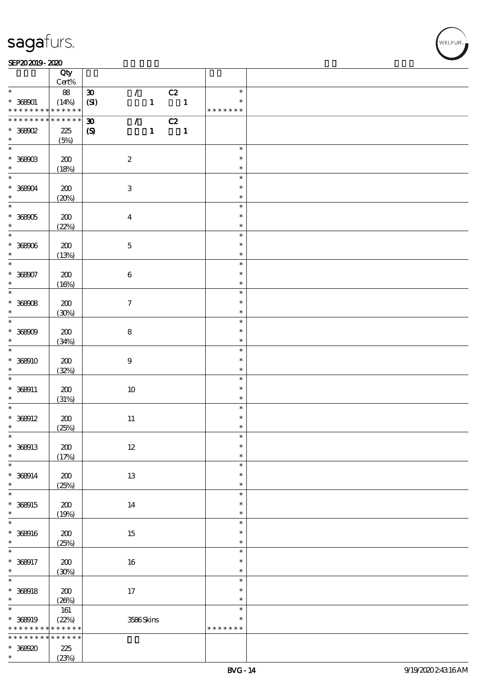### $SEP202019 - 2020$

|                               | Qty<br>Cert%                        |                                                           |                           |               |              |                          |                         |  |
|-------------------------------|-------------------------------------|-----------------------------------------------------------|---------------------------|---------------|--------------|--------------------------|-------------------------|--|
| $\ast$                        | 88                                  | $\pmb{\mathfrak{D}}$                                      |                           | $\mathcal{L}$ |              | C2                       | $\ast$                  |  |
| $* 368001$<br>* * * * * * * * | (14%)<br>$\ast\ast\ast\ast\ast\ast$ | (SI)                                                      |                           |               | $\mathbf{1}$ | $\overline{\phantom{a}}$ | $\ast$<br>* * * * * * * |  |
| * * * * * * * *               | $******$                            |                                                           |                           |               |              |                          |                         |  |
| $*$ 368002                    | 225                                 | $\boldsymbol{\mathfrak{D}}$<br>$\boldsymbol{\mathcal{S}}$ |                           | $\mathcal{L}$ | $\mathbf{1}$ | C2<br>$\blacksquare$     |                         |  |
| $\ast$                        | (5%)                                |                                                           |                           |               |              |                          |                         |  |
|                               |                                     |                                                           |                           |               |              |                          | $\ast$                  |  |
| $* 3690B$<br>$\ast$           | 200<br>(18%)                        |                                                           | $\boldsymbol{2}$          |               |              |                          | $\ast$<br>$\ast$        |  |
| $\overline{\phantom{0}}$      |                                     |                                                           |                           |               |              |                          | $\ast$                  |  |
| $* 36804$<br>$\ast$           | 200<br>(20%)                        |                                                           | $\ensuremath{\mathbf{3}}$ |               |              |                          | $\ast$<br>$\ast$        |  |
|                               |                                     |                                                           |                           |               |              |                          | $\ast$                  |  |
| $* 36905$<br>$\ast$           | $200$<br>(22%)                      |                                                           | $\boldsymbol{4}$          |               |              |                          | $\ast$<br>$\ast$        |  |
| $\overline{\ast}$             |                                     |                                                           |                           |               |              |                          | $\ast$                  |  |
| $* 369006$<br>$\ast$          | 200<br>(13%)                        |                                                           | $\mathbf 5$               |               |              |                          | $\ast$<br>$\ast$        |  |
| $\overline{\ast}$             |                                     |                                                           |                           |               |              |                          | $\ast$                  |  |
| $* 368007$<br>$\ast$          | 200<br>(16%)                        |                                                           | $\bf 6$                   |               |              |                          | $\ast$<br>$\ast$        |  |
|                               |                                     |                                                           |                           |               |              |                          | $\ast$                  |  |
| $* 36908$<br>$\ast$           | 200<br>(30%)                        |                                                           | $\tau$                    |               |              |                          | $\ast$<br>$\ast$        |  |
| $\overline{\ast}$             |                                     |                                                           |                           |               |              |                          | $\ast$                  |  |
| $* 36900$<br>$\ast$           | 200<br>(34%)                        |                                                           | $\bf 8$                   |               |              |                          | $\ast$<br>$\ast$        |  |
| $\overline{\ast}$             |                                     |                                                           |                           |               |              |                          | $\ast$                  |  |
| $* 368910$<br>$\ast$          | 200<br>(32%)                        |                                                           | $\boldsymbol{9}$          |               |              |                          | $\ast$<br>$\ast$        |  |
| $\ast$                        |                                     |                                                           |                           |               |              |                          | $\ast$                  |  |
| $* 368911$<br>$\ast$          | $200\,$<br>(31%)                    |                                                           | $10\,$                    |               |              |                          | $\ast$<br>$\ast$        |  |
| $\ast$                        |                                     |                                                           |                           |               |              |                          | $\ast$                  |  |
| $* 369012$<br>$\ast$          | 200<br>(25%)                        |                                                           | $11\,$                    |               |              |                          | $\ast$<br>$\ast$        |  |
| $\ast$                        |                                     |                                                           |                           |               |              |                          | $\ast$                  |  |
| * 368913<br>$\ast$            | $\pmb{30}$<br>(17%)                 |                                                           | $12\,$                    |               |              |                          | $\ast$<br>$\ast$        |  |
| $\ast$                        |                                     |                                                           |                           |               |              |                          | $\ast$                  |  |
| $* 368914$<br>$\ast$          | 200<br>(25%)                        |                                                           | 13                        |               |              |                          | $\ast$<br>$\ast$        |  |
| $\overline{\ast}$             |                                     |                                                           |                           |               |              |                          | $\ast$                  |  |
| * 368915<br>$\ast$            | 200<br>(19%)                        |                                                           | 14                        |               |              |                          | $\ast$<br>$\ast$        |  |
| $\ast$                        |                                     |                                                           |                           |               |              |                          | $\ast$                  |  |
| $* 369016$<br>$\ast$          | $200$<br>(25%)                      |                                                           | $15\,$                    |               |              |                          | $\ast$<br>$\ast$        |  |
| $\ast$                        |                                     |                                                           |                           |               |              |                          | $\ast$                  |  |
| $* 368917$<br>$\ast$          | $200$<br>(30%)                      |                                                           | $16\,$                    |               |              |                          | $\ast$<br>$\ast$        |  |
| $\ast$                        |                                     |                                                           |                           |               |              |                          | $\ast$                  |  |
| $* 369018$<br>$\ast$          | 200<br>(20%)                        |                                                           | $17\,$                    |               |              |                          | $\ast$<br>$\ast$        |  |
| $\ast$                        | 161                                 |                                                           |                           |               |              |                          | $\ast$                  |  |
| * 368919<br>* * * * * * * *   | (22%)<br>* * * * * *                |                                                           |                           |               | 3586Skins    |                          | $\ast$<br>* * * * * * * |  |
| * * * * * * *                 | * * * * * *                         |                                                           |                           |               |              |                          |                         |  |
| $*36990$                      | 225                                 |                                                           |                           |               |              |                          |                         |  |
| $\ast$                        | (23%)                               |                                                           |                           |               |              |                          |                         |  |
|                               |                                     |                                                           |                           |               |              |                          |                         |  |

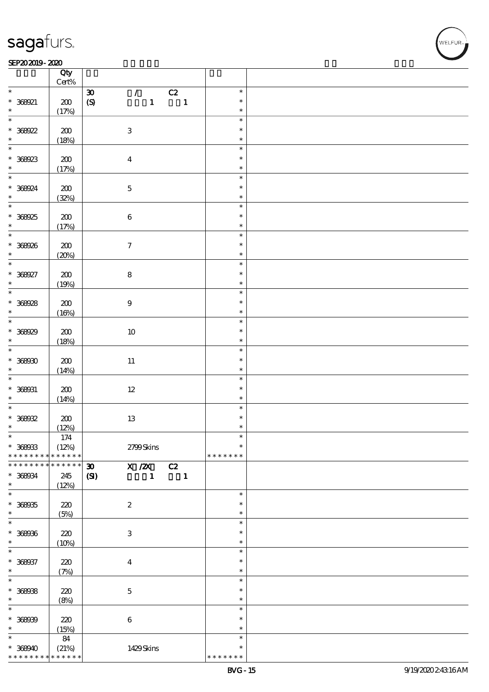### $SEP202019 - 2020$  $\frac{\text{SEP202019 - 2020}}{\text{C}}$

|                               | Qty<br>$Cert\%$      |                                                                |               |  |
|-------------------------------|----------------------|----------------------------------------------------------------|---------------|--|
| $\ast$                        |                      |                                                                | $\ast$        |  |
|                               |                      | $\mathcal{T} = \mathcal{I}$<br>C2<br>$\pmb{\mathfrak{D}}$      |               |  |
| $* 368021$                    | $200\,$              | $\mathbf{1}$<br>$\pmb{\text{(S)}}$<br>$\overline{\phantom{a}}$ | $\ast$        |  |
| $\ast$                        | (17%)                |                                                                | $\ast$        |  |
| $\overline{\ast}$             |                      |                                                                | $\ast$        |  |
|                               | $200\,$              | $\ensuremath{\mathbf{3}}$                                      | $\ast$        |  |
| $* 366022$                    |                      |                                                                |               |  |
| $\ast$                        | (18%)                |                                                                | $\ast$        |  |
|                               |                      |                                                                | $\ast$        |  |
| $* 36923$                     | 200                  | $\overline{4}$                                                 | $\ast$        |  |
| $\ast$                        | (17%)                |                                                                | $\ast$        |  |
| $*$                           |                      |                                                                |               |  |
|                               |                      |                                                                | $\ast$        |  |
| * 368924                      | $200$                | $\mathbf 5$                                                    | $\ast$        |  |
| $\ast$                        | (32%)                |                                                                | $\ast$        |  |
| $\overline{\ast}$             |                      |                                                                | $\ast$        |  |
| $*36925$                      | $200\,$              | $\bf 6$                                                        | $\ast$        |  |
|                               |                      |                                                                |               |  |
| $\ast$                        | (17%)                |                                                                | $\ast$        |  |
|                               |                      |                                                                | $\ast$        |  |
| * 368926                      | 200                  | $\boldsymbol{\tau}$                                            | $\ast$        |  |
| $\ast$                        | (20%)                |                                                                | $\ast$        |  |
| $\overline{\ast}$             |                      |                                                                | $\ast$        |  |
|                               |                      |                                                                |               |  |
| $* 368927$                    | 200                  | ${\bf 8}$                                                      | $\ast$        |  |
| $\ast$                        | (19%)                |                                                                | $\ast$        |  |
| $\overline{\ast}$             |                      |                                                                | $\ast$        |  |
| * 368928                      | $200\,$              | $\boldsymbol{9}$                                               | $\ast$        |  |
| $\ast$                        | (16%)                |                                                                | $\ast$        |  |
|                               |                      |                                                                |               |  |
|                               |                      |                                                                | $\ast$        |  |
| * 368929                      | 200                  | $10\,$                                                         | $\ast$        |  |
| $\ast$                        | (18%)                |                                                                | $\ast$        |  |
| $\overline{\mathbf{r}}$       |                      |                                                                | $\ast$        |  |
|                               |                      |                                                                | $\ast$        |  |
| $* 36800$                     | 200                  | $11\,$                                                         |               |  |
| $\ast$                        | (14%)                |                                                                | $\ast$        |  |
|                               |                      |                                                                | $\ast$        |  |
| $* 369001$                    | $200\,$              | $12\,$                                                         | $\ast$        |  |
| $\ast$                        | (14%)                |                                                                | $\ast$        |  |
| $\overline{\ast}$             |                      |                                                                | $\ast$        |  |
|                               |                      |                                                                |               |  |
| $* 36602$                     | $200\,$              | $13\,$                                                         | $\ast$        |  |
| $\ast$                        | (12%)                |                                                                | $\ast$        |  |
| $\ast$                        | $174\,$              |                                                                | $\ast$        |  |
| $* 36903$                     | (12%)                | 2799Skins                                                      | $\ast$        |  |
| * * * * * * * *               | * * * * * *          |                                                                | * * * * * * * |  |
|                               |                      |                                                                |               |  |
| * * * * * * *                 | * * * * * *          | $\boldsymbol{\mathfrak{D}}$<br>X / ZX<br>C2                    |               |  |
| * 368934                      | 245                  | $\mathbf{C}$<br>$\mathbf{1}$<br>$\blacksquare$                 |               |  |
| $\ast$                        | (12%)                |                                                                |               |  |
| $\overline{\ast}$             |                      |                                                                | $\ast$        |  |
| $* 36905$                     | 220                  | $\boldsymbol{2}$                                               | $\ast$        |  |
| $\ast$                        |                      |                                                                | $\ast$        |  |
|                               | (5%)                 |                                                                |               |  |
| $\ast$                        |                      |                                                                | $\ast$        |  |
| $* 369006$                    | $220$                | $\ensuremath{\mathbf{3}}$                                      | $\ast$        |  |
| $\ast$                        | (10%)                |                                                                | $\ast$        |  |
| $\ast$                        |                      |                                                                | $\ast$        |  |
|                               |                      |                                                                | $\ast$        |  |
| * 368937                      | 220                  | $\boldsymbol{4}$                                               |               |  |
| $\ast$                        | (7%)                 |                                                                | $\ast$        |  |
| $\overline{\ast}$             |                      |                                                                | $\ast$        |  |
| $* 36908$                     | 220                  | $\mathbf 5$                                                    | $\ast$        |  |
| $\ast$                        | (8%)                 |                                                                | $\ast$        |  |
| $\ast$                        |                      |                                                                | $\ast$        |  |
|                               |                      |                                                                |               |  |
| $* 36900$                     | 220                  | $\bf 6$                                                        | $\ast$        |  |
| $\ast$                        | (15%)                |                                                                | $\ast$        |  |
| $\ast$                        | 84                   |                                                                | $\ast$        |  |
|                               |                      |                                                                |               |  |
|                               |                      |                                                                | $\ast$        |  |
| $* 368940$<br>* * * * * * * * | (21%)<br>* * * * * * | 1429Skins                                                      | * * * * * * * |  |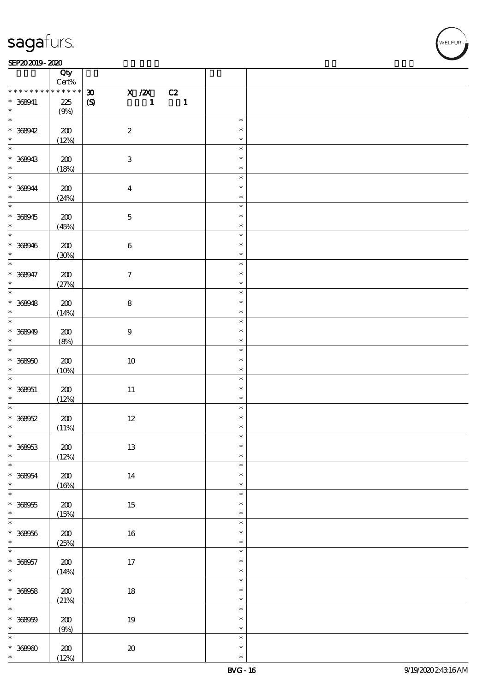### SEP202019-2020

|                                | Qty<br>$\mbox{Cert}\%$ |                                                                   |                                      |                            |  |
|--------------------------------|------------------------|-------------------------------------------------------------------|--------------------------------------|----------------------------|--|
| * * * * * * * *                | * * * * * *            |                                                                   |                                      |                            |  |
| $* 368941$<br>$\ast$           | 225<br>(9%)            | $X$ / $ZX$<br>$\pmb{\mathfrak{D}}$<br>$\boldsymbol{\mathrm{(S)}}$ | C2<br>$\blacksquare$<br>$\mathbf{1}$ |                            |  |
|                                |                        |                                                                   |                                      |                            |  |
| * 368942                       | ${\bf Z0}$             | $\boldsymbol{2}$                                                  |                                      | $\ast$<br>$\ast$           |  |
| $\ast$                         | (12%)                  |                                                                   |                                      | $\ast$                     |  |
| $\ast$                         |                        |                                                                   |                                      | $\ast$                     |  |
| * 368943<br>$\ast$             | $200\,$<br>(18%)       | $\sqrt{3}$                                                        |                                      | $\ast$<br>$\ast$           |  |
| $\ast$                         |                        |                                                                   |                                      | $\ast$                     |  |
| * 368944<br>$\ast$             | 200<br>(24%)           | $\boldsymbol{4}$                                                  |                                      | $\ast$<br>$\ast$           |  |
| $\overline{\ast}$              |                        |                                                                   |                                      | $\ast$                     |  |
| * 368945<br>$\ast$             | 200<br>(45%)           | $\mathbf 5$                                                       |                                      | $\ast$<br>$\ast$           |  |
| $\ast$                         |                        |                                                                   |                                      | $\ast$                     |  |
| $* 368946$<br>$\ast$           | 200<br>(30%)           | $\bf 6$                                                           |                                      | $\ast$<br>$\ast$           |  |
| $\overline{\ast}$              |                        |                                                                   |                                      | $\ast$                     |  |
| $* 368947$<br>$\ast$           | 200                    | $\boldsymbol{7}$                                                  |                                      | $\ast$<br>$\ast$           |  |
| $\overline{\ast}$              | (27%)                  |                                                                   |                                      |                            |  |
|                                |                        |                                                                   |                                      | $\ast$                     |  |
| $* 368948$<br>$\ast$           | ${\bf Z0}$             | ${\bf 8}$                                                         |                                      | $\ast$<br>$\ast$           |  |
| $\overline{\ast}$              | (14%)                  |                                                                   |                                      |                            |  |
| * 368949<br>$\ast$             | 200                    | $\boldsymbol{9}$                                                  |                                      | $\ast$<br>$\ast$<br>$\ast$ |  |
| $\overline{\ast}$              | (8%)                   |                                                                   |                                      |                            |  |
| $* 36800$<br>$\ast$            | 200                    | $10\,$                                                            |                                      | $\ast$<br>$\ast$<br>$\ast$ |  |
| $\overline{\ast}$              | (10%)                  |                                                                   |                                      |                            |  |
| $* 368051$<br>$\ast$           | $200\,$                | $11\,$                                                            |                                      | $\ast$<br>$\ast$           |  |
|                                | (12%)                  |                                                                   |                                      | $\ast$                     |  |
| $\ast$<br>$* 368052$<br>$\ast$ | 200<br>(11%)           | $12\,$                                                            |                                      | $\ast$<br>$\ast$<br>$\ast$ |  |
| $\ast$                         |                        |                                                                   |                                      | ж                          |  |
| $* 36663$<br>$\ast$            | $200$<br>(12%)         | $1\!3$                                                            |                                      | $\ast$<br>$\ast$           |  |
| $\overline{\ast}$              |                        |                                                                   |                                      | $\ast$                     |  |
| $* 368054$<br>$*$              | ${\bf Z0}$             | $14\,$                                                            |                                      | $\ast$<br>$\ast$           |  |
| $\ast$                         | (16%)                  |                                                                   |                                      | $\ast$                     |  |
| $* 369055$<br>$\ast$           | ${\bf Z0}$<br>(15%)    | $15\,$                                                            |                                      | $\ast$<br>$\ast$           |  |
| $\overline{\ast}$              |                        |                                                                   |                                      | $\ast$                     |  |
| * 368056<br>$\ast$             | ${\bf Z0}$<br>(25%)    | $16\,$                                                            |                                      | $\ast$<br>$\ast$           |  |
| $\overline{\ast}$              |                        |                                                                   |                                      | $\ast$                     |  |
| $* 368057$<br>$\ast$           | ${\bf Z0}$<br>(14%)    | 17                                                                |                                      | $\ast$<br>$\ast$           |  |
| $\overline{\ast}$              |                        |                                                                   |                                      | $\ast$                     |  |
| $* 368058$<br>$\ast$           | ${\bf Z0}$<br>(21%)    | $18\,$                                                            |                                      | $\ast$<br>$\ast$           |  |
| $\overline{\ast}$              |                        |                                                                   |                                      | $\ast$                     |  |
| $* 36800$<br>$\ast$            | 200<br>(9%)            | $1\!\mathrm{9}$                                                   |                                      | $\ast$<br>$\ast$           |  |
| $\ast$                         |                        |                                                                   |                                      | $\ast$                     |  |
| $* 36600$<br>$\ast$            | ${\bf Z0}$             | $\pmb{\mathcal{X}}$                                               |                                      | $\ast$<br>$\ast$           |  |
|                                | (12%)                  |                                                                   |                                      |                            |  |

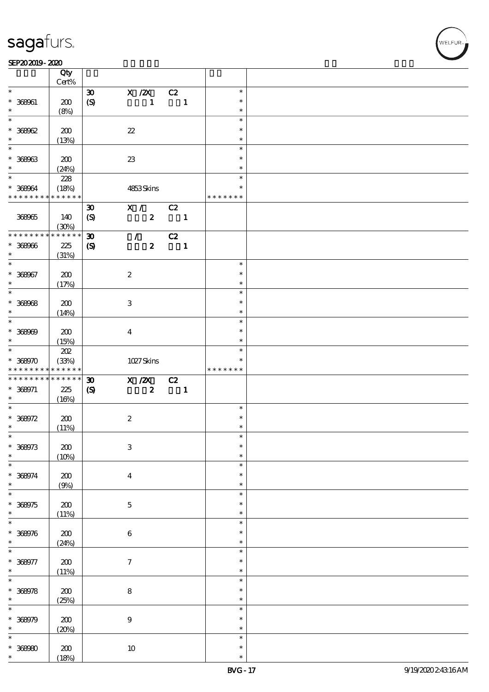### $SEP202019 - 2020$

|                                            | Qty<br>$Cert\%$            |                             |                           |                  |                |                |                  |  |
|--------------------------------------------|----------------------------|-----------------------------|---------------------------|------------------|----------------|----------------|------------------|--|
| $\ast$                                     |                            |                             |                           |                  |                |                | $\ast$           |  |
|                                            |                            | $\pmb{\mathfrak{D}}$        | X / ZX                    |                  | C2             |                |                  |  |
| $* 368001$                                 | 200                        | $\boldsymbol{S}$            |                           | $\mathbf{1}$     |                | $\blacksquare$ | $\ast$           |  |
| $\ast$                                     | (8%)                       |                             |                           |                  |                |                | $\ast$           |  |
| $\ast$                                     |                            |                             |                           |                  |                |                | $\ast$           |  |
| $* 36962$                                  | 200                        |                             | $2\!2$                    |                  |                |                | $\ast$           |  |
| $\ast$                                     |                            |                             |                           |                  |                |                | $\ast$           |  |
|                                            | (13%)                      |                             |                           |                  |                |                |                  |  |
| $\overline{\ast}$                          |                            |                             |                           |                  |                |                | $\ast$           |  |
| $* 36963$                                  | 200                        |                             | $2\!3$                    |                  |                |                | $\ast$           |  |
| $\ast$                                     | (24%)                      |                             |                           |                  |                |                | $\ast$           |  |
|                                            | 228                        |                             |                           |                  |                |                | $\ast$           |  |
| $* 368064$                                 | (18%)                      |                             |                           | 4853Skins        |                |                | $\ast$           |  |
| * * * * * * * * <mark>* * * * * * *</mark> |                            |                             |                           |                  |                |                | * * * * * * *    |  |
|                                            |                            |                             |                           |                  |                |                |                  |  |
|                                            |                            | $\boldsymbol{\mathfrak{D}}$ |                           | X /              | C2             |                |                  |  |
| 368965                                     | 140                        | $\boldsymbol{\mathcal{S}}$  |                           | $\boldsymbol{2}$ |                | $\blacksquare$ |                  |  |
|                                            | (30%)                      |                             |                           |                  |                |                |                  |  |
| * * * * * * * *                            | * * * * * *                | $\boldsymbol{\mathfrak{D}}$ | $\mathcal{T}$             |                  | C2             |                |                  |  |
| $* 36906$                                  | 225                        |                             |                           | $\boldsymbol{z}$ |                | $\blacksquare$ |                  |  |
|                                            |                            | $\boldsymbol{\mathcal{S}}$  |                           |                  |                |                |                  |  |
| $\ast$                                     | (31%)                      |                             |                           |                  |                |                |                  |  |
| $\ast$                                     |                            |                             |                           |                  |                |                | $\ast$           |  |
| $* 368067$                                 | 200                        |                             | $\boldsymbol{2}$          |                  |                |                | $\ast$           |  |
| $\ast$                                     | (17%)                      |                             |                           |                  |                |                | $\ast$           |  |
| $\overline{\ast}$                          |                            |                             |                           |                  |                |                | $\ast$           |  |
| $* 36908$                                  | 200                        |                             | $\ensuremath{\mathsf{3}}$ |                  |                |                | $\ast$           |  |
| $\ast$                                     |                            |                             |                           |                  |                |                | $\ast$           |  |
|                                            | (14%)                      |                             |                           |                  |                |                |                  |  |
| $\overline{\ast}$                          |                            |                             |                           |                  |                |                | $\ast$           |  |
| $* 36800$                                  | 200                        |                             | $\boldsymbol{4}$          |                  |                |                | $\ast$           |  |
| $\ast$                                     | (15%)                      |                             |                           |                  |                |                | $\ast$           |  |
|                                            | 202                        |                             |                           |                  |                |                | $\ast$           |  |
| $* 368970$                                 | (33%)                      |                             |                           | 1027Skins        |                |                | $\ast$           |  |
|                                            |                            |                             |                           |                  |                |                |                  |  |
|                                            |                            |                             |                           |                  |                |                |                  |  |
| * * * * * * * *                            | * * * * * *                |                             |                           |                  |                |                | * * * * * * *    |  |
| * * * * * * * *                            | $\ast\ast\ast\ast\ast\ast$ | $\boldsymbol{\mathfrak{D}}$ | X / ZX                    |                  | C2             |                |                  |  |
| $* 368971$                                 | 225                        | $\boldsymbol{\mathcal{S}}$  |                           | $\boldsymbol{2}$ | $\blacksquare$ |                |                  |  |
| $\ast$                                     | (16%)                      |                             |                           |                  |                |                |                  |  |
| $\ast$                                     |                            |                             |                           |                  |                |                | $\ast$           |  |
|                                            |                            |                             |                           |                  |                |                | $\ast$           |  |
| * 368972<br>$\ast$                         | 200                        |                             | $\boldsymbol{2}$          |                  |                |                | $\ast$           |  |
|                                            | (11%)                      |                             |                           |                  |                |                |                  |  |
| $\ast$                                     |                            |                             |                           |                  |                |                | $\ast$           |  |
| $* 368973$                                 | ${\bf Z0}$                 |                             | $\,3$                     |                  |                |                | $\ast$           |  |
| $\ast$                                     | (10%)                      |                             |                           |                  |                |                | $\ast$           |  |
| $\ast$                                     |                            |                             |                           |                  |                |                | $\ast$           |  |
| $* 368974$                                 | $200\,$                    |                             | $\boldsymbol{4}$          |                  |                |                | $\ast$           |  |
| $\ast$                                     |                            |                             |                           |                  |                |                | $\ast$           |  |
| $\overline{\ast}$                          | (9%)                       |                             |                           |                  |                |                | $\ast$           |  |
|                                            |                            |                             |                           |                  |                |                |                  |  |
| $* 368975$                                 | ${\bf Z0}$                 |                             | $\mathbf 5$               |                  |                |                | $\ast$           |  |
| $\ast$                                     | (11%)                      |                             |                           |                  |                |                | $\ast$           |  |
| $\ast$                                     |                            |                             |                           |                  |                |                | $\ast$           |  |
| $* 368976$                                 | ${\bf Z0}$                 |                             | $\bf 6$                   |                  |                |                | $\ast$           |  |
| $\ast$                                     |                            |                             |                           |                  |                |                | $\ast$           |  |
| $\ast$                                     | (24%)                      |                             |                           |                  |                |                | $\ast$           |  |
|                                            |                            |                             |                           |                  |                |                |                  |  |
| $* 368077$                                 | $\pmb{30}$                 |                             | $\boldsymbol{7}$          |                  |                |                | $\ast$           |  |
| $\ast$                                     | (11%)                      |                             |                           |                  |                |                | $\ast$           |  |
| $\overline{\ast}$                          |                            |                             |                           |                  |                |                | $\ast$           |  |
| $* 369078$                                 | 200                        |                             | $\bf 8$                   |                  |                |                | $\ast$           |  |
| $\ast$                                     | (25%)                      |                             |                           |                  |                |                | $\ast$           |  |
| $\ast$                                     |                            |                             |                           |                  |                |                | $\ast$           |  |
|                                            |                            |                             |                           |                  |                |                | $\ast$           |  |
| $* 368979$                                 | 200                        |                             | $\boldsymbol{9}$          |                  |                |                |                  |  |
| $\ast$                                     | (20%)                      |                             |                           |                  |                |                | $\ast$           |  |
| $\ast$                                     |                            |                             |                           |                  |                |                | $\ast$           |  |
| $* 36980$<br>$\ast$                        | 200<br>(18%)               |                             | $10\,$                    |                  |                |                | $\ast$<br>$\ast$ |  |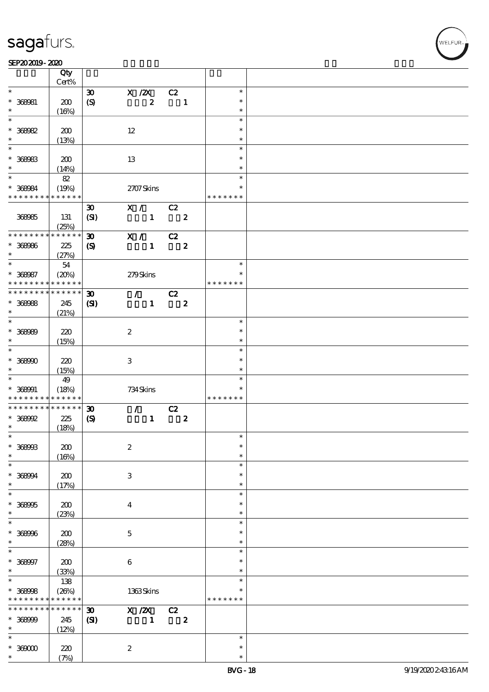$\top$ 

### $SEP202019 - 2020$

|                   | Qty<br>Cert%    |                             |                  |                |                  |               |  |
|-------------------|-----------------|-----------------------------|------------------|----------------|------------------|---------------|--|
| $\ast$            |                 | $\boldsymbol{\mathfrak{D}}$ |                  |                |                  | $\ast$        |  |
|                   |                 |                             | $X$ / $ZX$       | C2             |                  |               |  |
| * 368981          | 200             | (S)                         | $\boldsymbol{z}$ | $\blacksquare$ |                  | $\ast$        |  |
| $\ast$            | (16%)           |                             |                  |                |                  | $\ast$        |  |
| $\ast$            |                 |                             |                  |                |                  | $\ast$        |  |
| $* 36662$         | 200             |                             | $12\,$           |                |                  | $\ast$        |  |
|                   |                 |                             |                  |                |                  |               |  |
| $\ast$            | (13%)           |                             |                  |                |                  | $\ast$        |  |
| $\overline{\ast}$ |                 |                             |                  |                |                  | $\ast$        |  |
| $* 36963$         | 200             |                             | 13               |                |                  | $\ast$        |  |
| $\ast$            | (14%)           |                             |                  |                |                  | $\ast$        |  |
| $\ast$            |                 |                             |                  |                |                  |               |  |
|                   | $82\,$          |                             |                  |                |                  | $\ast$        |  |
| * 368984          | (19%)           |                             | 2707Skins        |                |                  | $\ast$        |  |
| * * * * * * * *   | * * * * * *     |                             |                  |                |                  | * * * * * * * |  |
|                   |                 | $\boldsymbol{\mathfrak{D}}$ | X /              | C2             |                  |               |  |
|                   |                 |                             |                  |                |                  |               |  |
| 368985            | 131             | (SI)                        | $\mathbf{1}$     |                | $\boldsymbol{2}$ |               |  |
|                   | (25%)           |                             |                  |                |                  |               |  |
| * * * * * * * *   | $******$        | $\boldsymbol{\mathfrak{D}}$ | X /              | C2             |                  |               |  |
| $* 36996$         | 225             | $\boldsymbol{\mathcal{S}}$  | $\mathbf{1}$     |                | $\boldsymbol{z}$ |               |  |
| $\ast$            |                 |                             |                  |                |                  |               |  |
|                   | (27%)           |                             |                  |                |                  |               |  |
| $\ast$            | 54              |                             |                  |                |                  | $\ast$        |  |
| $* 368087$        | (20%)           |                             | 279Skins         |                |                  | $\ast$        |  |
| * * * * * * * *   | * * * * * *     |                             |                  |                |                  | * * * * * * * |  |
| * * * * * * * *   | $* * * * * * *$ | $\boldsymbol{\mathfrak{D}}$ | $\mathcal{T}$    | C2             |                  |               |  |
|                   |                 |                             |                  |                |                  |               |  |
| $* 368088$        | 245             | (S)                         | $\mathbf{1}$     |                | $\boldsymbol{z}$ |               |  |
| $\ast$            | (21%)           |                             |                  |                |                  |               |  |
| $\ast$            |                 |                             |                  |                |                  | $\ast$        |  |
| $* 36999$         | 220             |                             | $\boldsymbol{2}$ |                |                  | $\ast$        |  |
|                   |                 |                             |                  |                |                  |               |  |
| $\ast$            | (15%)           |                             |                  |                |                  | $\ast$        |  |
| $\overline{\ast}$ |                 |                             |                  |                |                  | $\ast$        |  |
| $* 36990$         | 220             |                             | 3                |                |                  | $\ast$        |  |
| $\ast$            |                 |                             |                  |                |                  | $\ast$        |  |
| $\ast$            | (15%)           |                             |                  |                |                  |               |  |
|                   | 49              |                             |                  |                |                  | $\ast$        |  |
| $* 368001$        | (18%)           |                             | 734Skins         |                |                  | $\ast$        |  |
| * * * * * * * *   | * * * * * *     |                             |                  |                |                  | * * * * * * * |  |
| * * * * * * * *   | $******$        | $\boldsymbol{\mathfrak{D}}$ | $\mathcal{L}$    | C2             |                  |               |  |
| $*$ 368092        | 225             |                             | $\mathbf{1}$     |                | $\boldsymbol{2}$ |               |  |
|                   |                 | $\boldsymbol{\mathcal{S}}$  |                  |                |                  |               |  |
| $\ast$            | (18%)           |                             |                  |                |                  |               |  |
| $\ast$            |                 |                             |                  |                |                  | $\ast$        |  |
| $* 368903$        | 200             |                             | $\boldsymbol{2}$ |                |                  | $\ast$        |  |
| $\ast$            | (16%)           |                             |                  |                |                  | $\ast$        |  |
| $\ast$            |                 |                             |                  |                |                  | $\ast$        |  |
|                   |                 |                             |                  |                |                  |               |  |
| * 368994          | 200             |                             | $\,3$            |                |                  | $\ast$        |  |
| $\ast$            | (17%)           |                             |                  |                |                  | $\ast$        |  |
| $\ast$            |                 |                             |                  |                |                  | $\ast$        |  |
| $* 36895$         | 200             |                             | $\bf{4}$         |                |                  | $\ast$        |  |
| $\ast$            |                 |                             |                  |                |                  |               |  |
|                   | (23%)           |                             |                  |                |                  | $\ast$        |  |
| $\ast$            |                 |                             |                  |                |                  | $\ast$        |  |
| $* 368006$        | 200             |                             | $\mathbf 5$      |                |                  | $\ast$        |  |
| $\ast$            | (28%)           |                             |                  |                |                  | $\ast$        |  |
| $\ast$            |                 |                             |                  |                |                  | $\ast$        |  |
|                   |                 |                             |                  |                |                  |               |  |
| $* 368007$        | 200             |                             | $\,6\,$          |                |                  | $\ast$        |  |
| $\ast$            | (33%)           |                             |                  |                |                  | $\ast$        |  |
| $\overline{\ast}$ | 138             |                             |                  |                |                  | $\ast$        |  |
|                   |                 |                             |                  |                |                  | $\ast$        |  |
| $* 36998$         | (20%)           |                             | 1363Skins        |                |                  |               |  |
| * * * * * * * *   | * * * * * *     |                             |                  |                |                  | * * * * * * * |  |
| * * * * * * *     | * * * * * *     | $\boldsymbol{\mathfrak{D}}$ | X / ZX           | C2             |                  |               |  |
| $* 36800$         | 245             | (SI)                        | $\mathbf{1}$     |                | $\boldsymbol{z}$ |               |  |
| $\ast$            |                 |                             |                  |                |                  |               |  |
|                   | (12%)           |                             |                  |                |                  |               |  |
| $\ast$            |                 |                             |                  |                |                  | $\ast$        |  |
| $*36000$          | 220             |                             | $\boldsymbol{2}$ |                |                  | $\ast$        |  |
| $\ast$            | (7%)            |                             |                  |                |                  | $\ast$        |  |
|                   |                 |                             |                  |                |                  |               |  |

 $\overline{\mathbf{r}}$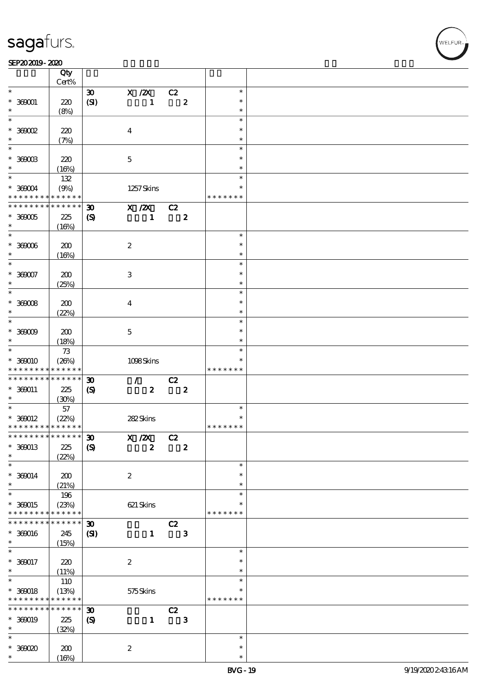### $SEP202019 - 2020$

|                                            | Qty<br>Cert%    |                             |                                                    |    |                  |               |  |
|--------------------------------------------|-----------------|-----------------------------|----------------------------------------------------|----|------------------|---------------|--|
| $\ast$                                     |                 |                             |                                                    |    |                  | $\ast$        |  |
|                                            |                 | $\boldsymbol{\mathfrak{D}}$ | X / ZX                                             | C2 |                  |               |  |
| $* 360001$                                 | 220             | (SI)                        | $\mathbf{1}$                                       |    | $\boldsymbol{2}$ | $\ast$        |  |
|                                            | (8%)            |                             |                                                    |    |                  | $\ast$        |  |
| $\ast$                                     |                 |                             |                                                    |    |                  | $\ast$        |  |
| $*36002$                                   | 220             |                             | $\overline{4}$                                     |    |                  | $\ast$        |  |
| $\ast$                                     | (7%)            |                             |                                                    |    |                  | $\ast$        |  |
| $\ast$                                     |                 |                             |                                                    |    |                  | $\ast$        |  |
|                                            |                 |                             |                                                    |    |                  | $\ast$        |  |
| $*$ 360003                                 | 220             |                             | $\mathbf 5$                                        |    |                  |               |  |
| $\ast$                                     | (16%)           |                             |                                                    |    |                  | $\ast$        |  |
| $\overline{\mathbf{r}}$                    | 132             |                             |                                                    |    |                  | $\ast$        |  |
| $*$ 369004                                 | (9%)            |                             | 1257Skins                                          |    |                  | $\ast$        |  |
| * * * * * * * *                            | * * * * * *     |                             |                                                    |    |                  | * * * * * * * |  |
| * * * * * * * *                            | $* * * * * * *$ | $\boldsymbol{\mathfrak{D}}$ | $X$ / $ZX$                                         | C2 |                  |               |  |
|                                            |                 |                             |                                                    |    |                  |               |  |
| $*$ 369005                                 | 225             | $\boldsymbol{\mathcal{S}}$  | $\mathbf{1}$                                       |    | $\boldsymbol{2}$ |               |  |
| $\ast$                                     | (16%)           |                             |                                                    |    |                  |               |  |
| $\ast$                                     |                 |                             |                                                    |    |                  | $\ast$        |  |
| $*$ 369006                                 | 200             |                             | $\boldsymbol{2}$                                   |    |                  | $\ast$        |  |
| $\ast$                                     | (16%)           |                             |                                                    |    |                  | $\ast$        |  |
| $\ast$                                     |                 |                             |                                                    |    |                  | $\ast$        |  |
| $* 36007$                                  | 200             |                             | $\,3$                                              |    |                  | $\ast$        |  |
| $\ast$                                     |                 |                             |                                                    |    |                  | $\ast$        |  |
| $\ast$                                     | (25%)           |                             |                                                    |    |                  |               |  |
|                                            |                 |                             |                                                    |    |                  | $\ast$        |  |
| $* 36008$                                  | 200             |                             | $\bf{4}$                                           |    |                  | $\ast$        |  |
| $\ast$                                     | (22%)           |                             |                                                    |    |                  | $\ast$        |  |
| $*$                                        |                 |                             |                                                    |    |                  | $\ast$        |  |
| $*$ 360009                                 | 200             |                             | $\mathbf 5$                                        |    |                  | ∗             |  |
| $\ast$                                     |                 |                             |                                                    |    |                  | ∗             |  |
| $\overline{\ast}$                          | (18%)           |                             |                                                    |    |                  |               |  |
|                                            | $73$            |                             |                                                    |    |                  | $\ast$        |  |
| $* 360010$                                 | (20%)           |                             | 1098Skins                                          |    |                  |               |  |
| * * * * * * * *                            | * * * * * *     |                             |                                                    |    |                  | * * * * * * * |  |
| * * * * * * * *                            | $* * * * * * *$ | $\boldsymbol{\mathfrak{D}}$ | $\mathcal{L}$                                      | C2 |                  |               |  |
| $* 360011$                                 | 225             | $\boldsymbol{\mathrm{(S)}}$ | $\boldsymbol{z}$                                   |    | $\boldsymbol{2}$ |               |  |
| $\ast$                                     | (30%)           |                             |                                                    |    |                  |               |  |
|                                            | 57              |                             |                                                    |    |                  | $\ast$        |  |
|                                            |                 |                             |                                                    |    |                  | $\ast$        |  |
| $* 360012$                                 | (22%)           |                             | 282Skins                                           |    |                  |               |  |
| * * * * * * * * <mark>* * * * * * *</mark> |                 |                             |                                                    |    |                  | * * * * * * * |  |
| ************** 30                          |                 |                             | $\begin{array}{c c}\nX & Z & C2 \\ 2\n\end{array}$ |    |                  |               |  |
| * 369013                                   | $225\,$         | $\boldsymbol{S}$            | $\boldsymbol{z}$                                   |    | $\boldsymbol{2}$ |               |  |
| $\ast$                                     | (22%)           |                             |                                                    |    |                  |               |  |
| $\ast$                                     |                 |                             |                                                    |    |                  | $\ast$        |  |
| $* 360014$                                 | 200             |                             | $\boldsymbol{2}$                                   |    |                  | $\ast$        |  |
| $\ast$                                     |                 |                             |                                                    |    |                  | $\ast$        |  |
| $\overline{\ast}$                          | (21%)           |                             |                                                    |    |                  |               |  |
|                                            | 196             |                             |                                                    |    |                  | $\ast$        |  |
| * 369015                                   | (23%)           |                             | $621$ Skins                                        |    |                  |               |  |
| * * * * * * * *                            | * * * * * *     |                             |                                                    |    |                  | * * * * * * * |  |
| * * * * * * *                              | * * * * * *     | $\boldsymbol{\mathfrak{D}}$ |                                                    | C2 |                  |               |  |
| $* 360016$                                 | 245             | $\mathbf{S}$                | $\mathbf{1}$                                       |    | $\mathbf{3}$     |               |  |
| $\ast$                                     | (15%)           |                             |                                                    |    |                  |               |  |
| $\ast$                                     |                 |                             |                                                    |    |                  | $\ast$        |  |
|                                            |                 |                             |                                                    |    |                  |               |  |
| $* 360017$                                 | 220             |                             | $\boldsymbol{2}$                                   |    |                  | $\ast$        |  |
| $\ast$                                     | (11%)           |                             |                                                    |    |                  | $\ast$        |  |
| $\overline{\ast}$                          | 110             |                             |                                                    |    |                  | $\ast$        |  |
| $* 360018$                                 | (13%)           |                             | 575Skins                                           |    |                  | $\ast$        |  |
| * * * * * * * *                            | * * * * * *     |                             |                                                    |    |                  | * * * * * * * |  |
| * * * * * * * *                            | * * * * * *     | $\boldsymbol{\mathfrak{D}}$ |                                                    | C2 |                  |               |  |
|                                            |                 |                             |                                                    |    |                  |               |  |
| * 360019                                   | 225             | $\boldsymbol{\mathrm{(S)}}$ | $\mathbf{1}$                                       |    | $\bf{3}$         |               |  |
| $\ast$                                     | (32%)           |                             |                                                    |    |                  |               |  |
| $\ast$                                     |                 |                             |                                                    |    |                  | $\ast$        |  |
| $*36000$                                   | 200             |                             | $\boldsymbol{2}$                                   |    |                  | $\ast$        |  |
| $\ast$                                     | (16%)           |                             |                                                    |    |                  | $\ast$        |  |
|                                            |                 |                             |                                                    |    |                  |               |  |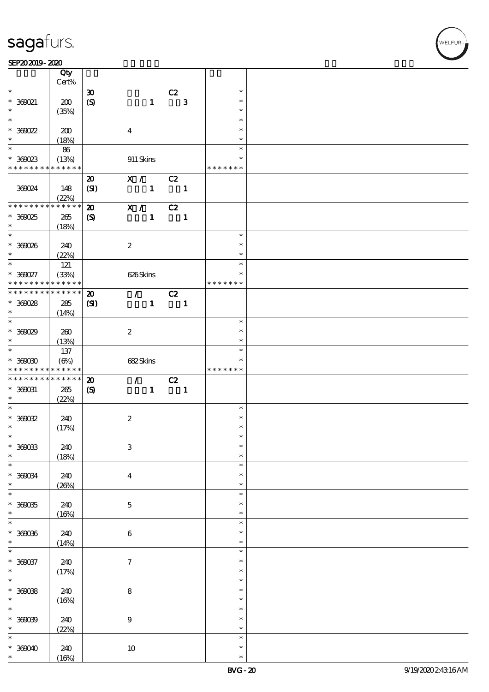$\overline{\mathsf{T}}$ 

#### $SEP202019 - 2020$

| $*36029$        | 260                                                                                                                    |                                                                                                                                                                                                              | $\boldsymbol{2}$                                                                                                                                                                                                                                              |                                      |                                                                                                                      |                |                                                                                          |                                                                                                                                                                                      |
|-----------------|------------------------------------------------------------------------------------------------------------------------|--------------------------------------------------------------------------------------------------------------------------------------------------------------------------------------------------------------|---------------------------------------------------------------------------------------------------------------------------------------------------------------------------------------------------------------------------------------------------------------|--------------------------------------|----------------------------------------------------------------------------------------------------------------------|----------------|------------------------------------------------------------------------------------------|--------------------------------------------------------------------------------------------------------------------------------------------------------------------------------------|
|                 | (13%)                                                                                                                  |                                                                                                                                                                                                              |                                                                                                                                                                                                                                                               |                                      |                                                                                                                      |                |                                                                                          | $\ast$                                                                                                                                                                               |
|                 |                                                                                                                        |                                                                                                                                                                                                              |                                                                                                                                                                                                                                                               |                                      |                                                                                                                      |                |                                                                                          |                                                                                                                                                                                      |
|                 |                                                                                                                        |                                                                                                                                                                                                              |                                                                                                                                                                                                                                                               |                                      |                                                                                                                      |                |                                                                                          |                                                                                                                                                                                      |
|                 | 137                                                                                                                    |                                                                                                                                                                                                              |                                                                                                                                                                                                                                                               |                                      |                                                                                                                      |                |                                                                                          | $\ast$                                                                                                                                                                               |
| $* 36000$       | $(\Theta\%)$                                                                                                           |                                                                                                                                                                                                              |                                                                                                                                                                                                                                                               | 682Skins                             |                                                                                                                      |                |                                                                                          |                                                                                                                                                                                      |
| * * * * * * * * | $* * * * * * *$                                                                                                        |                                                                                                                                                                                                              |                                                                                                                                                                                                                                                               |                                      |                                                                                                                      |                | * * * * *                                                                                |                                                                                                                                                                                      |
| * * * * * * * * | $******$                                                                                                               |                                                                                                                                                                                                              |                                                                                                                                                                                                                                                               |                                      |                                                                                                                      |                |                                                                                          |                                                                                                                                                                                      |
|                 |                                                                                                                        | $\boldsymbol{\mathbf{z}}$                                                                                                                                                                                    |                                                                                                                                                                                                                                                               | $\mathcal{T}$                        | C2                                                                                                                   |                |                                                                                          |                                                                                                                                                                                      |
| $* 360031$      | 265                                                                                                                    | $\boldsymbol{\mathrm{(S)}}$                                                                                                                                                                                  |                                                                                                                                                                                                                                                               | $\mathbf{1}$                         |                                                                                                                      | $\blacksquare$ |                                                                                          |                                                                                                                                                                                      |
|                 | (22%)                                                                                                                  |                                                                                                                                                                                                              |                                                                                                                                                                                                                                                               |                                      |                                                                                                                      |                |                                                                                          |                                                                                                                                                                                      |
|                 |                                                                                                                        |                                                                                                                                                                                                              |                                                                                                                                                                                                                                                               |                                      |                                                                                                                      |                |                                                                                          | $\ast$                                                                                                                                                                               |
| $* 36002$       | 240                                                                                                                    |                                                                                                                                                                                                              | $\boldsymbol{2}$                                                                                                                                                                                                                                              |                                      |                                                                                                                      |                |                                                                                          | $\ast$                                                                                                                                                                               |
|                 |                                                                                                                        |                                                                                                                                                                                                              |                                                                                                                                                                                                                                                               |                                      |                                                                                                                      |                |                                                                                          | $\ast$                                                                                                                                                                               |
|                 | (17%)                                                                                                                  |                                                                                                                                                                                                              |                                                                                                                                                                                                                                                               |                                      |                                                                                                                      |                |                                                                                          | $\ast$                                                                                                                                                                               |
|                 |                                                                                                                        |                                                                                                                                                                                                              |                                                                                                                                                                                                                                                               |                                      |                                                                                                                      |                |                                                                                          |                                                                                                                                                                                      |
| $* 36003$       | 240                                                                                                                    |                                                                                                                                                                                                              | $\,3$                                                                                                                                                                                                                                                         |                                      |                                                                                                                      |                |                                                                                          | $\ast$                                                                                                                                                                               |
|                 | (18%)                                                                                                                  |                                                                                                                                                                                                              |                                                                                                                                                                                                                                                               |                                      |                                                                                                                      |                |                                                                                          | $\ast$                                                                                                                                                                               |
|                 |                                                                                                                        |                                                                                                                                                                                                              |                                                                                                                                                                                                                                                               |                                      |                                                                                                                      |                |                                                                                          | $\ast$                                                                                                                                                                               |
|                 |                                                                                                                        |                                                                                                                                                                                                              |                                                                                                                                                                                                                                                               |                                      |                                                                                                                      |                |                                                                                          | $\ast$                                                                                                                                                                               |
| $* 360034$      | 240                                                                                                                    |                                                                                                                                                                                                              | $\boldsymbol{4}$                                                                                                                                                                                                                                              |                                      |                                                                                                                      |                |                                                                                          | $\ast$                                                                                                                                                                               |
|                 | (20%)                                                                                                                  |                                                                                                                                                                                                              |                                                                                                                                                                                                                                                               |                                      |                                                                                                                      |                |                                                                                          |                                                                                                                                                                                      |
|                 |                                                                                                                        |                                                                                                                                                                                                              |                                                                                                                                                                                                                                                               |                                      |                                                                                                                      |                |                                                                                          | $\ast$                                                                                                                                                                               |
| $* 36005$       | 240                                                                                                                    |                                                                                                                                                                                                              | $\mathbf 5$                                                                                                                                                                                                                                                   |                                      |                                                                                                                      |                | ∗                                                                                        |                                                                                                                                                                                      |
|                 | (16%)                                                                                                                  |                                                                                                                                                                                                              |                                                                                                                                                                                                                                                               |                                      |                                                                                                                      |                |                                                                                          | $\ast$                                                                                                                                                                               |
|                 |                                                                                                                        |                                                                                                                                                                                                              |                                                                                                                                                                                                                                                               |                                      |                                                                                                                      |                |                                                                                          | $\ast$                                                                                                                                                                               |
|                 |                                                                                                                        |                                                                                                                                                                                                              |                                                                                                                                                                                                                                                               |                                      |                                                                                                                      |                |                                                                                          |                                                                                                                                                                                      |
| $* 36006$       | 240                                                                                                                    |                                                                                                                                                                                                              | $\bf 6$                                                                                                                                                                                                                                                       |                                      |                                                                                                                      |                |                                                                                          | $\ast$                                                                                                                                                                               |
|                 | (14%)                                                                                                                  |                                                                                                                                                                                                              |                                                                                                                                                                                                                                                               |                                      |                                                                                                                      |                |                                                                                          | $\ast$                                                                                                                                                                               |
|                 |                                                                                                                        |                                                                                                                                                                                                              |                                                                                                                                                                                                                                                               |                                      |                                                                                                                      |                |                                                                                          | $\ast$                                                                                                                                                                               |
|                 |                                                                                                                        |                                                                                                                                                                                                              |                                                                                                                                                                                                                                                               |                                      |                                                                                                                      |                |                                                                                          | $\ast$                                                                                                                                                                               |
| $* 360037$      | 240                                                                                                                    |                                                                                                                                                                                                              | $\boldsymbol{\tau}$                                                                                                                                                                                                                                           |                                      |                                                                                                                      |                |                                                                                          | $\ast$                                                                                                                                                                               |
|                 | (17%)                                                                                                                  |                                                                                                                                                                                                              |                                                                                                                                                                                                                                                               |                                      |                                                                                                                      |                |                                                                                          |                                                                                                                                                                                      |
|                 |                                                                                                                        |                                                                                                                                                                                                              |                                                                                                                                                                                                                                                               |                                      |                                                                                                                      |                |                                                                                          | $\ast$                                                                                                                                                                               |
| $* 36008$       | 240                                                                                                                    |                                                                                                                                                                                                              | ${\bf 8}$                                                                                                                                                                                                                                                     |                                      |                                                                                                                      |                |                                                                                          | $\ast$                                                                                                                                                                               |
|                 | (16%)                                                                                                                  |                                                                                                                                                                                                              |                                                                                                                                                                                                                                                               |                                      |                                                                                                                      |                |                                                                                          | $\ast$                                                                                                                                                                               |
|                 |                                                                                                                        |                                                                                                                                                                                                              |                                                                                                                                                                                                                                                               |                                      |                                                                                                                      |                |                                                                                          | $\ast$                                                                                                                                                                               |
|                 |                                                                                                                        |                                                                                                                                                                                                              |                                                                                                                                                                                                                                                               |                                      |                                                                                                                      |                |                                                                                          |                                                                                                                                                                                      |
| $* 36009$       | 240                                                                                                                    |                                                                                                                                                                                                              | $\boldsymbol{9}$                                                                                                                                                                                                                                              |                                      |                                                                                                                      |                |                                                                                          | $\ast$                                                                                                                                                                               |
|                 | (22%)                                                                                                                  |                                                                                                                                                                                                              |                                                                                                                                                                                                                                                               |                                      |                                                                                                                      |                |                                                                                          | $\ast$                                                                                                                                                                               |
|                 |                                                                                                                        |                                                                                                                                                                                                              |                                                                                                                                                                                                                                                               |                                      |                                                                                                                      |                |                                                                                          | $\ast$                                                                                                                                                                               |
| * 360040        | 240                                                                                                                    |                                                                                                                                                                                                              | $10\,$                                                                                                                                                                                                                                                        |                                      |                                                                                                                      |                |                                                                                          | $\ast$                                                                                                                                                                               |
|                 | $*$ 369021<br>$*360022$<br>$* 360023$<br>360024<br>* * * * * * * *<br>$*36025$<br>* 360026<br>$* 360027$<br>$* 360028$ | Cert%<br>200<br>(35%)<br>200<br>(18%)<br>86<br>(13%)<br>* * * * * * * * <mark>*</mark><br>148<br>(22%)<br>265<br>(18%)<br>240<br>(22%)<br>121<br>(33%)<br>* * * * * * * *<br>* * * * * * * *<br>285<br>(14%) | Qty<br>$\boldsymbol{\mathfrak{D}}$<br>$\boldsymbol{S}$<br>* * * * * *<br>$\boldsymbol{\mathsf{20}}$<br>(SI)<br>* * * * * *<br>$\boldsymbol{\mathbf{z}}$<br>$\boldsymbol{\mathcal{S}}$<br>* * * * * *<br>$******$<br>$\boldsymbol{\mathbf{z}}$<br>$\mathbf{C}$ | $\boldsymbol{4}$<br>$\boldsymbol{2}$ | $\mathbf{1}$<br>911 Skins<br>X /<br>$\mathbf{1}$<br>X /<br>$\mathbf{1}$<br>626Skins<br>$\mathcal{F}$<br>$\mathbf{1}$ |                | C2<br>$\mathbf{3}$<br>C2<br>$\blacksquare$<br>C2<br>$\blacksquare$<br>C2<br>$\mathbf{1}$ | $\ast$<br>$\ast$<br>$\ast$<br>$\ast$<br>$\ast$<br>$\ast$<br>$\ast$<br>$\ast$<br>* * * * * * *<br>$\ast$<br>$\ast$<br>$\ast$<br>$\ast$<br>$\ast$<br>* * * * * * *<br>$\ast$<br>$\ast$ |

 $\top$ 

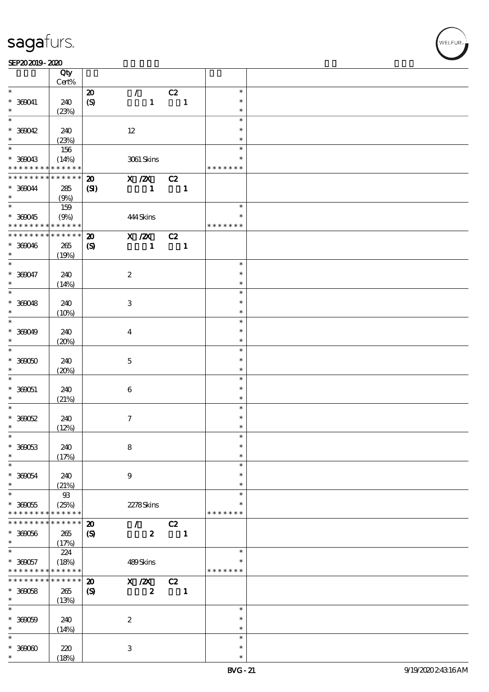### SEP202019-2020

|                                | Qty<br>Cert%               |                             |                         |                  |    |                |               |  |
|--------------------------------|----------------------------|-----------------------------|-------------------------|------------------|----|----------------|---------------|--|
| $\ast$                         |                            |                             |                         |                  |    |                | $\ast$        |  |
|                                |                            | $\boldsymbol{\mathbf{z}}$   |                         | $\mathcal{L}$    | C2 |                |               |  |
| $* 360041$                     | 240                        | $\boldsymbol{S}$            |                         | $\mathbf{1}$     |    | $\blacksquare$ | $\ast$        |  |
| $\ast$                         | (23%)                      |                             |                         |                  |    |                | $\ast$        |  |
| $\overline{\ast}$              |                            |                             |                         |                  |    |                | $\ast$        |  |
| $* 360042$                     | 240                        |                             | $12\,$                  |                  |    |                | $\ast$        |  |
| $\ast$                         | (23%)                      |                             |                         |                  |    |                | $\ast$        |  |
|                                | 156                        |                             |                         |                  |    |                | $\ast$        |  |
|                                |                            |                             |                         |                  |    |                | $\ast$        |  |
| * 360043<br>* * * * * * * *    | (14%)                      |                             |                         | 3061 Skins       |    |                |               |  |
|                                | * * * * * *                |                             |                         |                  |    |                | * * * * * * * |  |
| * * * * * * * *                | * * * * * *                | $\boldsymbol{\mathfrak{D}}$ |                         | $X$ / $ZX$       | C2 |                |               |  |
| * 369044                       | $285\,$                    | (S)                         |                         | $\mathbf{1}$     |    | $\blacksquare$ |               |  |
| $\ast$                         | (9%)                       |                             |                         |                  |    |                |               |  |
|                                | 159                        |                             |                         |                  |    |                | $\ast$        |  |
| $* 360045$                     | (9%)                       |                             |                         | 444Skins         |    |                | $\ast$        |  |
| * * * * * * * * <mark>*</mark> | $\ast\ast\ast\ast\ast\ast$ |                             |                         |                  |    |                | * * * * * * * |  |
| * * * * * * * *                | $******$                   | $\boldsymbol{\mathbf{z}}$   |                         | $X$ / $ZX$       | C2 |                |               |  |
|                                |                            |                             |                         |                  |    |                |               |  |
| * 369046                       | 265                        | $\boldsymbol{\mathcal{S}}$  |                         | $\mathbf{1}$     |    | $\blacksquare$ |               |  |
| $\ast$                         | (19%)                      |                             |                         |                  |    |                |               |  |
| $\ast$                         |                            |                             |                         |                  |    |                | $\ast$        |  |
| $* 360047$                     | 240                        |                             | $\boldsymbol{2}$        |                  |    |                | $\ast$        |  |
| $\ast$                         | (14%)                      |                             |                         |                  |    |                | $\ast$        |  |
| $\overline{\ast}$              |                            |                             |                         |                  |    |                | $\ast$        |  |
| $* 360048$                     | 240                        |                             | 3                       |                  |    |                | $\ast$        |  |
| $\ast$                         | (10%)                      |                             |                         |                  |    |                | $\ast$        |  |
| $\ast$                         |                            |                             |                         |                  |    |                | $\ast$        |  |
| * 360049                       | 240                        |                             |                         |                  |    |                | $\ast$        |  |
| $\ast$                         |                            |                             | $\overline{\mathbf{4}}$ |                  |    |                | $\ast$        |  |
| $\overline{\ast}$              | (20%)                      |                             |                         |                  |    |                |               |  |
|                                |                            |                             |                         |                  |    |                | $\ast$        |  |
| $* 36000$                      | 240                        |                             | $\mathbf{5}$            |                  |    |                | $\ast$        |  |
| $\ast$                         | (20%)                      |                             |                         |                  |    |                | $\ast$        |  |
| $\ast$                         |                            |                             |                         |                  |    |                | $\ast$        |  |
| $* 360051$                     | 240                        |                             | $\bf 6$                 |                  |    |                | $\ast$        |  |
| $\ast$                         | (21%)                      |                             |                         |                  |    |                | $\ast$        |  |
| $\ast$                         |                            |                             |                         |                  |    |                | $\ast$        |  |
| $* 360052$                     | 240                        |                             | $\tau$                  |                  |    |                | $\ast$        |  |
| $\ast$                         | (12%)                      |                             |                         |                  |    |                | $\ast$        |  |
| $\ast$                         |                            |                             |                         |                  |    |                | $\ast$        |  |
| $* 360053$                     |                            |                             | 8                       |                  |    |                | $\ast$        |  |
|                                | 240                        |                             |                         |                  |    |                |               |  |
| $\ast$                         | (17%)                      |                             |                         |                  |    |                | $\ast$        |  |
| $\ast$                         |                            |                             |                         |                  |    |                | $\ast$        |  |
| $* 360054$                     | 240                        |                             | 9                       |                  |    |                | $\ast$        |  |
| $\ast$                         | (21%)                      |                             |                         |                  |    |                | $\ast$        |  |
| $\ast$                         | $93$                       |                             |                         |                  |    |                | $\ast$        |  |
| $* 360055$                     | (25%)                      |                             |                         | 2278Skins        |    |                |               |  |
| * * * * * * * *                | * * * * * *                |                             |                         |                  |    |                | * * * * * * * |  |
| * * * * * * * *                | $* * * * * * *$            | $\boldsymbol{\mathbf{z}}$   |                         | $\mathcal{L}$    | C2 |                |               |  |
| $* 360056$                     | 265                        | $\boldsymbol{S}$            |                         | $\boldsymbol{z}$ |    | $\blacksquare$ |               |  |
| $\ast$                         |                            |                             |                         |                  |    |                |               |  |
| $\ast$                         | (17%)                      |                             |                         |                  |    |                | $\ast$        |  |
|                                | 224                        |                             |                         |                  |    |                |               |  |
| $* 360057$                     | (18%)                      |                             |                         | 489Skins         |    |                | $\ast$        |  |
| * * * * * * * *                | * * * * * *                |                             |                         |                  |    |                | * * * * * * * |  |
| * * * * * * * *                | $* * * * * * *$            | $\boldsymbol{\mathfrak{D}}$ |                         | $X$ / $ZX$       | C2 |                |               |  |
| $* 360058$                     | 265                        | $\boldsymbol{\mathsf{(S)}}$ |                         | $\boldsymbol{z}$ |    | $\blacksquare$ |               |  |
| $\ast$                         | (13%)                      |                             |                         |                  |    |                |               |  |
| $\ast$                         |                            |                             |                         |                  |    |                | $\ast$        |  |
| $* 36000$                      | 240                        |                             | $\boldsymbol{2}$        |                  |    |                | $\ast$        |  |
| $\ast$                         | (14%)                      |                             |                         |                  |    |                | $\ast$        |  |
| $\ast$                         |                            |                             |                         |                  |    |                | $\ast$        |  |
| $* 36000$                      | 220                        |                             | 3                       |                  |    |                | $\ast$        |  |
| $\ast$                         | (18%)                      |                             |                         |                  |    |                | $\ast$        |  |
|                                |                            |                             |                         |                  |    |                |               |  |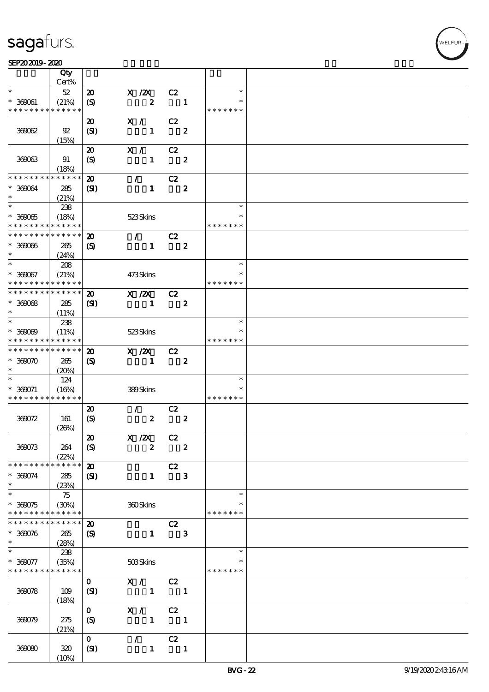$\top$ 

#### $SEP202019 - 2020$

|                               | Qty<br>Cert%         |                             |                  |                         |                  |               |  |
|-------------------------------|----------------------|-----------------------------|------------------|-------------------------|------------------|---------------|--|
| $\ast$                        |                      |                             |                  |                         |                  | $\ast$        |  |
|                               | $52\,$               | $\boldsymbol{\mathbf{z}}$   | $X$ / $ZX$       | C2                      |                  | $\ast$        |  |
| $* 360001$<br>* * * * * * * * | (21%)<br>* * * * * * | $\boldsymbol{\mathrm{(S)}}$ | $\boldsymbol{z}$ |                         | $\blacksquare$   | * * * * * * * |  |
|                               |                      |                             |                  |                         |                  |               |  |
|                               |                      | $\boldsymbol{\mathfrak{D}}$ | $X / \sqrt{2}$   | C2                      |                  |               |  |
| 36062                         | 92                   | (SI)                        | $\mathbf{1}$     |                         | $\boldsymbol{z}$ |               |  |
|                               | (15%)                |                             |                  |                         |                  |               |  |
|                               |                      | $\boldsymbol{\mathbf{z}}$   | X /              | C2                      |                  |               |  |
| 360063                        | 91                   | $\boldsymbol{\mathrm{(S)}}$ | $\mathbf{1}$     |                         | $\boldsymbol{z}$ |               |  |
|                               | (18%)                |                             |                  |                         |                  |               |  |
| * * * * * * * *               | * * * * * *          | $\boldsymbol{\mathfrak{D}}$ | $\mathcal{L}$    | C2                      |                  |               |  |
| * 369064                      | 285                  | $\mathbf{C}$                | $\mathbf{1}$     |                         | $\boldsymbol{z}$ |               |  |
| $\ast$                        | (21%)                |                             |                  |                         |                  |               |  |
| $\overline{\ast}$             | 238                  |                             |                  |                         |                  | $\ast$        |  |
| $* 36005$                     | (18%)                |                             | 523Skins         |                         |                  | $\ast$        |  |
| * * * * * * * *               | $* * * * * * *$      |                             |                  |                         |                  | * * * * * * * |  |
| * * * * * * * *               | * * * * * *          | $\boldsymbol{\mathbf{z}}$   | $\mathcal{L}$    | C2                      |                  |               |  |
| $* 36006$                     | 265                  | $\boldsymbol{\mathcal{S}}$  | $\mathbf{1}$     |                         | $\boldsymbol{z}$ |               |  |
| $\ast$                        | (24%)                |                             |                  |                         |                  |               |  |
| $\ast$                        | 208                  |                             |                  |                         |                  | $\ast$        |  |
| $* 360067$                    | (21%)                |                             | 473Skins         |                         |                  | $\ast$        |  |
| * * * * * * * *               | * * * * * *          |                             |                  |                         |                  | * * * * * * * |  |
| * * * * * * * *               | * * * * * *          |                             |                  |                         |                  |               |  |
|                               |                      | $\boldsymbol{\mathbf{z}}$   | $X$ / $ZX$       | C2                      |                  |               |  |
| $* 36008$                     | 285                  | $\mathbf{C}$                | $\mathbf{1}$     |                         | $\boldsymbol{z}$ |               |  |
| $\ast$                        | (11%)                |                             |                  |                         |                  |               |  |
| $\ast$                        | 238                  |                             |                  |                         |                  | $\ast$        |  |
| $* 36009$                     | (11%)                |                             | 523Skins         |                         |                  |               |  |
| * * * * * * * *               | * * * * * *          |                             |                  |                         |                  | * * * * * * * |  |
| * * * * * * * *               | * * * * * *          | $\boldsymbol{\mathfrak{D}}$ | $X$ / $ZX$       | C2                      |                  |               |  |
| $* 36000$                     | 265                  | $\boldsymbol{S}$            | $\mathbf{1}$     |                         | $\boldsymbol{z}$ |               |  |
| $\ast$                        | (20%)                |                             |                  |                         |                  |               |  |
| $\ast$                        | 124                  |                             |                  |                         |                  | $\ast$        |  |
| $* 360071$                    | (16%)                |                             | 389Skins         |                         |                  | $\ast$        |  |
| * * * * * * * *               | * * * * * *          |                             |                  |                         |                  | * * * * * * * |  |
|                               |                      | $\boldsymbol{\mathbf{z}}$   | $\mathcal{F}$    | C2                      |                  |               |  |
| 36072                         | 161                  | $\boldsymbol{S}$            | $\boldsymbol{z}$ |                         | $\boldsymbol{z}$ |               |  |
|                               | (20%)                |                             |                  |                         |                  |               |  |
|                               |                      | $\pmb{\mathcal{Z}}$         | $X \, /ZX$       | C2                      |                  |               |  |
| 36073                         | 264                  | (S)                         | $\boldsymbol{z}$ | $\overline{\mathbf{z}}$ |                  |               |  |
|                               | (22%)                |                             |                  |                         |                  |               |  |
| * * * * * * * *               | * * * * * *          | $\boldsymbol{\mathbf{z}}$   |                  | C2                      |                  |               |  |
| * 369074                      | 285                  | $\mathbf{C}$                | $\mathbf{1}$     |                         | $\mathbf{3}$     |               |  |
| $\ast$                        | (23%)                |                             |                  |                         |                  |               |  |
| $\ast$                        | 75                   |                             |                  |                         |                  | $\ast$        |  |
| $* 360075$                    | (30%)                |                             |                  |                         |                  |               |  |
| * * * * * * * *               | * * * * * *          |                             | 360Skins         |                         |                  | * * * * * * * |  |
| * * * * * * * *               | * * * * * *          |                             |                  |                         |                  |               |  |
|                               |                      | $\boldsymbol{\mathbf{z}}$   |                  | C2                      |                  |               |  |
| $* 360076$                    | 265                  | $\boldsymbol{S}$            | $\mathbf{1}$     |                         | $\mathbf{3}$     |               |  |
| $\ast$                        | (28%)                |                             |                  |                         |                  | $\ast$        |  |
| $\ast$                        | 238                  |                             |                  |                         |                  |               |  |
| $* 360077$                    | (35%)                |                             | 503Skins         |                         |                  | *             |  |
| * * * * * * * *               | * * * * * *          |                             |                  |                         |                  | * * * * * * * |  |
|                               |                      | $\mathbf{O}$                | X /              | C2                      |                  |               |  |
| 36078                         | 109                  | (SI)                        | $\blacksquare$   | $\blacksquare$          |                  |               |  |
|                               | (18%)                |                             |                  |                         |                  |               |  |
|                               |                      | $\mathbf{O}$                | X /              | C2                      |                  |               |  |
| 36079                         | 275                  | (S)                         | $\mathbf{1}$     | $\blacksquare$          |                  |               |  |
|                               | (21%)                |                             |                  |                         |                  |               |  |
|                               |                      | $\mathbf{O}$                | $\mathcal{L}$    | C2                      |                  |               |  |
| 36080                         | 320                  | (SI)                        | $\mathbf{1}$     |                         | $\mathbf{1}$     |               |  |
|                               | (10%)                |                             |                  |                         |                  |               |  |

 $\overline{\mathbf{r}}$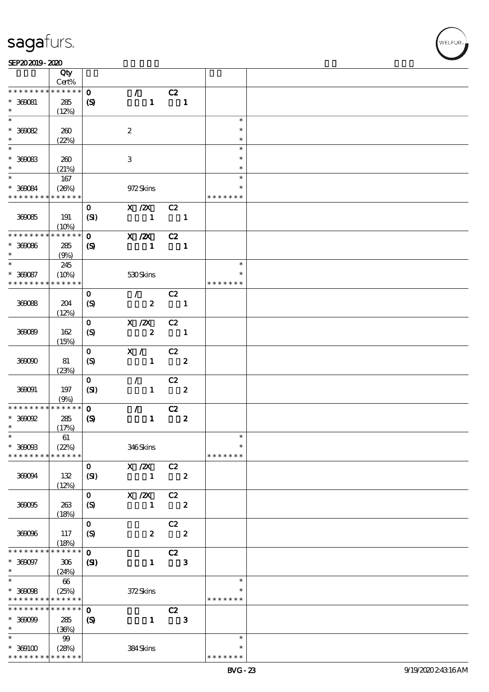### $SEP202019 - 2020$

|                             | Qty          |                            |                                 |                            |                  |               |  |
|-----------------------------|--------------|----------------------------|---------------------------------|----------------------------|------------------|---------------|--|
|                             | Cert%        |                            |                                 |                            |                  |               |  |
| * * * * * * * *             | * * * * * *  | $\mathbf{O}$               | $\mathcal{T} = \mathcal{I}$     | C2                         |                  |               |  |
| $* 360081$<br>$\ast$        | 285          | $\boldsymbol{S}$           | $\mathbf{1}$                    | $\overline{\phantom{0}}$ 1 |                  |               |  |
| $\ast$                      | (12%)        |                            |                                 |                            |                  | $\ast$        |  |
|                             |              |                            |                                 |                            |                  | $\ast$        |  |
| $*36062$<br>$\ast$          | 260          |                            | $\boldsymbol{2}$                |                            |                  | $\ast$        |  |
|                             | (22%)        |                            |                                 |                            |                  | $\ast$        |  |
|                             |              |                            |                                 |                            |                  | ∗             |  |
| $* 36003$<br>$\ast$         | 260          |                            | 3                               |                            |                  | $\ast$        |  |
| $\ast$                      | (21%)        |                            |                                 |                            |                  | $\ast$        |  |
| $* 360034$                  | 167<br>(20%) |                            | 972Skins                        |                            |                  |               |  |
| * * * * * * * * * * * * * * |              |                            |                                 |                            |                  | * * * * * * * |  |
|                             |              | $\mathbf{O}$               | $X$ / $ZX$                      | C2                         |                  |               |  |
| 369085                      | 191          |                            | $\sim$ 1                        | $\overline{\phantom{a}}$ 1 |                  |               |  |
|                             | (10%)        | (SI)                       |                                 |                            |                  |               |  |
| * * * * * * * *             | $*******$    | $\mathbf{O}$               | $X$ / $ZX$                      | C2                         |                  |               |  |
| $* 36006$                   | 285          | $\boldsymbol{\mathcal{S}}$ | $\blacksquare$                  | $\blacksquare$             |                  |               |  |
| $\ast$                      | (9%)         |                            |                                 |                            |                  |               |  |
| $\ast$                      | 245          |                            |                                 |                            |                  | $\ast$        |  |
| $* 360087$                  | (10%)        |                            | 530Skins                        |                            |                  |               |  |
| * * * * * * * *             | * * * * * *  |                            |                                 |                            |                  | * * * * * * * |  |
|                             |              | $\mathbf{O}$               | $\mathcal{L}$                   | C2                         |                  |               |  |
| 36088                       | 204          | $\boldsymbol{S}$           | $\boldsymbol{z}$                | $\blacksquare$             |                  |               |  |
|                             | (12%)        |                            |                                 |                            |                  |               |  |
|                             |              | $\mathbf{O}$               | X / ZX                          | C2                         |                  |               |  |
| 36089                       | 162          | $\boldsymbol{S}$           | $\overline{\mathbf{2}}$         | $\overline{\phantom{a}}$   |                  |               |  |
|                             | (15%)        |                            |                                 |                            |                  |               |  |
|                             |              | $\mathbf{O}$               | $\overline{X}$ / C <sub>2</sub> |                            |                  |               |  |
| 36000                       | 81           | $\boldsymbol{S}$           |                                 | $1 \t 2$                   |                  |               |  |
|                             | (23%)        |                            |                                 |                            |                  |               |  |
|                             |              | $\mathbf{O}$               | $\mathcal{L}$ and $\mathcal{L}$ | C2                         |                  |               |  |
| 360091                      | 197          | (SI)                       |                                 | $1 \t 2$                   |                  |               |  |
|                             | (9%)         |                            |                                 |                            |                  |               |  |
| * * * * * * * *             | $******$     | $\mathbf{o}$               | $\mathcal{T}^{\mathcal{A}}$     | C2                         |                  |               |  |
| $*36002$                    | 285          | $\boldsymbol{\mathcal{S}}$ | $\mathbf{1}$                    | $\overline{\mathbf{z}}$    |                  |               |  |
| $\ast$                      | (17%)        |                            |                                 |                            |                  |               |  |
| $*$                         | 61           |                            |                                 |                            |                  | $\ast$        |  |
| $* 3600B$                   | (22%)        |                            | 346Skins                        |                            |                  | $\ast$        |  |
| * * * * * * * *             | * * * * * *  |                            |                                 |                            |                  | * * * * * * * |  |
|                             |              | $\mathbf{O}$               | $X$ / $ZX$                      | C2                         |                  |               |  |
| 36004                       | 132          | (SI)                       | $\mathbf{1}$                    | $\overline{\mathbf{2}}$    |                  |               |  |
|                             | (12%)        |                            |                                 |                            |                  |               |  |
|                             |              | $\mathbf{O}$               | $X$ / $ZX$                      | C2                         |                  |               |  |
| 36005                       | 263          | $\boldsymbol{S}$           | $\mathbf{1}$                    | $\overline{\mathbf{2}}$    |                  |               |  |
|                             | (18%)        | $\mathbf{O}$               |                                 |                            |                  |               |  |
| 36006                       | 117          |                            | $\boldsymbol{z}$                | C2                         | $\boldsymbol{z}$ |               |  |
|                             | (18%)        | $\boldsymbol{S}$           |                                 |                            |                  |               |  |
| * * * * * *                 | * * * * *    | $\mathbf{o}$               |                                 | C2                         |                  |               |  |
| $* 360007$                  | 306          | $\mathbf{C}$               | $\mathbf{1}$                    |                            | $\mathbf{3}$     |               |  |
| $\ast$                      | (24%)        |                            |                                 |                            |                  |               |  |
| $\ast$                      | 66           |                            |                                 |                            |                  | $\ast$        |  |
| $* 36008$                   | (25%)        |                            | 372Skins                        |                            |                  |               |  |
| * * * * * * * *             | * * * * * *  |                            |                                 |                            |                  | * * * * * * * |  |
| * * * * * * * *             | * * * * * *  | $\mathbf 0$                |                                 | C2                         |                  |               |  |
| $* 36009$                   | 285          | $\boldsymbol{S}$           | $\mathbf{1}$                    |                            | $\mathbf{3}$     |               |  |
| $\ast$                      | (36%)        |                            |                                 |                            |                  |               |  |
| $\ast$                      | $99$         |                            |                                 |                            |                  | $\ast$        |  |
| $* 369100$                  | (28%)        |                            | 384Skins                        |                            |                  | ∗             |  |
| * * * * * * * *             | * * * * * *  |                            |                                 |                            |                  | * * * * * * * |  |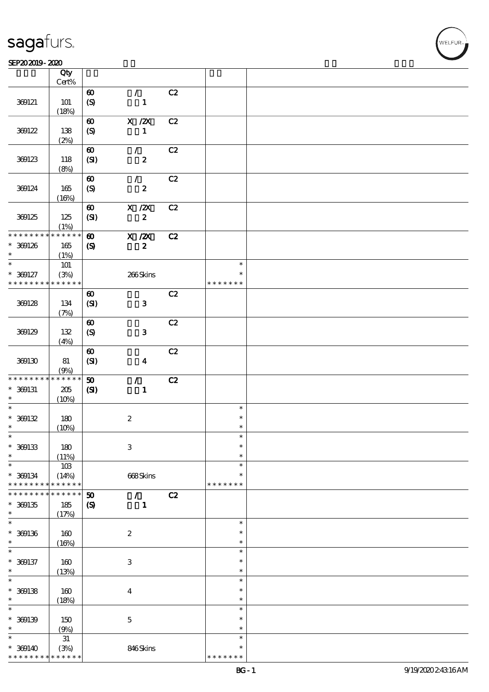### $SEP202019 - 2020$

|                 | Qty         |                             |                            |    |               |  |
|-----------------|-------------|-----------------------------|----------------------------|----|---------------|--|
|                 | $Cert\%$    |                             |                            |    |               |  |
|                 |             | $\boldsymbol{\omega}$       | $\mathcal{L}$              | C2 |               |  |
| 369121          | 101         | $\boldsymbol{S}$            | $\mathbf{1}$               |    |               |  |
|                 | (18%)       |                             |                            |    |               |  |
|                 |             | $\boldsymbol{\omega}$       | $X$ / $ZX$                 | C2 |               |  |
| 369122          | 138         | $\boldsymbol{S}$            | $\mathbf{1}$               |    |               |  |
|                 |             |                             |                            |    |               |  |
|                 | (2%)        |                             |                            |    |               |  |
|                 |             | $\boldsymbol{\omega}$       | $\mathcal{F}$              | C2 |               |  |
| 369123          | 118         | (SI)                        | $\boldsymbol{2}$           |    |               |  |
|                 | (8%)        |                             |                            |    |               |  |
|                 |             | $\boldsymbol{\omega}$       | $\mathcal{L}$              | C2 |               |  |
|                 |             |                             |                            |    |               |  |
| 369124          | 165         | $\boldsymbol{\mathrm{(S)}}$ | $\pmb{2}$                  |    |               |  |
|                 | (16%)       |                             |                            |    |               |  |
|                 |             | $\boldsymbol{\omega}$       | $X$ / $ZX$                 | C2 |               |  |
| 369125          | 125         | (SI)                        | $\boldsymbol{z}$           |    |               |  |
|                 | (1%)        |                             |                            |    |               |  |
| * * * * * * * * | * * * * * * |                             |                            |    |               |  |
|                 |             | $\pmb{\infty}$              | X / ZX                     | C2 |               |  |
| $* 369126$      | 165         | $\boldsymbol{\mathrm{(S)}}$ | $\boldsymbol{z}$           |    |               |  |
| $\ast$          | (1%)        |                             |                            |    |               |  |
| $*$             | 101         |                             |                            |    | $\ast$        |  |
| $* 369127$      | (3%)        |                             | 266Skins                   |    | $\ast$        |  |
| * * * * * * * * | * * * * * * |                             |                            |    | * * * * * * * |  |
|                 |             |                             |                            |    |               |  |
|                 |             | $\boldsymbol{\omega}$       |                            | C2 |               |  |
| 369128          | 134         | (SI)                        | $\mathbf{3}$               |    |               |  |
|                 | (7%)        |                             |                            |    |               |  |
|                 |             | $\boldsymbol{\omega}$       |                            | C2 |               |  |
| 369129          | 132         |                             |                            |    |               |  |
|                 |             | $\boldsymbol{\mathrm{(S)}}$ | $\mathbf{3}$               |    |               |  |
|                 | (4%)        |                             |                            |    |               |  |
|                 |             | $\boldsymbol{\omega}$       |                            | C2 |               |  |
| 369130          | 81          | (SI)                        | $\boldsymbol{4}$           |    |               |  |
|                 | (9%)        |                             |                            |    |               |  |
| * * * * * * * * | * * * * * * | $\boldsymbol{\mathfrak{D}}$ | $\mathcal{F}^{\mathbb{R}}$ | C2 |               |  |
|                 |             |                             |                            |    |               |  |
| $* 369131$      | 205         | $\mathbf{C}$                | $\mathbf{1}$               |    |               |  |
| $\ast$          | (10%)       |                             |                            |    |               |  |
| $\ast$          |             |                             |                            |    | $\ast$        |  |
| $* 300132$      | 180         |                             | $\boldsymbol{2}$           |    | $\ast$        |  |
| $\ast$          | (10%)       |                             |                            |    | $\ast$        |  |
| $\ast$          |             |                             |                            |    | $\ast$        |  |
| $* 309133$      |             |                             | $\,3$                      |    | $\ast$        |  |
|                 | 180         |                             |                            |    |               |  |
| $\ast$          | (11%)       |                             |                            |    | $\ast$        |  |
| $\ast$          | 10B         |                             |                            |    | $\ast$        |  |
| $* 369134$      | (14%)       |                             | 668Skins                   |    | $\ast$        |  |
| * * * * * * * * | * * * * * * |                             |                            |    | * * * * * * * |  |
| * * * * * * * * | * * * * * * | 50                          | $\mathcal{L}$              | C2 |               |  |
| $* 369135$      |             |                             |                            |    |               |  |
|                 | 185         | $\pmb{\infty}$              | $\mathbf{1}$               |    |               |  |
| $\ast$          | (17%)       |                             |                            |    |               |  |
| $\ast$          |             |                             |                            |    | $\ast$        |  |
| $* 309136$      | 160         |                             | $\boldsymbol{2}$           |    | $\ast$        |  |
| $\ast$          | (16%)       |                             |                            |    | $\ast$        |  |
| $\ast$          |             |                             |                            |    | $\ast$        |  |
|                 |             |                             |                            |    | $\ast$        |  |
| $* 369137$      | 160         |                             | $\,3$                      |    |               |  |
| $\ast$          | (13%)       |                             |                            |    | $\ast$        |  |
| $\ast$          |             |                             |                            |    | $\ast$        |  |
| $* 369138$      | 160         |                             | $\boldsymbol{4}$           |    | $\ast$        |  |
| $\ast$          | (18%)       |                             |                            |    | $\ast$        |  |
| $\ast$          |             |                             |                            |    | $\ast$        |  |
|                 |             |                             |                            |    |               |  |
| $* 369139$      | 150         |                             | $\mathbf 5$                |    | $\ast$        |  |
| $\ast$          | (9%)        |                             |                            |    | $\ast$        |  |
| $\ast$          | $3\!1$      |                             |                            |    | $\ast$        |  |
| $* 369140$      | (3%)        |                             | 846Skins                   |    | $\ast$        |  |
| * * * * * * * * | * * * * * * |                             |                            |    | * * * * * * * |  |
|                 |             |                             |                            |    |               |  |

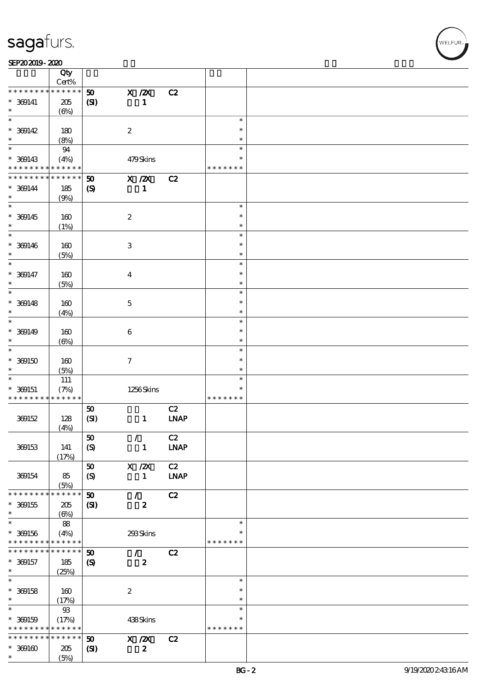### SEP202019-2020

|                                    | Qty<br>Cert%    |                             |                     |                  |             |               |  |
|------------------------------------|-----------------|-----------------------------|---------------------|------------------|-------------|---------------|--|
| * * * * * * *                      | * * * * * *     |                             |                     |                  |             |               |  |
|                                    |                 | $\pmb{\mathfrak{D}}$        |                     | $X$ / $ZX$       | C2          |               |  |
| $* 369141$                         | 205             | (S)                         |                     | $\mathbf{1}$     |             |               |  |
|                                    | $(\Theta)$      |                             |                     |                  |             |               |  |
| $\ast$                             |                 |                             |                     |                  |             | $\ast$        |  |
| $* 369142$                         | 180             |                             | $\boldsymbol{2}$    |                  |             | $\ast$        |  |
| $\ast$                             | (8%)            |                             |                     |                  |             | $\ast$        |  |
| $\overline{\ast}$                  | 94              |                             |                     |                  |             | $\ast$        |  |
| $* 369143$                         | (4%)            |                             |                     | 479Skins         |             | *             |  |
| * * * * * * * *                    | * * * * * *     |                             |                     |                  |             | * * * * * * * |  |
| * * * * * * * *                    | * * * * * *     | 50                          |                     | $X$ / $ZX$       | C2          |               |  |
|                                    |                 |                             |                     |                  |             |               |  |
| $* 369144$                         | 185             | $\boldsymbol{\mathrm{(S)}}$ |                     | $\mathbf{1}$     |             |               |  |
| $\ast$<br>$\overline{\phantom{0}}$ | (9%)            |                             |                     |                  |             |               |  |
|                                    |                 |                             |                     |                  |             | $\ast$        |  |
| $* 369145$                         | 160             |                             | $\boldsymbol{2}$    |                  |             | $\ast$        |  |
| $\ast$                             | (1%)            |                             |                     |                  |             | $\ast$        |  |
| $\overline{\phantom{0}}$           |                 |                             |                     |                  |             | $\ast$        |  |
| $* 369146$                         | 160             |                             | $\,3\,$             |                  |             | $\ast$        |  |
| $\ast$                             | (5%)            |                             |                     |                  |             | $\ast$        |  |
| $\ast$                             |                 |                             |                     |                  |             | $\ast$        |  |
| $* 369147$                         | 160             |                             | $\boldsymbol{4}$    |                  |             | $\ast$        |  |
| $\ast$                             |                 |                             |                     |                  |             | $\ast$        |  |
| $\overline{\ast}$                  | (5%)            |                             |                     |                  |             | $\ast$        |  |
|                                    |                 |                             |                     |                  |             |               |  |
| $* 369148$                         | 160             |                             | $\mathbf 5$         |                  |             | $\ast$        |  |
| $\ast$                             | (4%)            |                             |                     |                  |             | $\ast$        |  |
| $\ast$                             |                 |                             |                     |                  |             | $\ast$        |  |
| $* 369149$                         | 160             |                             | 6                   |                  |             | $\ast$        |  |
| $\ast$                             | $(\Theta)$      |                             |                     |                  |             | $\ast$        |  |
| $\ast$                             |                 |                             |                     |                  |             | $\ast$        |  |
| $* 369150$                         | 160             |                             | $\boldsymbol{\tau}$ |                  |             | $\ast$        |  |
| $\ast$                             | (5%)            |                             |                     |                  |             | $\ast$        |  |
| $\ast$                             |                 |                             |                     |                  |             | $\ast$        |  |
|                                    | 111             |                             |                     |                  |             | $\ast$        |  |
| $* 369151$                         | (7%)            |                             |                     | 1256Skins        |             |               |  |
| * * * * * * * *                    | * * * * * *     |                             |                     |                  |             | * * * * * * * |  |
|                                    |                 | ${\bf 50}$                  |                     |                  | C2          |               |  |
| 369152                             | 128             | (SI)                        |                     | $\mathbf{1}$     | <b>LNAP</b> |               |  |
|                                    | (4%)            |                             |                     |                  |             |               |  |
|                                    |                 | $\pmb{\mathfrak{W}}$        | $\mathcal{L}$       |                  | C2          |               |  |
| 369153                             | 141             | (S)                         |                     | $\mathbf{1}$     | <b>LNAP</b> |               |  |
|                                    | (17%)           |                             |                     |                  |             |               |  |
|                                    |                 | $\pmb{\mathfrak{D}}$        |                     | $X$ / $ZX$       | C2          |               |  |
| 369154                             | 85              | $\boldsymbol{S}$            |                     | $\mathbf{1}$     | <b>LNAP</b> |               |  |
|                                    | (5%)            |                             |                     |                  |             |               |  |
| * * * * * * * *                    | * * * * * *     |                             |                     |                  |             |               |  |
|                                    |                 | 50                          |                     | $\mathcal{L}$    | C2          |               |  |
| $* 369155$                         | 205             | (S)                         |                     | $\boldsymbol{z}$ |             |               |  |
| $\ast$                             | $(\Theta)$      |                             |                     |                  |             |               |  |
| $\ast$                             | 88              |                             |                     |                  |             | $\ast$        |  |
| $* 369156$                         | (4%)            |                             |                     | 293Skins         |             |               |  |
| * * * * * * * * <mark>*</mark>     | * * * * * *     |                             |                     |                  |             | * * * * * * * |  |
| * * * * * * * *                    | * * * * * *     | $\boldsymbol{\mathfrak{D}}$ |                     | $\mathcal{L}$    | C2          |               |  |
| $* 369157$                         | 185             | $\boldsymbol{\mathcal{S}}$  |                     | $\boldsymbol{z}$ |             |               |  |
| $\ast$                             | (25%)           |                             |                     |                  |             |               |  |
| $\overline{\ast}$                  |                 |                             |                     |                  |             | $\ast$        |  |
| $* 369158$                         | 160             |                             | $\boldsymbol{z}$    |                  |             | $\ast$        |  |
| $\ast$                             |                 |                             |                     |                  |             | $\ast$        |  |
| $\ast$                             | (17%)           |                             |                     |                  |             | $\ast$        |  |
|                                    | $93\,$          |                             |                     |                  |             |               |  |
| $* 309159$                         | (17%)           |                             |                     | 438Skins         |             | $\ast$        |  |
| * * * * * * * *                    | * * * * * *     |                             |                     |                  |             | * * * * * * * |  |
| * * * * * * * *                    | $* * * * * * *$ | 50                          |                     | $X$ / $ZX$       | C2          |               |  |
| $* 300160$                         | 205             | $\mathbf{C}$                |                     | $\boldsymbol{z}$ |             |               |  |
| $\ast$                             | (5%)            |                             |                     |                  |             |               |  |

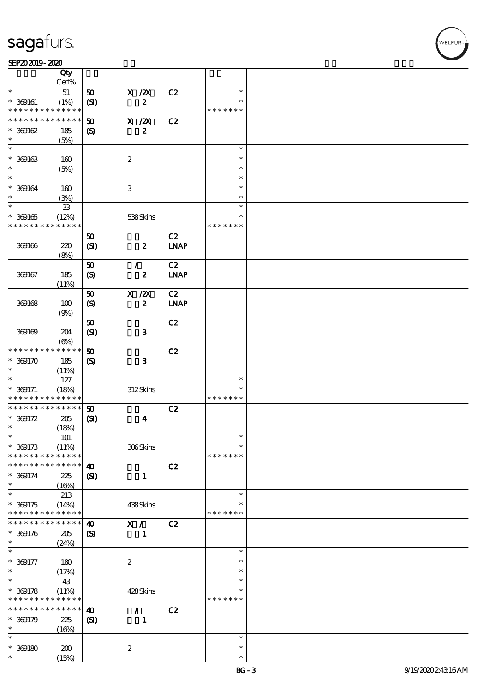$\top$ 

### SEP202019-2020 UNIVERSITY OF THE SEPERATOR SEPERATOR SEPERATOR SEPERATOR SEPERATOR SEPERATOR SEPERATOR SEPERATOR SEP

|                   | Qty<br>Cert%               |                            |                            |             |               |  |
|-------------------|----------------------------|----------------------------|----------------------------|-------------|---------------|--|
|                   |                            |                            |                            |             |               |  |
| $\ast$            | 51                         | ${\bf 50}$                 | $X$ / $ZX$                 | C2          | $\ast$        |  |
| $* 369161$        | (1%)                       | (SI)                       | $\boldsymbol{z}$           |             | $\ast$        |  |
| * * * * * * * *   | * * * * * *                |                            |                            |             | * * * * * * * |  |
| * * * * * * * *   | * * * * * *                | 50                         | $X$ / $ZX$                 | C2          |               |  |
| $* 300162$        | 185                        | $\boldsymbol{S}$           | $\boldsymbol{z}$           |             |               |  |
| $\ast$            | (5%)                       |                            |                            |             |               |  |
| $*$               |                            |                            |                            |             | $\ast$        |  |
| $* 309163$        | 160                        |                            | $\boldsymbol{2}$           |             | $\ast$        |  |
| $\ast$            | (5%)                       |                            |                            |             | $\ast$        |  |
| $\overline{\ast}$ |                            |                            |                            |             | $\ast$        |  |
| $* 300164$        | 160                        |                            | $\,3$                      |             | $\ast$        |  |
| $\ast$            | (3%)                       |                            |                            |             | $\ast$        |  |
| $\ast$            | ${\bf 33}$                 |                            |                            |             | $\ast$        |  |
| $* 309165$        | (12%)                      |                            | 538Skins                   |             | $\ast$        |  |
| * * * * * * * *   | * * * * * *                |                            |                            |             | * * * * * * * |  |
|                   |                            |                            |                            |             |               |  |
|                   |                            | 50                         |                            | C2          |               |  |
| 369166            | 220                        | (SI)                       | $\boldsymbol{z}$           | <b>LNAP</b> |               |  |
|                   | (8%)                       |                            |                            |             |               |  |
|                   |                            | ${\bf 50}$                 | $\sqrt{2}$                 | C2          |               |  |
| 369167            | 185                        | (S)                        | $\boldsymbol{z}$           | <b>LNAP</b> |               |  |
|                   | (11%)                      |                            |                            |             |               |  |
|                   |                            | 50                         | $X$ / $ZX$                 | C2          |               |  |
| 369168            | 100                        | $\boldsymbol{S}$           | $\boldsymbol{z}$           | <b>LNAP</b> |               |  |
|                   | (9%)                       |                            |                            |             |               |  |
|                   |                            | 50                         |                            | C2          |               |  |
| 369169            | 204                        | (SI)                       | ${\bf 3}$                  |             |               |  |
|                   | $(\Theta)$                 |                            |                            |             |               |  |
| * * * * * * * *   | * * * * * *                | 50                         |                            | C2          |               |  |
| $* 369170$        | 185                        | $\boldsymbol{S}$           | $\bf{3}$                   |             |               |  |
| $\ast$            | (11%)                      |                            |                            |             |               |  |
| $\ast$            | $127$                      |                            |                            |             | $\ast$        |  |
| $* 369171$        | (18%)                      |                            | 312Skins                   |             | $\ast$        |  |
| * * * * * * * *   | * * * * * *                |                            |                            |             | * * * * * * * |  |
| * * * * * * * *   | $\ast\ast\ast\ast\ast\ast$ | 50                         |                            | C2          |               |  |
| $* 300172$        | 205                        |                            |                            |             |               |  |
| $\ast$            |                            | (S)                        | $\boldsymbol{4}$           |             |               |  |
| $\ast$            | (18%)                      |                            |                            |             | $\ast$        |  |
|                   | $101$                      |                            |                            |             | $\ast$        |  |
| $* 369173$        | (11%)                      |                            | 306Skins                   |             |               |  |
| * * * * * * * *   | * * * * * *                |                            |                            |             | * * * * * * * |  |
| * * * * * * *     | * * * * * *                | $\boldsymbol{\omega}$      |                            | C2          |               |  |
| $* 369174$        | 225                        | $\mathbf{C}$               | $\mathbf{1}$               |             |               |  |
| $\ast$            | (16%)                      |                            |                            |             |               |  |
| $\ast$            | 213                        |                            |                            |             | $\ast$        |  |
| $* 369175$        | (14%)                      |                            | 438Skins                   |             |               |  |
| * * * * * * * *   | * * * * * *                |                            |                            |             | * * * * * * * |  |
| * * * * * * *     | * * * * * *                | $\boldsymbol{\omega}$      | X /                        | C2          |               |  |
| $* 369176$        | 205                        | $\boldsymbol{\mathcal{S}}$ | $\mathbf{I}$               |             |               |  |
| $\ast$            | (24%)                      |                            |                            |             |               |  |
| $\ast$            |                            |                            |                            |             | $\ast$        |  |
| $* 369177$        | 180                        |                            | $\boldsymbol{2}$           |             | $\ast$        |  |
| $\ast$            | (17%)                      |                            |                            |             | $\ast$        |  |
| $\ast$            | 43                         |                            |                            |             | $\ast$        |  |
| $* 309178$        | (11%)                      |                            | 428Skins                   |             | $\ast$        |  |
| * * * * * * * *   | * * * * * *                |                            |                            |             | * * * * * * * |  |
| * * * * * * *     | * * * * * *                | $\boldsymbol{\omega}$      | $\mathcal{F}^{\mathbb{R}}$ | C2          |               |  |
|                   |                            |                            |                            |             |               |  |
| $* 369179$        | 225                        | $\mathbf{C}$               | $\mathbf{1}$               |             |               |  |
| $\ast$            | (16%)                      |                            |                            |             |               |  |
| $\ast$            |                            |                            |                            |             | $\ast$        |  |
| $* 309180$        | 200                        |                            | $\boldsymbol{z}$           |             | $\ast$        |  |
| $\ast$            | (15%)                      |                            |                            |             | $\ast$        |  |

 $\top$ 

,<br>WELFUR: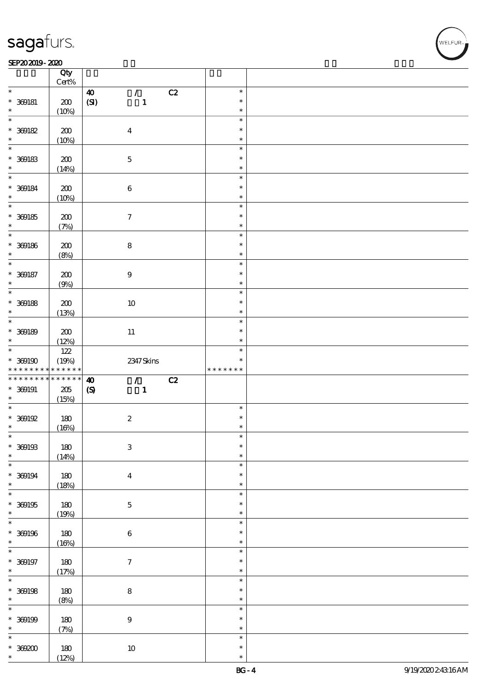### SEP202019-2020 UNIVERSITY OF THE SEPERATOR SEPERATOR SEPERATOR SEPERATOR SEPERATOR SEPERATOR SEPERATOR SEPERATOR SEP

|                                                                                                    | Qty<br>$\mbox{Cert}\%$ |                                              |                  |  |
|----------------------------------------------------------------------------------------------------|------------------------|----------------------------------------------|------------------|--|
| $\ast$                                                                                             |                        | C2<br>$\boldsymbol{\omega}$<br>$\mathcal{L}$ | $\ast$           |  |
| $* 369181$                                                                                         | $200$                  | (SI)<br>$\mathbf{1}$                         | $\ast$           |  |
| $\ast$                                                                                             | (10%)                  |                                              | $\ast$           |  |
| $\ast$<br>$* 300182$                                                                               | ${\bf Z0}$             | $\boldsymbol{4}$                             | $\ast$<br>$\ast$ |  |
| $\ast$                                                                                             | (10%)                  |                                              | $\ast$           |  |
| $\ast$                                                                                             |                        |                                              |                  |  |
|                                                                                                    |                        |                                              | $\ast$           |  |
| $* 300183$                                                                                         | 200                    | $\bf 5$                                      | $\ast$           |  |
| $\ast$                                                                                             | (14%)                  |                                              | $\ast$           |  |
| $\ast$                                                                                             |                        |                                              |                  |  |
|                                                                                                    |                        |                                              | $\ast$           |  |
| $* 300184$                                                                                         | 200                    | $\bf 6$                                      | $\ast$           |  |
| $\ast$                                                                                             | (10%)                  |                                              | $\ast$           |  |
|                                                                                                    |                        |                                              |                  |  |
| $\ast$                                                                                             |                        |                                              | $\ast$           |  |
| $* 309185$                                                                                         | 200                    | $\boldsymbol{7}$                             | $\ast$           |  |
| $\ast$                                                                                             |                        |                                              | $\ast$           |  |
|                                                                                                    | (7%)                   |                                              |                  |  |
| $\ast$                                                                                             |                        |                                              | $\ast$           |  |
| $* 309186$                                                                                         | 200                    | ${\bf 8}$                                    | $\ast$           |  |
| $\ast$                                                                                             |                        |                                              | $\ast$           |  |
| $\overline{\ast}$                                                                                  | (8%)                   |                                              |                  |  |
|                                                                                                    |                        |                                              | $\ast$           |  |
| $* 300187$                                                                                         | 200                    | $\boldsymbol{9}$                             | $\ast$           |  |
| $\ast$                                                                                             | (9%)                   |                                              | $\ast$           |  |
| $\overline{\ast}$                                                                                  |                        |                                              |                  |  |
|                                                                                                    |                        |                                              | $\ast$           |  |
| $* 309188$                                                                                         | $200$                  | $10\,$                                       | $\ast$           |  |
| $\ast$                                                                                             | (13%)                  |                                              | $\ast$           |  |
|                                                                                                    |                        |                                              |                  |  |
| $\ast$                                                                                             |                        |                                              | $\ast$           |  |
| $* 300180$                                                                                         | 200                    | $11\,$                                       | $\ast$           |  |
| $\ast$                                                                                             |                        |                                              | $\ast$           |  |
|                                                                                                    | (12%)                  |                                              |                  |  |
| $\ast$                                                                                             | 122                    |                                              | $\ast$           |  |
| $* 309190$                                                                                         | (19%)                  | 2347 Skins                                   | $\ast$           |  |
|                                                                                                    |                        |                                              |                  |  |
|                                                                                                    |                        |                                              |                  |  |
|                                                                                                    | * * * * * *            |                                              | * * * * * * *    |  |
|                                                                                                    | $* * * * * * *$        | C2<br>$\mathcal{T}$<br>$\boldsymbol{\omega}$ |                  |  |
|                                                                                                    |                        |                                              |                  |  |
| * * * * * * * *<br>* * * * * * * *<br>$* 369191$                                                   | 205                    | $\boldsymbol{S}$<br>$\mathbf{1}$             |                  |  |
| $\ast$                                                                                             | (15%)                  |                                              |                  |  |
|                                                                                                    |                        |                                              | $\ast$           |  |
|                                                                                                    | 180                    |                                              | $\ast$           |  |
|                                                                                                    |                        | $\boldsymbol{2}$                             | *                |  |
|                                                                                                    | (16%)                  |                                              |                  |  |
|                                                                                                    |                        |                                              | ж                |  |
|                                                                                                    | $180$                  | $\ensuremath{\mathbf{3}}$                    | $\ast$           |  |
|                                                                                                    |                        |                                              | $\ast$           |  |
|                                                                                                    | (14%)                  |                                              | $\ast$           |  |
|                                                                                                    |                        |                                              |                  |  |
|                                                                                                    | $180\,$                | $\boldsymbol{4}$                             | $\ast$           |  |
| $\ast$<br>$*$ 369192<br>$\ast$<br>$\ast$<br>$* 300193$<br>$\ast$<br>$\ast$<br>$* 369194$<br>$\ast$ | (18%)                  |                                              | $\ast$           |  |
| $\ast$                                                                                             |                        |                                              | $\ast$           |  |
|                                                                                                    |                        |                                              |                  |  |
|                                                                                                    | $180\,$                | $\mathbf 5$                                  | $\ast$           |  |
| $* 309195$<br>$\ast$                                                                               | (19%)                  |                                              | $\ast$           |  |
| $\overline{\ast}$                                                                                  |                        |                                              | $\ast$           |  |
|                                                                                                    |                        |                                              |                  |  |
|                                                                                                    | 180                    | $\bf 6$                                      | $\ast$           |  |
|                                                                                                    | (16%)                  |                                              | $\ast$           |  |
| $* 300196$<br>$\ast$<br>$\overline{\ast}$                                                          |                        |                                              | $\ast$           |  |
|                                                                                                    |                        |                                              |                  |  |
| $* 369197$                                                                                         | $180\,$                | $\boldsymbol{7}$                             | $\ast$           |  |
| $\ast$                                                                                             | (17%)                  |                                              | $\ast$           |  |
| $\overline{\ast}$                                                                                  |                        |                                              | $\ast$           |  |
|                                                                                                    |                        |                                              |                  |  |
| $* 309198$                                                                                         | $180$                  | $\bf 8$                                      | $\ast$           |  |
| $\ast$                                                                                             | (8%)                   |                                              | $\ast$           |  |
| $\ast$                                                                                             |                        |                                              | $\ast$           |  |
|                                                                                                    |                        |                                              |                  |  |
| $* 309199$                                                                                         | $180$                  | $\boldsymbol{9}$                             | $\ast$           |  |
| $\ast$                                                                                             | (7%)                   |                                              | $\ast$           |  |
| $\ast$                                                                                             |                        |                                              | $\ast$           |  |
|                                                                                                    |                        |                                              | $\ast$           |  |
| $*$ 369200<br>$\ast$                                                                               | $180\,$<br>(12%)       | $10\,$                                       | $\ast$           |  |

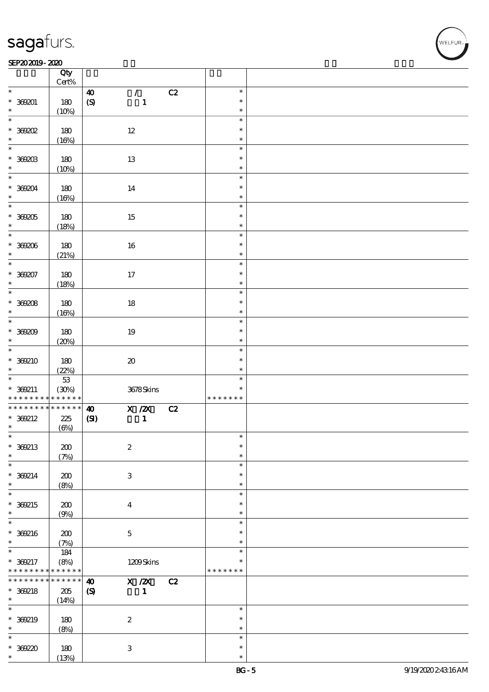### SEP202019-2020 UNIVERSITY OF THE SEPERATOR SEPERATOR SEPERATOR SEPERATOR SEPERATOR SEPERATOR SEPERATOR SEPERATOR SEP

|                                    | Qty<br>$\mbox{Cert}\%$ |                             |               |    |               |  |
|------------------------------------|------------------------|-----------------------------|---------------|----|---------------|--|
| $\ast$                             |                        | $\boldsymbol{\omega}$       | $\mathcal{L}$ | C2 | $\ast$        |  |
| $*369201$                          |                        |                             |               |    | $\ast$        |  |
| $\ast$                             | 180                    | $\pmb{\in}$                 | $\mathbf{1}$  |    |               |  |
|                                    | (10%)                  |                             |               |    | $\ast$        |  |
| $\overline{\ast}$                  |                        |                             |               |    | $\ast$        |  |
| $*$ 369202                         | 180                    | $12\,$                      |               |    | $\ast$        |  |
| $\ast$                             | (16%)                  |                             |               |    | $\ast$        |  |
| $\overline{\ast}$                  |                        |                             |               |    | $\ast$        |  |
| $*$ 369203                         | 180                    | 13                          |               |    | $\ast$        |  |
| $\ast$                             | (10%)                  |                             |               |    | $\ast$        |  |
| $\overline{\ast}$                  |                        |                             |               |    | $\ast$        |  |
|                                    |                        |                             |               |    | $\ast$        |  |
| $* 36904$                          | 180                    | 14                          |               |    |               |  |
| $\ast$                             | (16%)                  |                             |               |    | $\ast$        |  |
|                                    |                        |                             |               |    | $\ast$        |  |
| $*$ 369205                         | 180                    | $15\,$                      |               |    | $\ast$        |  |
| $\ast$                             | (18%)                  |                             |               |    | $\ast$        |  |
| $\ast$                             |                        |                             |               |    | $\ast$        |  |
| $*369206$                          | 180                    | $16\,$                      |               |    | $\ast$        |  |
| $\ast$                             | (21%)                  |                             |               |    | $\ast$        |  |
| $\overline{\ast}$                  |                        |                             |               |    | $\ast$        |  |
|                                    |                        |                             |               |    | $\ast$        |  |
| $* 369207$                         | 180                    | $17\,$                      |               |    |               |  |
| $\ast$                             | (18%)                  |                             |               |    | $\ast$        |  |
|                                    |                        |                             |               |    | $\ast$        |  |
| $*$ 369208                         | 180                    | $18\,$                      |               |    | $\ast$        |  |
| $\ast$                             | (16%)                  |                             |               |    | $\ast$        |  |
| $\ast$                             |                        |                             |               |    | $\ast$        |  |
| $* 369009$                         | 180                    | 19                          |               |    | $\ast$        |  |
| $\ast$                             | (20%)                  |                             |               |    | $\ast$        |  |
| $\overline{\ast}$                  |                        |                             |               |    | $\ast$        |  |
| $*369210$                          | 180                    |                             |               |    | $\ast$        |  |
|                                    |                        | $\pmb{\mathcal{X}}$         |               |    | $\ast$        |  |
| $\ast$<br>$\overline{\phantom{0}}$ | (22%)                  |                             |               |    |               |  |
|                                    | $5\!3$                 |                             |               |    | $\ast$        |  |
| $* 360211$                         | (30%)                  |                             | 3678Skins     |    | $\ast$        |  |
| * * * * * * * *                    | * * * * * *            |                             |               |    | * * * * * * * |  |
| * * * * * * * *                    | $******$               | $\boldsymbol{\omega}$       | X / ZX        | C2 |               |  |
| $* 369212$                         | 225                    | (S)                         | $\mathbf{1}$  |    |               |  |
| $\ast$                             | $(\Theta)$             |                             |               |    |               |  |
| $\ast$                             |                        |                             |               |    |               |  |
|                                    |                        |                             |               |    | $\ast$        |  |
|                                    |                        |                             |               |    | $\ast$        |  |
| * 369213<br>$\ast$                 | $\pmb{30}$             | $\boldsymbol{2}$            |               |    | $\ast$        |  |
|                                    | (7%)                   |                             |               |    |               |  |
| $\ast$                             |                        |                             |               |    | $\ast$        |  |
| * 369214                           | 200                    | $\ensuremath{\mathbf{3}}$   |               |    | $\ast$        |  |
| $\ast$                             | (8%)                   |                             |               |    | $\ast$        |  |
| $\ast$                             |                        |                             |               |    | $\ast$        |  |
| $* 369215$                         | 200                    | $\bf{4}$                    |               |    | $\ast$        |  |
| $\ast$                             | (9%)                   |                             |               |    | $\ast$        |  |
| $\ast$                             |                        |                             |               |    | $\ast$        |  |
|                                    |                        |                             |               |    | $\ast$        |  |
| $* 369216$<br>$\ast$               | $200$                  | $\mathbf 5$                 |               |    | $\ast$        |  |
| $\ast$                             | (7%)                   |                             |               |    | $\ast$        |  |
|                                    | 184                    |                             |               |    | $\ast$        |  |
| * 369217                           | (8%)                   |                             | 1209Skins     |    |               |  |
| * * * * * * * *                    | * * * * * *            |                             |               |    | * * * * * * * |  |
| * * * * * * *                      | $******$               | $\boldsymbol{\omega}$       | $X$ / $ZX$    | C2 |               |  |
| $* 369218$                         | 205                    | $\boldsymbol{\mathrm{(S)}}$ | $\mathbf{1}$  |    |               |  |
| $\ast$                             | (14%)                  |                             |               |    |               |  |
| $\ast$                             |                        |                             |               |    | $\ast$        |  |
| * 369219                           | 180                    | $\boldsymbol{2}$            |               |    | $\ast$        |  |
| $\ast$                             |                        |                             |               |    | $\ast$        |  |
| $\ast$                             | (8%)                   |                             |               |    | $\ast$        |  |
|                                    |                        |                             |               |    | $\ast$        |  |
| $* 36920$<br>$\ast$                | 180<br>(13%)           | $\ensuremath{\mathbf{3}}$   |               |    | $\ast$        |  |

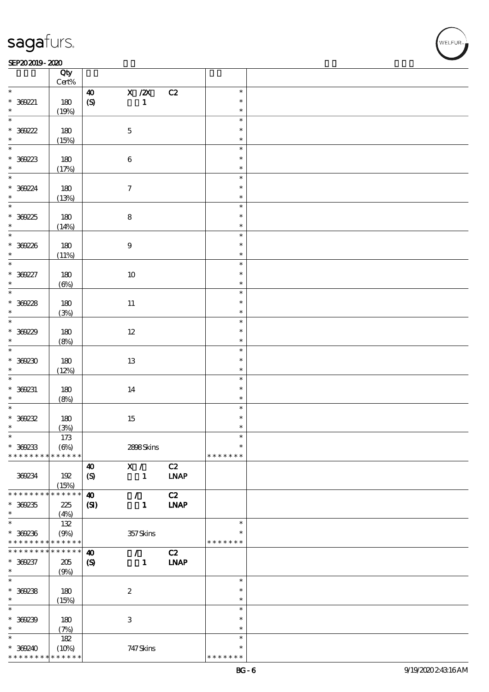### SEP202019-2020 UNIVERSITY OF THE SEPERATOR SEPERATOR SEPERATOR SEPERATOR SEPERATOR SEPERATOR SEPERATOR SEPERATOR SEP

|                                            | Qty             |                            |                           |             |                  |  |
|--------------------------------------------|-----------------|----------------------------|---------------------------|-------------|------------------|--|
|                                            | $\mbox{Cert}\%$ |                            |                           |             |                  |  |
| $\ast$                                     |                 | $\boldsymbol{\omega}$      | X / ZX                    | C2          | $\ast$           |  |
| $* 369221$                                 | 180             | $\pmb{\in}$                | $\mathbf{1}$              |             | $\ast$           |  |
| $\ast$<br>$\ast$                           | (19%)           |                            |                           |             | $\ast$           |  |
|                                            |                 |                            |                           |             | $\ast$           |  |
| $* 369222$                                 | 180             |                            | $\mathbf 5$               |             | $\ast$           |  |
| $\ast$                                     | (15%)           |                            |                           |             | $\ast$           |  |
|                                            |                 |                            |                           |             | $\ast$           |  |
| $* 36923$<br>$\ast$                        | 180             |                            | $\bf 6$                   |             | $\ast$           |  |
|                                            | (17%)           |                            |                           |             | $\ast$           |  |
| $\overline{\ast}$                          |                 |                            |                           |             | $\ast$           |  |
| $* 36024$                                  | 180             |                            | $\boldsymbol{\tau}$       |             | $\ast$           |  |
| $\ast$<br>$\overline{\ast}$                | (13%)           |                            |                           |             | $\ast$           |  |
|                                            |                 |                            |                           |             | $\ast$           |  |
| $* 36925$                                  | 180             |                            | $\bf 8$                   |             | $\ast$           |  |
| $*$                                        | (14%)           |                            |                           |             | $\ast$           |  |
| $\overline{\phantom{0}}$                   |                 |                            |                           |             | $\ast$           |  |
| $* 369236$                                 | 180             |                            | $\boldsymbol{9}$          |             | $\ast$           |  |
| $\ast$                                     | (11%)           |                            |                           |             | $\ast$           |  |
| $\overline{\ast}$                          |                 |                            |                           |             | $\ast$           |  |
| $* 369227$                                 | 180             |                            | $10\,$                    |             | $\ast$           |  |
| $\ast$<br>$\overline{\phantom{0}}$         | $(\Theta)$      |                            |                           |             | $\ast$           |  |
|                                            |                 |                            |                           |             | $\ast$           |  |
| $* 369228$                                 | $180\,$         |                            | $11\,$                    |             | $\ast$           |  |
| $\ast$<br>$\overline{\phantom{0}}$         | (3%)            |                            |                           |             | $\ast$           |  |
|                                            |                 |                            |                           |             | $\ast$<br>$\ast$ |  |
| $* 369229$<br>$\ast$                       | 180             |                            | $12\,$                    |             |                  |  |
| $\ast$                                     | (8%)            |                            |                           |             | $\ast$<br>$\ast$ |  |
|                                            |                 |                            |                           |             | $\ast$           |  |
| $* 369230$<br>$\ast$                       | $180\,$         |                            | 13                        |             | $\ast$           |  |
| $\overline{\phantom{0}}$                   | (12%)           |                            |                           |             | $\ast$           |  |
|                                            |                 |                            |                           |             | $\ast$           |  |
| $* 369231$<br>$\ast$                       | 180<br>(8%)     |                            | $14\,$                    |             | $\ast$           |  |
| $\ast$                                     |                 |                            |                           |             | $\ast$           |  |
| $* 300232$                                 | $180\,$         |                            | 15                        |             | $\ast$           |  |
| $\ast$                                     | (3%)            |                            |                           |             | $\ast$           |  |
| $\ast$                                     | $173\,$         |                            |                           |             | $\ast$           |  |
| $* 369233$                                 | $(\Theta)$      |                            | 2898Skins                 |             | $\ast$           |  |
| * * * * * * * *                            | * * * * * *     |                            |                           |             | * * * * * * *    |  |
|                                            |                 | 40                         | X /                       | C2          |                  |  |
| 369234                                     | 192             | $\boldsymbol{S}$           | $\mathbf{1}$              | <b>LNAP</b> |                  |  |
|                                            | (15%)           |                            |                           |             |                  |  |
| * * * * * * * *                            | * * * * * *     | $\boldsymbol{\omega}$      | $\mathcal{L}$             | C2          |                  |  |
| $* 369235$                                 | 225             | (S)                        | $\mathbf{1}$              | <b>INAP</b> |                  |  |
| $\ast$                                     | (4%)            |                            |                           |             |                  |  |
| $\ast$                                     | 132             |                            |                           |             | $\ast$           |  |
| $* 369236$                                 | (9%)            |                            | 357Skins                  |             | $\ast$           |  |
| * * * * * * * * <mark>* * * * * * *</mark> |                 |                            |                           |             | * * * * * * *    |  |
| * * * * * * *                              | * * * * * *     | $\boldsymbol{\omega}$      | $\mathcal{L}$             | C2          |                  |  |
| $* 369237$                                 | 205             | $\boldsymbol{\mathcal{S}}$ | $\mathbf{1}$              | <b>INAP</b> |                  |  |
| $\ast$                                     | (9%)            |                            |                           |             |                  |  |
| $\ast$                                     |                 |                            |                           |             | $\ast$           |  |
| $* 36238$                                  | 180             |                            | $\boldsymbol{2}$          |             | $\ast$           |  |
| $\ast$                                     | (15%)           |                            |                           |             | $\ast$           |  |
| $\ast$                                     |                 |                            |                           |             | $\ast$           |  |
| $* 369239$                                 | 180             |                            | $\ensuremath{\mathsf{3}}$ |             | $\ast$           |  |
| $\ast$                                     | (7%)            |                            |                           |             | $\ast$           |  |
| $\ast$                                     | $182\,$         |                            |                           |             | $\ast$           |  |
| $* 369240$                                 | (10%)           |                            | 747 Skins                 |             | $\ast$           |  |
| * * * * * * * *                            | * * * * * *     |                            |                           |             | * * * * * * *    |  |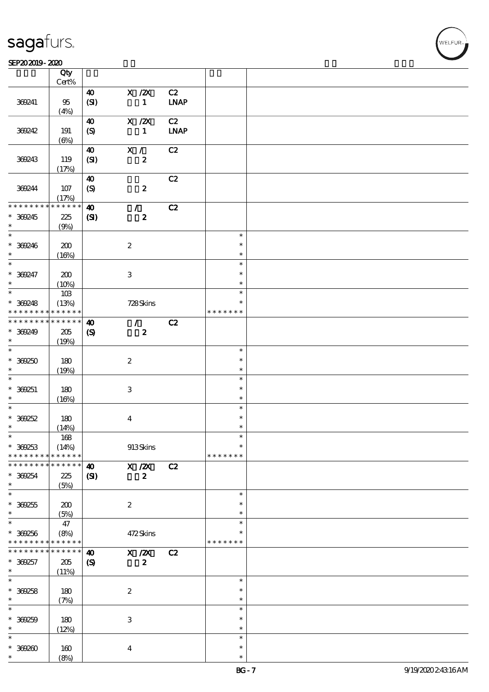### SEP202019-2020 UNIVERSITY OF THE SEPERATOR SEPERATOR SEPERATOR SEPERATOR SEPERATOR SEPERATOR SEPERATOR SEPERATOR SEP

| SEFAJAJIY-AAV                  |             |                            |                                 |             |               |  |
|--------------------------------|-------------|----------------------------|---------------------------------|-------------|---------------|--|
|                                | Qty         |                            |                                 |             |               |  |
|                                | Cert%       |                            |                                 |             |               |  |
|                                |             | $\boldsymbol{\omega}$      | $X$ / $ZX$                      | C2          |               |  |
| 369241                         | 95          | (SI)                       | $\blacksquare$                  | <b>LNAP</b> |               |  |
|                                | (4%)        |                            |                                 |             |               |  |
|                                |             |                            |                                 |             |               |  |
|                                |             | $\boldsymbol{40}$          | $X$ / $ZX$                      | C2          |               |  |
| 369242                         | 191         | (S)                        | $\blacksquare$                  | <b>LNAP</b> |               |  |
|                                | $(\Theta)$  |                            |                                 |             |               |  |
|                                |             | $\boldsymbol{\omega}$      | X /                             | C2          |               |  |
|                                |             |                            |                                 |             |               |  |
| 369243                         | 119         | (SI)                       | $\boldsymbol{z}$                |             |               |  |
|                                | (17%)       |                            |                                 |             |               |  |
|                                |             | $\boldsymbol{\omega}$      |                                 | C2          |               |  |
| 369244                         | 107         |                            | $\boldsymbol{z}$                |             |               |  |
|                                |             | (S)                        |                                 |             |               |  |
|                                | (17%)       |                            |                                 |             |               |  |
| * * * * * * * *                | * * * * * * | $\boldsymbol{\omega}$      | $\mathcal{T}$                   | C2          |               |  |
| * 369245                       | 225         | (S)                        | $\boldsymbol{z}$                |             |               |  |
| $*$                            | (9%)        |                            |                                 |             |               |  |
| $\ast$                         |             |                            |                                 |             | $\ast$        |  |
|                                |             |                            |                                 |             |               |  |
| $* 369246$                     | 200         |                            | $\boldsymbol{2}$                |             | $\ast$        |  |
| $\ast$                         | (16%)       |                            |                                 |             | $\ast$        |  |
| $\overline{\ast}$              |             |                            |                                 |             | $\ast$        |  |
| $* 369247$                     | 200         |                            | 3                               |             | $\ast$        |  |
| $\ast$                         |             |                            |                                 |             | $\ast$        |  |
| $\ast$                         | (10%)       |                            |                                 |             |               |  |
|                                | 10B         |                            |                                 |             | $\ast$        |  |
| $* 369248$                     | (13%)       |                            | 728Skins                        |             | $\ast$        |  |
| * * * * * * * * <mark>*</mark> | * * * * * * |                            |                                 |             | * * * * * * * |  |
| * * * * * * * *                | * * * * * * | $\boldsymbol{\omega}$      | $\mathcal{L}$ and $\mathcal{L}$ | C2          |               |  |
|                                |             |                            |                                 |             |               |  |
| * 369249                       | 205         | $\boldsymbol{\mathcal{S}}$ | $\boldsymbol{z}$                |             |               |  |
| $\ast$                         | (19%)       |                            |                                 |             |               |  |
| $*$                            |             |                            |                                 |             | $\ast$        |  |
| $* 369250$                     | 180         |                            | $\boldsymbol{2}$                |             | $\ast$        |  |
| $\ast$                         |             |                            |                                 |             | $\ast$        |  |
|                                | (19%)       |                            |                                 |             |               |  |
|                                |             |                            |                                 |             | $\ast$        |  |
| $* 369251$                     | 180         |                            | 3                               |             | $\ast$        |  |
| $\ast$                         | (16%)       |                            |                                 |             | $\ast$        |  |
| $\ast$                         |             |                            |                                 |             | $\ast$        |  |
| $* 369252$                     | 180         |                            | $\boldsymbol{4}$                |             | $\ast$        |  |
| $\ast$                         |             |                            |                                 |             |               |  |
|                                | (14%)       |                            |                                 |             | $\ast$        |  |
| $\ast$                         | 168         |                            |                                 |             | $\ast$        |  |
| $* 369253$                     | (14%)       |                            | 913Skins                        |             | $\ast$        |  |
| * * * * * * * *                | * * * * * * |                            |                                 |             | * * * * * * * |  |
| * * * * * * * *                | * * * * * * | $\boldsymbol{\omega}$      | X / ZX                          | C2          |               |  |
|                                |             |                            |                                 |             |               |  |
| $*369254$                      | 225         | $\mathbf{C}$               | $\boldsymbol{z}$                |             |               |  |
| $\ast$                         | (5%)        |                            |                                 |             |               |  |
| $\ast$                         |             |                            |                                 |             | $\ast$        |  |
| $*369255$                      | 200         |                            | $\boldsymbol{z}$                |             | $\ast$        |  |
| $\ast$                         | (5%)        |                            |                                 |             | $\ast$        |  |
| $\ast$                         |             |                            |                                 |             | $\ast$        |  |
|                                | 47          |                            |                                 |             |               |  |
| $* 369256$                     | (8%)        |                            | 472Skins                        |             | $\ast$        |  |
| * * * * * * * *                | * * * * * * |                            |                                 |             | * * * * * * * |  |
| * * * * * * * *                | * * * * * * | $\boldsymbol{\omega}$      | $X$ / $ZX$                      | C2          |               |  |
| * 369257                       | 205         | $\boldsymbol{\mathcal{S}}$ | $\boldsymbol{z}$                |             |               |  |
| $\ast$                         |             |                            |                                 |             |               |  |
|                                | (11%)       |                            |                                 |             |               |  |
| $\ast$                         |             |                            |                                 |             | $\ast$        |  |
| $* 369258$                     | 180         |                            | $\boldsymbol{2}$                |             | $\ast$        |  |
| $\ast$                         | (7%)        |                            |                                 |             | $\ast$        |  |
| $\ast$                         |             |                            |                                 |             | $\ast$        |  |
|                                |             |                            |                                 |             | $\ast$        |  |
| $* 369259$                     | 180         |                            | $\,3\,$                         |             |               |  |
| $\ast$                         | (12%)       |                            |                                 |             | $\ast$        |  |
| $\ast$                         |             |                            |                                 |             | $\ast$        |  |
| $* 369200$                     | 160         |                            | $\boldsymbol{4}$                |             | $\ast$        |  |
| $\ast$                         | (8%)        |                            |                                 |             | $\ast$        |  |
|                                |             |                            |                                 |             |               |  |

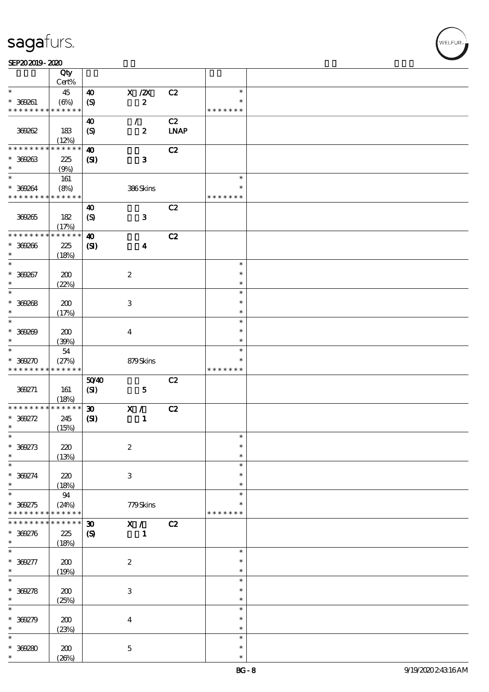### SEP202019-2020 UNIVERSITY OF THE SEPERATOR SEPERATOR SEPERATOR SEPERATOR SEPERATOR SEPERATOR SEPERATOR SEPERATOR SEP

|                          | Qty                        |                             |                  |             |                  |  |
|--------------------------|----------------------------|-----------------------------|------------------|-------------|------------------|--|
|                          | Cert%                      |                             |                  |             |                  |  |
| $\ast$                   | 45                         | $\boldsymbol{\omega}$       | $X$ / $ZX$       | C2          | $\ast$           |  |
| $* 369261$               | $(\Theta)$                 | $\boldsymbol{S}$            | $\boldsymbol{z}$ |             | $\ast$           |  |
| * * * * * * * *          | * * * * * *                |                             |                  |             | * * * * * * *    |  |
|                          |                            | 40                          | $\mathcal{L}$    | C2          |                  |  |
| 369262                   | 183                        | (S)                         | $\boldsymbol{z}$ | <b>LNAP</b> |                  |  |
|                          | (12%)                      |                             |                  |             |                  |  |
| * * * * * * * *          | * * * * * *                | $\boldsymbol{\omega}$       |                  | C2          |                  |  |
| $* 300033$               | 225                        | $\mathbf{C}$                | $\mathbf{3}$     |             |                  |  |
| $\ast$                   | (9%)                       |                             |                  |             |                  |  |
| $\ast$                   | 161                        |                             |                  |             | $\ast$           |  |
| $* 369264$               | (8%)                       |                             | 386Skins         |             | $\ast$           |  |
| * * * * * * * *          | $\ast\ast\ast\ast\ast\ast$ |                             |                  |             | * * * * * * *    |  |
|                          |                            | 40                          |                  | C2          |                  |  |
| 369265                   | 182                        | (S)                         | $\mathbf{3}$     |             |                  |  |
|                          | (17%)                      |                             |                  |             |                  |  |
| * * * * * * * *          | * * * * * *                | $\boldsymbol{\omega}$       |                  | C2          |                  |  |
| $* 369266$               | 225                        | $\mathbf{C}$                | $\boldsymbol{4}$ |             |                  |  |
| $\ast$                   | (18%)                      |                             |                  |             |                  |  |
| $\ast$                   |                            |                             |                  |             | $\ast$           |  |
| $* 369267$               | 200                        |                             | $\boldsymbol{2}$ |             | $\ast$           |  |
| $\ast$                   | (22%)                      |                             |                  |             | $\ast$           |  |
| $\ast$                   |                            |                             |                  |             | $\ast$           |  |
|                          |                            |                             |                  |             | $\ast$           |  |
| $* 369268$<br>$\ast$     | 200                        |                             | $\,3\,$          |             |                  |  |
| $\overline{\phantom{0}}$ | (17%)                      |                             |                  |             | $\ast$<br>$\ast$ |  |
|                          |                            |                             |                  |             |                  |  |
| $* 369209$               | 200                        |                             | $\bf{4}$         |             | $\ast$           |  |
| $\ast$                   | (39%)                      |                             |                  |             | $\ast$           |  |
| $\ast$                   | $54\,$                     |                             |                  |             | $\ast$           |  |
| $* 369270$               | (27%)                      |                             | 879Skins         |             | $\ast$           |  |
|                          |                            |                             |                  |             | * * * * * * *    |  |
| * * * * * * * *          | * * * * * *                |                             |                  |             |                  |  |
|                          |                            | 5040                        |                  | C2          |                  |  |
| 369271                   | 161                        | (SI)                        | $\overline{5}$   |             |                  |  |
|                          | (18%)                      |                             |                  |             |                  |  |
| * * * * * * * *          | * * * * * *                | $\boldsymbol{\mathfrak{D}}$ | X /              | C2          |                  |  |
| $* 369272$               | 245                        | (S)                         | $\mathbf{1}$     |             |                  |  |
| $\ast$                   | (15%)                      |                             |                  |             |                  |  |
| $\ast$                   |                            |                             |                  |             | $\ast$           |  |
| $* 369273$               | $220$                      |                             | $\boldsymbol{2}$ |             | $\ast$           |  |
| $\ast$                   | (13%)                      |                             |                  |             | $\ast$           |  |
| $\ast$                   |                            |                             |                  |             | $\ast$           |  |
| $* 369274$               | 220                        |                             | $\,3\,$          |             | $\ast$           |  |
| $\ast$                   | (18%)                      |                             |                  |             | $\ast$           |  |
| $\ast$                   | 94                         |                             |                  |             | $\ast$           |  |
| $* 369275$               | (24%)                      |                             | 779Skins         |             | *                |  |
| * * * * * * * *          | * * * * * *                |                             |                  |             | * * * * * * *    |  |
| * * * * * * *            | * * * * * *                | $\boldsymbol{\mathfrak{D}}$ | X /              | C2          |                  |  |
| $*369276$                | 225                        | $\boldsymbol{S}$            | $\mathbf{I}$     |             |                  |  |
| $\ast$                   | (18%)                      |                             |                  |             |                  |  |
| $\ast$                   |                            |                             |                  |             | $\ast$           |  |
| $* 369277$               | 200                        |                             | $\boldsymbol{2}$ |             | $\ast$           |  |
|                          | (19%)                      |                             |                  |             | $\ast$           |  |
| $\ast$<br>$\ast$         |                            |                             |                  |             | $\ast$           |  |
| $* 369278$               | 200                        |                             | $\,3$            |             | $\ast$           |  |
|                          | (25%)                      |                             |                  |             | $\ast$           |  |
| $\ast$<br>$\ast$         |                            |                             |                  |             | $\ast$           |  |
|                          |                            |                             |                  |             | $\ast$           |  |
| $* 369279$<br>$\ast$     | 200                        |                             | $\boldsymbol{4}$ |             | $\ast$           |  |
| $\ast$                   | (23%)                      |                             |                  |             | $\ast$           |  |
| $* 369280$               | 200                        |                             | $\mathbf 5$      |             | $\ast$           |  |

T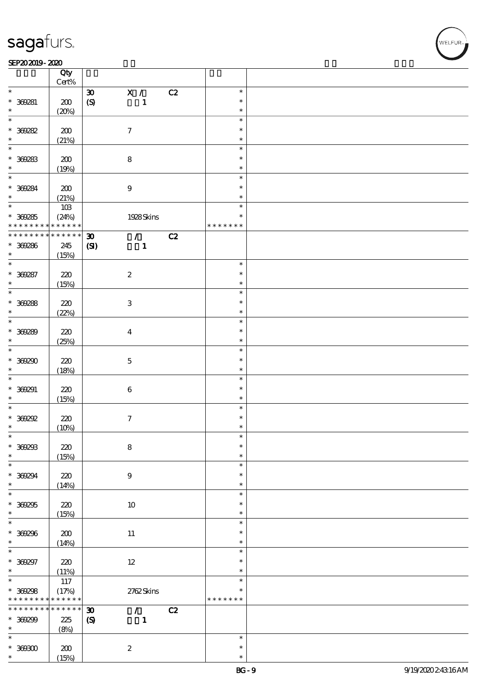### SEP202019-2020 UNIVERSITY OF THE SEPERATOR SEPERATOR SEPERATOR SEPERATOR SEPERATOR SEPERATOR SEPERATOR SEPERATOR SEP

|                          | Qty<br>$Cert\%$      |                                                            |    |               |  |
|--------------------------|----------------------|------------------------------------------------------------|----|---------------|--|
| $\ast$                   |                      |                                                            |    | $\ast$        |  |
|                          |                      | $\overline{\mathbf{x}}$ /<br>$\boldsymbol{\mathfrak{D}}$   | C2 |               |  |
| $* 369281$               | 200                  | $\boldsymbol{S}$<br>$\mathbf{1}$                           |    | $\ast$        |  |
| $\ast$                   | (20%)                |                                                            |    | $\ast$        |  |
| $\ast$                   |                      |                                                            |    | $\ast$        |  |
| $* 369282$               | $200\,$              | $\boldsymbol{\tau}$                                        |    | $\ast$        |  |
| $\ast$                   | (21%)                |                                                            |    | $\ast$        |  |
| $\ast$                   |                      |                                                            |    | $\ast$        |  |
|                          |                      |                                                            |    | $\ast$        |  |
| $* 30283$                | 200                  | $\bf 8$                                                    |    |               |  |
| $\ast$                   | (19%)                |                                                            |    | $\ast$        |  |
| $\overline{\ast}$        |                      |                                                            |    | $\ast$        |  |
| $* 369284$               | 200                  | $\boldsymbol{9}$                                           |    | $\ast$        |  |
| $\ast$                   | (21%)                |                                                            |    | $\ast$        |  |
| $\overline{\phantom{0}}$ | $10B$                |                                                            |    | $\ast$        |  |
| $* 369285$               |                      |                                                            |    | $\ast$        |  |
|                          | (24%)<br>* * * * * * | 1928Skins                                                  |    |               |  |
| * * * * * * * *          |                      |                                                            |    | * * * * * * * |  |
| __<br>* * * * * * * *    | $******$             | $\mathcal{T} = \mathcal{I}$<br>$\boldsymbol{\mathfrak{D}}$ | C2 |               |  |
| $* 369286$               | 245                  | (S)<br>$\mathbf{1}$                                        |    |               |  |
| $\ast$                   | (15%)                |                                                            |    |               |  |
| $\ast$                   |                      |                                                            |    | $\ast$        |  |
| $* 369287$               | 220                  | $\boldsymbol{2}$                                           |    | $\ast$        |  |
| $\ast$                   | (15%)                |                                                            |    | $\ast$        |  |
| $\overline{\ast}$        |                      |                                                            |    | $\ast$        |  |
|                          |                      |                                                            |    |               |  |
| $* 369288$               | 220                  | $\,3\,$                                                    |    | $\ast$        |  |
| $\ast$                   | (22%)                |                                                            |    | $\ast$        |  |
| $\ast$                   |                      |                                                            |    | $\ast$        |  |
| $* 369289$               | 220                  | $\boldsymbol{4}$                                           |    | $\ast$        |  |
| $\ast$                   | (25%)                |                                                            |    | $\ast$        |  |
| $\ast$                   |                      |                                                            |    | $\ast$        |  |
| $*369290$                | 220                  |                                                            |    | $\ast$        |  |
|                          |                      | $\mathbf 5$                                                |    |               |  |
| $\ast$                   | (18%)                |                                                            |    | $\ast$        |  |
| $\ast$                   |                      |                                                            |    | $\ast$        |  |
| $* 369291$               | $220$                | $\,6\,$                                                    |    | $\ast$        |  |
| $\ast$                   | (15%)                |                                                            |    | $\ast$        |  |
| $\ast$                   |                      |                                                            |    | $\ast$        |  |
| $*$ 369292               | 220                  | $\boldsymbol{7}$                                           |    | $\ast$        |  |
| $\ast$                   | (10%)                |                                                            |    | $\ast$        |  |
| $\ast$                   |                      |                                                            |    | $\ast$        |  |
|                          |                      |                                                            |    | $\ast$        |  |
| $* 369293$               | $220$                | $\bf 8$                                                    |    |               |  |
| $\ast$                   | (15%)                |                                                            |    | $\ast$        |  |
| $\ast$                   |                      |                                                            |    | $\ast$        |  |
| $* 369294$               | $220\,$              | $\boldsymbol{9}$                                           |    | $\ast$        |  |
| $\ast$                   | (14%)                |                                                            |    | $\ast$        |  |
| $\ast$                   |                      |                                                            |    | $\ast$        |  |
| $* 369255$               | $220$                | 10                                                         |    | $\ast$        |  |
| $\ast$                   |                      |                                                            |    | $\ast$        |  |
| $\ast$                   | (15%)                |                                                            |    | $\ast$        |  |
|                          |                      |                                                            |    |               |  |
| $* 369296$               | 200                  | $11\,$                                                     |    | $\ast$        |  |
| $\ast$                   | (14%)                |                                                            |    | $\ast$        |  |
| $\ast$                   |                      |                                                            |    | $\ast$        |  |
| $* 369297$               | 220                  | $12\,$                                                     |    | $\ast$        |  |
| $\ast$                   | (11%)                |                                                            |    | $\ast$        |  |
| $\overline{\ast}$        | 117                  |                                                            |    | $\ast$        |  |
| $* 369298$               | (17%)                | 2762Skins                                                  |    | $\ast$        |  |
|                          | * * * * * *          |                                                            |    | * * * * * * * |  |
| * * * * * * * *          |                      |                                                            |    |               |  |
| * * * * * * * *          | * * * * * *          | $\mathcal{L}$<br>$\boldsymbol{\mathfrak{D}}$               | C2 |               |  |
| $* 369299$               | 225                  | $\boldsymbol{S}$<br>$\mathbf{1}$                           |    |               |  |
| $\ast$                   | (8%)                 |                                                            |    |               |  |
| $\ast$                   |                      |                                                            |    | $\ast$        |  |
| $^\ast$ 369300           | 200                  | $\boldsymbol{2}$                                           |    | $\ast$        |  |
| $\ast$                   | (15%)                |                                                            |    | $\ast$        |  |
|                          |                      |                                                            |    |               |  |

*N*ELFUR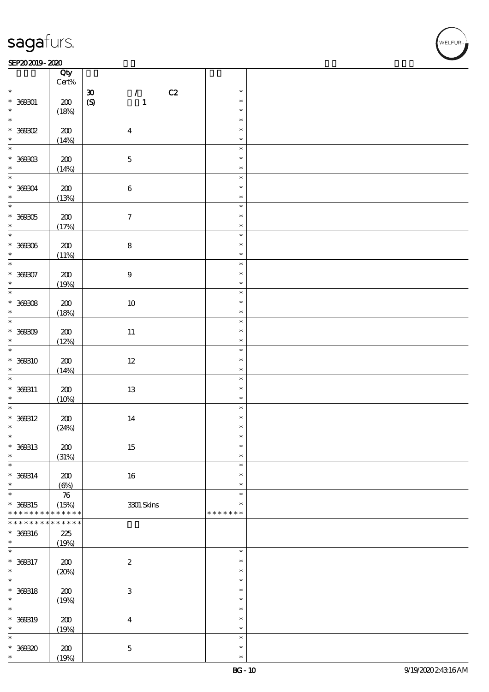### SEP202019-2020 UNIVERSITY OF THE SEPERATOR SEPERATOR SEPERATOR SEPERATOR SEPERATOR SEPERATOR SEPERATOR SEPERATOR SEP

|                          | Qty<br>$Cert\%$    |                                             |               |  |
|--------------------------|--------------------|---------------------------------------------|---------------|--|
| $\ast$                   |                    | $\mathcal{L}$<br>C2<br>$\pmb{\mathfrak{D}}$ | $\ast$        |  |
|                          |                    |                                             | $\ast$        |  |
| $* 36001$                | $200\,$            | $\boldsymbol{S}$<br>$\mathbf{1}$            |               |  |
| $\ast$                   | (18%)              |                                             | $\ast$        |  |
| $\overline{\ast}$        |                    |                                             | $\ast$        |  |
| $*$ 369602               | $200\,$            | $\boldsymbol{4}$                            | $\ast$        |  |
| $\ast$                   | (14%)              |                                             | $\ast$        |  |
| $\overline{\ast}$        |                    |                                             | $\ast$        |  |
|                          |                    |                                             | $\ast$        |  |
| $*$ 369603<br>$\ast$     | 200                | $\mathbf 5$                                 |               |  |
|                          | (14%)              |                                             | $\ast$        |  |
| $*$                      |                    |                                             | $\ast$        |  |
| $* 36004$                | $200\,$            | $\bf 6$                                     | $\ast$        |  |
| $\ast$                   | (13%)              |                                             | $\ast$        |  |
| $\overline{\ast}$        |                    |                                             | $\ast$        |  |
| $* 36005$                | $200\,$            | $\boldsymbol{\tau}$                         | $\ast$        |  |
|                          |                    |                                             |               |  |
| $\ast$                   | (17%)              |                                             | $\ast$        |  |
|                          |                    |                                             | $\ast$        |  |
| $* 30000$                | 200                | $\bf 8$                                     | $\ast$        |  |
| $\ast$                   | (11%)              |                                             | $\ast$        |  |
| $\overline{\ast}$        |                    |                                             | $\ast$        |  |
| $* 30007$                | 200                | $\boldsymbol{9}$                            | $\ast$        |  |
| $\ast$                   | (19%)              |                                             | $\ast$        |  |
| $\overline{\ast}$        |                    |                                             | $\ast$        |  |
|                          |                    |                                             |               |  |
| $* 36908$                | $200\,$            | $10\,$                                      | $\ast$        |  |
| $\ast$                   | (18%)              |                                             | $\ast$        |  |
|                          |                    |                                             | $\ast$        |  |
| $* 30000$                | 200                | $11\,$                                      | $\ast$        |  |
| $\ast$                   | (12%)              |                                             | $\ast$        |  |
| $\overline{\mathbf{r}}$  |                    |                                             | $\ast$        |  |
|                          |                    |                                             | $\ast$        |  |
| * 369310                 | $200$              | $12\,$                                      |               |  |
| $\ast$                   | (14%)              |                                             | $\ast$        |  |
| $\overline{\phantom{0}}$ |                    |                                             | $\ast$        |  |
| $* 360311$               | $200\,$            | $13\,$                                      | $\ast$        |  |
| $\ast$                   | (10%)              |                                             | $\ast$        |  |
| $\overline{\phantom{0}}$ |                    |                                             | $\ast$        |  |
| $* 360312$               | $200\,$            | $14\,$                                      | $\ast$        |  |
| $\ast$                   |                    |                                             | $\ast$        |  |
| $\ast$                   | (24%)              |                                             | $\ast$        |  |
|                          |                    |                                             |               |  |
| * 360313                 | $\pmb{30}$         | $15\,$                                      | $\ast$        |  |
| $\ast$                   | (31%)              |                                             | $\ast$        |  |
| $\ast$                   |                    |                                             | $\ast$        |  |
| $* 360314$               | 200                | $16\,$                                      | $\ast$        |  |
| $\ast$                   | $(\Theta)$         |                                             | $\ast$        |  |
| $\ast$                   | $\boldsymbol{\pi}$ |                                             | $\ast$        |  |
| * 360315                 | (15%)              | 3301 Skins                                  | $\ast$        |  |
|                          |                    |                                             |               |  |
| * * * * * * * *          | * * * * * *        |                                             | * * * * * * * |  |
| * * * * * * *            | * * * * *<br>∗     |                                             |               |  |
| * 360316                 | $225\,$            |                                             |               |  |
| $\ast$                   | (19%)              |                                             |               |  |
| $\ast$                   |                    |                                             | $\ast$        |  |
| $* 360317$               | 200                | $\boldsymbol{2}$                            | $\ast$        |  |
| $\ast$                   | (20%)              |                                             | $\ast$        |  |
| $\ast$                   |                    |                                             | $\ast$        |  |
|                          |                    |                                             |               |  |
| $* 360318$               | 200                | $\ensuremath{\mathbf{3}}$                   | $\ast$        |  |
| $\ast$                   | (19%)              |                                             | $\ast$        |  |
| $\ast$                   |                    |                                             | $\ast$        |  |
| * 360319                 | 200                | $\boldsymbol{4}$                            | $\ast$        |  |
| $\ast$                   | (19%)              |                                             | $\ast$        |  |
| $\ast$                   |                    |                                             | $\ast$        |  |
|                          |                    |                                             |               |  |
| $* 36030$                | 200                | $\bf 5$                                     | $\ast$        |  |
| $\ast$                   | (19%)              |                                             | $\ast$        |  |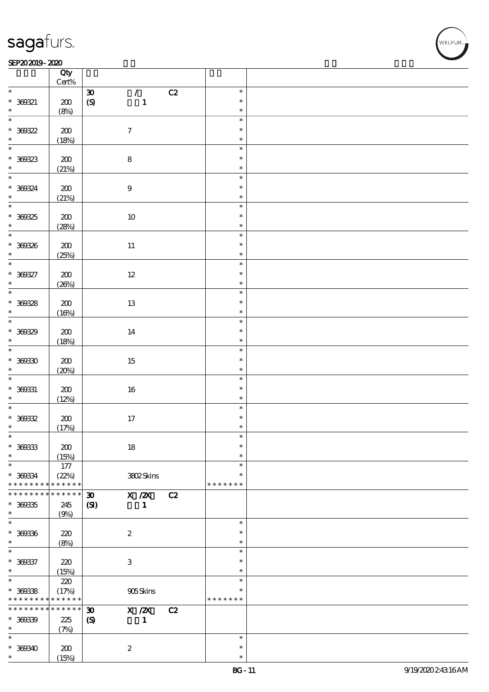### SEP202019-2020 UNIVERSITY OF THE SEPERATOR SEPERATOR SEPERATOR SEPERATOR SEPERATOR SEPERATOR SEPERATOR SEPERATOR SEP

| SEP202019-2020                                   |                             |                                                 |                              |    |                                   |  |
|--------------------------------------------------|-----------------------------|-------------------------------------------------|------------------------------|----|-----------------------------------|--|
|                                                  | Qty<br>Cert%                |                                                 |                              |    |                                   |  |
| $\ast$<br>$* 360321$<br>$\ast$                   | $200$<br>(8%)               | $\pmb{\mathfrak{D}}$<br>$\boldsymbol{S}$        | $\mathcal{L}$<br>$\mathbf 1$ | C2 | $\ast$<br>$\ast$<br>$\ast$        |  |
| $\overline{\ast}$<br>$* 360322$<br>$\ast$        | 200<br>(18%)                | $\tau$                                          |                              |    | $\ast$<br>$\ast$<br>$\ast$        |  |
| $* 36023$<br>$\ast$                              | $200\,$<br>(21%)            | ${\bf 8}$                                       |                              |    | $\ast$<br>$\ast$<br>$\ast$        |  |
| $\ast$<br>* 369324<br>$\ast$                     | $200\,$<br>(21%)            | $\boldsymbol{9}$                                |                              |    | $\ast$<br>$\ast$<br>$\ast$        |  |
| $\ast$<br>* 36825<br>$\ast$                      | $200\,$<br>(28%)            | $10\,$                                          |                              |    | $\ast$<br>$\ast$<br>$\ast$        |  |
| $\ast$<br>* 36826<br>$\ast$<br>$\overline{\ast}$ | $200$<br>(25%)              | $11\,$                                          |                              |    | $\ast$<br>$\ast$<br>$\ast$        |  |
| $* 36027$<br>$\ast$<br>$\overline{\ast}$         | 200<br>(20%)                | $12\,$                                          |                              |    | $\ast$<br>$\ast$<br>$\ast$        |  |
| $* 30028$<br>$\ast$                              | 200<br>(16%)                | $13\,$                                          |                              |    | $\ast$<br>$\ast$<br>$\ast$        |  |
| $* 30039$<br>$\ast$<br>$\overline{\ast}$         | 200<br>(18%)                | $14\,$                                          |                              |    | $\ast$<br>$\ast$<br>$\ast$        |  |
| $* 36000$<br>$\ast$<br>$\overline{\ast}$         | 200<br>(20%)                | $15\,$                                          |                              |    | $\ast$<br>$\ast$<br>$\ast$        |  |
| $* 36031$<br>$\ast$                              | $200\,$<br>(12%)            | $16\,$                                          |                              |    | $\ast$<br>$\ast$<br>$\ast$        |  |
| $\ast$<br>$* 36032$<br>$\ast$<br>$\ast$          | 200<br>(17%)                | 17                                              |                              |    | $\ast$<br>$\ast$<br>$\ast$        |  |
| $* 36033$<br>$\ast$                              | 200<br>(15%)                | $18\,$                                          |                              |    | $\ast$<br>$\ast$<br>$\ast$        |  |
| $\ast$<br>* 36834<br>* * * * * * * *             | 177<br>(22%)<br>* * * * * * |                                                 | 3802Skins                    |    | $\ast$<br>$\ast$<br>* * * * * * * |  |
| * * * * * * *<br>$* 36035$<br>$\ast$             | * * * * * *<br>245<br>(9%)  | $\boldsymbol{\mathfrak{D}}$<br>(S)              | $X$ / $ZX$<br>$\mathbf{1}$   | C2 |                                   |  |
| $\ast$<br>$* 360336$<br>$\ast$                   | 220<br>(8%)                 | $\boldsymbol{2}$                                |                              |    | $\ast$<br>$\ast$<br>$\ast$        |  |
| $\ast$<br>$* 36037$<br>$\ast$                    | 220<br>(15%)                | $\ensuremath{\mathbf{3}}$                       |                              |    | $\ast$<br>$\ast$<br>$\ast$        |  |
| $\ast$<br>$* 360338$<br>* * * * * * * *          | 220<br>(17%)<br>* * * * * * |                                                 | 905Skins                     |    | $\ast$<br>$\ast$<br>* * * * * * * |  |
| * * * * * * *<br>$* 36039$<br>$\ast$             | * * * * * *<br>225<br>(7%)  | $\boldsymbol{\mathfrak{D}}$<br>$\boldsymbol{S}$ | $X$ / $ZX$<br>$\mathbf{1}$   | C2 |                                   |  |
| $\ast$<br>$* 360340$<br>*                        | 200<br>(15%)                | $\boldsymbol{2}$                                |                              |    | $\ast$<br>$\ast$<br>$\ast$        |  |

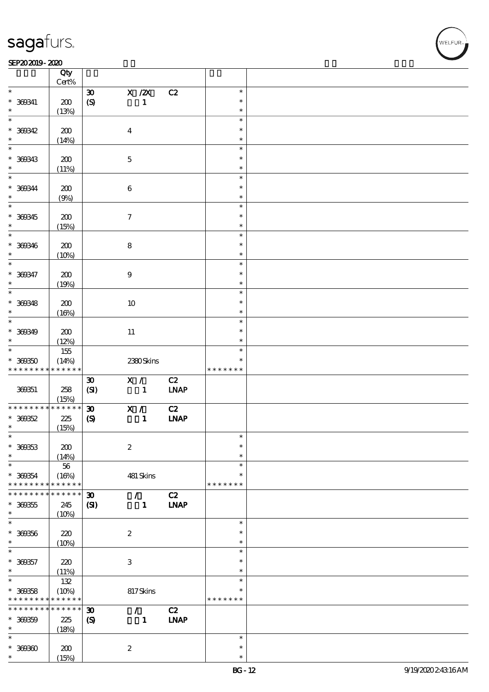$\top$ 

### SEP202019-2020 UNIVERSITY OF THE SEPERATOR SEPERATOR SEPERATOR SEPERATOR SEPERATOR SEPERATOR SEPERATOR SEPERATOR SEP

|                                              | Qty                        |                             |                           |             |               |  |
|----------------------------------------------|----------------------------|-----------------------------|---------------------------|-------------|---------------|--|
|                                              | Cert%                      |                             |                           |             |               |  |
| $\ast$                                       |                            | $\boldsymbol{\mathfrak{D}}$ | $X$ / $ZX$                | C2          | $\ast$        |  |
| $* 360341$                                   | 200                        | $\pmb{\in}$                 | $\mathbf{1}$              |             | $\ast$        |  |
| $\ast$                                       | (13%)                      |                             |                           |             | $\ast$        |  |
| $\ast$                                       |                            |                             |                           |             | $\ast$        |  |
| $* 360342$                                   | 200                        |                             | $\boldsymbol{4}$          |             | $\ast$        |  |
| $\ast$                                       | (14%)                      |                             |                           |             | $\ast$        |  |
| $\ast$                                       |                            |                             |                           |             | $\ast$        |  |
| $* 360343$                                   | 200                        |                             | $\mathbf 5$               |             | $\ast$        |  |
| $\ast$                                       | (11%)                      |                             |                           |             | $\ast$        |  |
| $\ast$                                       |                            |                             |                           |             | $\ast$        |  |
| $* 360344$                                   | 200                        |                             | $\,6\,$                   |             | $\ast$        |  |
| $\ast$                                       | (9%)                       |                             |                           |             | $\ast$        |  |
| $\overline{\ast}$                            |                            |                             |                           |             | $\ast$        |  |
|                                              |                            |                             |                           |             | $\ast$        |  |
| $* 360345$<br>$\ast$                         | 200                        |                             | $\boldsymbol{7}$          |             | $\ast$        |  |
| $\overline{\phantom{0}}$                     | (15%)                      |                             |                           |             |               |  |
|                                              |                            |                             |                           |             | $\ast$        |  |
| $* 360346$                                   | 200                        |                             | ${\bf 8}$                 |             | $\ast$        |  |
| $\ast$                                       | (10%)                      |                             |                           |             | $\ast$        |  |
| $\ast$                                       |                            |                             |                           |             | $\ast$        |  |
| $* 360347$                                   | 200                        |                             | $\boldsymbol{9}$          |             | $\ast$        |  |
| $\ast$                                       | (19%)                      |                             |                           |             | $\ast$        |  |
| $\ast$                                       |                            |                             |                           |             | $\ast$        |  |
| $* 360348$                                   | 200                        |                             | $10\,$                    |             | $\ast$        |  |
| $\ast$                                       | (16%)                      |                             |                           |             | $\ast$        |  |
| $\ast$                                       |                            |                             |                           |             | $\ast$        |  |
| $* 360349$                                   | 200                        |                             | $11\,$                    |             | $\ast$        |  |
| $\ast$                                       | (12%)                      |                             |                           |             | $\ast$        |  |
| $\ast$                                       | $155\,$                    |                             |                           |             | $\ast$        |  |
| $* 360350$                                   | (14%)                      |                             | 2380Skins                 |             | ∗             |  |
| * * * * * * * *                              | $\ast\ast\ast\ast\ast\ast$ |                             |                           |             | * * * * * * * |  |
|                                              |                            |                             |                           |             |               |  |
|                                              |                            | $\pmb{\mathfrak{D}}$        | X /                       | C2          |               |  |
| 369351                                       | 258                        | (SI)                        | $\mathbf{1}$              | <b>LNAP</b> |               |  |
| * * * * * * * *                              | (15%)<br>* * * * * *       |                             |                           |             |               |  |
|                                              |                            | $\boldsymbol{\mathfrak{D}}$ | X /                       | C2          |               |  |
| $* 36052$                                    | 225                        | $\pmb{\infty}$              | $\mathbf{1}$              | <b>INAP</b> |               |  |
| $\ast$                                       | (15%)                      |                             |                           |             |               |  |
| $\ast$                                       |                            |                             |                           |             | $\ast$        |  |
| $* 36033$                                    | 200                        |                             | $\boldsymbol{2}$          |             | $\ast$        |  |
| $\ast$                                       | (14%)                      |                             |                           |             | $\ast$        |  |
| $\ast$                                       | 56                         |                             |                           |             | $\ast$        |  |
| $* 360354$                                   | (16%)                      |                             | 481 Skins                 |             | $\ast$        |  |
| * * * * * * * *                              | * * * * * *                |                             |                           |             | * * * * * * * |  |
| * * * * * * *                                | * * * * * *                | $\boldsymbol{\mathfrak{D}}$ | $\mathcal{L}$             | C2          |               |  |
| $* 300355$                                   | 245                        | (S)                         | $\mathbf{1}$              | <b>INAP</b> |               |  |
| $\ast$                                       | (10%)                      |                             |                           |             |               |  |
| $\ast$                                       |                            |                             |                           |             | $\ast$        |  |
| $* 360356$                                   | 220                        |                             | $\boldsymbol{z}$          |             | $\ast$        |  |
| $\ast$                                       | (10%)                      |                             |                           |             | $\ast$        |  |
| $\ast$                                       |                            |                             |                           |             | $\ast$        |  |
| $* 360357$                                   | 220                        |                             | $\ensuremath{\mathbf{3}}$ |             | $\ast$        |  |
| $\ast$                                       | (11%)                      |                             |                           |             | $\ast$        |  |
| $\ast$                                       |                            |                             |                           |             | $\ast$        |  |
|                                              | 132                        |                             |                           |             | $\ast$        |  |
| $* 360358$<br>* * * * * * * * <mark>*</mark> | (10%)<br>* * * * * *       |                             | 817Skins                  |             | * * * * * * * |  |
| * * * * * * *<br>$\ast$                      | * * * * * *                |                             |                           |             |               |  |
|                                              |                            | $\boldsymbol{\mathfrak{D}}$ | $\mathcal{L}$             | C2          |               |  |
| $* 360359$                                   | 225                        | $\boldsymbol{S}$            | $\mathbf{1}$              | <b>INAP</b> |               |  |
| $\ast$                                       | (18%)                      |                             |                           |             |               |  |
| $\ast$                                       |                            |                             |                           |             | $\ast$        |  |
| $* 30000$                                    | 200                        |                             | $\boldsymbol{2}$          |             | $\ast$        |  |
| $\ast$                                       | (15%)                      |                             |                           |             | $\ast$        |  |

 $\overline{\mathbf{r}}$ 

,<br>WELFUR: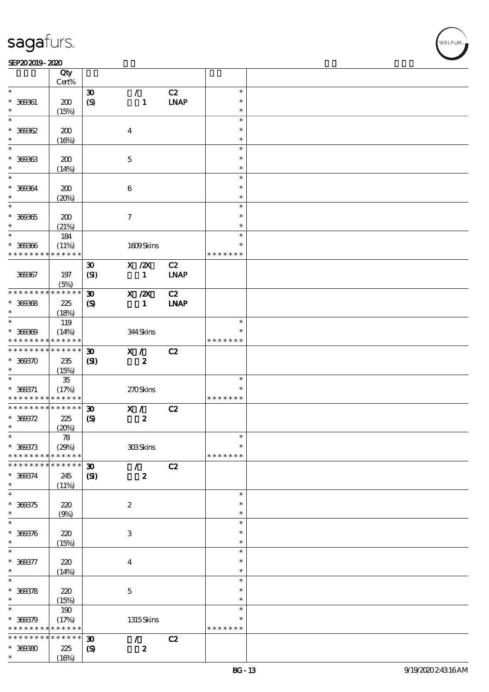$\top$ 

### SEP202019-2020 UNIVERSITY OF THE SEPERATOR SEPERATOR SEPERATOR SEPERATOR SEPERATOR SEPERATOR SEPERATOR SEPERATOR SEP

|                                  | Qty<br>Cert%               |                             |                  |             |                  |  |
|----------------------------------|----------------------------|-----------------------------|------------------|-------------|------------------|--|
| $\ast$                           |                            | $\boldsymbol{\mathfrak{D}}$ | $\mathcal{F}$    | C2          | $\ast$           |  |
| $* 360001$                       | 200                        | $\boldsymbol{\mathrm{(S)}}$ | $\mathbf{1}$     | $IMAP$      | $\ast$           |  |
| *                                | (15%)                      |                             |                  |             | $\ast$           |  |
| $\ast$                           |                            |                             |                  |             | $\ast$           |  |
| $* 30002$<br>$\ast$              | 200                        |                             | $\boldsymbol{4}$ |             | $\ast$<br>$\ast$ |  |
| $\ast$                           | (16%)                      |                             |                  |             | $\ast$           |  |
| $* 36063$                        | 200                        |                             | $\mathbf 5$      |             | $\ast$           |  |
| $\ast$                           | (14%)                      |                             |                  |             | $\ast$           |  |
| $\ast$                           |                            |                             |                  |             | $\ast$           |  |
| * 369364                         | 200                        |                             | $\bf 6$          |             | $\ast$           |  |
| $\ast$                           | (20%)                      |                             |                  |             | $\ast$           |  |
| $\ast$                           |                            |                             |                  |             | $\ast$           |  |
| $* 369365$<br>$\ast$             | 200<br>(21%)               |                             | $\tau$           |             | $\ast$<br>$\ast$ |  |
| $\ast$                           | 184                        |                             |                  |             | $\ast$           |  |
| $* 369366$                       | (11%)                      |                             | 1609Skins        |             | $\ast$           |  |
| * * * * * * * *                  | * * * * * *                |                             |                  |             | * * * * * * *    |  |
|                                  |                            | $\boldsymbol{\mathfrak{D}}$ | $X$ / $ZX$       | C2          |                  |  |
| 369367                           | 197                        | (SI)                        | $\mathbf{1}$     | <b>LNAP</b> |                  |  |
|                                  | (5%)                       |                             |                  |             |                  |  |
| * * * * * * * *                  | * * * * * *                | $\boldsymbol{\mathfrak{D}}$ | $X$ / $ZX$       | C2          |                  |  |
| $* 360008$<br>$\ast$             | 225<br>(18%)               | $\boldsymbol{\mathcal{S}}$  | $\mathbf{1}$     | <b>INAP</b> |                  |  |
| $\ast$                           | 119                        |                             |                  |             | $\ast$           |  |
| $* 30000$                        | (14%)                      |                             | 344Skins         |             |                  |  |
| * * * * * * * *                  | * * * * * *                |                             |                  |             | * * * * * * *    |  |
| * * * * * * * *                  | $* * * * * * *$            | $\boldsymbol{\mathfrak{D}}$ | X /              | C2          |                  |  |
| $* 369370$                       | 235                        | (S)                         | $\boldsymbol{z}$ |             |                  |  |
| $\ast$                           | (15%)                      |                             |                  |             |                  |  |
| $\ast$                           | ${\bf 35}$                 |                             |                  |             | $\ast$<br>$\ast$ |  |
| $* 360371$<br>* * * * * * * *    | (17%)<br>* * * * * *       |                             | 270Skins         |             | * * * * * * *    |  |
| * * * * * * * *                  | ******                     | $\boldsymbol{\mathfrak{D}}$ | X /              | C2          |                  |  |
| $* 360372$                       | 225                        | $\boldsymbol{\mathcal{S}}$  | $\boldsymbol{2}$ |             |                  |  |
| $\ast$                           | (20%)                      |                             |                  |             |                  |  |
| $\ast$                           | 78                         |                             |                  |             | $\ast$           |  |
| $* 360373$                       | (29%)                      |                             | 308Skins         |             | $\ast$           |  |
| * * * * * * * *<br>* * * * * * * | * * * * * *<br>* * * * * * | $\boldsymbol{\mathfrak{D}}$ | $\mathcal{L}$    | C2          | * * * * * * *    |  |
| $* 360374$                       | 245                        | $\mathbf{C}$                | $\boldsymbol{z}$ |             |                  |  |
| $\ast$                           | (11%)                      |                             |                  |             |                  |  |
| $\overline{\ast}$                |                            |                             |                  |             | $\ast$           |  |
| $* 300375$                       | 220                        |                             | $\boldsymbol{2}$ |             | $\ast$           |  |
| $\ast$                           | (9%)                       |                             |                  |             | $\ast$           |  |
| $\ast$                           |                            |                             |                  |             | $\ast$           |  |
| $* 369376$<br>$\ast$             | 220                        |                             | 3                |             | $\ast$<br>$\ast$ |  |
| $\ast$                           | (15%)                      |                             |                  |             | $\ast$           |  |
| $* 360377$                       | 220                        |                             | $\boldsymbol{4}$ |             | $\ast$           |  |
| $\ast$                           | (14%)                      |                             |                  |             | $\ast$           |  |
| $\ast$                           |                            |                             |                  |             | $\ast$           |  |
| $* 360378$                       | 220                        |                             | $\mathbf 5$      |             | $\ast$           |  |
| $\ast$                           | (15%)                      |                             |                  |             | $\ast$           |  |
| $\ast$                           | 190                        |                             |                  |             | $\ast$<br>$\ast$ |  |
| $* 360379$<br>* * * * * * * *    | (17%)<br>* * * * * *       |                             | $1315$ Skins     |             | * * * * * * *    |  |
| * * * * * * * *                  | * * * * * *                | $\boldsymbol{\mathfrak{D}}$ | $\mathcal{L}$    | C2          |                  |  |
| $* 36030$                        | 225                        | $\boldsymbol{\mathrm{(S)}}$ | $\pmb{2}$        |             |                  |  |
| $\ast$                           | (16%)                      |                             |                  |             |                  |  |

 $\overline{\mathbf{r}}$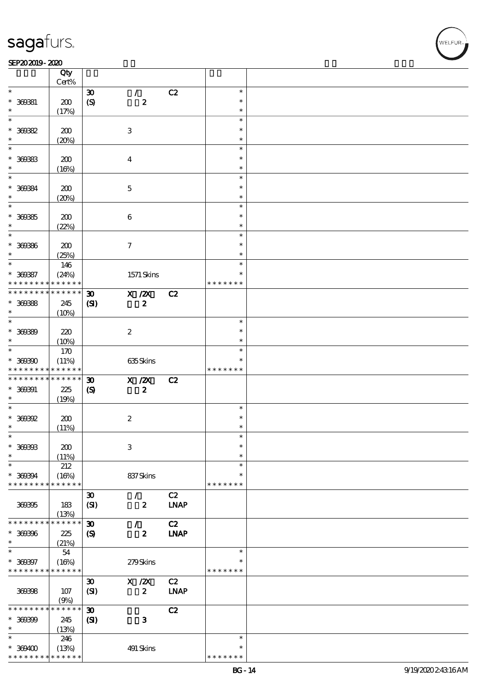### SEP202019-2020 UNIVERSITY OF THE SEPERATOR SEPERATOR SEPERATOR SEPERATOR SEPERATOR SEPERATOR SEPERATOR SEPERATOR SEP  $\frac{\text{SEP202019-2020}}{\text{Cy}}$

|                                | Qty<br>Cert%         |                             |                           |             |                         |  |
|--------------------------------|----------------------|-----------------------------|---------------------------|-------------|-------------------------|--|
| $\ast$                         |                      | $\boldsymbol{\mathfrak{D}}$ | $\mathcal{L}$             | C2          | $\ast$                  |  |
|                                |                      |                             |                           |             | $\ast$                  |  |
| $* 360381$                     | 200                  | $\boldsymbol{\mathrm{(S)}}$ | $\pmb{2}$                 |             |                         |  |
|                                | (17%)                |                             |                           |             | $\ast$                  |  |
| $\ast$                         |                      |                             |                           |             | $\ast$                  |  |
| $* 30082$                      | 200                  |                             | $\ensuremath{\mathbf{3}}$ |             | $\ast$                  |  |
| $\ast$                         |                      |                             |                           |             | $\ast$                  |  |
|                                | (20%)                |                             |                           |             |                         |  |
| $\ast$                         |                      |                             |                           |             | $\ast$                  |  |
| $* 36033$                      | 200                  |                             | $\boldsymbol{4}$          |             | $\ast$                  |  |
| $\ast$                         | (16%)                |                             |                           |             | $\ast$                  |  |
| $\ast$                         |                      |                             |                           |             |                         |  |
|                                |                      |                             |                           |             | $\ast$                  |  |
| * 369384                       | 200                  |                             | $\mathbf 5$               |             | $\ast$                  |  |
| $\ast$                         | (20%)                |                             |                           |             | $\ast$                  |  |
| $\ast$                         |                      |                             |                           |             | $\ast$                  |  |
|                                |                      |                             |                           |             |                         |  |
| $* 30085$                      | 200                  |                             | $\bf 6$                   |             | $\ast$                  |  |
| $\ast$                         | (22%)                |                             |                           |             | $\ast$                  |  |
| $\ast$                         |                      |                             |                           |             | $\ast$                  |  |
| $* 36036$                      | 200                  |                             | $\tau$                    |             | $\ast$                  |  |
|                                |                      |                             |                           |             |                         |  |
| $\ast$                         | (25%)                |                             |                           |             | $\ast$                  |  |
| $\ast$                         | 146                  |                             |                           |             | $\ast$                  |  |
| $* 360387$                     | (24%)                |                             | $1571$ Skins              |             | $\ast$                  |  |
| * * * * * * * *                | * * * * * *          |                             |                           |             | * * * * * * *           |  |
| * * * * * * * *                | * * * * * *          | $\boldsymbol{\mathfrak{D}}$ | X / ZX                    |             |                         |  |
|                                |                      |                             |                           | C2          |                         |  |
| * 369388                       | 245                  | (S)                         | $\boldsymbol{2}$          |             |                         |  |
| $\ast$                         | (10%)                |                             |                           |             |                         |  |
| $\ast$                         |                      |                             |                           |             | $\ast$                  |  |
| $* 36089$                      | 220                  |                             | $\boldsymbol{2}$          |             | $\ast$                  |  |
|                                |                      |                             |                           |             |                         |  |
| $\ast$                         | (10%)                |                             |                           |             | $\ast$                  |  |
| $\overline{\ast}$              | 170                  |                             |                           |             | $\ast$                  |  |
| $* 36000$                      | (11%)                |                             | 635Skins                  |             | $\ast$                  |  |
| * * * * * * * *                | * * * * * *          |                             |                           |             | * * * * * * *           |  |
|                                |                      |                             |                           |             |                         |  |
| * * * * * * * *                | * * * * * *          | $\boldsymbol{\mathfrak{D}}$ | $X$ / $ZX$                | C2          |                         |  |
| $* 360001$                     |                      |                             | $\boldsymbol{z}$          |             |                         |  |
|                                | 225                  |                             |                           |             |                         |  |
| $\ast$                         |                      | $\boldsymbol{\mathrm{(S)}}$ |                           |             |                         |  |
| $\ast$                         | (19%)                |                             |                           |             | $\ast$                  |  |
|                                |                      |                             |                           |             |                         |  |
| $*$ 369392                     | 200                  |                             | $\boldsymbol{2}$          |             | $\ast$                  |  |
| $\ast$                         | (11%)                |                             |                           |             | $\ast$                  |  |
| $\ast$                         |                      |                             |                           |             | $\ast$                  |  |
|                                |                      |                             |                           |             | $\ast$                  |  |
| * 369363                       | 200                  |                             | $\mathbf{3}$              |             | $\ast$                  |  |
| *                              | (11%)                |                             |                           |             |                         |  |
| $\ast$                         | 212                  |                             |                           |             | $\ast$                  |  |
| * 369394                       | (16%)                |                             | 837Skins                  |             | $\ast$                  |  |
| * * * * * * * *                | * * * * * *          |                             |                           |             | * * * * * * *           |  |
|                                |                      |                             |                           |             |                         |  |
|                                |                      | $\boldsymbol{\mathfrak{D}}$ | $\sqrt{2}$                | C2          |                         |  |
| 369365                         | 183                  | (SI)                        | $\boldsymbol{z}$          | <b>LNAP</b> |                         |  |
|                                | (13%)                |                             |                           |             |                         |  |
| * * * * * * *                  | * * * * * *          | $\boldsymbol{\mathfrak{D}}$ | $\mathcal{L}$             | C2          |                         |  |
|                                |                      |                             |                           |             |                         |  |
| * 369396<br>$\ast$             | 225                  | $\boldsymbol{S}$            | $\boldsymbol{z}$          | <b>LNAP</b> |                         |  |
|                                | (21%)                |                             |                           |             |                         |  |
| $\ast$                         | ${\bf 54}$           |                             |                           |             | $\ast$                  |  |
| * 369397                       | (16%)                |                             | 279Skins                  |             | $\ast$                  |  |
| * * * * * * * * <mark>*</mark> | * * * * * *          |                             |                           |             | * * * * * * *           |  |
|                                |                      |                             |                           |             |                         |  |
|                                |                      | $\pmb{\mathfrak{D}}$        | $X$ / $ZX$                | C2          |                         |  |
| 369398                         | 107                  | (SI)                        | $\boldsymbol{z}$          | <b>LNAP</b> |                         |  |
|                                | (9%)                 |                             |                           |             |                         |  |
| * * * * *                      | * * * * * *          | $\boldsymbol{\mathfrak{D}}$ |                           | C2          |                         |  |
|                                |                      |                             |                           |             |                         |  |
| $* 36000$                      | 245                  | (S)                         | $\mathbf{3}$              |             |                         |  |
| $\ast$                         | (13%)                |                             |                           |             |                         |  |
| $\ast$                         | 246                  |                             |                           |             | $\ast$                  |  |
| $* 369400$<br>* * * * * * * *  | (13%)<br>* * * * * * |                             | 491 Skins                 |             | $\ast$<br>* * * * * * * |  |

WELFUR<sub>1</sub>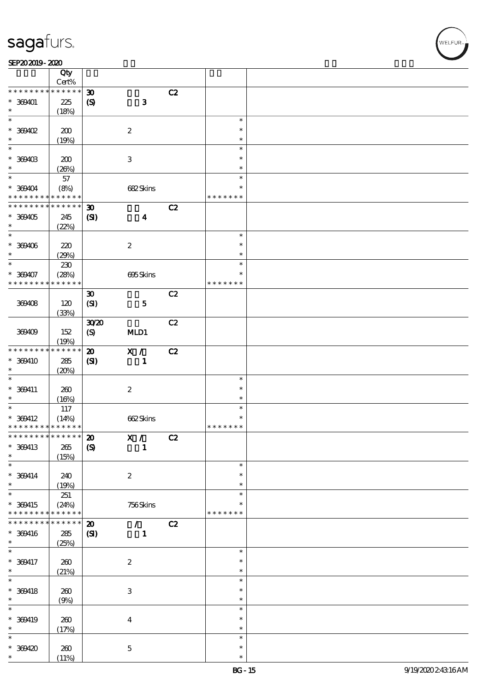$\overline{\mathsf{T}}$ 

### SEP202019-2020 UNIVERSITY OF THE SEPERATOR SEPERATOR SEPERATOR SEPERATOR SEPERATOR SEPERATOR SEPERATOR SEPERATOR SEP

|                                            | Qty<br>Cert%        |                             |                           |    |               |  |
|--------------------------------------------|---------------------|-----------------------------|---------------------------|----|---------------|--|
| * * * * * * * *                            | * * * * * *         | $\boldsymbol{\mathfrak{D}}$ |                           | C2 |               |  |
|                                            |                     |                             |                           |    |               |  |
| $* 369401$<br>$\ast$                       | 225                 | $\boldsymbol{S}$            | $\mathbf{3}$              |    |               |  |
|                                            | (18%)               |                             |                           |    |               |  |
| $\ast$                                     |                     |                             |                           |    | $\ast$        |  |
| $*$ 369402                                 | 200                 |                             | $\boldsymbol{2}$          |    | $\ast$        |  |
| $\ast$                                     | (19%)               |                             |                           |    | $\ast$        |  |
| $\overline{\ast}$                          |                     |                             |                           |    | $\ast$        |  |
| $* 369403$                                 | 200                 |                             | $\ensuremath{\mathbf{3}}$ |    | $\ast$        |  |
| $\ast$                                     | (20%)               |                             |                           |    | $\ast$        |  |
| $\overline{\ast}$                          | $57\,$              |                             |                           |    | $\ast$        |  |
|                                            |                     |                             |                           |    | $\ast$        |  |
| $* 369404$<br>* * * * * * * *              | (8%)<br>* * * * * * |                             | 682Skins                  |    | * * * * * * * |  |
|                                            |                     |                             |                           |    |               |  |
| * * * * * * * *                            | * * * * * *         | $\boldsymbol{\mathfrak{D}}$ |                           | C2 |               |  |
| $* 309405$                                 | 245                 | (SI)                        | $\boldsymbol{4}$          |    |               |  |
| $\ast$                                     | (22%)               |                             |                           |    |               |  |
| $\ast$                                     |                     |                             |                           |    | $\ast$        |  |
| $* 309406$                                 | 220                 |                             | $\boldsymbol{2}$          |    | $\ast$        |  |
| $\ast$                                     | (29%)               |                             |                           |    | $\ast$        |  |
| $\ast$                                     | $230\,$             |                             |                           |    | $\ast$        |  |
| $* 309407$                                 | (28%)               |                             | 695Skins                  |    | $\ast$        |  |
| * * * * * * * *                            | * * * * *           |                             |                           |    | * * * * * * * |  |
|                                            |                     |                             |                           |    |               |  |
|                                            |                     | $\boldsymbol{\mathfrak{D}}$ |                           | C2 |               |  |
| 369408                                     | 120                 | (SI)                        | $\mathbf{5}$              |    |               |  |
|                                            | (33%)               |                             |                           |    |               |  |
|                                            |                     | 3020                        |                           | C2 |               |  |
| 369409                                     | 152                 | (S)                         | MLD1                      |    |               |  |
|                                            | (19%)               |                             |                           |    |               |  |
| * * * * * * * *                            | * * * * * *         | $\boldsymbol{\mathfrak{D}}$ | X /                       | C2 |               |  |
| $* 369410$                                 | $285\,$             | (S)                         | $\mathbf{1}$              |    |               |  |
| $\ast$                                     | (20%)               |                             |                           |    |               |  |
| $\ast$                                     |                     |                             |                           |    | $\ast$        |  |
|                                            |                     |                             |                           |    |               |  |
|                                            |                     |                             |                           |    |               |  |
| $* 369411$                                 | 260                 |                             | $\boldsymbol{2}$          |    | $\ast$        |  |
| $\ast$                                     | (16%)               |                             |                           |    | $\ast$        |  |
| $\overline{\ast}$                          | 117                 |                             |                           |    | $\ast$        |  |
| $* 309412$                                 | (14%)               |                             | 662Skins                  |    | $\ast$        |  |
| * * * * * * * * <mark>* * * * * * *</mark> |                     |                             |                           |    | * * * * * * * |  |
|                                            |                     |                             |                           | C2 |               |  |
| ************** 20                          |                     |                             | X /                       |    |               |  |
| $* 369413$<br>$\ast$                       | $265\,$             | $\boldsymbol{\mathcal{S}}$  | $\mathbf{1}$              |    |               |  |
| $\ast$                                     | (15%)               |                             |                           |    | $\ast$        |  |
|                                            |                     |                             |                           |    | $\ast$        |  |
| $* 369414$                                 | 240                 |                             | $\boldsymbol{2}$          |    |               |  |
| $\ast$                                     | (19%)               |                             |                           |    | $\ast$        |  |
| $\ast$                                     | 251                 |                             |                           |    | $\ast$        |  |
| $* 369415$                                 | (24%)               |                             | 756Skins                  |    | *             |  |
| * * * * * * * *                            | * * * * * *         |                             |                           |    | * * * * * * * |  |
| * * * * * * *                              | * * * * * *         | $\boldsymbol{\mathbf{z}}$   | $\mathcal{F}$             | C2 |               |  |
| $* 309416$                                 | ${\bf 285}$         | (S)                         | $\mathbf{1}$              |    |               |  |
| $\ast$                                     | (25%)               |                             |                           |    |               |  |
| $\ast$                                     |                     |                             |                           |    | $\ast$        |  |
|                                            |                     |                             |                           |    | $\ast$        |  |
| $* 309417$<br>$\ast$                       | 260                 |                             | $\boldsymbol{2}$          |    | $\ast$        |  |
| $\overline{\ast}$                          | (21%)               |                             |                           |    | $\ast$        |  |
|                                            |                     |                             |                           |    | $\ast$        |  |
| $* 369418$                                 | 260                 |                             | $\,3$                     |    |               |  |
| $\ast$                                     | (9%)                |                             |                           |    | $\ast$        |  |
| $\ast$                                     |                     |                             |                           |    | $\ast$        |  |
| * 369419                                   | 260                 |                             | $\boldsymbol{4}$          |    | $\ast$        |  |
| $\ast$                                     | (17%)               |                             |                           |    | $\ast$        |  |
| $\ast$                                     |                     |                             |                           |    | $\ast$        |  |
| $* 309420$                                 | 260                 |                             | $\mathbf 5$               |    | $\ast$        |  |

 $\overline{\mathsf{T}}$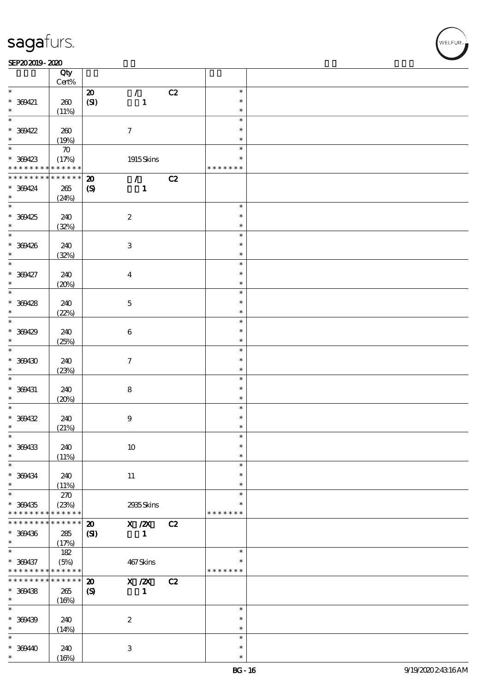### SEP202019-2020

|                          | Qty<br>$Cert\%$    |                             |                                                     |    |               |  |
|--------------------------|--------------------|-----------------------------|-----------------------------------------------------|----|---------------|--|
| $\ast$                   |                    |                             |                                                     |    | $\ast$        |  |
|                          |                    | $\pmb{\mathcal{D}}$         | $\mathcal{L}$                                       | C2 | $\ast$        |  |
| $* 300421$               | 260                | (SI)                        | $\mathbf{1}$                                        |    |               |  |
| $\ast$                   | (11%)              |                             |                                                     |    | $\ast$        |  |
| $\overline{\ast}$        |                    |                             |                                                     |    | $\ast$        |  |
| $* 300422$               | 260                |                             | $\boldsymbol{\tau}$                                 |    | $\ast$        |  |
| $\ast$                   | (19%)              |                             |                                                     |    | $\ast$        |  |
| $\overline{\ast}$        | $\boldsymbol{\pi}$ |                             |                                                     |    | $\ast$        |  |
| $* 309423$               | (17%)              |                             | 1915Skins                                           |    | $\ast$        |  |
| * * * * * * * *          | * * * * * *        |                             |                                                     |    | * * * * * * * |  |
| * * * * * * * *          | * * * * * *        | $\boldsymbol{\mathfrak{D}}$ | $\mathcal{T}$                                       | C2 |               |  |
| $* 309424$               | $265\,$            | $\boldsymbol{\mathrm{(S)}}$ | $\mathbf{1}$                                        |    |               |  |
| $\ast$                   |                    |                             |                                                     |    |               |  |
| $\overline{\phantom{0}}$ | (24%)              |                             |                                                     |    | $\ast$        |  |
|                          |                    |                             |                                                     |    |               |  |
| $* 30425$                | 240                |                             | $\boldsymbol{2}$                                    |    | $\ast$        |  |
| $\ast$                   | (32%)              |                             |                                                     |    | $\ast$        |  |
| $*$                      |                    |                             |                                                     |    | $\ast$        |  |
| * 369426                 | 240                |                             | $\ensuremath{\mathbf{3}}$                           |    | $\ast$        |  |
| $\ast$                   | (32%)              |                             |                                                     |    | $\ast$        |  |
| $\ast$                   |                    |                             |                                                     |    | $\ast$        |  |
| $* 300427$               | 240                |                             | $\boldsymbol{4}$                                    |    | $\ast$        |  |
| $\ast$                   | (20%)              |                             |                                                     |    | $\ast$        |  |
| $\overline{\ast}$        |                    |                             |                                                     |    | $\ast$        |  |
| $* 309428$               | 240                |                             | $\mathbf 5$                                         |    | $\ast$        |  |
| $\ast$                   |                    |                             |                                                     |    | $\ast$        |  |
| $\ast$                   | (22%)              |                             |                                                     |    |               |  |
|                          |                    |                             |                                                     |    | $\ast$        |  |
| $* 309429$               | 240                |                             | $\boldsymbol{6}$                                    |    | $\ast$        |  |
| $\ast$                   | (25%)              |                             |                                                     |    | $\ast$        |  |
| $\ast$                   |                    |                             |                                                     |    | $\ast$        |  |
| $* 300430$               | 240                |                             | $\boldsymbol{\tau}$                                 |    | $\ast$        |  |
| $\ast$                   | (23%)              |                             |                                                     |    | $\ast$        |  |
| $\ast$                   |                    |                             |                                                     |    | $\ast$        |  |
| $* 369431$               | 240                |                             | ${\bf 8}$                                           |    | $\ast$        |  |
| $\ast$                   | (20%)              |                             |                                                     |    | $\ast$        |  |
| $\ast$                   |                    |                             |                                                     |    | $\ast$        |  |
| $* 300432$               | 240                |                             | $9$                                                 |    | $\ast$        |  |
| $\ast$                   |                    |                             |                                                     |    | $\ast$        |  |
| $\ast$                   | (21%)              |                             |                                                     |    | $\ast$        |  |
|                          |                    |                             |                                                     |    |               |  |
| * 369433                 | 240                |                             | $10\,$                                              |    | $\ast$        |  |
| $\ast$                   | (11%)              |                             |                                                     |    | $\ast$        |  |
| $\ast$                   |                    |                             |                                                     |    | $\ast$        |  |
| $* 300434$               | 240                |                             | 11                                                  |    | $\ast$        |  |
| $\ast$                   | (11%)              |                             |                                                     |    | $\ast$        |  |
| $\ast$                   | 270                |                             |                                                     |    | $\ast$        |  |
| $* 309435$               | (23%)              |                             | 2935Skins                                           |    | *             |  |
| * * * * * * * *          | * * * * * *        |                             |                                                     |    | * * * * * * * |  |
| * * * * * * * *          | * * * * * *        | $\boldsymbol{\mathbf{z}}$   | X / ZX                                              | C2 |               |  |
| * 369436                 | 285                | (S)                         | $\mathbf{1}$                                        |    |               |  |
| $\ast$                   |                    |                             |                                                     |    |               |  |
| $\ast$                   | (17%)              |                             |                                                     |    | $\ast$        |  |
|                          | 182                |                             |                                                     |    | $\ast$        |  |
| $* 309437$               | (5%)               |                             | 467Skins                                            |    |               |  |
| * * * * * * * *          | * * * * * *        |                             |                                                     |    | * * * * * * * |  |
| * * * * * * * *          | $* * * * * * *$    | $\boldsymbol{\mathfrak{D}}$ | $\boldsymbol{X}$ / $\boldsymbol{Z}\!\boldsymbol{X}$ | C2 |               |  |
| * 369438                 | 265                | $\boldsymbol{\mathrm{(S)}}$ | $\mathbf{1}$                                        |    |               |  |
| $\ast$                   | (16%)              |                             |                                                     |    |               |  |
| $\ast$                   |                    |                             |                                                     |    | $\ast$        |  |
| $* 309439$               | 240                |                             | $\boldsymbol{2}$                                    |    | $\ast$        |  |
| $\ast$                   | (14%)              |                             |                                                     |    | $\ast$        |  |
| $\ast$                   |                    |                             |                                                     |    | $\ast$        |  |
| $* 36940$                | 240                |                             | 3                                                   |    | $\ast$        |  |
| $\ast$                   | (16%)              |                             |                                                     |    | $\ast$        |  |
|                          |                    |                             |                                                     |    |               |  |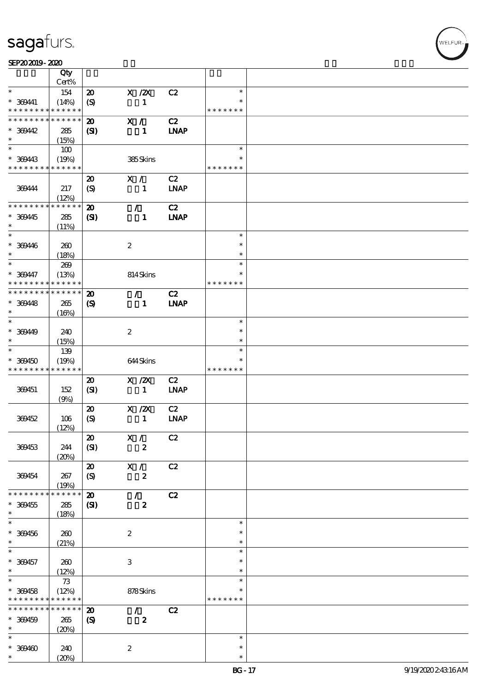### SEP202019-2020

|                               | Qty                  |                             |                           |                              |                         |  |
|-------------------------------|----------------------|-----------------------------|---------------------------|------------------------------|-------------------------|--|
|                               | Cert%                |                             |                           |                              |                         |  |
| $\ast$                        | 154                  | $\boldsymbol{\mathsf{20}}$  | $X$ / $ZX$                | C2                           | $\ast$                  |  |
| $* 369441$<br>* * * * * * * * | (14%)<br>* * * * * * | $\boldsymbol{S}$            | $\mathbf{1}$              |                              | $\ast$<br>* * * * * * * |  |
| * * * * * * * *               | * * * * * *          | $\boldsymbol{\mathfrak{D}}$ | X /                       | C2                           |                         |  |
| $* 36942$                     | 285                  | (S)                         | $\mathbf{1}$              | <b>LNAP</b>                  |                         |  |
| $\ast$                        | (15%)                |                             |                           |                              |                         |  |
| $\ast$                        | 100                  |                             |                           |                              | $\ast$                  |  |
| $* 36943$                     | (19%)                |                             | 385Skins                  |                              | ∗                       |  |
| * * * * * * * * * * * * * *   |                      |                             |                           |                              | * * * * * * *           |  |
|                               |                      | $\boldsymbol{\mathfrak{D}}$ | X /                       | C2                           |                         |  |
| 369444                        | 217                  | $\boldsymbol{S}$            | $\mathbf{1}$              | <b>LNAP</b>                  |                         |  |
|                               | (12%)                |                             |                           |                              |                         |  |
| * * * * * * * *               | * * * * * *          | $\boldsymbol{\mathfrak{D}}$ | $\mathcal{L}$             | C2                           |                         |  |
| $* 36945$                     | 285                  | (S)                         | $\mathbf{1}$              | <b>INAP</b>                  |                         |  |
| $\ast$                        | (11%)                |                             |                           |                              |                         |  |
| $\ast$                        |                      |                             |                           |                              | $\ast$                  |  |
| $* 300446$                    | 260                  |                             | $\boldsymbol{z}$          |                              | $\ast$                  |  |
| $\ast$                        | (18%)                |                             |                           |                              | $\ast$                  |  |
| $\ast$                        | 269                  |                             |                           |                              | $\ast$                  |  |
| $* 369447$                    | (13%)                |                             | 814Skins                  |                              | $\ast$                  |  |
| * * * * * * * *               | * * * * * *          |                             |                           |                              | * * * * * * *           |  |
| * * * * * * * *               | * * * * * *          | $\boldsymbol{\mathbf{z}}$   | $\mathcal{F}$             | C2                           |                         |  |
| $* 36948$                     | 265                  | $\boldsymbol{\mathcal{S}}$  | $\mathbf{1}$              | <b>INAP</b>                  |                         |  |
| $\ast$                        | (16%)                |                             |                           |                              |                         |  |
| $\ast$                        |                      |                             |                           |                              | $\ast$                  |  |
| $* 30040$<br>$\ast$           | 240                  |                             | $\boldsymbol{z}$          |                              | $\ast$<br>$\ast$        |  |
| $\ast$                        | (15%)                |                             |                           |                              | $\ast$                  |  |
|                               | 139                  |                             |                           |                              | ∗                       |  |
| $*369450$<br>* * * * * * * *  | (19%)<br>* * * * * * |                             | 644Skins                  |                              | * * * * * * *           |  |
|                               |                      | $\boldsymbol{\mathfrak{D}}$ | $X$ / $ZX$                | C2                           |                         |  |
| 369451                        | 152                  | (SI)                        | $\mathbf{1}$              | <b>LNAP</b>                  |                         |  |
|                               | (9%)                 |                             |                           |                              |                         |  |
|                               |                      | $\boldsymbol{\mathbf{z}}$   | $X$ / $ZX$                | C2                           |                         |  |
| 369452                        | 106                  | $\boldsymbol{S}$            | $\mathbf{1}$              | $\ensuremath{\mathbf{INAP}}$ |                         |  |
|                               | (12%)                |                             |                           |                              |                         |  |
|                               |                      | $\pmb{x}$                   | X /                       | C2                           |                         |  |
| 369453                        | 244                  | (SI)                        | $\boldsymbol{2}$          |                              |                         |  |
|                               | (20%)                |                             |                           |                              |                         |  |
|                               |                      | $\boldsymbol{\mathfrak{D}}$ | X / C                     | C2                           |                         |  |
| 369454                        | 267                  | $\boldsymbol{S}$            | $\pmb{2}$                 |                              |                         |  |
| * * * * * * * *               | (19%)<br>* * * * * * |                             |                           |                              |                         |  |
| $* 309455$                    | 285                  | $\boldsymbol{\mathfrak{D}}$ | $\mathcal{L}$             | C2                           |                         |  |
| $\ast$                        | (18%)                | $\mathbf{S}$                | $\boldsymbol{z}$          |                              |                         |  |
| $\ast$                        |                      |                             |                           |                              | $\ast$                  |  |
| $* 309456$                    | 260                  |                             | $\boldsymbol{z}$          |                              | $\ast$                  |  |
| $\ast$                        | (21%)                |                             |                           |                              | $\ast$                  |  |
| $\ast$                        |                      |                             |                           |                              | $\ast$                  |  |
| $* 369457$                    | 260                  |                             | $\ensuremath{\mathsf{3}}$ |                              | $\ast$                  |  |
| $\ast$                        | (12%)                |                             |                           |                              | $\ast$                  |  |
| $\ast$                        | 73                   |                             |                           |                              | $\ast$                  |  |
| $* 369458$                    | (12%)                |                             | 878Skins                  |                              | ∗                       |  |
| * * * * * * * *               | * * * * * *          |                             |                           |                              | * * * * * * *           |  |
| * * * * * * * *               | * * * * * *          | $\boldsymbol{\mathbf{z}}$   | $\mathcal{T}$             | C2                           |                         |  |
| $* 369459$                    | 265                  | $\boldsymbol{\mathrm{(S)}}$ | $\boldsymbol{z}$          |                              |                         |  |
| $\ast$                        | (20%)                |                             |                           |                              |                         |  |
| $\ast$                        |                      |                             |                           |                              | $\ast$                  |  |
| $* 369400$<br>$\ast$          | 240                  |                             | $\boldsymbol{2}$          |                              | $\ast$<br>$\ast$        |  |
|                               | (20%)                |                             |                           |                              |                         |  |

,<br>WELFUR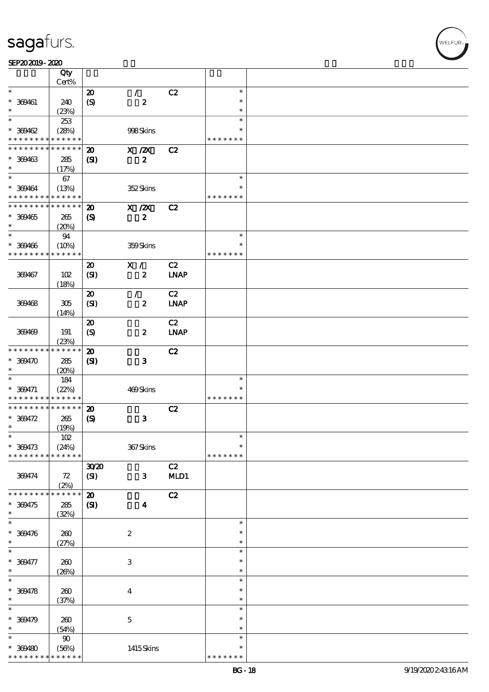### SEP202019-2020 UNIVERSITY OF THE SEPERATOR SEPERATOR SEPERATOR SEPERATOR SEPERATOR SEPERATOR SEPERATOR SEPERATOR SEP

|                   | Qty         |                             |                  |             |                  |  |
|-------------------|-------------|-----------------------------|------------------|-------------|------------------|--|
| $\ast$            | Cert%       |                             |                  |             |                  |  |
|                   |             | $\boldsymbol{\mathbf{z}}$   | $\mathcal{L}$    | C2          | $\ast$           |  |
| $* 369461$        | 240         | $\boldsymbol{S}$            | $\pmb{2}$        |             | $\ast$           |  |
| $\ast$            | (23%)       |                             |                  |             | $\ast$           |  |
| $\ast$            | 253         |                             |                  |             | $\ast$           |  |
| $* 309462$        | (28%)       |                             | 998Skins         |             | $\ast$           |  |
| * * * * * * * *   | * * * * * * |                             |                  |             | * * * * * * *    |  |
| * * * * * * *     | * * * * * * | $\boldsymbol{\mathbf{z}}$   | $X \, /ZX$       | C2          |                  |  |
| $* 369463$        | 285         | $\mathbf{C}$                | $\boldsymbol{z}$ |             |                  |  |
| $\ast$            | (17%)       |                             |                  |             |                  |  |
| $\overline{\ast}$ | 67          |                             |                  |             | $\ast$           |  |
| $* 369464$        | (13%)       |                             | 352Skins         |             | $\ast$           |  |
| * * * * * * * *   | * * * * * * |                             |                  |             | * * * * * * *    |  |
| * * * * * * * *   | * * * * * * | $\boldsymbol{\mathbf{z}}$   | $X$ / $ZX$       | C2          |                  |  |
| $* 309465$        | 265         | $\boldsymbol{\mathcal{S}}$  | $\boldsymbol{z}$ |             |                  |  |
| $\ast$            | (20%)       |                             |                  |             |                  |  |
| $\ast$            | 94          |                             |                  |             | $\ast$           |  |
| $* 309406$        | (10%)       |                             | 359Skins         |             | $\ast$           |  |
| * * * * * * * *   | * * * * * * |                             |                  |             | * * * * * * *    |  |
|                   |             | $\boldsymbol{\mathsf{20}}$  | X /              | C2          |                  |  |
| 369467            | 102         | (SI)                        | $\boldsymbol{2}$ | <b>LNAP</b> |                  |  |
|                   | (18%)       |                             |                  |             |                  |  |
|                   |             | $\boldsymbol{\mathsf{20}}$  | $\mathcal{L}$    | C2          |                  |  |
| 369468            | 305         | (SI)                        | $\boldsymbol{z}$ | <b>LNAP</b> |                  |  |
|                   | (14%)       |                             |                  |             |                  |  |
|                   |             | $\boldsymbol{\mathbf{z}}$   |                  | C2          |                  |  |
| 369469            | 191         | $\boldsymbol{S}$            | $\boldsymbol{z}$ | <b>LNAP</b> |                  |  |
|                   | (23%)       |                             |                  |             |                  |  |
| * * * * * * * *   | * * * * * * | $\boldsymbol{\mathbf{z}}$   |                  | C2          |                  |  |
| $* 369470$        | 285         | $\mathbf{S}$                | $\mathbf{3}$     |             |                  |  |
| $\ast$            | (20%)       |                             |                  |             |                  |  |
| $\ast$            | 184         |                             |                  |             | $\ast$           |  |
| $* 309471$        | (22%)       |                             | 469Skins         |             | $\ast$           |  |
| * * * * * * * *   | * * * * * * |                             |                  |             | * * * * * * *    |  |
| * * * * * * * *   | * * * * * * | $\boldsymbol{\mathbf{z}}$   |                  | C2          |                  |  |
| $* 369472$        | 265         | $\boldsymbol{\mathrm{(S)}}$ | $\mathbf{3}$     |             |                  |  |
| $\ast$            | (19%)       |                             |                  |             |                  |  |
| $\ast$            | 102         |                             |                  |             | $\ast$           |  |
| $* 309473$        | (24%)       |                             | 367Skins         |             | $\ast$           |  |
| * * * * * * * *   | * * * * * * |                             |                  |             | * * * * * * *    |  |
|                   |             | 3020                        |                  | C2          |                  |  |
| 369474            | 72          | (SI)                        | 3                | MLD1        |                  |  |
|                   | (2%)        |                             |                  |             |                  |  |
| * * * * * * *     | * * * * *   | $\boldsymbol{\mathfrak{D}}$ |                  | C2          |                  |  |
| $* 309475$        | 285         | $\mathbf{C}$                | $\boldsymbol{4}$ |             |                  |  |
| $\ast$            | (32%)       |                             |                  |             |                  |  |
| $\ast$            |             |                             |                  |             | $\ast$           |  |
| $* 309476$        | $200$       |                             | $\boldsymbol{2}$ |             | $\ast$           |  |
| $\ast$<br>$\ast$  | (27%)       |                             |                  |             | $\ast$<br>$\ast$ |  |
|                   |             |                             |                  |             |                  |  |
| $* 309477$        | 260         |                             | $\,3$            |             | $\ast$           |  |
| $\ast$<br>$\ast$  | (20%)       |                             |                  |             | $\ast$           |  |
|                   |             |                             |                  |             | $\ast$           |  |
| $* 309478$        | 260         |                             | $\boldsymbol{4}$ |             | $\ast$           |  |
| $\ast$            | (37%)       |                             |                  |             | $\ast$           |  |
| $\ast$            |             |                             |                  |             | $\ast$           |  |
| $* 309479$        | 260         |                             | $\bf 5$          |             | $\ast$           |  |
| $\ast$            | (54%)       |                             |                  |             | $\ast$           |  |
| $\ast$            | 90          |                             |                  |             | $\ast$           |  |
| $* 309480$        | (56%)       |                             | 1415Skins        |             | $\ast$           |  |
| * * * * * * *     | * * * * * * |                             |                  |             | * * * * * * *    |  |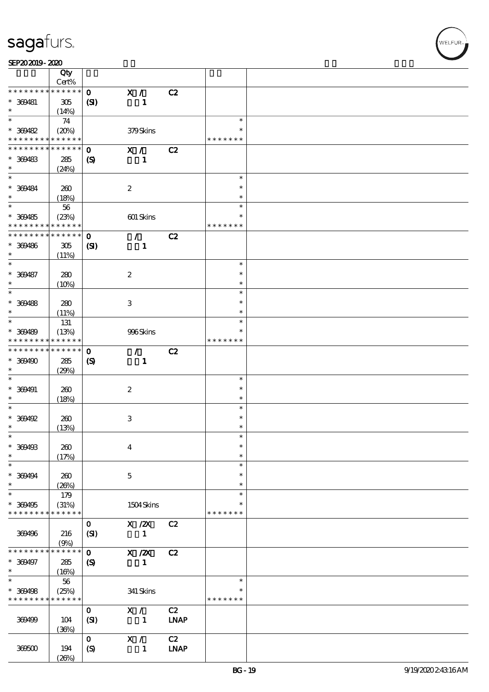|                                          | Qty                  |                            |                  |             |               |  |
|------------------------------------------|----------------------|----------------------------|------------------|-------------|---------------|--|
|                                          | Cert%<br>* * * * * * |                            |                  |             |               |  |
| * * * * * * * *                          |                      | $\mathbf{O}$               | X /              | C2          |               |  |
| $* 369481$                               | $305\,$              | (SI)                       | $\mathbf{1}$     |             |               |  |
| $\ast$                                   | (14%)                |                            |                  |             |               |  |
| $\ast$                                   | 74                   |                            |                  |             | $\ast$        |  |
| $*309482$                                | (20%)                |                            | 379Skins         |             | $\ast$        |  |
| * * * * * * * * <mark>* * * * * *</mark> |                      |                            |                  |             | * * * * * * * |  |
| * * * * * * * *                          | * * * * * *          | $\mathbf{o}$               | X /              | C2          |               |  |
| $* 309483$                               | 285                  | $\boldsymbol{\mathcal{S}}$ | 1                |             |               |  |
| $\ast$                                   | (24%)                |                            |                  |             |               |  |
| $\ast$                                   |                      |                            |                  |             | $\ast$        |  |
|                                          |                      |                            |                  |             |               |  |
| $* 369484$                               | 260                  |                            | $\boldsymbol{2}$ |             | $\ast$        |  |
| $\ast$                                   | (18%)                |                            |                  |             | $\ast$        |  |
| $\overline{\ast}$                        | 56                   |                            |                  |             | $\ast$        |  |
| $* 309485$                               | (23%)                |                            | 601 Skins        |             | $\ast$        |  |
| * * * * * * * *                          | * * * * * *          |                            |                  |             | * * * * * * * |  |
| * * * * * * * *                          | * * * * * *          | $\mathbf{o}$               | $\mathcal{L}$    | C2          |               |  |
| $* 369486$                               | 305                  | (S)                        | $\mathbf{1}$     |             |               |  |
| $\ast$                                   |                      |                            |                  |             |               |  |
| $\ast$                                   | (11%)                |                            |                  |             | $\ast$        |  |
|                                          |                      |                            |                  |             |               |  |
| $* 369487$                               | 280                  |                            | $\boldsymbol{2}$ |             | $\ast$        |  |
| $\ast$                                   | (10%)                |                            |                  |             | $\ast$        |  |
| $\ast$                                   |                      |                            |                  |             | $\ast$        |  |
| $* 309488$                               | 280                  |                            | $\,3$            |             | $\ast$        |  |
| $\ast$                                   | (11%)                |                            |                  |             | $\ast$        |  |
| $\ast$                                   | 131                  |                            |                  |             | $\ast$        |  |
| $* 309489$                               | (13%)                |                            | 996Skins         |             | $\ast$        |  |
| * * * * * * * *                          | * * * * * *          |                            |                  |             | * * * * * * * |  |
| * * * * * * * *                          | * * * * * *          |                            |                  |             |               |  |
|                                          |                      | $\mathbf 0$                | $\mathcal{L}$    | C2          |               |  |
| $* 369490$                               | 285                  | $\boldsymbol{S}$           | $\mathbf{1}$     |             |               |  |
| $\ast$                                   | (29%)                |                            |                  |             |               |  |
| $\ast$                                   |                      |                            |                  |             | $\ast$        |  |
| $* 369491$                               | 260                  |                            | $\boldsymbol{2}$ |             | $\ast$        |  |
| $\ast$                                   | (18%)                |                            |                  |             | $\ast$        |  |
| $\ast$                                   |                      |                            |                  |             | $\ast$        |  |
| $* 369492$                               | 260                  |                            | $\,3$            |             | $\ast$        |  |
| $\ast$                                   | (13%)                |                            |                  |             | $\ast$        |  |
| $\ast$                                   |                      |                            |                  |             | $\ast$        |  |
| $* 309493$                               | 260                  |                            | $\boldsymbol{4}$ |             | $\ast$        |  |
| $\ast$                                   |                      |                            |                  |             | $\ast$        |  |
| $\ast$                                   | (17%)                |                            |                  |             | $\ast$        |  |
|                                          |                      |                            |                  |             |               |  |
| $* 369494$                               | 260                  |                            | $\mathbf{5}$     |             | $\ast$        |  |
| $\ast$                                   | (20%)                |                            |                  |             | $\ast$        |  |
| $\ast$                                   | 179                  |                            |                  |             | $\ast$        |  |
| $* 369495$                               | (31%)                |                            | 1504Skins        |             | ∗             |  |
| * * * * * * * *                          | * * * * * *          |                            |                  |             | * * * * * * * |  |
|                                          |                      | $\mathbf{O}$               | $X$ / $ZX$       | C2          |               |  |
| 369496                                   | 216                  | (SI)                       | $\mathbf{1}$     |             |               |  |
|                                          | (9%)                 |                            |                  |             |               |  |
| * * * * * * * *                          | * * * * * *          | $\mathbf{o}$               | X / ZX           | C2          |               |  |
|                                          |                      |                            |                  |             |               |  |
| $* 369497$<br>$\ast$                     | $285\,$              | $\boldsymbol{\mathcal{S}}$ | $\mathbf{1}$     |             |               |  |
| $\overline{\ast}$                        | (16%)                |                            |                  |             |               |  |
|                                          | 56                   |                            |                  |             | $\ast$        |  |
| $* 309498$                               | (25%)                |                            | 341 Skins        |             | $\ast$        |  |
| * * * * * * * * * * * * * *              |                      |                            |                  |             | * * * * * * * |  |
|                                          |                      | $\mathbf{o}$               | X /              | C2          |               |  |
| 369499                                   | 104                  | (SI)                       | $\mathbf{1}$     | <b>LNAP</b> |               |  |
|                                          | (36%)                |                            |                  |             |               |  |
|                                          |                      | $\mathbf{o}$               | X /              | C2          |               |  |
| 366600                                   | 194                  | $\boldsymbol{S}$           | $\mathbf{1}$     | <b>LNAP</b> |               |  |
|                                          | (20%)                |                            |                  |             |               |  |
|                                          |                      |                            |                  |             |               |  |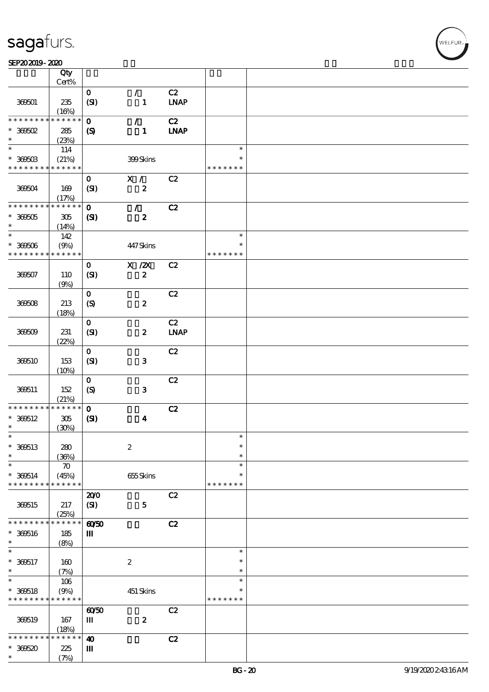$\top$ 

### SEP202019-2020 UNIVERSITY OF THE SEPERATOR SEPERATOR SEPERATOR SEPERATOR SEPERATOR SEPERATOR SEPERATOR SEPERATOR SEP

|                                  | Qty<br>$Cert\%$      |                            |                               |                   |                            |  |
|----------------------------------|----------------------|----------------------------|-------------------------------|-------------------|----------------------------|--|
|                                  |                      |                            |                               |                   |                            |  |
| 369501                           | 235<br>(16%)         | $\mathbf{O}$<br>(SI)       | $\mathcal{L}$<br>$\mathbf{1}$ | C2<br><b>LNAP</b> |                            |  |
| * * * * * * * *                  | * * * * * *          | $\mathbf{o}$               |                               |                   |                            |  |
| $*36662$<br>$\ast$               | 285<br>(23%)         | $\boldsymbol{\mathcal{S}}$ | $\mathcal{L}$<br>$\mathbf{1}$ | C2<br><b>LNAP</b> |                            |  |
| $*$<br>$*$ 369503                | 114<br>(21%)         |                            | 399Skins                      |                   | $\ast$                     |  |
| * * * * * * * * * * * * * *      |                      |                            |                               |                   | * * * * * * *              |  |
| 369504                           | 169<br>(17%)         | $\mathbf{O}$<br>(SI)       | X /<br>$\boldsymbol{z}$       | C2                |                            |  |
| * * * * * * * *                  | * * * * * *          | $\mathbf{O}$               | $\mathcal{L}$                 | C2                |                            |  |
| $^\ast$ 369505<br>$\ast$         | 305<br>(14%)         | (S)                        | $\boldsymbol{z}$              |                   |                            |  |
| $*$                              | 142                  |                            |                               |                   | $\ast$                     |  |
| $^\ast$ 36666<br>* * * * * * * * | (9%)<br>* * * * * *  |                            | 447Skins                      |                   | $\ast$<br>* * * * * * *    |  |
|                                  |                      | $\mathbf{O}$               | $X$ / $ZX$                    | C2                |                            |  |
| 36607                            | 110<br>(9%)          | (SI)                       | $\boldsymbol{z}$              |                   |                            |  |
|                                  |                      | $\mathbf{o}$               |                               | C2                |                            |  |
| 366608                           | 213<br>(18%)         | (S)                        | $\boldsymbol{z}$              |                   |                            |  |
| 36609                            | 231<br>(22%)         | $\mathbf{O}$<br>(SI)       | $\boldsymbol{z}$              | C2<br><b>INAP</b> |                            |  |
|                                  |                      | $\mathbf{O}$               |                               | C2                |                            |  |
| 366510                           | 153<br>(10%)         | (SI)                       | $\mathbf{3}$                  |                   |                            |  |
|                                  |                      | $\mathbf{o}$               |                               | C2                |                            |  |
| 366511                           | 152<br>(21%)         | $\boldsymbol{S}$           | $\mathbf{3}$                  |                   |                            |  |
| * * * * * * * *                  | * * * * * *          | $\mathbf{o}$               |                               | C2                |                            |  |
| $* 360512$<br>$\ast$             | $305\,$<br>(30%)     | (S)                        | $\overline{\mathbf{4}}$       |                   |                            |  |
| $\ast$                           |                      |                            |                               |                   | $\ast$                     |  |
| $* 366513$<br>$\ast$<br>$\ast$   | 280<br>(36%)         |                            | $\boldsymbol{2}$              |                   | $\ast$<br>$\ast$<br>$\ast$ |  |
|                                  | $\boldsymbol{\pi}$   |                            |                               |                   |                            |  |
| $* 366514$<br>* * * * * * * *    | (45%)<br>* * * * * * | 200                        | 655Skins                      | C2                | ∗<br>* * * * * * *         |  |
| 366515                           | 217<br>(25%)         | (SI)                       | ${\bf 5}$                     |                   |                            |  |
| * * * * * * *                    | * * * * * *          | $\omega\omega$             |                               | C2                |                            |  |
| $* 360516$                       | $185\,$              | Ш                          |                               |                   |                            |  |
| $\ast$                           | (8%)                 |                            |                               |                   |                            |  |
| $\ast$                           |                      |                            |                               |                   | $\ast$                     |  |
| $* 360517$<br>$\ast$             | 160<br>(7%)          |                            | $\boldsymbol{2}$              |                   | $\ast$<br>$\ast$           |  |
| $\ast$                           | 106                  |                            |                               |                   | $\ast$                     |  |
| $* 366518$<br>* * * * * * * *    | (9%)<br>* * * * * *  |                            | 451 Skins                     |                   | ∗<br>* * * * * * *         |  |
|                                  |                      | $\omega$ 50                |                               | C2                |                            |  |
| 369519                           | 167<br>(18%)         | Ш                          | $\boldsymbol{z}$              |                   |                            |  |
| * * * * *                        | * * * * * *          | $\boldsymbol{\omega}$      |                               | C2                |                            |  |
| $*300520$<br>$\ast$              | 225<br>(7%)          | Ш                          |                               |                   |                            |  |

 $\top$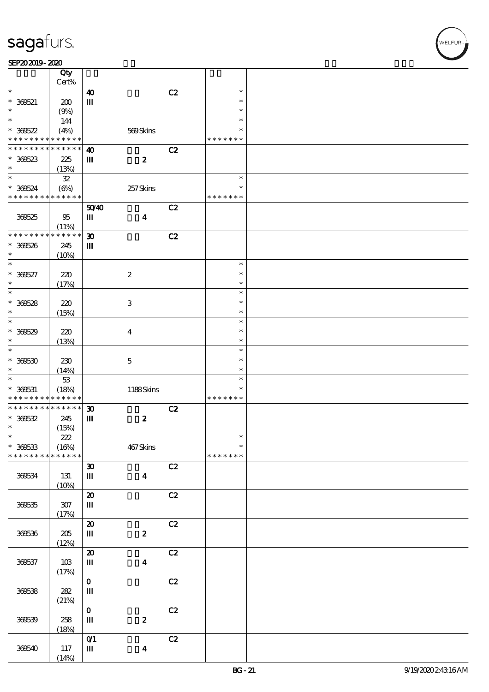| SEP202019-2020<br>_____<br>---------- |
|---------------------------------------|
|---------------------------------------|

|                             | Qty<br>Cert%               |                                       |                  |    |               |  |
|-----------------------------|----------------------------|---------------------------------------|------------------|----|---------------|--|
| $\ast$                      |                            | $\boldsymbol{\omega}$                 |                  | C2 | $\ast$        |  |
| $* 360521$                  | 200                        | $\mathbf{m}$                          |                  |    | $\ast$        |  |
| $\ast$                      | (9%)                       |                                       |                  |    | $\ast$        |  |
| $\ast$                      | 144                        |                                       |                  |    | $\ast$        |  |
| $* 300522$                  | (4%)                       |                                       | 569Skins         |    | $\ast$        |  |
| * * * * * * * *             | $* * * * * * *$            |                                       |                  |    | * * * * * * * |  |
| * * * * * * *               | $\ast\ast\ast\ast\ast\ast$ | $\boldsymbol{\omega}$                 |                  | C2 |               |  |
| $* 300523$                  | 225                        | Ш                                     | $\boldsymbol{z}$ |    |               |  |
| $\ast$                      | (13%)                      |                                       |                  |    |               |  |
| $\ast$                      | ${\bf 3\!}$                |                                       |                  |    | $\ast$        |  |
| $* 300524$                  | $(\Theta)$                 |                                       | 257Skins         |    | $\ast$        |  |
| * * * * * * * * * * * * * * |                            |                                       |                  |    | * * * * * * * |  |
|                             |                            | 5040                                  |                  | C2 |               |  |
| 366525                      | 95                         | $\rm I\hspace{-.1em}I\hspace{-.1em}I$ | $\boldsymbol{4}$ |    |               |  |
|                             | (11%)                      |                                       |                  |    |               |  |
| * * * * * * * *             | $******$                   | $\boldsymbol{\mathfrak{D}}$           |                  | C2 |               |  |
| $* 300526$                  | 245                        | Ш                                     |                  |    |               |  |
| $\ast$                      | (10%)                      |                                       |                  |    |               |  |
| $\ast$                      |                            |                                       |                  |    | $\ast$        |  |
| $* 300527$                  | 220                        |                                       | $\boldsymbol{2}$ |    | $\ast$        |  |
| $\ast$                      | (17%)                      |                                       |                  |    | $\ast$        |  |
| $\ast$                      |                            |                                       |                  |    | $\ast$        |  |
| $* 300528$                  | 220                        |                                       | 3                |    | $\ast$        |  |
| $\ast$                      | (15%)                      |                                       |                  |    | $\ast$        |  |
| $\ast$                      |                            |                                       |                  |    | $\ast$        |  |
| $* 300529$                  | 220                        |                                       | $\bf{4}$         |    | $\ast$        |  |
| $\ast$                      | (13%)                      |                                       |                  |    | $\ast$        |  |
| $\ast$                      |                            |                                       |                  |    | $\ast$        |  |
| $* 300530$                  | 230                        |                                       | $\mathbf 5$      |    | $\ast$        |  |
| $\ast$                      | (14%)                      |                                       |                  |    | $\ast$        |  |
| $\ast$                      | $5\!3$                     |                                       |                  |    | $\ast$        |  |
| $* 366631$                  | (18%)                      |                                       | 1188Skins        |    | $\ast$        |  |
| * * * * * * * *             | * * * * * *                |                                       |                  |    | * * * * * * * |  |
| * * * * * * * * * * * * * * |                            | $\boldsymbol{\mathfrak{D}}$           |                  | C2 |               |  |
| $* 300532$<br>$\ast$        | 245                        | $\mathbf m$                           | $\boldsymbol{z}$ |    |               |  |
| $\ast$                      | (15%)<br>$222\,$           |                                       |                  |    | $\ast$        |  |
| $* 300533$                  | (16%)                      |                                       | 467Skins         |    | $\ast$        |  |
| * * * * * * * *             | * * * * * *                |                                       |                  |    | * * * * * * * |  |
|                             |                            | $\boldsymbol{\mathfrak{D}}$           |                  | C2 |               |  |
| 366534                      | 131                        | $\mathbf m$                           | $\boldsymbol{4}$ |    |               |  |
|                             | (10%)                      |                                       |                  |    |               |  |
|                             |                            | $\pmb{\mathcal{Z}}$                   |                  | C2 |               |  |
| 36635                       | $307\,$                    | $\mathbf m$                           |                  |    |               |  |
|                             | (17%)                      |                                       |                  |    |               |  |
|                             |                            | $\boldsymbol{\mathbf{z}}$             |                  | C2 |               |  |
| 366536                      | $205\,$                    | $\rm I\hspace{-.1em}I\hspace{-.1em}I$ | $\pmb{2}$        |    |               |  |
|                             | (12%)                      |                                       |                  |    |               |  |
|                             |                            | $\boldsymbol{\mathfrak{D}}$           |                  | C2 |               |  |
| 366537                      | $10B$                      | Ш                                     | $\boldsymbol{4}$ |    |               |  |
|                             | (17%)                      |                                       |                  |    |               |  |
|                             |                            | $\mathbf{o}$                          |                  | C2 |               |  |
| 36638                       | 282                        | $\mathbf{m}$                          |                  |    |               |  |
|                             | (21%)                      |                                       |                  |    |               |  |
|                             |                            | $\mathbf O$                           |                  | C2 |               |  |
| 339539                      | 258                        | $\rm I\hspace{-.1em}I\hspace{-.1em}I$ | $\pmb{2}$        |    |               |  |
|                             | (18%)                      |                                       |                  |    |               |  |
|                             |                            | $O$ <sup><math>\prime</math></sup>    |                  | C2 |               |  |
| 36640                       | 117                        | Ш                                     | $\boldsymbol{4}$ |    |               |  |
|                             | (14%)                      |                                       |                  |    |               |  |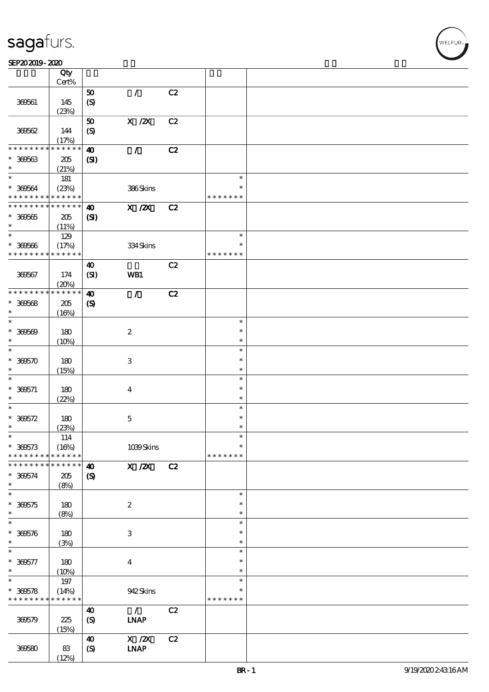┯

### SEP202019-2020 UNIVERSITY OF THE CONTROL OF THE CONTROL OF THE CONTROL OF THE CONTROL OF THE CONTROL OF THE CO

|                      | Qty<br>Cert%         |                            |                  |    |               |  |
|----------------------|----------------------|----------------------------|------------------|----|---------------|--|
|                      |                      | ${\bf 50}$                 | $\mathcal{L}$    | C2 |               |  |
| 369561               | 145                  |                            |                  |    |               |  |
|                      |                      | $\pmb{\in}$                |                  |    |               |  |
|                      | (23%)                |                            |                  |    |               |  |
|                      |                      | 50                         | $X$ / $ZX$       | C2 |               |  |
| 36662                | 144                  | (S)                        |                  |    |               |  |
|                      | (17%)                |                            |                  |    |               |  |
| * * * * * * *        | * * * * * *          | $\boldsymbol{\omega}$      | $\mathcal{L}$    | C2 |               |  |
| $* 300663$           | 205                  | $\mathbf{C}$               |                  |    |               |  |
| $\ast$               | (21%)                |                            |                  |    |               |  |
| $*$                  | 181                  |                            |                  |    | $\ast$        |  |
| $* 36664$            | (23%)                |                            | 386Skins         |    | $\ast$        |  |
| * * * * * * * *      | * * * * * *          |                            |                  |    | * * * * * * * |  |
| * * * * * * * *      | * * * * * *          | $\boldsymbol{\omega}$      | $X$ / $ZX$       | C2 |               |  |
| $* 300565$           | 205                  | $\mathbf{C}$               |                  |    |               |  |
| $\ast$               | (11%)                |                            |                  |    |               |  |
| $*$                  | 129                  |                            |                  |    | $\ast$        |  |
| $* 30000$            | (17%)                |                            | 334Skins         |    | $\ast$        |  |
| * * * * * * * *      | * * * * * *          |                            |                  |    | * * * * * * * |  |
|                      |                      | $\boldsymbol{\omega}$      |                  | C2 |               |  |
| 369567               | 174                  |                            | <b>WB1</b>       |    |               |  |
|                      |                      | (SI)                       |                  |    |               |  |
| * * * * * * * *      | (20%)<br>* * * * * * |                            |                  |    |               |  |
|                      |                      | $\boldsymbol{\omega}$      | $\mathcal{L}$    | C2 |               |  |
| $* 300568$           | 205                  | $\boldsymbol{\mathcal{S}}$ |                  |    |               |  |
| $\ast$               | (16%)                |                            |                  |    |               |  |
| $\ast$               |                      |                            |                  |    | $\ast$        |  |
| $* 30000$            | 180                  |                            | $\boldsymbol{2}$ |    | $\ast$        |  |
| $\ast$               | (10%)                |                            |                  |    | $\ast$        |  |
| $\ast$               |                      |                            |                  |    | $\ast$        |  |
| $* 300570$           | $180$                |                            | $\,3$            |    | $\ast$        |  |
| $\ast$               | (15%)                |                            |                  |    | $\ast$        |  |
| $\ast$               |                      |                            |                  |    | $\ast$        |  |
| $* 300571$           | 180                  |                            | $\bf{4}$         |    | $\ast$        |  |
| $\ast$               | (22%)                |                            |                  |    | $\ast$        |  |
| $\ast$               |                      |                            |                  |    | $\ast$        |  |
| $* 366572$           | 180                  |                            | $\mathbf 5$      |    | $\ast$        |  |
| $\ast$               | (23%)                |                            |                  |    | $\ast$        |  |
| $\ast$               | 114                  |                            |                  |    | $\ast$        |  |
| $* 366573$           | (16%)                |                            | 1039Skins        |    | $\ast$        |  |
| * * * * * * * *      | * * * * * *          |                            |                  |    | * * * * * * * |  |
| * * * * * * *        | * * * * * *          | $\boldsymbol{\omega}$      | $X$ / $ZX$       | C2 |               |  |
| $* 300574$           | 205                  |                            |                  |    |               |  |
| $\ast$               |                      | $\boldsymbol{\mathcal{S}}$ |                  |    |               |  |
| $\overline{\ast}$    | (8%)                 |                            |                  |    | $\ast$        |  |
|                      |                      |                            |                  |    | $\ast$        |  |
| $* 300575$<br>$\ast$ | 180                  |                            | $\boldsymbol{2}$ |    |               |  |
| $\ast$               | (8%)                 |                            |                  |    | $\ast$        |  |
|                      |                      |                            |                  |    | $\ast$        |  |
| $* 366576$           | $180$                |                            | $\,3$            |    | $\ast$        |  |
| $\ast$               | (3%)                 |                            |                  |    | $\ast$        |  |
| $\ast$               |                      |                            |                  |    | $\ast$        |  |
| $* 300577$           | 180                  |                            | $\boldsymbol{4}$ |    | $\ast$        |  |
| $\ast$               | (10%)                |                            |                  |    | $\ast$        |  |
| $\ast$               | 197                  |                            |                  |    | $\ast$        |  |
| $* 366578$           | (14%)                |                            | 942Skins         |    | $\ast$        |  |
| * * * * * * * *      | * * * * * *          |                            |                  |    | * * * * * * * |  |
|                      |                      | $\boldsymbol{\omega}$      | $\mathcal{L}$    | C2 |               |  |
| 36679                | 225                  | $\boldsymbol{S}$           | <b>INAP</b>      |    |               |  |
|                      | (15%)                |                            |                  |    |               |  |
|                      |                      | $\boldsymbol{\omega}$      | $X$ / $ZX$       | C2 |               |  |
| 366580               | 83                   | $\boldsymbol{S}$           | <b>INAP</b>      |    |               |  |
|                      | (12%)                |                            |                  |    |               |  |
|                      |                      |                            |                  |    |               |  |

 $\overline{\mathbf{r}}$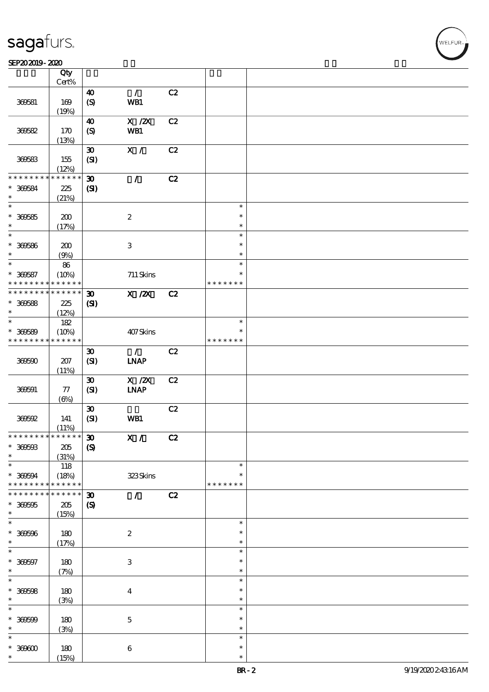$\top$ 

### SEP202019-2020 UNIVERSITY OF THE CONTROL OF THE CONTROL OF THE CONTROL OF THE CONTROL OF THE CONTROL OF THE CO

|                               | Qty<br>Cert%         |                                             |                                                     |    |                         |  |
|-------------------------------|----------------------|---------------------------------------------|-----------------------------------------------------|----|-------------------------|--|
|                               |                      |                                             | $\mathcal{L}$                                       | C2 |                         |  |
| 369581                        | 169<br>(19%)         | $\boldsymbol{\omega}$<br>$\boldsymbol{S}$   | WB1                                                 |    |                         |  |
|                               |                      |                                             | $X$ / $ZX$                                          |    |                         |  |
| 366682                        | 170                  | $\boldsymbol{\omega}$<br>$\boldsymbol{S}$   | WB1                                                 | C2 |                         |  |
|                               | (13%)                |                                             |                                                     |    |                         |  |
| 366683                        | 155<br>(12%)         | $\boldsymbol{\mathfrak{D}}$<br>(SI)         | X /                                                 | C2 |                         |  |
| * * * * * * * *               | * * * * * *          |                                             | $\mathcal{L}$                                       |    |                         |  |
| * 360584<br>$\ast$            | 225<br>(21%)         | $\boldsymbol{\mathfrak{D}}$<br>$\mathbf{S}$ |                                                     | C2 |                         |  |
| $\ast$                        |                      |                                             |                                                     |    | $\ast$                  |  |
| $* 300585$<br>$\ast$          | 200<br>(17%)         |                                             | $\boldsymbol{2}$                                    |    | $\ast$<br>$\ast$        |  |
| $\ast$                        |                      |                                             |                                                     |    | $\ast$                  |  |
| $* 300586$<br>$\ast$          | 200<br>(9%)          |                                             | $\,3$                                               |    | $\ast$<br>$\ast$        |  |
| $\ast$                        | 86                   |                                             |                                                     |    | $\ast$                  |  |
| $* 366687$<br>* * * * * * * * | (10%)<br>* * * * * * |                                             | 711 Skins                                           |    | $\ast$<br>* * * * * * * |  |
| * * * * * * * *               | * * * * * *          | $\boldsymbol{\mathfrak{D}}$                 | $X$ / $ZX$                                          | C2 |                         |  |
| $* 300588$                    | 225                  | $\mathbf{C}$                                |                                                     |    |                         |  |
| $\ast$                        | (12%)                |                                             |                                                     |    |                         |  |
| $\ast$                        | 182                  |                                             |                                                     |    | $\ast$                  |  |
| $* 366589$                    | (10%)                |                                             | 407Skins                                            |    |                         |  |
| * * * * * * * *               | * * * * * *          |                                             |                                                     |    | * * * * * * *           |  |
|                               |                      | $\boldsymbol{\mathfrak{D}}$                 | $\mathcal{L}$                                       | C2 |                         |  |
| 36660                         | 207<br>(11%)         | (SI)                                        | <b>INAP</b>                                         |    |                         |  |
|                               |                      | $\boldsymbol{\mathfrak{D}}$                 | $\boldsymbol{X}$ / $\boldsymbol{Z}\!\boldsymbol{X}$ | C2 |                         |  |
| 369591                        | ${\bf 77}$           | (SI)                                        | $\ensuremath{\text{INAP}}$                          |    |                         |  |
|                               | $(\Theta)$           |                                             |                                                     |    |                         |  |
| 366692                        | 141<br>(11%)         | $\boldsymbol{\mathfrak{D}}$<br>(SI)         | WB1                                                 | C2 |                         |  |
| * * * * * * * * * * * * * * * |                      | $\boldsymbol{\mathfrak{D}}$                 | X /                                                 | C2 |                         |  |
| $* 36668$<br>$\ast$           | $205\,$<br>(31%)     | $\boldsymbol{\mathcal{S}}$                  |                                                     |    |                         |  |
| $\ast$                        | 118                  |                                             |                                                     |    | $\ast$                  |  |
| * 366594                      | (18%)                |                                             | 323Skins                                            |    | *                       |  |
| * * * * * * * *               | * * * * * *          |                                             |                                                     |    | * * * * * * *           |  |
| * * * * * * *                 | $***$ * * *          | $\boldsymbol{\mathfrak{D}}$                 | $\mathcal{L}$                                       | C2 |                         |  |
| $* 300005$                    | 205                  | $\boldsymbol{\mathrm{(S)}}$                 |                                                     |    |                         |  |
| $\ast$<br>$\ast$              | (15%)                |                                             |                                                     |    |                         |  |
|                               |                      |                                             |                                                     |    | $\ast$                  |  |
| $* 30000$                     | $180\,$              |                                             | $\boldsymbol{2}$                                    |    | $\ast$                  |  |
| $\ast$<br>$\ast$              | (17%)                |                                             |                                                     |    | $\ast$                  |  |
|                               |                      |                                             |                                                     |    | $\ast$                  |  |
| $* 30007$                     | 180                  |                                             | $\,3$                                               |    | $\ast$                  |  |
| $\ast$<br>$\ast$              | (7%)                 |                                             |                                                     |    | $\ast$                  |  |
|                               |                      |                                             |                                                     |    | $\ast$                  |  |
| $* 30008$                     | 180                  |                                             | $\boldsymbol{4}$                                    |    | $\ast$                  |  |
| $\ast$                        | (3%)                 |                                             |                                                     |    | $\ast$                  |  |
| $\ast$                        |                      |                                             |                                                     |    | $\ast$                  |  |
| $* 30000$                     | 180                  |                                             | $\mathbf 5$                                         |    | $\ast$                  |  |
| $\ast$                        | (3%)                 |                                             |                                                     |    | $\ast$                  |  |
| $\ast$                        |                      |                                             |                                                     |    | $\ast$                  |  |
| $*36000$                      | 180                  |                                             | $\boldsymbol{6}$                                    |    | $\ast$                  |  |
|                               | (15%)                |                                             |                                                     |    | $\ast$                  |  |

 $\overline{\mathbf{r}}$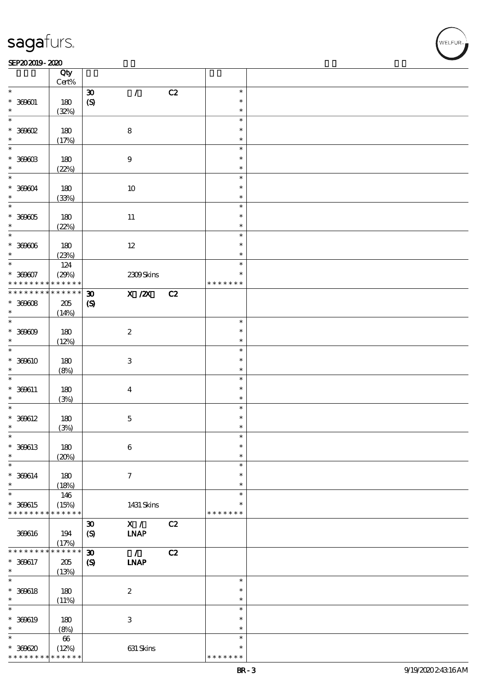### SEP202019-2020 UNIVERSITY OF THE CONTROL OF THE CONTROL OF THE CONTROL OF THE CONTROL OF THE CONTROL OF THE CO  $\frac{\text{SP202019 - 2020}}{\text{C}}$

|                   | Qty<br>Cert% |                             |                           |    |               |  |
|-------------------|--------------|-----------------------------|---------------------------|----|---------------|--|
| $\ast$            |              |                             | $\mathcal{L}$             | C2 | $\ast$        |  |
|                   |              | $\pmb{\mathfrak{D}}$        |                           |    |               |  |
| $* 30001$         | 180          | $\boldsymbol{\mathrm{(S)}}$ |                           |    | $\ast$        |  |
| $\ast$            | (32%)        |                             |                           |    | $\ast$        |  |
| $\ast$            |              |                             |                           |    | $\ast$        |  |
| $*30002$          | 180          |                             | $\bf 8$                   |    | $\ast$        |  |
|                   |              |                             |                           |    |               |  |
| $\ast$            | (17%)        |                             |                           |    | $\ast$        |  |
| $\overline{\ast}$ |              |                             |                           |    | $\ast$        |  |
| $*$ 369603        | 180          |                             | $\boldsymbol{9}$          |    | $\ast$        |  |
| $\ast$            |              |                             |                           |    | $\ast$        |  |
| $\ast$            | (22%)        |                             |                           |    | $\ast$        |  |
|                   |              |                             |                           |    |               |  |
| $* 36004$         | 180          |                             | $10\,$                    |    | $\ast$        |  |
| $\ast$            | (33%)        |                             |                           |    | $\ast$        |  |
| $\overline{\ast}$ |              |                             |                           |    | $\ast$        |  |
| $* 30005$         | 180          |                             | $11\,$                    |    | $\ast$        |  |
|                   |              |                             |                           |    |               |  |
| $\ast$            | (22%)        |                             |                           |    | $\ast$        |  |
| $\ast$            |              |                             |                           |    | $\ast$        |  |
| $* 36000$         | 180          |                             | $12\,$                    |    | $\ast$        |  |
| $\ast$            | (23%)        |                             |                           |    | $\ast$        |  |
| $\overline{\ast}$ |              |                             |                           |    | $\ast$        |  |
|                   | 124          |                             |                           |    |               |  |
| $* 30007$         | (29%)        |                             | 2309Skins                 |    | $\ast$        |  |
| * * * * * * * *   | * * * * * *  |                             |                           |    | * * * * * * * |  |
| * * * * * * * *   | $******$     | $\boldsymbol{\mathfrak{D}}$ | $X$ / $ZX$                | C2 |               |  |
| $* 30008$         | $205\,$      | $\boldsymbol{S}$            |                           |    |               |  |
| $\ast$            |              |                             |                           |    |               |  |
|                   | (14%)        |                             |                           |    |               |  |
| $\ast$            |              |                             |                           |    | $\ast$        |  |
| $* 30000$         | 180          |                             | $\boldsymbol{2}$          |    | $\ast$        |  |
| $\ast$            | (12%)        |                             |                           |    | $\ast$        |  |
| $\overline{\ast}$ |              |                             |                           |    | $\ast$        |  |
|                   |              |                             |                           |    |               |  |
| $* 360610$        | 180          |                             | $\ensuremath{\mathbf{3}}$ |    | $\ast$        |  |
| $\ast$            | (8%)         |                             |                           |    | $\ast$        |  |
| $\ast$            |              |                             |                           |    | $\ast$        |  |
| $* 360611$        | 180          |                             | $\boldsymbol{4}$          |    | $\ast$        |  |
|                   |              |                             |                           |    | $\ast$        |  |
| $\ast$            | (3%)         |                             |                           |    |               |  |
| $\ast$            |              |                             |                           |    | $\ast$        |  |
| $* 360612$        | 180          |                             | $\mathbf 5$               |    | $\ast$        |  |
| $\ast$            | (3%)         |                             |                           |    | $\ast$        |  |
| $\ast$            |              |                             |                           |    | $\ast$        |  |
|                   |              |                             |                           |    |               |  |
| * 369613          | 180          |                             | $\boldsymbol{6}$          |    | $\ast$        |  |
| $\ast$            | (20%)        |                             |                           |    | $\ast$        |  |
| $\ast$            |              |                             |                           |    | $\ast$        |  |
| $* 360614$        | 180          |                             | $\tau$                    |    | $\ast$        |  |
| $\ast$            |              |                             |                           |    | $\ast$        |  |
|                   | (18%)        |                             |                           |    |               |  |
| $\ast$            | 146          |                             |                           |    | $\ast$        |  |
| * 360615          | (15%)        |                             | 1431 Skins                |    | *             |  |
| * * * * * * * *   | * * * * * *  |                             |                           |    | * * * * * * * |  |
|                   |              | $\boldsymbol{\mathfrak{D}}$ | X /                       | C2 |               |  |
|                   |              |                             |                           |    |               |  |
| 369616            | 194          | (S)                         | <b>LNAP</b>               |    |               |  |
|                   | (17%)        |                             |                           |    |               |  |
| * * * * * * *     | * * * * *    | $\boldsymbol{\mathfrak{D}}$ | $\mathcal{L}$             | C2 |               |  |
| * 369617          | $205\,$      | $\boldsymbol{\mathrm{(S)}}$ | <b>INAP</b>               |    |               |  |
| $\ast$            | (13%)        |                             |                           |    |               |  |
| $\ast$            |              |                             |                           |    | $\ast$        |  |
|                   |              |                             |                           |    |               |  |
| $* 360618$        | 180          |                             | $\boldsymbol{2}$          |    | $\ast$        |  |
| $\ast$            | (11%)        |                             |                           |    | $\ast$        |  |
| $\ast$            |              |                             |                           |    | $\ast$        |  |
|                   |              |                             |                           |    | $\ast$        |  |
| * 360619          | 180          |                             | 3                         |    |               |  |
| $\ast$            | (8%)         |                             |                           |    | $\ast$        |  |
| $\ast$            | $66\,$       |                             |                           |    | $\ast$        |  |
| $*30000$          | (12%)        |                             | 631 Skins                 |    | $\ast$        |  |
| * * * * * * * *   | * * * * * *  |                             |                           |    | * * * * * * * |  |
|                   |              |                             |                           |    |               |  |

**VELFUR**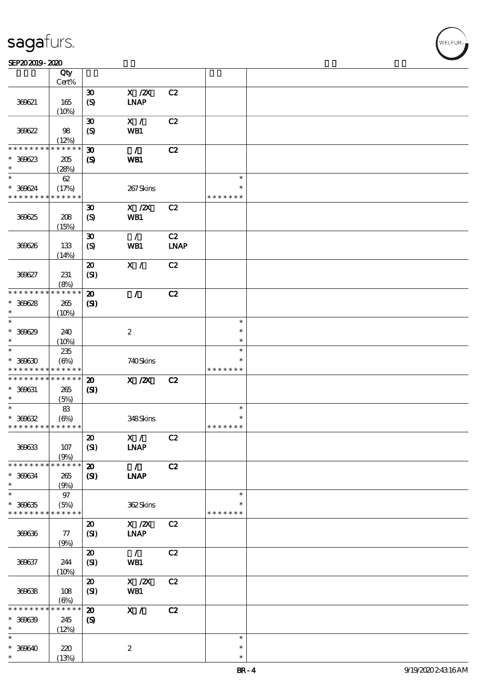### SEP202019-2020

|                                            | Qty                  |                                                 |                                                 |             |                         |  |
|--------------------------------------------|----------------------|-------------------------------------------------|-------------------------------------------------|-------------|-------------------------|--|
|                                            | Cert%                |                                                 |                                                 |             |                         |  |
| 369621                                     | 165                  | $\boldsymbol{\mathfrak{D}}$<br>$\boldsymbol{S}$ | $\overline{X}$ / $\overline{Z}X$<br><b>INAP</b> | C2          |                         |  |
|                                            | (10%)                |                                                 |                                                 |             |                         |  |
|                                            |                      | $\boldsymbol{\mathfrak{D}}$                     | X /                                             | C2          |                         |  |
| 36622                                      | 98                   | (S)                                             | WB1                                             |             |                         |  |
| * * * * * * * *                            | (12%)<br>* * * * * * |                                                 |                                                 |             |                         |  |
|                                            |                      | $\boldsymbol{\mathfrak{D}}$                     | $\mathcal{L}$                                   | C2          |                         |  |
| $* 300023$<br>$\ast$                       | 205<br>(28%)         | (S)                                             | WB1                                             |             |                         |  |
| $\ast$                                     | $62\,$               |                                                 |                                                 |             | $\ast$                  |  |
| $* 36624$                                  | (17%)                |                                                 | 267Skins                                        |             | $\ast$                  |  |
| * * * * * * * * <mark>* * * * * *</mark>   |                      |                                                 |                                                 |             | * * * * * * *           |  |
|                                            |                      | $\boldsymbol{\mathfrak{D}}$                     | $X$ / $ZX$                                      | C2          |                         |  |
| 360625                                     | 208                  | $\boldsymbol{S}$                                | WB1                                             |             |                         |  |
|                                            | (15%)                |                                                 |                                                 |             |                         |  |
|                                            |                      | $\boldsymbol{\mathfrak{D}}$                     | $\mathcal{L}$                                   | C2          |                         |  |
| 36626                                      | 133                  | $\boldsymbol{S}$                                | WB1                                             | <b>LNAP</b> |                         |  |
|                                            | (14%)                | $\boldsymbol{\mathsf{20}}$                      | X /                                             | C2          |                         |  |
| 36627                                      | 231                  | (SI)                                            |                                                 |             |                         |  |
|                                            | (8%)                 |                                                 |                                                 |             |                         |  |
| * * * * * * * *                            | * * * * * *          | $\boldsymbol{\mathbf{z}}$                       | $\mathcal{L}$                                   | C2          |                         |  |
| $* 300028$                                 | 265                  | $\mathbf{C}$                                    |                                                 |             |                         |  |
| $\ast$                                     | (10%)                |                                                 |                                                 |             |                         |  |
| $\ast$                                     |                      |                                                 |                                                 |             | $\ast$                  |  |
| $* 300029$<br>$\ast$                       | 240                  |                                                 | $\boldsymbol{2}$                                |             | $\ast$                  |  |
| $\ast$                                     | (10%)                |                                                 |                                                 |             | $\ast$<br>$\ast$        |  |
| $* 30000$                                  | 235<br>$(\Theta\% )$ |                                                 | 740Skins                                        |             | $\ast$                  |  |
| * * * * * * * * <mark>* * * * * * *</mark> |                      |                                                 |                                                 |             | * * * * * * *           |  |
| * * * * * * * * * * * * * * *              |                      | $\boldsymbol{\mathbf{z}}$                       | X / ZX                                          | C2          |                         |  |
| $* 360631$                                 | 265                  | $\mathbf{C}$                                    |                                                 |             |                         |  |
| $\ast$                                     | (5%)                 |                                                 |                                                 |             |                         |  |
| $\ast$                                     | 83                   |                                                 |                                                 |             | $\ast$                  |  |
| $* 300632$<br>* * * * * * * * * * * * * *  | (6%)                 |                                                 | 348Skins                                        |             | $\ast$<br>* * * * * * * |  |
|                                            |                      | $\pmb{\mathcal{Z}}$                             | X /                                             | C2          |                         |  |
| 36633                                      | 107                  | (SI)                                            | <b>LNAP</b>                                     |             |                         |  |
|                                            | (9%)                 |                                                 |                                                 |             |                         |  |
| * * * * * * * *                            | * * * * * *          | $\boldsymbol{\mathbf{z}}$                       | $\mathcal{L}$                                   | C2          |                         |  |
| $* 300634$                                 | 265                  | (S)                                             | <b>INAP</b>                                     |             |                         |  |
| $\ast$                                     | (9%)                 |                                                 |                                                 |             |                         |  |
| $\ast$                                     | $97\,$               |                                                 |                                                 |             | $\ast$<br>∗             |  |
| $* 30035$<br>* * * * * * * * * * * * * *   | (5%)                 |                                                 | 362Skins                                        |             | * * * * * * *           |  |
|                                            |                      | $\boldsymbol{\mathfrak{D}}$                     | $X$ / $ZX$                                      | C2          |                         |  |
| 36636                                      | ${\bf \pi}$          | (SI)                                            | <b>INAP</b>                                     |             |                         |  |
|                                            | (9%)                 |                                                 |                                                 |             |                         |  |
|                                            |                      | $\boldsymbol{\mathsf{20}}$                      | $\mathcal{L}$                                   | C2          |                         |  |
| 36637                                      | 244                  | (SI)                                            | WB1                                             |             |                         |  |
|                                            | (10%)                |                                                 |                                                 |             |                         |  |
|                                            |                      | $\boldsymbol{\mathsf{20}}$                      | $X$ / $ZX$                                      | C2          |                         |  |
| 36638                                      | 108<br>$(\Theta)$    | (SI)                                            | WB1                                             |             |                         |  |
| * * * * * *                                | * * * * * *          | $\boldsymbol{\mathbf{z}}$                       | X /                                             | C2          |                         |  |
| $* 30000$                                  | 245                  | $\boldsymbol{\mathcal{S}}$                      |                                                 |             |                         |  |
| $\ast$                                     | (12%)                |                                                 |                                                 |             |                         |  |
| $\ast$                                     |                      |                                                 |                                                 |             | $\ast$                  |  |
|                                            |                      |                                                 |                                                 |             |                         |  |
| $* 300640$<br>$\ast$                       | 220<br>(13%)         |                                                 | $\boldsymbol{z}$                                |             | $\ast$<br>$\ast$        |  |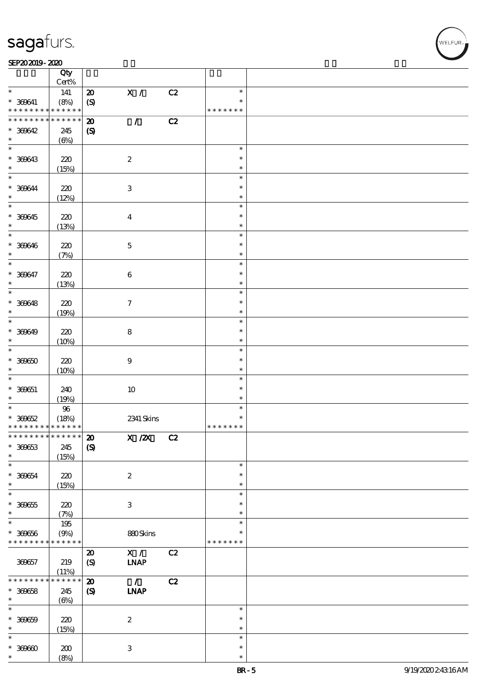$\top$ 

### SEP202019-2020 UNIVERSITY OF THE CONTROL OF THE CONTROL OF THE CONTROL OF THE CONTROL OF THE CONTROL OF THE CO

|                                            | Qty<br>Cert%               |                             |                           |    |               |  |
|--------------------------------------------|----------------------------|-----------------------------|---------------------------|----|---------------|--|
| $\ast$                                     | 141                        | $\pmb{\mathcal{D}}$         | X /                       | C2 | $\ast$        |  |
|                                            |                            |                             |                           |    | $\ast$        |  |
| $* 360641$<br>* * * * * * * *              | (8%)<br>* * * * * *        | $\boldsymbol{S}$            |                           |    | * * * * * * * |  |
|                                            |                            |                             |                           |    |               |  |
| * * * * * * * *                            | $\ast\ast\ast\ast\ast\ast$ | $\boldsymbol{\mathbf{z}}$   | $\mathcal{L}$             | C2 |               |  |
| $* 300642$                                 | 245                        | $\boldsymbol{S}$            |                           |    |               |  |
| $\ast$                                     | $(\Theta)$                 |                             |                           |    |               |  |
| $\overline{\ast}$                          |                            |                             |                           |    | $\ast$        |  |
| * 369643                                   | 220                        |                             | $\boldsymbol{2}$          |    | $\ast$        |  |
| $\ast$                                     | (15%)                      |                             |                           |    | $\ast$        |  |
| $\overline{\ast}$                          |                            |                             |                           |    | $\ast$        |  |
|                                            |                            |                             |                           |    | $\ast$        |  |
| $* 366644$                                 | 220                        |                             | $\ensuremath{\mathbf{3}}$ |    |               |  |
| $\ast$                                     | (12%)                      |                             |                           |    | $\ast$        |  |
|                                            |                            |                             |                           |    | $\ast$        |  |
| $* 300645$                                 | 220                        |                             | $\boldsymbol{4}$          |    | $\ast$        |  |
| $\ast$                                     | (13%)                      |                             |                           |    | $\ast$        |  |
| $*$                                        |                            |                             |                           |    | $\ast$        |  |
| $* 366646$                                 | 220                        |                             | $\mathbf 5$               |    | $\ast$        |  |
| $\ast$                                     | (7%)                       |                             |                           |    | $\ast$        |  |
| $\overline{\ast}$                          |                            |                             |                           |    | $\ast$        |  |
|                                            |                            |                             |                           |    | $\ast$        |  |
| * 369647                                   | 220                        |                             | $\bf 6$                   |    |               |  |
| $\ast$                                     | (13%)                      |                             |                           |    | $\ast$        |  |
| $\overline{\ast}$                          |                            |                             |                           |    | $\ast$        |  |
| $* 300648$                                 | 220                        |                             | $\tau$                    |    | $\ast$        |  |
| $\ast$                                     | (19%)                      |                             |                           |    | $\ast$        |  |
| $\ast$                                     |                            |                             |                           |    | $\ast$        |  |
| $* 300649$                                 | 220                        |                             | $\bf 8$                   |    | $\ast$        |  |
| $\ast$                                     | (10%)                      |                             |                           |    | $\ast$        |  |
| $\overline{\ast}$                          |                            |                             |                           |    | $\ast$        |  |
|                                            |                            |                             |                           |    |               |  |
| $* 30000$                                  | 220                        |                             | $9$                       |    | $\ast$        |  |
| $\ast$                                     | (10%)                      |                             |                           |    | $\ast$        |  |
| $\ast$                                     |                            |                             |                           |    | $\ast$        |  |
| $* 30051$                                  | 240                        |                             | $10\,$                    |    | $\ast$        |  |
| $\ast$                                     | (19%)                      |                             |                           |    | $\ast$        |  |
| $\overline{\phantom{0}}$                   | $9\!6$                     |                             |                           |    | $\ast$        |  |
| $* 30062$                                  | (18%)                      |                             | 2341 Skins                |    | $\ast$        |  |
| * * * * * * * * <mark>* * * * * * *</mark> |                            |                             |                           |    | * * * * * * * |  |
| ************** 20                          |                            |                             |                           |    |               |  |
|                                            |                            |                             | X / ZX C2                 |    |               |  |
| $* 30063$                                  | 245                        | $\boldsymbol{\mathrm{(S)}}$ |                           |    |               |  |
| $\ast$                                     | (15%)                      |                             |                           |    |               |  |
| $\ast$                                     |                            |                             |                           |    | $\ast$        |  |
| $* 30054$                                  | 220                        |                             | $\boldsymbol{2}$          |    | $\ast$        |  |
| $\ast$                                     | (15%)                      |                             |                           |    | $\ast$        |  |
| $\ast$                                     |                            |                             |                           |    | $\ast$        |  |
| $* 300055$                                 | 220                        |                             | $\ensuremath{\mathbf{3}}$ |    | $\ast$        |  |
| $\ast$                                     | (7%)                       |                             |                           |    | $\ast$        |  |
| $\ast$                                     | 195                        |                             |                           |    | $\ast$        |  |
| $* 300006$                                 | (9%)                       |                             | 880Skins                  |    | *             |  |
| * * * * * * * *                            | * * * * * *                |                             |                           |    | * * * * * * * |  |
|                                            |                            |                             |                           |    |               |  |
|                                            |                            | $\boldsymbol{\mathfrak{D}}$ | X /                       | C2 |               |  |
| 369657                                     | 219                        | (S)                         | <b>INAP</b>               |    |               |  |
|                                            | (11%)                      |                             |                           |    |               |  |
| * * * * * * * *                            | * * * * * *                | $\boldsymbol{\mathbf{z}}$   | $\mathcal{L}$             | C2 |               |  |
| $* 300658$                                 | 245                        | $\boldsymbol{\mathrm{(S)}}$ | <b>INAP</b>               |    |               |  |
| $\ast$                                     | $(\Theta\%)$               |                             |                           |    |               |  |
| $\ast$                                     |                            |                             |                           |    | $\ast$        |  |
| $* 30000$                                  | 220                        |                             | $\boldsymbol{2}$          |    | $\ast$        |  |
| $\ast$                                     |                            |                             |                           |    | $\ast$        |  |
|                                            | (15%)                      |                             |                           |    |               |  |
| $\ast$                                     |                            |                             |                           |    | $\ast$        |  |
| $* 30000$                                  | 200                        |                             | 3                         |    | $\ast$        |  |
| $\ast$                                     | (8%)                       |                             |                           |    | $\ast$        |  |

 $\overline{\mathbf{r}}$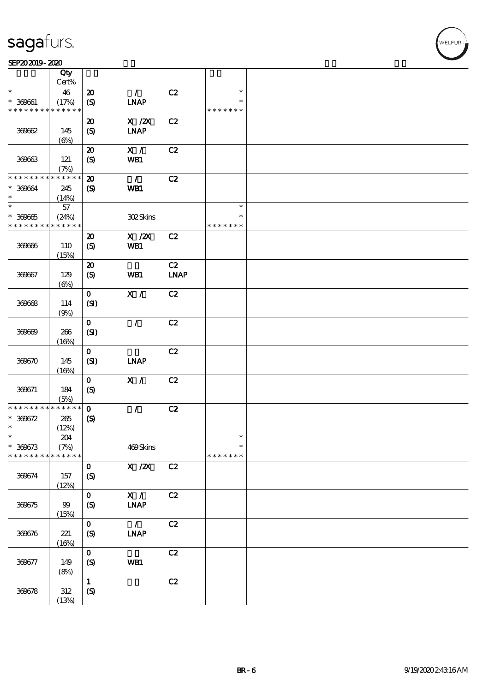### SEP202019-2020

|                   | Qty         |                             |                              |             |               |  |
|-------------------|-------------|-----------------------------|------------------------------|-------------|---------------|--|
|                   | Cert%       |                             |                              |             |               |  |
| $\ast$            | 46          | $\boldsymbol{\mathfrak{D}}$ | $\mathcal{L}$                | C2          | $\ast$        |  |
| $* 369661$        | (17%)       | $\boldsymbol{S}$            | <b>INAP</b>                  |             | $\ast$        |  |
| * * * * * * * *   | * * * * * * |                             |                              |             | * * * * * * * |  |
|                   |             | $\boldsymbol{\mathfrak{D}}$ | $X$ / $ZX$                   | C2          |               |  |
| 36062             | 145         | (S)                         | <b>INAP</b>                  |             |               |  |
|                   | $(\Theta)$  |                             |                              |             |               |  |
|                   |             | $\boldsymbol{\mathbf{z}}$   | X /                          | C2          |               |  |
| 36063             | 121         | $\boldsymbol{S}$            | WB1                          |             |               |  |
|                   | (7%)        |                             |                              |             |               |  |
| * * * * * * * *   | * * * * * * |                             | $\mathcal{L}$                |             |               |  |
|                   |             | $\boldsymbol{\mathfrak{D}}$ |                              | C2          |               |  |
| $* 30064$         | 245         | $\boldsymbol{\mathrm{(S)}}$ | WB1                          |             |               |  |
| $\ast$            | (14%)       |                             |                              |             |               |  |
| $\overline{\ast}$ | 57          |                             |                              |             | $\ast$        |  |
| $^\ast$ 369665    | (24%)       |                             | 302Skins                     |             | $\ast$        |  |
| * * * * * * * *   | * * * * * * |                             |                              |             | * * * * * * * |  |
|                   |             | $\boldsymbol{\mathbf{z}}$   | $X$ / $ZX$                   | C2          |               |  |
| 36066             | 110         | $\boldsymbol{S}$            | WB1                          |             |               |  |
|                   | (15%)       |                             |                              |             |               |  |
|                   |             | $\boldsymbol{\mathsf{20}}$  |                              | C2          |               |  |
| 360667            | 129         | (S)                         | WB1                          | <b>LNAP</b> |               |  |
|                   | $(\Theta)$  |                             |                              |             |               |  |
|                   |             | $\mathbf{O}$                | $\mathbf{X}$ /               | C2          |               |  |
|                   |             |                             |                              |             |               |  |
| 36068             | 114         | (SI)                        |                              |             |               |  |
|                   | (9%)        |                             |                              |             |               |  |
|                   |             | $\mathbf{o}$                | $\sqrt{2}$                   | C2          |               |  |
| 36069             | 266         | (SI)                        |                              |             |               |  |
|                   | (16%)       |                             |                              |             |               |  |
|                   |             | $\mathbf 0$                 |                              | C2          |               |  |
| 369670            | 145         | (SI)                        | <b>INAP</b>                  |             |               |  |
|                   | (16%)       |                             |                              |             |               |  |
|                   |             | $\mathbf{o}$                | X /                          | C2          |               |  |
| 369671            | 184         | $\boldsymbol{S}$            |                              |             |               |  |
|                   | (5%)        |                             |                              |             |               |  |
| * * * * * * * *   | ******      | $\mathbf{o}$                | $\mathcal{L}$                | C2          |               |  |
| $* 300672$        | 265         | $\boldsymbol{\mathrm{(S)}}$ |                              |             |               |  |
| $\ast$            | (12%)       |                             |                              |             |               |  |
| $\ast$            |             |                             |                              |             | $\ast$        |  |
|                   | $204\,$     |                             |                              |             | $\ast$        |  |
| $* 300673$        | (7%)        |                             | 469Skins                     |             |               |  |
| * * * * * * * *   | * * * * * * |                             |                              |             | * * * * * * * |  |
|                   |             | $\mathbf{o}$                | $\overline{X}$ /2X           | C2          |               |  |
| 369674            | 157         | $\boldsymbol{S}$            |                              |             |               |  |
|                   | (12%)       |                             |                              |             |               |  |
|                   |             | $\mathbf O$                 | $\mathbf{X}$ /               | C2          |               |  |
| 369675            | 99          | (S)                         | $\ensuremath{\mathbf{INAP}}$ |             |               |  |
|                   | (15%)       |                             |                              |             |               |  |
|                   |             | $\mathbf{o}$                | $\mathcal{F}$                | C2          |               |  |
| 369676            | 221         | $\boldsymbol{S}$            | <b>INAP</b>                  |             |               |  |
|                   | (16%)       |                             |                              |             |               |  |
|                   |             | $\mathbf{o}$                |                              | C2          |               |  |
| 369677            | 149         | $\boldsymbol{S}$            | WB1                          |             |               |  |
|                   | (8%)        |                             |                              |             |               |  |
|                   |             | $\mathbf{1}$                |                              | C2          |               |  |
|                   |             |                             |                              |             |               |  |
| 369678            | $312\,$     | (S)                         |                              |             |               |  |
|                   | (13%)       |                             |                              |             |               |  |

**VELFUR**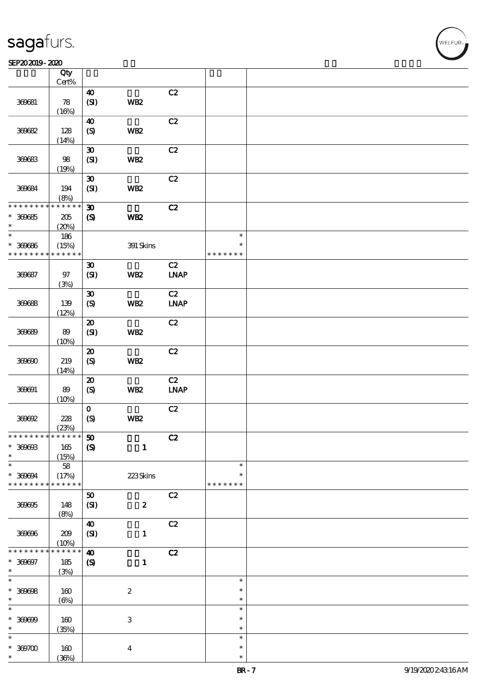|                                          | Qty                         |                                                           |                           |                                    |                                   |  |
|------------------------------------------|-----------------------------|-----------------------------------------------------------|---------------------------|------------------------------------|-----------------------------------|--|
|                                          | $Cert\%$                    |                                                           |                           |                                    |                                   |  |
| 360681                                   | $\boldsymbol{78}$<br>(16%)  | $\boldsymbol{\omega}$<br>$\pmb{\text{(S)}}$               | WB <sub>2</sub>           | C2                                 |                                   |  |
| 360682                                   | 128                         | $\boldsymbol{\Lambda}$<br>$\boldsymbol{S}$                | WB <sub>2</sub>           | C2                                 |                                   |  |
|                                          | (14%)                       |                                                           |                           |                                    |                                   |  |
| 360683                                   | 98<br>(19%)                 | $\boldsymbol{\mathfrak{D}}$<br>(SI)                       | <b>WB2</b>                | C2                                 |                                   |  |
| 360684                                   | 194<br>(8%)                 | $\boldsymbol{\mathfrak{D}}$<br>(SI)                       | WB <sub>2</sub>           | C2                                 |                                   |  |
| * * * * * * * *                          | ******                      | $\boldsymbol{\mathfrak{D}}$                               |                           | C2                                 |                                   |  |
| $* 30005$<br>$\ast$                      | $205\,$<br>(20%)            | $\boldsymbol{\mathcal{S}}$                                | WB <sub>2</sub>           |                                    |                                   |  |
| $\ast$<br>$* 30000$<br>* * * * * * * *   | 186<br>(15%)<br>* * * * * * |                                                           | 391 Skins                 |                                    | $\ast$<br>$\ast$<br>* * * * * * * |  |
|                                          |                             | $\boldsymbol{\mathfrak{D}}$                               |                           | C2                                 |                                   |  |
| 360687                                   | $97\,$<br>(3%)              | (SI)                                                      | WB <sub>2</sub>           | <b>LNAP</b>                        |                                   |  |
|                                          |                             | $\boldsymbol{\mathfrak{D}}$                               |                           | C2                                 |                                   |  |
| 300688                                   | 139<br>(12%)                | $\boldsymbol{S}$                                          | WB <sub>2</sub>           | $\ensuremath{\text{INAP}}$         |                                   |  |
| 36689                                    | 89<br>(10%)                 | $\boldsymbol{\mathbf{z}}$<br>(SI)                         | <b>WB2</b>                | C2                                 |                                   |  |
| 360600                                   | 219<br>(14%)                | $\boldsymbol{\mathfrak{D}}$<br>$\boldsymbol{S}$           | WB <sub>2</sub>           | C2                                 |                                   |  |
| 360691                                   | 89<br>(10%)                 | $\boldsymbol{\mathsf{20}}$<br>$\boldsymbol{\mathrm{(S)}}$ | WB <sub>2</sub>           | C2<br>$\ensuremath{\mathbf{INAP}}$ |                                   |  |
| 360692                                   | 228<br>(23%)                | $\mathbf{o}$<br>$\pmb{\in}$                               | WB <sub>2</sub>           | C2                                 |                                   |  |
| * * * * * * * * * * * * * * *            |                             | $\pmb{\mathfrak{D}}$                                      |                           | C2                                 |                                   |  |
| $* 300003$<br>$\ast$                     | 165<br>(15%)                | $\boldsymbol{\mathrm{(S)}}$                               | $\mathbf{1}$              |                                    |                                   |  |
| $\ast$<br>$* 30004$<br>* * * * * * * *   | 58<br>(17%)<br>* * * * * *  |                                                           | 223Skins                  |                                    | $\ast$<br>$\ast$<br>* * * * * * * |  |
|                                          |                             | 50                                                        |                           | C2                                 |                                   |  |
| 360605                                   | 148<br>(8%)                 | (SI)                                                      | $\boldsymbol{z}$          |                                    |                                   |  |
| 36066                                    | 209<br>(10%)                | $\boldsymbol{40}$<br>(SI)                                 | $\mathbf{1}$              | C2                                 |                                   |  |
| * * * * * *                              | * * * * * *                 | $\boldsymbol{\omega}$                                     |                           | C2                                 |                                   |  |
| $* 30007$                                | $185\,$                     | $\boldsymbol{\mathcal{S}}$                                | 1                         |                                    |                                   |  |
| $\ast$                                   | (3%)                        |                                                           |                           |                                    |                                   |  |
| $\overline{\ast}$<br>$* 30008$<br>$\ast$ | 160<br>$(\Theta)$           |                                                           | $\boldsymbol{2}$          |                                    | $\ast$<br>$\ast$<br>$\ast$        |  |
| $\ast$                                   |                             |                                                           |                           |                                    | $\ast$                            |  |
| $* 30000$<br>$\ast$                      | 160<br>(35%)                |                                                           | $\ensuremath{\mathbf{3}}$ |                                    | $\ast$<br>$\ast$                  |  |
| $\ast$                                   |                             |                                                           |                           |                                    | $\ast$                            |  |
| $* 30000$<br>$\ast$                      | 160<br>(36%)                |                                                           | $\bf{4}$                  |                                    | $\ast$<br>*                       |  |

r<br>WELFUR<br>.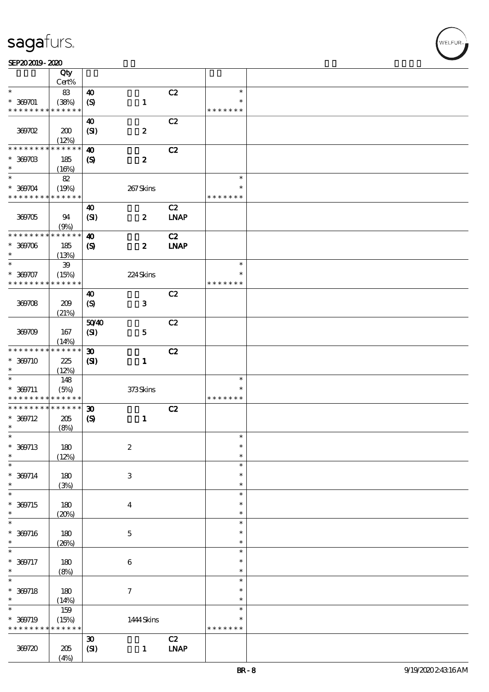$\top$ 

### SEP202019-2020 USD 2020 USD 2020 USD 2020 USD 2020 USD 2020 USD 2020 USD 2020 USD 2020 USD 2020 USD 2020 USD 2

|                  | Qty<br>Cert% |                             |                     |                            |               |  |
|------------------|--------------|-----------------------------|---------------------|----------------------------|---------------|--|
| $\ast$           |              |                             |                     |                            | $\ast$        |  |
|                  | 83           | $\boldsymbol{\omega}$       |                     | C2                         |               |  |
| $* 369701$       | (38%)        | $\boldsymbol{S}$            | $\mathbf{1}$        |                            | $\ast$        |  |
| * * * * * * * *  | * * * * * *  |                             |                     |                            | * * * * * * * |  |
|                  |              | $\boldsymbol{\omega}$       |                     | C2                         |               |  |
| 369702           | 200          | (SI)                        | $\boldsymbol{2}$    |                            |               |  |
|                  | (12%)        |                             |                     |                            |               |  |
| * * * *<br>* * * | * * * * *    | $\boldsymbol{\omega}$       |                     | C2                         |               |  |
|                  |              |                             |                     |                            |               |  |
| $* 369703$       | 185          | $\boldsymbol{\mathcal{S}}$  | $\boldsymbol{z}$    |                            |               |  |
| $\ast$           | (16%)        |                             |                     |                            |               |  |
| $\ast$           | 82           |                             |                     |                            | $\ast$        |  |
| $* 369704$       | (19%)        |                             | 267Skins            |                            | $\ast$        |  |
| * * * * * * * *  | * * * * * *  |                             |                     |                            | * * * * * * * |  |
|                  |              | 40                          |                     | C2                         |               |  |
|                  |              |                             |                     |                            |               |  |
| 369705           | 94           | (SI)                        | $\boldsymbol{z}$    | <b>LNAP</b>                |               |  |
|                  | (9%)         |                             |                     |                            |               |  |
| * * * * * * * *  | * * * * * *  | $\boldsymbol{\omega}$       |                     | C2                         |               |  |
| $* 30000$        | 185          | $\boldsymbol{\mathcal{S}}$  | $\boldsymbol{z}$    | <b>INAP</b>                |               |  |
| $\ast$           | (13%)        |                             |                     |                            |               |  |
| $\ast$           | ${\bf 39}$   |                             |                     |                            | $\ast$        |  |
| $* 300707$       | (15%)        |                             | 224Skins            |                            | $\ast$        |  |
| * * * * * * * *  | * * * * * *  |                             |                     |                            | * * * * * * * |  |
|                  |              |                             |                     |                            |               |  |
|                  |              | $\boldsymbol{\omega}$       |                     | C2                         |               |  |
| 369708           | 209          | $\boldsymbol{S}$            | ${\bf 3}$           |                            |               |  |
|                  | (21%)        |                             |                     |                            |               |  |
|                  |              | 5040                        |                     | C2                         |               |  |
| 369709           | 167          | (SI)                        | $\mathbf{5}$        |                            |               |  |
|                  | (14%)        |                             |                     |                            |               |  |
| * * * * * * * *  | * * * * * *  |                             |                     |                            |               |  |
|                  |              | $\boldsymbol{\mathfrak{D}}$ |                     | C2                         |               |  |
| $* 369710$       | 225          | (S)                         | $\mathbf{1}$        |                            |               |  |
| $\ast$           | (12%)        |                             |                     |                            |               |  |
| $\ast$           | 148          |                             |                     |                            | $\ast$        |  |
| $* 369711$       | (5%)         |                             | 373Skins            |                            | $\ast$        |  |
| * * * * * * * *  | $******$     |                             |                     |                            | * * * * * * * |  |
| * * * * * * * *  | * * * * * *  | $\boldsymbol{\mathfrak{D}}$ |                     | C2                         |               |  |
|                  |              |                             |                     |                            |               |  |
| $* 369712$       | 205          | $\boldsymbol{\mathrm{(S)}}$ | $\mathbf{1}$        |                            |               |  |
| $\ast$           | (8%)         |                             |                     |                            |               |  |
| $\ast$           |              |                             |                     |                            | $\ast$        |  |
| $* 300713$       | $180\,$      |                             | $\boldsymbol{2}$    |                            | $\ast$        |  |
| $\ast$           | (12%)        |                             |                     |                            | $\ast$        |  |
| $\ast$           |              |                             |                     |                            | $\ast$        |  |
| $* 369714$       | $180$        |                             | $\,3$               |                            | $\ast$        |  |
| $\ast$           |              |                             |                     |                            | $\ast$        |  |
| $\ast$           | (3%)         |                             |                     |                            | $\ast$        |  |
|                  |              |                             |                     |                            |               |  |
| $* 369715$       | 180          |                             | $\bf{4}$            |                            | $\ast$        |  |
| $\ast$           | (20%)        |                             |                     |                            | $\ast$        |  |
| $\ast$           |              |                             |                     |                            | $\ast$        |  |
| $* 369716$       | 180          |                             | $\mathbf 5$         |                            | $\ast$        |  |
| $\ast$           | (20%)        |                             |                     |                            | $\ast$        |  |
| $\ast$           |              |                             |                     |                            | $\ast$        |  |
|                  |              |                             |                     |                            |               |  |
| $* 369717$       | 180          |                             | $\,6\,$             |                            | $\ast$        |  |
| $\ast$           | (8%)         |                             |                     |                            | $\ast$        |  |
| $\ast$           |              |                             |                     |                            | $\ast$        |  |
| $* 300718$       | 180          |                             | $\boldsymbol{\tau}$ |                            | $\ast$        |  |
| $\ast$           | (14%)        |                             |                     |                            | $\ast$        |  |
| $\ast$           | 159          |                             |                     |                            | $\ast$        |  |
|                  |              |                             |                     |                            | $\ast$        |  |
| $* 300719$       | (15%)        |                             | 1444Skins           |                            |               |  |
| * * * * * * * *  | * * * * * *  |                             |                     |                            | * * * * * * * |  |
|                  |              | $\pmb{\mathfrak{D}}$        |                     | C2                         |               |  |
| 369720           | 205          | (SI)                        | $\mathbf{1}$        | $\ensuremath{\text{INAP}}$ |               |  |
|                  | (4%)         |                             |                     |                            |               |  |
|                  |              |                             |                     |                            |               |  |

 $\overline{\mathbf{r}}$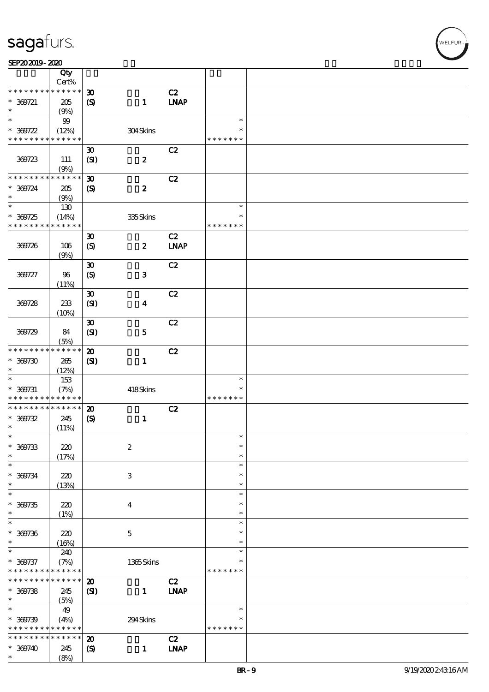| SEP202019-2020 |  |  |
|----------------|--|--|
|                |  |  |

|                                                          | Qty                  |                                                 |                  |                   |                         |  |
|----------------------------------------------------------|----------------------|-------------------------------------------------|------------------|-------------------|-------------------------|--|
| * * * * * * * *                                          | Cert%<br>******      | $\boldsymbol{\mathfrak{D}}$                     |                  | C2                |                         |  |
| $* 300721$<br>$\ast$                                     | 205<br>(9%)          | $\boldsymbol{\mathrm{(S)}}$                     | $\mathbf{1}$     | <b>INAP</b>       |                         |  |
| $\ast$                                                   | $99$                 |                                                 |                  |                   | $\ast$                  |  |
| $* 300722$<br>* * * * * * * *                            | (12%)<br>* * * * * * |                                                 | 304Skins         |                   | $\ast$<br>* * * * * * * |  |
|                                                          |                      | $\boldsymbol{\mathfrak{D}}$                     |                  | C2                |                         |  |
| 369723                                                   | 111<br>(9%)          | (SI)                                            | $\boldsymbol{z}$ |                   |                         |  |
| * * * * * * * *                                          | * * * * * *          | $\boldsymbol{\mathfrak{D}}$                     |                  | C2                |                         |  |
| $* 300724$<br>$\ast$                                     | 205<br>(9%)          | $\boldsymbol{\mathrm{(S)}}$                     | $\boldsymbol{z}$ |                   |                         |  |
| $\ast$                                                   | 130                  |                                                 |                  |                   | $\ast$                  |  |
| $* 300725$                                               | (14%)                |                                                 | 335Skins         |                   | $\ast$                  |  |
| * * * * * * * *                                          | * * * * * *          |                                                 |                  |                   | * * * * * * *           |  |
| 369726                                                   | 106<br>(9%)          | $\boldsymbol{\mathfrak{D}}$<br>$\boldsymbol{S}$ | $\boldsymbol{z}$ | C2<br><b>LNAP</b> |                         |  |
|                                                          |                      | $\boldsymbol{\mathfrak{D}}$                     |                  | C2                |                         |  |
| 369727                                                   | 96<br>(11%)          | $\boldsymbol{S}$                                | $\mathbf{3}$     |                   |                         |  |
|                                                          |                      | $\boldsymbol{\mathfrak{D}}$                     |                  | C2                |                         |  |
| 369728                                                   | 233                  | (SI)                                            | $\boldsymbol{4}$ |                   |                         |  |
|                                                          | (10%)                |                                                 |                  |                   |                         |  |
| 369729                                                   | 84                   | $\boldsymbol{\mathfrak{D}}$<br>(SI)             | ${\bf 5}$        | C2                |                         |  |
| * * * * * * * *                                          | (5%)<br>$******$     |                                                 |                  |                   |                         |  |
| $* 300730$                                               | 265                  | $\boldsymbol{\mathfrak{D}}$<br>(S)              | $\mathbf{1}$     | C2                |                         |  |
| $\ast$                                                   | (12%)                |                                                 |                  |                   |                         |  |
| $\ast$                                                   | 153                  |                                                 |                  |                   | $\ast$                  |  |
| $* 300731$                                               | (7%)                 |                                                 | 418Skins         |                   | $\ast$                  |  |
| * * * * * * * * <mark>* * * * * *</mark>                 |                      |                                                 |                  |                   | * * * * * * *           |  |
| * * * * * * * *                                          | $******$             | $\boldsymbol{\mathbf{z}}$                       |                  | C2                |                         |  |
| $* 300732$<br>$\ast$                                     | 245                  | $\boldsymbol{\mathrm{(S)}}$                     | $\mathbf{1}$     |                   |                         |  |
| $\ast$                                                   | (11%)                |                                                 |                  |                   | $\ast$                  |  |
| $* 300733$                                               | 220                  |                                                 | $\boldsymbol{2}$ |                   | $\ast$                  |  |
| $\ast$                                                   | (17%)                |                                                 |                  |                   | $\ast$                  |  |
| $\ast$                                                   |                      |                                                 |                  |                   | $\ast$                  |  |
| $* 300734$                                               | 220                  |                                                 | 3                |                   | $\ast$                  |  |
| $\ast$                                                   | (13%)                |                                                 |                  |                   | $\ast$                  |  |
| $\ast$                                                   |                      |                                                 |                  |                   | $\ast$<br>$\ast$        |  |
| $* 309735$<br>$\ast$                                     | 220<br>(1%)          |                                                 | $\bf{4}$         |                   | $\ast$                  |  |
| $\ast$                                                   |                      |                                                 |                  |                   | $\ast$                  |  |
| $* 369736$                                               | 220                  |                                                 | $\mathbf 5$      |                   | $\ast$                  |  |
| $\ast$                                                   | (16%)                |                                                 |                  |                   | $\ast$                  |  |
| $\ast$                                                   | 240                  |                                                 |                  |                   | $\ast$                  |  |
| $* 369737$<br>* * * * * * * * * * * * * *                | (7%)                 |                                                 | 1365Skins        |                   | ∗<br>* * * * * * *      |  |
| * * * * * * * *                                          | $******$             | $\boldsymbol{\mathfrak{D}}$                     |                  | C2                |                         |  |
| $* 309738$                                               | 245                  | (S)                                             | $\mathbf{1}$     | <b>INAP</b>       |                         |  |
| $\ast$<br>$\ast$                                         | (5%)                 |                                                 |                  |                   | $\ast$                  |  |
|                                                          | 49                   |                                                 |                  |                   | ∗                       |  |
| $* 300739$<br>* * * * * * * * <mark>* * * * * * *</mark> | (4%)                 |                                                 | 294Skins         |                   | * * * * * * *           |  |
| * * * * * * * *                                          | $* * * * * * *$      | $\boldsymbol{\mathbf{z}}$                       |                  | C2                |                         |  |
| $* 369740$                                               | 245                  | $\pmb{\in}$                                     | $\mathbf{1}$     | <b>INAP</b>       |                         |  |
| $\ast$                                                   | (8%)                 |                                                 |                  |                   |                         |  |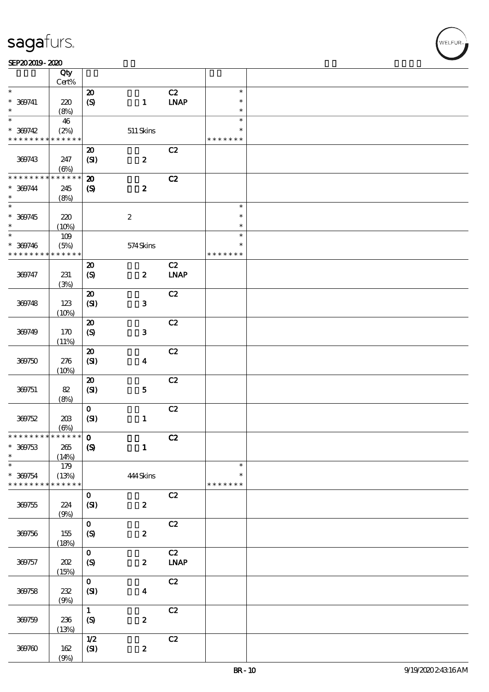|                   | Qty           |                             |                         |             |               |  |
|-------------------|---------------|-----------------------------|-------------------------|-------------|---------------|--|
|                   | $Cert\%$      |                             |                         |             |               |  |
| $\ast$            |               | $\pmb{\mathcal{Z}}$         |                         | C2          | $\ast$        |  |
| $* 369741$        | $220$         | $\boldsymbol{S}$            | $\mathbf{1}$            | <b>LNAP</b> | $\ast$        |  |
| $\ast$            | (8%)          |                             |                         |             | $\ast$        |  |
| $\ast$            | 46            |                             |                         |             | $\ast$        |  |
| $* 300742$        | (2%)          |                             | $511$ Skins             |             | $\ast$        |  |
| * * * * * * * *   | * * * * * *   |                             |                         |             | * * * * * * * |  |
|                   |               | $\boldsymbol{\mathbf{z}}$   |                         | C2          |               |  |
| 369743            | 247           | (SI)                        | $\boldsymbol{z}$        |             |               |  |
|                   | $(\Theta)$    |                             |                         |             |               |  |
| * * * * * * * *   | * * * * * *   | $\boldsymbol{\mathfrak{D}}$ |                         | C2          |               |  |
| $* 369744$        | 245           | $\boldsymbol{\mathrm{(S)}}$ | $\boldsymbol{z}$        |             |               |  |
| $\ast$            | (8%)          |                             |                         |             |               |  |
| $\ast$            |               |                             |                         |             | $\ast$        |  |
| $* 300745$        | 220           |                             | $\boldsymbol{2}$        |             | $\ast$        |  |
| $\ast$            | (10%)         |                             |                         |             | $\ast$        |  |
| $\ast$            | $109$         |                             |                         |             | $\ast$        |  |
| $* 300746$        | (5%)          |                             | 574Skins                |             | $\ast$        |  |
| * * * * * * * *   | * * * * * *   |                             |                         |             | * * * * * * * |  |
|                   |               | $\boldsymbol{\mathsf{20}}$  |                         | C2          |               |  |
| 369747            | 231           | $\pmb{\in}$                 | $\boldsymbol{z}$        | <b>LNAP</b> |               |  |
|                   | (3%)          |                             |                         |             |               |  |
|                   |               | $\boldsymbol{\mathsf{20}}$  |                         | C2          |               |  |
| 369748            | 123           | (SI)                        | ${\bf 3}$               |             |               |  |
|                   | (10%)         |                             |                         |             |               |  |
|                   |               | $\pmb{\mathcal{Z}}$         |                         | C2          |               |  |
| 369749            | 170           | $\boldsymbol{S}$            | ${\bf 3}$               |             |               |  |
|                   | (11%)         |                             |                         |             |               |  |
|                   |               | $\boldsymbol{\mathsf{20}}$  |                         | C2          |               |  |
| 369750            | 276           | (SI)                        | $\overline{\mathbf{4}}$ |             |               |  |
|                   | (10%)         |                             |                         |             |               |  |
|                   |               | $\boldsymbol{\mathsf{20}}$  |                         | C2          |               |  |
| 369751            | 82            | (SI)                        | ${\bf 5}$               |             |               |  |
|                   | (8%)          |                             |                         |             |               |  |
|                   |               | $\mathbf{o}$                |                         | C2          |               |  |
| 369752            | 203           | (SI)                        | $\mathbf{1}$            |             |               |  |
|                   | $(\Theta)$    |                             |                         |             |               |  |
| *************** 0 |               |                             |                         | C2          |               |  |
| $* 300753$        | $265\,$       | $\pmb{\infty}$              | $\mathbf{1}$            |             |               |  |
| $\ast$            | (14%)         |                             |                         |             |               |  |
| $\ast$            | 179           |                             |                         |             | $\ast$        |  |
| $* 300754$        | (13%)         |                             | 444Skins                |             | $\ast$        |  |
| * * * * * * * *   | * * * * * *   |                             |                         |             | * * * * * * * |  |
|                   |               | $\mathbf{o}$                |                         | C2          |               |  |
| 369755            | 224           | (SI)                        | $\boldsymbol{z}$        |             |               |  |
|                   | (9%)          |                             |                         |             |               |  |
|                   |               | $\mathbf O$                 |                         | C2          |               |  |
| 369756            | $155\,$       | $\boldsymbol{S}$            | $\boldsymbol{2}$        |             |               |  |
|                   | (18%)         |                             |                         |             |               |  |
|                   |               | $\mathbf{o}$                |                         | C2          |               |  |
| 369757            | $202\,$       | $\boldsymbol{S}$            | $\pmb{2}$               | <b>LNAP</b> |               |  |
|                   | (15%)         |                             |                         |             |               |  |
|                   |               | $\mathbf{o}$                |                         | C2          |               |  |
| 369758            | $2\!2$        | (SI)                        | $\boldsymbol{4}$        |             |               |  |
|                   | (9%)          |                             |                         |             |               |  |
|                   |               | $\mathbf{1}$                |                         | C2          |               |  |
| 369759            | 236           | $\pmb{\text{(S)}}$          | $\pmb{2}$               |             |               |  |
|                   | (13%)         |                             |                         |             |               |  |
|                   |               | $1/2$                       |                         | C2          |               |  |
| 369760            |               |                             | $\boldsymbol{2}$        |             |               |  |
|                   | $162$<br>(9%) | (SI)                        |                         |             |               |  |
|                   |               |                             |                         |             |               |  |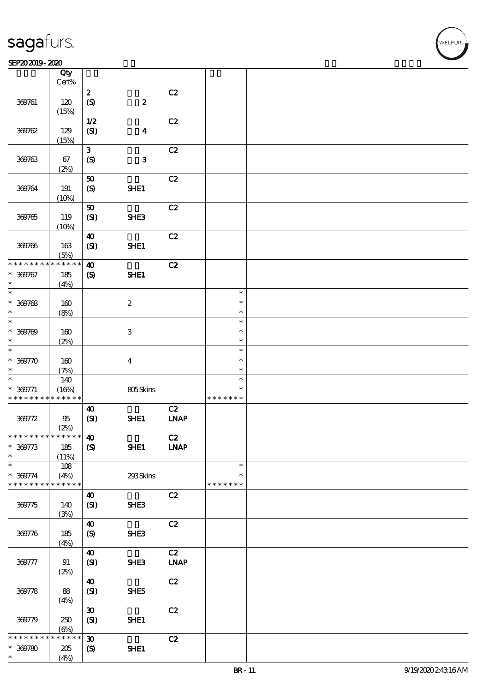### SEP202019-2020 USD 2020 USD 2020 USD 2020 USD 2020 USD 2020 USD 2020 USD 2020 USD 2020 USD 2020 USD 2020 USD 2

|                               | Qty<br>$\mbox{Cert}\%$ |                             |                           |                            |               |  |
|-------------------------------|------------------------|-----------------------------|---------------------------|----------------------------|---------------|--|
|                               |                        | $\boldsymbol{z}$            |                           | C2                         |               |  |
| 369761                        | 120<br>(15%)           | (S)                         | $\pmb{2}$                 |                            |               |  |
|                               |                        | 1/2                         |                           | C2                         |               |  |
| 369762                        | 129<br>(15%)           | (SI)                        | $\boldsymbol{4}$          |                            |               |  |
|                               |                        | $\mathbf{3}$                |                           | C2                         |               |  |
| 369763                        | 67<br>(2%)             | $\boldsymbol{S}$            | ${\bf 3}$                 |                            |               |  |
|                               |                        | 50                          |                           | C2                         |               |  |
| 369764                        | 191<br>(10%)           | $\boldsymbol{\mathrm{(S)}}$ | SHE1                      |                            |               |  |
|                               |                        | 50                          |                           | C2                         |               |  |
| 369765                        | 119<br>(10%)           | (SI)                        | SHE3                      |                            |               |  |
|                               |                        | $\boldsymbol{\omega}$       |                           | C2                         |               |  |
| 369766                        | 163<br>(5%)            | (SI)                        | SHE1                      |                            |               |  |
| * * * * * * * *               | * * * * * *            | $\boldsymbol{\omega}$       |                           | C2                         |               |  |
| * 369767<br>$\ast$            | 185<br>(4%)            | $\pmb{\in}$                 | SHE1                      |                            |               |  |
| $\ast$                        |                        |                             |                           |                            | $\ast$        |  |
| $* 300768$                    | 160                    |                             | $\boldsymbol{2}$          |                            | $\ast$        |  |
| $\ast$                        | (8%)                   |                             |                           |                            | $\ast$        |  |
| $\ast$                        |                        |                             |                           |                            | $\ast$        |  |
| $* 300709$                    | 160                    |                             | $\ensuremath{\mathbf{3}}$ |                            | $\ast$        |  |
| $\ast$                        | (2%)                   |                             |                           |                            | $\ast$        |  |
| $\ast$                        |                        |                             |                           |                            | $\ast$        |  |
| $* 300770$                    | 160                    |                             | $\boldsymbol{4}$          |                            | $\ast$        |  |
| $\ast$                        | (7%)                   |                             |                           |                            | $\ast$        |  |
| $\ast$                        | 140                    |                             |                           |                            | $\ast$        |  |
| $* 300771$                    | (16%)                  |                             | 805Skins                  |                            | $\ast$        |  |
| * * * * * * * *               | * * * * * *            |                             |                           |                            | * * * * * * * |  |
|                               |                        | $\boldsymbol{\omega}$       |                           | C2                         |               |  |
| 369772                        | 95                     | (SI)                        | SHE1                      | $\ensuremath{\text{INAP}}$ |               |  |
| * * * * * * * * * * * * * * * | (2%)                   |                             |                           |                            |               |  |
|                               |                        | $\boldsymbol{\omega}$       |                           | C2                         |               |  |
| $* 300773$<br>$\ast$          | 185<br>(11%)           | $\boldsymbol{S}$            | SHE1                      | $IMAP$                     |               |  |
| $\ast$                        | 108                    |                             |                           |                            | $\ast$        |  |
| $* 300774$                    | (4%)                   |                             | 293Skins                  |                            | $\ast$        |  |
| * * * * * * * *               | $* * * * * * *$        |                             |                           |                            | * * * * * * * |  |
|                               |                        | $\boldsymbol{\omega}$       |                           | C2                         |               |  |
| 369775                        | 140                    | (SI)                        | SHE3                      |                            |               |  |
|                               | (3%)                   |                             |                           |                            |               |  |
|                               |                        | $\boldsymbol{40}$           |                           | C2                         |               |  |
| 369776                        | 185                    | (S)                         | SHE3                      |                            |               |  |
|                               | (4%)                   |                             |                           |                            |               |  |
|                               |                        | $\boldsymbol{\omega}$       |                           | C2                         |               |  |
| 369777                        | 91<br>(2%)             | (SI)                        | <b>SHE3</b>               | $\ensuremath{\text{INAP}}$ |               |  |
|                               |                        | $\boldsymbol{\omega}$       |                           | C2                         |               |  |
| 369778                        | 88                     | (SI)                        | SHE5                      |                            |               |  |
|                               | (4%)                   |                             |                           |                            |               |  |
|                               |                        | $\boldsymbol{\mathfrak{D}}$ |                           | C2                         |               |  |
| 369779                        | 250                    | (SI)                        | SHE1                      |                            |               |  |
|                               | $(\Theta)$             |                             |                           |                            |               |  |
| * * * * * *                   | * * * * * *            | $\boldsymbol{\mathfrak{D}}$ |                           | C2                         |               |  |
| $* 300780$                    | 205                    | $\boldsymbol{S}$            | SHE1                      |                            |               |  |
| $\ast$                        | (4%)                   |                             |                           |                            |               |  |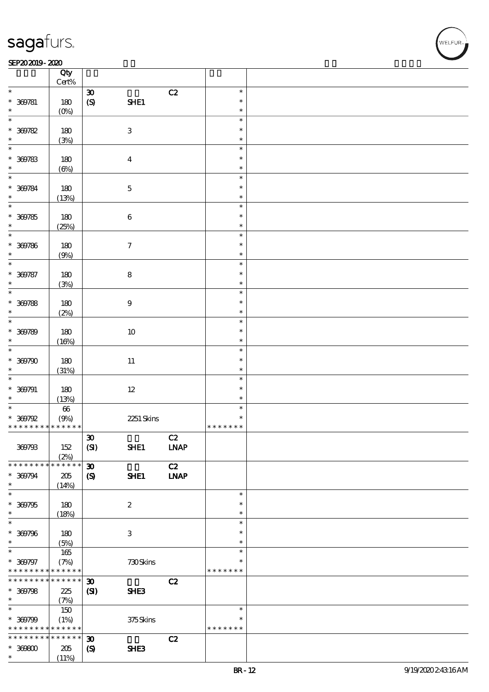### SEP202019-2020

|                                                             | Qty                 |                             |                           |                              |                  |  |
|-------------------------------------------------------------|---------------------|-----------------------------|---------------------------|------------------------------|------------------|--|
| $\ast$                                                      | Cert%               | $\pmb{\mathfrak{D}}$        |                           | C2                           | $\ast$           |  |
| $* 300781$                                                  | 180                 | $\pmb{\in}$                 | SHE1                      |                              | $\ast$           |  |
| $\ast$                                                      | $(Q_0)$             |                             |                           |                              | $\ast$           |  |
| $\ast$                                                      |                     |                             |                           |                              | $\ast$           |  |
| $* 300782$                                                  | $180$               |                             | $\ensuremath{\mathsf{3}}$ |                              | $\ast$           |  |
| $\ast$                                                      | (3%)                |                             |                           |                              | $\ast$           |  |
| $\ast$                                                      |                     |                             |                           |                              | $\ast$           |  |
| $* 300783$                                                  | 180                 |                             | $\boldsymbol{4}$          |                              | $\ast$           |  |
| $\ast$                                                      | $(\Theta)$          |                             |                           |                              | $\ast$           |  |
| $\ast$                                                      |                     |                             |                           |                              | $\ast$           |  |
| $* 300784$<br>$\ast$                                        | $180$               |                             | $\mathbf 5$               |                              | $\ast$<br>$\ast$ |  |
| $\overline{\ast}$                                           | (13%)               |                             |                           |                              | $\ast$           |  |
| $* 300785$                                                  | $180\,$             |                             | $\,6\,$                   |                              | $\ast$           |  |
| $\ast$                                                      | (25%)               |                             |                           |                              | $\ast$           |  |
| $\ast$                                                      |                     |                             |                           |                              | $\ast$           |  |
| $* 300786$                                                  | 180                 |                             | $\boldsymbol{7}$          |                              | $\ast$           |  |
| $\ast$                                                      | (9%)                |                             |                           |                              | $\ast$           |  |
| $\ast$                                                      |                     |                             |                           |                              | $\ast$           |  |
| $* 300787$                                                  | 180                 |                             | $\bf 8$                   |                              | $\ast$           |  |
| $\ast$                                                      | (3%)                |                             |                           |                              | $\ast$           |  |
| $\ast$                                                      |                     |                             |                           |                              | $\ast$           |  |
| $* 300788$                                                  | 180                 |                             | $\boldsymbol{9}$          |                              | $\ast$           |  |
| $\ast$<br>$\ast$                                            | (2%)                |                             |                           |                              | $\ast$           |  |
|                                                             |                     |                             |                           |                              | $\ast$<br>$\ast$ |  |
| $* 300789$<br>$\ast$                                        | 180<br>(16%)        |                             | $10\,$                    |                              | $\ast$           |  |
| $\ast$                                                      |                     |                             |                           |                              | $\ast$           |  |
| $* 300790$                                                  | 180                 |                             | $11\,$                    |                              | $\ast$           |  |
| $\ast$                                                      | (31%)               |                             |                           |                              | $\ast$           |  |
| $\ast$                                                      |                     |                             |                           |                              | $\ast$           |  |
| $* 300791$                                                  | $180\,$             |                             | $12\,$                    |                              | $\ast$           |  |
| $\ast$                                                      | (13%)               |                             |                           |                              | $\ast$           |  |
| $\ast$                                                      | $\pmb{66}$          |                             |                           |                              | $\ast$           |  |
| $*300792$                                                   | (9%)                |                             | 2251 Skins                |                              | $\ast$           |  |
| * * * * * * * * * * * * * *                                 |                     |                             |                           |                              | * * * * * * *    |  |
|                                                             |                     | $\pmb{\mathfrak{D}}$        |                           | C2                           |                  |  |
| 369793                                                      | 152                 | (SI)                        | SHE1                      | $\ensuremath{\mathbf{INAP}}$ |                  |  |
| * * * * * * * *                                             | (2%)<br>* * * * * * | $\boldsymbol{\mathfrak{D}}$ |                           | C2                           |                  |  |
| $* 300794$                                                  | 205                 | $\boldsymbol{\mathcal{S}}$  | SHE1                      | <b>INAP</b>                  |                  |  |
| $\ast$                                                      | (14%)               |                             |                           |                              |                  |  |
| $\overline{\ast}$                                           |                     |                             |                           |                              | $\ast$           |  |
| $* 300795$                                                  | 180                 |                             | $\boldsymbol{z}$          |                              | $\ast$           |  |
| $\ast$                                                      | (18%)               |                             |                           |                              | $\ast$           |  |
| $\ast$                                                      |                     |                             |                           |                              | $\ast$           |  |
| $* 300796$                                                  | $180\,$             |                             | $\ensuremath{\mathsf{3}}$ |                              | $\ast$           |  |
| $\ast$                                                      | (5%)                |                             |                           |                              | $\ast$           |  |
| $\ast$                                                      | 165                 |                             |                           |                              | $\ast$           |  |
| $* 300797$                                                  | (7%)                |                             | 730Skins                  |                              | ∗                |  |
| * * * * * * * * <mark>* * * * * *</mark><br>* * * * * * * * | $******$            | $\boldsymbol{\mathfrak{D}}$ |                           |                              | * * * * * * *    |  |
| $* 30798$                                                   | 225                 | (SI)                        | SHE <sub>3</sub>          | C2                           |                  |  |
| $\ast$                                                      | (7%)                |                             |                           |                              |                  |  |
| $\ast$                                                      | 150                 |                             |                           |                              | $\ast$           |  |
| $* 369799$                                                  | (1%)                |                             | 375Skins                  |                              | $\ast$           |  |
| * * * * * * * * <mark>* * * * * * *</mark>                  |                     |                             |                           |                              | * * * * * * *    |  |
| * * * * * * * * <mark>* * * * * * *</mark>                  |                     | $\boldsymbol{\mathfrak{D}}$ |                           | C2                           |                  |  |
| $* 30000$                                                   | 205                 | $\boldsymbol{\mathrm{(S)}}$ | SHE3                      |                              |                  |  |
| $\ast$                                                      | (11%)               |                             |                           |                              |                  |  |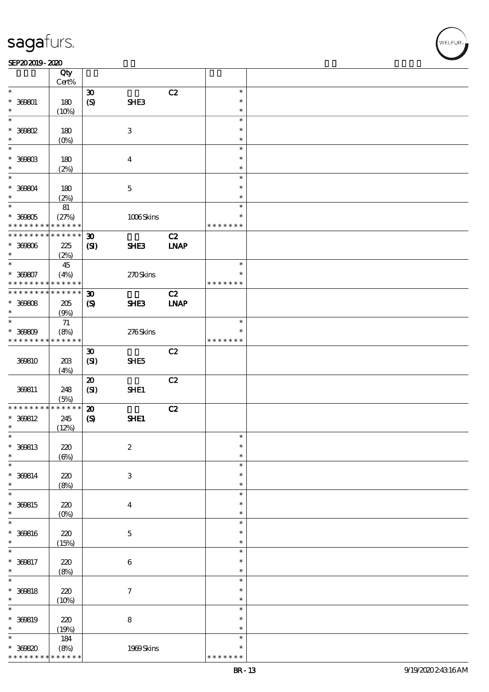### SEP202019-2020 USD 2020 USD 2020 USD 2020 USD 2020 USD 2020 USD 2020 USD 2020 USD 2020 USD 2020 USD 2020 USD 2

|                          | Qty         |                             |                     |             |                  |  |
|--------------------------|-------------|-----------------------------|---------------------|-------------|------------------|--|
| $\ast$                   | $Cert\%$    |                             |                     |             | $\ast$           |  |
|                          |             | $\pmb{\mathfrak{D}}$        |                     | C2          | $\ast$           |  |
| $* 369801$               | 180         | $\boldsymbol{S}$            | SHE3                |             |                  |  |
| $\ast$<br>$\ast$         | (10%)       |                             |                     |             | $\ast$<br>$\ast$ |  |
|                          |             |                             |                     |             |                  |  |
| $*$ 369802               | 180         |                             | $\,3$               |             | $\ast$           |  |
| $\ast$                   | $(0\%)$     |                             |                     |             | $\ast$           |  |
| $\overline{\ast}$        |             |                             |                     |             | $\ast$           |  |
| $* 30000$                | 180         |                             | $\boldsymbol{4}$    |             | $\ast$           |  |
| $\ast$                   | (2%)        |                             |                     |             | $\ast$           |  |
| $\overline{\phantom{0}}$ |             |                             |                     |             | $\ast$           |  |
| $* 369604$               | 180         |                             | $\mathbf{5}$        |             | $\ast$           |  |
| $\ast$                   | (2%)        |                             |                     |             | $\ast$           |  |
| $\overline{\ast}$        | $8\!1$      |                             |                     |             | $\ast$           |  |
| $* 30005$                | (27%)       |                             | 1006Skins           |             | $\ast$           |  |
| * * * * * * * *          | * * * * * * |                             |                     |             | * * * * * * *    |  |
| * * * * * * * *          | * * * * * * | $\boldsymbol{\mathfrak{D}}$ |                     | C2          |                  |  |
| $* 30000$                | 225         | $\mathbf{C}$                | SHE3                | <b>INAP</b> |                  |  |
| $\ast$                   | (2%)        |                             |                     |             |                  |  |
| $\ast$                   | 45          |                             |                     |             | $\ast$           |  |
| $* 369807$               | (4%)        |                             | 270Skins            |             | $\ast$           |  |
| * * * * * * * *          | * * * * * * |                             |                     |             | * * * * * * *    |  |
| * * * * * * * *          | * * * * * * | $\boldsymbol{\mathfrak{D}}$ |                     | C2          |                  |  |
| $* 30008$                | 205         | $\boldsymbol{\mathcal{S}}$  | SHE3                | <b>INAP</b> |                  |  |
| $\ast$                   | (9%)        |                             |                     |             |                  |  |
| $*$                      | 71          |                             |                     |             | $\ast$           |  |
| $* 30000$                | (8%)        |                             | 276Skins            |             | ∗                |  |
| * * * * * * * *          | * * * * * * |                             |                     |             | * * * * * * *    |  |
|                          |             | $\boldsymbol{\mathfrak{D}}$ |                     | C2          |                  |  |
| 369810                   | 208         | (SI)                        | SHE5                |             |                  |  |
|                          |             |                             |                     |             |                  |  |
|                          |             |                             |                     |             |                  |  |
|                          | (4%)        |                             |                     |             |                  |  |
|                          |             | $\boldsymbol{\mathbf{z}}$   |                     | C2          |                  |  |
| 369811                   | 248         | (SI)                        | SHE1                |             |                  |  |
|                          | (5%)        |                             |                     |             |                  |  |
| * * * * * * * *          | * * * * * * | $\boldsymbol{\mathfrak{D}}$ |                     | C2          |                  |  |
| $* 360812$               | 245         | $\boldsymbol{\mathrm{(S)}}$ | SHE1                |             |                  |  |
| $\ast$                   | (12%)       |                             |                     |             |                  |  |
| $\ast$                   |             |                             |                     |             | $\ast$           |  |
| * 369813                 | 220         |                             | $\boldsymbol{2}$    |             | $\ast$           |  |
| $\ast$                   | $(\Theta)$  |                             |                     |             | $\ast$           |  |
| $\ast$                   |             |                             |                     |             | $\ast$           |  |
| $* 360814$               | 220         |                             | $\,3\,$             |             | $\ast$           |  |
| $\ast$                   | (8%)        |                             |                     |             | $\ast$           |  |
| $\ast$                   |             |                             |                     |             | $\ast$           |  |
| $* 300815$               | 220         |                             | $\bf{4}$            |             | $\ast$           |  |
| $\ast$                   | $(0\%)$     |                             |                     |             | $\ast$           |  |
| $\ast$                   |             |                             |                     |             | $\ast$           |  |
| $* 360816$               | 220         |                             | $\mathbf 5$         |             | $\ast$           |  |
| $\ast$                   | (15%)       |                             |                     |             | $\ast$           |  |
| $\ast$                   |             |                             |                     |             | $\ast$           |  |
| $* 360817$               | 220         |                             | $\,6\,$             |             | $\ast$           |  |
| $\ast$                   | (8%)        |                             |                     |             | $\ast$           |  |
| $\overline{\ast}$        |             |                             |                     |             | $\ast$           |  |
| $* 360818$               | 220         |                             | $\boldsymbol{\tau}$ |             | $\ast$           |  |
| $\ast$                   | (10%)       |                             |                     |             | $\ast$           |  |
| $\ast$                   |             |                             |                     |             | $\ast$           |  |
| * 360819                 | 220         |                             | $\bf 8$             |             | $\ast$           |  |
| $\ast$                   |             |                             |                     |             | $\ast$           |  |
| $\ast$                   | (19%)       |                             |                     |             | $\ast$           |  |
| $* 30000$                | 184<br>(8%) |                             | 1999Skins           |             | $\ast$           |  |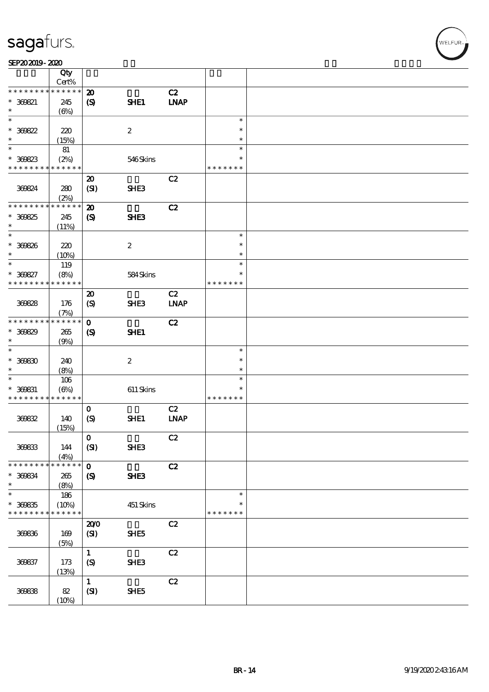| SEP202019-2020 |  |
|----------------|--|
|----------------|--|

|                             | Qty                 |                             |                  |             |               |  |
|-----------------------------|---------------------|-----------------------------|------------------|-------------|---------------|--|
|                             | Cert%               |                             |                  |             |               |  |
| * * * * * * *               | * * * * * *         | $\boldsymbol{\mathbf{z}}$   |                  | C2          |               |  |
| $* 360821$                  | 245                 | $\boldsymbol{\mathrm{(S)}}$ | SHE1             | <b>INAP</b> |               |  |
| $\ast$                      | $(\Theta)$          |                             |                  |             |               |  |
| $\ast$                      |                     |                             |                  |             | $\ast$        |  |
| $* 300822$                  | 220                 |                             | $\boldsymbol{2}$ |             | $\ast$        |  |
| $\ast$                      | (15%)               |                             |                  |             | $\ast$        |  |
| $\ast$                      | 81                  |                             |                  |             | $\ast$        |  |
| $* 300823$                  | (2%)                |                             | 546Skins         |             | $\ast$        |  |
| * * * * * * * * * * * * * * |                     |                             |                  |             | * * * * * * * |  |
|                             |                     | $\boldsymbol{\mathsf{20}}$  |                  | C2          |               |  |
| 369824                      | 280                 |                             | SHE3             |             |               |  |
|                             |                     | (SI)                        |                  |             |               |  |
| * * * * * * * *             | (2%)<br>* * * * * * |                             |                  |             |               |  |
|                             |                     | $\boldsymbol{\mathbf{z}}$   |                  | C2          |               |  |
| $* 300825$                  | 245                 | $\boldsymbol{\mathrm{(S)}}$ | SHE <sub>3</sub> |             |               |  |
| $\ast$                      | (11%)               |                             |                  |             |               |  |
| $\ast$                      |                     |                             |                  |             | $\ast$        |  |
| $* 300826$                  | 220                 |                             | $\boldsymbol{2}$ |             | $\ast$        |  |
| $\ast$                      | (10%)               |                             |                  |             | $\ast$        |  |
| $\ast$                      | 119                 |                             |                  |             | $\ast$        |  |
| $* 300827$                  | (8%)                |                             | 584Skins         |             | $\ast$        |  |
| * * * * * * * *             | * * * * * *         |                             |                  |             | * * * * * * * |  |
|                             |                     | $\boldsymbol{\mathfrak{D}}$ |                  | C2          |               |  |
| 36828                       | 176                 | (S)                         | <b>SHE3</b>      | <b>LNAP</b> |               |  |
|                             | (7%)                |                             |                  |             |               |  |
| * * * * * * * *             | * * * * * *         | $\mathbf{o}$                |                  | C2          |               |  |
| $* 300829$                  | 265                 | $\boldsymbol{\mathrm{(S)}}$ | SHE1             |             |               |  |
| $\ast$                      | (9%)                |                             |                  |             |               |  |
| $\ast$                      |                     |                             |                  |             | $\ast$        |  |
| $* 30000$                   | 240                 |                             | $\boldsymbol{2}$ |             | $\ast$        |  |
| $\ast$                      | (8%)                |                             |                  |             | $\ast$        |  |
| $\ast$                      | 106                 |                             |                  |             | $\ast$        |  |
| $* 360831$                  | $(\Theta)$          |                             | $611$ Skins      |             | $\ast$        |  |
| * * * * * * * * * * * * * * |                     |                             |                  |             | * * * * * * * |  |
|                             |                     | $\mathbf{o}$                |                  | C2          |               |  |
| 36832                       | 140                 | $\boldsymbol{\mathrm{(S)}}$ | SHE1             | <b>LNAP</b> |               |  |
|                             | (15%)               |                             |                  |             |               |  |
|                             |                     | $\mathbf 0$                 |                  | C2          |               |  |
| 36833                       | 144                 |                             | SHE3             |             |               |  |
|                             |                     | (SI)                        |                  |             |               |  |
| * * * * * * *               | (4%)<br>* * * * * * | $\mathbf{o}$                |                  |             |               |  |
|                             |                     |                             |                  | C2          |               |  |
| $* 300834$<br>$\ast$        | 265                 | $\boldsymbol{\mathcal{S}}$  | SHE3             |             |               |  |
| $\ast$                      | (8%)                |                             |                  |             | $\ast$        |  |
|                             | 186                 |                             |                  |             |               |  |
| $* 300835$                  | (10%)               |                             | 451 Skins        |             |               |  |
| * * * * * * * *             | * * * * * *         |                             |                  |             | * * * * * * * |  |
|                             |                     | 200                         |                  | C2          |               |  |
| 36836                       | 169                 | (SI)                        | SHE5             |             |               |  |
|                             | (5%)                |                             |                  |             |               |  |
|                             |                     | $\mathbf{1}$                |                  | C2          |               |  |
| 36837                       | 173                 | $\boldsymbol{S}$            | SHE <sub>3</sub> |             |               |  |
|                             | (13%)               |                             |                  |             |               |  |
|                             |                     | $\mathbf{1}$                |                  | C2          |               |  |
| 36838                       | 82                  | (SI)                        | SHE5             |             |               |  |
|                             | (10%)               |                             |                  |             |               |  |

,<br>WELFUR-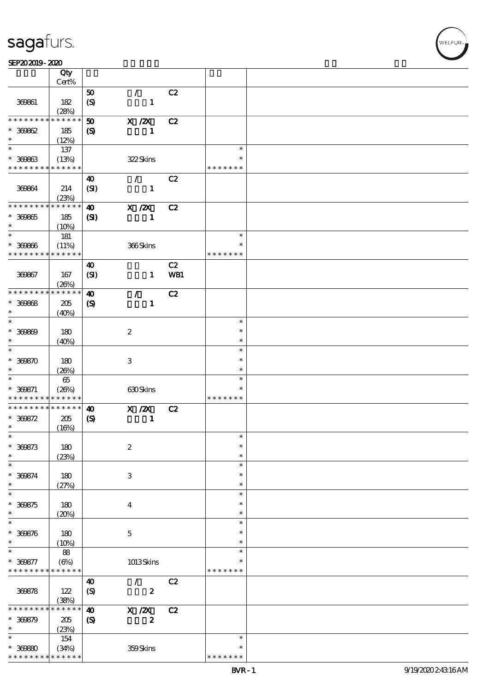### SEP202019-2020

|                               | Qty                       |                             |                  |     |               |  |
|-------------------------------|---------------------------|-----------------------------|------------------|-----|---------------|--|
|                               | Cert%                     |                             |                  |     |               |  |
|                               |                           | ${\bf 50}$                  | $\mathcal{L}$    | C2  |               |  |
| 369861                        | 182                       | $\boldsymbol{\mathrm{(S)}}$ | $\mathbf{1}$     |     |               |  |
|                               | (28%)                     |                             |                  |     |               |  |
| * * * * * * * *               | * * * * * *               | 50                          | $X$ / $ZX$       | C2  |               |  |
| $* 30002$                     | 185                       | $\boldsymbol{\mathcal{S}}$  | $\mathbf{1}$     |     |               |  |
| $\ast$                        | (12%)                     |                             |                  |     |               |  |
| $\ast$                        | 137                       |                             |                  |     | $\ast$        |  |
| $* 30003$                     | (13%)                     |                             | 322Skins         |     | ∗             |  |
| * * * * * * * *               | * * * * * *               |                             |                  |     | * * * * * * * |  |
|                               |                           | $\boldsymbol{\omega}$       | $\mathcal{L}$    | C2  |               |  |
| 369864                        | 214                       | (SI)                        | $\mathbf{1}$     |     |               |  |
|                               | (23%)                     |                             |                  |     |               |  |
| * * * * * * * * * * * * * *   |                           | $\boldsymbol{\omega}$       | $X$ / $ZX$       |     |               |  |
|                               |                           |                             |                  | C2  |               |  |
| $* 300005$                    | 185                       | $\mathbf{C}$                | $\mathbf{1}$     |     |               |  |
| $\ast$                        | (10%)                     |                             |                  |     |               |  |
| $\ast$                        | 181                       |                             |                  |     | $\ast$        |  |
| $* 30000$                     | (11%)                     |                             | 366Skins         |     | $\ast$        |  |
| * * * * * * * *               | * * * * * *               |                             |                  |     | * * * * * * * |  |
|                               |                           | $\boldsymbol{\omega}$       |                  | C2  |               |  |
| 369867                        | 167                       | (SI)                        | $\mathbf{1}$     | WB1 |               |  |
|                               | (20%)                     |                             |                  |     |               |  |
| * * * * * * * *               | * * * * * *               | $\boldsymbol{\omega}$       | $\mathcal{L}$    | C2  |               |  |
| $* 30008$                     | 205                       | $\boldsymbol{S}$            | $\mathbf{1}$     |     |               |  |
| $\ast$                        | (40%)                     |                             |                  |     |               |  |
| $\ast$                        |                           |                             |                  |     | $\ast$        |  |
| $* 30000$                     | 180                       |                             | $\boldsymbol{2}$ |     | $\ast$        |  |
| $\ast$                        | (40%)                     |                             |                  |     | $\ast$        |  |
| $\ast$                        |                           |                             |                  |     | $\ast$        |  |
| $* 30000$                     | 180                       |                             | 3                |     | $\ast$        |  |
| $\ast$                        |                           |                             |                  |     | $\ast$        |  |
| $\ast$                        | (20%)                     |                             |                  |     |               |  |
|                               | 65                        |                             |                  |     | $\ast$        |  |
| $* 300871$                    | (20%)                     |                             | 630Skins         |     | ∗             |  |
| * * * * * * * *               | * * * * * *               |                             |                  |     | * * * * * * * |  |
| * * * * * * * *               | * * * * * *               | $\boldsymbol{\omega}$       | $X$ / $ZX$       | C2  |               |  |
| $* 300872$                    | 205                       | $\boldsymbol{\mathrm{(S)}}$ | $\mathbf{1}$     |     |               |  |
| $\ast$                        | (16%)                     |                             |                  |     |               |  |
| $\ast$                        |                           |                             |                  |     | $\ast$        |  |
| $* 300873$                    | 180                       |                             | $\boldsymbol{2}$ |     | $\ast$        |  |
| $\ast$                        | (23%)                     |                             |                  |     | $\ast$        |  |
| $\ast$                        |                           |                             |                  |     | $\ast$        |  |
| $* 360874$                    | 180                       |                             | $\,3$            |     | $\ast$        |  |
| $\ast$                        | (27%)                     |                             |                  |     | $\ast$        |  |
| $\ast$                        |                           |                             |                  |     | $\ast$        |  |
| $* 300875$                    | $180$                     |                             | $\bf{4}$         |     | ∗             |  |
| $\ast$                        | (20%)                     |                             |                  |     | ∗             |  |
| $\ast$                        |                           |                             |                  |     | $\ast$        |  |
| $* 300676$                    | 180                       |                             | $\mathbf 5$      |     | $\ast$        |  |
| $\ast$                        | (10%)                     |                             |                  |     | $\ast$        |  |
| $\ast$                        | 88                        |                             |                  |     | $\ast$        |  |
|                               |                           |                             |                  |     | ∗             |  |
| $* 300877$<br>* * * * * * * * | $(\Theta)$<br>* * * * * * |                             | 1013Skins        |     | * * * * * * * |  |
|                               |                           |                             |                  |     |               |  |
|                               |                           | $\boldsymbol{\omega}$       | $\mathcal{L}$    | C2  |               |  |
| 369878                        | 122                       | (S)                         | $\boldsymbol{2}$ |     |               |  |
|                               | (38%)                     |                             |                  |     |               |  |
| * * * * * *                   | * * * * * *               | $\boldsymbol{\omega}$       | X / ZX           | C2  |               |  |
| $* 30000$                     | 205                       | $\boldsymbol{\mathrm{(S)}}$ | $\boldsymbol{2}$ |     |               |  |
| $\ast$                        | (23%)                     |                             |                  |     |               |  |
| $\ast$                        | 154                       |                             |                  |     | $\ast$        |  |
| $* 30080$                     | (34%)                     |                             | 359Skins         |     | ∗             |  |
| * * * * * * * *               | * * * * * *               |                             |                  |     | * * * * * * * |  |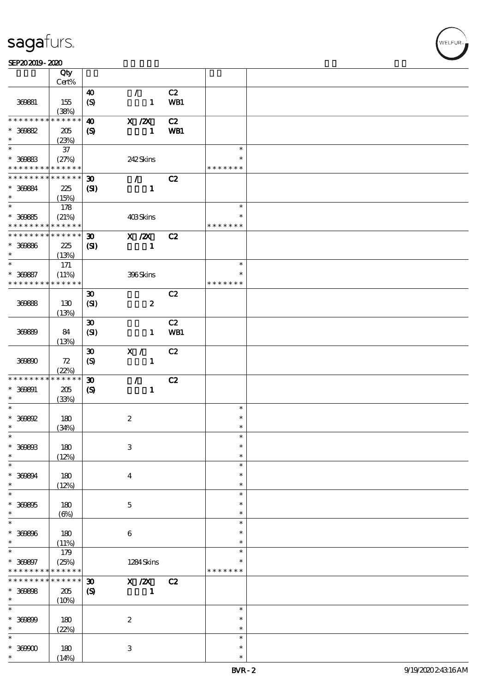### SEP202019-2020

|                             | Qty<br>Cert% |                             |                    |                  |            |               |  |
|-----------------------------|--------------|-----------------------------|--------------------|------------------|------------|---------------|--|
|                             |              |                             |                    |                  |            |               |  |
|                             |              | 40                          | $\mathcal{L}$      |                  | C2         |               |  |
| 369881                      | 155<br>(38%) | $\boldsymbol{S}$            |                    | $\mathbf{1}$     | WB1        |               |  |
| * * * * * * * *             | * * * * * *  | $\boldsymbol{\omega}$       | $X$ / $ZX$         |                  | C2         |               |  |
| $* 300882$                  | 205          | $\boldsymbol{S}$            |                    | $\mathbf{1}$     | <b>WB1</b> |               |  |
| $\ast$                      | (23%)        |                             |                    |                  |            |               |  |
| $\overline{\ast}$           | $37\,$       |                             |                    |                  |            | $\ast$        |  |
| $* 369883$                  | (27%)        |                             | 242Skins           |                  |            | $\ast$        |  |
| * * * * * * * * * * * * * * |              |                             |                    |                  |            | * * * * * * * |  |
| * * * * * * * * * * * * * * |              | $\boldsymbol{\mathfrak{D}}$ | $\mathcal{F}$      |                  | C2         |               |  |
| * 369884                    | 225          | (S)                         |                    | $\mathbf{1}$     |            |               |  |
| $\ast$                      | (15%)        |                             |                    |                  |            |               |  |
|                             | 178          |                             |                    |                  |            | $\ast$        |  |
| $* 30085$                   | (21%)        |                             | 403Skins           |                  |            | $\ast$        |  |
| * * * * * * * * * * * * * * |              |                             |                    |                  |            | * * * * * * * |  |
|                             |              |                             |                    |                  |            |               |  |
| * * * * * * * * * * * * * * |              | 30 <sub>o</sub>             | $X$ / $ZX$         |                  | C2         |               |  |
| $* 30000$                   | 225          | $\mathbf{C}$                |                    | $\mathbf{1}$     |            |               |  |
| $\ast$                      | (13%)        |                             |                    |                  |            |               |  |
| $\ast$                      | 171          |                             |                    |                  |            | $\ast$        |  |
| $* 300887$                  | (11%)        |                             | 396Skins           |                  |            | $\ast$        |  |
| * * * * * * * * * * * * * * |              |                             |                    |                  |            | * * * * * * * |  |
|                             |              | $\boldsymbol{\mathfrak{D}}$ |                    |                  | C2         |               |  |
| 36888                       | 130          | (SI)                        |                    | $\boldsymbol{z}$ |            |               |  |
|                             |              |                             |                    |                  |            |               |  |
|                             | (13%)        |                             |                    |                  |            |               |  |
|                             |              | $\boldsymbol{\mathfrak{D}}$ |                    |                  | C2         |               |  |
| 36889                       | 84           | (SI)                        |                    | $\mathbf{1}$     | WB1        |               |  |
|                             | (13%)        |                             |                    |                  |            |               |  |
|                             |              | $\boldsymbol{\mathfrak{D}}$ | X /                |                  | C2         |               |  |
| 369800                      | 72           | (S)                         |                    | $\mathbf{1}$     |            |               |  |
|                             | (22%)        |                             |                    |                  |            |               |  |
| * * * * * * * *             | * * * * * *  | $\boldsymbol{\mathfrak{D}}$ | $\mathcal{L}$      |                  | C2         |               |  |
| $* 369891$                  | 205          | $\boldsymbol{\mathcal{S}}$  |                    | $\mathbf{1}$     |            |               |  |
| $\ast$                      |              |                             |                    |                  |            |               |  |
| $\ast$                      | (33%)        |                             |                    |                  |            | $\ast$        |  |
|                             |              |                             |                    |                  |            | $\ast$        |  |
| $*$ 369892                  | 180          |                             | $\boldsymbol{2}$   |                  |            |               |  |
| $\ast$                      | (34%)        |                             |                    |                  |            | $\ast$        |  |
| $\ast$                      |              |                             |                    |                  |            | $\ast$        |  |
| $* 300003$                  | 180          |                             | $\,3$              |                  |            | $\ast$        |  |
| $\ast$                      | (12%)        |                             |                    |                  |            | $\ast$        |  |
| $\ast$                      |              |                             |                    |                  |            | $\ast$        |  |
| $* 30004$                   | $180$        |                             | $\boldsymbol{4}$   |                  |            | $\ast$        |  |
| $\ast$                      | (12%)        |                             |                    |                  |            | $\ast$        |  |
| $\ast$                      |              |                             |                    |                  |            | $\ast$        |  |
| $* 300005$                  | 180          |                             | $\mathbf 5$        |                  |            | $\ast$        |  |
| $\ast$                      |              |                             |                    |                  |            | $\ast$        |  |
| $\ast$                      | $(\Theta)$   |                             |                    |                  |            |               |  |
|                             |              |                             |                    |                  |            | $\ast$        |  |
| $* 30000$                   | $180$        |                             | $\,6\,$            |                  |            | $\ast$        |  |
| $\ast$                      | (11%)        |                             |                    |                  |            | $\ast$        |  |
| $\ast$                      | 179          |                             |                    |                  |            | $\ast$        |  |
| $* 30007$                   | (25%)        |                             | 1284Skins          |                  |            | $\ast$        |  |
| * * * * * * * *             | * * * * * *  |                             |                    |                  |            | * * * * * * * |  |
| * * * * * * * *             | $******$     | $\boldsymbol{\mathfrak{D}}$ | $\overline{X}$ /2X |                  | C2         |               |  |
| $* 300008$                  | 205          | $\boldsymbol{\mathrm{(S)}}$ |                    | $\mathbf{1}$     |            |               |  |
| $\ast$                      | (10%)        |                             |                    |                  |            |               |  |
| $\ast$                      |              |                             |                    |                  |            | $\ast$        |  |
|                             |              |                             |                    |                  |            |               |  |
| $* 30000$                   | 180          |                             | $\boldsymbol{2}$   |                  |            | $\ast$        |  |
| $\ast$                      | (22%)        |                             |                    |                  |            | $\ast$        |  |
| $\ast$                      |              |                             |                    |                  |            | $\ast$        |  |
| $^*$ 36900                  | 180          |                             | $\,3\,$            |                  |            | $\ast$        |  |
| $\ast$                      | (14%)        |                             |                    |                  |            | $\ast$        |  |

VELFUR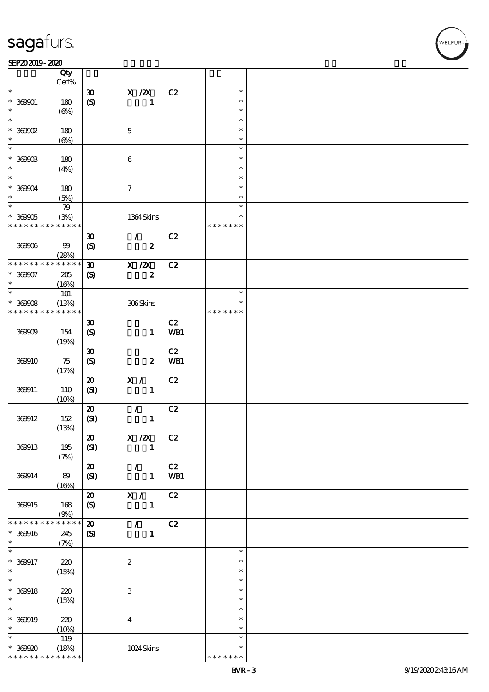### $SEP202019 - 2020$

|                   | Qty<br>Cert%    |                             |                           |     |               |  |
|-------------------|-----------------|-----------------------------|---------------------------|-----|---------------|--|
| $\ast$            |                 | $\boldsymbol{\mathfrak{D}}$ | X / ZX                    | C2  | $\ast$        |  |
|                   |                 |                             |                           |     | $\ast$        |  |
| $* 369001$        | 180             | $\boldsymbol{\mathrm{(S)}}$ | $\mathbf{1}$              |     |               |  |
| $\ast$            | $(\Theta)$      |                             |                           |     | $\ast$        |  |
| $\ast$            |                 |                             |                           |     | $\ast$        |  |
| $*$ 369902        | 180             |                             | $\mathbf 5$               |     | $\ast$        |  |
| $\ast$            | $(\Theta)$      |                             |                           |     | $\ast$        |  |
| $\overline{\ast}$ |                 |                             |                           |     | $\ast$        |  |
| $*$ 369903        |                 |                             |                           |     | $\ast$        |  |
| $\ast$            | 180             |                             | $\boldsymbol{6}$          |     |               |  |
|                   | (4%)            |                             |                           |     | $\ast$        |  |
| $\overline{\ast}$ |                 |                             |                           |     | $\ast$        |  |
| $* 36904$         | 180             |                             | $\boldsymbol{\tau}$       |     | $\ast$        |  |
| $\ast$            | (5%)            |                             |                           |     | $\ast$        |  |
| $\overline{\ast}$ | 79              |                             |                           |     | $\ast$        |  |
| $* 36905$         | (3%)            |                             | 1364Skins                 |     | $\ast$        |  |
| * * * * * * * *   | $* * * * * * *$ |                             |                           |     | * * * * * * * |  |
|                   |                 |                             |                           |     |               |  |
|                   |                 | $\boldsymbol{\mathfrak{D}}$ | $\mathcal{T}$             | C2  |               |  |
| 36906             | 99              | $\boldsymbol{S}$            | $\boldsymbol{z}$          |     |               |  |
|                   | (28%)           |                             |                           |     |               |  |
| * * * * * * * *   | * * * * * *     | $\boldsymbol{\mathfrak{D}}$ | $X$ / $ZX$                | C2  |               |  |
| $* 369007$        | 205             | $\boldsymbol{S}$            | $\boldsymbol{z}$          |     |               |  |
| $\ast$            | (16%)           |                             |                           |     |               |  |
| $\ast$            | 101             |                             |                           |     | $\ast$        |  |
|                   |                 |                             |                           |     |               |  |
| $* 36908$         | (13%)           |                             | 306Skins                  |     | $\ast$        |  |
| * * * * * * * *   | * * * * * *     |                             |                           |     | * * * * * * * |  |
|                   |                 | $\boldsymbol{\mathfrak{D}}$ |                           | C2  |               |  |
| 36909             | 154             | $\boldsymbol{S}$            | $\mathbf{1}$              | WB1 |               |  |
|                   | (19%)           |                             |                           |     |               |  |
|                   |                 | $\boldsymbol{\mathfrak{D}}$ |                           | C2  |               |  |
|                   |                 |                             |                           |     |               |  |
| 369910            | 75              | $\boldsymbol{\mathrm{(S)}}$ | $\boldsymbol{z}$          | WB1 |               |  |
|                   | (17%)           |                             |                           |     |               |  |
|                   |                 | $\boldsymbol{\mathbf{z}}$   | $X / \sqrt{2}$            | C2  |               |  |
| 369911            | 110             | (SI)                        | $\mathbf{1}$              |     |               |  |
|                   | (10%)           |                             |                           |     |               |  |
|                   |                 | $\boldsymbol{\mathsf{20}}$  | $\mathcal{L}$             | C2  |               |  |
| 369912            | 152             | (SI)                        | $\mathbf{1}$              |     |               |  |
|                   | (13%)           |                             |                           |     |               |  |
|                   |                 |                             |                           |     |               |  |
|                   |                 | $\pmb{\mathcal{Z}}$         | X / ZX                    | C2  |               |  |
| 369913            | 195             | (SI)                        | $\mathbf{1}$              |     |               |  |
|                   | (7%)            |                             |                           |     |               |  |
|                   |                 | $\boldsymbol{\mathbf{z}}$   | $\mathcal{L}$             | C2  |               |  |
| 369914            | 89              | (SI)                        | $\mathbf{1}$              | WB1 |               |  |
|                   | (16%)           |                             |                           |     |               |  |
|                   |                 | $\pmb{\mathcal{X}}$         | X /                       | C2  |               |  |
| 369915            | 168             |                             | $\mathbf{1}$              |     |               |  |
|                   |                 | (S)                         |                           |     |               |  |
|                   | (9%)            |                             |                           |     |               |  |
| * * * * * * *     | * * * * * *     | $\boldsymbol{\mathfrak{D}}$ | $\mathcal{L}$             | C2  |               |  |
| * 369916          | 245             | $\boldsymbol{S}$            | $\mathbf{1}$              |     |               |  |
| $\ast$            | (7%)            |                             |                           |     |               |  |
| $\ast$            |                 |                             |                           |     | $\ast$        |  |
| * 369917          | 220             |                             | $\boldsymbol{2}$          |     | $\ast$        |  |
| $\ast$            | (15%)           |                             |                           |     | $\ast$        |  |
| $\ast$            |                 |                             |                           |     | $\ast$        |  |
|                   |                 |                             |                           |     |               |  |
| $* 369918$        | 220             |                             | $\ensuremath{\mathbf{3}}$ |     | $\ast$        |  |
| $\ast$            | (15%)           |                             |                           |     | $\ast$        |  |
| $\ast$            |                 |                             |                           |     | $\ast$        |  |
| * 369919          | 220             |                             | $\boldsymbol{4}$          |     | $\ast$        |  |
| $\ast$            | (10%)           |                             |                           |     | $\ast$        |  |
| $\ast$            | 119             |                             |                           |     | $\ast$        |  |
|                   |                 |                             |                           |     | $\ast$        |  |
| $*369920$         | (18%)           |                             | 1024 Skins                |     |               |  |
| * * * * * * * *   | * * * * * *     |                             |                           |     | * * * * * * * |  |

**NELFUR**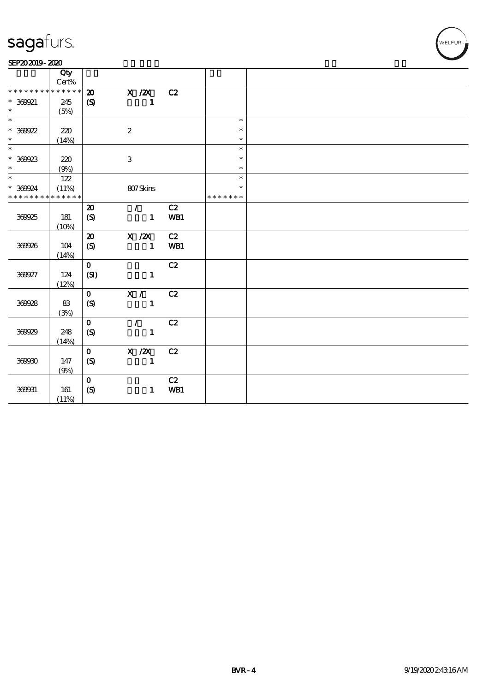### SEP202019-2020

|                          | Qty         |                             |                  |     |               |  |
|--------------------------|-------------|-----------------------------|------------------|-----|---------------|--|
|                          | $Cert\%$    |                             |                  |     |               |  |
| * * * * * * * *          | * * * * * * | $\boldsymbol{\mathbf{z}}$   | $X$ / $ZX$       | C2  |               |  |
| $* 360021$               | 245         | $\boldsymbol{S}$            | $\mathbf{1}$     |     |               |  |
| $\ast$                   | (5%)        |                             |                  |     |               |  |
| $\overline{\phantom{0}}$ |             |                             |                  |     | $\ast$        |  |
| $* 360022$               | 220         |                             | $\boldsymbol{2}$ |     | $\ast$        |  |
| $\ast$                   | (14%)       |                             |                  |     | $\ast$        |  |
| $\overline{\phantom{0}}$ |             |                             |                  |     | $\ast$        |  |
| $* 36923$                | 220         |                             | 3                |     | $\ast$        |  |
| $\ast$                   | (9%)        |                             |                  |     | $\ast$        |  |
|                          | 122         |                             |                  |     | $\ast$        |  |
| $* 360024$               | (11%)       |                             | 807Skins         |     | $\ast$        |  |
| * * * * * * * *          | * * * * * * |                             |                  |     | * * * * * * * |  |
|                          |             | $\boldsymbol{\mathfrak{D}}$ | $\mathcal{L}$    | C2  |               |  |
| 369925                   | 181         | $\boldsymbol{S}$            | $\blacksquare$   | WB1 |               |  |
|                          | (10%)       |                             |                  |     |               |  |
|                          |             | $\boldsymbol{\mathbf{z}}$   | $X$ / $ZX$       | C2  |               |  |
| 369926                   | 104         | $\boldsymbol{S}$            | $\mathbf{1}$     | WB1 |               |  |
|                          | (14%)       |                             |                  |     |               |  |
|                          |             | $\mathbf{o}$                |                  | C2  |               |  |
| 369927                   | 124         | (SI)                        | $\mathbf{1}$     |     |               |  |
|                          | (12%)       |                             |                  |     |               |  |
|                          |             | $\mathbf{O}$                | X /              | C2  |               |  |
| 369928                   | 83          | (S)                         | $\mathbf{1}$     |     |               |  |
|                          | (3%)        |                             |                  |     |               |  |
|                          |             | $\mathbf{o}$                | $\mathcal{L}$    | C2  |               |  |
| 360029                   | 248         | $\boldsymbol{S}$            | $\mathbf{1}$     |     |               |  |
|                          | (14%)       |                             |                  |     |               |  |
|                          |             | $\mathbf{O}$                | X / ZX           | C2  |               |  |
| 36990                    | 147         | $\boldsymbol{S}$            | $\mathbf{I}$     |     |               |  |
|                          | (9%)        |                             |                  |     |               |  |
|                          |             | $\mathbf 0$                 |                  | C2  |               |  |
| 369931                   | 161         | (S)                         | $\mathbf{1}$     | WB1 |               |  |
|                          | (11%)       |                             |                  |     |               |  |
|                          |             |                             |                  |     |               |  |

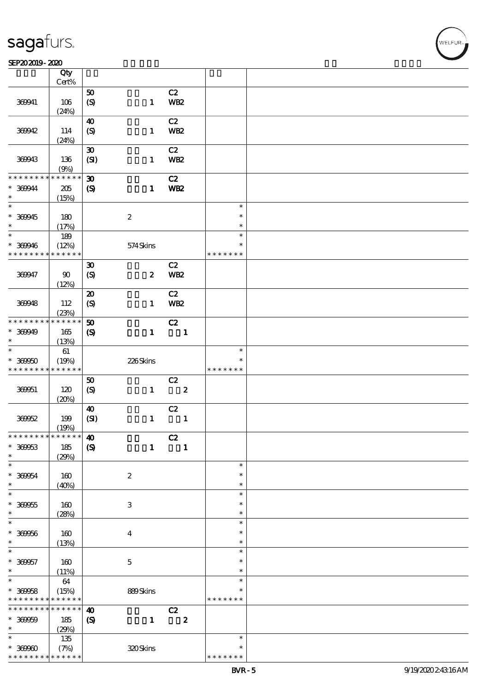### SEP202019-2020 0 2020 UNIVERSITY OF THE CONTROL SEPERATOR OF THE CONTROL SEP

|                               | Qty<br>Cert%         |                             |                  |                  |               |  |
|-------------------------------|----------------------|-----------------------------|------------------|------------------|---------------|--|
|                               |                      |                             |                  |                  |               |  |
|                               |                      | ${\bf 50}$                  |                  | C2               |               |  |
| 369941                        | 106                  | $\boldsymbol{S}$            | $\mathbf{1}$     | <b>WB2</b>       |               |  |
|                               | (24%)                |                             |                  |                  |               |  |
|                               |                      | $\boldsymbol{\omega}$       |                  | C2               |               |  |
| 369942                        | 114                  | $\boldsymbol{S}$            | $\mathbf{1}$     | <b>WB2</b>       |               |  |
|                               | (24%)                |                             |                  |                  |               |  |
|                               |                      | $\boldsymbol{\mathfrak{D}}$ |                  | C2               |               |  |
| 369943                        | 136                  | (SI)                        | $\mathbf{1}$     | <b>WB2</b>       |               |  |
|                               | (9%)                 |                             |                  |                  |               |  |
| * * * * * * * *               | * * * * * *          | $\boldsymbol{\mathfrak{D}}$ |                  | C2               |               |  |
| * 369944                      | $205\,$              | $\boldsymbol{\mathrm{(S)}}$ | $\mathbf{1}$     | WB <sub>2</sub>  |               |  |
| $\ast$                        | (15%)                |                             |                  |                  |               |  |
| $\ast$                        |                      |                             |                  |                  | $\ast$        |  |
| $* 369945$                    | 180                  |                             | $\boldsymbol{2}$ |                  | $\ast$        |  |
| $\ast$                        | (17%)                |                             |                  |                  | $\ast$        |  |
| $\ast$                        |                      |                             |                  |                  | $\ast$        |  |
|                               | 189                  |                             |                  |                  | $\ast$        |  |
| $* 369946$<br>* * * * * * * * | (12%)<br>* * * * * * |                             | 574Skins         |                  | * * * * * * * |  |
|                               |                      |                             |                  |                  |               |  |
|                               |                      | $\boldsymbol{\mathfrak{D}}$ |                  | C2               |               |  |
| 369947                        | 90                   | (S)                         | $\boldsymbol{z}$ | <b>WB2</b>       |               |  |
|                               | (12%)                |                             |                  |                  |               |  |
|                               |                      | $\boldsymbol{\mathbf{z}}$   |                  | C2               |               |  |
| 369948                        | 112                  | (S)                         | $\mathbf{1}$     | <b>WB2</b>       |               |  |
|                               | (23%)                |                             |                  |                  |               |  |
| * * * * * * * *               | * * * * * *          | 50                          |                  | C2               |               |  |
| * 369949                      | 165                  | $\boldsymbol{\mathcal{S}}$  | $\mathbf{1}$     | $\blacksquare$   |               |  |
| $\ast$                        | (13%)                |                             |                  |                  |               |  |
| $\ast$                        | $61\,$               |                             |                  |                  | $\ast$        |  |
| $* 36950$                     | (19%)                |                             | 226Skins         |                  | $\ast$        |  |
| * * * * * * * *               | * * * * * *          |                             |                  |                  | * * * * * * * |  |
|                               |                      | 50                          |                  | C2               |               |  |
| 369951                        | 120                  |                             | $\mathbf{1}$     | $\boldsymbol{2}$ |               |  |
|                               |                      | $\boldsymbol{\mathrm{(S)}}$ |                  |                  |               |  |
|                               | (20%)                |                             |                  |                  |               |  |
|                               |                      | $\boldsymbol{\omega}$       |                  | C2               |               |  |
| 36962                         | 199                  | (SI)                        | $\mathbf{1}$     | $\mathbf{1}$     |               |  |
|                               | (19%)                |                             |                  |                  |               |  |
| *************** 40            |                      |                             |                  | C2               |               |  |
| $* 36963$                     | 185                  | $\boldsymbol{S}$            | $\mathbf{1}$     | $\mathbf{1}$     |               |  |
| $\ast$                        | (29%)                |                             |                  |                  |               |  |
| $\ast$                        |                      |                             |                  |                  | $\ast$        |  |
| $* 36954$                     | 160                  |                             | $\boldsymbol{2}$ |                  | $\ast$        |  |
| $\ast$                        | (40%)                |                             |                  |                  | $\ast$        |  |
| $\ast$                        |                      |                             |                  |                  | $\ast$        |  |
| $* 369955$                    | $160$                |                             | $\,3$            |                  | ∗             |  |
| $\ast$                        | (28%)                |                             |                  |                  | $\ast$        |  |
| $\ast$                        |                      |                             |                  |                  | $\ast$        |  |
| $* 300056$                    | 160                  |                             | $\boldsymbol{4}$ |                  | $\ast$        |  |
| $\ast$                        | (13%)                |                             |                  |                  | $\ast$        |  |
| $\ast$                        |                      |                             |                  |                  | $\ast$        |  |
| $* 369657$                    | 160                  |                             | $\mathbf 5$      |                  | $\ast$        |  |
| $\ast$                        | (11%)                |                             |                  |                  | $\ast$        |  |
| $\overline{\ast}$             | 64                   |                             |                  |                  | $\ast$        |  |
| $* 36958$                     | (15%)                |                             | 889Skins         |                  |               |  |
| * * * * * * * *               | * * * * * *          |                             |                  |                  | * * * * * * * |  |
| * * * * * * *                 | * * * * * *          | $\boldsymbol{\omega}$       |                  | C2               |               |  |
|                               |                      |                             |                  |                  |               |  |
| $* 36960$                     | 185                  | $\boldsymbol{\mathcal{S}}$  | $\mathbf{1}$     | $\boldsymbol{z}$ |               |  |
| $\ast$<br>$\ast$              | (29%)                |                             |                  |                  |               |  |
|                               | 135                  |                             |                  |                  | $\ast$        |  |
| $* 30000$                     | (7%)                 |                             | 320Skins         |                  | ∗             |  |
| * * * * * * * *               | * * * * * *          |                             |                  |                  | * * * * * * * |  |

T

,<br>WELFUR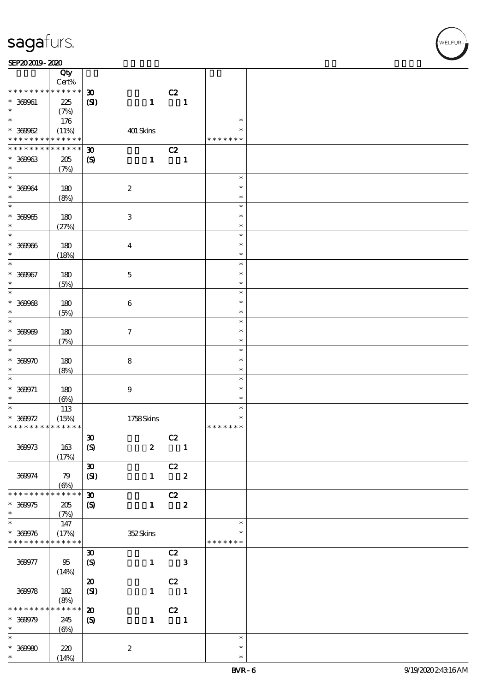|                                            | Qty             |                             |                           |                            |              |               |  |
|--------------------------------------------|-----------------|-----------------------------|---------------------------|----------------------------|--------------|---------------|--|
|                                            | Cert%           |                             |                           |                            |              |               |  |
| * * * * * * * *                            | $******$        | $\boldsymbol{\mathfrak{D}}$ |                           | C2                         |              |               |  |
| $* 36961$<br>$\ast$                        | 225             | (SI)                        | $\mathbf{1}$              |                            | $\mathbf{1}$ |               |  |
| $\ast$                                     | (7%)            |                             |                           |                            |              | $\ast$        |  |
| $* 360062$                                 | 176             |                             |                           |                            |              | $\ast$        |  |
| * * * * * * * *                            | (11%)<br>****** |                             | 401 Skins                 |                            |              | * * * * * * * |  |
| * * * * * * *                              | $* * * * * * *$ | $\boldsymbol{\mathfrak{D}}$ |                           | C2                         |              |               |  |
|                                            |                 |                             |                           | $\overline{\phantom{a}}$   |              |               |  |
| $* 30003$<br>$\ast$                        | 205             | $\boldsymbol{\mathcal{S}}$  | $\mathbf{1}$              |                            |              |               |  |
| $\ast$                                     | (7%)            |                             |                           |                            |              | $\ast$        |  |
| $* 36964$                                  |                 |                             |                           |                            |              | $\ast$        |  |
| $\ast$                                     | 180<br>(8%)     |                             | $\boldsymbol{2}$          |                            |              | $\ast$        |  |
| $\ast$                                     |                 |                             |                           |                            |              | $\ast$        |  |
| $* 36965$                                  |                 |                             |                           |                            |              | $\ast$        |  |
| $\ast$                                     | 180             |                             | $\ensuremath{\mathbf{3}}$ |                            |              | $\ast$        |  |
| $\ast$                                     | (27%)           |                             |                           |                            |              | $\ast$        |  |
| $* 36966$                                  | 180             |                             |                           |                            |              | $\ast$        |  |
| $\ast$                                     |                 |                             | $\bf{4}$                  |                            |              | $\ast$        |  |
| $\ast$                                     | (18%)           |                             |                           |                            |              | $\ast$        |  |
| $* 36967$                                  | 180             |                             | $\mathbf 5$               |                            |              | $\ast$        |  |
| $\ast$                                     |                 |                             |                           |                            |              | $\ast$        |  |
| $\ast$                                     | (5%)            |                             |                           |                            |              | $\ast$        |  |
| $* 36968$                                  | 180             |                             | $\bf 6$                   |                            |              | $\ast$        |  |
| $\ast$                                     | (5%)            |                             |                           |                            |              | $\ast$        |  |
| $\ast$                                     |                 |                             |                           |                            |              | $\ast$        |  |
| $* 30000$                                  | 180             |                             | $\tau$                    |                            |              | $\ast$        |  |
| $\ast$                                     | (7%)            |                             |                           |                            |              | $\ast$        |  |
| $\ast$                                     |                 |                             |                           |                            |              | $\ast$        |  |
| $* 369970$                                 | 180             |                             | $\bf 8$                   |                            |              | $\ast$        |  |
| $\ast$                                     | (8%)            |                             |                           |                            |              | $\ast$        |  |
| $\ast$                                     |                 |                             |                           |                            |              | $\ast$        |  |
| $* 369971$                                 | 180             |                             | $\boldsymbol{9}$          |                            |              | $\ast$        |  |
| $\ast$                                     | $(\Theta)$      |                             |                           |                            |              | $\ast$        |  |
| $\ast$                                     | 113             |                             |                           |                            |              | $\ast$        |  |
| $* 300072$                                 | (15%)           |                             | 1758Skins                 |                            |              | $\ast$        |  |
| * * * * * * * * * * * * * *                |                 |                             |                           |                            |              | * * * * * * * |  |
|                                            |                 | $\pmb{\mathfrak{D}}$        |                           | C2                         |              |               |  |
| 36973                                      | 163             | (S)                         | $\boldsymbol{z}$          | $\overline{\mathbf{1}}$    |              |               |  |
|                                            | (17%)           |                             |                           |                            |              |               |  |
|                                            |                 | $\boldsymbol{\mathfrak{D}}$ |                           | $\overline{c}z$            |              |               |  |
| 36974                                      | 79              | (SI)                        |                           | $1 \t 2$                   |              |               |  |
|                                            | $(\Theta)$      |                             |                           |                            |              |               |  |
| * * * * * * *                              | * * * * * *     | $\boldsymbol{\mathfrak{D}}$ |                           | $\overline{c}z$            |              |               |  |
| $* 300075$                                 | 205             | $\boldsymbol{\mathsf{S}}$   |                           | $1 \t 2$                   |              |               |  |
| $\ast$                                     | (7%)            |                             |                           |                            |              |               |  |
| $\ast$                                     | 147             |                             |                           |                            |              | $\ast$        |  |
| $* 369976$                                 | (17%)           |                             | 352Skins                  |                            |              | *             |  |
| * * * * * * * * <mark>* * * * * * *</mark> |                 |                             |                           |                            |              | * * * * * * * |  |
|                                            |                 | $\boldsymbol{\mathfrak{D}}$ |                           | C2                         |              |               |  |
| 369977                                     | 95              | $\boldsymbol{\mathrm{(S)}}$ |                           | $1 \qquad 3$               |              |               |  |
|                                            | (14%)           |                             |                           |                            |              |               |  |
|                                            |                 | $\boldsymbol{\mathsf{20}}$  |                           | C2                         |              |               |  |
| 36978                                      | 182             | (SI)                        | $\mathbf{1}^-$            | $\overline{\phantom{a}}$ 1 |              |               |  |
|                                            | (8%)            |                             |                           |                            |              |               |  |
| * * * * * *                                | * * * * * *     | $\boldsymbol{\mathbf{z}}$   |                           | $\overline{c}z$            |              |               |  |
| $* 369979$                                 | 245             | $\boldsymbol{S}$            | $\mathbf{1}$              | $\overline{\mathbf{1}}$    |              |               |  |
| $\ast$                                     | $(\Theta)$      |                             |                           |                            |              |               |  |
| $\ast$                                     |                 |                             |                           |                            |              | $\ast$        |  |
| $* 36990$                                  | 220             |                             | $\boldsymbol{z}$          |                            |              | $\ast$        |  |
| $\ast$                                     | (14%)           |                             |                           |                            |              | $\ast$        |  |

**NELFUR**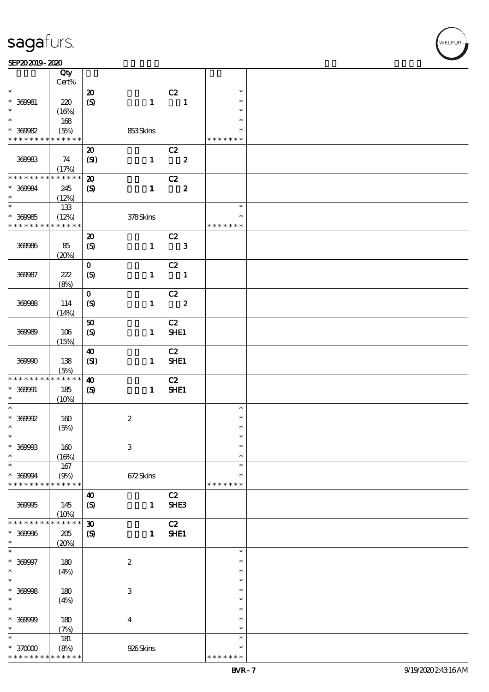┯

|                                          | Qty<br>Cert%        |                             |                  |                            |                         |  |
|------------------------------------------|---------------------|-----------------------------|------------------|----------------------------|-------------------------|--|
| $\ast$                                   |                     |                             |                  |                            | $\ast$                  |  |
|                                          |                     | $\boldsymbol{\mathbf{z}}$   |                  | C2                         |                         |  |
| * 369981                                 | 220                 | $\boldsymbol{S}$            | $\mathbf{1}$     | $\overline{\phantom{a}}$   | $\ast$                  |  |
| $\ast$                                   | (16%)               |                             |                  |                            | $\ast$                  |  |
| $\overline{\ast}$                        | 168                 |                             |                  |                            | $\ast$                  |  |
| $* 36962$                                | (5%)                |                             | 853Skins         |                            | $\ast$                  |  |
|                                          |                     |                             |                  |                            |                         |  |
| * * * * * * * * <mark>* * * * * *</mark> |                     |                             |                  |                            | * * * * * * *           |  |
|                                          |                     | $\boldsymbol{\mathbf{z}}$   |                  | C2                         |                         |  |
| 36983                                    | 74                  | (SI)                        |                  | $1 \t 2$                   |                         |  |
|                                          | (17%)               |                             |                  |                            |                         |  |
| * * * * * * * *                          | $* * * * * * *$     |                             |                  |                            |                         |  |
|                                          |                     | $\boldsymbol{\mathfrak{D}}$ |                  | C2                         |                         |  |
| * 369984                                 | 245                 | $\boldsymbol{\mathrm{(S)}}$ | $\mathbf{1}$     | $\overline{\phantom{a}}$ 2 |                         |  |
| $\ast$                                   | (12%)               |                             |                  |                            |                         |  |
| $*$                                      | 133                 |                             |                  |                            | $\ast$                  |  |
| $* 369985$                               | (12%)               |                             | 378Skins         |                            | $\ast$                  |  |
|                                          |                     |                             |                  |                            |                         |  |
| * * * * * * * *                          | * * * * * *         |                             |                  |                            | * * * * * * *           |  |
|                                          |                     | $\boldsymbol{\mathbf{z}}$   |                  | C2                         |                         |  |
| 369966                                   | 85                  | $\boldsymbol{S}$            | $\mathbf{1}$     | $\overline{\phantom{a}}$ 3 |                         |  |
|                                          | (20%)               |                             |                  |                            |                         |  |
|                                          |                     | $\mathbf{o}$                |                  | C2                         |                         |  |
|                                          |                     |                             |                  |                            |                         |  |
| 36987                                    | 222                 | (S)                         | $\mathbf{1}$     | $\overline{\phantom{0}}$ 1 |                         |  |
|                                          | (8%)                |                             |                  |                            |                         |  |
|                                          |                     | $\mathbf{O}$                |                  | C2                         |                         |  |
| 36998                                    | 114                 | (S)                         | $\mathbf{1}$     | $\overline{\phantom{a}}$ 2 |                         |  |
|                                          |                     |                             |                  |                            |                         |  |
|                                          | (14%)               |                             |                  |                            |                         |  |
|                                          |                     | 50                          |                  | C2                         |                         |  |
| 369999                                   | 106                 | $\boldsymbol{S}$            | $\mathbf{1}$     | SHE1                       |                         |  |
|                                          | (15%)               |                             |                  |                            |                         |  |
|                                          |                     | $\boldsymbol{40}$           |                  | C2                         |                         |  |
|                                          |                     |                             |                  |                            |                         |  |
| 369990                                   | 138                 | (SI)                        | $\mathbf{1}$     | SHE1                       |                         |  |
|                                          | (5%)                |                             |                  |                            |                         |  |
| * * * * * * * *                          | $******$            | $\boldsymbol{\omega}$       |                  | C2                         |                         |  |
| $* 360001$                               | 185                 | $\boldsymbol{\mathrm{(S)}}$ | $\mathbf{1}$     | SHE1                       |                         |  |
| $\ast$                                   | (10%)               |                             |                  |                            |                         |  |
| $\ast$                                   |                     |                             |                  |                            | $\ast$                  |  |
|                                          |                     |                             |                  |                            |                         |  |
| $*$ 369992                               | 160                 |                             | $\boldsymbol{2}$ |                            | $\ast$                  |  |
| $\ast$                                   | (5%)                |                             |                  |                            | $\ast$                  |  |
|                                          |                     |                             |                  |                            |                         |  |
| $\ast$                                   |                     |                             |                  |                            | $\ast$                  |  |
|                                          |                     |                             |                  |                            | $\ast$                  |  |
| $* 36998$                                | 160                 |                             | $\mathbf{3}$     |                            |                         |  |
| $\ast$                                   | (16%)               |                             |                  |                            | $\ast$                  |  |
| $\ast$                                   | 167                 |                             |                  |                            | $\ast$                  |  |
| * 369994                                 | (9%)                |                             | 672Skins         |                            | $\ast$                  |  |
| * * * * * * * *                          | * * * * * *         |                             |                  |                            | * * * * * * *           |  |
|                                          |                     |                             |                  |                            |                         |  |
|                                          |                     | $\boldsymbol{\omega}$       |                  | C2                         |                         |  |
| 36995                                    | 145                 | $\boldsymbol{S}$            | $\mathbf{1}$     | SHE <sub>3</sub>           |                         |  |
|                                          | (10%)               |                             |                  |                            |                         |  |
| * * * * * * *                            | * * * * * *         | $\boldsymbol{\mathfrak{D}}$ |                  | C2                         |                         |  |
| * 36996                                  |                     |                             | $\mathbf{1}$     | SHE1                       |                         |  |
| $\ast$                                   | $205\,$             | $\boldsymbol{S}$            |                  |                            |                         |  |
|                                          | (20%)               |                             |                  |                            |                         |  |
| $\ast$                                   |                     |                             |                  |                            | $\ast$                  |  |
| $* 369997$                               | 180                 |                             | $\boldsymbol{2}$ |                            | $\ast$                  |  |
| $\ast$                                   | (4%)                |                             |                  |                            | $\ast$                  |  |
| $\ast$                                   |                     |                             |                  |                            | $\ast$                  |  |
|                                          |                     |                             |                  |                            | $\ast$                  |  |
| $* 36998$                                | 180                 |                             | $\,3$            |                            |                         |  |
| $\ast$                                   | (4%)                |                             |                  |                            | $\ast$                  |  |
| $\ast$                                   |                     |                             |                  |                            | $\ast$                  |  |
| $* 369999$                               | 180                 |                             | $\boldsymbol{4}$ |                            | $\ast$                  |  |
|                                          |                     |                             |                  |                            | $\ast$                  |  |
| $\ast$                                   | (7%)                |                             |                  |                            | $\ast$                  |  |
|                                          | 181                 |                             |                  |                            |                         |  |
| $*37000$<br>* * * * * * * *              | (8%)<br>* * * * * * |                             | 926Skins         |                            | $\ast$<br>* * * * * * * |  |

 $\overline{\mathsf{r}}$ 

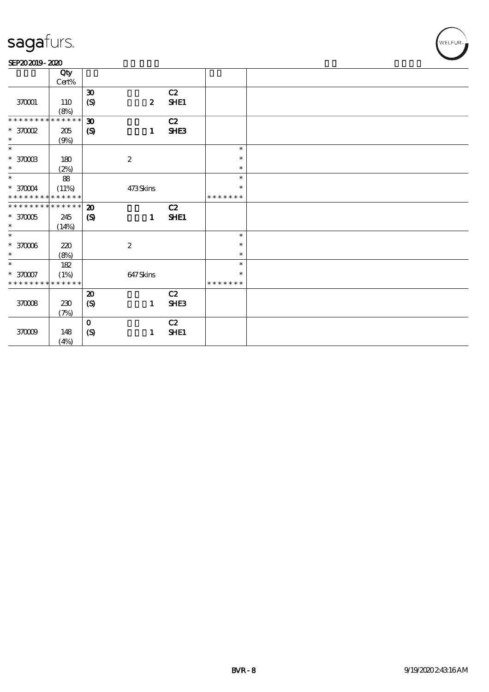### SEP202019-2020

|                              | Qty             |                             |                  |                  |               |  |
|------------------------------|-----------------|-----------------------------|------------------|------------------|---------------|--|
|                              | $\mbox{Cert}\%$ |                             |                  |                  |               |  |
|                              |                 | $\pmb{\mathfrak{D}}$        |                  | C2               |               |  |
| 370001                       | 110             | $\boldsymbol{S}$            | $\boldsymbol{z}$ | SHE1             |               |  |
|                              | (8%)            |                             |                  |                  |               |  |
| * * * * * * * *              | * * * * * *     | $\boldsymbol{\mathfrak{D}}$ |                  | C2               |               |  |
| $^\ast$ 37002                | $205\,$         | $\boldsymbol{\mathcal{S}}$  | $\mathbf{1}$     | SHE <sub>3</sub> |               |  |
| $\ast$                       | (9%)            |                             |                  |                  |               |  |
| $\ast$                       |                 |                             |                  |                  | $\ast$        |  |
| $^\ast$ 370003               | 180             |                             | $\boldsymbol{2}$ |                  | $\ast$        |  |
| $\ast$                       | (2%)            |                             |                  |                  | $\ast$        |  |
| $\ast$                       | 88              |                             |                  |                  | $\ast$        |  |
| $* 37004$                    | (11%)           |                             | 473Skins         |                  | $\ast$        |  |
| * * * * * * * * * * * * * *  |                 |                             |                  |                  | * * * * * * * |  |
| ******** <mark>******</mark> |                 | $\boldsymbol{\mathfrak{D}}$ |                  | C2               |               |  |
| $^\ast$ 37005                | 245             | $\boldsymbol{\mathcal{S}}$  | $\mathbf{1}$     | SHE1             |               |  |
| $\ast$                       | (14%)           |                             |                  |                  |               |  |
| $\ast$                       |                 |                             |                  |                  | $\ast$        |  |
| $^\ast$ 37006                | 220             |                             | $\boldsymbol{2}$ |                  | $\ast$        |  |
| $\ast$                       | (8%)            |                             |                  |                  | $\ast$        |  |
| $\ast$                       | 182             |                             |                  |                  | $\ast$        |  |
| $* 37007$                    | (1%)            |                             | 647Skins         |                  | $\ast$        |  |
| * * * * * * * * * * * * * *  |                 |                             |                  |                  | * * * * * * * |  |
|                              |                 | $\boldsymbol{\mathfrak{D}}$ |                  | C2               |               |  |
| 370008                       | 230             | (S)                         | $\mathbf{1}$     | SHE <sub>3</sub> |               |  |
|                              | (7%)            |                             |                  |                  |               |  |
|                              |                 | $\mathbf{o}$                |                  | C2               |               |  |
| $37009$                      | 148             | $\boldsymbol{S}$            | $\mathbf{1}$     | SHE1             |               |  |
|                              | (4%)            |                             |                  |                  |               |  |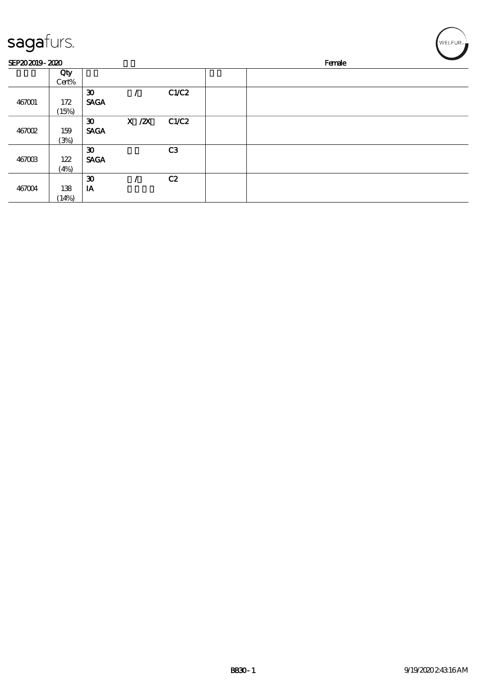| sagafurs.      |       |                             |            |       |        |  |  | WELFUR <sub>™</sub> |  |
|----------------|-------|-----------------------------|------------|-------|--------|--|--|---------------------|--|
| SEP202019-2020 |       |                             |            |       | Female |  |  |                     |  |
|                | Qty   |                             |            |       |        |  |  |                     |  |
|                | Cert% |                             |            |       |        |  |  |                     |  |
|                |       | $\boldsymbol{\mathfrak{D}}$ |            | C1/C2 |        |  |  |                     |  |
| 467001         | 172   | <b>SAGA</b>                 |            |       |        |  |  |                     |  |
|                | (15%) |                             |            |       |        |  |  |                     |  |
|                |       | $\boldsymbol{\mathfrak{D}}$ | $X$ / $ZX$ | C1/C2 |        |  |  |                     |  |
| 467002         | 159   | <b>SAGA</b>                 |            |       |        |  |  |                     |  |
|                | (3%)  |                             |            |       |        |  |  |                     |  |
|                |       | $\boldsymbol{\mathfrak{D}}$ |            | C3    |        |  |  |                     |  |
| 467003         | 122   | <b>SAGA</b>                 |            |       |        |  |  |                     |  |
|                | (4%)  |                             |            |       |        |  |  |                     |  |
|                |       | $\boldsymbol{\mathfrak{D}}$ |            | C2    |        |  |  |                     |  |
| 467004         | 138   | IA                          |            |       |        |  |  |                     |  |
|                | (14%) |                             |            |       |        |  |  |                     |  |

╭  $\overline{\phantom{0}}$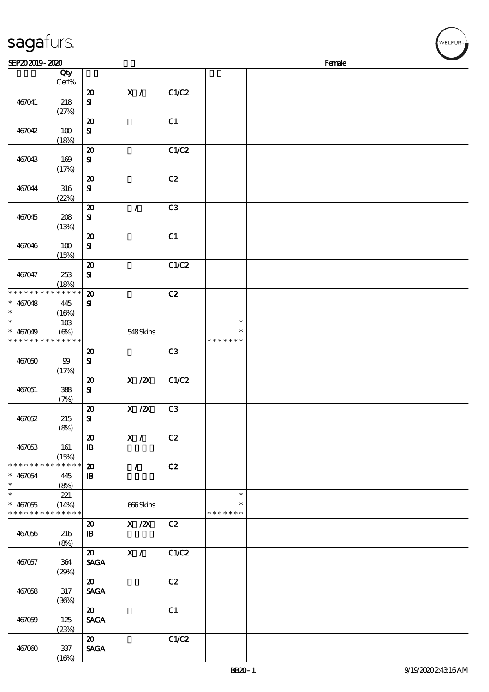| sagafurs.                                 |                    |                                                         |                |       |                         |        | WELFUR <sub>™</sub> |
|-------------------------------------------|--------------------|---------------------------------------------------------|----------------|-------|-------------------------|--------|---------------------|
| SEP202019-2020                            |                    |                                                         |                |       |                         | Female |                     |
|                                           | Qty<br>Cert%       |                                                         |                |       |                         |        |                     |
|                                           |                    | $\boldsymbol{\mathsf{20}}$                              | X /            | C1/C2 |                         |        |                     |
| 467041                                    | 218                | $\mathbf{S}$                                            |                |       |                         |        |                     |
|                                           | (27%)              |                                                         |                |       |                         |        |                     |
| 467042                                    | 100                | $\boldsymbol{\mathfrak{D}}$<br>$\mathbf{S}$             |                | C1    |                         |        |                     |
|                                           | (18%)              |                                                         |                |       |                         |        |                     |
|                                           |                    | $\boldsymbol{\mathbf{z}}$                               |                | C1/C2 |                         |        |                     |
| 467043                                    | 169                | $\mathbf{S}$                                            |                |       |                         |        |                     |
|                                           | (17%)              | $\boldsymbol{\mathsf{20}}$                              |                | C2    |                         |        |                     |
| 467044                                    | 316                | $\mathbf{S}$                                            |                |       |                         |        |                     |
|                                           | (22%)              |                                                         |                |       |                         |        |                     |
| 467045                                    | 208                | $\boldsymbol{\mathsf{20}}$<br>${\bf s}$                 | $\mathcal{L}$  | C3    |                         |        |                     |
|                                           | (13%)              |                                                         |                |       |                         |        |                     |
|                                           |                    | $\boldsymbol{\mathsf{20}}$                              |                | C1    |                         |        |                     |
| 467046                                    | 100                | ${\bf S}$                                               |                |       |                         |        |                     |
|                                           | (15%)              | $\boldsymbol{\mathsf{20}}$                              |                | C1/C2 |                         |        |                     |
| 467047                                    | 253                | $\mathbf{S}$                                            |                |       |                         |        |                     |
|                                           | (18%)              |                                                         |                |       |                         |        |                     |
| * * * * * * * *<br>$* 467048$             | * * * * * *<br>445 | $\boldsymbol{\mathbf{z}}$<br>${\bf s}$                  |                | C2    |                         |        |                     |
| $\ast$                                    | (16%)              |                                                         |                |       |                         |        |                     |
| $\ast$                                    | $10B$              |                                                         |                |       | $\ast$                  |        |                     |
| $* 467049$<br>* * * * * * * * * * * * * * | $(\Theta\%)$       |                                                         | 548Skins       |       | $\ast$<br>* * * * * * * |        |                     |
|                                           |                    | $\boldsymbol{\mathsf{20}}$                              |                | C3    |                         |        |                     |
| 467050                                    | 99                 | $\mathbf{S}$                                            |                |       |                         |        |                     |
|                                           | (17%)              |                                                         | X / ZX         |       |                         |        |                     |
| 467051                                    | 388                | $\boldsymbol{\mathbf{z}}$<br>${\bf S\hspace{-.075ex}I}$ |                | C1/C2 |                         |        |                     |
|                                           | (7%)               |                                                         |                |       |                         |        |                     |
|                                           |                    | $\boldsymbol{\mathbf{z}}$                               | $X$ / $ZX$     | C3    |                         |        |                     |
| 467052                                    | 215<br>(8%)        | ${\bf s}$                                               |                |       |                         |        |                     |
|                                           |                    | $\boldsymbol{\mathfrak{D}}$                             | X /            | C2    |                         |        |                     |
| 467053                                    | 161                | $\mathbf{B}$                                            |                |       |                         |        |                     |
| * * * * * * * *                           | (15%)<br>$******$  | $\boldsymbol{\mathbf{z}}$                               | $\mathcal{L}$  | C2    |                         |        |                     |
| $* 467054$                                | 445                | $\mathbf{B}$                                            |                |       |                         |        |                     |
| $\ast$                                    | (8%)               |                                                         |                |       |                         |        |                     |
| $\ast$<br>$* 467055$                      | 221<br>(14%)       |                                                         | 666Skins       |       | $\ast$                  |        |                     |
| * * * * * * * * * * * * * *               |                    |                                                         |                |       | * * * * * * *           |        |                     |
|                                           |                    | $\boldsymbol{\mathfrak{D}}$                             | X / ZX         | C2    |                         |        |                     |
| 467056                                    | 216                | $\mathbf{B}$                                            |                |       |                         |        |                     |
|                                           | (8%)               | $\boldsymbol{\mathfrak{D}}$                             | $\mathbf{X}$ / | C1/C2 |                         |        |                     |
| 467057                                    | 364                | <b>SAGA</b>                                             |                |       |                         |        |                     |
|                                           | (29%)              |                                                         |                |       |                         |        |                     |
| 467058                                    | 317                | $\boldsymbol{\mathfrak{D}}$<br><b>SAGA</b>              |                | C2    |                         |        |                     |
|                                           | (36%)              |                                                         |                |       |                         |        |                     |
|                                           |                    | $\boldsymbol{\mathfrak{D}}$                             |                | C1    |                         |        |                     |
| 467059                                    | 125                | <b>SAGA</b>                                             |                |       |                         |        |                     |
|                                           | (23%)              | $\boldsymbol{\mathfrak{D}}$                             |                | C1/C2 |                         |        |                     |
| 467060                                    | 337                | <b>SAGA</b>                                             |                |       |                         |        |                     |

 $(16%)$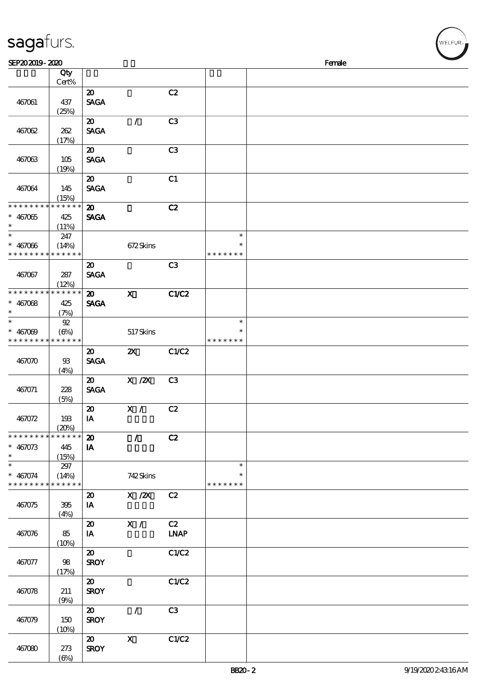| sagafurs.                                                             |                        |                                                       |                                                                                |                   |                                   |        | WELFUR <sub>™I</sub> |
|-----------------------------------------------------------------------|------------------------|-------------------------------------------------------|--------------------------------------------------------------------------------|-------------------|-----------------------------------|--------|----------------------|
| SEP202019-2020                                                        |                        |                                                       |                                                                                |                   |                                   | Female |                      |
|                                                                       | Qty<br>Cert%           |                                                       |                                                                                |                   |                                   |        |                      |
| 467061                                                                | 437<br>(25%)           | $\boldsymbol{\mathfrak{D}}$<br><b>SAGA</b>            |                                                                                | C2                |                                   |        |                      |
| 467062                                                                | 262<br>(17%)           | $\boldsymbol{\mathfrak{D}}$<br><b>SAGA</b>            | $\mathcal{L}$                                                                  | C <sub>3</sub>    |                                   |        |                      |
| 467063                                                                | 105<br>(19%)           | $\boldsymbol{\mathfrak{D}}$<br><b>SAGA</b>            |                                                                                | C3                |                                   |        |                      |
| 467064                                                                | 145<br>(15%)           | $\boldsymbol{\mathfrak{D}}$<br><b>SAGA</b>            |                                                                                | C1                |                                   |        |                      |
| * * * * * * * * * * * * * *<br>$* 467065$<br>$\ast$                   | 425<br>(11%)           | $\boldsymbol{\mathfrak{D}}$<br><b>SAGA</b>            |                                                                                | C2                |                                   |        |                      |
| $\ast$<br>$* 467066$<br>* * * * * * * * * * * * * *                   | 247<br>(14%)           |                                                       | 672Skins                                                                       |                   | $\ast$<br>$\ast$<br>* * * * * * * |        |                      |
| 467067                                                                | 287<br>(12%)           | $\boldsymbol{\mathfrak{D}}$<br><b>SAGA</b>            |                                                                                | C3                |                                   |        |                      |
| * * * * * * * * * * * * * *<br>$* 467068$<br>$\ast$                   | 425<br>(7%)            | $\boldsymbol{\mathbf{z}}$<br><b>SAGA</b>              | $\mathbf X$                                                                    | C1/C2             |                                   |        |                      |
| $\ast$<br>$* 467009$<br>* * * * * * * * * * * * * *                   | 92<br>(6%)             |                                                       | 517Skins                                                                       |                   | $\ast$<br>$\ast$<br>* * * * * * * |        |                      |
| 467070                                                                | $\mathfrak{B}$<br>(4%) | $\boldsymbol{\mathfrak{D}}$<br><b>SAGA</b>            | $\boldsymbol{\mathsf{Z}}$                                                      | C1/C2             |                                   |        |                      |
| 467071                                                                | 228<br>(5%)            | $\boldsymbol{\mathfrak{D}}$<br><b>SAGA</b>            | $X$ / $ZX$                                                                     | C <sub>3</sub>    |                                   |        |                      |
| 467072                                                                | 193<br>(20%)           | $\boldsymbol{\mathbf{z}}$<br>IA                       | X /                                                                            | C2                |                                   |        |                      |
| * * * * * * * * <mark>* * * * * * *</mark><br>$* 467073$<br>$\ast$    | 445<br>(15%)           | $\boldsymbol{\mathfrak{D}}$<br>IA                     | $\mathcal{L}$                                                                  | C2                |                                   |        |                      |
| $\overline{\phantom{0}}$<br>$* 467074$<br>* * * * * * * * * * * * * * | 297<br>(14%)           |                                                       | 742Skins                                                                       |                   | $\ast$<br>∗<br>* * * * * * *      |        |                      |
| 467075                                                                | 395<br>(4%)            | $\boldsymbol{\mathsf{20}}$<br>$\mathbf{I} \mathbf{A}$ | $\boldsymbol{\mathrm{X}}$ / $\boldsymbol{\mathrm{Z}}\!\boldsymbol{\mathrm{X}}$ | C2                |                                   |        |                      |
| 467076                                                                | 85<br>(10%)            | $\boldsymbol{\mathfrak{D}}$<br>IA                     | X /                                                                            | C2<br><b>LNAP</b> |                                   |        |                      |
| 467077                                                                | 98<br>(17%)            | $\boldsymbol{\mathfrak{D}}$<br><b>SROY</b>            |                                                                                | C1/C2             |                                   |        |                      |
| 467078                                                                | 211<br>(9%)            | $\boldsymbol{\mathsf{20}}$<br><b>SROY</b>             |                                                                                | C1/C2             |                                   |        |                      |
| 467079                                                                | 150<br>(10%)           | $\boldsymbol{\mathfrak{D}}$<br><b>SROY</b>            | $\mathcal{L}$                                                                  | C3                |                                   |        |                      |
| 467080                                                                | 273                    | $\boldsymbol{\mathfrak{D}}$<br><b>SROY</b>            | $\boldsymbol{\mathrm{X}}$                                                      | C1/C2             |                                   |        |                      |

 $(\Theta_0)$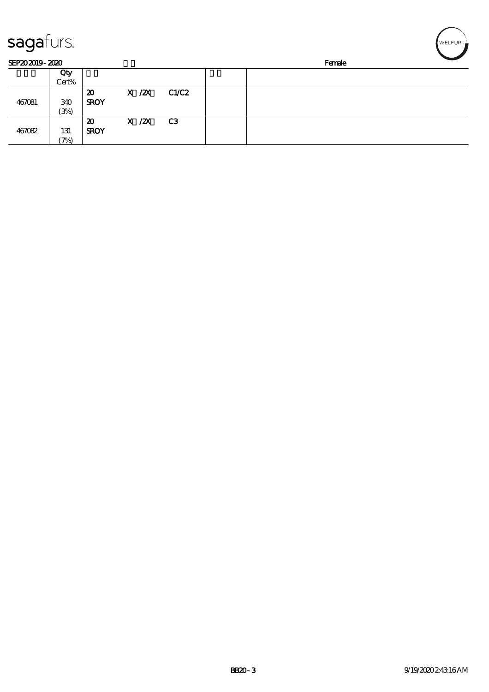| sagafurs.      |                          |                                            |            |       |  |        | WELFUR <sub>™</sub> |
|----------------|--------------------------|--------------------------------------------|------------|-------|--|--------|---------------------|
| SEP202019-2020 |                          |                                            |            |       |  | Female |                     |
|                | Qty<br>Cert%             |                                            |            |       |  |        |                     |
| 467081         | 340<br>(3%)              | $\boldsymbol{\mathfrak{D}}$<br><b>SROY</b> | $X$ / $ZX$ | C1/C2 |  |        |                     |
| 467082         | 131<br>$\mathcal{P}_{0}$ | 20<br><b>SROY</b>                          | $X$ / $ZX$ | C3    |  |        |                     |

╭ ╮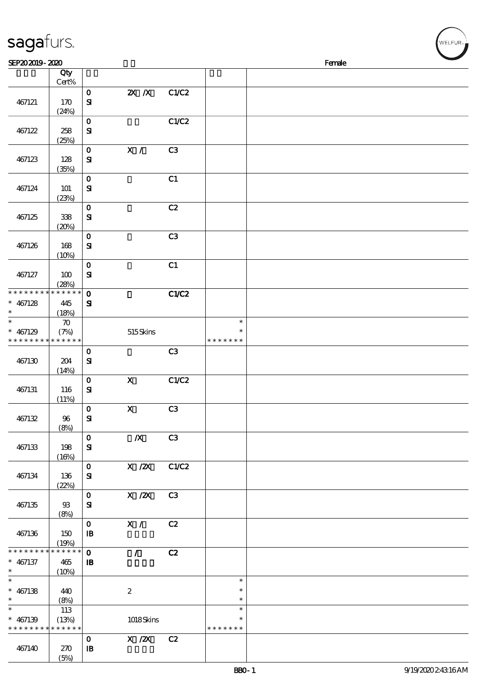| sagafurs.                                                          |                             |                              |                           |                |                                   |        | WELFUR <sub>™</sub> |
|--------------------------------------------------------------------|-----------------------------|------------------------------|---------------------------|----------------|-----------------------------------|--------|---------------------|
| SEP202019-2020                                                     |                             |                              |                           |                |                                   | Female |                     |
|                                                                    | Qty<br>Cert%                |                              |                           |                |                                   |        |                     |
| 467121                                                             | 170<br>(24%)                | $\mathbf 0$<br>$\mathbf{S}$  | $X$ $N$                   | C1/C2          |                                   |        |                     |
| 467122                                                             | 258<br>(25%)                | $\mathbf 0$<br>${\bf s}$     |                           | C1/C2          |                                   |        |                     |
| 467123                                                             | 128<br>(35%)                | $\mathbf 0$<br>${\bf S}$     | X /                       | C <sub>3</sub> |                                   |        |                     |
| 467124                                                             | 101<br>(23%)                | $\mathbf O$<br>${\bf s}$     |                           | C1             |                                   |        |                     |
| 467125                                                             | 338<br>(20%)                | $\mathbf 0$<br>${\bf s}$     |                           | C2             |                                   |        |                     |
| 467126                                                             | 168<br>(10%)                | $\mathbf 0$<br>${\bf s}$     |                           | C <sub>3</sub> |                                   |        |                     |
| 467127                                                             | 100<br>(28%)                | $\mathbf 0$<br>$\mathbf{S}$  |                           | C1             |                                   |        |                     |
| * * * * * * * * <mark>* * * * * * *</mark><br>$* 467128$<br>$\ast$ | 445<br>(18%)                | $\mathbf{o}$<br>${\bf s}$    |                           | C1/C2          |                                   |        |                     |
| $\ast$<br>$* 467129$<br>* * * * * * * * <mark>* * * * * * *</mark> | $\boldsymbol{\pi}$<br>(7%)  |                              | 515Skins                  |                | $\ast$<br>$\ast$<br>* * * * * * * |        |                     |
| 467130                                                             | 204<br>(14%)                | $\mathbf 0$<br>$\mathbf{S}$  |                           | C <sub>3</sub> |                                   |        |                     |
| 467131                                                             | 116<br>(11%)                | $\mathbf 0$<br>${\bf s}$     | $\boldsymbol{\mathrm{X}}$ | C1/C2          |                                   |        |                     |
| 467132                                                             | 96<br>(8%)                  | $\mathbf 0$<br>${\bf s}$     | $\mathbf{x}$              | C3             |                                   |        |                     |
| 467133                                                             | 198<br>(16%)                | $\mathbf 0$<br>${\bf s}$     | $\boldsymbol{X}$          | C3             |                                   |        |                     |
| 467134                                                             | 136<br>(22%)                | $\mathbf{o}$<br>${\bf s}$    | X / ZX                    | C1/C2          |                                   |        |                     |
| 467135                                                             | $93$<br>(8%)                | $\mathbf{O}$<br>$\mathbf{S}$ | X / ZX                    | C3             |                                   |        |                     |
| 467136                                                             | 150<br>(19%)                | $\mathbf{O}$<br>$\mathbf{B}$ | X /                       | C2             |                                   |        |                     |
| * * * * * * * *<br>$* 467137$<br>$\ast$                            | * * * * * *<br>465<br>(10%) | $\mathbf{o}$<br>$\mathbf{B}$ | $\mathcal{L}$             | C2             |                                   |        |                     |
| $\ast$<br>$* 467138$<br>$\ast$<br>$\overline{\ast}$                | 440<br>(8%)                 |                              | $\boldsymbol{2}$          |                | $\ast$<br>$\ast$<br>$\ast$        |        |                     |
| $* 467139$<br>* * * * * * * * <mark>* * * * * * *</mark>           | 113<br>(13%)                |                              | 1018Skins                 |                | $\ast$<br>$\ast$<br>* * * * * * * |        |                     |
| 467140                                                             | 270                         | $\mathbf 0$<br>$\mathbf{B}$  | $X$ / $ZX$                | C2             |                                   |        |                     |

 $(5%)$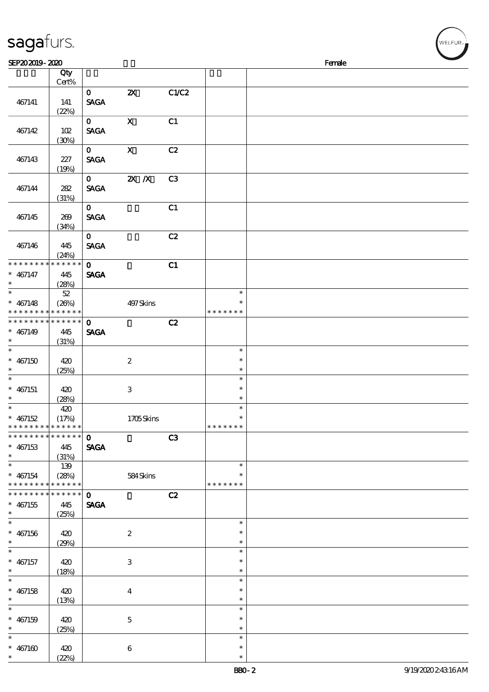| sagafurs.                                           |                                 |                             |                                                 |                |                                   |  |        | WELFUR <sub>™</sub> |
|-----------------------------------------------------|---------------------------------|-----------------------------|-------------------------------------------------|----------------|-----------------------------------|--|--------|---------------------|
| SEP202019-2020                                      |                                 |                             |                                                 |                |                                   |  | Female |                     |
|                                                     | Qty<br>Cert%                    |                             |                                                 |                |                                   |  |        |                     |
| 467141                                              | 141<br>(22%)                    | $\mathbf{O}$<br><b>SAGA</b> | $\boldsymbol{\mathsf{z}}$                       | C1/C2          |                                   |  |        |                     |
| 467142                                              | 102<br>(30%)                    | $\mathbf{O}$<br><b>SAGA</b> | $\mathbf{x}$                                    | C1             |                                   |  |        |                     |
| 467143                                              | 227<br>(19%)                    | $\mathbf{O}$<br><b>SAGA</b> | $\mathbf{X}$                                    | C2             |                                   |  |        |                     |
| 467144                                              | 282<br>(31%)                    | $\mathbf{O}$<br><b>SAGA</b> | $\overline{\mathbf{X}}$ $\overline{\mathbf{X}}$ | C <sub>3</sub> |                                   |  |        |                     |
| 467145                                              | 269<br>(34%)                    | $\mathbf{o}$<br><b>SAGA</b> |                                                 | C1             |                                   |  |        |                     |
| 467146                                              | 445<br>(24%)                    | $\mathbf{O}$<br><b>SAGA</b> |                                                 | C2             |                                   |  |        |                     |
| * * * * * * * *<br>$* 467147$<br>$\ast$             | * * * * * *<br>445<br>(28%)     | $\mathbf 0$<br><b>SAGA</b>  |                                                 | C1             |                                   |  |        |                     |
| $\ast$<br>$* 467148$<br>* * * * * * * * * * * * * * | $5\!2$<br>(20%)                 |                             | 497Skins                                        |                | $\ast$<br>$\ast$<br>* * * * * * * |  |        |                     |
| * * * * * * * * * * * * * *<br>$* 467149$           | 445<br>(31%)                    | $\mathbf 0$<br><b>SAGA</b>  |                                                 | C2             |                                   |  |        |                     |
| $\ast$<br>$* 467150$                                | 420<br>(25%)                    |                             | $\boldsymbol{2}$                                |                | $\ast$<br>$\ast$<br>$\ast$        |  |        |                     |
| $\ast$<br>$* 467151$<br>$\ast$                      | 420<br>(28%)                    |                             | $\,3$                                           |                | $\ast$<br>$\ast$<br>$\ast$        |  |        |                     |
| $\ast$<br>$* 467152$<br>* * * * * * * * * * * * * * | 420<br>(17%)                    |                             | 1705Skins                                       |                | $\ast$<br>∗<br>* * * * * * *      |  |        |                     |
| * * * * * * * *<br>$* 467153$<br>$\ast$             | $* * * * * * *$<br>445<br>(31%) | $\mathbf{O}$<br><b>SAGA</b> |                                                 | C3             |                                   |  |        |                     |
| $\ast$<br>$* 467154$<br>* * * * * * * * * * * * * * | 139<br>(28%)                    |                             | 584Skins                                        |                | $\ast$<br>* * * * * * *           |  |        |                     |
| * * * * * * * * * * * * * *<br>$* 467155$<br>$\ast$ | 445<br>(25%)                    | $\mathbf{o}$<br><b>SAGA</b> |                                                 | C2             |                                   |  |        |                     |
| $\ast$<br>$* 467156$<br>$\ast$                      | 420<br>(29%)                    |                             | $\boldsymbol{2}$                                |                | $\ast$<br>$\ast$<br>$\ast$        |  |        |                     |
| $\ast$<br>$* 467157$<br>$\ast$                      | 420<br>(18%)                    |                             | $\,3$                                           |                | $\ast$<br>$\ast$<br>$\ast$        |  |        |                     |
| $\ast$<br>$* 467158$<br>$\ast$                      | 420<br>(13%)                    |                             | $\bf{4}$                                        |                | $\ast$<br>$\ast$<br>$\ast$        |  |        |                     |
| $\ast$<br>$* 467159$<br>$\ast$                      | 420<br>(25%)                    |                             | $\mathbf 5$                                     |                | $\ast$<br>$\ast$<br>$\ast$        |  |        |                     |
| $\ast$<br>$* 467160$<br>$\ast$                      | 420<br>(22%)                    |                             | 6                                               |                | $\ast$<br>$\ast$<br>$\ast$        |  |        |                     |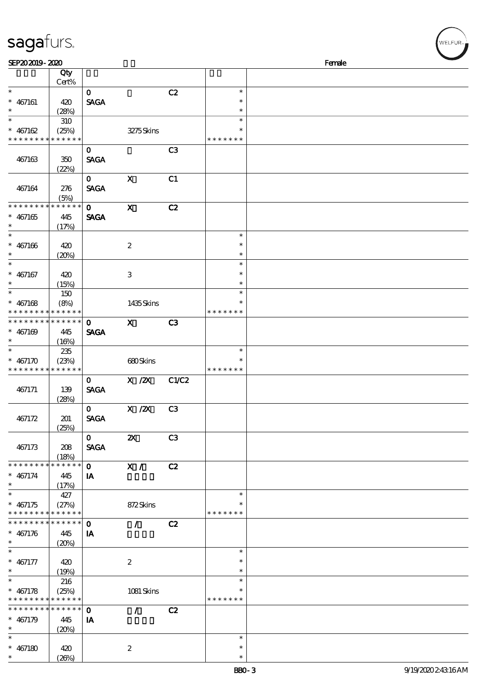| SEP202019-2020                           |                      |              |                           |                |               | Female |
|------------------------------------------|----------------------|--------------|---------------------------|----------------|---------------|--------|
|                                          | Qty                  |              |                           |                |               |        |
|                                          | Cert%                |              |                           |                |               |        |
| $\ast$                                   |                      | $\mathbf{O}$ |                           | C2             | $\ast$        |        |
| $* 467161$                               | 420                  | <b>SAGA</b>  |                           |                | $\ast$        |        |
| $\ast$                                   | (28%)                |              |                           |                | $\ast$        |        |
| $\overline{\ast}$                        | 310                  |              |                           |                | $\ast$        |        |
| $* 467162$                               | (25%)                |              | 3275Skins                 |                | $\ast$        |        |
| * * * * * * * *                          | * * * * * *          |              |                           |                | * * * * * * * |        |
|                                          |                      | $\mathbf{o}$ |                           | C3             |               |        |
| 467163                                   | 350                  | <b>SAGA</b>  |                           |                |               |        |
|                                          | (22%)                |              |                           |                |               |        |
|                                          |                      | $\mathbf{O}$ | $\mathbf X$               | C1             |               |        |
| 467164                                   | 276                  | <b>SAGA</b>  |                           |                |               |        |
| * * * * * * * *                          | (5%)<br>* * * * * *  |              |                           |                |               |        |
|                                          |                      | $\mathbf{O}$ | $\boldsymbol{\mathrm{X}}$ | C2             |               |        |
| $* 467165$<br>$\ast$                     | 445                  | <b>SAGA</b>  |                           |                |               |        |
| $\ast$                                   | (17%)                |              |                           |                | $\ast$        |        |
| $* 467166$                               |                      |              |                           |                | $\ast$        |        |
| $\ast$                                   | 420                  |              | $\boldsymbol{2}$          |                | $\ast$        |        |
| $\ast$                                   | (20%)                |              |                           |                | $\ast$        |        |
| $* 467167$                               |                      |              | $\,3$                     |                | $\ast$        |        |
| $\ast$                                   | 420<br>(15%)         |              |                           |                | $\ast$        |        |
| $\ast$                                   | 150                  |              |                           |                | $\ast$        |        |
| $* 467168$                               | (8%)                 |              | 1435Skins                 |                | $\ast$        |        |
| * * * * * * * *                          | * * * * * *          |              |                           |                | * * * * * * * |        |
| * * * * * * * * <mark>* * * * * *</mark> |                      | $\mathbf{o}$ | $\mathbf{x}$              | C3             |               |        |
| $* 467169$                               | 445                  | <b>SAGA</b>  |                           |                |               |        |
| $\ast$                                   | (16%)                |              |                           |                |               |        |
| $\ast$                                   | 235                  |              |                           |                | $\ast$        |        |
| $* 467170$                               | (23%)                |              | 680Skins                  |                | *             |        |
| * * * * * * * *                          | * * * * * *          |              |                           |                | * * * * * * * |        |
|                                          |                      | $\mathbf{O}$ | $X$ / $ZX$                | C1/C2          |               |        |
| 467171                                   | 139                  | <b>SAGA</b>  |                           |                |               |        |
|                                          | (28%)                |              |                           |                |               |        |
|                                          |                      | $\mathbf{O}$ | $X$ / $ZX$                | C <sub>3</sub> |               |        |
| 467172                                   | 201                  | <b>SAGA</b>  |                           |                |               |        |
|                                          | (25%)                |              |                           |                |               |        |
|                                          |                      | $\mathbf{O}$ | $\boldsymbol{\mathsf{z}}$ | C <sub>3</sub> |               |        |
| 467173                                   | 208                  | <b>SAGA</b>  |                           |                |               |        |
|                                          | (18%)                |              |                           |                |               |        |
| * * * * * * * *                          | * * * * * *          | $\mathbf{O}$ | X /                       | C2             |               |        |
| $* 467174$                               | 445                  | IA           |                           |                |               |        |
| $\ast$                                   | (17%)                |              |                           |                |               |        |
| $\ast$                                   | 427                  |              |                           |                | $\ast$        |        |
| $* 467175$                               | (27%)                |              | 872Skins                  |                |               |        |
| * * * * * * * *                          | * * * * * *          |              |                           |                | * * * * * * * |        |
| * * * * * * *                            | * * * * * *          | $\mathbf 0$  | $\mathcal{L}$             | C2             |               |        |
| $* 467176$                               | 445                  | IA           |                           |                |               |        |
| $\ast$                                   | (20%)                |              |                           |                |               |        |
| $\ast$                                   |                      |              |                           |                | $\ast$        |        |
| $* 467177$                               | 420                  |              | $\boldsymbol{2}$          |                | $\ast$        |        |
| $\ast$<br>$\ast$                         | (19%)                |              |                           |                | $\ast$        |        |
|                                          | 216                  |              |                           |                | $\ast$        |        |
| $* 467178$<br>* * * * * * * *            | (25%)<br>* * * * * * |              | $1081$ Skins              |                | * *           |        |
| * * * * * * * *                          | ******               |              |                           |                |               |        |
|                                          |                      | $\mathbf{o}$ | $\mathcal{L}$             | C2             |               |        |
| $* 467179$<br>$\ast$                     | 445                  | IA           |                           |                |               |        |
| $\ast$                                   | (20%)                |              |                           |                | $\ast$        |        |
|                                          |                      |              |                           |                | $\ast$        |        |
| $* 467180$                               | 420                  |              | $\boldsymbol{2}$          |                | $\ast$        |        |
|                                          | (20%)                |              |                           |                |               |        |

(26%)

sagafurs.

WELFUR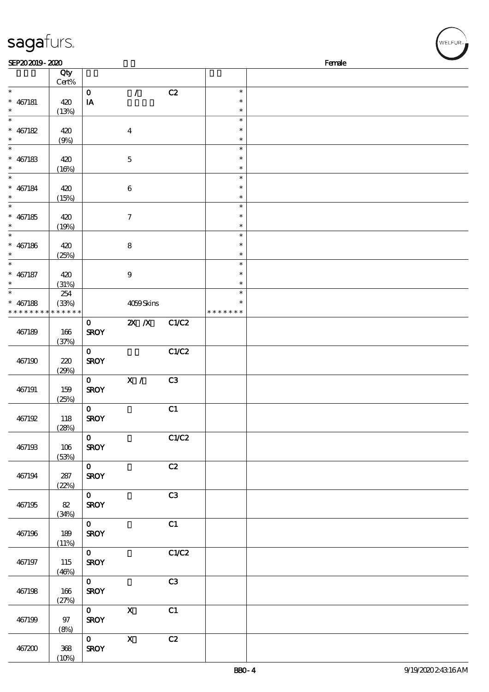| sagafurs.                                              |              |                             |                           |                |                  |        |
|--------------------------------------------------------|--------------|-----------------------------|---------------------------|----------------|------------------|--------|
| SEP202019-2020                                         |              |                             |                           |                |                  | Female |
|                                                        | Qty<br>Cert% |                             |                           |                |                  |        |
| $\ast$                                                 |              | $\mathbf O$                 | $\mathcal{L}$             | C2             | $\ast$           |        |
| $* 467181$<br>$\ast$                                   | 420          | $\mathbf{I}\mathbf{A}$      |                           |                | $\ast$<br>$\ast$ |        |
| $\ast$                                                 | (13%)        |                             |                           |                | $\ast$           |        |
| $* 467182$                                             | 420          |                             | $\boldsymbol{4}$          |                | $\ast$           |        |
| $\ast$                                                 | (9%)         |                             |                           |                | $\ast$<br>$\ast$ |        |
| $* 467183$                                             | 420          |                             | $\mathbf 5$               |                | $\ast$           |        |
|                                                        | (16%)        |                             |                           |                | $\ast$           |        |
| $\ast$                                                 |              |                             |                           |                | $\ast$<br>$\ast$ |        |
| $* 467184$<br>$\ast$                                   | 420<br>(15%) |                             | $\,6\,$                   |                | $\ast$           |        |
| $\ast$                                                 |              |                             |                           |                | $\ast$           |        |
| $* 467185$<br>$\ast$                                   | 420          |                             | $\boldsymbol{7}$          |                | $\ast$           |        |
| $\ast$                                                 | (19%)        |                             |                           |                | $\ast$<br>$\ast$ |        |
| $* 467186$                                             | 420          |                             | $\bf 8$                   |                | $\ast$           |        |
| $\ast$<br>$\ast$                                       | (25%)        |                             |                           |                | $\ast$<br>$\ast$ |        |
| $* 467187$                                             | 420          |                             | $\boldsymbol{9}$          |                | $\ast$           |        |
| $\ast$                                                 | (31%)        |                             |                           |                | $\ast$           |        |
| $\ast$                                                 | 254          |                             |                           |                | $\ast$<br>$\ast$ |        |
| $* 467188$<br>* * * * * * * * <mark>* * * * * *</mark> | (33%)        |                             | 4059Skins                 |                | * * * * * * *    |        |
|                                                        |              | $\mathbf{O}$                | $2X$ $\Lambda$            | C1/C2          |                  |        |
| 467189                                                 | 166<br>(37%) | <b>SROY</b>                 |                           |                |                  |        |
|                                                        |              | $\mathbf 0$                 |                           | C1/C2          |                  |        |
| 467190                                                 | 220          | <b>SROY</b>                 |                           |                |                  |        |
|                                                        | (29%)        | $\mathbf{O}$                | $\mathbf{X}$ /            | C <sub>3</sub> |                  |        |
| 467191                                                 | 159          | <b>SROY</b>                 |                           |                |                  |        |
|                                                        | (25%)        |                             |                           |                |                  |        |
| 467192                                                 | 118          | $\mathbf{O}$<br><b>SROY</b> |                           | C1             |                  |        |
|                                                        | (28%)        |                             |                           |                |                  |        |
| 467193                                                 | 106          | $\mathbf{0}$<br><b>SROY</b> |                           | C1/C2          |                  |        |
|                                                        | (53%)        |                             |                           |                |                  |        |
|                                                        |              | $\mathbf{0}$                |                           | C2             |                  |        |
| 467194                                                 | 287<br>(22%) | <b>SROY</b>                 |                           |                |                  |        |
|                                                        |              | $\mathbf{O}$                |                           | C3             |                  |        |
| 467195                                                 | $82\,$       | <b>SROY</b>                 |                           |                |                  |        |
|                                                        | (34%)        | $\mathbf{O}$                |                           | C1             |                  |        |
| 467196                                                 | 189          | <b>SROY</b>                 |                           |                |                  |        |
|                                                        | (11%)        |                             |                           |                |                  |        |
| 467197                                                 | 115          | $\mathbf{O}$<br><b>SROY</b> |                           | C1/C2          |                  |        |
|                                                        | (46%)        |                             |                           |                |                  |        |
|                                                        |              | $\mathbf{O}$                |                           | C3             |                  |        |
| 467198                                                 | 166<br>(27%) | <b>SROY</b>                 |                           |                |                  |        |
|                                                        |              | $\mathbf{0}$                | $\boldsymbol{\mathsf{X}}$ | C1             |                  |        |
| 467199                                                 | 97           | <b>SROY</b>                 |                           |                |                  |        |
|                                                        | (8%)         | $\mathbf{0}$                | $\mathbf X$               | C2             |                  |        |
| 467200                                                 | 368          | <b>SROY</b>                 |                           |                |                  |        |

 $(10%)$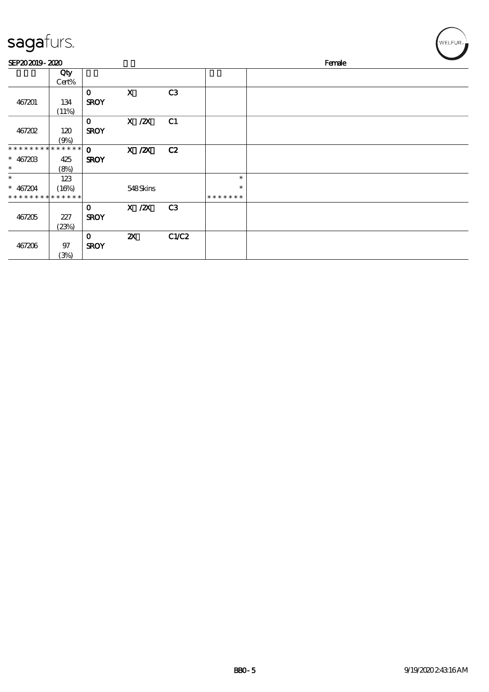| sagafurs.                                             |                             |                             |                           |       |                                   |        | WELFUR <sub>™</sub> |  |
|-------------------------------------------------------|-----------------------------|-----------------------------|---------------------------|-------|-----------------------------------|--------|---------------------|--|
| SEP202019-2020                                        |                             |                             |                           |       |                                   | Female |                     |  |
|                                                       | Qty<br>Cert%                |                             |                           |       |                                   |        |                     |  |
| 467201                                                | 134<br>(11%)                | $\mathbf 0$<br><b>SROY</b>  | $\mathbf x$               | C3    |                                   |        |                     |  |
| 467202                                                | 120<br>(9%)                 | $\mathbf 0$<br><b>SROY</b>  | $X$ / $ZX$                | C1    |                                   |        |                     |  |
| * * * * * * * * * * * * * * *<br>$* 467203$<br>$\ast$ | 425<br>(8%)                 | $\mathbf{o}$<br><b>SROY</b> | $X$ / $ZX$                | C2    |                                   |        |                     |  |
| $\ast$<br>$* 467204$<br>* * * * * * * *               | 123<br>(16%)<br>* * * * * * |                             | 548Skins                  |       | $\ast$<br>$\ast$<br>* * * * * * * |        |                     |  |
| 467205                                                | 227<br>(23%)                | $\mathbf 0$<br><b>SROY</b>  | $X$ / $ZX$                | C3    |                                   |        |                     |  |
| 467206                                                | 97<br>(3%)                  | $\mathbf 0$<br><b>SROY</b>  | $\boldsymbol{\mathsf{Z}}$ | C1/C2 |                                   |        |                     |  |

۰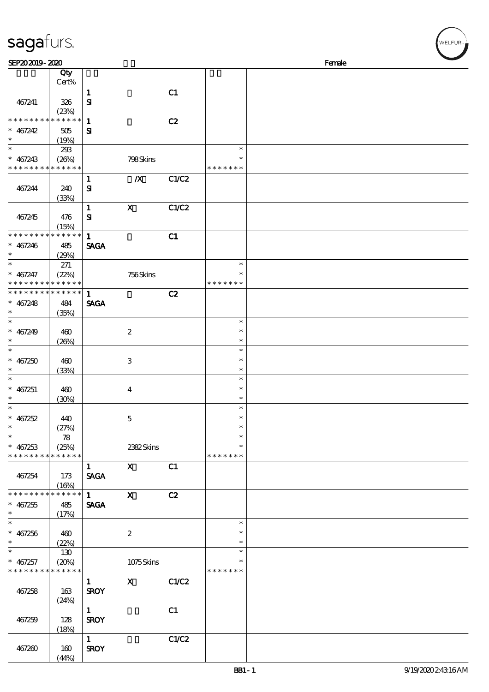| sagafurs.<br>SEP202019-2020 |                           |              |                           |       |               | Female |
|-----------------------------|---------------------------|--------------|---------------------------|-------|---------------|--------|
|                             | Qty                       |              |                           |       |               |        |
|                             | Cert%                     |              |                           |       |               |        |
|                             |                           | $\mathbf{1}$ |                           | C1    |               |        |
| 467241                      | 326                       | ${\bf s}$    |                           |       |               |        |
|                             | (23%)                     |              |                           |       |               |        |
| * * * * * * * *             | * * * * * *               | $\mathbf 1$  |                           | C2    |               |        |
| $* 467242$                  | 505                       | ${\bf s}$    |                           |       |               |        |
| $\ast$                      | (19%)                     |              |                           |       |               |        |
| $\ast$                      | 293                       |              |                           |       | $\ast$        |        |
| $* 467243$                  | (20%)                     |              | 798Skins                  |       | $\ast$        |        |
|                             | * * * * * * * * * * * * * |              |                           |       | * * * * * * * |        |
|                             |                           |              | $\boldsymbol{X}$          |       |               |        |
|                             |                           | $\mathbf{1}$ |                           | C1/C2 |               |        |
| 467244                      | 240                       | $\mathbf{S}$ |                           |       |               |        |
|                             | (33%)                     |              |                           |       |               |        |
|                             |                           | $\mathbf 1$  | $\boldsymbol{\mathsf{X}}$ | C1/C2 |               |        |
| 467245                      | 476                       | $\mathbf{S}$ |                           |       |               |        |
|                             | (15%)                     |              |                           |       |               |        |
| * * * * * * * *             | * * * * * *               | $\mathbf{1}$ |                           | C1    |               |        |
| $* 467246$                  | 485                       | <b>SAGA</b>  |                           |       |               |        |
| $\ast$                      | (29%)                     |              |                           |       |               |        |
|                             | 271                       |              |                           |       | $\ast$        |        |
| $* 467247$                  | (22%)                     |              | 756Skins                  |       | $\ast$        |        |
| * * * * * * *               | * * * * * *               |              |                           |       | * * * * * * * |        |
| * * * * * * * *             | * * * * * *               | $\mathbf{1}$ |                           | C2    |               |        |
| $* 467248$                  | 484                       | <b>SAGA</b>  |                           |       |               |        |
|                             | (35%)                     |              |                           |       |               |        |
| $\ast$                      |                           |              |                           |       | $\ast$        |        |
| $* 467249$                  | 460                       |              | $\boldsymbol{2}$          |       | $\ast$        |        |
|                             | (20%)                     |              |                           |       | $\ast$        |        |
| $\ast$                      |                           |              |                           |       | $\ast$        |        |
| $* 467250$                  | 460                       |              | $\,3$                     |       | $\ast$        |        |
|                             | (33%)                     |              |                           |       | $\ast$        |        |
| $\ast$                      |                           |              |                           |       | $\ast$        |        |
| $* 467251$                  | 460                       |              | $\boldsymbol{4}$          |       | $\ast$        |        |
| $\ast$                      | (30%)                     |              |                           |       | $\ast$        |        |
| $\ast$                      |                           |              |                           |       | $\ast$        |        |
| $* 467252$                  | 440                       |              | $\bf 5$                   |       | $\ast$        |        |
| $\ast$                      | (27%)                     |              |                           |       | $\ast$        |        |
| $\ast$                      | 78                        |              |                           |       | $\ast$        |        |
| $* 467253$                  | (25%)                     |              | 2382Skins                 |       |               |        |
| * * * * * * * * * * * * * * |                           |              |                           |       | * * * * * * * |        |
|                             |                           |              | $\mathbf{X}$              | C1    |               |        |
|                             |                           | $\mathbf{1}$ |                           |       |               |        |
| 467254                      | 173                       | <b>SAGA</b>  |                           |       |               |        |
| * * * * * * * *             | (16%)<br>* * * * * *      |              |                           |       |               |        |
|                             |                           | 1            | $\mathbf{x}$              | C2    |               |        |
| $* 467255$                  | 485                       | <b>SAGA</b>  |                           |       |               |        |
| $\ast$                      | (17%)                     |              |                           |       |               |        |
|                             |                           |              |                           |       | $\ast$        |        |
| $* 467256$                  | 460                       |              | $\boldsymbol{2}$          |       | $\ast$        |        |
|                             | (22%)                     |              |                           |       | $\ast$        |        |
| $\ast$                      | 130                       |              |                           |       | $\ast$        |        |
| $* 467257$                  | (20%)                     |              | 1075Skins                 |       | $\ast$        |        |
| * * * * * * * *             | * * * * * *               |              |                           |       | * * * * * * * |        |
|                             |                           | $\mathbf{1}$ | $\mathbf{X}$              | C1/C2 |               |        |
| 467258                      | 163                       | <b>SROY</b>  |                           |       |               |        |
|                             | (24%)                     |              |                           |       |               |        |
|                             |                           | $\mathbf{1}$ |                           | C1    |               |        |
| 467259                      | 128                       | <b>SROY</b>  |                           |       |               |        |
|                             | (18%)                     |              |                           |       |               |        |
|                             |                           | $\mathbf{1}$ |                           | C1/C2 |               |        |
| 467260                      | 160                       | <b>SROY</b>  |                           |       |               |        |

(44%)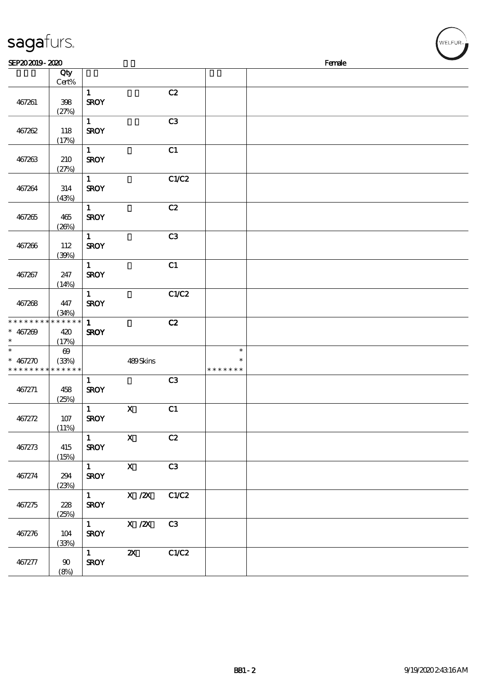| sagafurs.                                  |                         |                             |                                              |                |                  |        | WELFUR <sub>™</sub> |
|--------------------------------------------|-------------------------|-----------------------------|----------------------------------------------|----------------|------------------|--------|---------------------|
| SEP202019-2020                             |                         |                             |                                              |                |                  | Female |                     |
|                                            | Qty                     |                             |                                              |                |                  |        |                     |
|                                            | Cert%                   |                             |                                              |                |                  |        |                     |
| 467261                                     | 398                     | $\mathbf{1}$<br><b>SROY</b> |                                              | C2             |                  |        |                     |
|                                            | (27%)                   |                             |                                              |                |                  |        |                     |
|                                            |                         | $\mathbf{1}$                |                                              | C <sub>3</sub> |                  |        |                     |
| 467262                                     | 118                     | <b>SROY</b>                 |                                              |                |                  |        |                     |
|                                            | (17%)                   |                             |                                              |                |                  |        |                     |
|                                            |                         | $\mathbf{1}$                |                                              | C1             |                  |        |                     |
| 467263                                     | 210<br>(27%)            | <b>SROY</b>                 |                                              |                |                  |        |                     |
|                                            |                         | $\mathbf{1}$                |                                              | C1/C2          |                  |        |                     |
| 467264                                     | 314                     | <b>SROY</b>                 |                                              |                |                  |        |                     |
|                                            | (43%)                   |                             |                                              |                |                  |        |                     |
|                                            |                         | $\mathbf{1}$                |                                              | C2             |                  |        |                     |
| 467265                                     | 465                     | <b>SROY</b>                 |                                              |                |                  |        |                     |
|                                            | (20%)                   | $\mathbf{1}$                |                                              | C3             |                  |        |                     |
| 467266                                     | 112                     | <b>SROY</b>                 |                                              |                |                  |        |                     |
|                                            | (39%)                   |                             |                                              |                |                  |        |                     |
|                                            |                         | $\mathbf{1}$                |                                              | C1             |                  |        |                     |
| 467267                                     | 247                     | <b>SROY</b>                 |                                              |                |                  |        |                     |
|                                            | (14%)                   |                             |                                              |                |                  |        |                     |
| 467268                                     | 447                     | $\mathbf{1}$<br><b>SROY</b> |                                              | C1/C2          |                  |        |                     |
|                                            | (34%)                   |                             |                                              |                |                  |        |                     |
| * * * * * * * * <mark>* * * * * * *</mark> |                         | $\mathbf{1}$                |                                              | C2             |                  |        |                     |
| $* 467209$                                 | 420                     | <b>SROY</b>                 |                                              |                |                  |        |                     |
| $\ast$<br>$\ast$                           | (17%)                   |                             |                                              |                |                  |        |                     |
| $* 467270$                                 | $\pmb{\infty}$<br>(33%) |                             | 489Skins                                     |                | $\ast$<br>$\ast$ |        |                     |
| * * * * * * * * * * * * * *                |                         |                             |                                              |                | * * * * * * *    |        |                     |
|                                            |                         | $\mathbf{1}$                |                                              | C <sub>3</sub> |                  |        |                     |
| 467271                                     | 458                     | <b>SROY</b>                 |                                              |                |                  |        |                     |
|                                            | (25%)                   |                             |                                              |                |                  |        |                     |
|                                            |                         |                             | $1 \t X$                                     | C1             |                  |        |                     |
| 467272                                     | 107<br>(11%)            | <b>SROY</b>                 |                                              |                |                  |        |                     |
|                                            |                         | $1 \qquad \qquad$           | $\mathbf{X}$                                 | C2             |                  |        |                     |
| 467273                                     | 415                     | <b>SROY</b>                 |                                              |                |                  |        |                     |
|                                            | (15%)                   |                             |                                              |                |                  |        |                     |
|                                            |                         | $1 \qquad \qquad$           | $\mathbf{x}$                                 | C3             |                  |        |                     |
| 467274                                     | 294                     | <b>SROY</b>                 |                                              |                |                  |        |                     |
|                                            | (23%)                   |                             | 1 $X / ZX$ C1/C2                             |                |                  |        |                     |
| 467275                                     | 228                     | <b>SROY</b>                 |                                              |                |                  |        |                     |
|                                            | (25%)                   |                             |                                              |                |                  |        |                     |
|                                            |                         |                             | $\overline{1}$ $\overline{X}$ $\overline{Z}$ | C3             |                  |        |                     |
| 467276                                     | 104                     | <b>SROY</b>                 |                                              |                |                  |        |                     |
|                                            | (33%)                   | $\overline{1}$              | $\mathbf{X}$                                 | C1/C2          |                  |        |                     |
| 467277                                     | 90                      | <b>SROY</b>                 |                                              |                |                  |        |                     |
|                                            | (8%)                    |                             |                                              |                |                  |        |                     |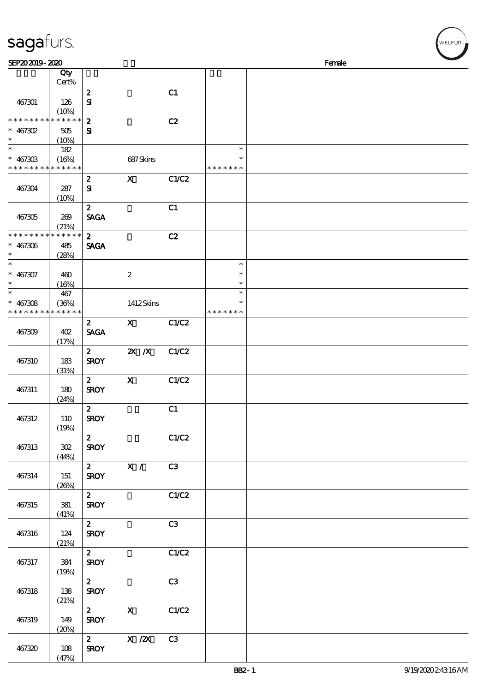| sagafurs.<br>SEP202019-2020                            |                    |                                  |                           |       |                         | Female |  |
|--------------------------------------------------------|--------------------|----------------------------------|---------------------------|-------|-------------------------|--------|--|
|                                                        | Qty                |                                  |                           |       |                         |        |  |
|                                                        | Cert%              |                                  |                           |       |                         |        |  |
| 467301                                                 | 126                | $\boldsymbol{2}$<br>$\bf S\!I$   |                           | C1    |                         |        |  |
|                                                        | (10%)              |                                  |                           |       |                         |        |  |
| * * * * * * * *                                        | * * * * * *        | $\boldsymbol{2}$                 |                           | C2    |                         |        |  |
| $* 467302$<br>$\ast$                                   | 505                | ${\bf s}$                        |                           |       |                         |        |  |
| $\ast$                                                 | (10%)<br>182       |                                  |                           |       | $\ast$                  |        |  |
| $* 46730B$                                             | (16%)              |                                  | 687Skins                  |       | $\ast$                  |        |  |
| * * * * * * *                                          | * * * * * *        |                                  |                           |       | * * * * * * *           |        |  |
| 467304                                                 | 287                | $\boldsymbol{z}$<br>$\mathbf{S}$ | $\mathbf X$               | C1/C2 |                         |        |  |
|                                                        | (10%)              |                                  |                           |       |                         |        |  |
|                                                        |                    | $\boldsymbol{z}$                 |                           | C1    |                         |        |  |
| 467305                                                 | 269                | <b>SAGA</b>                      |                           |       |                         |        |  |
| * * * * * * * *                                        | (21%)<br>* * * * * | $\boldsymbol{z}$                 |                           | C2    |                         |        |  |
| $* 467306$                                             | 485                | <b>SAGA</b>                      |                           |       |                         |        |  |
| $\ast$                                                 | (28%)              |                                  |                           |       |                         |        |  |
| $\ast$<br>$* 467307$                                   | 460                |                                  | $\boldsymbol{2}$          |       | $\ast$<br>$\ast$        |        |  |
| $\ast$                                                 | (16%)              |                                  |                           |       | $\ast$                  |        |  |
| $\ast$                                                 | 467                |                                  |                           |       | $\ast$                  |        |  |
| $* 467308$<br>* * * * * * * * <mark>* * * * * *</mark> | (36%)              |                                  | 1412Skins                 |       | $\ast$<br>* * * * * * * |        |  |
|                                                        |                    | $\boldsymbol{z}$                 | $\mathbf{X}$              | C1/C2 |                         |        |  |
| 467309                                                 | 402                | <b>SAGA</b>                      |                           |       |                         |        |  |
|                                                        | (17%)              |                                  |                           |       |                         |        |  |
| 467310                                                 | 183                | $\mathbf{z}$<br><b>SROY</b>      | $X$ $N$                   | C1/C2 |                         |        |  |
|                                                        | (31%)              |                                  |                           |       |                         |        |  |
|                                                        |                    | $\mathbf{2}$                     | $\boldsymbol{\mathrm{X}}$ | C1/C2 |                         |        |  |
| 467311                                                 | 180                | <b>SROY</b>                      |                           |       |                         |        |  |
|                                                        | (24%)              | $\mathbf{2}$                     |                           | C1    |                         |        |  |
| 467312                                                 | 110                | <b>SROY</b>                      |                           |       |                         |        |  |
|                                                        | (19%)              |                                  |                           |       |                         |        |  |
| 467313                                                 | 302                | $\mathbf{z}$<br><b>SROY</b>      |                           | C1/C2 |                         |        |  |
|                                                        | (44%)              |                                  |                           |       |                         |        |  |
|                                                        |                    | $\mathbf{2}$                     | X /                       | C3    |                         |        |  |
| 467314                                                 | 151<br>(20%)       | <b>SROY</b>                      |                           |       |                         |        |  |
|                                                        |                    | $\mathbf{z}$                     |                           | C1/C2 |                         |        |  |
| 467315                                                 | 381                | <b>SROY</b>                      |                           |       |                         |        |  |
|                                                        | (41%)              |                                  |                           |       |                         |        |  |
| 467316                                                 | 124                | $\mathbf{2}$<br><b>SROY</b>      |                           | C3    |                         |        |  |
|                                                        | (21%)              |                                  |                           |       |                         |        |  |
|                                                        |                    | $2^{\circ}$                      |                           | C1/C2 |                         |        |  |
| 467317                                                 | 384<br>(19%)       | <b>SROY</b>                      |                           |       |                         |        |  |
|                                                        |                    | $\mathbf{2}$                     |                           | C3    |                         |        |  |
| 467318                                                 | 138                | <b>SROY</b>                      |                           |       |                         |        |  |
|                                                        | (21%)              |                                  |                           |       |                         |        |  |
| 467319                                                 | 149                | $\mathbf{2}$<br><b>SROY</b>      | $\mathbf{x}$              | C1/C2 |                         |        |  |
|                                                        | (20%)              |                                  |                           |       |                         |        |  |
|                                                        |                    | $\mathbf{2}$                     | $X$ / $ZX$                | C3    |                         |        |  |
| 467320                                                 | 108                | <b>SROY</b>                      |                           |       |                         |        |  |

(47%)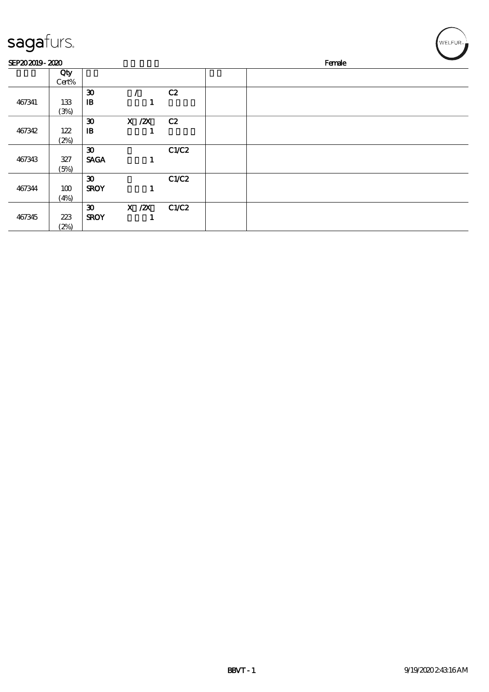| sagafurs.      |       |                             |            |       | WELFUR <sub>™</sub> |
|----------------|-------|-----------------------------|------------|-------|---------------------|
| SEP202019-2020 |       |                             |            |       | Female              |
|                | Qty   |                             |            |       |                     |
|                | Cert% |                             |            |       |                     |
|                |       | $\boldsymbol{\mathfrak{D}}$ |            | C2    |                     |
| 467341         | 133   | $\mathbf{B}$                | 1          |       |                     |
|                | (3%)  |                             |            |       |                     |
|                |       | $\boldsymbol{\mathfrak{D}}$ | $X$ / $ZX$ | C2    |                     |
| 467342         | 122   | $\mathbf{B}$                |            |       |                     |
|                | (2%)  |                             |            |       |                     |
|                |       | $\boldsymbol{\mathfrak{D}}$ |            | C1/C2 |                     |
| 467343         | 327   | <b>SAGA</b>                 | 1          |       |                     |
|                | (5%)  |                             |            |       |                     |
|                |       | $\boldsymbol{\mathfrak{D}}$ |            | C1/C2 |                     |
| 467344         | 100   | <b>SROY</b>                 | 1          |       |                     |
|                | (4%)  |                             |            |       |                     |
|                |       | $\boldsymbol{\mathfrak{D}}$ | $X$ / $ZX$ | C1/C2 |                     |
| 467345         | 223   | <b>SROY</b>                 | 1          |       |                     |
|                | (2%)  |                             |            |       |                     |

╭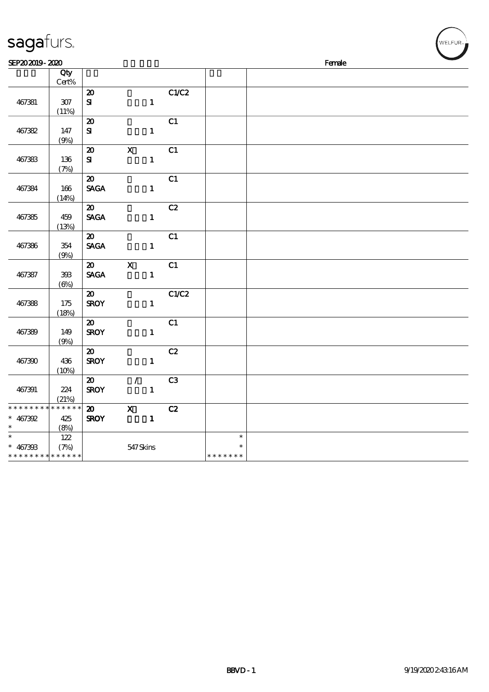| sagafurs.                                                |                   |                                                  |                           |              |                |                          |        | WELFUR <sub>™</sub> |
|----------------------------------------------------------|-------------------|--------------------------------------------------|---------------------------|--------------|----------------|--------------------------|--------|---------------------|
| SEP202019-2020                                           |                   |                                                  |                           |              |                |                          | Female |                     |
|                                                          | Qty<br>Cert%      |                                                  |                           |              |                |                          |        |                     |
| 467381                                                   | 307<br>(11%)      | $\pmb{\mathcal{Z}}$<br>${\bf S}$                 |                           | $\mathbf{1}$ | C1/C2          |                          |        |                     |
| 467382                                                   | 147<br>(9%)       | $\boldsymbol{\boldsymbol{\lambda}}$<br>${\bf s}$ |                           | $\mathbf{1}$ | C1             |                          |        |                     |
| 467383                                                   | 136<br>(7%)       | $\boldsymbol{\mathbf{z}}$<br>${\bf s}$           | $\boldsymbol{\mathrm{X}}$ | $\mathbf{1}$ | C1             |                          |        |                     |
| 467384                                                   | 166<br>(14%)      | $\boldsymbol{\mathfrak{D}}$<br><b>SACA</b>       |                           | $\mathbf{1}$ | C1             |                          |        |                     |
| 467385                                                   | 459<br>(13%)      | $\boldsymbol{\mathfrak{D}}$<br><b>SAGA</b>       |                           | $\mathbf{1}$ | C2             |                          |        |                     |
| 467386                                                   | 354<br>(9%)       | $\boldsymbol{\mathfrak{D}}$<br><b>SAGA</b>       |                           | $\mathbf{1}$ | C1             |                          |        |                     |
| 467387                                                   | 393<br>$(\Theta)$ | $\boldsymbol{\omega}$<br><b>SAGA</b>             | $\mathbf X$               | $\mathbf{1}$ | C1             |                          |        |                     |
| 467388                                                   | 175<br>(18%)      | $\boldsymbol{\mathfrak{D}}$<br><b>SROY</b>       |                           | $\mathbf{1}$ | C1/C2          |                          |        |                     |
| 467389                                                   | 149<br>(9%)       | $\boldsymbol{\omega}$<br><b>SROY</b>             |                           | $\mathbf{1}$ | C1             |                          |        |                     |
| 467390                                                   | 436<br>(10%)      | $\boldsymbol{\mathfrak{D}}$<br><b>SROY</b>       |                           | $\mathbf{1}$ | C2             |                          |        |                     |
| 467391                                                   | 224<br>(21%)      | $\boldsymbol{\mathsf{20}}$<br><b>SROY</b>        | $\mathcal{L}$             | $\mathbf{1}$ | C <sub>3</sub> |                          |        |                     |
| * * * * * * * * <mark>* * * * * * *</mark><br>$* 467392$ | 425<br>(8%)       | $\boldsymbol{\mathfrak{D}}$<br><b>SROY</b>       | $\mathbf x$               | $\mathbf{1}$ | C2             |                          |        |                     |
| $* 467393$<br>* * * * * * * * <mark>* * * * * * *</mark> | 122<br>(7%)       |                                                  | 547Skins                  |              |                | $\ast$<br>*<br>* * * * * |        |                     |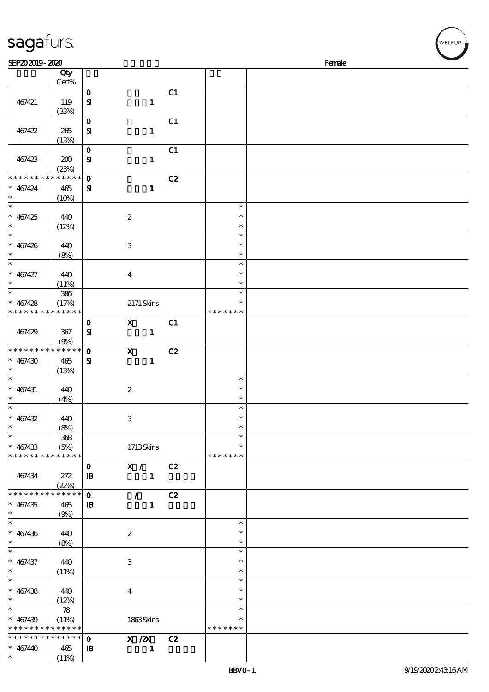| sagafurs.                   |                   |              |                           |              |    |               | .<br>WELFUR <sub>™I</sub> |
|-----------------------------|-------------------|--------------|---------------------------|--------------|----|---------------|---------------------------|
| SEP202019-2020              |                   |              |                           |              |    |               | Female                    |
|                             | Qty               |              |                           |              |    |               |                           |
|                             | Cert%             |              |                           |              |    |               |                           |
|                             |                   | $\mathbf{o}$ |                           |              | C1 |               |                           |
| 467421                      | 119               | $\mathbf{S}$ |                           | $\mathbf{1}$ |    |               |                           |
|                             | (33%)             |              |                           |              |    |               |                           |
|                             |                   | $\mathbf{o}$ |                           |              | C1 |               |                           |
| 467422                      | 265               | ${\bf s}$    |                           | $\mathbf{1}$ |    |               |                           |
|                             | (13%)             |              |                           |              |    |               |                           |
|                             |                   | $\mathbf O$  |                           |              | C1 |               |                           |
| 467423                      | 200               | ${\bf s}$    |                           | $\mathbf{1}$ |    |               |                           |
|                             | (23%)             |              |                           |              |    |               |                           |
| * * * * * * * *             | * * * * * *       | $\mathbf{o}$ |                           |              | C2 |               |                           |
| $* 467424$                  | 465               | $\mathbf{S}$ |                           | $\mathbf{1}$ |    |               |                           |
| $\ast$                      | (10%)             |              |                           |              |    |               |                           |
| $\ast$                      |                   |              |                           |              |    | $\ast$        |                           |
| $* 467425$                  | 440               |              | $\boldsymbol{2}$          |              |    | $\ast$        |                           |
| $\ast$                      | (12%)             |              |                           |              |    | $\ast$        |                           |
| $\ast$                      |                   |              |                           |              |    | $\ast$        |                           |
| $* 467426$                  | 440               |              | $\ensuremath{\mathsf{3}}$ |              |    | $\ast$        |                           |
| $\ast$                      | (8%)              |              |                           |              |    | $\ast$        |                           |
| $\ast$                      |                   |              |                           |              |    | $\ast$        |                           |
| $* 467427$                  | 440               |              | $\bf{4}$                  |              |    | $\ast$        |                           |
| $\ast$                      | (11%)             |              |                           |              |    | $\ast$        |                           |
| $\ast$                      | ${\bf 386}$       |              |                           |              |    | $\ast$        |                           |
| $* 467428$                  | (17%)             |              | $2171$ Skins              |              |    | ∗             |                           |
| * * * * * * * *             | * * * * * *       |              |                           |              |    | * * * * * * * |                           |
|                             |                   | $\mathbf O$  | $\mathbf{X}$              |              | C1 |               |                           |
| 467429                      | 367               | $\mathbf{S}$ |                           | $\mathbf{1}$ |    |               |                           |
|                             | (9%)              |              |                           |              |    |               |                           |
| * * * * * * * *             | * * * * * *       | $\mathbf{o}$ | $\mathbf X$               |              | C2 |               |                           |
| $* 467430$                  | 465               | $\mathbf{S}$ |                           | $\mathbf{1}$ |    |               |                           |
| $\ast$                      | (13%)             |              |                           |              |    |               |                           |
| $\ast$                      |                   |              |                           |              |    | $\ast$        |                           |
| $* 467431$                  | 440               |              | $\boldsymbol{2}$          |              |    | $\ast$        |                           |
| $\ast$                      | (4%)              |              |                           |              |    | $\ast$        |                           |
| $\ast$                      |                   |              |                           |              |    | $\ast$        |                           |
| $* 467432$                  | 440               |              | 3                         |              |    |               |                           |
| $\ast$                      | (8%)              |              |                           |              |    |               |                           |
| $\ast$                      | 368               |              |                           |              |    | $\ast$        |                           |
| $* 467433$                  | (5%)              |              | 1713Skins                 |              |    |               |                           |
| * * * * * * * * * * * * * * |                   |              |                           |              |    | * * * * * * * |                           |
|                             |                   | $\mathbf{O}$ | X / C2                    |              |    |               |                           |
| 467434                      | 272               | $\mathbf{B}$ |                           | $\mathbf{1}$ |    |               |                           |
| * * * * * * *               | (22%)<br>$******$ | $\mathbf 0$  |                           |              |    |               |                           |
|                             |                   |              | $\mathcal{L}$             |              | C2 |               |                           |
| $* 467435$<br>$\ast$        | 465               | $\mathbf{B}$ |                           | $\mathbf{1}$ |    |               |                           |
| $\ast$                      | (9%)              |              |                           |              |    | $\ast$        |                           |
| $* 467436$                  | 440               |              | $\boldsymbol{z}$          |              |    | $\ast$        |                           |
| $\ast$                      |                   |              |                           |              |    | $\ast$        |                           |
| $\ast$                      | (8%)              |              |                           |              |    | $\ast$        |                           |
| $* 467437$                  | 440               |              | 3                         |              |    | $\ast$        |                           |
| $\ast$                      | (11%)             |              |                           |              |    | $\ast$        |                           |
| $\ast$                      |                   |              |                           |              |    | $\ast$        |                           |
| $* 467438$                  | 440               |              | $\overline{\mathbf{4}}$   |              |    | $\ast$        |                           |
| $\ast$                      | (12%)             |              |                           |              |    | $\ast$        |                           |
| $\ast$                      | 78                |              |                           |              |    | $\ast$        |                           |
| $* 467439$                  | (11%)             |              | 1863Skins                 |              |    |               |                           |
| * * * * * * * * * * * * * * |                   |              |                           |              |    | * * * * * * * |                           |
| * * * * * * * *             | $* * * * * * *$   | $\mathbf 0$  | $X$ / $ZX$                |              | C2 |               |                           |
| $* 467440$                  | 465               | $\mathbf{B}$ |                           | 1            |    |               |                           |
| $\ast$                      | (11%)             |              |                           |              |    |               |                           |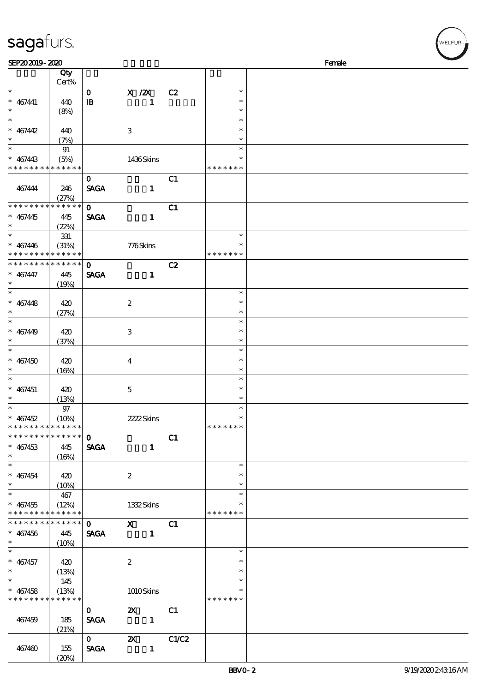| SEP202019-2020                             |          |                         |                           |       |               | Female |
|--------------------------------------------|----------|-------------------------|---------------------------|-------|---------------|--------|
|                                            | Qty      |                         |                           |       |               |        |
|                                            | Cert%    |                         |                           |       |               |        |
| $\ast$                                     |          | $\mathbf{o}$            | X / ZX                    | C2    | $\ast$        |        |
| $* 467441$                                 |          |                         | $\mathbf{1}$              |       | $\ast$        |        |
| $\ast$                                     | 440      | $\mathbf{B}$            |                           |       | $\ast$        |        |
|                                            | (8%)     |                         |                           |       |               |        |
| $\ast$                                     |          |                         |                           |       | $\ast$        |        |
| $* 467442$                                 | 440      |                         | $\,3\,$                   |       | $\ast$        |        |
| $\ast$                                     | (7%)     |                         |                           |       | $\ast$        |        |
| $\overline{\phantom{a}^*}$                 | 91       |                         |                           |       | $\ast$        |        |
| $* 467443$                                 | (5%)     |                         | 1436Skins                 |       |               |        |
| * * * * * * * * * * * * * *                |          |                         |                           |       | * * * * * * * |        |
|                                            |          |                         |                           |       |               |        |
|                                            |          | $\mathbf{O}$            |                           | C1    |               |        |
| 467444                                     | 246      | <b>SAGA</b>             | $\mathbf{1}$              |       |               |        |
|                                            | (27%)    |                         |                           |       |               |        |
| * * * * * * * * * * * * * *                |          | $\mathbf{0}$            |                           | C1    |               |        |
| $* 467445$                                 | 445      | <b>SAGA</b>             | $\mathbf{1}$              |       |               |        |
| $\ast$                                     |          |                         |                           |       |               |        |
| $\overline{\ast}$                          | (22%)    |                         |                           |       |               |        |
|                                            | 331      |                         |                           |       | $\ast$        |        |
| $* 467446$                                 | (31%)    |                         | 776Skins                  |       | $\ast$        |        |
| * * * * * * * * * * * * * *                |          |                         |                           |       | * * * * * * * |        |
| * * * * * * * * * * * * * *                |          | $\mathbf{O}$            |                           | C2    |               |        |
| $* 467447$                                 | 445      | <b>SAGA</b>             | $\mathbf{1}$              |       |               |        |
| $\ast$                                     |          |                         |                           |       |               |        |
| $\overline{\phantom{0}}$                   | (19%)    |                         |                           |       |               |        |
|                                            |          |                         |                           |       | $\ast$        |        |
| $* 467448$                                 | 420      |                         | $\boldsymbol{z}$          |       | $\ast$        |        |
| $\ast$                                     | (27%)    |                         |                           |       | $\ast$        |        |
| $\ast$                                     |          |                         |                           |       | $\ast$        |        |
| $* 467449$                                 | 420      |                         |                           |       | $\ast$        |        |
| $\ast$                                     |          |                         | 3                         |       |               |        |
|                                            | (37%)    |                         |                           |       | $\ast$        |        |
| $\ast$                                     |          |                         |                           |       | $\ast$        |        |
| $* 467450$                                 | 420      |                         | $\bf{4}$                  |       | $\ast$        |        |
| $\ast$                                     | (16%)    |                         |                           |       | $\ast$        |        |
| $\ast$                                     |          |                         |                           |       | $\ast$        |        |
|                                            |          |                         |                           |       | $\ast$        |        |
| $* 467451$                                 | 420      |                         | $\mathbf 5$               |       |               |        |
| $\ast$                                     | (13%)    |                         |                           |       | $\ast$        |        |
| $\ast$                                     | $97\,$   |                         |                           |       | $\ast$        |        |
| $* 467452$                                 | (10%)    |                         | 2222Skins                 |       | $\ast$        |        |
| * * * * * * * * * * * * * *                |          |                         |                           |       | *******       |        |
| * * * * * * * * * * * * * *                |          | $\mathbf{O}$            |                           | C1    |               |        |
|                                            |          |                         |                           |       |               |        |
| $* 467453$                                 | 445      | <b>SAGA</b>             | $\mathbf{1}$              |       |               |        |
| $\ast$                                     | (16%)    |                         |                           |       |               |        |
| $\overline{\phantom{a}}$                   |          |                         |                           |       | $\ast$        |        |
| $* 467454$                                 | 420      |                         | $\boldsymbol{z}$          |       | ∗             |        |
| $\ast$                                     | (10%)    |                         |                           |       | $\ast$        |        |
| $\overline{\phantom{a}^*}$                 | 467      |                         |                           |       | $\ast$        |        |
|                                            |          |                         |                           |       |               |        |
| $* 467455$                                 | (12%)    |                         | 1332Skins                 |       |               |        |
| * * * * * * * * * * * * * *                |          |                         |                           |       | * * * * * * * |        |
| * * * * * * * *                            | ******   | $\mathbf{O}$            | $X$ C1                    |       |               |        |
| $* 467456$                                 | 445      | <b>SAGA</b>             | $\blacksquare$            |       |               |        |
| $\ast$                                     | (10%)    |                         |                           |       |               |        |
| $\overline{\phantom{0}}$                   |          |                         |                           |       | $\ast$        |        |
|                                            |          |                         |                           |       |               |        |
| $* 467457$                                 | 420      |                         | $\boldsymbol{z}$          |       | $\ast$        |        |
| $\ast$                                     | $(13\%)$ |                         |                           |       | $\ast$        |        |
| $\overline{\phantom{a}}$                   | 145      |                         |                           |       | $\ast$        |        |
| $* 467458$                                 | (13%)    |                         | 1010Skins                 |       |               |        |
| * * * * * * * * <mark>* * * * * * *</mark> |          |                         |                           |       | * * * * * * * |        |
|                                            |          |                         |                           |       |               |        |
|                                            |          | $\mathbf{O}$            | $\mathbf{X}$              | C1    |               |        |
| 467459                                     | 185      | <b>SAGA</b>             |                           |       |               |        |
|                                            | (21%)    |                         |                           |       |               |        |
|                                            |          | $\overline{\mathbf{0}}$ | $\boldsymbol{\mathsf{Z}}$ | C1/C2 |               |        |
| 467460                                     | 155      | <b>SAGA</b>             | $\mathbf{1}$              |       |               |        |
|                                            |          |                         |                           |       |               |        |
|                                            | (20%)    |                         |                           |       |               |        |

ELFUR<sub>1</sub>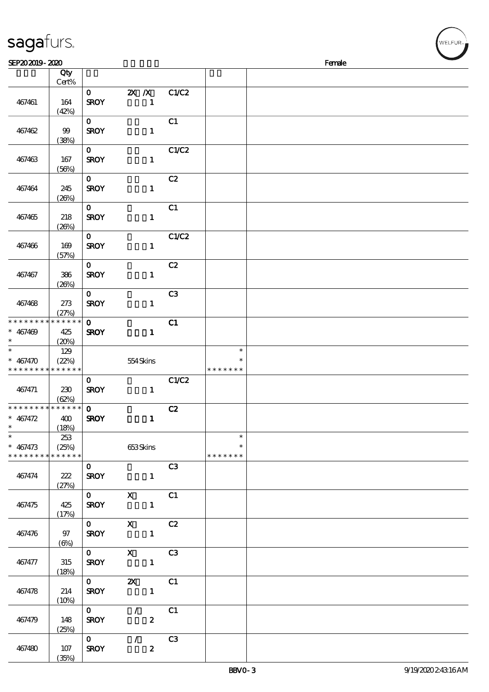| sagafurs.                                                                            |                  |                                        |                                              |                |                                   |        | WELFUR <sub>™</sub> |
|--------------------------------------------------------------------------------------|------------------|----------------------------------------|----------------------------------------------|----------------|-----------------------------------|--------|---------------------|
| SEP202019-2020                                                                       |                  |                                        |                                              |                |                                   | Female |                     |
|                                                                                      | Qty<br>Cert%     |                                        |                                              |                |                                   |        |                     |
| 467461                                                                               | 164<br>(42%)     | $\mathbf{o}$<br><b>SROY</b>            | $2X$ $X$<br>$\mathbf{1}$                     | C1/C2          |                                   |        |                     |
| 467462                                                                               | 99<br>(38%)      | $\mathbf{O}$<br><b>SROY</b>            | $\mathbf{1}$                                 | C1             |                                   |        |                     |
| 467463                                                                               | 167<br>(56%)     | $\mathbf{O}$<br><b>SROY</b>            | $\mathbf{1}$                                 | C1/C2          |                                   |        |                     |
| 467464                                                                               | 245<br>(20%)     | $\mathbf{O}$<br><b>SROY</b>            | $\mathbf{1}$                                 | C2             |                                   |        |                     |
| 467465                                                                               | 218<br>(20%)     | $\mathbf{O}$<br><b>SROY</b>            | $\mathbf{1}$                                 | C1             |                                   |        |                     |
| 467466                                                                               | 169<br>(57%)     | $\mathbf{O}$<br><b>SROY</b>            | $\mathbf{1}$                                 | C1/C2          |                                   |        |                     |
| 467467                                                                               | 386<br>(20%)     | $\mathbf{O}$<br><b>SROY</b>            | $\mathbf{1}$                                 | C2             |                                   |        |                     |
| 467468                                                                               | 273<br>(27%)     | $\mathbf{O}$<br><b>SROY</b>            | $\mathbf{1}$                                 | C <sub>3</sub> |                                   |        |                     |
| * * * * * * * * <mark>* * * * * * *</mark><br>$* 467469$                             | 425<br>(20%)     | $\mathbf{O}$<br><b>SROY</b>            | $\mathbf{1}$                                 | C1             |                                   |        |                     |
| $\ast$<br>$* 467470$<br>* * * * * * * * * * * * * *                                  | 129<br>(22%)     |                                        | 554Skins                                     |                | $\ast$<br>$\ast$<br>* * * * * * * |        |                     |
| 467471                                                                               | 230<br>(62%)     | $\mathbf{o}$<br><b>SROY</b>            | $\mathbf{1}$                                 | C1/C2          |                                   |        |                     |
| * * * * * * * * * * * * * *<br>$* 467472$<br>$\ast$                                  | 400<br>(18%)     | $\mathbf{0}$<br><b>SROY</b>            | $\mathbf{1}$                                 | C2             |                                   |        |                     |
| $\overline{\phantom{0}}$<br>$* 467473$<br>* * * * * * * * <mark>* * * * * * *</mark> | 253<br>(25%)     |                                        | 653Skins                                     |                | $\ast$<br>∗<br>* * * * * * *      |        |                     |
| 467474                                                                               | 222<br>(27%)     | $\mathbf{0}$<br><b>SROY</b>            | $\blacksquare$                               | C3             |                                   |        |                     |
| 467475                                                                               | 425<br>(17%)     | $\mathbf{0}$<br><b>SROY</b>            | $\mathbf{x}$<br>$\blacksquare$               | C1             |                                   |        |                     |
| 467476                                                                               | 97<br>$(\Theta)$ | $\mathbf{0}$<br><b>SROY</b>            | $\boldsymbol{\mathrm{X}}$<br>$\sim$ $\sim$ 1 | C2             |                                   |        |                     |
| 467477                                                                               | 315<br>(18%)     | $\overline{\mathbf{0}}$<br><b>SROY</b> | $\mathbf{X}$<br>$\blacksquare$               | C3             |                                   |        |                     |
| 467478                                                                               | 214<br>(10%)     | $\overline{\mathbf{0}}$<br><b>SROY</b> | $\boldsymbol{\mathsf{Z}}$<br>$\blacksquare$  | C1             |                                   |        |                     |
| 467479                                                                               | 148<br>(25%)     | $\mathbf{0}$<br><b>SROY</b>            | $\mathcal{L}$<br>$\boldsymbol{z}$            | C1             |                                   |        |                     |
| 467480                                                                               | 107              | $\mathbf{O}$<br><b>SROY</b>            | $\mathcal{F}$<br>$\boldsymbol{z}$            | C3             |                                   |        |                     |

 $(35%)$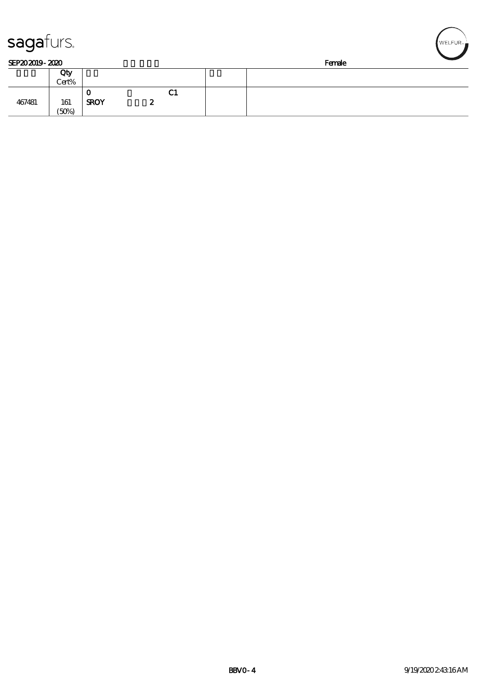| sagafurs.      |       |             |   |    |        | $\sqrt{\textsf{WELFUR}}$ |
|----------------|-------|-------------|---|----|--------|--------------------------|
| SEP202019-2020 |       |             |   |    | Female |                          |
|                | Qty   |             |   |    |        |                          |
|                | Cert% |             |   |    |        |                          |
|                |       | U           |   | C1 |        |                          |
| 467481         | 161   | <b>SROY</b> | 2 |    |        |                          |
|                | (50%) |             |   |    |        |                          |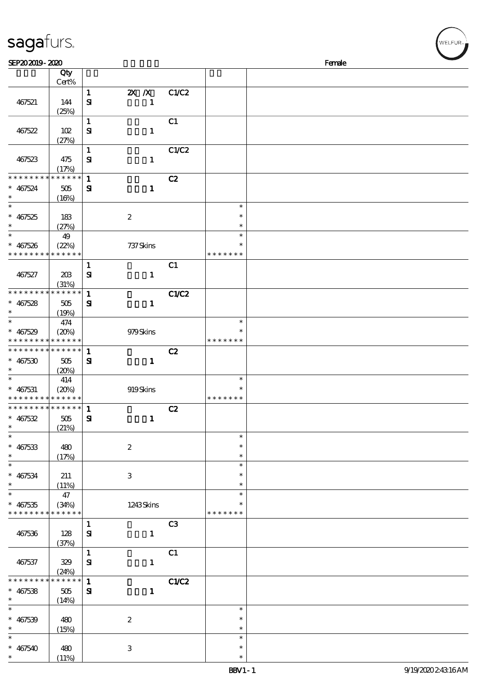| SEP202019-2020                                                             |                                 |                              |                           |                |                                   | Female |  |
|----------------------------------------------------------------------------|---------------------------------|------------------------------|---------------------------|----------------|-----------------------------------|--------|--|
|                                                                            | Qty<br>Cert%                    |                              |                           |                |                                   |        |  |
| 467521                                                                     | 144<br>(25%)                    | $\mathbf{1}$<br>${\bf s}$    | $X$ $N$<br>$\mathbf{1}$   | C1/C2          |                                   |        |  |
| 467522                                                                     | 102<br>(27%)                    | $\mathbf 1$<br>$\mathbf{S}$  | $\mathbf{1}$              | C1             |                                   |        |  |
| 467523                                                                     | 475<br>(17%)                    | $\mathbf{1}$<br>$\mathbf{S}$ | $\mathbf{1}$              | C1/C2          |                                   |        |  |
| * * * * * * * *<br>$* 467524$<br>$\ast$                                    | * * * * * *<br>$505\,$<br>(16%) | $\mathbf{1}$<br>$\mathbf{S}$ | $\mathbf{1}$              | C2             |                                   |        |  |
| $\ast$<br>$* 467525$<br>$\ast$<br>$\overline{\ast}$                        | 183<br>(27%)                    |                              | $\boldsymbol{2}$          |                | $\ast$<br>$\ast$<br>$\ast$        |        |  |
| $* 467526$<br>* * * * * * * * * * * * * *                                  | 49<br>(22%)                     |                              | 737 Skins                 |                | $\ast$<br>$\ast$<br>* * * * * * * |        |  |
| 467527<br>* * * * * * * *                                                  | 208<br>(31%)<br>* * * * * *     | $\mathbf{1}$<br>${\bf s}$    | $\mathbf{1}$              | C1             |                                   |        |  |
| $* 467528$<br>$\ast$<br>$\overline{\ast}$                                  | 505<br>(19%)                    | $\mathbf{1}$<br>${\bf s}$    | $\mathbf{1}$              | C1/C2          | $\ast$                            |        |  |
| $* 467529$<br>* * * * * * * * * * * * * *<br>* * * * * * * * * * * * * * * | 474<br>(20%)                    |                              | 979Skins                  |                | $\ast$<br>* * * * * * *           |        |  |
| $* 467530$<br>$\ast$<br>$\ast$                                             | 505<br>(20%)                    | $\mathbf{1}$<br>${\bf s}$    | $\mathbf{1}$              | C2             | $\ast$                            |        |  |
| $* 467531$<br>* * * * * * * * * * * * * *<br>* * * * * * * * * * * * * * * | 414<br>(20%)                    |                              | 919Skins                  |                | $\ast$<br>* * * * * * *           |        |  |
| $* 467532$<br>$\ast$<br>$\overline{\phantom{0}}$                           | 505<br>(21%)                    | $\mathbf{1}$<br>$\mathbf{S}$ | $\mathbf{1}$              | C2             | $\ast$                            |        |  |
| $* 467533$<br>$\ast$<br>$\overline{\ast}$                                  | 480<br>(17%)                    |                              | $\boldsymbol{2}$          |                | $\ast$<br>$\ast$<br>$\ast$        |        |  |
| $* 467534$<br>$\ast$<br>$\ast$                                             | 211<br>(11%)                    |                              | $\ensuremath{\mathbf{3}}$ |                | $\ast$<br>$\ast$<br>$\ast$        |        |  |
| $* 467535$<br>* * * * * * * *                                              | 47<br>(34%)<br>* * * * * *      |                              | 1243Skins                 |                | $\ast$<br>* * * * * * *           |        |  |
| 467536                                                                     | 128<br>(37%)                    | $\mathbf 1$<br>${\bf s}$     | $\mathbf{1}$              | C <sub>3</sub> |                                   |        |  |
| 467537                                                                     | 329<br>(24%)                    | $\mathbf{1}$<br>$\mathbf{S}$ | $\mathbf{1}$              | C1             |                                   |        |  |
| * * * * * * * *<br>$* 467538$<br>$\ast$                                    | * * * * * *<br>505<br>(14%)     | $\mathbf{1}$<br>$\mathbf{S}$ | $\mathbf{1}$              | C1/C2          |                                   |        |  |
| $\ast$<br>$* 467539$<br>$\ast$                                             | 480<br>(15%)                    |                              | $\boldsymbol{2}$          |                | $\ast$<br>$\ast$<br>$\ast$        |        |  |
| $\ast$<br>$* 467540$<br>$\ast$                                             | 480<br>(11%)                    |                              | $\ensuremath{\mathbf{3}}$ |                | $\ast$<br>$\ast$<br>$\ast$        |        |  |

sagafurs.

WELFUR<sub>\*</sub>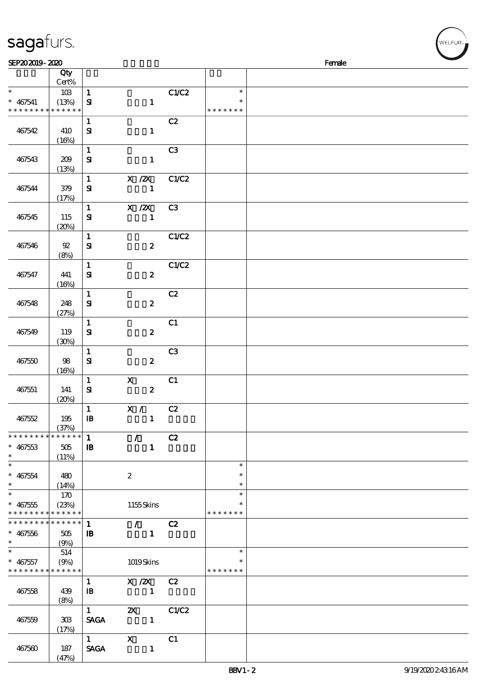| SEP202019-2020<br>$\ast$<br>$* 467541$<br>467542<br>467543 | Qty<br>Cert%<br>10B<br>(13%)<br>***********<br>410<br>(16%)<br>209<br>(13%) | $\mathbf{1}$<br>${\bf s}$<br>$\mathbf{1}$<br>${\bf s}$<br>$\mathbf{1}$ | $\mathbf{1}$<br>$\mathbf{1}$ | C1/C2<br>C2    | $\ast$<br>$\ast$<br>* * * * * * * | Female |
|------------------------------------------------------------|-----------------------------------------------------------------------------|------------------------------------------------------------------------|------------------------------|----------------|-----------------------------------|--------|
|                                                            |                                                                             |                                                                        |                              |                |                                   |        |
|                                                            |                                                                             |                                                                        |                              |                |                                   |        |
|                                                            |                                                                             |                                                                        |                              |                |                                   |        |
|                                                            |                                                                             |                                                                        |                              |                |                                   |        |
|                                                            |                                                                             |                                                                        |                              |                |                                   |        |
|                                                            |                                                                             |                                                                        |                              |                |                                   |        |
|                                                            |                                                                             |                                                                        |                              |                |                                   |        |
|                                                            |                                                                             |                                                                        |                              | C3             |                                   |        |
|                                                            |                                                                             | ${\bf s}$                                                              | $\mathbf{1}$                 |                |                                   |        |
|                                                            |                                                                             |                                                                        |                              |                |                                   |        |
|                                                            |                                                                             | $\mathbf 1$                                                            | $X$ / $ZX$                   | C1/C2          |                                   |        |
| 467544                                                     | 379                                                                         | $\mathbf{S}$                                                           | $\mathbf 1$                  |                |                                   |        |
|                                                            | (17%)                                                                       | $\mathbf 1$                                                            | $X$ / $ZX$                   | C <sub>3</sub> |                                   |        |
| 467545                                                     | 115                                                                         | $\mathbf{S}$                                                           | $\mathbf{1}$                 |                |                                   |        |
|                                                            | (20%)                                                                       |                                                                        |                              |                |                                   |        |
|                                                            |                                                                             | $\mathbf 1$                                                            |                              | C1/C2          |                                   |        |
| 467546                                                     | $92$                                                                        | ${\bf s}$                                                              | $\pmb{2}$                    |                |                                   |        |
|                                                            | (8%)                                                                        |                                                                        |                              |                |                                   |        |
|                                                            |                                                                             | $\mathbf{1}$                                                           |                              | C1/C2          |                                   |        |
| 467547                                                     | 441<br>(16%)                                                                | ${\bf S}$                                                              | $\pmb{2}$                    |                |                                   |        |
|                                                            |                                                                             | $\mathbf{1}$                                                           |                              | C2             |                                   |        |
| 467548                                                     | 248                                                                         | ${\bf s}$                                                              | $\pmb{2}$                    |                |                                   |        |
|                                                            | (27%)                                                                       |                                                                        |                              |                |                                   |        |
|                                                            |                                                                             | $\mathbf 1$                                                            |                              | C1             |                                   |        |
| 467549                                                     | 119                                                                         | ${\bf s}$                                                              | $\pmb{2}$                    |                |                                   |        |
|                                                            | (30%)                                                                       |                                                                        |                              |                |                                   |        |
| 467550                                                     | 98                                                                          | $\mathbf 1$<br>$\mathbf{S}$                                            | $\pmb{2}$                    | C <sub>3</sub> |                                   |        |
|                                                            | (16%)                                                                       |                                                                        |                              |                |                                   |        |
|                                                            |                                                                             | $\mathbf{1}$                                                           | $\mathbf X$                  | C1             |                                   |        |
| 467551                                                     | 141                                                                         | ${\bf S\hspace{-.075ex}I}$                                             | $\pmb{2}$                    |                |                                   |        |
|                                                            | (20%)                                                                       |                                                                        |                              |                |                                   |        |
|                                                            |                                                                             | $\mathbf{1}$                                                           | $\mathbf{X}$ /               | C2             |                                   |        |
| 467552                                                     | 195<br>(37%)                                                                | $\mathbf{B}$                                                           | $\mathbf{1}$                 |                |                                   |        |
|                                                            | * * * * * * * * * * * * * *                                                 | $\mathbf{1}$                                                           | $\mathcal{L}$                | C2             |                                   |        |
| $\ast$<br>467553                                           | 505                                                                         | $\mathbf{B}$                                                           | $\mathbf{1}$                 |                |                                   |        |
| $\ast$                                                     | (11%)                                                                       |                                                                        |                              |                |                                   |        |
| $\ast$                                                     |                                                                             |                                                                        |                              |                | $\ast$                            |        |
| $* 467554$                                                 | 480                                                                         |                                                                        | $\boldsymbol{z}$             |                | $\ast$                            |        |
| $\ast$<br>$\ast$                                           | (14%)<br>170                                                                |                                                                        |                              |                | $\ast$<br>$\ast$                  |        |
| $* 467555$                                                 | (23%)                                                                       |                                                                        | 1155Skins                    |                | $\ast$                            |        |
|                                                            | * * * * * * * * * * * * * *                                                 |                                                                        |                              |                | * * * * * * *                     |        |
|                                                            | * * * * * * * * * * * * * *                                                 | $\mathbf{1}$                                                           | $\mathcal{L}$                | C2             |                                   |        |
| $* 467556$                                                 | 505                                                                         | $\mathbf{B}$                                                           | $\mathbf{1}$                 |                |                                   |        |
| $\ast$                                                     | (9%)                                                                        |                                                                        |                              |                |                                   |        |
| $\ast$                                                     | 514                                                                         |                                                                        |                              |                | $\ast$                            |        |
| $* 467557$                                                 | (9%)<br>* * * * * * * * * * * * * *                                         |                                                                        | 1019Skins                    |                | * * * * * * *                     |        |
|                                                            |                                                                             | $\mathbf{1}$                                                           | $X \, /ZX$                   | C2             |                                   |        |
| 467558                                                     | 439                                                                         | $\mathbf{B}$                                                           | $\mathbf{1}$                 |                |                                   |        |
|                                                            | (8%)                                                                        |                                                                        |                              |                |                                   |        |
|                                                            |                                                                             | $\mathbf{1}$                                                           | $\boldsymbol{\mathsf{Z}}$    | C1/C2          |                                   |        |
| 467559                                                     | 308                                                                         | <b>SAGA</b>                                                            | $\mathbf{1}$                 |                |                                   |        |
|                                                            | (17%)                                                                       |                                                                        |                              |                |                                   |        |
| 467560                                                     | 187                                                                         | $\mathbf{1}$<br><b>SAGA</b>                                            | $\mathbf{x}$<br>1            | C1             |                                   |        |

(47%)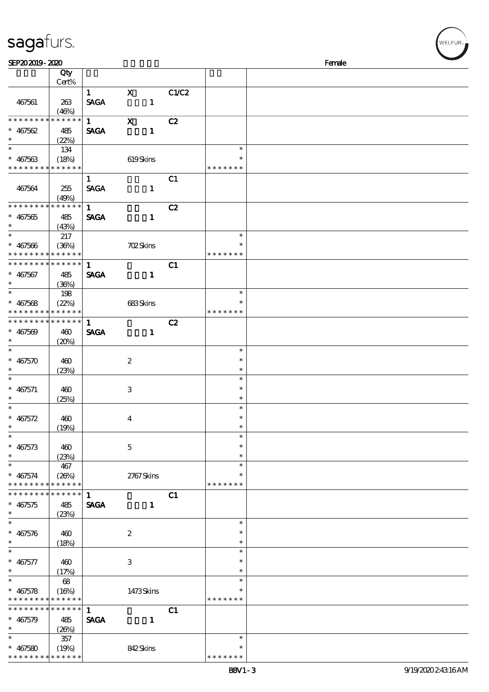| SEP202019-2020                   |                            |                        |                  |       |               | Female |  |
|----------------------------------|----------------------------|------------------------|------------------|-------|---------------|--------|--|
|                                  | Qty                        |                        |                  |       |               |        |  |
|                                  | Cert%                      |                        |                  |       |               |        |  |
|                                  |                            | $\mathbf{1}$           | $\mathbf{x}$     | C1/C2 |               |        |  |
| 467561                           | 263<br>(46%)               | <b>SAGA</b>            | $\mathbf{1}$     |       |               |        |  |
| * * * * * * * *                  | * * * * * *                | $1 \quad \blacksquare$ | $\mathbf x$      | C2    |               |        |  |
| $* 467562$                       | 485                        | <b>SAGA</b>            | $\mathbf{1}$     |       |               |        |  |
| $\ast$                           | (22%)                      |                        |                  |       |               |        |  |
| $\ast$                           | 134                        |                        |                  |       | $\ast$        |        |  |
| $* 467563$                       | (18%)                      |                        | 619Skins         |       | $\ast$        |        |  |
| * * * * * * * *                  | * * * * * *                |                        |                  |       | * * * * * * * |        |  |
|                                  |                            | $\mathbf{1}$           |                  | C1    |               |        |  |
| 467564                           | 255<br>(49%)               | <b>SAGA</b>            | $\mathbf{1}$     |       |               |        |  |
| * * * * * * *                    | * * * * * *                | $\mathbf{1}$           |                  | C2    |               |        |  |
| $* 467565$                       | 485                        | <b>SAGA</b>            | $\mathbf{1}$     |       |               |        |  |
| $\ast$                           | (43%)                      |                        |                  |       |               |        |  |
| $\overline{\phantom{0}}$         | 217                        |                        |                  |       | $\ast$        |        |  |
| $* 467566$                       | (36%)                      |                        | <b>702Skins</b>  |       | $\ast$        |        |  |
| * * * * * * * *                  | * * * * * *                |                        |                  |       | * * * * * * * |        |  |
| * * * * * * * *                  | * * * * * *                | $\mathbf{1}$           |                  | C1    |               |        |  |
| $* 467567$                       | 485                        | <b>SAGA</b>            | $\mathbf{1}$     |       |               |        |  |
| $\ast$                           | (36%)                      |                        |                  |       |               |        |  |
|                                  | 198                        |                        |                  |       | $\ast$        |        |  |
| $* 467568$                       | (22%)                      |                        | 683Skins         |       | $\ast$        |        |  |
| * * * * * * * *                  | * * * * * *                |                        |                  |       | * * * * * * * |        |  |
| * * * * * * * *                  | * * * * * *                | $\mathbf{1}$           |                  | C2    |               |        |  |
| $* 467569$                       | 460                        | <b>SAGA</b>            | $\mathbf{1}$     |       |               |        |  |
| $\ast$                           | (20%)                      |                        |                  |       |               |        |  |
| $\overline{\ast}$                |                            |                        |                  |       | $\ast$        |        |  |
| * $467570$                       | 460                        |                        | $\boldsymbol{z}$ |       | $\ast$        |        |  |
| $\ast$                           | (23%)                      |                        |                  |       | $\ast$        |        |  |
| $\ast$                           |                            |                        |                  |       | $\ast$        |        |  |
| $* 467571$                       | 460                        |                        | $\,3$            |       | $\ast$        |        |  |
| $\ast$                           | (25%)                      |                        |                  |       | $\ast$        |        |  |
| $\ast$                           |                            |                        |                  |       | $\ast$        |        |  |
| * $467572$                       | 460                        |                        | $\boldsymbol{4}$ |       | $\ast$        |        |  |
|                                  | (19%)                      |                        |                  |       | $\ast$        |        |  |
| $\ast$                           |                            |                        |                  |       | $\ast$        |        |  |
| $* 467573$                       | 460                        |                        | $\mathbf 5$      |       | $\ast$        |        |  |
| $\ast$                           | (23%)                      |                        |                  |       | $\ast$        |        |  |
| $\ast$                           | 467                        |                        |                  |       | $\ast$        |        |  |
| $* 467574$                       | (20%)                      |                        | 2767Skins        |       | $\ast$        |        |  |
| * * * * * * * *                  | * * * * * *                |                        |                  |       | * * * * * * * |        |  |
| * * * * * * *                    | * * * * * *                | 1                      |                  | C1    |               |        |  |
| $* 467575$                       | 485                        | <b>SAGA</b>            | $\mathbf{1}$     |       |               |        |  |
| $\ast$                           | (23%)                      |                        |                  |       |               |        |  |
| $\ast$                           |                            |                        |                  |       | $\ast$        |        |  |
| $* 467576$                       | 460                        |                        | $\boldsymbol{2}$ |       | $\ast$        |        |  |
| *                                | (18%)                      |                        |                  |       | $\ast$        |        |  |
| $\ast$                           |                            |                        |                  |       | $\ast$        |        |  |
| $* 467577$                       | 460                        |                        | $\,3$            |       | $\ast$        |        |  |
| *                                | (17%)                      |                        |                  |       | $\ast$        |        |  |
| $\ast$                           | 68                         |                        |                  |       | $\ast$        |        |  |
| $* 467578$                       | (16%)                      |                        | 1473Skins        |       | $\ast$        |        |  |
| * * * * * * * *<br>* * * * * * * | * * * * * *<br>* * * * * * |                        |                  |       | * * * * * * * |        |  |
|                                  |                            | $\mathbf{1}$           |                  | C1    |               |        |  |
| $* 467579$                       | 485                        | <b>SAGA</b>            | $\mathbf{1}$     |       |               |        |  |
| *                                | (20%)                      |                        |                  |       |               |        |  |
| $\ast$                           | 357                        |                        |                  |       | $\ast$        |        |  |

\*

\* \* \* \* \* \* \*

467580

\* \* \* \* \* \* \* \* \* \* \* \* \* \*

sagafurs.

(19%) 842 Skins

.<br>WELFUR<sub>"</sub>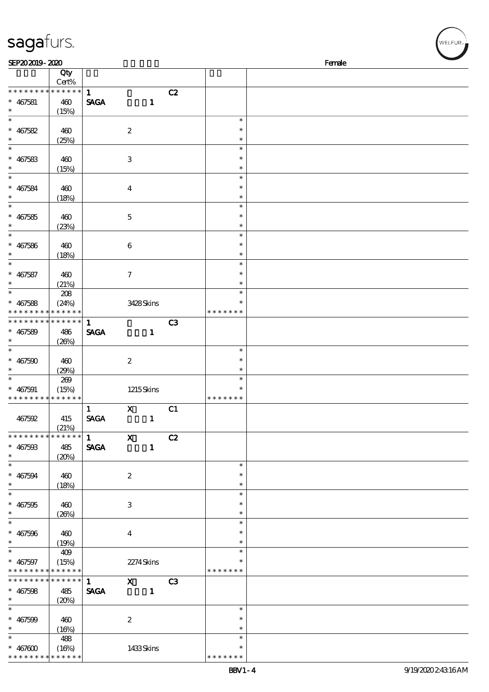| sagafurs.                                  |                     |                        |                         |              |    |                  | WELFUR <sub>™</sub> |
|--------------------------------------------|---------------------|------------------------|-------------------------|--------------|----|------------------|---------------------|
| SEP202019-2020                             |                     |                        |                         |              |    |                  | Female              |
|                                            | Qty                 |                        |                         |              |    |                  |                     |
| * * * * * * * * * * * * * *                | Cert%               | $\mathbf{1}$           |                         |              | C2 |                  |                     |
| $* 467581$                                 | 460                 | <b>SAGA</b>            |                         | $\mathbf{1}$ |    |                  |                     |
| $\ast$                                     | (15%)               |                        |                         |              |    |                  |                     |
| $\overline{\ast}$                          |                     |                        |                         |              |    | $\ast$           |                     |
| $* 467582$                                 | 460                 |                        | $\boldsymbol{2}$        |              |    | $\ast$           |                     |
| $\ast$                                     | (25%)               |                        |                         |              |    | $\ast$<br>$\ast$ |                     |
| $* 467583$                                 | 460                 |                        | $\,3$                   |              |    | $\ast$           |                     |
| $\ast$                                     | (15%)               |                        |                         |              |    | $\ast$           |                     |
| $\ast$                                     |                     |                        |                         |              |    | $\ast$           |                     |
| $* 467584$                                 | 460                 |                        | $\boldsymbol{4}$        |              |    | $\ast$           |                     |
| $\ast$<br>$\ast$                           | (18%)               |                        |                         |              |    | $\ast$<br>$\ast$ |                     |
| $* 467585$                                 | 460                 |                        | $\mathbf 5$             |              |    | $\ast$           |                     |
| $\ast$                                     | (23%)               |                        |                         |              |    | $\ast$           |                     |
| $\ast$                                     |                     |                        |                         |              |    | $\ast$           |                     |
| $* 467586$                                 | 460                 |                        | 6                       |              |    | $\ast$           |                     |
| $\ast$<br>$\ast$                           | (18%)               |                        |                         |              |    | $\ast$<br>$\ast$ |                     |
| $* 467587$                                 | 460                 |                        | $\tau$                  |              |    | $\ast$           |                     |
| $\ast$                                     | (21%)               |                        |                         |              |    | $\ast$           |                     |
| $\ast$                                     | 208                 |                        |                         |              |    | $\ast$           |                     |
| $* 467588$                                 | (24%)               |                        | 3428Skins               |              |    | $\ast$           |                     |
| * * * * * * * * * * * * * *                | * * * * * * * * * * | $\mathbf{1}$           |                         |              |    | * * * * * * *    |                     |
| $* 467589$                                 | 486                 | <b>SAGA</b>            |                         | $\mathbf{1}$ | C3 |                  |                     |
| $\ast$                                     | (20%)               |                        |                         |              |    |                  |                     |
| $\ast$                                     |                     |                        |                         |              |    | $\ast$           |                     |
| $* 467500$                                 | 460                 |                        | $\boldsymbol{2}$        |              |    | $\ast$           |                     |
| $\ast$<br>$\ast$                           | (29%)               |                        |                         |              |    | $\ast$<br>$\ast$ |                     |
| $* 467591$                                 | 269<br>(15%)        |                        | 1215Skins               |              |    | $\ast$           |                     |
| * * * * * * * * <mark>* * * * * * *</mark> |                     |                        |                         |              |    | * * * *          |                     |
|                                            |                     | $\overline{1}$ X       |                         |              | C1 |                  |                     |
| 467592                                     | 415                 | <b>SAGA</b>            |                         | $\mathbf{1}$ |    |                  |                     |
| * * * * * * * * * * * * * *                | (21%)               | $\mathbf{1}$           | $X$ $C2$                |              |    |                  |                     |
| $* 467598$                                 | 485                 | <b>SAGA</b>            | $\blacksquare$          |              |    |                  |                     |
| $\ast$                                     | (20%)               |                        |                         |              |    |                  |                     |
| $\ast$                                     |                     |                        |                         |              |    | $\ast$           |                     |
| $* 467594$                                 | 460                 |                        | $\boldsymbol{2}$        |              |    | $\ast$           |                     |
| $\ast$<br>$\ast$                           | (18%)               |                        |                         |              |    | $\ast$<br>$\ast$ |                     |
| $* 467595$                                 | 460                 |                        | $\,3$                   |              |    | $\ast$           |                     |
| $\ast$                                     | (20%)               |                        |                         |              |    | $\ast$           |                     |
| $\ast$                                     |                     |                        |                         |              |    | $\ast$           |                     |
| $* 467596$<br>$\ast$                       | 460                 |                        | $\overline{\mathbf{4}}$ |              |    | $\ast$           |                     |
| $\ast$                                     | (19%)<br>409        |                        |                         |              |    | $\ast$<br>$\ast$ |                     |
| $* 467597$                                 | (15%)               |                        | 2274Skins               |              |    | $\ast$           |                     |
| * * * * * * * * <mark>* * * * * * *</mark> |                     |                        |                         |              |    | * * * * * * *    |                     |
| * * * * * * * * * * * * * *                |                     | $1 \quad \blacksquare$ | $X$ $C3$                |              |    |                  |                     |
| $* 467598$<br>$\ast$                       | 485                 | <b>SAGA</b>            |                         |              |    |                  |                     |
| $\overline{\phantom{a}}$                   | (20%)               |                        |                         |              |    | $\ast$           |                     |
| $* 467500$                                 | 460                 |                        | $\boldsymbol{2}$        |              |    | $\ast$           |                     |
| $\ast$                                     | (16%)               |                        |                         |              |    | $\ast$           |                     |
| $\overline{\phantom{0}}$                   | 488                 |                        |                         |              |    | $\ast$           |                     |
| $* 467600$                                 | (16%)               |                        | 1433Skins               |              |    | $\ast$           |                     |

\* \* \* \* \* \*

\* \* \* \* \* \* \* \* \* \* \* \*

\*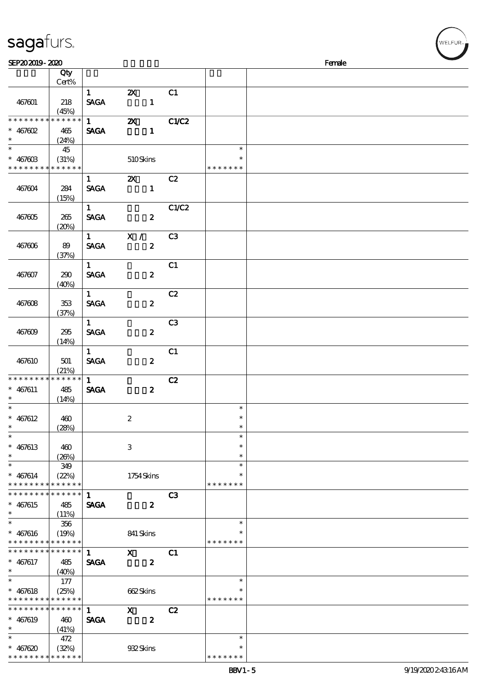| sagafurs.                                                          |                                      |                                       |                                           |                |                                   |        | WELFUR <sub>™</sub> |
|--------------------------------------------------------------------|--------------------------------------|---------------------------------------|-------------------------------------------|----------------|-----------------------------------|--------|---------------------|
| SEP202019-2020                                                     |                                      |                                       |                                           |                |                                   | Female |                     |
|                                                                    | Qty<br>Cert%                         |                                       |                                           |                |                                   |        |                     |
| 467601                                                             | 218                                  | $\mathbf{1}$<br><b>SAGA</b>           | $\boldsymbol{\mathsf{Z}}$<br>$\mathbf{1}$ | C1             |                                   |        |                     |
| * * * * * * * *<br>$* 467602$<br>$\ast$                            | (45%)<br>* * * * * *<br>465<br>(24%) | $1 \quad \blacksquare$<br><b>SAGA</b> | $\boldsymbol{\mathsf{Z}}$<br>$\mathbf{1}$ | C1/C2          |                                   |        |                     |
| $\ast$<br>$* 46760B$<br>* * * * * * * *                            | 45<br>(31%)<br>* * * * * *           |                                       | 510Skins                                  |                | $\ast$<br>$\ast$<br>* * * * * * * |        |                     |
| 467604                                                             | 284<br>(15%)                         | $\mathbf{1}$<br><b>SAGA</b>           | $\boldsymbol{\mathsf{Z}}$<br>$\mathbf{1}$ | C2             |                                   |        |                     |
| 467605                                                             | 265<br>(20%)                         | $1 -$<br><b>SAGA</b>                  | $\pmb{2}$                                 | C1/C2          |                                   |        |                     |
| 467806                                                             | 89<br>(37%)                          | $1 \qquad \qquad$<br><b>SAGA</b>      | $\overline{X}$ /<br>$\boldsymbol{z}$      | C3             |                                   |        |                     |
| 467607                                                             | 290<br>(40%)                         | $1 -$<br><b>SAGA</b>                  | $\boldsymbol{z}$                          | C1             |                                   |        |                     |
| 467608                                                             | 353<br>(37%)                         | $1 -$<br><b>SAGA</b>                  | $\boldsymbol{z}$                          | C2             |                                   |        |                     |
| 467609                                                             | 295<br>(14%)                         | $\mathbf{1}$<br><b>SAGA</b>           | $\boldsymbol{z}$                          | C <sub>3</sub> |                                   |        |                     |
| 467610                                                             | 501<br>(21%)                         | $\mathbf{1}$<br><b>SAGA</b>           | $\boldsymbol{z}$                          | C1             |                                   |        |                     |
| * * * * * * * *<br>$* 467611$<br>$\ast$                            | * * * * * *<br>485<br>(14%)          | $\mathbf{1}$<br><b>SAGA</b>           | $\boldsymbol{z}$                          | C2             |                                   |        |                     |
| $\ast$<br>$* 467612$<br>$\ast$                                     | 460<br>(28%)                         |                                       | $\boldsymbol{2}$                          |                | $\ast$<br>∗<br>$\ast$             |        |                     |
| $\ast$<br>$* 467613$<br>$\ast$                                     | 460<br>(20%)                         |                                       | $\ensuremath{\mathbf{3}}$                 |                | $\ast$<br>$\ast$<br>$\ast$        |        |                     |
| $* 467614$<br>* * * * * * * * <mark>* * * * * *</mark>             | 349<br>(22%)                         |                                       | 1754Skins                                 |                | $\ast$<br>* * * * * * *           |        |                     |
| * * * * * * * *<br>$* 467615$                                      | $* * * * * * *$<br>485<br>(11%)      | $\mathbf{1}$<br><b>SAGA</b>           | $\boldsymbol{z}$                          | C3             |                                   |        |                     |
| $\ast$<br>$* 467616$<br>* * * * * * * * * * * * * *                | 356<br>(19%)                         |                                       | 841 Skins                                 |                | $\ast$<br>$\ast$<br>* * * * * * * |        |                     |
| * * * * * * * *<br>$* 467617$<br>$\ast$                            | * * * * * *<br>485<br>(40%)          | $1 \quad \blacksquare$<br><b>SAGA</b> | $\mathbf{x}$<br>$\boldsymbol{z}$          | C1             |                                   |        |                     |
| $\ast$<br>$* 467618$<br>* * * * * * * * <mark>* * * * * * *</mark> | 177<br>(25%)                         |                                       | 662Skins                                  |                | $\ast$<br>* * * * * * *           |        |                     |
| * * * * * * * * * * * * * *<br>$* 467619$<br>$\ast$                | 460<br>(41%)                         | 1<br><b>SAGA</b>                      | $\mathbf{x}$<br>$\boldsymbol{z}$          | C2             |                                   |        |                     |
| $\ast$<br>$* 467620$                                               | 472<br>(32%)                         |                                       | 932Skins                                  |                | $\ast$<br>$\ast$                  |        |                     |

\* \* \* \* \* \*

\* \* \* \* \* \*

\* \* \* \* \* \*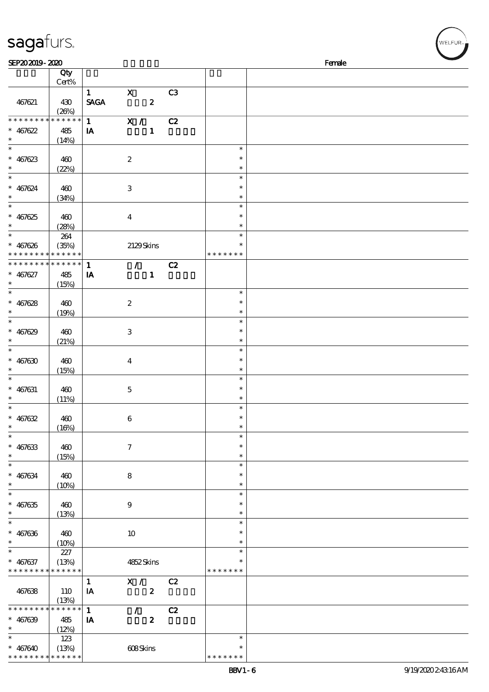| sagafurs.                                                |                      |                    |                                                 |                |                         |        |
|----------------------------------------------------------|----------------------|--------------------|-------------------------------------------------|----------------|-------------------------|--------|
| SEP202019-2020                                           |                      |                    |                                                 |                |                         | Female |
|                                                          | Qty<br>Cert%         |                    |                                                 |                |                         |        |
|                                                          |                      | $\mathbf{1}$       | $\mathbf x$                                     | C <sub>3</sub> |                         |        |
| 467621                                                   | 430                  | <b>SAGA</b>        | $\overline{\mathbf{z}}$                         |                |                         |        |
| * * * * * * * * * * * * * *                              | (20%)                | $\mathbf{1}$       | $\overline{\mathbf{X}$ /                        | C2             |                         |        |
| $* 467622$                                               | 485                  | IA                 | $\mathbf{1}$                                    |                |                         |        |
| $\ast$                                                   | (14%)                |                    |                                                 |                |                         |        |
| $\ast$                                                   |                      |                    |                                                 |                | $\ast$                  |        |
| $* 467623$                                               | 460                  |                    | $\boldsymbol{2}$                                |                | $\ast$<br>$\ast$        |        |
| $\ast$                                                   | (22%)                |                    |                                                 |                | $\ast$                  |        |
| $* 467624$                                               | 460                  |                    | $\,3$                                           |                | $\ast$                  |        |
| $\ast$                                                   | (34%)                |                    |                                                 |                | $\ast$                  |        |
| $\ast$                                                   |                      |                    |                                                 |                | $\ast$                  |        |
| $* 467625$<br>$\ast$                                     | 460<br>(28%)         |                    | $\bf{4}$                                        |                | $\ast$<br>$\ast$        |        |
| $\ast$                                                   | 264                  |                    |                                                 |                | $\ast$                  |        |
| $* 467626$                                               | (35%)                |                    | 2129Skins                                       |                | $\ast$                  |        |
| * * * * * * * *                                          | * * * * * *          |                    |                                                 |                | * * * * * * *           |        |
| * * * * * * * * <mark>* * * * * * *</mark><br>$* 467627$ | 485                  | $\mathbf{1}$<br>IA | $\mathcal{L}$ and $\mathcal{L}$<br>$\mathbf{1}$ | C2             |                         |        |
| $\ast$                                                   | (15%)                |                    |                                                 |                |                         |        |
| $\ast$                                                   |                      |                    |                                                 |                | $\ast$                  |        |
| $* 467628$                                               | 460                  |                    | $\boldsymbol{2}$                                |                | $\ast$                  |        |
| $\ast$<br>$\ast$                                         | (19%)                |                    |                                                 |                | $\ast$<br>$\ast$        |        |
| $* 467629$                                               | 460                  |                    | $\,3$                                           |                | $\ast$                  |        |
|                                                          | (21%)                |                    |                                                 |                | $\ast$                  |        |
| $\ast$                                                   |                      |                    |                                                 |                | $\ast$                  |        |
| $* 467630$                                               | 460                  |                    | $\boldsymbol{4}$                                |                | $\ast$                  |        |
| $\ast$<br>$\ast$                                         | (15%)                |                    |                                                 |                | $\ast$<br>$\ast$        |        |
| $* 467631$                                               | 460                  |                    | $\mathbf 5$                                     |                | $\ast$                  |        |
| $\ast$                                                   | (11%)                |                    |                                                 |                | $\ast$                  |        |
| $\ast$                                                   |                      |                    |                                                 |                | $\ast$<br>∗             |        |
| $* 467632$<br>$\ast$                                     | 460<br>(16%)         |                    | $\,6\,$                                         |                | $\ast$                  |        |
| $\overline{\ast}$                                        |                      |                    |                                                 |                | $\ast$                  |        |
| $* 467633$                                               | 460                  |                    | 7                                               |                | $\ast$                  |        |
| $\ast$<br>$\ast$                                         | (15%)                |                    |                                                 |                | $\ast$                  |        |
| $* 467634$                                               | 460                  |                    | 8                                               |                | $\ast$<br>$\ast$        |        |
| $\ast$                                                   | (10%)                |                    |                                                 |                | $\ast$                  |        |
| $\ast$                                                   |                      |                    |                                                 |                | $\ast$                  |        |
| $* 467635$                                               | 460                  |                    | $\boldsymbol{9}$                                |                | $\ast$                  |        |
| $\ast$<br>$\ast$                                         | (13%)                |                    |                                                 |                | $\ast$<br>$\ast$        |        |
| $* 467636$                                               | 460                  |                    | 10                                              |                | $\ast$                  |        |
| $\ast$                                                   | (10%)                |                    |                                                 |                | $\ast$                  |        |
| $\ast$                                                   | 227                  |                    |                                                 |                | $\ast$                  |        |
| $* 467637$<br>* * * * * * * * <mark>*</mark>             | (13%)<br>* * * * * * |                    | 4852Skins                                       |                | $\ast$<br>* * * * * * * |        |
|                                                          |                      | $\mathbf{1}$       | X / C2                                          |                |                         |        |
| 467638                                                   | 110                  | IA                 | $\boldsymbol{z}$                                |                |                         |        |
|                                                          | (13%)                |                    |                                                 |                |                         |        |
| * * * * * * * *                                          | $******$             | $\mathbf{1}$       | $\mathcal{L}$ and $\mathcal{L}$                 | C2             |                         |        |
| $* 467639$<br>$\ast$                                     | 485<br>(12%)         | IA                 | $\boldsymbol{z}$                                |                |                         |        |
| $\ast$                                                   | 123                  |                    |                                                 |                | $\ast$                  |        |
| $* 467640$                                               | (13%)                |                    | 608Skins                                        |                | $\ast$                  |        |

\* \* \* \* \* \*

\*\* <sup>467640</sup> \* \* \* \* \* \* \* \* \* \* \* \* \* \*

 $(13%)$  608 Skins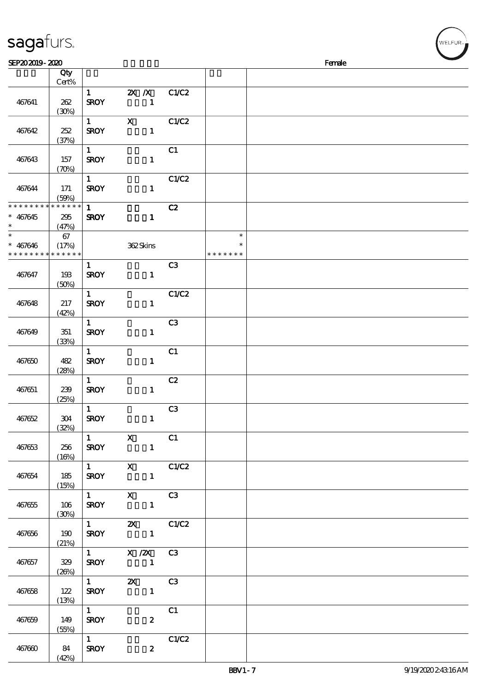| sagafurs.                             |                                   |                                       |                                           |       |                                   |        | WELFUR <sub>™</sub> |
|---------------------------------------|-----------------------------------|---------------------------------------|-------------------------------------------|-------|-----------------------------------|--------|---------------------|
| SEP202019-2020                        |                                   |                                       |                                           |       |                                   | Female |                     |
|                                       | Qty<br>Cert%                      |                                       |                                           |       |                                   |        |                     |
| 467641                                | 262<br>(30%)                      | $\mathbf{1}$<br><b>SROY</b>           | $X$ $X$<br>$\mathbf{1}$                   | C1/C2 |                                   |        |                     |
| 467642                                | 252<br>(37%)                      | $\mathbf{1}$<br><b>SROY</b>           | $\boldsymbol{\mathrm{X}}$<br>$\mathbf{1}$ | C1/C2 |                                   |        |                     |
| 467643                                | 157<br>$(\mathcal{X}\mathcal{Y})$ | $\mathbf{1}$<br><b>SROY</b>           | $\mathbf{1}$                              | C1    |                                   |        |                     |
| 467644                                | 171<br>(50%)                      | $\mathbf{1}$<br><b>SROY</b>           | $\mathbf{1}$                              | C1/C2 |                                   |        |                     |
| * * * * * * * *<br>$* 467645$         | * * * * * *<br>295<br>(47%)       | $\mathbf{1}$<br><b>SROY</b>           | $\mathbf{1}$                              | C2    |                                   |        |                     |
| $\ast$<br>$* 467646$<br>* * * * * * * | 67<br>(17%)<br>* * * * * *        |                                       | 362Skins                                  |       | $\ast$<br>$\ast$<br>* * * * * * * |        |                     |
| 467647                                | 193<br>(50%)                      | $\mathbf{1}$<br><b>SROY</b>           | $\mathbf{1}$                              | C3    |                                   |        |                     |
| 467648                                | 217<br>(42%)                      | $\mathbf{1}$<br><b>SROY</b>           | $\mathbf{1}$                              | C1/C2 |                                   |        |                     |
| 467649                                | 351<br>(33%)                      | $\mathbf{1}$<br><b>SROY</b>           | $\mathbf{1}$                              | C3    |                                   |        |                     |
| 467650                                | 482<br>(28%)                      | $\mathbf{1}$<br><b>SROY</b>           | $\mathbf{1}$                              | C1    |                                   |        |                     |
| 467651                                | 239<br>(25%)                      | $\mathbf{1}$<br><b>SROY</b>           | $\mathbf{1}$                              | C2    |                                   |        |                     |
| 467652                                | 304<br>(32%)                      | $\mathbf{1}$<br><b>SROY</b>           | $\mathbf{1}$                              | C3    |                                   |        |                     |
| 467653                                | 256<br>(16%)                      | <b>SROY</b>                           | $\overline{1}$ X C1<br>$\mathbf{1}$       |       |                                   |        |                     |
| 467654                                | 185<br>(15%)                      | <b>SROY</b>                           | $\overline{1}$ X C1/C2<br>$\blacksquare$  |       |                                   |        |                     |
| 467655                                | 106<br>(30%)                      | $1 \qquad \qquad$<br><b>SROY</b>      | $X$ C3                                    |       |                                   |        |                     |
| 467656                                | 190<br>(21%)                      | $\mathbf{1}$<br><b>SROY</b>           | <b>2X</b> C1/C2<br>$\mathbf{1}$           |       |                                   |        |                     |
| 467657                                | 329<br>(20%)                      | <b>SROY</b>                           | 1 $X / ZX$ C3<br>$\sim$ $\sim$ 1          |       |                                   |        |                     |
| 467658                                | 122<br>(13%)                      | $\overline{1}$<br><b>SROY</b>         | <b>2X</b> C3                              |       |                                   |        |                     |
| 467659                                | 149<br>(55%)                      | $1 \quad \blacksquare$<br><b>SROY</b> | $\boldsymbol{z}$                          | C1    |                                   |        |                     |
| 467660                                | 84                                | $1 -$<br><b>SROY</b>                  | $\mathbf{z}$                              | C1/C2 |                                   |        |                     |

(42%)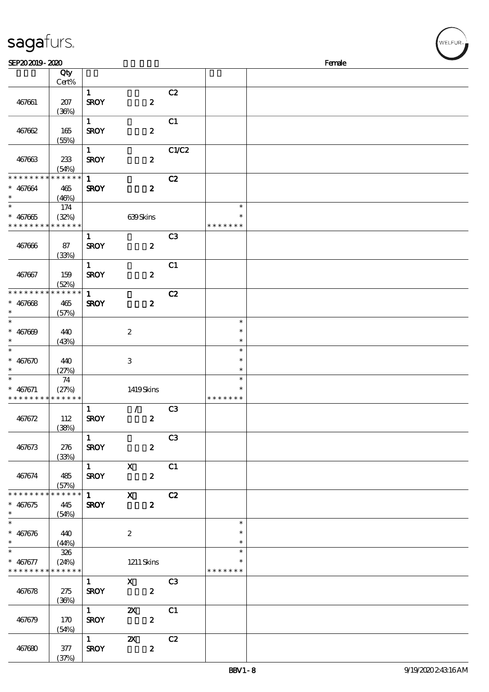| sagafurs.                                           |                             |                                                 |                                  |                |                            |        | WELFUR <sub>™</sub> |
|-----------------------------------------------------|-----------------------------|-------------------------------------------------|----------------------------------|----------------|----------------------------|--------|---------------------|
| SEP202019-2020                                      |                             |                                                 |                                  |                |                            | Female |                     |
|                                                     | Qty<br>Cert%                |                                                 |                                  |                |                            |        |                     |
| 467661                                              | 207<br>(36%)                | $\mathbf{1}$<br><b>SROY</b>                     | $\boldsymbol{z}$                 | C2             |                            |        |                     |
| 467662                                              | 165<br>(55%)                | $\mathbf{1}$<br><b>SROY</b>                     | $\boldsymbol{z}$                 | C1             |                            |        |                     |
| 467663                                              | 233<br>(54%)                | $\mathbf{1}$<br><b>SROY</b>                     | $\boldsymbol{z}$                 | C1/C2          |                            |        |                     |
| * * * * * * * * * * * * * *                         |                             | $\mathbf{1}$                                    |                                  | C2             |                            |        |                     |
| $* 467664$<br>$\ast$                                | 465<br>(46%)                | <b>SROY</b>                                     | $\boldsymbol{z}$                 |                |                            |        |                     |
| $\ast$<br>$* 467665$<br>* * * * * * * *             | 174<br>(32%)<br>* * * * * * |                                                 | 639Skins                         |                | $\ast$<br>* * * * * * *    |        |                     |
| 467666                                              | 87<br>(33%)                 | $\mathbf{1}$<br><b>SROY</b>                     | $\boldsymbol{z}$                 | C <sub>3</sub> |                            |        |                     |
|                                                     |                             | $\mathbf{1}$                                    |                                  | C1             |                            |        |                     |
| 467667                                              | 159<br>(52%)                | <b>SROY</b>                                     | $\boldsymbol{z}$                 |                |                            |        |                     |
| * * * * * * * *                                     | * * * * * *                 | $\mathbf{1}$                                    |                                  | C2             |                            |        |                     |
| $* 467668$<br>$\ast$                                | 465<br>(57%)                | <b>SROY</b>                                     | $\boldsymbol{z}$                 |                |                            |        |                     |
| $\ast$<br>$* 467009$<br>$\ast$                      | 440<br>(43%)                |                                                 | $\boldsymbol{2}$                 |                | $\ast$<br>$\ast$<br>$\ast$ |        |                     |
| $\ast$<br>$* 467670$<br>$\ast$                      | 440<br>(27%)                |                                                 | 3                                |                | $\ast$<br>$\ast$<br>$\ast$ |        |                     |
| $\ast$<br>$* 467671$<br>* * * * * * * * * * * * * * | 74<br>(27%)                 |                                                 | 1419Skins                        |                | $\ast$<br>* * * * * * *    |        |                     |
|                                                     |                             | $1 \quad \blacksquare$                          | $\mathcal{L}$                    | C <sub>3</sub> |                            |        |                     |
| 467672                                              | 112<br>(38%)                | <b>SROY</b>                                     | $\boldsymbol{z}$                 |                |                            |        |                     |
| 467673                                              | 276<br>(33%)                | $1 \quad$<br><b>SROY</b>                        | $\boldsymbol{z}$                 | C <sub>3</sub> |                            |        |                     |
| 467674                                              | 485<br>(57%)                | $\overline{1}$<br><b>SROY</b>                   | $\mathbf{x}$<br>$\boldsymbol{z}$ | C1             |                            |        |                     |
| * * * * * * * *                                     | $******$                    | $\overline{1}$                                  | $\mathbf{x}$                     | C2             |                            |        |                     |
| $* 467675$<br>$\ast$<br>$\overline{\ast}$           | 445<br>(54%)                | <b>SROY</b>                                     | $\boldsymbol{z}$                 |                |                            |        |                     |
| $* 467676$<br>$\ast$                                | 440<br>(44%)                |                                                 | $\boldsymbol{2}$                 |                | $\ast$<br>$\ast$<br>$\ast$ |        |                     |
| $\overline{\phantom{0}}$                            | 326                         |                                                 |                                  |                | $\ast$                     |        |                     |
| $* 467677$<br>* * * * * * * *                       | (24%)<br>* * * * * *        |                                                 | $1211$ Skins                     |                | * * * * * * *              |        |                     |
| 467678                                              | 275<br>(36%)                | $\mathbf{1}$<br><b>SROY</b>                     | $X$ C3<br>$\boldsymbol{z}$       |                |                            |        |                     |
| 467679                                              | 170<br>(54%)                | $1 \qquad \qquad$<br><b>SROY</b>                | ZX<br>$\boldsymbol{2}$           | C1             |                            |        |                     |
| 467680                                              | 377                         | $1$ and $\overline{\phantom{a}}$<br><b>SROY</b> | $\mathbf{x}$<br>$\boldsymbol{z}$ | C2             |                            |        |                     |

(37%)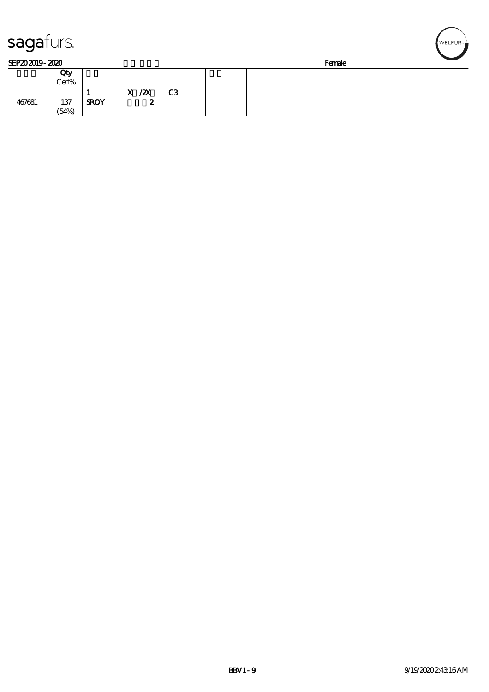| sagafurs.      |       |             |             |  |  |        | WELFUR <sub>™</sub> |
|----------------|-------|-------------|-------------|--|--|--------|---------------------|
| SEP202019-2020 |       |             |             |  |  | Female |                     |
|                | Qty   |             |             |  |  |        |                     |
|                | Cert% |             |             |  |  |        |                     |
|                |       |             | $X / ZX$ C3 |  |  |        |                     |
| 467681         | 137   | <b>SROY</b> | 2           |  |  |        |                     |
|                | (54%) |             |             |  |  |        |                     |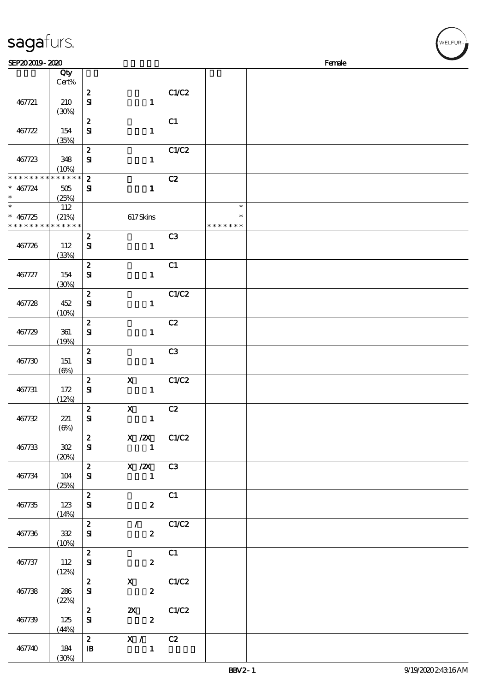| sagafurs.                   |                      |                                  |                                                                                                                                                                                                                                                                                                                                                                                                                                                                                 |                |                  |        | WELFUR <sub>™</sub> |
|-----------------------------|----------------------|----------------------------------|---------------------------------------------------------------------------------------------------------------------------------------------------------------------------------------------------------------------------------------------------------------------------------------------------------------------------------------------------------------------------------------------------------------------------------------------------------------------------------|----------------|------------------|--------|---------------------|
| SEP202019-2020              |                      |                                  |                                                                                                                                                                                                                                                                                                                                                                                                                                                                                 |                |                  | Female |                     |
|                             | Qty<br>Cert%         |                                  |                                                                                                                                                                                                                                                                                                                                                                                                                                                                                 |                |                  |        |                     |
|                             |                      | $\pmb{2}$                        |                                                                                                                                                                                                                                                                                                                                                                                                                                                                                 | C1/C2          |                  |        |                     |
| 467721                      | 210                  | $\bf S\!I$                       | $\mathbf{1}$                                                                                                                                                                                                                                                                                                                                                                                                                                                                    |                |                  |        |                     |
|                             | (30%)                | $\pmb{2}$                        |                                                                                                                                                                                                                                                                                                                                                                                                                                                                                 | C1             |                  |        |                     |
| 467722                      | 154                  | $\mathbf{S}$                     | $\mathbf{1}$                                                                                                                                                                                                                                                                                                                                                                                                                                                                    |                |                  |        |                     |
|                             | (35%)                |                                  |                                                                                                                                                                                                                                                                                                                                                                                                                                                                                 |                |                  |        |                     |
|                             |                      | $\boldsymbol{2}$                 |                                                                                                                                                                                                                                                                                                                                                                                                                                                                                 | C1/C2          |                  |        |                     |
| 467723                      | 348                  | $\bf S\!I$                       | $\mathbf{1}$                                                                                                                                                                                                                                                                                                                                                                                                                                                                    |                |                  |        |                     |
| * * * * * * * *             | (10%)<br>* * * * * * | $\boldsymbol{2}$                 |                                                                                                                                                                                                                                                                                                                                                                                                                                                                                 | C2             |                  |        |                     |
| $* 467724$                  | $505\,$              | $\mathbf{S}$                     | $\mathbf{1}$                                                                                                                                                                                                                                                                                                                                                                                                                                                                    |                |                  |        |                     |
|                             | (25%)                |                                  |                                                                                                                                                                                                                                                                                                                                                                                                                                                                                 |                |                  |        |                     |
| $\ast$                      | 112                  |                                  |                                                                                                                                                                                                                                                                                                                                                                                                                                                                                 |                | $\ast$<br>$\ast$ |        |                     |
| $* 467725$<br>* * * * * * * | (21%)<br>* * * * * * |                                  | 617Skins                                                                                                                                                                                                                                                                                                                                                                                                                                                                        |                | * * * * * * *    |        |                     |
|                             |                      | $\boldsymbol{2}$                 |                                                                                                                                                                                                                                                                                                                                                                                                                                                                                 | C <sub>3</sub> |                  |        |                     |
| 467726                      | 112                  | $\mathbf{S}$                     | $\mathbf{1}$                                                                                                                                                                                                                                                                                                                                                                                                                                                                    |                |                  |        |                     |
|                             | (33%)                |                                  |                                                                                                                                                                                                                                                                                                                                                                                                                                                                                 |                |                  |        |                     |
| 467727                      | 154                  | $\boldsymbol{2}$<br>$\mathbf{S}$ | $\mathbf{1}$                                                                                                                                                                                                                                                                                                                                                                                                                                                                    | C1             |                  |        |                     |
|                             | (30%)                |                                  |                                                                                                                                                                                                                                                                                                                                                                                                                                                                                 |                |                  |        |                     |
|                             |                      | $\pmb{2}$                        |                                                                                                                                                                                                                                                                                                                                                                                                                                                                                 | C1/C2          |                  |        |                     |
| 467728                      | 452                  | $\mathbf{S}$                     | $\mathbf{1}$                                                                                                                                                                                                                                                                                                                                                                                                                                                                    |                |                  |        |                     |
|                             | (10%)                | $\boldsymbol{2}$                 |                                                                                                                                                                                                                                                                                                                                                                                                                                                                                 | C2             |                  |        |                     |
| 467729                      | 361                  | $\bf S\!I$                       | $\mathbf{1}$                                                                                                                                                                                                                                                                                                                                                                                                                                                                    |                |                  |        |                     |
|                             | (19%)                |                                  |                                                                                                                                                                                                                                                                                                                                                                                                                                                                                 |                |                  |        |                     |
|                             |                      | $\pmb{2}$                        |                                                                                                                                                                                                                                                                                                                                                                                                                                                                                 | C3             |                  |        |                     |
| 467730                      | 151<br>$(\Theta)$    | $\mathbf{S}$                     | $\mathbf{1}$                                                                                                                                                                                                                                                                                                                                                                                                                                                                    |                |                  |        |                     |
|                             |                      | $\boldsymbol{2}$                 | $\boldsymbol{\mathrm{X}}$                                                                                                                                                                                                                                                                                                                                                                                                                                                       | <b>C1/C2</b>   |                  |        |                     |
| 467731                      | 172                  | ${\bf S}$                        | $\mathbf{1}$                                                                                                                                                                                                                                                                                                                                                                                                                                                                    |                |                  |        |                     |
|                             | (12%)                | $\mathbf{2}$                     | $X$ C <sub>2</sub>                                                                                                                                                                                                                                                                                                                                                                                                                                                              |                |                  |        |                     |
| 467732                      | 221                  | ${\bf s}$                        | $\mathbf{1}$                                                                                                                                                                                                                                                                                                                                                                                                                                                                    |                |                  |        |                     |
|                             | $(\Theta)$           |                                  |                                                                                                                                                                                                                                                                                                                                                                                                                                                                                 |                |                  |        |                     |
|                             |                      | $\mathbf{2}$                     | $X$ / $ZX$ $C1/C2$                                                                                                                                                                                                                                                                                                                                                                                                                                                              |                |                  |        |                     |
| 467733                      | 302<br>(20%)         | ${\bf s}$                        | $\blacksquare$                                                                                                                                                                                                                                                                                                                                                                                                                                                                  |                |                  |        |                     |
|                             |                      |                                  | 2 X /2X C3                                                                                                                                                                                                                                                                                                                                                                                                                                                                      |                |                  |        |                     |
| 467734                      | 104                  | ${\bf s}$                        | $\mathbf{1}$                                                                                                                                                                                                                                                                                                                                                                                                                                                                    |                |                  |        |                     |
|                             | (25%)                |                                  |                                                                                                                                                                                                                                                                                                                                                                                                                                                                                 |                |                  |        |                     |
| 467735                      | 123                  | $\mathbf{2}$<br>${\bf s}$        | $\boldsymbol{z}$                                                                                                                                                                                                                                                                                                                                                                                                                                                                | C1             |                  |        |                     |
|                             | (14%)                |                                  |                                                                                                                                                                                                                                                                                                                                                                                                                                                                                 |                |                  |        |                     |
|                             |                      | $\mathbf{z}$                     | $\sqrt{C1/C2}$                                                                                                                                                                                                                                                                                                                                                                                                                                                                  |                |                  |        |                     |
| 467736                      | 332                  | ${\bf S}$                        | $\boldsymbol{z}$                                                                                                                                                                                                                                                                                                                                                                                                                                                                |                |                  |        |                     |
|                             | (10%)                | $\mathbf{2}$                     |                                                                                                                                                                                                                                                                                                                                                                                                                                                                                 | C1             |                  |        |                     |
| 467737                      | 112                  | ${\bf s}$                        | $\boldsymbol{z}$                                                                                                                                                                                                                                                                                                                                                                                                                                                                |                |                  |        |                     |
|                             | (12%)                |                                  |                                                                                                                                                                                                                                                                                                                                                                                                                                                                                 |                |                  |        |                     |
| 467738                      | 286                  | $\boldsymbol{z}$                 | $X$ $C1/C2$<br>$\boldsymbol{z}$                                                                                                                                                                                                                                                                                                                                                                                                                                                 |                |                  |        |                     |
|                             | (22%)                | ${\bf s}$                        |                                                                                                                                                                                                                                                                                                                                                                                                                                                                                 |                |                  |        |                     |
|                             |                      | $\mathbf{z}$                     | <b>2X</b> C1/C2                                                                                                                                                                                                                                                                                                                                                                                                                                                                 |                |                  |        |                     |
| 467739                      | 125                  | ${\bf S}$                        | $\overline{\mathbf{z}}$                                                                                                                                                                                                                                                                                                                                                                                                                                                         |                |                  |        |                     |
|                             | (44%)                | $\mathbf{z}$                     | X / C2                                                                                                                                                                                                                                                                                                                                                                                                                                                                          |                |                  |        |                     |
| 467740                      | 184                  | $\mathbf{B}$                     | $\overline{\phantom{a}}$ $\overline{\phantom{a}}$ $\overline{\phantom{a}}$ $\overline{\phantom{a}}$ $\overline{\phantom{a}}$ $\overline{\phantom{a}}$ $\overline{\phantom{a}}$ $\overline{\phantom{a}}$ $\overline{\phantom{a}}$ $\overline{\phantom{a}}$ $\overline{\phantom{a}}$ $\overline{\phantom{a}}$ $\overline{\phantom{a}}$ $\overline{\phantom{a}}$ $\overline{\phantom{a}}$ $\overline{\phantom{a}}$ $\overline{\phantom{a}}$ $\overline{\phantom{a}}$ $\overline{\$ |                |                  |        |                     |

(30%)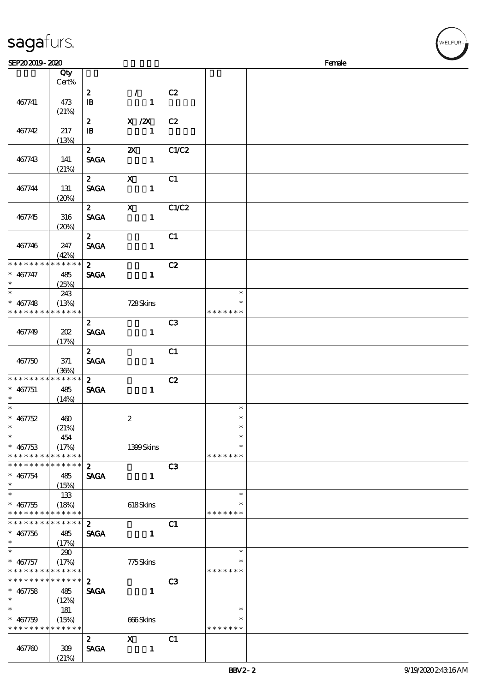| SEP202019-2020  |             |                            |                  |                |               | Female |  |
|-----------------|-------------|----------------------------|------------------|----------------|---------------|--------|--|
|                 | Qty         |                            |                  |                |               |        |  |
|                 | Cert%       |                            |                  |                |               |        |  |
|                 |             | $\boldsymbol{z}$           | $\mathcal{L}$    | C2             |               |        |  |
| 467741          | 473         | $\, {\bf I} \! {\bf B} \,$ | $\mathbf{1}$     |                |               |        |  |
|                 | (21%)       |                            |                  |                |               |        |  |
|                 |             | $\mathbf{z}$               | X / ZX           | C2             |               |        |  |
| 467742          | 217         | $\mathbf{B}$               | $\mathbf{1}$     |                |               |        |  |
|                 |             |                            |                  |                |               |        |  |
|                 | (13%)       | $\mathbf{2}$               | $\mathbf{X}$     | C1/C2          |               |        |  |
|                 |             |                            |                  |                |               |        |  |
| 467743          | 141         | <b>SAGA</b>                | $\mathbf{1}$     |                |               |        |  |
|                 | (21%)       |                            |                  |                |               |        |  |
|                 |             | $\mathbf{2}$               | $\mathbf{x}$     | C1             |               |        |  |
| 467744          | 131         | <b>SAGA</b>                | $\mathbf{1}$     |                |               |        |  |
|                 | (20%)       |                            |                  |                |               |        |  |
|                 |             | $\mathbf{z}$               | $\mathbf{x}$     | C1/C2          |               |        |  |
| 467745          | 316         | <b>SAGA</b>                | $\mathbf{1}$     |                |               |        |  |
|                 | (20%)       |                            |                  |                |               |        |  |
|                 |             | $\mathbf{2}$               |                  | C1             |               |        |  |
| 467746          | 247         | <b>SAGA</b>                | $\mathbf{1}$     |                |               |        |  |
|                 | (42%)       |                            |                  |                |               |        |  |
| * * * * * * * * | * * * * * * | $\mathbf{z}$               |                  | C2             |               |        |  |
| $* 467747$      | 485         | <b>SAGA</b>                | $\mathbf{1}$     |                |               |        |  |
| $\ast$          | (25%)       |                            |                  |                |               |        |  |
|                 | 243         |                            |                  |                | $\ast$        |        |  |
| $* 467748$      | (13%)       |                            | 728Skins         |                | $\ast$        |        |  |
| * * * * * * * * | * * * * * * |                            |                  |                | * * * * * * * |        |  |
|                 |             | $\mathbf{z}$               |                  | C3             |               |        |  |
| 467749          | 202         | <b>SAGA</b>                | $\mathbf{1}$     |                |               |        |  |
|                 | (17%)       |                            |                  |                |               |        |  |
|                 |             | $\mathbf{2}$               |                  | C1             |               |        |  |
| 467750          | $37\!\!1$   | <b>SAGA</b>                | $\mathbf{1}$     |                |               |        |  |
|                 | (36%)       |                            |                  |                |               |        |  |
| * * * * * * * * | ******      | $\mathbf{2}$               |                  | C2             |               |        |  |
| $* 467751$      | 485         | <b>SAGA</b>                | $\mathbf{1}$     |                |               |        |  |
| $\ast$          | (14%)       |                            |                  |                |               |        |  |
| $\ast$          |             |                            |                  |                | $\ast$        |        |  |
| $* 467752$      | 460         |                            | $\boldsymbol{2}$ |                | $\ast$        |        |  |
| $\ast$          | (21%)       |                            |                  |                | $\ast$        |        |  |
| $\ast$          | 454         |                            |                  |                | $\ast$        |        |  |
| $* 467753$      | (17%)       |                            | 1399Skins        |                | $\ast$        |        |  |
| * * * * * * * * | * * * * * * |                            |                  |                | * * * * * * * |        |  |
| * * * * * * *   | * * * * * * | $\boldsymbol{z}$           |                  | C <sub>3</sub> |               |        |  |
| $* 467754$      | 485         | <b>SAGA</b>                | $\mathbf{1}$     |                |               |        |  |
| $\ast$          | (15%)       |                            |                  |                |               |        |  |
| $\ast$          | 133         |                            |                  |                | $\ast$        |        |  |
| $* 467755$      | (18%)       |                            | 618Skins         |                | $\ast$        |        |  |
| * * * * * * * * | * * * * * * |                            |                  |                | * * * * * * * |        |  |
| * * * * * * * * | * * * * * * | $\boldsymbol{z}$           |                  | C1             |               |        |  |
| $* 467756$      | 485         | <b>SAGA</b>                | $\mathbf{1}$     |                |               |        |  |
| $\ast$          | (17%)       |                            |                  |                |               |        |  |
| $\ast$          | 290         |                            |                  |                | $\ast$        |        |  |
| $* 467757$      | (17%)       |                            | 775Skins         |                | $\ast$        |        |  |
| * * * * * * * * | * * * * * * |                            |                  |                | * * * * * * * |        |  |
| * * * * * * * * | * * * * * * | $\mathbf{z}$               |                  | C3             |               |        |  |
| $* 467758$      | 485         | <b>SAGA</b>                | $\mathbf{1}$     |                |               |        |  |
| $\ast$          | (12%)       |                            |                  |                |               |        |  |
| $\ast$          | 181         |                            |                  |                | $\ast$        |        |  |
| $* 467759$      | (15%)       |                            | 666Skins         |                | $\ast$        |        |  |
| * * * * * * * * | * * * * * * |                            |                  |                | * * * * * * * |        |  |
|                 |             | $\boldsymbol{z}$           | $\mathbf{x}$     | C <sub>1</sub> |               |        |  |
|                 |             |                            |                  |                |               |        |  |

 $467760$   $\bigcirc$ 

sagafurs.

(21%)

 $SAGA$  1

 $w$ ELFUR<sub><sup>N</sub></sub></sub></sup>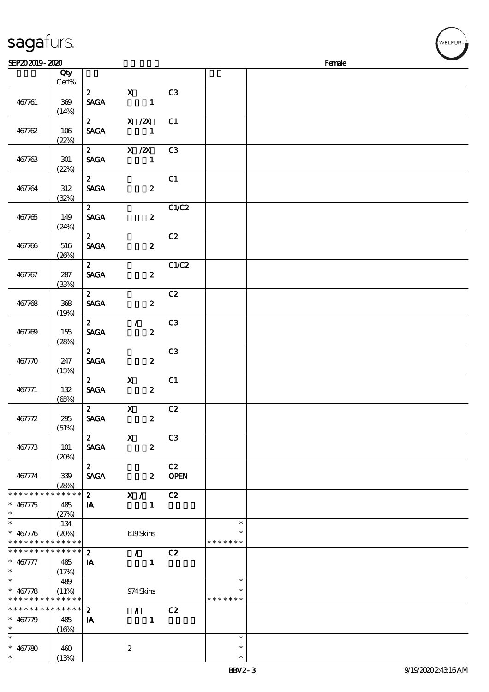## sagafurs.

| SEP202019-2020                |                 |                                 |                          |                  |                |               | Female |
|-------------------------------|-----------------|---------------------------------|--------------------------|------------------|----------------|---------------|--------|
|                               | Qty             |                                 |                          |                  |                |               |        |
|                               | $\mbox{Cert}\%$ |                                 |                          |                  |                |               |        |
|                               |                 | $\mathbf{2}$                    | $\mathbf{x}$             |                  | C3             |               |        |
| 467761                        | 369             | <b>SAGA</b>                     |                          |                  |                |               |        |
|                               | (14%)           |                                 |                          |                  |                |               |        |
|                               |                 | $\mathbf{2}$                    | X / ZX                   |                  | C1             |               |        |
| 467762                        | 106<br>(22%)    | <b>SAGA</b>                     | $\overline{\phantom{a}}$ |                  |                |               |        |
|                               |                 | $2^{\circ}$                     | X / ZX                   |                  | C3             |               |        |
| 467763                        | 301             | <b>SAGA</b>                     | $\overline{1}$           |                  |                |               |        |
|                               | (22%)           |                                 |                          |                  |                |               |        |
|                               |                 | $\mathbf{2}$                    |                          |                  | C1             |               |        |
| 467764                        | 312             | <b>SACA</b>                     |                          | $\boldsymbol{z}$ |                |               |        |
|                               | (32%)           |                                 |                          |                  |                |               |        |
|                               |                 | $\mathbf{2}$                    |                          |                  | C1/C2          |               |        |
| 467765                        | 149             | <b>SAGA</b>                     |                          | $\mathbf{2}$     |                |               |        |
|                               | (24%)           |                                 |                          |                  |                |               |        |
|                               |                 | $\mathbf{2}$                    |                          | $\boldsymbol{z}$ | C2             |               |        |
| 467766                        | 516<br>(20%)    | <b>SAGA</b>                     |                          |                  |                |               |        |
|                               |                 | $\mathbf{2}$                    |                          |                  | C1/C2          |               |        |
| 467767                        | 287             | <b>SAGA</b>                     |                          | $\boldsymbol{z}$ |                |               |        |
|                               | (33%)           |                                 |                          |                  |                |               |        |
|                               |                 | $\mathbf{z}$                    |                          |                  | C2             |               |        |
| 467768                        | $368\,$         | <b>SAGA</b>                     |                          | $\boldsymbol{z}$ |                |               |        |
|                               | (19%)           |                                 |                          |                  |                |               |        |
|                               |                 | $\mathbf{2}$                    | $\overline{7}$           |                  | C3             |               |        |
| 467769                        | 155             | <b>SAGA</b>                     |                          | $\boldsymbol{z}$ |                |               |        |
|                               | (28%)           | $\mathbf{2}$                    |                          |                  | C <sub>3</sub> |               |        |
| 467770                        | 247             | <b>SAGA</b>                     |                          | $\boldsymbol{z}$ |                |               |        |
|                               | (15%)           |                                 |                          |                  |                |               |        |
|                               |                 | 2 X                             |                          |                  | C1             |               |        |
| 467771                        | 132             | <b>SAGA</b>                     |                          | $\mathbf{2}$     |                |               |        |
|                               | (65%)           |                                 |                          |                  |                |               |        |
|                               |                 | $\mathbf{2}$                    | $\mathbf{X}$             |                  | C2             |               |        |
| 467772                        | 295             | <b>SAGA</b>                     |                          | $\boldsymbol{z}$ |                |               |        |
|                               | (51%)           |                                 |                          |                  |                |               |        |
| 467773                        | 101             | $\boldsymbol{z}$<br><b>SAGA</b> | $\mathbf{x}$             | $\boldsymbol{z}$ | C3             |               |        |
|                               | (20%)           |                                 |                          |                  |                |               |        |
|                               |                 | $2^{\circ}$                     |                          |                  | C2             |               |        |
| 467774                        | 339             | <b>SAGA</b>                     |                          | $\boldsymbol{z}$ | <b>OPEN</b>    |               |        |
|                               | (28%)           |                                 |                          |                  |                |               |        |
| * * * * * * * *               | * * * * * *     | $\mathbf{z}$                    | X /                      |                  | C2             |               |        |
| $* 467775$                    | 485             | IA                              |                          | $\mathbf{1}$     |                |               |        |
| $\ast$<br>$\ast$              | (27%)           |                                 |                          |                  |                | $\ast$        |        |
| $* 467776$                    | 134<br>(20%)    |                                 | 619Skins                 |                  |                | ∗             |        |
| * * * * * * * *               | * * * * * *     |                                 |                          |                  |                | * * * * * * * |        |
| * * * * * * * * * * * * * * * |                 | $\mathbf{z}$                    |                          | $\mathcal{F}$    | C2             |               |        |
| $* 467777$                    | 485             | IA                              |                          | $\mathbf{1}$     |                |               |        |
| $\ast$                        | (17%)           |                                 |                          |                  |                |               |        |
| $\overline{\ast}$             | 489             |                                 |                          |                  |                | $\ast$        |        |
| $* 467778$                    | (11%)           |                                 | 974 Skins                |                  |                | $\ast$        |        |
| * * * * * * * * * * * * * *   |                 |                                 |                          |                  |                | * * * * * * * |        |
| * * * * * * * *               | * * * * * *     | $\boldsymbol{z}$                | $\mathcal{L}$            |                  | C2             |               |        |
| $* 467779$<br>$\ast$          | 485<br>(16%)    | IA                              |                          | $\mathbf{1}$     |                |               |        |
| $\ast$                        |                 |                                 |                          |                  |                | $\ast$        |        |
| $* 467780$                    | 460             |                                 | $\boldsymbol{z}$         |                  |                | $\ast$        |        |
| $\ast$                        | (13%)           |                                 |                          |                  |                | $\ast$        |        |

WELFUR<sub>"</sub>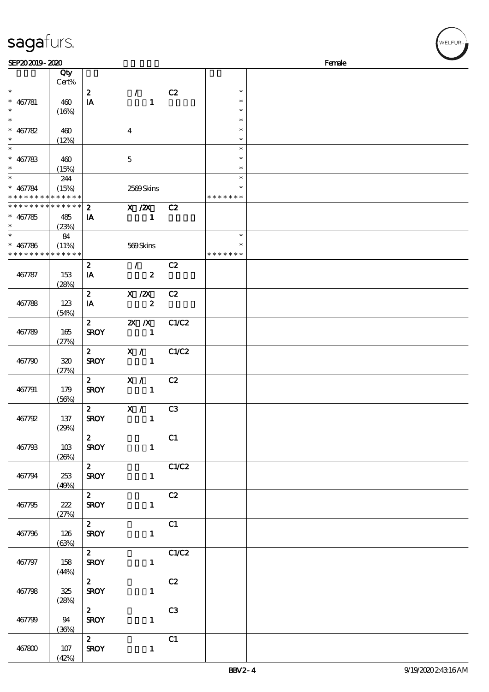| SEP202019-2020                           |                 |                  |                  |                |               | Female |  |
|------------------------------------------|-----------------|------------------|------------------|----------------|---------------|--------|--|
|                                          | Qty<br>Cert%    |                  |                  |                |               |        |  |
| $*$                                      |                 | $\boldsymbol{z}$ | $\mathcal{F}$    | C2             | $\ast$        |        |  |
| $* 467781$                               | 460             | IA               | $\mathbf{1}$     |                | $\ast$        |        |  |
| $\ast$                                   | (16%)           |                  |                  |                | $\ast$        |        |  |
| $\overline{\ast}$                        |                 |                  |                  |                | $\ast$        |        |  |
| $* 467782$                               | 460             |                  | $\bf{4}$         |                | $\ast$        |        |  |
| $\ast$                                   | (12%)           |                  |                  |                | $\ast$        |        |  |
| $\ast$                                   |                 |                  |                  |                | $\ast$        |        |  |
| $* 467783$                               | 460             |                  | $\mathbf 5$      |                | $\ast$        |        |  |
| $\ast$                                   | (15%)           |                  |                  |                | $\ast$        |        |  |
| $\overline{\ast}$                        | 244             |                  |                  |                | $\ast$        |        |  |
| $* 467784$                               | (15%)           |                  | 2569Skins        |                |               |        |  |
| * * * * * * * * <mark>* * * * * *</mark> |                 |                  |                  |                | * * * * * * * |        |  |
| * * * * * * * *                          | $* * * * * * *$ | $\mathbf{2}$     | X / ZX           | C2             |               |        |  |
| $* 467785$                               | 485             | IA               | $\mathbf{1}$     |                |               |        |  |
| $\ast$                                   | (23%)           |                  |                  |                |               |        |  |
| $\overline{\ast}$                        | 84              |                  |                  |                | $\ast$        |        |  |
| $* 467786$                               | (11%)           |                  | 569Skins         |                | ∗             |        |  |
| * * * * * * * *                          | $***$ * * * *   |                  |                  |                | * * * * * * * |        |  |
|                                          |                 | $\boldsymbol{z}$ | $\mathcal{F}$    | C2             |               |        |  |
| 467787                                   | 153             | IA               | $\boldsymbol{z}$ |                |               |        |  |
|                                          | (28%)           |                  |                  |                |               |        |  |
|                                          |                 | $\mathbf{2}$     | $X$ / $ZX$       | C2             |               |        |  |
|                                          | 123             |                  | $\boldsymbol{z}$ |                |               |        |  |
| 467788                                   |                 | IA               |                  |                |               |        |  |
|                                          | (54%)           | $\mathbf{2}$     | $X$ $X$          | C1/C2          |               |        |  |
|                                          |                 |                  | $\mathbf{1}$     |                |               |        |  |
| 467789                                   | 165             | <b>SROY</b>      |                  |                |               |        |  |
|                                          | (27%)           | $\mathbf{z}$     | X /              | C1/C2          |               |        |  |
|                                          |                 |                  |                  |                |               |        |  |
| 467790                                   | 320             | <b>SROY</b>      | $\sim$ 1         |                |               |        |  |
|                                          | (27%)           | $\mathbf{z}$     | X /              | C2             |               |        |  |
|                                          |                 |                  |                  |                |               |        |  |
| 467791                                   | 179             | <b>SROY</b>      | $\blacksquare$   |                |               |        |  |
|                                          | (56%)           | $\mathbf{z}$     | X /              | C <sub>3</sub> |               |        |  |
|                                          |                 | <b>SROY</b>      |                  |                |               |        |  |
| 467792                                   | 137             |                  | $\mathbf{1}$     |                |               |        |  |
|                                          | (29%)           | $\boldsymbol{z}$ |                  | C1             |               |        |  |
| 467793                                   | 10B             | <b>SROY</b>      | $\mathbf{1}$     |                |               |        |  |
|                                          |                 |                  |                  |                |               |        |  |
|                                          | (20%)           | $\mathbf{z}$     |                  | C1/C2          |               |        |  |
|                                          | 253             | <b>SROY</b>      | $\mathbf{1}$     |                |               |        |  |
| 467794                                   | (49%)           |                  |                  |                |               |        |  |
|                                          |                 | $\mathbf{z}$     |                  | C2             |               |        |  |
| 467795                                   | 222             | <b>SROY</b>      | $\mathbf{1}$     |                |               |        |  |
|                                          | (27%)           |                  |                  |                |               |        |  |
|                                          |                 | $\mathbf{2}$     |                  | C1             |               |        |  |
|                                          | 126             | <b>SROY</b>      | $\mathbf{1}$     |                |               |        |  |
| 467796                                   | (63%)           |                  |                  |                |               |        |  |
|                                          |                 | $\mathbf{2}$     |                  | C1/C2          |               |        |  |
| 467797                                   | 158             | <b>SROY</b>      | $\mathbf{1}$     |                |               |        |  |
|                                          | (44%)           |                  |                  |                |               |        |  |
|                                          |                 | $\mathbf{z}$     |                  | C2             |               |        |  |
| 467798                                   | 325             | <b>SROY</b>      | $\mathbf{1}$     |                |               |        |  |
|                                          | (28%)           |                  |                  |                |               |        |  |
|                                          |                 | $\mathbf{z}$     |                  | C <sub>3</sub> |               |        |  |
| 467799                                   | 94              | <b>SROY</b>      | $\mathbf{1}$     |                |               |        |  |
|                                          |                 |                  |                  |                |               |        |  |
|                                          | (36%)           | $\mathbf{z}$     |                  | C1             |               |        |  |
| 467800                                   | $107$           | <b>SROY</b>      | $\mathbf{1}$     |                |               |        |  |
|                                          |                 |                  |                  |                |               |        |  |

sagafurs.

(42%)

,<br>WELFUR⊶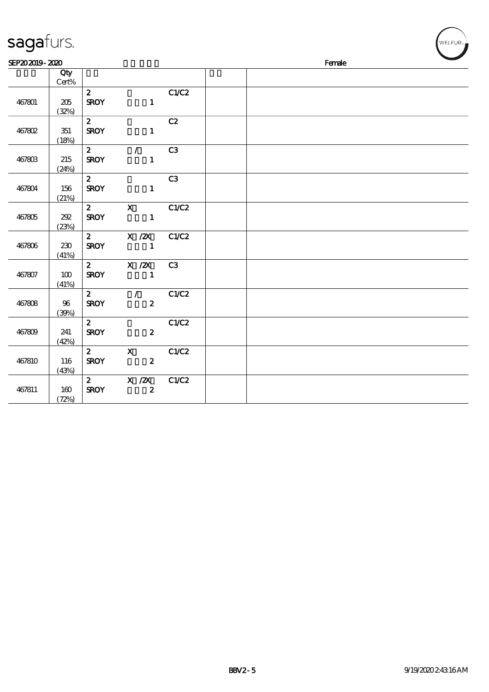| sagafurs.                               |              |              |                                                 |       |        |  |  | WELFUR <sub>™</sub> |  |
|-----------------------------------------|--------------|--------------|-------------------------------------------------|-------|--------|--|--|---------------------|--|
| SEP202019-2020                          |              |              |                                                 |       | Female |  |  |                     |  |
| $\mathcal{L}^{\text{max}}_{\text{max}}$ | Qty<br>Cert% |              |                                                 |       |        |  |  |                     |  |
|                                         |              | $\mathbf{2}$ |                                                 | C1/C2 |        |  |  |                     |  |
| 467801                                  | 205<br>(32%) | <b>SROY</b>  | $\mathbf{1}$                                    |       |        |  |  |                     |  |
|                                         |              | $2^{-}$      |                                                 | C2    |        |  |  |                     |  |
| 467802                                  | 351          | <b>SROY</b>  | $\mathbf{1}$                                    |       |        |  |  |                     |  |
|                                         | (18%)        | $2^{\sim}$   |                                                 |       |        |  |  |                     |  |
| 467803                                  | 215          | <b>SROY</b>  | $\mathcal{F}$ and $\mathcal{F}$<br>$\mathbf{1}$ | C3    |        |  |  |                     |  |
|                                         | (24%)        |              |                                                 |       |        |  |  |                     |  |
|                                         |              | $2^{\sim}$   |                                                 | C3    |        |  |  |                     |  |
| 467804                                  | 156          | <b>SROY</b>  | $\mathbf{1}$                                    |       |        |  |  |                     |  |
|                                         | (21%)        |              |                                                 |       |        |  |  |                     |  |
|                                         |              |              | 2 $X$ $C1/C2$                                   |       |        |  |  |                     |  |
| 467805                                  | 292          | <b>SROY</b>  |                                                 |       |        |  |  |                     |  |
|                                         | (23%)        |              |                                                 |       |        |  |  |                     |  |
| 467806                                  | 230          | <b>SROY</b>  | 2 $X / 2X$ C1/C2<br>$\overline{\phantom{a}}$ 1  |       |        |  |  |                     |  |
|                                         | (41%)        |              |                                                 |       |        |  |  |                     |  |
|                                         |              |              | 2 X /2X C3                                      |       |        |  |  |                     |  |
| 467807                                  | 100          | <b>SROY</b>  | $\sim$ 1                                        |       |        |  |  |                     |  |
|                                         | (41%)        |              |                                                 |       |        |  |  |                     |  |
|                                         |              | $\mathbf{2}$ | $\sqrt{C1/C2}$                                  |       |        |  |  |                     |  |
| 467808                                  | 96<br>(30%)  | <b>SROY</b>  | $\boldsymbol{z}$                                |       |        |  |  |                     |  |
|                                         |              | $\mathbf{2}$ |                                                 | C1/C2 |        |  |  |                     |  |
| 467809                                  | 241          | <b>SROY</b>  | $\boldsymbol{z}$                                |       |        |  |  |                     |  |
|                                         | (42%)        |              |                                                 |       |        |  |  |                     |  |
|                                         |              | $\mathbf{2}$ | $\mathbf X$                                     | C1/C2 |        |  |  |                     |  |
| 467810                                  | 116          | <b>SROY</b>  | $\overline{\mathbf{z}}$                         |       |        |  |  |                     |  |
|                                         | (43%)        |              |                                                 |       |        |  |  |                     |  |
| 467811                                  | 160          | <b>SROY</b>  | 2 X /2X C1/C2<br>$\boldsymbol{2}$               |       |        |  |  |                     |  |
|                                         | (72%)        |              |                                                 |       |        |  |  |                     |  |

 $\sqrt{2}$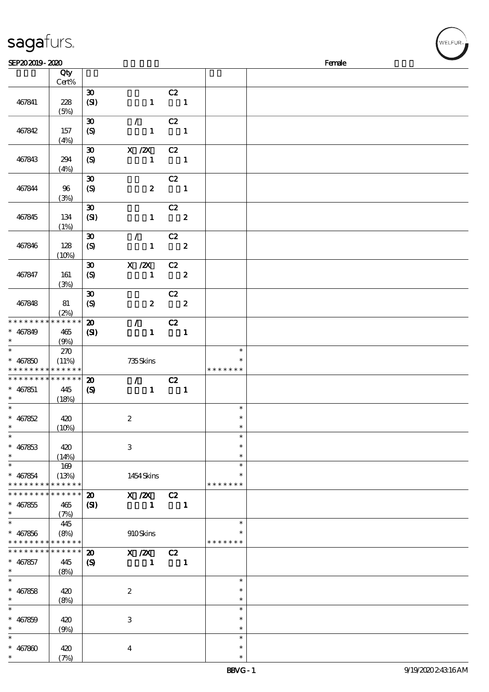| sagafurs.                                  |             |                             |                             |                               |                |                  | WELFUR <sub>™</sub> |
|--------------------------------------------|-------------|-----------------------------|-----------------------------|-------------------------------|----------------|------------------|---------------------|
| SEP202019-2020                             |             |                             |                             |                               |                |                  | Female              |
|                                            | Qty         |                             |                             |                               |                |                  |                     |
|                                            | Cert%       |                             |                             |                               |                |                  |                     |
|                                            |             | $\boldsymbol{\mathfrak{D}}$ |                             | C2                            |                |                  |                     |
| 467841                                     | 228         | (SI)                        | $\mathbf{1}$                | $\overline{\mathbf{1}}$       |                |                  |                     |
|                                            | (5%)        |                             |                             |                               |                |                  |                     |
|                                            |             | $\boldsymbol{\mathfrak{D}}$ | $\mathcal{L}$               | C2                            |                |                  |                     |
| 467842                                     | 157         | $\boldsymbol{\mathrm{(S)}}$ | $\mathbf{1}$                | $\overline{\phantom{a}}$      |                |                  |                     |
|                                            | (4%)        |                             |                             |                               |                |                  |                     |
|                                            |             | $\pmb{\mathfrak{D}}$        | X / ZX                      | C2                            |                |                  |                     |
| 467843                                     | 294         | $\boldsymbol{\mathrm{(S)}}$ | $\mathbf{1}$                | $\overline{\mathbf{1}}$       |                |                  |                     |
|                                            | (4%)        | $\boldsymbol{\mathfrak{D}}$ |                             | C2                            |                |                  |                     |
| 467844                                     | 96          | $\boldsymbol{\mathrm{(S)}}$ | $\boldsymbol{z}$            | $\blacksquare$                |                |                  |                     |
|                                            | (3%)        |                             |                             |                               |                |                  |                     |
|                                            |             | $\boldsymbol{\mathfrak{D}}$ |                             | C2                            |                |                  |                     |
| 467845                                     | 134         | (SI)                        | $\mathbf{1}$                | $\overline{\mathbf{c}}$       |                |                  |                     |
|                                            | (1%)        |                             |                             |                               |                |                  |                     |
|                                            |             | $\pmb{\mathfrak{D}}$        | $\mathcal{L}$               | C2                            |                |                  |                     |
| 467846                                     | 128         | $\pmb{\text{(S)}}$          | $\mathbf{1}$                | $\overline{\mathbf{2}}$       |                |                  |                     |
|                                            | (10%)       |                             |                             |                               |                |                  |                     |
|                                            |             | $\boldsymbol{\mathfrak{D}}$ | X / ZX                      | C2                            |                |                  |                     |
| 467847                                     | 161         | (S)                         | $\mathbf{1}$                | $\overline{\mathbf{2}}$       |                |                  |                     |
|                                            | (3%)        |                             |                             |                               |                |                  |                     |
|                                            |             | $\boldsymbol{\mathfrak{D}}$ | $\boldsymbol{z}$            | C2<br>$\overline{\mathbf{2}}$ |                |                  |                     |
| 467848                                     | 81<br>(2%)  | $\boldsymbol{S}$            |                             |                               |                |                  |                     |
| * * * * * * * * * * * * * *                |             | $\boldsymbol{\mathbf{z}}$   | $\mathcal{T}=\mathcal{I}$   | C2                            |                |                  |                     |
| $* 467849$                                 | 465         | $\mathbf{C}$                | $\mathbf{1}$                | $\overline{\phantom{a}}$      |                |                  |                     |
|                                            | (9%)        |                             |                             |                               |                |                  |                     |
| $\ast$                                     | 270         |                             |                             |                               |                | $\ast$           |                     |
| $* 467850$                                 | (11%)       |                             | 735Skins                    |                               |                | $\ast$           |                     |
| * * * * * * * * <mark>* * * * * *</mark>   |             |                             |                             |                               |                | * * * * * * *    |                     |
| * * * * * * * * <mark>* * * * * * *</mark> |             | $\boldsymbol{\mathbf{z}}$   | $\mathcal{T}^{\mathcal{A}}$ | C2                            |                |                  |                     |
| $* 467851$<br>$*$                          | 445         | $\pmb{\in}$                 | $\mathbf{1}$                |                               | $\mathbf{1}$   |                  |                     |
| $\ast$                                     | (18%)       |                             |                             |                               |                | $\ast$           |                     |
| $* 467852$                                 | 420         |                             | $\boldsymbol{2}$            |                               |                | $\ast$           |                     |
|                                            | (10%)       |                             |                             |                               |                | $\ast$           |                     |
| $\ast$                                     |             |                             |                             |                               |                | $\ast$           |                     |
| $* 467853$                                 | 420         |                             | $\ensuremath{\mathbf{3}}$   |                               |                | *                |                     |
| $\ast$                                     | (14%)       |                             |                             |                               |                | $\ast$           |                     |
| $\ast$                                     | 169         |                             |                             |                               |                | $\ast$           |                     |
| $* 467854$                                 | (13%)       |                             | 1454 Skins                  |                               |                |                  |                     |
| * * * * * * * * * * * * * *                |             |                             |                             |                               |                | * * * * * * *    |                     |
| * * * * * * * * <mark>* * * * * *</mark>   |             | $\boldsymbol{\mathfrak{D}}$ | $X$ / $ZX$                  | C2                            |                |                  |                     |
| $* 467855$                                 | 465         | (S)                         | $\mathbf{1}$                |                               | $\blacksquare$ |                  |                     |
| $\overline{\ast}$                          | (7%)<br>445 |                             |                             |                               |                | $\ast$           |                     |
| $* 467856$                                 | (8%)        |                             | 910Skins                    |                               |                |                  |                     |
| * * * * * * * * <mark>* * * * * *</mark>   |             |                             |                             |                               |                | * * * * * * *    |                     |
| * * * * * * * * <mark>* * * * * *</mark>   |             | $\boldsymbol{\mathfrak{D}}$ | X / ZX                      | C2                            |                |                  |                     |
| $* 467857$                                 | 445         | $\boldsymbol{\mathrm{(S)}}$ | $\mathbf{1}$                |                               | $\mathbf{1}$   |                  |                     |
| $\ast$                                     | (8%)        |                             |                             |                               |                |                  |                     |
| $\ast$                                     |             |                             |                             |                               |                | $\ast$           |                     |
| $* 467858$                                 | 420         |                             | $\boldsymbol{2}$            |                               |                | $\ast$           |                     |
| $\ast$                                     | (8%)        |                             |                             |                               |                | $\ast$           |                     |
| $\ast$                                     |             |                             |                             |                               |                | $\ast$           |                     |
| $* 467859$<br>$\ast$                       | 420         |                             | $\,3$                       |                               |                | $\ast$<br>$\ast$ |                     |
| $\ast$                                     | (9%)        |                             |                             |                               |                | $\ast$           |                     |
| $* 467800$                                 | 420         |                             | $\bf{4}$                    |                               |                | $\ast$           |                     |
| $\ast$                                     | (7%)        |                             |                             |                               |                | $\ast$           |                     |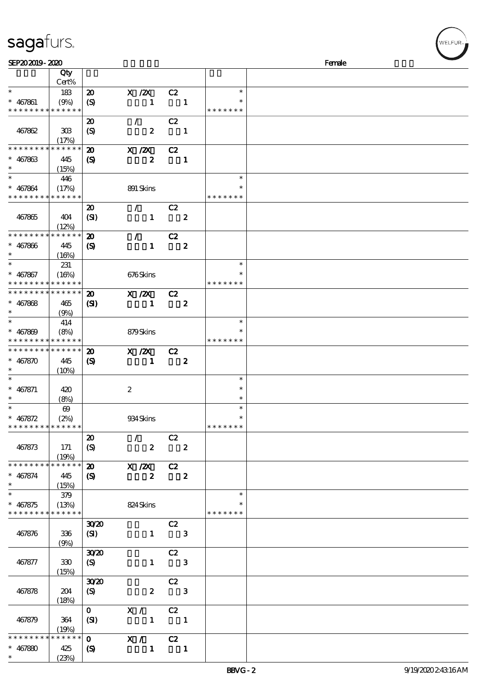| sagafurs. |
|-----------|
|           |

| SEP202019-2020                             |                       |                             |                                                                            |                            |                  |               | Female |
|--------------------------------------------|-----------------------|-----------------------------|----------------------------------------------------------------------------|----------------------------|------------------|---------------|--------|
|                                            | Qty                   |                             |                                                                            |                            |                  |               |        |
|                                            | Cert%                 |                             |                                                                            |                            |                  |               |        |
| $\ast$                                     | 183                   | $\boldsymbol{\mathfrak{D}}$ | $X$ / $ZX$                                                                 | C2                         |                  | $\ast$        |        |
| $* 467861$                                 | (9%)                  | (S)                         | $\mathbf{1}$                                                               |                            | $\blacksquare$   | $\ast$        |        |
| * * * * * * * * <mark>* * * * * *</mark>   |                       |                             |                                                                            |                            |                  | * * * * * * * |        |
|                                            |                       |                             | $\mathcal{T}$                                                              | C2                         |                  |               |        |
|                                            |                       | $\boldsymbol{\mathfrak{D}}$ |                                                                            |                            |                  |               |        |
| 467862                                     | 308                   | (S)                         | $\boldsymbol{z}$                                                           | $\blacksquare$             |                  |               |        |
|                                            | (17%)                 |                             |                                                                            |                            |                  |               |        |
| * * * * * * * *                            | * * * * * *           | $\boldsymbol{\mathbf{z}}$   | X / ZX                                                                     | C2                         |                  |               |        |
| $* 467863$                                 | 445                   | $\boldsymbol{\mathcal{S}}$  | $\boldsymbol{z}$                                                           | $\blacksquare$             |                  |               |        |
| $\ast$                                     | (15%)                 |                             |                                                                            |                            |                  |               |        |
| $\ast$                                     | 446                   |                             |                                                                            |                            |                  | $\ast$        |        |
| $* 467864$                                 | (17%)                 |                             | 891 Skins                                                                  |                            |                  | $\ast$        |        |
| * * * * * * * * * * * * * *                |                       |                             |                                                                            |                            |                  | * * * * * * * |        |
|                                            |                       | $\boldsymbol{\mathfrak{D}}$ | $\mathcal{L}$                                                              | C2                         |                  |               |        |
|                                            |                       |                             |                                                                            |                            |                  |               |        |
| 467865                                     | 404                   | (SI)                        | $\mathbf{1}$                                                               |                            | $\boldsymbol{z}$ |               |        |
|                                            | (12%)                 |                             |                                                                            |                            |                  |               |        |
| * * * * * * * * * * * * * *                |                       | $\boldsymbol{\mathfrak{D}}$ | $\mathcal{L}$                                                              | C2                         |                  |               |        |
| $* 467866$                                 | 445                   | $\boldsymbol{\mathsf{(S)}}$ | $\mathbf{1}$                                                               |                            | $\boldsymbol{z}$ |               |        |
| $\ast$                                     | (16%)                 |                             |                                                                            |                            |                  |               |        |
| $\ast$                                     | 231                   |                             |                                                                            |                            |                  | $\ast$        |        |
| $* 467867$                                 | (16%)                 |                             | 676Skins                                                                   |                            |                  | $\ast$        |        |
| * * * * * * * * <mark>* * * * * *</mark>   |                       |                             |                                                                            |                            |                  | * * * * * * * |        |
| * * * * * * * * * * * * * *                |                       | $\boldsymbol{\mathbf{z}}$   | $X$ / $ZX$                                                                 | C2                         |                  |               |        |
| $* 467868$                                 | 465                   | $\mathbf{S}$                | $\mathbf{1}$                                                               | $\overline{\mathbf{2}}$    |                  |               |        |
| $\ast$                                     |                       |                             |                                                                            |                            |                  |               |        |
| $\ast$                                     | (9%)                  |                             |                                                                            |                            |                  | $\ast$        |        |
|                                            | 414                   |                             |                                                                            |                            |                  |               |        |
| $* 467809$                                 | (8%)                  |                             | 879Skins                                                                   |                            |                  |               |        |
| * * * * * * * * * * * * * *                |                       |                             |                                                                            |                            |                  | * * * * * * * |        |
| * * * * * * * * <mark>* * * * * *</mark> * |                       | $\boldsymbol{\mathfrak{D}}$ | $X$ / $ZX$                                                                 | C2                         |                  |               |        |
| $* 467870$                                 | 445                   | $\boldsymbol{\mathrm{(S)}}$ | $\mathbf{1}$                                                               |                            | $\boldsymbol{2}$ |               |        |
|                                            | (10%)                 |                             |                                                                            |                            |                  |               |        |
| $\ast$                                     |                       |                             |                                                                            |                            |                  | $\ast$        |        |
| $* 467871$                                 | 420                   |                             | $\boldsymbol{z}$                                                           |                            |                  | $\ast$        |        |
|                                            | (8%)                  |                             |                                                                            |                            |                  | $\ast$        |        |
| $\ast$                                     | $\boldsymbol{\omega}$ |                             |                                                                            |                            |                  | $\ast$        |        |
| $* 467872$                                 | (2%)                  |                             | 934 Skins                                                                  |                            |                  | $\ast$        |        |
| * * * * * * * * * * * * * *                |                       |                             |                                                                            |                            |                  | * * * * * * * |        |
|                                            |                       |                             |                                                                            |                            |                  |               |        |
|                                            |                       | $\boldsymbol{\mathfrak{D}}$ | $\mathcal{L}$                                                              | C2                         |                  |               |        |
| 467873                                     | 171                   | (S)                         | $\overline{\mathbf{z}}$                                                    | $\overline{\mathbf{2}}$    |                  |               |        |
|                                            | (19%)                 |                             |                                                                            |                            |                  |               |        |
| * * * * * * * * * * * * * *                |                       | $\boldsymbol{\mathbf{z}}$   | $X / ZX$ $C2$                                                              |                            |                  |               |        |
| $* 467874$                                 | 445                   | $\boldsymbol{\mathcal{S}}$  | $\mathbf{2}$                                                               | $\overline{\mathbf{2}}$    |                  |               |        |
| $\ast$                                     | (15%)                 |                             |                                                                            |                            |                  |               |        |
| $\ast$                                     | 379                   |                             |                                                                            |                            |                  | $\ast$        |        |
| $* 467875$                                 | (13%)                 |                             | 824Skins                                                                   |                            |                  |               |        |
| * * * * * * * * * * * * * *                |                       |                             |                                                                            |                            |                  | * * * * * * * |        |
|                                            |                       | 30 <sup>2</sup>             |                                                                            | C2                         |                  |               |        |
| 467876                                     | 336                   | (SI)                        |                                                                            | $1 \quad 3$                |                  |               |        |
|                                            |                       |                             |                                                                            |                            |                  |               |        |
|                                            | (9%)                  |                             |                                                                            |                            |                  |               |        |
|                                            |                       | 30 <sup>20</sup>            |                                                                            | C2                         |                  |               |        |
| 467877                                     | 330                   | (S)                         |                                                                            | $1 \qquad \qquad$          | $\mathbf{3}$     |               |        |
|                                            | (15%)                 |                             |                                                                            |                            |                  |               |        |
|                                            |                       | 30 <sup>20</sup>            |                                                                            | C2                         |                  |               |        |
| 467878                                     | 204                   | (S)                         | $\overline{\mathbf{z}}$                                                    | $\overline{\phantom{a}}$ 3 |                  |               |        |
|                                            | (18%)                 |                             |                                                                            |                            |                  |               |        |
|                                            |                       | $\mathbf{O}$                | X / C2                                                                     |                            |                  |               |        |
| 467879                                     | 364                   | (SI)                        | $\sim$ $\sim$ $\sim$ $\sim$ $\sim$                                         | $\blacksquare$             |                  |               |        |
|                                            | (19%)                 |                             |                                                                            |                            |                  |               |        |
| * * * * * * *                              | * * * * * *           |                             | $\overline{\textbf{0}}$ $\overline{\textbf{X}}$ / $\overline{\textbf{C2}}$ |                            |                  |               |        |
| $* 467880$                                 | 425                   |                             | $\mathbf{1}$                                                               | $\blacksquare$             |                  |               |        |
| $\ast$                                     | (23%)                 | $\mathbf{S}$                |                                                                            |                            |                  |               |        |
|                                            |                       |                             |                                                                            |                            |                  |               |        |

ELFUR<sub>1</sub>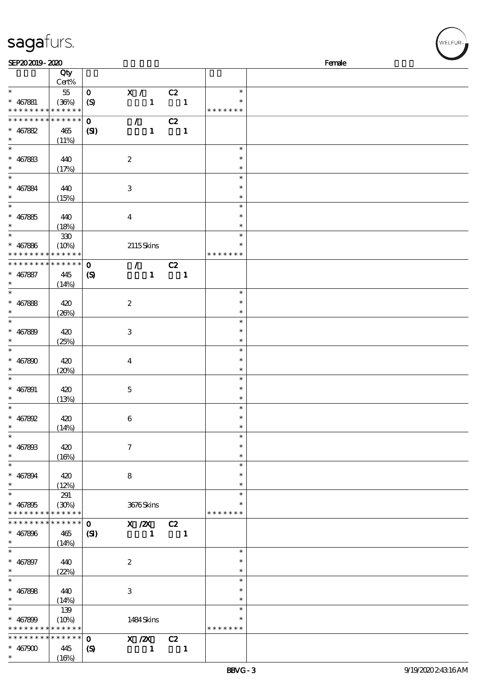| SEP202019-2020                 |                            |                             |                     |                          |              |               | Female |
|--------------------------------|----------------------------|-----------------------------|---------------------|--------------------------|--------------|---------------|--------|
|                                | Qty                        |                             |                     |                          |              |               |        |
|                                | Cert%                      |                             |                     |                          |              |               |        |
| $\ast$                         | $5\!5$                     | $\mathbf O$                 | X /                 | C2                       |              | $\ast$        |        |
| $* 467881$                     | (36%)                      | (S)                         | $\mathbf{1}$        | $\overline{\phantom{a}}$ |              | $\ast$        |        |
| * * * * * * * *                | * * * * * *                |                             |                     |                          |              | * * * * * * * |        |
| * * * * * * * * <mark>*</mark> | $* * * * * * *$            | $\mathbf 0$                 | $\mathcal{T}$       | C2                       |              |               |        |
| $* 467882$                     | 465                        | (SI)                        | $\mathbf{1}$        | $\blacksquare$           |              |               |        |
| $\ast$                         |                            |                             |                     |                          |              |               |        |
| $\overline{\ast}$              | (11%)                      |                             |                     |                          |              |               |        |
|                                |                            |                             |                     |                          |              | $\ast$        |        |
| $* 467883$                     | 440                        |                             | $\boldsymbol{2}$    |                          |              | $\ast$        |        |
| $\ast$                         | (17%)                      |                             |                     |                          |              | $\ast$        |        |
| $\overline{\ast}$              |                            |                             |                     |                          |              | $\ast$        |        |
| $* 467884$                     | 440                        |                             | $\,3$               |                          |              | $\ast$        |        |
| $\ast$                         | (15%)                      |                             |                     |                          |              | $\ast$        |        |
| $\overline{\ast}$              |                            |                             |                     |                          |              | $\ast$        |        |
| $* 467885$                     | 440                        |                             | $\boldsymbol{4}$    |                          |              | $\ast$        |        |
| $\ast$                         |                            |                             |                     |                          |              | $\ast$        |        |
| $*$                            | (18%)                      |                             |                     |                          |              | $\ast$        |        |
|                                | $330\,$                    |                             |                     |                          |              |               |        |
| $* 467886$                     | (10%)                      |                             | 2115Skins           |                          |              | $\ast$        |        |
| * * * * * * * *                | * * * * * *                |                             |                     |                          |              | * * * * * * * |        |
| * * * * * * * *                | * * * * * *                | $\mathbf{o}$                | $\mathcal{L}$       | C2                       |              |               |        |
| $* 467887$                     | 445                        | $\boldsymbol{S}$            | $\mathbf{1}$        |                          | $\mathbf{1}$ |               |        |
| $\ast$                         | (14%)                      |                             |                     |                          |              |               |        |
| $\ast$                         |                            |                             |                     |                          |              | $\ast$        |        |
| $* 467888$                     | 420                        |                             | $\boldsymbol{2}$    |                          |              | $\ast$        |        |
| $\ast$                         | (20%)                      |                             |                     |                          |              | $\ast$        |        |
| $\overline{\ast}$              |                            |                             |                     |                          |              | $\ast$        |        |
|                                |                            |                             |                     |                          |              | $\ast$        |        |
| $* 467889$                     | 420                        |                             | $\,3\,$             |                          |              |               |        |
| $\ast$                         | (25%)                      |                             |                     |                          |              | $\ast$        |        |
| $\ast$                         |                            |                             |                     |                          |              | $\ast$        |        |
| $* 467800$                     | 420                        |                             | $\boldsymbol{4}$    |                          |              | $\ast$        |        |
| $\ast$                         | (20%)                      |                             |                     |                          |              | $\ast$        |        |
| $\ast$                         |                            |                             |                     |                          |              | $\ast$        |        |
| $* 467891$                     | 420                        |                             | $\mathbf 5$         |                          |              | $\ast$        |        |
| $\ast$                         | (13%)                      |                             |                     |                          |              | $\ast$        |        |
| $\ast$                         |                            |                             |                     |                          |              | $\ast$        |        |
| $* 467892$                     | 420                        |                             | $\bf 6$             |                          |              | $\ast$        |        |
| $\ast$                         |                            |                             |                     |                          |              | $\ast$        |        |
|                                | (14%)                      |                             |                     |                          |              |               |        |
| $\ast$                         |                            |                             |                     |                          |              | $\ast$        |        |
| $* 46780B$                     | 420                        |                             | $\boldsymbol{\tau}$ |                          |              | $\ast$        |        |
| $\ast$                         | (16%)                      |                             |                     |                          |              | $\ast$        |        |
| $\ast$                         |                            |                             |                     |                          |              | $\ast$        |        |
| $* 467894$                     | 420                        |                             | 8                   |                          |              | $\ast$        |        |
| $\ast$                         | (12%)                      |                             |                     |                          |              | $\ast$        |        |
| $\ast$                         | 291                        |                             |                     |                          |              | $\ast$        |        |
| $* 467895$                     | (30%)                      |                             | 3676Skins           |                          |              | *             |        |
| * * * * * * * *                | * * * * * *                |                             |                     |                          |              | * * * * * * * |        |
| * * * * * * * *                | * * * * * *                |                             |                     |                          |              |               |        |
|                                |                            | $\mathbf{O}$                | $X$ / $ZX$          | C2                       |              |               |        |
| $* 467896$                     | 465                        | (S)                         | $\mathbf{1}$        | $\blacksquare$           |              |               |        |
| $\ast$                         | (14%)                      |                             |                     |                          |              |               |        |
| $\ast$                         |                            |                             |                     |                          |              | $\ast$        |        |
| $* 467897$                     | 440                        |                             | $\boldsymbol{z}$    |                          |              | $\ast$        |        |
| $\ast$                         | (22%)                      |                             |                     |                          |              | $\ast$        |        |
| $\overline{\ast}$              |                            |                             |                     |                          |              | $\ast$        |        |
| $* 467808$                     | 440                        |                             | $\,3\,$             |                          |              | $\ast$        |        |
| $\ast$                         | (14%)                      |                             |                     |                          |              | $\ast$        |        |
| $\ast$                         | 139                        |                             |                     |                          |              | $\ast$        |        |
|                                |                            |                             |                     |                          |              | $\ast$        |        |
| $* 467809$                     | (10%)                      |                             | 1484Skins           |                          |              |               |        |
| * * * * * * * *                | $\ast\ast\ast\ast\ast\ast$ |                             |                     |                          |              | * * * * * * * |        |
| * * * * * * * *                | $\ast\ast\ast\ast\ast\ast$ | $\mathbf 0$                 | $X$ / $ZX$          | C2                       |              |               |        |
| $* 467900$                     | 445                        | $\boldsymbol{\mathrm{(S)}}$ | $\mathbf{1}$        |                          | $\mathbf{1}$ |               |        |

\*\*

 $(16%)$ 

sagafurs.

WELFUR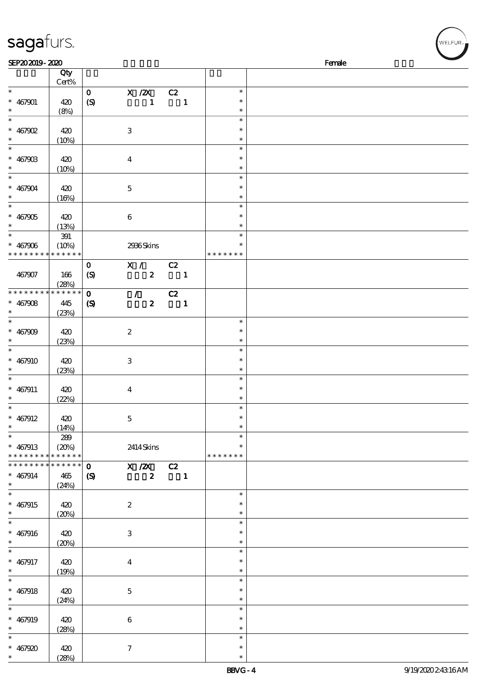| SEP202019-2020                |                      |                            |                  |                  |                |                |                  | Female |  |
|-------------------------------|----------------------|----------------------------|------------------|------------------|----------------|----------------|------------------|--------|--|
|                               | Qty                  |                            |                  |                  |                |                |                  |        |  |
|                               | Cert%                |                            |                  |                  |                |                |                  |        |  |
| $\ast$                        |                      | $\mathbf O$                |                  | X / ZX           | C2             |                | $\ast$           |        |  |
| $* 467901$                    | 420                  | $\boldsymbol{S}$           |                  | $\mathbf{1}$     | $\blacksquare$ |                | $\ast$           |        |  |
| $\ast$                        | (8%)                 |                            |                  |                  |                |                | $\ast$           |        |  |
| $\ast$                        |                      |                            |                  |                  |                |                | $\ast$           |        |  |
| * $467902$                    | 420                  |                            | $\,3$            |                  |                |                | $\ast$           |        |  |
| $\ast$                        | (10%)                |                            |                  |                  |                |                | $\ast$           |        |  |
| $\ast$                        |                      |                            |                  |                  |                |                | $\ast$           |        |  |
| $* 46790B$                    | 420                  |                            | $\boldsymbol{4}$ |                  |                |                | $\ast$           |        |  |
| $\ast$                        | (10%)                |                            |                  |                  |                |                | $\ast$           |        |  |
| $\overline{\ast}$             |                      |                            |                  |                  |                |                | $\ast$           |        |  |
| $* 467904$                    | 420                  |                            | $\mathbf 5$      |                  |                |                | $\ast$           |        |  |
| $\ast$                        | (16%)                |                            |                  |                  |                |                | $\ast$           |        |  |
| $\ast$                        |                      |                            |                  |                  |                |                | $\ast$           |        |  |
| $* 467905$                    | 420                  |                            | $\bf 6$          |                  |                |                | $\ast$           |        |  |
|                               | (13%)                |                            |                  |                  |                |                | $\ast$           |        |  |
| $\ast$                        | $391$                |                            |                  |                  |                |                | $\ast$           |        |  |
| $* 467906$                    | (10%)                |                            |                  | 2986Skins        |                |                | $\ast$           |        |  |
| * * * * * * * *               | * * * * * *          |                            |                  |                  |                |                | * * * * * * *    |        |  |
|                               |                      | $\mathbf{O}$               |                  | X /              | C2             |                |                  |        |  |
| 467907                        | 166                  | (S)                        |                  | $\boldsymbol{z}$ | $\blacksquare$ |                |                  |        |  |
|                               | (28%)                |                            |                  |                  |                |                |                  |        |  |
| * * * * * * * *               | * * * * * *          | $\mathbf{o}$               |                  | $\mathcal{F}$    | C2             |                |                  |        |  |
| $* 467908$                    | 445                  | $\boldsymbol{\mathcal{S}}$ |                  | $\boldsymbol{z}$ |                | $\mathbf{1}$   |                  |        |  |
| $\ast$                        | (23%)                |                            |                  |                  |                |                |                  |        |  |
| $\overline{\ast}$             |                      |                            |                  |                  |                |                | $\ast$           |        |  |
| $* 467909$                    | 420                  |                            | $\boldsymbol{2}$ |                  |                |                | $\ast$           |        |  |
| $\ast$                        | (23%)                |                            |                  |                  |                |                | $\ast$           |        |  |
| $\overline{\ast}$             |                      |                            |                  |                  |                |                | $\ast$           |        |  |
| $* 467910$                    | 420                  |                            | $\,3\,$          |                  |                |                | $\ast$           |        |  |
| $\ast$                        |                      |                            |                  |                  |                |                | $\ast$           |        |  |
| $\ast$                        | (23%)                |                            |                  |                  |                |                | $\ast$           |        |  |
|                               |                      |                            |                  |                  |                |                | $\ast$           |        |  |
| $* 467911$<br>$\ast$          | 420                  |                            | $\boldsymbol{4}$ |                  |                |                | $\ast$           |        |  |
| $\ast$                        | (22%)                |                            |                  |                  |                |                | $\ast$           |        |  |
|                               |                      |                            |                  |                  |                |                | $\ast$           |        |  |
| $* 467912$<br>$\ast$          | 420                  |                            | $\bf 5$          |                  |                |                | $\ast$           |        |  |
| $\ast$                        | (14%)                |                            |                  |                  |                |                | $\ast$           |        |  |
|                               | 289                  |                            |                  |                  |                |                | *                |        |  |
| $* 467913$<br>* * * * * * * * | (20%)<br>* * * * * * |                            |                  | 2414 Skins       |                |                | * * * * * * *    |        |  |
| * * * * * * * *               | * * * * * *          |                            |                  |                  |                |                |                  |        |  |
|                               |                      | $\mathbf{o}$               |                  | $X$ / $ZX$       | C2             |                |                  |        |  |
| $* 467914$<br>$\ast$          | 465                  | $\boldsymbol{\mathcal{S}}$ |                  | $\boldsymbol{z}$ |                | $\blacksquare$ |                  |        |  |
| $\ast$                        | (24%)                |                            |                  |                  |                |                |                  |        |  |
|                               |                      |                            |                  |                  |                |                | $\ast$<br>$\ast$ |        |  |
| $* 467915$                    | 420                  |                            | $\boldsymbol{2}$ |                  |                |                |                  |        |  |
| $\ast$<br>$\overline{\ast}$   | (20%)                |                            |                  |                  |                |                | $\ast$<br>$\ast$ |        |  |
|                               |                      |                            |                  |                  |                |                |                  |        |  |
| $* 467916$                    | 420                  |                            | $\,3\,$          |                  |                |                | $\ast$           |        |  |
| $\ast$                        | (20%)                |                            |                  |                  |                |                | $\ast$           |        |  |
| $\ast$                        |                      |                            |                  |                  |                |                | $\ast$           |        |  |
| $* 467917$                    | 420                  |                            | $\boldsymbol{4}$ |                  |                |                | $\ast$           |        |  |
| $\ast$                        | (19%)                |                            |                  |                  |                |                | $\ast$           |        |  |
| $\ast$                        |                      |                            |                  |                  |                |                | $\ast$           |        |  |
| $* 467918$                    | 420                  |                            | $\mathbf 5$      |                  |                |                | $\ast$           |        |  |
| $\ast$                        | (24%)                |                            |                  |                  |                |                | $\ast$           |        |  |
| $\ast$                        |                      |                            |                  |                  |                |                | $\ast$           |        |  |
| $* 467919$                    | 420                  |                            | $\,6\,$          |                  |                |                | $\ast$           |        |  |
| $\ast$                        | (28%)                |                            |                  |                  |                |                | $\ast$           |        |  |
| $\ast$                        |                      |                            |                  |                  |                |                | $\ast$           |        |  |
| $* 467920$                    | 420                  |                            | $\boldsymbol{7}$ |                  |                |                | $\ast$           |        |  |
| *                             | (28%)                |                            |                  |                  |                |                | $\ast$           |        |  |

sagafurs.

(28%)

WELFUR<sub><sup>N</sub></sub></sub></sup>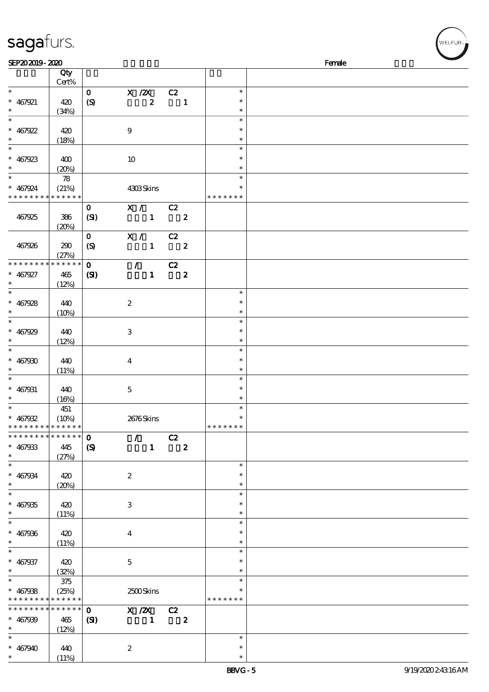| SEP202019-2020                           |                            |                  |                                 |    |                  |               | Female |
|------------------------------------------|----------------------------|------------------|---------------------------------|----|------------------|---------------|--------|
|                                          | Qty                        |                  |                                 |    |                  |               |        |
|                                          | Cert%                      |                  |                                 |    |                  |               |        |
| $\ast$                                   |                            | $\mathbf{o}$     | X / ZX                          | C2 |                  | $\ast$        |        |
| $* 467921$                               | 420                        | $\boldsymbol{S}$ | $\boldsymbol{z}$                |    | $\mathbf{1}$     | $\ast$        |        |
| $\ast$                                   | (34%)                      |                  |                                 |    |                  | $\ast$        |        |
| $\overline{\ast}$                        |                            |                  |                                 |    |                  | $\ast$        |        |
| $* 467922$                               | 420                        |                  | $\boldsymbol{9}$                |    |                  | $\ast$        |        |
| $\ast$                                   |                            |                  |                                 |    |                  | $\ast$        |        |
| $\overline{\ast}$                        | (18%)                      |                  |                                 |    |                  | $\ast$        |        |
|                                          |                            |                  |                                 |    |                  |               |        |
| $* 467923$                               | 400                        |                  | 10                              |    |                  | $\ast$        |        |
| $\ast$                                   | (20%)                      |                  |                                 |    |                  | $\ast$        |        |
| $\overline{\ast}$                        | $\boldsymbol{\mathcal{B}}$ |                  |                                 |    |                  | $\ast$        |        |
| $* 467924$                               | (21%)                      |                  | 4303Skins                       |    |                  | $\ast$        |        |
| * * * * * * * * <mark>* * * * * *</mark> |                            |                  |                                 |    |                  | * * * * * * * |        |
|                                          |                            | $\mathbf{O}$     | $\overline{X}$ / C <sub>2</sub> |    |                  |               |        |
| 467925                                   | 386                        | (SI)             | $\mathbf{1}$                    |    | $\boldsymbol{z}$ |               |        |
|                                          | (20%)                      |                  |                                 |    |                  |               |        |
|                                          |                            | $\mathbf{o}$     | $X / \sqrt{2}$                  | C2 |                  |               |        |
| 467926                                   | 290                        | (S)              | $\mathbf{1}$                    |    | $\boldsymbol{z}$ |               |        |
|                                          |                            |                  |                                 |    |                  |               |        |
|                                          | (27%)<br>* * * * * *       |                  |                                 |    |                  |               |        |
| * * * * * * * *                          |                            | $\mathbf{o}$     | $\mathcal{L}$                   | C2 |                  |               |        |
| $* 467927$                               | 465                        | (S)              | $\mathbf{1}$                    |    | $\boldsymbol{z}$ |               |        |
| $\ast$                                   | (12%)                      |                  |                                 |    |                  |               |        |
| $\overline{\ast}$                        |                            |                  |                                 |    |                  | $\ast$        |        |
| $* 467928$                               | 440                        |                  | $\boldsymbol{2}$                |    |                  | $\ast$        |        |
| $\ast$                                   | (10%)                      |                  |                                 |    |                  | $\ast$        |        |
| $\overline{\ast}$                        |                            |                  |                                 |    |                  | $\ast$        |        |
| $* 467929$                               | 440                        |                  | $\,3\,$                         |    |                  | $\ast$        |        |
| $\ast$                                   |                            |                  |                                 |    |                  | $\ast$        |        |
| $\overline{\ast}$                        | (12%)                      |                  |                                 |    |                  | $\ast$        |        |
|                                          |                            |                  |                                 |    |                  |               |        |
| $* 467930$                               | 440                        |                  | $\boldsymbol{4}$                |    |                  | $\ast$        |        |
| $\ast$                                   | (11%)                      |                  |                                 |    |                  | $\ast$        |        |
| $\ast$                                   |                            |                  |                                 |    |                  | $\ast$        |        |
| $* 467931$                               | 440                        |                  | $\mathbf 5$                     |    |                  | $\ast$        |        |
| $\ast$                                   | (16%)                      |                  |                                 |    |                  | $\ast$        |        |
| $\overline{\phantom{0}}$                 | 451                        |                  |                                 |    |                  | $\ast$        |        |
| * $467932$                               | (10%)                      |                  | 2676Skins                       |    |                  | $\ast$        |        |
| * * * * * * * * * * * * * *              |                            |                  |                                 |    |                  | * * * * * * * |        |
| * * * * * * * *                          | $\ast\ast\ast\ast\ast\ast$ | $\mathbf 0$      | $\mathcal{L}$                   | C2 |                  |               |        |
|                                          | 445                        |                  |                                 |    |                  |               |        |
| $* 467933$<br>$\ast$                     |                            | $\boldsymbol{S}$ | $\mathbf{1}$                    |    | $\boldsymbol{2}$ |               |        |
| $\ast$                                   | (27%)                      |                  |                                 |    |                  |               |        |
|                                          |                            |                  |                                 |    |                  | $\ast$        |        |
| $* 467934$                               | 420                        |                  | $\boldsymbol{2}$                |    |                  | $\ast$        |        |
| $\ast$                                   | (20%)                      |                  |                                 |    |                  | $\ast$        |        |
| $\overline{\ast}$                        |                            |                  |                                 |    |                  | $\ast$        |        |
| $* 467935$                               | 420                        |                  | 3                               |    |                  | $\ast$        |        |
| $\ast$                                   | (11%)                      |                  |                                 |    |                  | $\ast$        |        |
| $\ast$                                   |                            |                  |                                 |    |                  | $\ast$        |        |
| $* 467936$                               | 420                        |                  | $\boldsymbol{4}$                |    |                  | $\ast$        |        |
| $\ast$                                   | (11%)                      |                  |                                 |    |                  | $\ast$        |        |
| $\ast$                                   |                            |                  |                                 |    |                  | $\ast$        |        |
|                                          |                            |                  |                                 |    |                  | $\ast$        |        |
| $* 467937$                               | 420                        |                  | $\mathbf 5$                     |    |                  |               |        |
| $\ast$                                   | (32%)                      |                  |                                 |    |                  | $\ast$        |        |
| $\overline{\ast}$                        | 375                        |                  |                                 |    |                  | $\ast$        |        |
| $* 467938$                               | (25%)                      |                  | 2500Skins                       |    |                  |               |        |
| * * * * * * * *                          | * * * * * *                |                  |                                 |    |                  | * * * * * * * |        |
| * * * * * * * *                          | * * * * * *                | $\mathbf{o}$     | $X \, /ZX$                      | C2 |                  |               |        |
| $* 467939$                               | 465                        | (S)              | $\mathbf{1}$                    |    | $\boldsymbol{z}$ |               |        |
| $\ast$                                   | (12%)                      |                  |                                 |    |                  |               |        |
| $\ast$                                   |                            |                  |                                 |    |                  | $\ast$        |        |
| $* 467940$                               | 440                        |                  | $\boldsymbol{2}$                |    |                  | $\ast$        |        |
|                                          | (11%)                      |                  |                                 |    |                  | $\ast$        |        |
|                                          |                            |                  |                                 |    |                  |               |        |

sagafurs.

WELFUR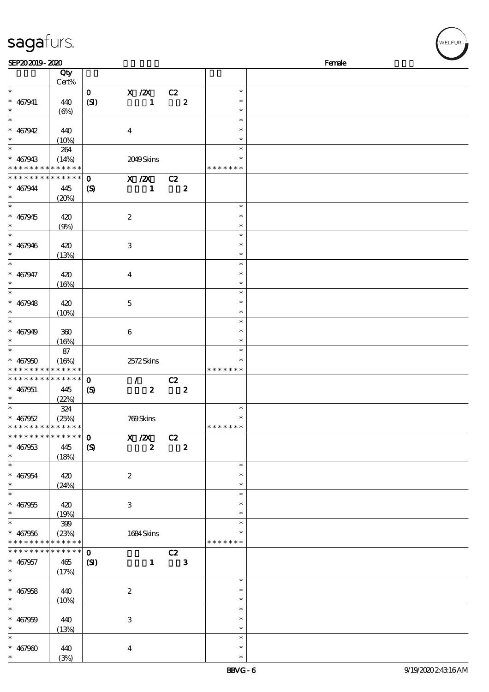| sagafurs. |  |
|-----------|--|
|           |  |

| SEP202019-2020              |             |                             |                  |                             |                            |                  |               | Female |
|-----------------------------|-------------|-----------------------------|------------------|-----------------------------|----------------------------|------------------|---------------|--------|
|                             | Qty         |                             |                  |                             |                            |                  |               |        |
|                             | Cert%       |                             |                  |                             |                            |                  |               |        |
| $\ast$                      |             |                             |                  |                             |                            |                  | $\ast$        |        |
|                             |             | $\mathbf{O}$                | $X$ / $ZX$       |                             | $\overline{C}$             |                  |               |        |
| $* 467941$                  | 440         | (SI)                        |                  | $\mathbf{1}$                | $\overline{\phantom{a}}$ 2 |                  | $\ast$        |        |
| $\ast$                      | $(\Theta)$  |                             |                  |                             |                            |                  | $\ast$        |        |
| $\ast$                      |             |                             |                  |                             |                            |                  | $\ast$        |        |
|                             |             |                             |                  |                             |                            |                  | $\ast$        |        |
| $* 467942$                  | 440         |                             | $\bf{4}$         |                             |                            |                  |               |        |
| $\ast$                      | (10%)       |                             |                  |                             |                            |                  | $\ast$        |        |
| $\overline{\phantom{0}}$    | 264         |                             |                  |                             |                            |                  | $\ast$        |        |
| $* 467943$                  | (14%)       |                             |                  | 2049Skins                   |                            |                  |               |        |
| * * * * * * * * * * * * * * |             |                             |                  |                             |                            |                  | * * * * * * * |        |
|                             |             |                             |                  |                             |                            |                  |               |        |
| * * * * * * * * * * * * * * |             | $\mathbf{o}$                |                  | X /2X C2                    |                            |                  |               |        |
| $* 467944$                  | 445         | $\boldsymbol{\mathrm{(S)}}$ |                  | $\mathbf{1}$                |                            | $\boldsymbol{2}$ |               |        |
| $\ast$                      | (20%)       |                             |                  |                             |                            |                  |               |        |
| $\overline{\phantom{a}^*}$  |             |                             |                  |                             |                            |                  | $\ast$        |        |
|                             |             |                             |                  |                             |                            |                  |               |        |
| $* 467945$                  | 420         |                             | $\boldsymbol{z}$ |                             |                            |                  | $\ast$        |        |
| $\ast$                      | (9%)        |                             |                  |                             |                            |                  | $\ast$        |        |
| $\overline{\phantom{0}}$    |             |                             |                  |                             |                            |                  | $\ast$        |        |
|                             |             |                             |                  |                             |                            |                  | $\ast$        |        |
| $* 467946$                  | 420         |                             | $\,3$            |                             |                            |                  |               |        |
| $\ast$                      | (13%)       |                             |                  |                             |                            |                  | $\ast$        |        |
| $\ast$                      |             |                             |                  |                             |                            |                  | $\ast$        |        |
| $* 467947$                  | 420         |                             | $\bf{4}$         |                             |                            |                  | $\ast$        |        |
| $\ast$                      | (16%)       |                             |                  |                             |                            |                  | $\ast$        |        |
| $\overline{\phantom{0}}$    |             |                             |                  |                             |                            |                  |               |        |
|                             |             |                             |                  |                             |                            |                  | $\ast$        |        |
| $* 467948$                  | 420         |                             | $\mathbf{5}$     |                             |                            |                  | $\ast$        |        |
| $\ast$                      | (10%)       |                             |                  |                             |                            |                  | $\ast$        |        |
| $\overline{\phantom{0}}$    |             |                             |                  |                             |                            |                  | $\ast$        |        |
|                             |             |                             |                  |                             |                            |                  |               |        |
| $* 467949$                  | 300         |                             | $\boldsymbol{6}$ |                             |                            |                  | ∗             |        |
| $\ast$                      | (16%)       |                             |                  |                             |                            |                  | $\ast$        |        |
| $\ast$                      | 87          |                             |                  |                             |                            |                  | $\ast$        |        |
|                             |             |                             |                  |                             |                            |                  | $\ast$        |        |
| $* 467950$                  | (16%)       |                             |                  | 2572Skins                   |                            |                  |               |        |
| * * * * * * * * * * * * * * |             |                             |                  |                             |                            |                  | * * * * * * * |        |
| * * * * * * * * * * * * * * |             | $\mathbf 0$                 |                  | $\mathcal{T}^{\mathcal{A}}$ | C2                         |                  |               |        |
| $* 467951$                  | 445         | $\boldsymbol{\mathcal{S}}$  |                  | $\boldsymbol{z}$            |                            | $\boldsymbol{z}$ |               |        |
| $\ast$                      |             |                             |                  |                             |                            |                  |               |        |
|                             | (22%)       |                             |                  |                             |                            |                  |               |        |
| $\ast$                      | 324         |                             |                  |                             |                            |                  | $\ast$        |        |
| $* 467952$                  | (25%)       |                             | 769Skins         |                             |                            |                  | $\ast$        |        |
| * * * * * * * * * * * * * * |             |                             |                  |                             |                            |                  | *******       |        |
| * * * * * * * * * * * * * * |             | $\mathbf{O}$                |                  |                             |                            |                  |               |        |
|                             |             |                             | $X$ /2 $X$       |                             | C2                         |                  |               |        |
| $* 467953$                  | 445         | $\boldsymbol{S}$            |                  | $\mathbf{z}$                |                            | $\boldsymbol{z}$ |               |        |
| $\ast$                      | (18%)       |                             |                  |                             |                            |                  |               |        |
| $\overline{\phantom{1}}$    |             |                             |                  |                             |                            |                  | $\ast$        |        |
|                             |             |                             |                  |                             |                            |                  | ∗             |        |
| $* 467954$                  | 420         |                             | $\boldsymbol{2}$ |                             |                            |                  |               |        |
| $\ast$                      | (24%)       |                             |                  |                             |                            |                  | $\ast$        |        |
| $\ast$                      |             |                             |                  |                             |                            |                  | $\ast$        |        |
| $* 467955$                  | 420         |                             | 3                |                             |                            |                  |               |        |
| $\ast$                      |             |                             |                  |                             |                            |                  | $\ast$        |        |
|                             | (19%)       |                             |                  |                             |                            |                  |               |        |
| $\ast$                      | 399         |                             |                  |                             |                            |                  | $\ast$        |        |
| $* 467956$                  | (23%)       |                             |                  | 1684Skins                   |                            |                  |               |        |
| * * * * * * * * * * * * * * |             |                             |                  |                             |                            |                  | * * * * * * * |        |
| * * * * * * *               | * * * * * * | $\mathbf{o}$                |                  |                             |                            |                  |               |        |
|                             |             |                             |                  |                             | $\overline{c}$             |                  |               |        |
| $* 467957$                  | 465         | $\mathbf{C}$                |                  | $\mathbf{1}$                |                            | $\mathbf{3}$     |               |        |
| $\ast$                      | (17%)       |                             |                  |                             |                            |                  |               |        |
| $\ast$                      |             |                             |                  |                             |                            |                  | $\ast$        |        |
| $* 467958$                  |             |                             |                  |                             |                            |                  | $\ast$        |        |
|                             | 440         |                             | $\boldsymbol{2}$ |                             |                            |                  |               |        |
| $\ast$                      | (10%)       |                             |                  |                             |                            |                  | $\ast$        |        |
| $\ast$                      |             |                             |                  |                             |                            |                  | $\ast$        |        |
| $* 467959$                  | 440         |                             | $\,3$            |                             |                            |                  | $\ast$        |        |
| $\ast$                      |             |                             |                  |                             |                            |                  | $\ast$        |        |
|                             | (13%)       |                             |                  |                             |                            |                  |               |        |
| $\ast$                      |             |                             |                  |                             |                            |                  | $\ast$        |        |
| $* 467900$                  | 440         |                             | $\bf{4}$         |                             |                            |                  | $\ast$        |        |
| $\ast$                      | (3%)        |                             |                  |                             |                            |                  | $\ast$        |        |
|                             |             |                             |                  |                             |                            |                  |               |        |

ELFUR<sub>1</sub>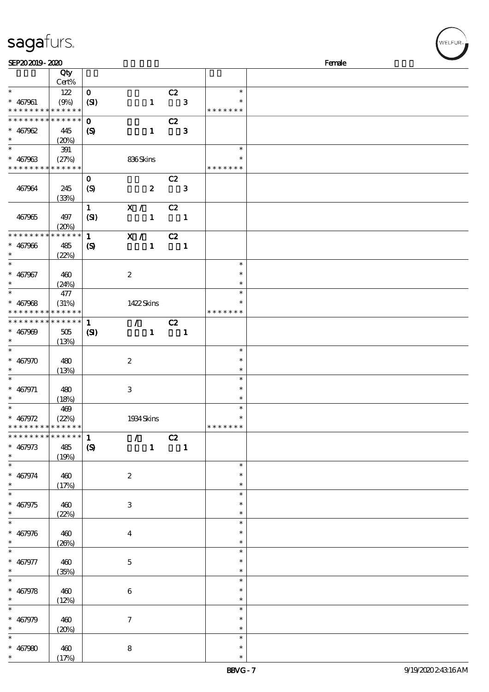| SEP202019-2020                             |                            |                             |                                 |                  |                         |                         |                  | Female |
|--------------------------------------------|----------------------------|-----------------------------|---------------------------------|------------------|-------------------------|-------------------------|------------------|--------|
|                                            | Qty                        |                             |                                 |                  |                         |                         |                  |        |
|                                            | Cert%                      |                             |                                 |                  |                         |                         |                  |        |
| $\ast$                                     | 122                        | $\mathbf{o}$                |                                 |                  | C2                      |                         | $\ast$           |        |
| $* 467961$                                 | (9%)                       | (SI)                        |                                 | $\mathbf{1}$     | $\overline{\mathbf{3}}$ |                         | $\ast$           |        |
| * * * * * * * * <mark>* * * * * * *</mark> |                            |                             |                                 |                  |                         |                         | * * * * * * *    |        |
| * * * * * * * * <mark>*</mark>             | $* * * * * * *$            | $\mathbf{O}$                |                                 |                  | C2                      |                         |                  |        |
| $* 467962$                                 | 445                        | $\boldsymbol{S}$            |                                 | $\blacksquare$   |                         | $\mathbf{3}$            |                  |        |
| $\ast$                                     | (20%)                      |                             |                                 |                  |                         |                         |                  |        |
|                                            | 391                        |                             |                                 |                  |                         |                         | $\ast$           |        |
|                                            |                            |                             |                                 |                  |                         |                         |                  |        |
| $* 467963$<br>* * * * * * * *              | (27%)<br>* * * * * *       |                             | 836Skins                        |                  |                         |                         | * * * * * * *    |        |
|                                            |                            |                             |                                 |                  |                         |                         |                  |        |
|                                            |                            | $\mathbf{O}$                |                                 |                  | C2                      |                         |                  |        |
| 467964                                     | 245                        | $\boldsymbol{S}$            |                                 | $\boldsymbol{z}$ |                         | $\mathbf{3}$            |                  |        |
|                                            | (33%)                      |                             |                                 |                  |                         |                         |                  |        |
|                                            |                            | $\mathbf{1}$                | $\mathbf{X}$ /                  |                  | C2                      |                         |                  |        |
| 467965                                     | 497                        | (SI)                        |                                 | $\mathbf{1}$     | $\blacksquare$          |                         |                  |        |
|                                            | (20%)                      |                             |                                 |                  |                         |                         |                  |        |
| * * * * * * * *                            | * * * * * *                | $\mathbf{1}$                | X /                             |                  | C2                      |                         |                  |        |
| $* 467906$                                 | 485                        | $\boldsymbol{\mathcal{S}}$  |                                 | $\mathbf{1}$     | $\blacksquare$          |                         |                  |        |
| $\ast$                                     | (22%)                      |                             |                                 |                  |                         |                         |                  |        |
| $\ast$                                     |                            |                             |                                 |                  |                         |                         | $\ast$           |        |
| $* 467967$                                 | 460                        |                             | $\boldsymbol{2}$                |                  |                         |                         | $\ast$           |        |
| $\ast$                                     | (24%)                      |                             |                                 |                  |                         |                         | $\ast$           |        |
| $\ast$                                     | 477                        |                             |                                 |                  |                         |                         | $\ast$           |        |
| $* 467968$                                 | (31%)                      |                             | 1422Skins                       |                  |                         |                         | $\ast$           |        |
| * * * * * * * *                            | * * * * * *                |                             |                                 |                  |                         |                         | * * * * * * *    |        |
| * * * * * * * *                            | * * * * * *                |                             |                                 |                  |                         |                         |                  |        |
|                                            |                            | $\mathbf{1}$                | $\mathcal{F}$ and $\mathcal{F}$ |                  | C2                      |                         |                  |        |
| $* 467909$                                 | 505                        | $\mathbf{C}$                |                                 | $\mathbf{1}$     | $\blacksquare$          |                         |                  |        |
| $\ast$<br>$\overline{\ast}$                | (13%)                      |                             |                                 |                  |                         |                         |                  |        |
|                                            |                            |                             |                                 |                  |                         |                         | $\ast$           |        |
| $* 467970$                                 | 480                        |                             | $\boldsymbol{2}$                |                  |                         |                         | $\ast$           |        |
| $\ast$                                     | (13%)                      |                             |                                 |                  |                         |                         | $\ast$           |        |
| $\ast$                                     |                            |                             |                                 |                  |                         |                         | $\ast$           |        |
| $* 467971$                                 | 480                        |                             | $\,3$                           |                  |                         |                         | $\ast$           |        |
| $\ast$                                     | (18%)                      |                             |                                 |                  |                         |                         | $\ast$           |        |
| $\overline{\ast}$                          | 469                        |                             |                                 |                  |                         |                         | $\ast$           |        |
| $* 467972$                                 | (22%)                      |                             | 1934 Skins                      |                  |                         |                         | $\ast$           |        |
| * * * * * * * * <mark>* * * * * *</mark>   |                            |                             |                                 |                  |                         |                         | * * * * * * *    |        |
| * * * * * * * *                            | $\ast\ast\ast\ast\ast\ast$ | $\mathbf{1}$                | $\mathcal{L}$                   |                  | C2                      |                         |                  |        |
| $* 467973$                                 | 485                        | $\boldsymbol{\mathrm{(S)}}$ |                                 | $\mathbf{1}$     |                         | $\overline{\mathbf{1}}$ |                  |        |
| $\ast$                                     | (19%)                      |                             |                                 |                  |                         |                         |                  |        |
| $\ast$                                     |                            |                             |                                 |                  |                         |                         | $\ast$           |        |
| $* 467974$                                 | 460                        |                             | $\boldsymbol{2}$                |                  |                         |                         | $\ast$           |        |
| $\ast$                                     | (17%)                      |                             |                                 |                  |                         |                         | $\ast$           |        |
| $\ast$                                     |                            |                             |                                 |                  |                         |                         | $\ast$           |        |
| $* 467975$                                 |                            |                             |                                 |                  |                         |                         |                  |        |
| $\ast$                                     | $460$                      |                             | $\,3$                           |                  |                         |                         |                  |        |
| $\ast$                                     | (22%)                      |                             |                                 |                  |                         |                         | $\ast$<br>$\ast$ |        |
|                                            |                            |                             |                                 |                  |                         |                         |                  |        |
| $* 467976$                                 | 460                        |                             | $\boldsymbol{4}$                |                  |                         |                         | ∗                |        |
| $\ast$                                     | (20%)                      |                             |                                 |                  |                         |                         | $\ast$           |        |
| $\ast$                                     |                            |                             |                                 |                  |                         |                         | $\ast$           |        |
| $* 467977$                                 | 460                        |                             | $\mathbf 5$                     |                  |                         |                         | $\ast$           |        |
| $\ast$                                     | (35%)                      |                             |                                 |                  |                         |                         | $\ast$           |        |
| $\overline{\ast}$                          |                            |                             |                                 |                  |                         |                         | $\ast$           |        |
| $* 467978$                                 | 460                        |                             | $\,6\,$                         |                  |                         |                         | $\ast$           |        |
| $\ast$                                     | (12%)                      |                             |                                 |                  |                         |                         | $\ast$           |        |
| $\ast$                                     |                            |                             |                                 |                  |                         |                         | $\ast$           |        |
| $* 467979$                                 | 460                        |                             | $\boldsymbol{7}$                |                  |                         |                         | $\ast$           |        |
|                                            | (20%)                      |                             |                                 |                  |                         |                         | $\ast$           |        |
| $\ast$                                     |                            |                             |                                 |                  |                         |                         | $\ast$           |        |
| $* 467980$                                 | 460                        |                             | ${\bf 8}$                       |                  |                         |                         | $\ast$           |        |
|                                            | (17%)                      |                             |                                 |                  |                         |                         | $\ast$           |        |
|                                            |                            |                             |                                 |                  |                         |                         |                  |        |

## sagafurs.

 $(17%)$ 

WELFUR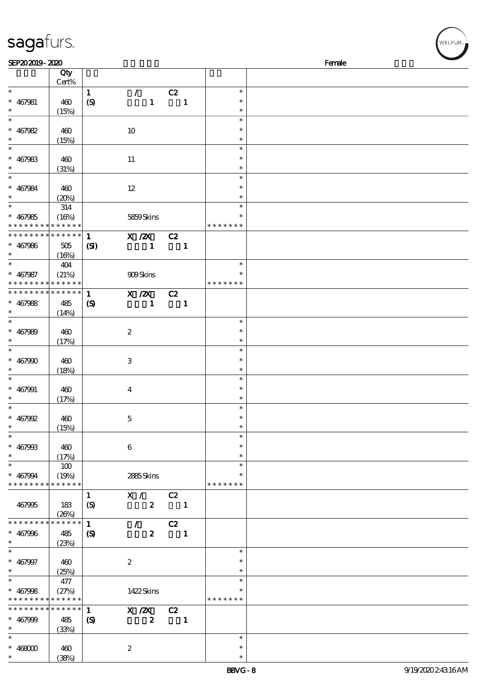| sagafurs.                                 |             |                            |                                  |                |               |        | WELFUR <sub>™</sub> |
|-------------------------------------------|-------------|----------------------------|----------------------------------|----------------|---------------|--------|---------------------|
| SEP202019-2020                            |             |                            |                                  |                |               | Female |                     |
|                                           | Qty         |                            |                                  |                |               |        |                     |
| $\ast$                                    | Cert%       | $\mathbf{1}$               | $\mathcal{L}$                    | C2             | $\ast$        |        |                     |
| $* 467981$                                | 460         | $\boldsymbol{S}$           | $\mathbf{1}$                     | $\mathbf{1}$   | $\ast$        |        |                     |
| $\ast$                                    | (15%)       |                            |                                  |                | $\ast$        |        |                     |
| $\ast$                                    |             |                            |                                  |                | $\ast$        |        |                     |
| $* 467982$                                | 460         |                            | 10                               |                | $\ast$        |        |                     |
| $\ast$                                    | (15%)       |                            |                                  |                | $\ast$        |        |                     |
| $\ast$                                    |             |                            |                                  |                | $\ast$        |        |                     |
| $* 467983$                                | 460         |                            | $11\,$                           |                | $\ast$        |        |                     |
|                                           | (31%)       |                            |                                  |                | $\ast$        |        |                     |
| $\ast$                                    |             |                            |                                  |                | $\ast$        |        |                     |
| $* 467984$                                | 460         |                            | $12\,$                           |                | $\ast$        |        |                     |
|                                           | (20%)       |                            |                                  |                | $\ast$        |        |                     |
| $\ast$                                    | 314         |                            |                                  |                | $\ast$        |        |                     |
| $* 467985$                                | (16%)       |                            | 5859Skins                        |                | $\ast$        |        |                     |
| * * * * * * * *                           | * * * * * * |                            |                                  |                | * * * * * * * |        |                     |
| * * * * * * * *                           | * * * * * * | $\mathbf{1}$               | $\overline{X}$ / $\overline{Z}X$ | C2             |               |        |                     |
| $* 467986$                                | 505         | $\mathbf{C}$               | $\mathbf{1}$                     | $\mathbf{1}$   |               |        |                     |
| $\ast$                                    | (16%)       |                            |                                  |                |               |        |                     |
| $\ast$                                    | 404         |                            |                                  |                | $\ast$        |        |                     |
| $* 467987$                                | (21%)       |                            | 909Skins                         |                | $\ast$        |        |                     |
| * * * *                                   | * * * * * * |                            |                                  |                | * * * * * * * |        |                     |
| * * * * * * * *                           | * * * * * * | $\mathbf{1}$               | X / ZX                           | C2             |               |        |                     |
| $* 467988$                                | 485         | $\boldsymbol{\mathcal{S}}$ | $\mathbf{1}$                     | $\mathbf{1}$   |               |        |                     |
| $\ast$                                    | (14%)       |                            |                                  |                |               |        |                     |
| $\ast$                                    |             |                            |                                  |                | $\ast$        |        |                     |
| $* 467989$                                | 460         |                            | $\boldsymbol{2}$                 |                | $\ast$        |        |                     |
|                                           | (17%)       |                            |                                  |                | $\ast$        |        |                     |
| $\ast$                                    |             |                            |                                  |                | $\ast$        |        |                     |
| $* 467990$                                | 460         |                            | $\,3$                            |                | $\ast$        |        |                     |
|                                           | (18%)       |                            |                                  |                | $\ast$        |        |                     |
|                                           |             |                            |                                  |                | $\ast$        |        |                     |
| $* 467991$                                | 460         |                            | $\boldsymbol{4}$                 |                | $\ast$        |        |                     |
| $\ast$                                    | (17%)       |                            |                                  |                | $\ast$        |        |                     |
| $\ast$                                    |             |                            |                                  |                | $\ast$        |        |                     |
| $* 467992$                                | 460         |                            | $\mathbf 5$                      |                | $\ast$        |        |                     |
| $\ast$                                    | (15%)       |                            |                                  |                | $\ast$        |        |                     |
| $\ast$                                    |             |                            |                                  |                | $\ast$        |        |                     |
| $* 467998$                                | 460         |                            | $\boldsymbol{6}$                 |                | $\ast$        |        |                     |
| $\ast$<br>$\ast$                          | (17%)       |                            |                                  |                | $\ast$        |        |                     |
|                                           | 100         |                            |                                  |                | $\ast$        |        |                     |
| $* 467994$<br>* * * * * * * * * * * * * * | (19%)       |                            | 2885Skins                        |                | * * * * * * * |        |                     |
|                                           |             |                            |                                  |                |               |        |                     |
| 467995                                    | 183         | $\mathbf{1}$               | X / C2<br>$\mathbf{z}$           |                |               |        |                     |
|                                           | (20%)       | $\boldsymbol{S}$           |                                  | $\blacksquare$ |               |        |                     |
| * * * * * * * *                           | * * * * * * | $\mathbf{1}$               | $\mathcal{L}$                    | C2             |               |        |                     |
| $* 467996$                                | 485         | $\boldsymbol{\mathcal{S}}$ | $\boldsymbol{z}$                 | $\blacksquare$ |               |        |                     |
| $\ast$                                    | (23%)       |                            |                                  |                |               |        |                     |
| $\ast$                                    |             |                            |                                  |                | $\ast$        |        |                     |
| $* 467997$                                | 460         |                            | $\boldsymbol{2}$                 |                | $\ast$        |        |                     |
| $\ast$                                    | (25%)       |                            |                                  |                | $\ast$        |        |                     |
| $\ast$                                    | 477         |                            |                                  |                | $\ast$        |        |                     |
| $* 467998$                                | (27%)       |                            | 1422Skins                        |                |               |        |                     |
| * * * * * * * * * * * * * *               |             |                            |                                  |                | * * * * * * * |        |                     |
| * * * * * * * *                           | * * * * * * | $\mathbf{1}$               | $X$ / $ZX$                       | C2             |               |        |                     |
| $* 467999$                                | 485         | $\boldsymbol{\mathcal{S}}$ | $\boldsymbol{z}$                 | $\blacksquare$ |               |        |                     |
| $\ast$                                    | (33%)       |                            |                                  |                |               |        |                     |
| $\ast$                                    |             |                            |                                  |                | $\ast$        |        |                     |
| $* 468000$                                | 460         |                            | $\boldsymbol{z}$                 |                | $\ast$        |        |                     |
| $\ast$                                    | (38%)       |                            |                                  |                | $\ast$        |        |                     |

(38%)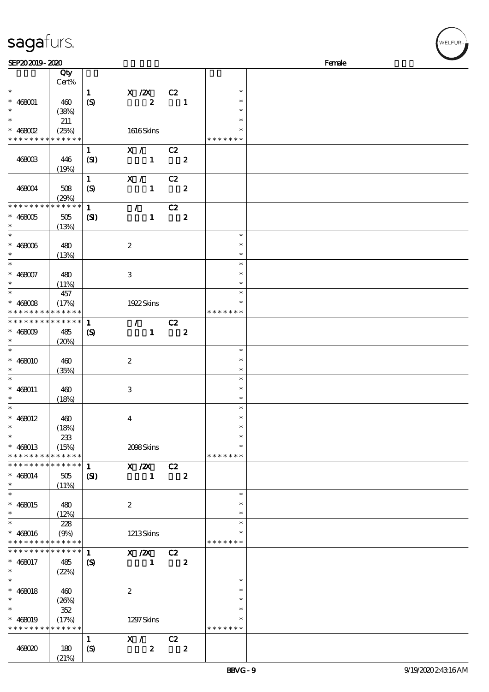| sagafurs. |
|-----------|
|-----------|

|                          | SEP202019-2020              |                            |                             |                            |                  |               | Female |
|--------------------------|-----------------------------|----------------------------|-----------------------------|----------------------------|------------------|---------------|--------|
|                          | Qty                         |                            |                             |                            |                  |               |        |
|                          | Cert%                       |                            |                             |                            |                  |               |        |
| $\ast$                   |                             | $\mathbf{1}$               | $X$ / $ZX$                  | C2                         |                  | $\ast$        |        |
|                          |                             |                            |                             |                            |                  | $\ast$        |        |
| $* 468001$               | 460                         | $\boldsymbol{S}$           | $\boldsymbol{z}$            | $\blacksquare$             |                  |               |        |
| $\ast$                   | (38%)                       |                            |                             |                            |                  | $\ast$        |        |
| $\overline{\ast}$        | 211                         |                            |                             |                            |                  | $\ast$        |        |
| $*$ 468002               | (25%)                       |                            | 1616Skins                   |                            |                  | *             |        |
|                          | * * * * * * * * * * * * * * |                            |                             |                            |                  | * * * * * * * |        |
|                          |                             | $\mathbf{1}$               | X / C2                      |                            |                  |               |        |
|                          |                             |                            |                             |                            |                  |               |        |
| 468003                   | 446                         | (SI)                       | $\mathbf{1}$                | $\overline{\mathbf{2}}$    |                  |               |        |
|                          | (19%)                       |                            |                             |                            |                  |               |        |
|                          |                             | $\mathbf{1}$               | X / C2                      |                            |                  |               |        |
| 468004                   | 508                         | $\boldsymbol{S}$           | $\mathbf{1}$                | $\overline{\phantom{a}}$ 2 |                  |               |        |
|                          | (29%)                       |                            |                             |                            |                  |               |        |
| * * * * * * * *          | * * * * * *                 | $\mathbf{1}$               | $\mathcal{L}^{\mathcal{L}}$ | C2                         |                  |               |        |
|                          |                             |                            | $\mathbf{1}$                |                            |                  |               |        |
| $* 468005$               | 505                         | $\mathbf{S}$               |                             |                            | $\boldsymbol{z}$ |               |        |
| $\ast$                   | (13%)                       |                            |                             |                            |                  |               |        |
| $\overline{\phantom{0}}$ |                             |                            |                             |                            |                  | $\ast$        |        |
| $* 468006$               | 480                         |                            | $\boldsymbol{z}$            |                            |                  | $\ast$        |        |
| $\ast$                   | (13%)                       |                            |                             |                            |                  | $\ast$        |        |
| $\overline{\ast}$        |                             |                            |                             |                            |                  | $\ast$        |        |
|                          |                             |                            |                             |                            |                  | $\ast$        |        |
| $* 468007$               | 480                         |                            | 3                           |                            |                  |               |        |
| $\ast$                   | (11%)                       |                            |                             |                            |                  | $\ast$        |        |
| $\overline{\ast}$        | 457                         |                            |                             |                            |                  | $\ast$        |        |
| $* 468008$               | (17%)                       |                            | 1922 Skins                  |                            |                  | *             |        |
| * * * * * * * *          | * * * * * *                 |                            |                             |                            |                  | * * * * * * * |        |
| * * * * * * *            | * * * * * *                 | $\mathbf{1}$               | $\sqrt{C^2}$                |                            |                  |               |        |
| $* 468009$               |                             |                            | $\mathbf{1}$                | $\overline{\mathbf{2}}$    |                  |               |        |
|                          | 485                         | $\boldsymbol{\mathcal{S}}$ |                             |                            |                  |               |        |
| $\ast$                   | (20%)                       |                            |                             |                            |                  |               |        |
| $\ast$                   |                             |                            |                             |                            |                  | $\ast$        |        |
| $* 468010$               | 460                         |                            | $\boldsymbol{z}$            |                            |                  | $\ast$        |        |
| $\ast$                   | (35%)                       |                            |                             |                            |                  | $\ast$        |        |
| $\ast$                   |                             |                            |                             |                            |                  | $\ast$        |        |
| $* 468011$               |                             |                            |                             |                            |                  | $\ast$        |        |
|                          | 460                         |                            | 3                           |                            |                  |               |        |
| $\ast$                   | (18%)                       |                            |                             |                            |                  | $\ast$        |        |
| $\ast$                   |                             |                            |                             |                            |                  | $\ast$        |        |
| $* 468012$               | 460                         |                            | $\bf{4}$                    |                            |                  | $\ast$        |        |
| $*$                      | (18%)                       |                            |                             |                            |                  | $\ast$        |        |
| $\ast$                   | 233                         |                            |                             |                            |                  | $\ast$        |        |
| $* 468013$               | (15%)                       |                            | 2098Skins                   |                            |                  | $\ast$        |        |
|                          | * * * * * *                 |                            |                             |                            |                  | * * * * * * * |        |
| * * * * * * * *          |                             |                            |                             |                            |                  |               |        |
| * * * * * * *            | * * * * * *                 | $\mathbf{1}$               | $X$ / $ZX$                  | C2                         |                  |               |        |
| $* 468014$               | 505                         | $\mathbf{C}$               | $\mathbf{1}$                |                            | $\boldsymbol{z}$ |               |        |
| $\ast$                   | (11%)                       |                            |                             |                            |                  |               |        |
| $\ast$                   |                             |                            |                             |                            |                  | $\ast$        |        |
| $* 468015$               | 480                         |                            | $\boldsymbol{2}$            |                            |                  | ∗             |        |
| $\ast$                   |                             |                            |                             |                            |                  | $\ast$        |        |
|                          | (12%)                       |                            |                             |                            |                  |               |        |
| $\ast$                   | 228                         |                            |                             |                            |                  | $\ast$        |        |
| $* 468016$               | (9%)                        |                            | 1213Skins                   |                            |                  |               |        |
| * * * * * * * *          | * * * * * *                 |                            |                             |                            |                  | * * * * * * * |        |
| * * * * * * *            | * * * * * *                 | $\mathbf{1}$               | $X$ / $ZX$                  | C2                         |                  |               |        |
| $* 468017$               |                             |                            | $\mathbf{1}$                |                            | $\boldsymbol{z}$ |               |        |
|                          | 485                         | $\boldsymbol{\mathcal{S}}$ |                             |                            |                  |               |        |
| $\ast$                   | (22%)                       |                            |                             |                            |                  |               |        |
| $\ast$                   |                             |                            |                             |                            |                  | $\ast$        |        |
| $* 468018$               | 460                         |                            | $\boldsymbol{z}$            |                            |                  | $\ast$        |        |
| $\ast$                   | (20%)                       |                            |                             |                            |                  | $\ast$        |        |
| $\ast$                   | 352                         |                            |                             |                            |                  | $\ast$        |        |
|                          |                             |                            |                             |                            |                  | $\ast$        |        |
|                          |                             |                            |                             |                            |                  |               |        |
| $* 468019$               | (17%)                       |                            | 1297 Skins                  |                            |                  |               |        |
| * * * * * * * *          | * * * * * *                 |                            |                             |                            |                  | * * * * * * * |        |
|                          |                             | $\mathbf{1}$               | X /                         | C2                         |                  |               |        |
| 468020                   | 180                         | (S)                        | $\boldsymbol{z}$            |                            | $\boldsymbol{z}$ |               |        |

ELFUR<sub>i</sub>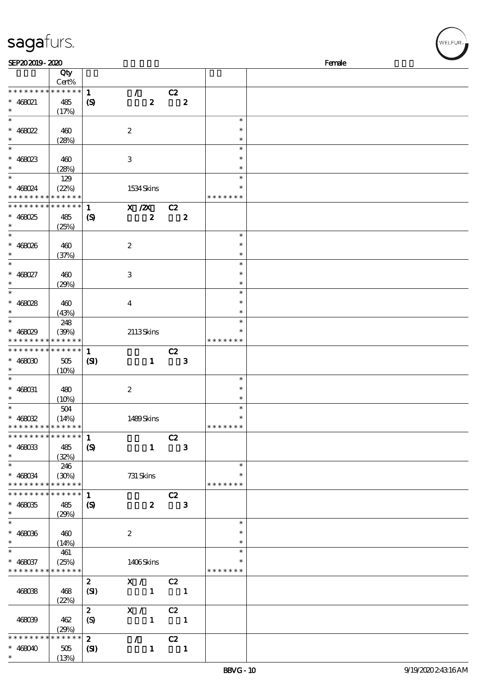| sagafurs.                   |                     |                             |                           |                  |               |        | MELFUR <sub>™</sub> |
|-----------------------------|---------------------|-----------------------------|---------------------------|------------------|---------------|--------|---------------------|
| SEP202019-2020              |                     |                             |                           |                  |               | Female |                     |
|                             | Qty                 |                             |                           |                  |               |        |                     |
|                             | Cert%               |                             |                           |                  |               |        |                     |
| * * * * * * * *             | * * * * * *         | $\mathbf{1}$                | $\mathcal{L}$             | C2               |               |        |                     |
| $* 468021$                  | 485                 | $\boldsymbol{\mathrm{(S)}}$ | $\boldsymbol{2}$          | $\boldsymbol{z}$ |               |        |                     |
| $\ast$                      | (17%)               |                             |                           |                  |               |        |                     |
| $\ast$                      |                     |                             |                           |                  | $\ast$        |        |                     |
| $* 468022$                  | 460                 |                             | $\boldsymbol{2}$          |                  | $\ast$        |        |                     |
| $\ast$                      | (28%)               |                             |                           |                  | $\ast$        |        |                     |
| $\overline{\phantom{0}}$    |                     |                             |                           |                  | $\ast$        |        |                     |
| $* 468023$                  | 460                 |                             | $\ensuremath{\mathbf{3}}$ |                  | $\ast$        |        |                     |
|                             | (28%)               |                             |                           |                  | $\ast$        |        |                     |
| $\ast$                      | 129                 |                             |                           |                  | $\ast$        |        |                     |
| $* 468024$                  | (22%)               |                             | 1534 Skins                |                  | $\ast$        |        |                     |
| * * * * * * * *             | * * * * * *         |                             |                           |                  | * * * * * * * |        |                     |
| * * * * * * * *             | * * * * * *         | $\mathbf{1}$                |                           |                  |               |        |                     |
|                             |                     |                             | $X$ / $ZX$                | C2               |               |        |                     |
| $* 468025$                  | 485                 | $\boldsymbol{\mathcal{S}}$  | $\boldsymbol{2}$          | $\boldsymbol{2}$ |               |        |                     |
| $\ast$                      | (25%)               |                             |                           |                  |               |        |                     |
| $\ast$                      |                     |                             |                           |                  | $\ast$        |        |                     |
| $* 468026$                  | 460                 |                             | $\boldsymbol{2}$          |                  | $\ast$        |        |                     |
| $\ast$                      | (37%)               |                             |                           |                  | $\ast$        |        |                     |
| $\ast$                      |                     |                             |                           |                  | $\ast$        |        |                     |
| $* 468027$                  | 460                 |                             | 3                         |                  | $\ast$        |        |                     |
| $\ast$                      | (29%)               |                             |                           |                  | $\ast$        |        |                     |
| $\ast$                      |                     |                             |                           |                  | $\ast$        |        |                     |
| $* 468028$                  | 460                 |                             | $\boldsymbol{4}$          |                  | $\ast$        |        |                     |
| $\ast$                      | (43%)               |                             |                           |                  | $\ast$        |        |                     |
| $\ast$                      | 248                 |                             |                           |                  | $\ast$        |        |                     |
| $* 468029$                  | (30%)               |                             | 2113Skins                 |                  | $\ast$        |        |                     |
|                             | * * * * * * * * * * |                             |                           |                  | * * * * * * * |        |                     |
| * * * * * * * *             | * * * * * *         |                             |                           |                  |               |        |                     |
|                             |                     | $\mathbf{1}$                |                           | C2               |               |        |                     |
| $* 468030$                  | $505$               | $\mathbf{C}$                | $\mathbf{1}$              | $\mathbf{3}$     |               |        |                     |
|                             | (10%)               |                             |                           |                  |               |        |                     |
| $\ast$                      |                     |                             |                           |                  | $\ast$        |        |                     |
| $* 468031$                  | 480                 |                             | $\boldsymbol{2}$          |                  | $\ast$        |        |                     |
| $\ast$                      | (10%)               |                             |                           |                  | $\ast$        |        |                     |
| $\ast$                      | 504                 |                             |                           |                  | $\ast$        |        |                     |
| $* 468032$                  | (14%)               |                             | 1489Skins                 |                  | $\ast$        |        |                     |
| * * * * * * * *             | * * * * * *         |                             |                           |                  | * * * * * * * |        |                     |
| * * * * * * * *             | * * * * * *         | $\mathbf{1}$                |                           | C2               |               |        |                     |
| $* 468033$                  | 485                 | $\boldsymbol{\mathcal{S}}$  | $\mathbf{1}$              | $\mathbf{3}$     |               |        |                     |
| $\ast$                      | (32%)               |                             |                           |                  |               |        |                     |
| $\ast$                      | 246                 |                             |                           |                  | $\ast$        |        |                     |
| $* 468034$                  | (30%)               |                             | 731 Skins                 |                  | $\ast$        |        |                     |
| * * * * * * * * * * * * * * |                     |                             |                           |                  | * * * * * * * |        |                     |
| * * * * * * * *             | * * * * * *         | $\mathbf{1}$                |                           |                  |               |        |                     |
|                             |                     |                             |                           | C2               |               |        |                     |
| $* 468035$                  | 485                 | (S)                         | $\boldsymbol{z}$          | $\mathbf{3}$     |               |        |                     |
| $\ast$                      | (29%)               |                             |                           |                  |               |        |                     |
| $\ast$                      |                     |                             |                           |                  | $\ast$        |        |                     |
| $* 468036$                  | 460                 |                             | $\boldsymbol{z}$          |                  | $\ast$        |        |                     |
|                             | (14%)               |                             |                           |                  | $\ast$        |        |                     |
| $\ast$                      | 461                 |                             |                           |                  | $\ast$        |        |                     |
| $* 468037$                  | (25%)               |                             | 1406Skins                 |                  | $\ast$        |        |                     |
| * * * * * * * *             | * * * * * *         |                             |                           |                  | * * * * * * * |        |                     |
|                             |                     | $\mathbf{z}$                | X /                       | C2               |               |        |                     |
| 468038                      | 468                 | (SI)                        | $\mathbf{1}$              | $\mathbf{1}$     |               |        |                     |
|                             | (22%)               |                             |                           |                  |               |        |                     |
|                             |                     | $\boldsymbol{2}$            | X /                       | C2               |               |        |                     |
|                             |                     |                             |                           |                  |               |        |                     |
| 468039                      | 462                 | (S)                         | $\mathbf{1}$              | $\mathbf{1}$     |               |        |                     |
|                             | (29%)               |                             |                           |                  |               |        |                     |
| * * * * * * * *             | ******              | $\boldsymbol{z}$            | $\mathcal{L}$             | C2               |               |        |                     |

 $(SI)$  1 1

\*\*

468040

 $(13%)$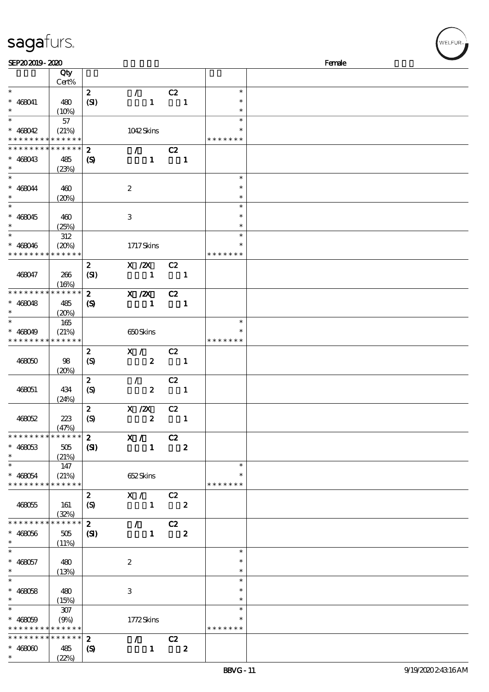| SEP202019-2020    |               |                            |                                 |                          |                  |               | Female |
|-------------------|---------------|----------------------------|---------------------------------|--------------------------|------------------|---------------|--------|
|                   | Qty           |                            |                                 |                          |                  |               |        |
|                   | Cert%         |                            |                                 |                          |                  |               |        |
| $\ast$            |               | $\mathbf{z}$               | $\mathcal{L}$                   | C2                       |                  | $\ast$        |        |
|                   |               |                            |                                 |                          |                  | $\ast$        |        |
| $* 468041$        | 480           | (SI)                       | $\mathbf{1}$                    | $\overline{\phantom{a}}$ |                  |               |        |
| $\ast$            | (10%)         |                            |                                 |                          |                  | $\ast$        |        |
| $\overline{\ast}$ | 57            |                            |                                 |                          |                  | $\ast$        |        |
| $* 468042$        | (21%)         |                            | 1042Skins                       |                          |                  | $\ast$        |        |
| * * * * * * * *   | * * * * * *   |                            |                                 |                          |                  | * * * * * * * |        |
| * * * * * * * *   | * * * * * *   | $\boldsymbol{z}$           | $\mathcal{T} = \mathcal{I}$     | C2                       |                  |               |        |
|                   |               |                            |                                 |                          |                  |               |        |
| $* 468043$        | 485           | $\boldsymbol{\mathcal{S}}$ | $\mathbf{1}$                    | $\blacksquare$           |                  |               |        |
| $\ast$            | (23%)         |                            |                                 |                          |                  |               |        |
| $\ast$            |               |                            |                                 |                          |                  | $\ast$        |        |
| $* 468044$        | 460           |                            | $\boldsymbol{2}$                |                          |                  | $\ast$        |        |
| $\ast$            | (20%)         |                            |                                 |                          |                  | $\ast$        |        |
|                   |               |                            |                                 |                          |                  | $\ast$        |        |
|                   |               |                            |                                 |                          |                  |               |        |
| $* 468045$        | 460           |                            | 3                               |                          |                  | $\ast$        |        |
| $\ast$            | (25%)         |                            |                                 |                          |                  | $\ast$        |        |
| $\ast$            | $312\,$       |                            |                                 |                          |                  | $\ast$        |        |
| $* 468046$        | (20%)         |                            | 1717Skins                       |                          |                  | ∗             |        |
| * * * * * * * *   | * * * * * *   |                            |                                 |                          |                  | * * * * * * * |        |
|                   |               | $\boldsymbol{z}$           |                                 |                          |                  |               |        |
|                   |               |                            | X / ZX                          | C2                       |                  |               |        |
| 468047            | 266           | (SI)                       | $\sim$ 1                        | $\blacksquare$           |                  |               |        |
|                   | (16%)         |                            |                                 |                          |                  |               |        |
| * * * * * * * *   | * * * * * *   | $\mathbf{z}$               | $X$ / $ZX$                      | C2                       |                  |               |        |
| $* 468048$        | 485           | $\boldsymbol{\mathcal{S}}$ | $\mathbf{1}$                    | $\blacksquare$           |                  |               |        |
| $\ast$            | (20%)         |                            |                                 |                          |                  |               |        |
| $*$               |               |                            |                                 |                          |                  | $\ast$        |        |
|                   | 165           |                            |                                 |                          |                  |               |        |
| $* 468049$        | (21%)         |                            | 650Skins                        |                          |                  |               |        |
| * * * * * * * *   | * * * * * *   |                            |                                 |                          |                  | * * * * * * * |        |
|                   |               | $\boldsymbol{z}$           | X /                             | C2                       |                  |               |        |
| 468050            | 98            | $\boldsymbol{S}$           | $\boldsymbol{z}$                | $\blacksquare$           |                  |               |        |
|                   | (20%)         |                            |                                 |                          |                  |               |        |
|                   |               | $\boldsymbol{z}$           | $\mathcal{F}$                   | C2                       |                  |               |        |
|                   |               |                            |                                 |                          |                  |               |        |
| 468051            | 434           | $\boldsymbol{\mathcal{S}}$ | $\boldsymbol{z}$                | $\overline{\mathbf{1}}$  |                  |               |        |
|                   | (24%)         |                            |                                 |                          |                  |               |        |
|                   |               | $\mathbf{z}$               | $X$ / $ZX$                      | C2                       |                  |               |        |
| 468052            | 223           | $\boldsymbol{S}$           | $\boldsymbol{z}$                |                          | $\blacksquare$   |               |        |
|                   | (47%)         |                            |                                 |                          |                  |               |        |
| * * * * * * * *   | $* * * * * *$ | $\mathbf{2}$               | $\overline{\mathbf{X}}$ / C2    |                          |                  |               |        |
| $* 468053$        | 505           |                            | $\mathbf{1}$                    |                          |                  |               |        |
|                   |               | (SI)                       |                                 |                          | $\boldsymbol{z}$ |               |        |
| $\ast$            | (21%)         |                            |                                 |                          |                  |               |        |
| $\ast$            | 147           |                            |                                 |                          |                  | $\ast$        |        |
| $* 468054$        | (21%)         |                            | 652Skins                        |                          |                  | ∗             |        |
| * * * * * * * *   | * * * * * *   |                            |                                 |                          |                  | * * * * * * * |        |
|                   |               | $\boldsymbol{z}$           | X / C2                          |                          |                  |               |        |
| 468055            | 161           | (S)                        | $1 \t 2$                        |                          |                  |               |        |
|                   |               |                            |                                 |                          |                  |               |        |
|                   | (32%)         |                            |                                 |                          |                  |               |        |
| * * * * * * * *   | * * * * * *   | $\mathbf{z}$               | $\mathcal{L}$ and $\mathcal{L}$ | C2                       |                  |               |        |
| $* 468056$        | 505           | $\mathbf{S}$               | $\mathbf{1}$                    | $\overline{\mathbf{2}}$  |                  |               |        |
| $\ast$            | (11%)         |                            |                                 |                          |                  |               |        |
| $\ast$            |               |                            |                                 |                          |                  | $\ast$        |        |
| $* 468057$        | 480           |                            | $\boldsymbol{2}$                |                          |                  | $\ast$        |        |
| $\ast$            |               |                            |                                 |                          |                  | $\ast$        |        |
| $\ast$            | (13%)         |                            |                                 |                          |                  |               |        |
|                   |               |                            |                                 |                          |                  | $\ast$        |        |
| $* 468058$        | 480           |                            | 3                               |                          |                  | $\ast$        |        |
| $\ast$            | (15%)         |                            |                                 |                          |                  | $\ast$        |        |
| $\ast$            | $307$         |                            |                                 |                          |                  | $\ast$        |        |
| $* 468059$        | (9%)          |                            | 1772Skins                       |                          |                  | ∗             |        |
| * * * * * * * *   | * * * * * *   |                            |                                 |                          |                  | * * * * * * * |        |
|                   |               |                            |                                 |                          |                  |               |        |

2 / C2

\* \* \* \* \* \* \* \* \* \* \* \* \* \*

\*\*

468060 485

(22%)

sagafurs.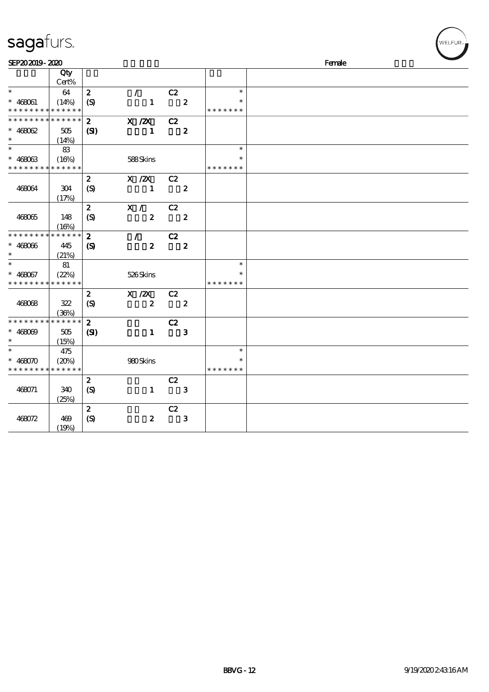| sayarurs.                     |                            |                             |                         |                               |                  |               | ∥WELFUR <sub>™∎</sub> |
|-------------------------------|----------------------------|-----------------------------|-------------------------|-------------------------------|------------------|---------------|-----------------------|
| SEP202019-2020                |                            |                             |                         |                               |                  |               | Female                |
|                               | Qty                        |                             |                         |                               |                  |               |                       |
|                               | Cert%                      |                             |                         |                               |                  |               |                       |
| $\ast$                        | 64                         | $\boldsymbol{z}$            | $\mathcal{L}$           | C2                            |                  | $\ast$        |                       |
| $* 468061$                    | (14%)                      | $\boldsymbol{S}$            | $\mathbf{1}$            | $\overline{\mathbf{2}}$       |                  | $\ast$        |                       |
| * * * * * * * *               | * * * * * *                |                             |                         |                               |                  | * * * * * * * |                       |
| * * * * * * * *               | $\ast\ast\ast\ast\ast\ast$ | $\mathbf{2}$                | $X$ / $ZX$              | C2                            |                  |               |                       |
| $* 468062$                    | 505                        | (S)                         | $\mathbf{1}$            | $\overline{\mathbf{2}}$       |                  |               |                       |
| $\ast$<br>$\ast$              | (14%)                      |                             |                         |                               |                  |               |                       |
|                               | 83                         |                             |                         |                               |                  | $\ast$        |                       |
| $* 468063$<br>* * * * * * * * | (16%)<br>* * * * * *       |                             | 588Skins                |                               |                  | * * * * * * * |                       |
|                               |                            |                             |                         |                               |                  |               |                       |
|                               |                            | $\boldsymbol{z}$            | X / ZX                  | C2                            |                  |               |                       |
| 468064                        | 304                        | (S)                         | $\mathbf{1}$            | $\overline{\mathbf{2}}$       |                  |               |                       |
|                               | (17%)                      | $\boldsymbol{z}$            |                         |                               |                  |               |                       |
|                               |                            |                             | X /<br>$\boldsymbol{2}$ | C2<br>$\overline{\mathbf{2}}$ |                  |               |                       |
| 468065                        | 148<br>(16%)               | $\boldsymbol{S}$            |                         |                               |                  |               |                       |
| * * * * * * * *               | * * * * * *                | $\mathbf{z}$                | $\mathcal{L}$           | C2                            |                  |               |                       |
| $* 468066$                    | 445                        | $\boldsymbol{\mathcal{S}}$  | $\boldsymbol{z}$        |                               | $\boldsymbol{z}$ |               |                       |
| $\ast$                        | (21%)                      |                             |                         |                               |                  |               |                       |
| $\ast$                        | 81                         |                             |                         |                               |                  | $\ast$        |                       |
| $* 468067$                    | (22%)                      |                             | 526Skins                |                               |                  | $\ast$        |                       |
| * * * * * * * *               | * * * * * *                |                             |                         |                               |                  | * * * * * * * |                       |
|                               |                            | $\boldsymbol{z}$            | $X$ / $ZX$              | C2                            |                  |               |                       |
| 468068                        | 322                        | $\boldsymbol{S}$            | $\boldsymbol{z}$        | $\overline{\mathbf{2}}$       |                  |               |                       |
|                               | (36%)                      |                             |                         |                               |                  |               |                       |
| * * * * * * * *               | $* * * * * * *$            | $\mathbf{2}$                |                         | C2                            |                  |               |                       |
| $* 468009$                    | $505\,$                    | (S)                         | $\mathbf{1}$            |                               | $\mathbf{3}$     |               |                       |
| $\ast$                        | (15%)                      |                             |                         |                               |                  |               |                       |
| $\ast$                        | 475                        |                             |                         |                               |                  | $\ast$        |                       |
| $* 468070$                    | (20%)                      |                             | 980Skins                |                               |                  | $\ast$        |                       |
| * * * * * * * *               | * * * * * *                |                             |                         |                               |                  | * * * * * * * |                       |
|                               |                            | $\boldsymbol{z}$            |                         | C2                            |                  |               |                       |
| 468071                        | 340                        | $\boldsymbol{\mathrm{(S)}}$ | $\mathbf{1}$            | $\overline{\phantom{a}}$ 3    |                  |               |                       |
|                               | (25%)                      |                             |                         |                               |                  |               |                       |
|                               |                            | $\boldsymbol{z}$            |                         | C2                            |                  |               |                       |
| 468072                        | 469                        | (S)                         | $\boldsymbol{z}$        | $\overline{\phantom{a}}$ 3    |                  |               |                       |

## sagafurs

 $(19%)$ 

 $\bigwedge$  WELFUR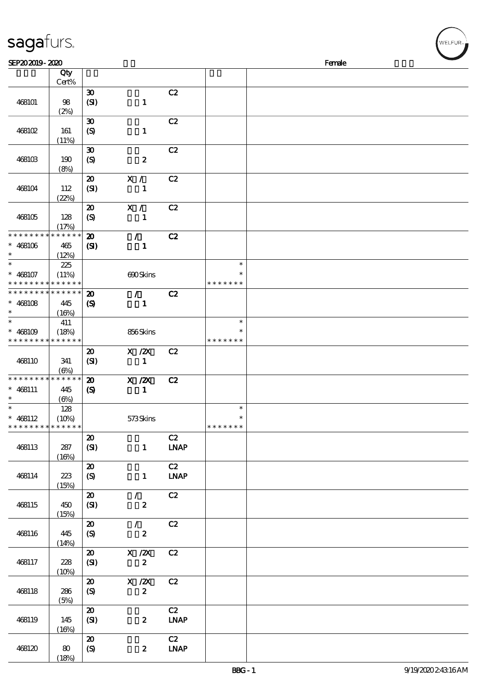| sagafurs.                                                          |                             |                                                         |                                   |                                    |                                   |        | WELFUR <sub>™</sub> |
|--------------------------------------------------------------------|-----------------------------|---------------------------------------------------------|-----------------------------------|------------------------------------|-----------------------------------|--------|---------------------|
| SEP202019-2020                                                     |                             |                                                         |                                   |                                    |                                   | Female |                     |
|                                                                    | Qty<br>Cert%                |                                                         |                                   |                                    |                                   |        |                     |
| 468101                                                             | 98<br>(2%)                  | $\boldsymbol{\mathfrak{D}}$<br>(SI)                     | $\mathbf{1}$                      | C2                                 |                                   |        |                     |
| 468102                                                             | 161<br>(11%)                | $\boldsymbol{\mathfrak{D}}$<br>$\boldsymbol{S}$         | $\mathbf{1}$                      | C2                                 |                                   |        |                     |
| 468103                                                             | 190<br>(8%)                 | $\boldsymbol{\mathfrak{D}}$<br>$\boldsymbol{S}$         | $\boldsymbol{2}$                  | C2                                 |                                   |        |                     |
| 468104                                                             | 112<br>(22%)                | $\boldsymbol{\mathsf{20}}$<br>(SI)                      | X /<br>$\mathbf{1}$               | C2                                 |                                   |        |                     |
| 468105                                                             | 128<br>(17%)                | $\boldsymbol{\mathfrak{D}}$<br>(S)                      | X /<br>$\mathbf{1}$               | C2                                 |                                   |        |                     |
| * * * * * * * *<br>$* 468106$<br>$\ast$                            | * * * * * *<br>465<br>(12%) | $\boldsymbol{\mathbf{z}}$<br>$\mathbf{C}$               | $\mathcal{L}$<br>$\mathbf{1}$     | C2                                 |                                   |        |                     |
| $\ast$<br>$* 468107$<br>* * * * * * * *                            | 225<br>(11%)<br>* * * * * * |                                                         | 690Skins                          |                                    | $\ast$<br>$\ast$<br>* * * * *     |        |                     |
| * * * * * * * *<br>$* 468108$<br>$\ast$                            | * * * * * *<br>445<br>(16%) | $\boldsymbol{\mathbf{z}}$<br>$\boldsymbol{\mathcal{S}}$ | $\mathcal{L}$<br>$\mathbf{1}$     | C2                                 |                                   |        |                     |
| $\ast$<br>$* 468109$<br>* * * * * * * *                            | 411<br>(18%)<br>* * * * * * |                                                         | 856Skins                          |                                    | $\ast$<br>* * * * * * *           |        |                     |
| 468110                                                             | 341<br>$(\Theta)$           | $\boldsymbol{\mathsf{20}}$<br>(SI)                      | $X$ / $ZX$<br>$\mathbf{1}$        | C2                                 |                                   |        |                     |
| * * * * * * * * <mark>* * * * * * *</mark><br>$* 468111$<br>$\ast$ | 445<br>(6%)                 | $\boldsymbol{\mathbf{z}}$<br>$\boldsymbol{\mathcal{S}}$ | X / ZX<br>$\mathbf{1}$            | C2                                 |                                   |        |                     |
| $\ast$<br>$* 468112$<br>* * * * * * * *                            | 128<br>(10%)<br>* * * * * * |                                                         | 573Skins                          |                                    | $\ast$<br>$\ast$<br>* * * * * * * |        |                     |
| 468113                                                             | 287<br>(16%)                | $\boldsymbol{\mathfrak{D}}$<br>(SI)                     | $\mathbf{1}$                      | C2<br>$\ensuremath{\mathbf{INAP}}$ |                                   |        |                     |
| 468114                                                             | 223<br>(15%)                | $\boldsymbol{\mathfrak{D}}$<br>(S)                      | $\mathbf{1}$                      | C2<br>$\ensuremath{\mathbf{INAP}}$ |                                   |        |                     |
| 468115                                                             | 450<br>(15%)                | $\boldsymbol{\mathbf{z}}$<br>(SI)                       | $\mathcal{L}$<br>$\boldsymbol{z}$ | C2                                 |                                   |        |                     |
| 468116                                                             | 445<br>(14%)                | $\boldsymbol{\mathfrak{D}}$<br>(S)                      | $\mathcal{L}$<br>$\pmb{2}$        | C2                                 |                                   |        |                     |
| 468117                                                             | 228<br>(10%)                | $\boldsymbol{\mathsf{20}}$<br>(SI)                      | $X$ / $ZX$<br>$\boldsymbol{z}$    | C2                                 |                                   |        |                     |
| 468118                                                             | 286<br>(5%)                 | $\boldsymbol{\mathfrak{D}}$<br>(S)                      | X / ZX<br>$\boldsymbol{z}$        | C2                                 |                                   |        |                     |
| 468119                                                             | 145<br>(16%)                | $\boldsymbol{\mathsf{20}}$<br>(SI)                      | $\boldsymbol{z}$                  | C2<br><b>LNAP</b>                  |                                   |        |                     |
| 468120                                                             | 80                          | $\boldsymbol{\mathfrak{D}}$<br>$\boldsymbol{S}$         | $\boldsymbol{z}$                  | C2<br><b>LNAP</b>                  |                                   |        |                     |

 $(18%)$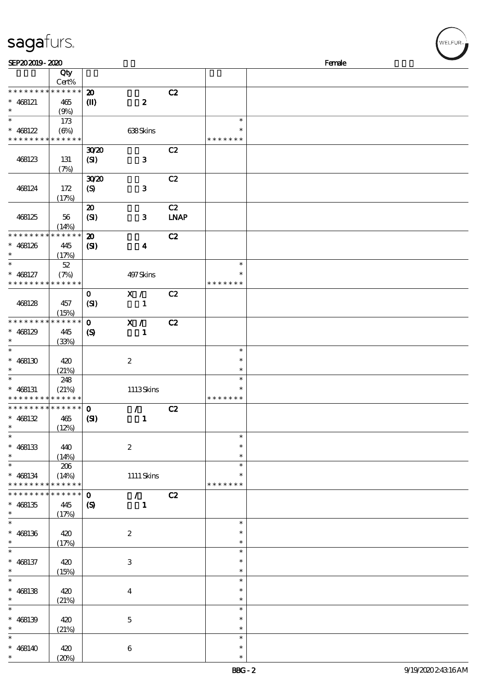| sagafurs.                                                          |                             |                                             |                                |              |                                   |        | ,<br>WELFUR <sub>™</sub> |
|--------------------------------------------------------------------|-----------------------------|---------------------------------------------|--------------------------------|--------------|-----------------------------------|--------|--------------------------|
| SEP202019-2020                                                     |                             |                                             |                                |              |                                   | Female |                          |
|                                                                    | Qty<br>Cert%                |                                             |                                |              |                                   |        |                          |
| * * * * * * * *<br>$* 468121$<br>$\ast$                            | * * * * * *<br>465<br>(9%)  | $\boldsymbol{\mathfrak{D}}$<br>$\mathbf{I}$ | $\boldsymbol{z}$               | C2           |                                   |        |                          |
| $\ast$<br>$* 468122$<br>* * * * * * * * <mark>* * * * * *</mark>   | 173<br>$(\Theta)$           |                                             | 638Skins                       |              | $\ast$<br>$\ast$<br>* * * * * * * |        |                          |
| 468123                                                             | 131<br>(7%)                 | 3020<br>(SI)                                | $\mathbf{3}$                   | C2           |                                   |        |                          |
| 468124                                                             | 172<br>(17%)                | 3020<br>$\boldsymbol{S}$                    | $\mathbf{3}$                   | C2           |                                   |        |                          |
| 468125                                                             | 56<br>(14%)                 | $\boldsymbol{\mathfrak{D}}$<br>(SI)         | $\mathbf{3}$                   | C2<br>$INAP$ |                                   |        |                          |
| * * * * * * * *<br>$* 468126$<br>$\ast$                            | * * * * * *<br>445<br>(17%) | $\boldsymbol{\mathsf{20}}$<br>$\mathbf{C}$  | $\boldsymbol{4}$               | C2           |                                   |        |                          |
| $\ast$<br>$* 468127$<br>* * * * * * * * * * * * * *                | $52\,$<br>(7%)              |                                             | 497 Skins                      |              | $\ast$<br>$\ast$<br>* * * * * * * |        |                          |
| 468128                                                             | 457<br>(15%)                | $\mathbf 0$<br>(SI)                         | X /<br>$\mathbf{1}$            | C2           |                                   |        |                          |
| * * * * * * * * * * * * * *<br>$* 468129$                          | 445<br>(33%)                | $\mathbf{o}$<br>$\boldsymbol{\mathcal{S}}$  | $\mathbf{X}$ /<br>$\mathbf{1}$ | C2           |                                   |        |                          |
| $\ast$<br>$* 468130$                                               | 420<br>(21%)                |                                             | $\boldsymbol{2}$               |              | $\ast$<br>$\ast$<br>$\ast$        |        |                          |
| $\ast$<br>$* 468131$<br>* * * * * * * * <mark>* * * * * *</mark> * | 248<br>(21%)                |                                             | 1113Skins                      |              | $\ast$<br>$\ast$<br>* * * * * * * |        |                          |
| * * * * * * * * * * * * * *<br>$* 468132$<br>$\ast$                | 465<br>(12%)                | $\mathbf{o}$<br>(S)                         | $\mathcal{L}$<br>$\mathbf{1}$  | C2           |                                   |        |                          |
| $\ast$<br>$* 468133$<br>$\ast$                                     | 440<br>(14%)                |                                             | $\boldsymbol{2}$               |              | $\ast$<br>*<br>$\ast$             |        |                          |
| $\ast$<br>$* 468134$<br>* * * * * * * * * * * * * *                | 206<br>(14%)                |                                             | $1111$ Skins                   |              | $\ast$<br>* * * * * * *           |        |                          |
| * * * * * * * * * * * * * *<br>$* 468135$<br>$\ast$                | 445<br>(17%)                | $\mathbf 0$<br>$\boldsymbol{\mathrm{(S)}}$  | $\mathcal{L}$<br>$\mathbf{1}$  | C2           |                                   |        |                          |
| $\ast$<br>$* 468136$<br>$\ast$                                     | 420<br>(17%)                |                                             | $\boldsymbol{2}$               |              | $\ast$<br>$\ast$<br>$\ast$        |        |                          |
| $\ast$<br>$* 468137$<br>$\ast$                                     | 420<br>(15%)                |                                             | $\,3$                          |              | $\ast$<br>$\ast$<br>$\ast$        |        |                          |
| $\ast$<br>$* 468138$<br>$\ast$                                     | 420<br>(21%)                |                                             | $\boldsymbol{4}$               |              | $\ast$<br>$\ast$<br>$\ast$        |        |                          |
| $\ast$<br>$* 468139$<br>$\ast$                                     | 420<br>(21%)                |                                             | $\bf 5$                        |              | $\ast$<br>$\ast$<br>$\ast$        |        |                          |
| $\ast$<br>$* 468140$<br>$\ast$                                     | 420<br>(20%)                |                                             | $\bf 6$                        |              | $\ast$<br>$\ast$<br>$\ast$        |        |                          |

WELFUR<sub><sup>N</sup></sub>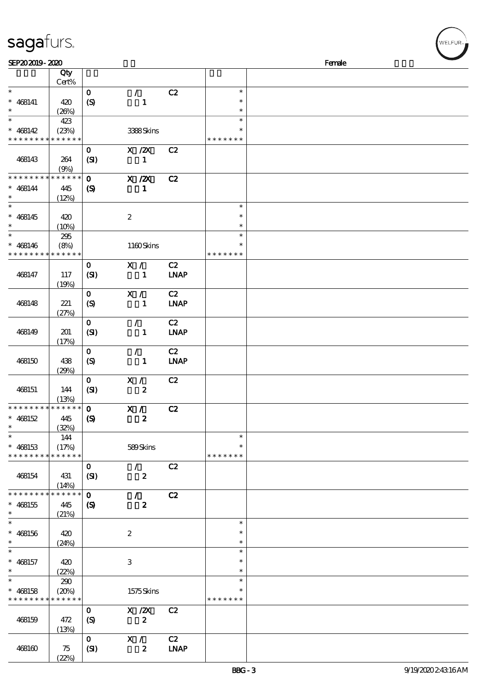| SEP202019-2020              |                   |                             |                  |                  |             |               | Female |
|-----------------------------|-------------------|-----------------------------|------------------|------------------|-------------|---------------|--------|
|                             | Qty               |                             |                  |                  |             |               |        |
|                             | Cert%             |                             |                  |                  |             |               |        |
| $\ast$                      |                   | $\mathbf{o}$                |                  | $\mathcal{F}$    | C2          | $\ast$        |        |
| $* 468141$                  | 420               | (S)                         |                  | $\mathbf{1}$     |             | $\ast$        |        |
| $\ast$                      | (20%)             |                             |                  |                  |             | $\ast$        |        |
| $\overline{\phantom{0}}$    | 423               |                             |                  |                  |             | $\ast$        |        |
| $* 468142$                  | (23%)             |                             |                  | 3388Skins        |             | $\ast$        |        |
| * * * * * * * * * * * * * * |                   |                             |                  |                  |             | * * * * * * * |        |
|                             |                   |                             |                  |                  |             |               |        |
|                             |                   | $\mathbf{O}$                |                  | X / ZX           | C2          |               |        |
| 468143                      | 264               | (SI)                        |                  | $\mathbf{1}$     |             |               |        |
|                             | (9%)              |                             |                  |                  |             |               |        |
| ********                    | $* * * * * * *$   | $\mathbf{O}$                |                  | $X$ / $ZX$       | C2          |               |        |
| $* 468144$                  | 445               | $\boldsymbol{\mathrm{(S)}}$ |                  | $\mathbf{1}$     |             |               |        |
| $\ast$                      | (12%)             |                             |                  |                  |             |               |        |
| $\overline{\phantom{1}}$    |                   |                             |                  |                  |             | $\ast$        |        |
| $* 468145$                  | 420               |                             | $\boldsymbol{2}$ |                  |             | $\ast$        |        |
| $\ast$                      | (10%)             |                             |                  |                  |             | $\ast$        |        |
| $\ast$                      | 295               |                             |                  |                  |             | $\ast$        |        |
| $* 468146$                  | (8%)              |                             |                  | 1160Skins        |             | $\ast$        |        |
| * * * * * * * *             | * * * * * *       |                             |                  |                  |             | * * * * * * * |        |
|                             |                   | $\mathbf{O}$                |                  | X /              | C2          |               |        |
| 468147                      |                   |                             |                  |                  |             |               |        |
|                             | 117               | (SI)                        |                  | $\mathbf{1}$     | INAP        |               |        |
|                             | (19%)             |                             |                  |                  |             |               |        |
|                             |                   | $\mathbf{O}$                | X /              |                  | C2          |               |        |
| 468148                      | 221               | (S)                         |                  | $\mathbf{1}$     | <b>LNAP</b> |               |        |
|                             | (27%)             |                             |                  |                  |             |               |        |
|                             |                   | $\mathbf{O}$                | $\mathcal{L}$    |                  | C2          |               |        |
| 468149                      | 201               | (SI)                        |                  | $\mathbf{1}$     | <b>LNAP</b> |               |        |
|                             | (17%)             |                             |                  |                  |             |               |        |
|                             |                   | $\mathbf{O}$                | $\mathcal{L}$    |                  | C2          |               |        |
| 468150                      | 438               | $\boldsymbol{S}$            |                  | $\mathbf{1}$     | $INAP$      |               |        |
|                             | (29%)             |                             |                  |                  |             |               |        |
|                             |                   | $\mathbf{O}$                | X /              |                  | C2          |               |        |
|                             |                   |                             |                  |                  |             |               |        |
| 468151                      | 144               | (SI)                        |                  | $\boldsymbol{z}$ |             |               |        |
| * * * * * * * *             | (13%)<br>$******$ |                             |                  |                  |             |               |        |
|                             |                   | $\mathbf{O}$                | X /              |                  | C2          |               |        |
| $* 468152$                  | 445               | $\boldsymbol{\mathcal{S}}$  |                  | $\boldsymbol{z}$ |             |               |        |
| $*$                         | (32%)             |                             |                  |                  |             |               |        |
| $\ast$                      | 144               |                             |                  |                  |             | $\ast$        |        |
| $* 468153$                  | (17%)             |                             |                  | 589Skins         |             | $\ast$        |        |
| * * * * * * * *             | * * * * * *       |                             |                  |                  |             | * * * * * * * |        |
|                             |                   | $\mathbf{O}$                |                  | $\mathcal{L}$    | C2          |               |        |
| 468154                      | 431               | (SI)                        |                  | $\boldsymbol{z}$ |             |               |        |
|                             | (14%)             |                             |                  |                  |             |               |        |
| * * * * * * * *             | * * * * * *       | $\mathbf 0$                 |                  | $\mathcal{L}$    | C2          |               |        |
| $* 468155$                  | 445               | $\boldsymbol{\mathrm{(S)}}$ |                  | $\boldsymbol{z}$ |             |               |        |
| $\ast$                      | (21%)             |                             |                  |                  |             |               |        |
| $\ast$                      |                   |                             |                  |                  |             | $\ast$        |        |
|                             |                   |                             |                  |                  |             | $\ast$        |        |
| $* 468156$<br>$\ast$        | 420               |                             | $\boldsymbol{z}$ |                  |             | $\ast$        |        |
|                             | (24%)             |                             |                  |                  |             |               |        |
| $\ast$                      |                   |                             |                  |                  |             | $\ast$        |        |
| $* 468157$                  | 420               |                             | 3                |                  |             | $\ast$        |        |
| $\ast$                      | (22%)             |                             |                  |                  |             | $\ast$        |        |
| $\ast$                      | 290               |                             |                  |                  |             | $\ast$        |        |
| $* 468158$                  | (20%)             |                             |                  | 1575Skins        |             |               |        |
| * * * * * * * * * * * * * * |                   |                             |                  |                  |             | * * * * * * * |        |
|                             |                   | $\mathbf 0$                 |                  | $X$ / $ZX$       | C2          |               |        |
| 468159                      | 472               | (S)                         |                  | $\boldsymbol{z}$ |             |               |        |
|                             | (13%)             |                             |                  |                  |             |               |        |
|                             |                   | $\mathbf{O}$                | X /              |                  | C2          |               |        |
|                             |                   |                             |                  |                  |             |               |        |
| 468160                      | 75                | (SI)                        |                  | $\boldsymbol{z}$ | <b>LNAP</b> |               |        |
|                             | (22%)             |                             |                  |                  |             |               |        |

ELFUR<sub>i</sub>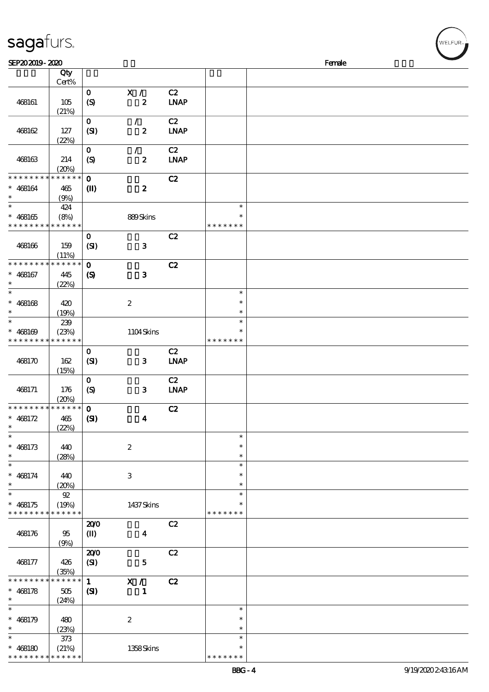| sagafurs.                                              |                      |                                 |                              |                            |                         | WELFUR <sup>w</sup> |
|--------------------------------------------------------|----------------------|---------------------------------|------------------------------|----------------------------|-------------------------|---------------------|
| SEP202019-2020                                         |                      |                                 |                              |                            |                         | Female              |
|                                                        | Qty                  |                                 |                              |                            |                         |                     |
|                                                        | Cert%                |                                 |                              |                            |                         |                     |
| 468161                                                 | 105                  | $\mathbf 0$<br>$\boldsymbol{S}$ | X /<br>$\boldsymbol{z}$      | C2<br><b>LNAP</b>          |                         |                     |
|                                                        | (21%)                |                                 |                              |                            |                         |                     |
|                                                        |                      | $\mathbf 0$                     | 7.                           | C2                         |                         |                     |
| 468162                                                 | 127                  | (SI)                            | $\boldsymbol{z}$             | <b>LNAP</b>                |                         |                     |
|                                                        | (22%)                |                                 |                              |                            |                         |                     |
| 468163                                                 | 214                  | $\mathbf O$<br>$\boldsymbol{S}$ | $\prime$<br>$\boldsymbol{z}$ | C2<br><b>LNAP</b>          |                         |                     |
|                                                        | (20%)                |                                 |                              |                            |                         |                     |
| * * * * * * * *                                        | * * * * * *          | $\mathbf{o}$                    |                              | C2                         |                         |                     |
| $* 468164$                                             | 465                  | $\mathbf{I}$                    | $\boldsymbol{z}$             |                            |                         |                     |
| $\ast$<br>$\ast$                                       | (9%)                 |                                 |                              |                            | $\ast$                  |                     |
| $* 468165$                                             | 424<br>(8%)          |                                 | 889Skins                     |                            | $\ast$                  |                     |
| * * * * * * * *                                        | * * * * * *          |                                 |                              |                            | * * * * * * *           |                     |
|                                                        |                      | $\mathbf{o}$                    |                              | C2                         |                         |                     |
| 468166                                                 | 159                  | (SI)                            | $\mathbf{3}$                 |                            |                         |                     |
|                                                        | (11%)                |                                 |                              |                            |                         |                     |
| * * * * * * * *                                        | * * * * * *          | $\mathbf 0$                     |                              | C2                         |                         |                     |
| $* 468167$<br>$\ast$                                   | 445<br>(22%)         | $\boldsymbol{S}$                | $\bf{3}$                     |                            |                         |                     |
| $\ast$                                                 |                      |                                 |                              |                            | $\ast$                  |                     |
| $* 468168$                                             | 420                  |                                 | $\boldsymbol{2}$             |                            | $\ast$                  |                     |
| $\ast$                                                 | (19%)                |                                 |                              |                            | $\ast$                  |                     |
| $\ast$                                                 | 239                  |                                 |                              |                            | $\ast$                  |                     |
| $* 468169$<br>* * * * * * * * <mark>* * * * * *</mark> | (23%)                |                                 | 1104Skins                    |                            | $\ast$<br>* * * * * * * |                     |
|                                                        |                      | $\mathbf 0$                     |                              | C2                         |                         |                     |
| 468170                                                 | 162                  | (SI)                            | $\mathbf{3}$                 | <b>LNAP</b>                |                         |                     |
|                                                        | (15%)                |                                 |                              |                            |                         |                     |
|                                                        |                      | $\mathbf 0$                     |                              | C2                         |                         |                     |
| 468171                                                 | 176                  | $\boldsymbol{\mathrm{(S)}}$     | 3                            | $\ensuremath{\text{INAP}}$ |                         |                     |
| * * * * * * * * * * * * * *                            | (20%)                | $\mathbf 0$                     |                              | C2                         |                         |                     |
| $* 468172$                                             | 465                  | (S)                             | $\boldsymbol{4}$             |                            |                         |                     |
| $\ast$                                                 | (22%)                |                                 |                              |                            |                         |                     |
| $\ast$                                                 |                      |                                 |                              |                            | $\ast$                  |                     |
| $* 468173$<br>$\ast$                                   | 440                  |                                 | $\boldsymbol{z}$             |                            | ∗<br>$\ast$             |                     |
| $\ast$                                                 | (28%)                |                                 |                              |                            | $\ast$                  |                     |
| $* 468174$                                             | 440                  |                                 | $\,3\,$                      |                            | $\ast$                  |                     |
| $\ast$                                                 | (20%)                |                                 |                              |                            | $\ast$                  |                     |
| $\ast$                                                 | ${\mathfrak A}$      |                                 |                              |                            | $\ast$                  |                     |
| $* 468175$<br>* * * * * * * * <mark>* * * * * *</mark> | (19%)                |                                 | 1437Skins                    |                            | *<br>* * * * * * *      |                     |
|                                                        |                      | 200                             |                              | C2                         |                         |                     |
| 468176                                                 | 95                   | $(\mathbf{I})$                  | $\boldsymbol{4}$             |                            |                         |                     |
|                                                        | (9%)                 |                                 |                              |                            |                         |                     |
|                                                        |                      | 200                             |                              | C2                         |                         |                     |
| 468177                                                 | 426                  | (SI)                            | ${\bf 5}$                    |                            |                         |                     |
| * * * * * * * *                                        | (35%)<br>* * * * * * | $\mathbf{1}$                    | X /                          | C2                         |                         |                     |
|                                                        |                      |                                 |                              |                            |                         |                     |

\*\*\*

 $\overline{\ast}$  $\ast$  $\ast$ 

\*\*

 $\overline{\phantom{0}}$  $\ast$ 

\* \* \* \* \* \*

 $(SI)$  1

(21%) 1358 Skins

2

(24%)

 $(23%)$ 

373

 $* 468179$  480

\* \* \* \* \* \* \*

\*\*  $* 468178$ 

 $\ast$  $\overline{\phantom{a}}$ 

\*\*\*

 $\ast$ 

\*  $*$  468180 \* \* \* \* \* \*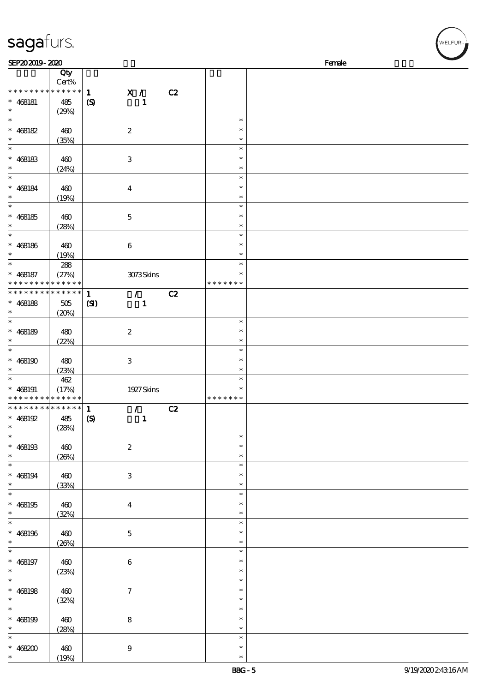| sagafurs.                                                                |                                     |                                                                            |                                      |        | WELFUR <sub>™</sub> |
|--------------------------------------------------------------------------|-------------------------------------|----------------------------------------------------------------------------|--------------------------------------|--------|---------------------|
| SEP202019-2020                                                           |                                     |                                                                            |                                      | Female |                     |
|                                                                          | Qty<br>Cert%                        |                                                                            |                                      |        |                     |
| * * * * * * * *<br>$* 468181$<br>$\ast$                                  | $******$<br>485<br>(29%)            | X /<br>C2<br>$\mathbf{1}$<br>$\pmb{\mathcal{S}}$<br>1                      |                                      |        |                     |
| $\ast$<br>$* 468182$<br>$\ast$<br>$\ast$                                 | 460<br>(35%)                        | $\boldsymbol{2}$                                                           | $\ast$<br>$\ast$<br>$\ast$<br>$\ast$ |        |                     |
| $* 468183$<br>$\ast$                                                     | 460<br>(24%)                        | $\,3$                                                                      | $\ast$<br>$\ast$<br>$\ast$           |        |                     |
| $* 468184$<br>$\ast$<br>$\ast$                                           | 460<br>(19%)                        | $\boldsymbol{4}$                                                           | $\ast$<br>$\ast$<br>$\ast$           |        |                     |
| $* 468185$<br>$\ast$<br>$\ast$                                           | 460<br>(28%)                        | $\mathbf 5$                                                                | $\ast$<br>$\ast$<br>$\ast$           |        |                     |
| $* 468186$<br>$\ast$<br>$\ast$                                           | 460<br>(19%)<br>288                 | $\bf 6$                                                                    | $\ast$<br>∗<br>$\ast$                |        |                     |
| $* 468187$<br>* * * * * * * *<br>* * * * * * * *                         | (27%)<br>* * * * * *<br>* * * * * * | 3073Skins                                                                  | $\ast$<br>* * * * * * *              |        |                     |
| $* 468188$<br>$\ast$<br>$\ast$                                           | 505<br>(20%)                        | $\mathbf{1}$<br>C2<br>$\mathcal{L}$<br>$\mathbf{C}$<br>$\mathbf{1}$        | $\ast$                               |        |                     |
| $* 468189$<br>$\ast$                                                     | 480<br>(22%)                        | $\boldsymbol{2}$                                                           | $\ast$<br>$\ast$<br>$\ast$           |        |                     |
| $* 468190$<br>$\ast$<br>$\ast$                                           | 480<br>(23%)                        | $\,3$                                                                      | $\ast$<br>$\ast$<br>$\ast$           |        |                     |
| $* 468191$<br>* * * * * * * * * * * * * *<br>* * * * * * * * * * * * * * | 462<br>(17%)                        | 1927 Skins                                                                 | $\ast$<br>* * * * * * *              |        |                     |
| $* 468192$<br>$\ast$<br>$\overline{\phantom{0}}$                         | 485<br>(28%)                        | $\mathbf{1}$<br>$\mathcal{L}$<br>C2<br>$\pmb{\mathcal{S}}$<br>$\mathbf{1}$ | $\ast$                               |        |                     |
| $* 468193$<br>$\ast$<br>$\ast$                                           | 460<br>(20%)                        | $\boldsymbol{z}$                                                           | ∗<br>$\ast$<br>$\ast$                |        |                     |
| $* 468194$<br>$\ast$<br>$\ast$                                           | 460<br>(33%)                        | $\,3$                                                                      | $\ast$<br>$\ast$<br>$\ast$           |        |                     |
| $* 468195$<br>$\ast$<br>$\ast$                                           | 460<br>(32%)                        | $\overline{\mathbf{4}}$                                                    | $\ast$<br>$\ast$<br>$\ast$           |        |                     |
| $* 468196$<br>$\ast$                                                     | 460<br>(20%)                        | $\mathbf 5$                                                                | $\ast$<br>$\ast$                     |        |                     |
| $\ast$<br>$* 468197$<br>$\ast$                                           | 460<br>(23%)                        | $\bf 6$                                                                    | $\ast$<br>$\ast$<br>$\ast$           |        |                     |
| $\ast$<br>$* 468198$<br>$\ast$                                           | 460<br>(32%)                        | $\tau$                                                                     | $\ast$<br>$\ast$<br>∗                |        |                     |
| $\overline{\phantom{0}}$<br>$* 468199$<br>$\ast$                         | 460<br>(28%)                        | ${\bf 8}$                                                                  | $\ast$<br>$\ast$<br>$\ast$           |        |                     |
| $\ast$<br>$* 468200$<br>$\ast$                                           | 460<br>(19%)                        | $\boldsymbol{9}$                                                           | $\ast$<br>$\ast$<br>$\ast$           |        |                     |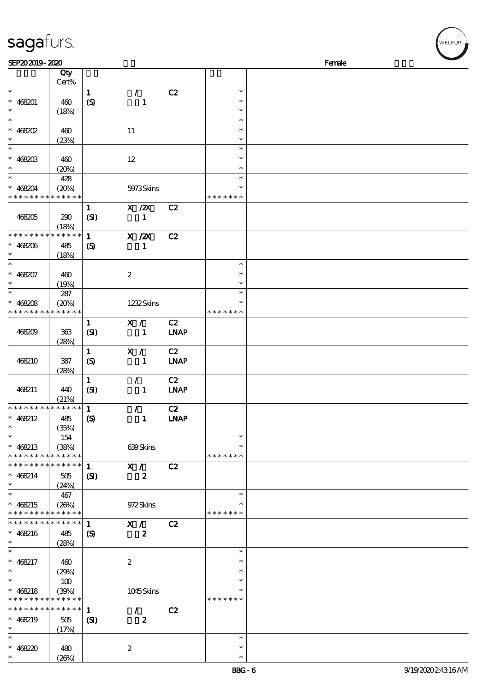| SEP202019-2020       |             |                             |                  |             |               | Female |
|----------------------|-------------|-----------------------------|------------------|-------------|---------------|--------|
|                      | Qty         |                             |                  |             |               |        |
|                      | Cert%       |                             |                  |             |               |        |
| $\ast$               |             | $\mathbf{1}$                | $\mathcal{L}$    | C2          | $\ast$        |        |
| $* 468201$           | 460         | (S)                         | $\mathbf{1}$     |             | $\ast$        |        |
| $\ast$               | (18%)       |                             |                  |             | $\ast$        |        |
| $\ast$               |             |                             |                  |             | $\ast$        |        |
| $* 468202$           | 460         |                             | 11               |             | $\ast$        |        |
| $\ast$               |             |                             |                  |             | $\ast$        |        |
| $\ast$               | (23%)       |                             |                  |             | $\ast$        |        |
|                      |             |                             |                  |             | $\ast$        |        |
| $* 468203$<br>$\ast$ | 460         |                             | $12\,$           |             | $\ast$        |        |
| $\ast$               | (20%)       |                             |                  |             |               |        |
|                      | 428         |                             |                  |             | $\ast$        |        |
| $* 468204$           | (20%)       |                             | 5973Skins        |             | $\ast$        |        |
| * * * * * * * *      | * * * * * * |                             |                  |             | * * * * * * * |        |
|                      |             | $\mathbf{1}$                | X / ZX           | C2          |               |        |
| 468205               | 290         | (SI)                        | $\mathbf{1}$     |             |               |        |
|                      | (18%)       |                             |                  |             |               |        |
| * * * * * * *        | * * * * * * | $\mathbf{1}$                | $X$ / $ZX$       | C2          |               |        |
| $* 468206$           | 485         | $\boldsymbol{\mathcal{S}}$  | $\mathbf{1}$     |             |               |        |
| $\ast$               | (18%)       |                             |                  |             |               |        |
| $\overline{\ast}$    |             |                             |                  |             | $\ast$        |        |
| $* 468207$           | 460         |                             | $\boldsymbol{2}$ |             | $\ast$        |        |
| $\ast$               | (19%)       |                             |                  |             | $\ast$        |        |
| $\ast$               | 287         |                             |                  |             | $\ast$        |        |
| $* 468208$           | (20%)       |                             | 1232Skins        |             | $\ast$        |        |
| * * * * * * * *      | * * * * * * |                             |                  |             | * * * * * * * |        |
|                      |             | $\mathbf{1}$                |                  | C2          |               |        |
|                      |             |                             | X /              |             |               |        |
| 468209               | 363         | (SI)                        | $\mathbf{1}$     | <b>LNAP</b> |               |        |
|                      | (28%)       |                             |                  |             |               |        |
|                      |             | $\mathbf{1}$                | X /              | C2          |               |        |
| 468210               | 387         | (S)                         | $\mathbf{1}$     | <b>LNAP</b> |               |        |
|                      | (28%)       |                             |                  |             |               |        |
|                      |             | $\mathbf{1}$                | $\mathcal{L}$    | C2          |               |        |
| 468211               | 440         | (SI)                        | $\mathbf{1}$     | <b>LNAP</b> |               |        |
|                      | (21%)       |                             |                  |             |               |        |
| * * * * * * * *      | * * * * * * | $\mathbf{1}$                | $\mathcal{L}$    | C2          |               |        |
| * $468212$           | 485         | $\boldsymbol{\mathrm{(S)}}$ | $\mathbf{1}$     | <b>LNAP</b> |               |        |
| $\ast$               | (35%)       |                             |                  |             |               |        |
| $\ast$               | 154         |                             |                  |             | $\ast$        |        |
| $* 468213$           | (38%)       |                             | 639Skins         |             | $\ast$        |        |
| * * * * * * * *      | * * * * * * |                             |                  |             | * * * * * * * |        |
| * * * * * * * *      | * * * * * * | 1                           | X /              | C2          |               |        |
| $* 468214$           | 505         | $\mathbf{S}$                | $\boldsymbol{z}$ |             |               |        |
| $\ast$               | (24%)       |                             |                  |             |               |        |
| $\ast$               | 467         |                             |                  |             | $\ast$        |        |
| $* 468215$           | (20%)       |                             | 972Skins         |             | $\ast$        |        |
| * * * * * * * *      | * * * * * * |                             |                  |             | * * * * * * * |        |
| * * * * * * * *      | * * * * * * | $\mathbf{1}$                | X /              | C2          |               |        |
| $* 468216$           | 485         | $\boldsymbol{S}$            | $\boldsymbol{z}$ |             |               |        |
| $\ast$               |             |                             |                  |             |               |        |
| $\ast$               | (28%)       |                             |                  |             | $\ast$        |        |
|                      |             |                             |                  |             |               |        |
| $* 468217$           | 460         |                             | $\boldsymbol{2}$ |             | $\ast$        |        |
| $\ast$               | (29%)       |                             |                  |             | $\ast$        |        |
| $\overline{\ast}$    | 100         |                             |                  |             | $\ast$        |        |
| $* 468218$           | (30%)       |                             | 1045Skins        |             |               |        |
| * * * * * * * *      | * * * * * * |                             |                  |             | * * * * * * * |        |
| * * * * * * * *      | * * * * * * | $\mathbf{1}$                | $\mathcal{L}$    | C2          |               |        |
| $* 468219$           | 505         | $\mathbf{S}$                | $\boldsymbol{z}$ |             |               |        |
| $\ast$               | (17%)       |                             |                  |             |               |        |
| $\ast$               |             |                             |                  |             | $\ast$        |        |
| $* 468220$           | 480         |                             | $\boldsymbol{2}$ |             | $\ast$        |        |
| *                    | (20%)       |                             |                  |             | $\ast$        |        |

(26%)

sagafurs.

.<br>WELFUR-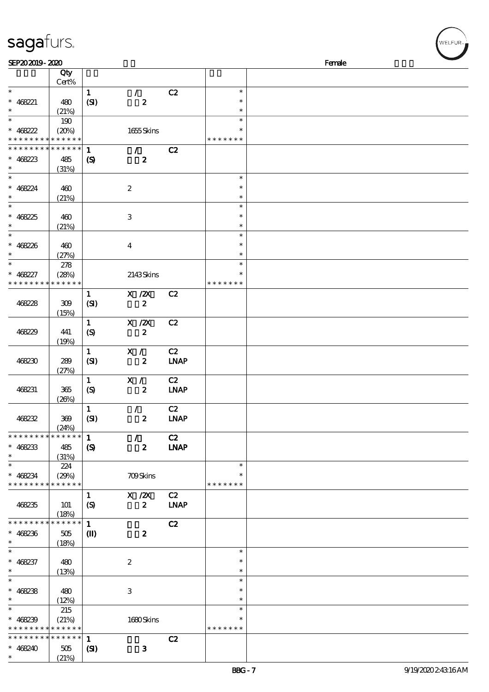| sagafurs.                                |             |                            |                  |             |               |        | WELFUR <sub>™</sub> |
|------------------------------------------|-------------|----------------------------|------------------|-------------|---------------|--------|---------------------|
| SEP202019-2020                           |             |                            |                  |             |               | Female |                     |
|                                          | Qty         |                            |                  |             |               |        |                     |
|                                          | Cert%       |                            |                  |             |               |        |                     |
| $\ast$                                   |             | $\mathbf{1}$               | $\mathcal{L}$    | C2          | $\ast$        |        |                     |
| $* 468221$                               | 480         | (SI)                       | $\pmb{2}$        |             | $\ast$        |        |                     |
| $\ast$                                   | (21%)       |                            |                  |             | $\ast$        |        |                     |
| $\ast$                                   | 190         |                            |                  |             | $\ast$        |        |                     |
| $* 468222$                               | (20%)       |                            | 1655Skins        |             | $\ast$        |        |                     |
| * * * * * * * *                          | * * * * * * |                            |                  |             | * * * * * * * |        |                     |
| * * * * * * * *                          | * * * * * * | $\mathbf{1}$               | $\mathcal{L}$    | C2          |               |        |                     |
| $* 468223$                               | 485         | $\boldsymbol{\mathcal{S}}$ | $\boldsymbol{z}$ |             |               |        |                     |
|                                          | (31%)       |                            |                  |             |               |        |                     |
| $\ast$                                   |             |                            |                  |             | $\ast$        |        |                     |
| $* 468224$                               | 460         |                            | $\boldsymbol{2}$ |             | $\ast$        |        |                     |
|                                          | (21%)       |                            |                  |             | $\ast$        |        |                     |
| $\ast$                                   |             |                            |                  |             | $\ast$        |        |                     |
| $* 468225$                               | 460         |                            | $\,3$            |             | $\ast$        |        |                     |
| $\ast$                                   | (21%)       |                            |                  |             | $\ast$        |        |                     |
| $\ast$                                   |             |                            |                  |             | $\ast$        |        |                     |
| $* 468226$                               | 460         |                            | $\boldsymbol{4}$ |             | $\ast$        |        |                     |
|                                          | (27%)       |                            |                  |             | $\ast$        |        |                     |
| $\ast$                                   | 278         |                            |                  |             | $\ast$        |        |                     |
| $* 468227$                               | (28%)       |                            | 2143Skins        |             | $\ast$        |        |                     |
| * * * * * * *                            | * * * * * * |                            |                  |             | * * * * * * * |        |                     |
|                                          |             | $\mathbf{1}$               | $X$ / $ZX$       | C2          |               |        |                     |
| 468228                                   | 309         | (SI)                       | $\boldsymbol{z}$ |             |               |        |                     |
|                                          | (15%)       |                            |                  |             |               |        |                     |
|                                          |             | $\mathbf{1}$               | $X$ / $ZX$       | C2          |               |        |                     |
| 468229                                   | 441         | $\boldsymbol{S}$           | $\boldsymbol{z}$ |             |               |        |                     |
|                                          | (19%)       |                            |                  |             |               |        |                     |
|                                          |             | $\mathbf{1}$               | X /              | C2          |               |        |                     |
| 468230                                   | 289         | (SI)                       | $\boldsymbol{z}$ | <b>LNAP</b> |               |        |                     |
|                                          | (27%)       |                            |                  |             |               |        |                     |
|                                          |             | $\mathbf{1}$               | X /              | C2          |               |        |                     |
| 468231                                   | 365         | (S)                        | $\boldsymbol{2}$ | <b>LNAP</b> |               |        |                     |
|                                          | (20%)       |                            |                  |             |               |        |                     |
|                                          |             | $\mathbf{1}$               | $\mathcal{L}$    | C2          |               |        |                     |
| 468232                                   | 369         | (SI)                       | $\boldsymbol{z}$ | <b>LNAP</b> |               |        |                     |
|                                          | (24%)       |                            |                  |             |               |        |                     |
| * * * * * * * *                          | * * * * * * | 1                          | $\mathcal{L}$    | C2          |               |        |                     |
| $* 468233$                               | 485         | $\mathbf{S}$               | $\boldsymbol{z}$ | <b>LNAP</b> |               |        |                     |
| $\ast$                                   | (31%)       |                            |                  |             |               |        |                     |
| $\ast$                                   | 224         |                            |                  |             | $\ast$        |        |                     |
| $* 468234$                               | (29%)       |                            | <b>709Skins</b>  |             | ∗             |        |                     |
| * * * * * * * * * * * * * *              |             |                            |                  |             | * * * * * * * |        |                     |
|                                          |             | $\mathbf{1}$               | $X$ / $ZX$       | C2          |               |        |                     |
| 468235                                   | 101         | (S)                        | $\mathbf{2}$     | <b>LNAP</b> |               |        |                     |
| * * * * * * * * * * * * * *              | (18%)       | $\mathbf{1}$               |                  | C2          |               |        |                     |
| $* 468236$                               | 505         | $\mathbf{I}$               | $\boldsymbol{z}$ |             |               |        |                     |
| $\ast$                                   |             |                            |                  |             |               |        |                     |
| $\ast$                                   | (18%)       |                            |                  |             | $\ast$        |        |                     |
| $* 468237$                               | 480         |                            | $\boldsymbol{2}$ |             | $\ast$        |        |                     |
| $\ast$                                   | (13%)       |                            |                  |             | $\ast$        |        |                     |
| $\ast$                                   |             |                            |                  |             | $\ast$        |        |                     |
| $* 468238$                               | 480         |                            | $\,3$            |             | $\ast$        |        |                     |
| $\ast$                                   | (12%)       |                            |                  |             | $\ast$        |        |                     |
| $\ast$                                   | 215         |                            |                  |             | $\ast$        |        |                     |
| $* 468239$                               | (21%)       |                            | 1680Skins        |             | $\ast$        |        |                     |
| * * * * * * * * <mark>* * * * * *</mark> |             |                            |                  |             | * * * * * * * |        |                     |
| * * * * * * * *                          | * * * * * * | $\mathbf{1}$               |                  | C2          |               |        |                     |
| $* 468240$                               | 505         | $\mathbf{S}$               | $\mathbf{3}$     |             |               |        |                     |
| $\ast$                                   | (21%)       |                            |                  |             |               |        |                     |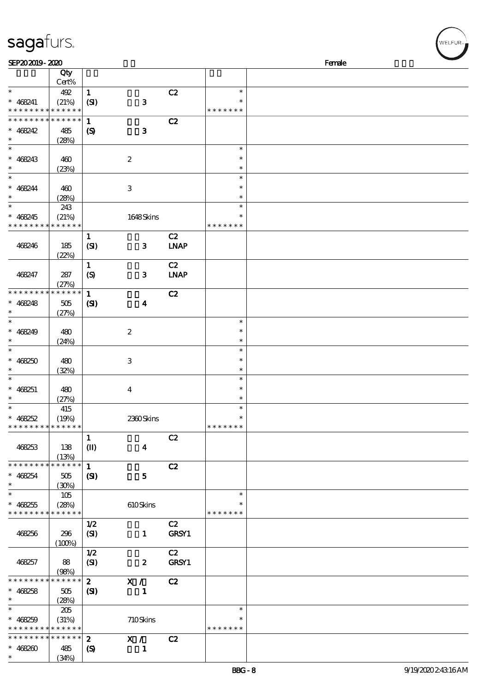| sagafurs.                                |                                |                             |                  |             |               |        | WELFUR <sub>™</sub> |
|------------------------------------------|--------------------------------|-----------------------------|------------------|-------------|---------------|--------|---------------------|
| SEP202019-2020                           |                                |                             |                  |             |               | Female |                     |
|                                          | Qty                            |                             |                  |             |               |        |                     |
|                                          | Cert%                          |                             |                  |             |               |        |                     |
| $\ast$                                   | 492                            | $\mathbf{1}$                |                  | C2          | $\ast$        |        |                     |
| $* 468241$                               | (21%)                          | (SI)                        | ${\bf 3}$        |             | ∗             |        |                     |
| * * * *                                  | * * * * * *                    |                             |                  |             | * * * * * * * |        |                     |
| * * * * *                                | * * * * * *                    | $\mathbf{1}$                |                  | C2          |               |        |                     |
| $* 468242$                               | 485                            | $\boldsymbol{S}$            | $\bf{3}$         |             |               |        |                     |
| $\ast$                                   | (28%)                          |                             |                  |             |               |        |                     |
| $\ast$                                   |                                |                             |                  |             | $\ast$        |        |                     |
| $* 468243$                               | 460                            |                             | $\boldsymbol{2}$ |             | $\ast$        |        |                     |
|                                          | (23%)                          |                             |                  |             | $\ast$        |        |                     |
| $\ast$                                   |                                |                             |                  |             | $\ast$        |        |                     |
| $* 468244$                               |                                |                             |                  |             | $\ast$        |        |                     |
|                                          | 460                            |                             | $\,3$            |             | $\ast$        |        |                     |
| $\ast$                                   | (28%)                          |                             |                  |             | $\ast$        |        |                     |
|                                          | 243                            |                             |                  |             |               |        |                     |
| $* 468245$                               | (21%)                          |                             | 1648Skins        |             | $\ast$        |        |                     |
| * * * * * * * *                          | * * * * * *                    |                             |                  |             | * * * * * * * |        |                     |
|                                          |                                | $\mathbf{1}$                |                  | C2          |               |        |                     |
| 468246                                   | 185                            | (SI)                        | $\mathbf{3}$     | <b>LNAP</b> |               |        |                     |
|                                          | (22%)                          |                             |                  |             |               |        |                     |
|                                          |                                | $\mathbf 1$                 |                  | C2          |               |        |                     |
| 468247                                   | 287                            | (S)                         | 3                | <b>LNAP</b> |               |        |                     |
|                                          | (27%)                          |                             |                  |             |               |        |                     |
| * * * * * * * *                          | * * * * * *                    | $\mathbf{1}$                |                  | C2          |               |        |                     |
| $* 468248$                               | 505                            | $\mathbf{C}$                | $\boldsymbol{4}$ |             |               |        |                     |
| $\ast$                                   | (27%)                          |                             |                  |             |               |        |                     |
| $\ast$                                   |                                |                             |                  |             | $\ast$        |        |                     |
| $* 468249$                               | 480                            |                             | $\boldsymbol{2}$ |             | $\ast$        |        |                     |
|                                          | (24%)                          |                             |                  |             | $\ast$        |        |                     |
| $\ast$                                   |                                |                             |                  |             | $\ast$        |        |                     |
| * $468250$                               | 480                            |                             | $\,3$            |             | $\ast$        |        |                     |
|                                          | (32%)                          |                             |                  |             | $\ast$        |        |                     |
| $\ast$                                   |                                |                             |                  |             | $\ast$        |        |                     |
| $* 468251$                               | 480                            |                             | $\boldsymbol{4}$ |             | $\ast$        |        |                     |
| $\ast$                                   | (27%)                          |                             |                  |             | $\ast$        |        |                     |
| $\ast$                                   | 415                            |                             |                  |             | $\ast$        |        |                     |
| 468252<br>$\ast$                         | (19%)                          |                             | 2360Skins        |             | $\ast$        |        |                     |
| * * * * * * * *                          | * * * * * *                    |                             |                  |             | * * * * * * * |        |                     |
|                                          |                                | $\mathbf{1}$                |                  | C2          |               |        |                     |
| 468253                                   | 138                            | $\mathbf{I}$                | $\boldsymbol{4}$ |             |               |        |                     |
|                                          | (13%)                          |                             |                  |             |               |        |                     |
| * * * * * * * *                          | * * * * * *                    | $\mathbf{1}$                |                  | C2          |               |        |                     |
| $* 468254$                               | 505                            | $\mathbf{C}$                | 5                |             |               |        |                     |
| $\ast$                                   | (30%)                          |                             |                  |             |               |        |                     |
| $\ast$                                   | 105                            |                             |                  |             | $\ast$        |        |                     |
| $* 468255$                               | (28%)                          |                             | 610Skins         |             | ∗             |        |                     |
| * * * * * * * * <mark>* * * * * *</mark> |                                |                             |                  |             | * * * * * * * |        |                     |
|                                          |                                | 1/2                         |                  | C2          |               |        |                     |
| 468256                                   | 296                            | (SI)                        | $\mathbf{1}$     | GRSY1       |               |        |                     |
|                                          | (100%)                         |                             |                  |             |               |        |                     |
|                                          |                                | 1/2                         |                  | C2          |               |        |                     |
|                                          |                                |                             |                  | GRSY1       |               |        |                     |
| 468257                                   | 88                             | (SI)                        | $\boldsymbol{z}$ |             |               |        |                     |
| * * * * * * * *                          | (98%)<br>* * * * * *           | $\mathbf{2}$                | X /              | C2          |               |        |                     |
|                                          |                                |                             |                  |             |               |        |                     |
| $* 468258$<br>$\ast$                     | 505                            | (S)                         | $\mathbf{1}$     |             |               |        |                     |
| $\ast$                                   | (28%)                          |                             |                  |             | $\ast$        |        |                     |
|                                          | 205                            |                             |                  |             |               |        |                     |
| $* 468259$                               | (31%)<br>* * * * * * * * * * * |                             | 710Skins         |             | $\ast$        |        |                     |
|                                          |                                |                             |                  |             | * * * * * * * |        |                     |
| * * * * * * * *                          | $* * * * * * *$                | $\boldsymbol{z}$            | X /              | C2          |               |        |                     |
| $* 468260$<br>$\ast$                     | 485                            | $\boldsymbol{\mathsf{(S)}}$ | 1                |             |               |        |                     |
|                                          | (34%)                          |                             |                  |             |               |        |                     |

(34%)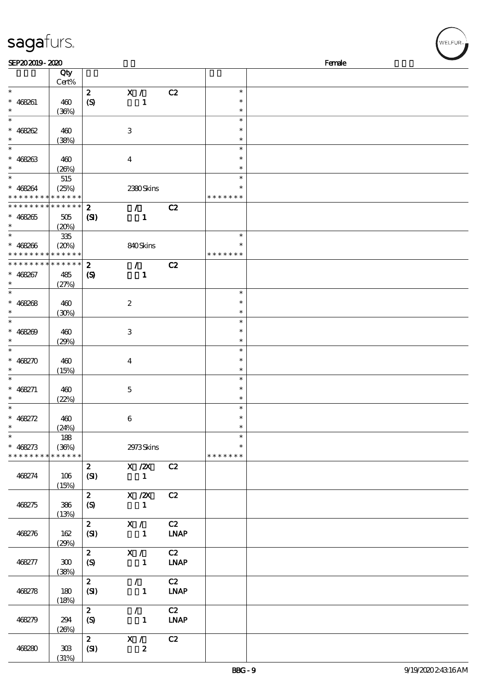| SEP202019-2020              |                            |                             |                         |             |               | Female |
|-----------------------------|----------------------------|-----------------------------|-------------------------|-------------|---------------|--------|
|                             | Qty                        |                             |                         |             |               |        |
|                             | $Cert\%$                   |                             |                         |             |               |        |
| $\ast$                      |                            |                             |                         |             | $\ast$        |        |
|                             |                            | $\boldsymbol{z}$            | X /                     | C2          |               |        |
| $* 468261$                  | 460                        | $\boldsymbol{\mathrm{(S)}}$ | $\mathbf{1}$            |             | $\ast$        |        |
| $\ast$                      | (36%)                      |                             |                         |             | $\ast$        |        |
| $\ast$                      |                            |                             |                         |             | $\ast$        |        |
| $* 468262$                  | 460                        |                             | $\,3$                   |             | $\ast$        |        |
| $\ast$                      | (38%)                      |                             |                         |             | $\ast$        |        |
| $\ast$                      |                            |                             |                         |             | $\ast$        |        |
|                             |                            |                             |                         |             |               |        |
| $* 468263$                  | 460                        |                             | $\boldsymbol{4}$        |             | $\ast$        |        |
| $\ast$                      | (20%)                      |                             |                         |             | $\ast$        |        |
| $\ast$                      | 515                        |                             |                         |             | $\ast$        |        |
| $* 468264$                  | (25%)                      |                             | 2380Skins               |             |               |        |
| * * * * * * * * * * * * * * |                            |                             |                         |             | * * * * * * * |        |
| * * * * * * * *             | $\ast\ast\ast\ast\ast\ast$ | $\boldsymbol{z}$            | $\mathcal{L}$           | C2          |               |        |
|                             |                            |                             |                         |             |               |        |
| $* 468265$                  | 505                        | (S)                         | $\mathbf{1}$            |             |               |        |
| $\ast$                      | (20%)                      |                             |                         |             |               |        |
| $\overline{\ast}$           | $335\,$                    |                             |                         |             | $\ast$        |        |
| $* 468266$                  | (20%)                      |                             | 840Skins                |             | $\ast$        |        |
| * * * * * * * *             | * * * * * *                |                             |                         |             | * * * * * * * |        |
| * * * * * * * *             | ******                     | $\boldsymbol{2}$            | $\mathcal{L}$           | C2          |               |        |
|                             |                            |                             |                         |             |               |        |
| $* 468267$                  | 485                        | $\boldsymbol{S}$            | $\mathbf{1}$            |             |               |        |
| $\ast$                      | (27%)                      |                             |                         |             |               |        |
| $\ast$                      |                            |                             |                         |             | $\ast$        |        |
| $* 468268$                  | 460                        |                             | $\boldsymbol{2}$        |             | $\ast$        |        |
| $\ast$                      |                            |                             |                         |             | $\ast$        |        |
| $\ast$                      | (30%)                      |                             |                         |             | $\ast$        |        |
|                             |                            |                             |                         |             |               |        |
| $* 468209$                  | 460                        |                             | $\,3$                   |             | $\ast$        |        |
| $\ast$                      | (29%)                      |                             |                         |             | $\ast$        |        |
| $\ast$                      |                            |                             |                         |             | $\ast$        |        |
| * $468270$                  | 460                        |                             | $\overline{\mathbf{4}}$ |             | *             |        |
| $\ast$                      |                            |                             |                         |             | $\ast$        |        |
|                             | (15%)                      |                             |                         |             |               |        |
| $\ast$                      |                            |                             |                         |             | $\ast$        |        |
| * $468271$                  | 460                        |                             | $\mathbf 5$             |             | $\ast$        |        |
| $\ast$                      | (22%)                      |                             |                         |             | $\ast$        |        |
| $\ast$                      |                            |                             |                         |             | $\ast$        |        |
| $* 468272$                  | 460                        |                             | 6                       |             | $\ast$        |        |
|                             |                            |                             |                         |             |               |        |
| $\overline{\phantom{0}}$    | (24%)                      |                             |                         |             |               |        |
|                             | 188                        |                             |                         |             | $\ast$        |        |
| $* 468273$                  | (36%)                      |                             | 2973Skins               |             | $\ast$        |        |
| * * * * * * * *             | * * * * * *                |                             |                         |             | * * * * * * * |        |
|                             |                            | $\mathbf{2}$                | $X / ZX$ $C2$           |             |               |        |
| 468274                      | 106                        | (SI)                        | $\blacksquare$          |             |               |        |
|                             |                            |                             |                         |             |               |        |
|                             | (15%)                      |                             |                         |             |               |        |
|                             |                            | $\mathbf{2}$                | $X$ /2 $X$ $C2$         |             |               |        |
| 468275                      | 386                        | (S)                         | $\mathbf{1}$            |             |               |        |
|                             | (13%)                      |                             |                         |             |               |        |
|                             |                            | $\mathbf{2}$                | X / C2                  |             |               |        |
| 468276                      | 162                        | (SI)                        | $\mathbf{1}$            | <b>LNAP</b> |               |        |
|                             |                            |                             |                         |             |               |        |
|                             | (29%)                      |                             |                         |             |               |        |
|                             |                            | $\mathbf{2}$                | X / C2                  |             |               |        |
| 468277                      | 300                        | (S)                         | $\mathbf{1}$            | <b>LNAP</b> |               |        |
|                             | (38%)                      |                             |                         |             |               |        |
|                             |                            | $2^{\circ}$                 | $\mathcal{T}^{\pm}$     | C2          |               |        |
| 468278                      | 180                        | (SI)                        | $\mathbf{1}$            | <b>LNAP</b> |               |        |
|                             |                            |                             |                         |             |               |        |
|                             | (18%)                      |                             |                         |             |               |        |
|                             |                            | $\mathbf{z}$                | $\mathcal{L}$           | C2          |               |        |
| 468279                      | 294                        | (S)                         | $\mathbf{1}$            | <b>LNAP</b> |               |        |
|                             | (20%)                      |                             |                         |             |               |        |
|                             |                            | $2^{\circ}$                 | X /                     | C2          |               |        |
| 468280                      | $30\%$                     | (SI)                        | $\boldsymbol{z}$        |             |               |        |
|                             |                            |                             |                         |             |               |        |
|                             | (31%)                      |                             |                         |             |               |        |

WELFUR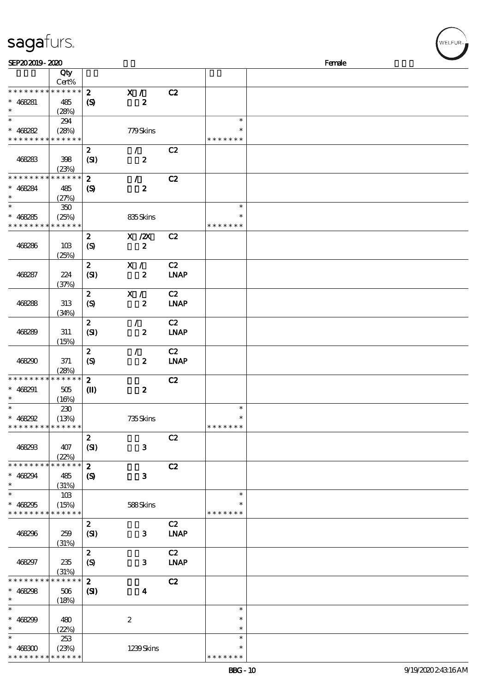## sagafurs.

| SEP202019-2020                            |                      |                             |                  |             |               | Female |
|-------------------------------------------|----------------------|-----------------------------|------------------|-------------|---------------|--------|
|                                           | Qty                  |                             |                  |             |               |        |
|                                           | Cert%                |                             |                  |             |               |        |
| * * * * * * * * * * * * * *               |                      | $\boldsymbol{z}$            | X /              | C2          |               |        |
| $* 468281$                                | 485                  | $\boldsymbol{\mathsf{(S)}}$ | $\boldsymbol{z}$ |             |               |        |
| $\ast$                                    | (28%)                |                             |                  |             |               |        |
| $\ast$                                    | 294                  |                             |                  |             | $\ast$        |        |
| $* 468282$                                | (28%)                |                             | 779Skins         |             | ∗             |        |
| * * * * * * * * * * * * * *               |                      |                             |                  |             | * * * * * * * |        |
|                                           |                      | $\boldsymbol{z}$            | $\mathcal{L}$    | C2          |               |        |
| 468283                                    | 398                  | (SI)                        | $\boldsymbol{z}$ |             |               |        |
|                                           | (23%)                |                             |                  |             |               |        |
| * * * * * * * *                           | * * * * * *          | $\boldsymbol{z}$            | $\mathcal{L}$    | C2          |               |        |
| $* 468284$                                | 485                  | $\boldsymbol{S}$            | $\boldsymbol{z}$ |             |               |        |
| $\ast$                                    | (27%)                |                             |                  |             |               |        |
| $\ast$                                    | $350\,$              |                             |                  |             | $\ast$        |        |
| $* 468285$                                | (25%)                |                             | 835Skins         |             | $\ast$        |        |
| * * * * * * * * * * * * * *               |                      |                             |                  |             | * * * * * * * |        |
|                                           |                      | $\boldsymbol{z}$            | $X$ / $ZX$       | C2          |               |        |
| 468286                                    | 10B                  | $\boldsymbol{S}$            | $\boldsymbol{z}$ |             |               |        |
|                                           | (25%)                |                             |                  |             |               |        |
|                                           |                      | $\boldsymbol{z}$            | X /              | C2          |               |        |
| 468287                                    |                      |                             | $\boldsymbol{z}$ | <b>LNAP</b> |               |        |
|                                           | 224                  | (SI)                        |                  |             |               |        |
|                                           | (37%)                | $\boldsymbol{z}$            | X /              | C2          |               |        |
|                                           |                      |                             |                  | <b>LNAP</b> |               |        |
| 468288                                    | 313                  | $\boldsymbol{S}$            | $\boldsymbol{z}$ |             |               |        |
|                                           | (34%)                | $\boldsymbol{z}$            |                  | C2          |               |        |
|                                           |                      |                             | $\mathcal{F}$    | <b>LNAP</b> |               |        |
| 468289                                    | 311                  | (SI)                        | $\boldsymbol{z}$ |             |               |        |
|                                           | (15%)                |                             |                  | C2          |               |        |
|                                           |                      | $\boldsymbol{z}$            | $\mathcal{L}$    |             |               |        |
| 468290                                    | 371                  | $\boldsymbol{S}$            | $\boldsymbol{z}$ | <b>LNAP</b> |               |        |
| * * * * * * * *                           | (28%)<br>* * * * * * |                             |                  |             |               |        |
|                                           |                      | $\boldsymbol{z}$            |                  | C2          |               |        |
| $* 468291$<br>$\ast$                      | 505                  | $\mathbf{I}$                | $\boldsymbol{z}$ |             |               |        |
| $\ast$                                    | (16%)                |                             |                  |             | $\ast$        |        |
|                                           | 230                  |                             |                  |             | $\ast$        |        |
| $* 468292$<br>* * * * * * * * * * * * * * | (13%)                |                             | 735Skins         |             | * * * * * * * |        |
|                                           |                      |                             |                  |             |               |        |
|                                           |                      | $\boldsymbol{z}$            |                  | C2          |               |        |
| 468293                                    | 407                  | (SI)                        | 3                |             |               |        |
| * * * * * * * *                           | (22%)<br>* * * * * * |                             |                  |             |               |        |
|                                           |                      | $\mathbf{z}$                |                  | C2          |               |        |
| $* 468294$<br>$\ast$                      | 485                  | $\boldsymbol{\mathcal{S}}$  | $\mathbf{3}$     |             |               |        |
| $\ast$                                    | (31%)                |                             |                  |             | $\ast$        |        |
|                                           | 10B                  |                             |                  |             | $\ast$        |        |
| $* 468295$<br>* * * * * * * *             | (15%)<br>* * * * * * |                             | 588Skins         |             | * * * * * * * |        |
|                                           |                      |                             |                  |             |               |        |
|                                           |                      | $\boldsymbol{z}$            |                  | C2          |               |        |
| 468296                                    | 259                  | (SI)                        | $\mathbf{3}$     | <b>LNAP</b> |               |        |
|                                           | (31%)                |                             |                  |             |               |        |
|                                           |                      | $\mathbf{z}$                |                  | C2          |               |        |
| 468297                                    | 235                  | $\boldsymbol{S}$            | $\mathbf{3}$     | <b>INAP</b> |               |        |
| * * * * * * *                             | (31%)<br>* * * * * * |                             |                  |             |               |        |
|                                           |                      | $\boldsymbol{z}$            |                  | C2          |               |        |
| $* 468298$<br>$\ast$                      | $506\,$              | (S)                         | $\boldsymbol{4}$ |             |               |        |
| $\ast$                                    | (18%)                |                             |                  |             | $\ast$        |        |
|                                           |                      |                             |                  |             | $\ast$        |        |
| $* 468299$<br>$\ast$                      | 480                  |                             | $\boldsymbol{z}$ |             | $\ast$        |        |
| $\ast$                                    | (22%)                |                             |                  |             | $\ast$        |        |
|                                           | 253                  |                             |                  |             |               |        |
| $* 468300$<br>* * * * * * * *             | (23%)<br>* * * * * * |                             | 1239Skins        |             | * * * * * * * |        |
|                                           |                      |                             |                  |             |               |        |

WELFUR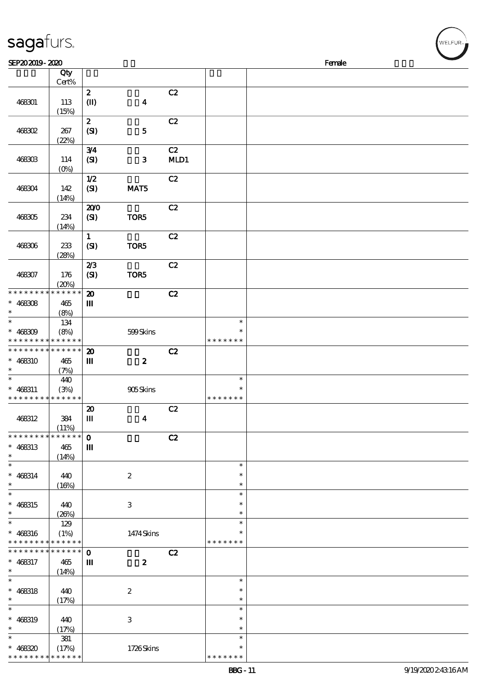| sagafurs.                                                                   |                                 |                                           |                  |           |                                   |        | WELFUR <sub>™</sub> |
|-----------------------------------------------------------------------------|---------------------------------|-------------------------------------------|------------------|-----------|-----------------------------------|--------|---------------------|
| SEP202019-2020                                                              |                                 |                                           |                  |           |                                   | Female |                     |
|                                                                             | Qty<br>Cert%                    |                                           |                  |           |                                   |        |                     |
| 468301                                                                      | 113<br>(15%)                    | $\boldsymbol{z}$<br>$\mathbf{I}$          | $\boldsymbol{4}$ | C2        |                                   |        |                     |
| 468302                                                                      | 267<br>(22%)                    | $\boldsymbol{z}$<br>(SI)                  | $\mathbf 5$      | C2        |                                   |        |                     |
| 468303                                                                      | 114<br>$(O\!/\!o)$              | 3/4<br>(SI)                               | $\mathbf{3}$     | C2<br>MD1 |                                   |        |                     |
| 468304                                                                      | 142<br>(14%)                    | 1/2<br>(SI)                               | MAT <sub>5</sub> | C2        |                                   |        |                     |
| 468305                                                                      | 234<br>(14%)                    | 200<br>(SI)                               | TOR5             | C2        |                                   |        |                     |
| 468306                                                                      | 233<br>(28%)                    | $\mathbf 1$<br>(SI)                       | TOR5             | C2        |                                   |        |                     |
| 468307                                                                      | 176<br>(20%)                    | 2/3<br>(SI)                               | TOR5             | C2        |                                   |        |                     |
| * * * * * * * * * * * * * *<br>$* 468308$<br>$\ast$                         | 465<br>(8%)                     | $\boldsymbol{\mathbf{z}}$<br>$\mathbf{m}$ |                  | C2        |                                   |        |                     |
| $\overline{\ast}$<br>$* 468309$<br>* * * * * * * * <mark>* * * * * *</mark> | 134<br>(8%)                     |                                           | 599Skins         |           | $\ast$<br>$\ast$<br>* * * * * * * |        |                     |
| * * * * * * * * * * * * * *<br>$* 468310$<br>$\ast$                         | 465<br>(7%)                     | $\boldsymbol{\mathbf{z}}$<br>$\mathbf{m}$ | $\boldsymbol{2}$ | C2        |                                   |        |                     |
| $\ast$<br>$* 468311$<br>* * * * * * * * * * * * * *                         | 440<br>(3%)                     |                                           | 905Skins         |           | $\ast$<br>$\ast$<br>* * * * * * * |        |                     |
| 468312                                                                      | 384<br>(11%)                    | $\boldsymbol{\mathbf{z}}$<br>Ш            | $\boldsymbol{4}$ | C2        |                                   |        |                     |
| * * * * * * * *<br>$* 468313$<br>$\ast$                                     | * * * * * *<br>465<br>(14%)     | $\mathbf 0$<br>$\mathbf{m}$               |                  | C2        |                                   |        |                     |
| $\ast$<br>$* 468314$<br>$\ast$                                              | 440<br>(16%)                    |                                           | $\boldsymbol{2}$ |           | $\ast$<br>$\ast$<br>$\ast$        |        |                     |
| $\ast$<br>$* 468315$<br>$\ast$                                              | 440<br>(20%)                    |                                           | $\,3$            |           | $\ast$<br>$\ast$<br>$\ast$        |        |                     |
| $\overline{\phantom{0}}$<br>$* 468316$<br>* * * * * * * *                   | 129<br>(1%)<br>* * * * * *      |                                           | 1474Skins        |           | $\ast$<br>$\ast$<br>* * * * * * * |        |                     |
| * * * * * * * *<br>$* 468317$<br>$\ast$                                     | $* * * * * * *$<br>465<br>(14%) | $\mathbf{o}$<br>Ш                         | $\boldsymbol{z}$ | C2        |                                   |        |                     |
| $\ast$<br>$* 468318$<br>$\ast$                                              | 440<br>(17%)                    |                                           | $\boldsymbol{2}$ |           | $\ast$<br>$\ast$<br>$\ast$        |        |                     |
| $\ast$<br>$* 468319$<br>$\ast$                                              | 440<br>(17%)                    |                                           | $\,3$            |           | $\ast$<br>$\ast$<br>$\ast$        |        |                     |
| $\ast$<br>$* 468320$                                                        | 381<br>(17%)                    |                                           | 1726Skins        |           | $\ast$<br>$\ast$                  |        |                     |

\* \* \* \* \* \*

\* \* \* \* \* \*

\* \* \* \* \* \* \*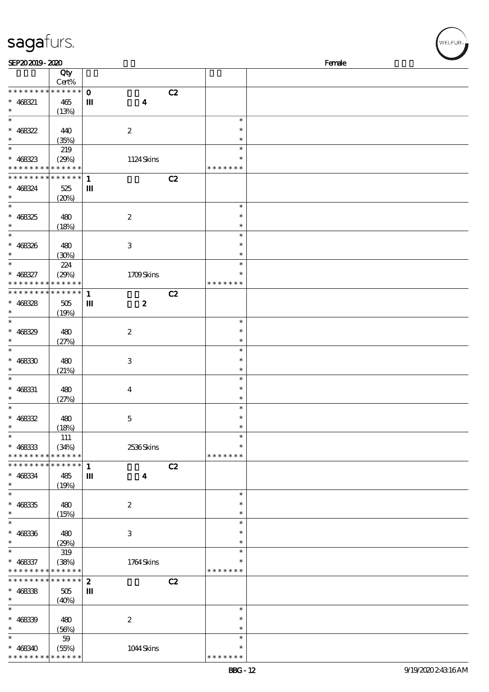| sagafurs.<br>SEP202019-2020                |                                                   |                                |                           |                         | Female |  |
|--------------------------------------------|---------------------------------------------------|--------------------------------|---------------------------|-------------------------|--------|--|
|                                            | Qty                                               |                                |                           |                         |        |  |
|                                            | $Cert\%$                                          |                                |                           |                         |        |  |
| * * * * * * * * * * * * * *                |                                                   | $\mathbf 0$                    | C2                        |                         |        |  |
| $* 468321$                                 | 465                                               | $\mathbf{m}$                   | $\boldsymbol{4}$          |                         |        |  |
| $\ast$                                     | (13%)                                             |                                |                           |                         |        |  |
| $\ast$                                     |                                                   |                                |                           | $\ast$                  |        |  |
| $* 468322$                                 | 440                                               |                                | $\boldsymbol{2}$          | $\ast$                  |        |  |
| $\ast$                                     | (35%)                                             |                                |                           | $\ast$                  |        |  |
| $\ast$                                     | 219                                               |                                |                           | $\ast$<br>$\ast$        |        |  |
| $* 468323$                                 | (29%)<br>* * * * * * * <mark>* * * * * * *</mark> |                                | 1124Skins                 | * * * * * * *           |        |  |
| * * * * * * * * <mark>* * * * * * *</mark> |                                                   | $\mathbf{1}$                   | C2                        |                         |        |  |
| $* 468324$                                 | 525                                               | Ш                              |                           |                         |        |  |
|                                            | (20%)                                             |                                |                           |                         |        |  |
| $\ast$                                     |                                                   |                                |                           | $\ast$                  |        |  |
| $* 468325$                                 | 480                                               |                                | $\boldsymbol{2}$          | $\ast$                  |        |  |
| $\ast$                                     | (18%)                                             |                                |                           | $\ast$                  |        |  |
| $\ast$                                     |                                                   |                                |                           | $\ast$                  |        |  |
| $* 468326$                                 | 480                                               |                                | 3                         | $\ast$                  |        |  |
| $\ast$                                     | (30%)                                             |                                |                           | $\ast$                  |        |  |
| $\ast$                                     | 224                                               |                                |                           | $\ast$                  |        |  |
| $* 468327$                                 | (29%)<br>* * * * * *                              |                                | 1709Skins                 | $\ast$<br>* * * * * * * |        |  |
| * * * *<br>* * * * * * * *                 | * * * * * *                                       |                                |                           |                         |        |  |
| $* 468328$                                 | 505                                               | $\mathbf{1}$<br>$\blacksquare$ | C2<br>$\boldsymbol{z}$    |                         |        |  |
| $\ast$                                     | (19%)                                             |                                |                           |                         |        |  |
| $\ast$                                     |                                                   |                                |                           | $\ast$                  |        |  |
| $* 468329$                                 | 480                                               |                                | $\boldsymbol{2}$          | $\ast$                  |        |  |
|                                            | (27%)                                             |                                |                           | $\ast$                  |        |  |
| $\ast$                                     |                                                   |                                |                           | $\ast$                  |        |  |
| $* 46830$                                  | 480                                               |                                | 3                         | $\ast$                  |        |  |
|                                            | (21%)                                             |                                |                           | $\ast$                  |        |  |
| $\ast$                                     |                                                   |                                |                           | $\ast$                  |        |  |
| $* 468331$                                 | 480                                               |                                | $\overline{\mathbf{4}}$   | $\ast$                  |        |  |
| $\ast$<br>$\ast$                           | (27%)                                             |                                |                           | $\ast$                  |        |  |
|                                            |                                                   |                                |                           | $\ast$<br>$\ast$        |        |  |
| $* 468332$<br>$\ast$                       | 480                                               |                                | $\mathbf 5$               | $\ast$                  |        |  |
| $\ast$                                     | (18%)<br>111                                      |                                |                           | $\ast$                  |        |  |
| $* 468333$                                 | (34%)                                             |                                | 2536Skins                 | $\ast$                  |        |  |
| * * * * * * * *                            | * * * * * *                                       |                                |                           | * * * * * * *           |        |  |
| * * * * * * * *                            | * * * * * *                                       | $\mathbf{1}$                   | C2                        |                         |        |  |
| $* 468334$                                 | 485                                               | Ш                              | $\overline{\mathbf{4}}$   |                         |        |  |
| $\ast$                                     | (19%)                                             |                                |                           |                         |        |  |
| $\ast$                                     |                                                   |                                |                           | $\ast$                  |        |  |
| $* 46835$                                  | 480                                               |                                | $\boldsymbol{z}$          | $\ast$                  |        |  |
| $\ast$<br>$\overline{\phantom{0}}$         | (15%)                                             |                                |                           | $\ast$                  |        |  |
|                                            |                                                   |                                |                           | $\ast$                  |        |  |
| $* 468336$<br>$\ast$                       | 480                                               |                                | $\ensuremath{\mathsf{3}}$ | $\ast$<br>$\ast$        |        |  |
| $\ast$                                     | (29%)                                             |                                |                           | $\ast$                  |        |  |
| $* 468337$                                 | 319<br>(38%)                                      |                                | 1764Skins                 |                         |        |  |
| * * * * * * * *                            | * * * * * *                                       |                                |                           | * * * * * * *           |        |  |
| * * * * * * * *                            | $******$                                          | $\boldsymbol{z}$               | C2                        |                         |        |  |
| $* 468338$                                 | 505                                               | $\mathbf{m}$                   |                           |                         |        |  |
| $\ast$                                     | (40%)                                             |                                |                           |                         |        |  |
| $\ast$                                     |                                                   |                                |                           | $\ast$                  |        |  |
| $* 468339$                                 | 480                                               |                                | $\boldsymbol{z}$          | $\ast$                  |        |  |
| $\ast$                                     | (56%)                                             |                                |                           | $\ast$                  |        |  |
| $\ast$                                     | $5\!\mathbf{9}$                                   |                                |                           | $\ast$                  |        |  |
| $* 468340$                                 | (55%)                                             |                                | 1044Skins                 | $\ast$                  |        |  |

\* \* \* \* \* \*

468340 \* \* \* \* \* \* \* \* \* \* \* \* \* \*

(55%) 1044 Skins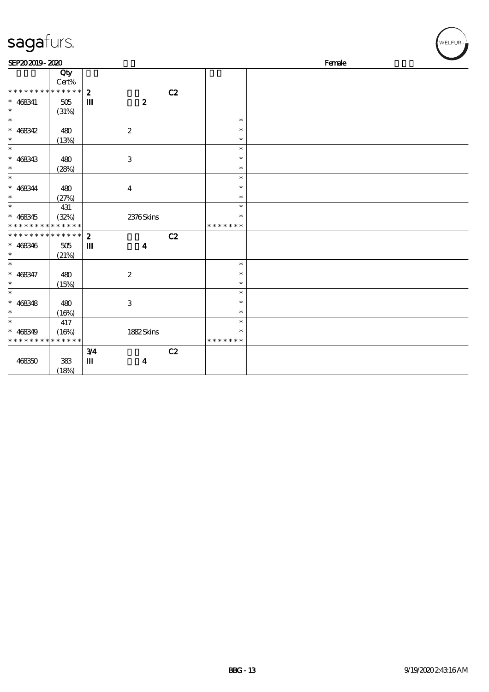| sagafurs.                    |              |                  |                  |    |               | WELFUR- |
|------------------------------|--------------|------------------|------------------|----|---------------|---------|
| SEP202019-2020               |              |                  |                  |    |               | Female  |
|                              | Qty<br>Cert% |                  |                  |    |               |         |
| * * * * * * * *              | * * * * * *  | $\boldsymbol{z}$ |                  | C2 |               |         |
| $* 468341$<br>$\ast$         | 505<br>(31%) | $\mathbf m$      | $\boldsymbol{2}$ |    |               |         |
| $\ast$                       |              |                  |                  |    | $\ast$        |         |
| $* 468342$                   | 480          |                  | $\boldsymbol{2}$ |    | $\ast$        |         |
| $\ast$                       | (13%)        |                  |                  |    | $\ast$        |         |
| $\ast$                       |              |                  |                  |    | $\ast$        |         |
| $* 468343$                   | 480          |                  | 3                |    | $\ast$        |         |
| $\ast$                       | (28%)        |                  |                  |    | $\ast$        |         |
| $\ast$                       |              |                  |                  |    | $\ast$        |         |
| $* 468344$                   | 480          |                  | $\bf{4}$         |    | $\ast$        |         |
| $\ast$                       | (27%)        |                  |                  |    | $\ast$        |         |
| $\overline{\phantom{1}}$     | 431          |                  |                  |    | $\ast$        |         |
| $* 468345$                   | (32%)        |                  | 2376Skins        |    | $\ast$        |         |
| * * * * * * * * * * * * * *  |              |                  |                  |    | * * * * * * * |         |
| ******** <mark>******</mark> |              | $\boldsymbol{z}$ |                  | C2 |               |         |
| $* 468346$                   | 505          | Ш                | $\boldsymbol{4}$ |    |               |         |
| $\ast$                       | (21%)        |                  |                  |    |               |         |
| $\ast$                       |              |                  |                  |    | $\ast$        |         |
| $* 468347$                   | 480          |                  | $\boldsymbol{2}$ |    | $\ast$        |         |
| $\ast$                       | (15%)        |                  |                  |    | $\ast$        |         |
| $\ast$                       |              |                  |                  |    | $\ast$        |         |
| $* 468348$                   | 480          |                  | $\,3$            |    | $\ast$        |         |
| $\ast$                       | (16%)        |                  |                  |    | $\ast$        |         |
| $\ast$                       | 417          |                  |                  |    | $\ast$        |         |
| $* 468349$                   | (16%)        |                  | 1882Skins        |    | $\ast$        |         |
| * * * * * * * * * * * * * *  |              |                  |                  |    | * * * * * * * |         |
|                              |              | 3/4              |                  | C2 |               |         |
| 468350                       | 383          | $\mathbf{m}$     | $\boldsymbol{4}$ |    |               |         |
|                              | (18%)        |                  |                  |    |               |         |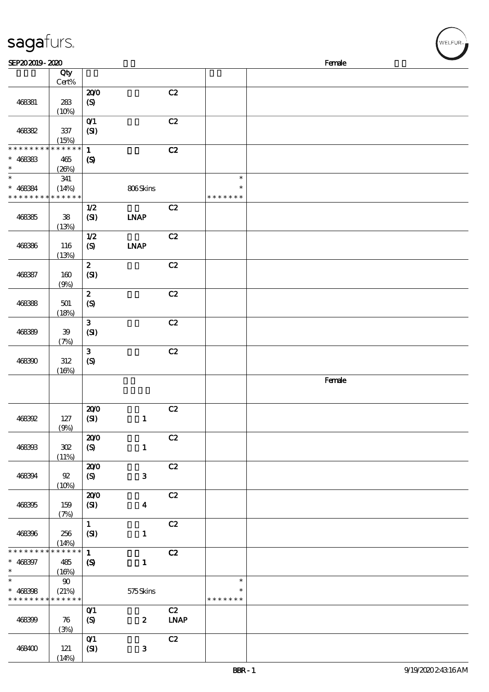| sagaturs.                                                          |                             |                                            |                  |                                    |                              |  |        | WELFUR <sub>™</sub> |
|--------------------------------------------------------------------|-----------------------------|--------------------------------------------|------------------|------------------------------------|------------------------------|--|--------|---------------------|
| SEP202019-2020                                                     |                             |                                            |                  |                                    |                              |  | Female |                     |
|                                                                    | Qty<br>$\mbox{Cert}\%$      |                                            |                  |                                    |                              |  |        |                     |
| 468381                                                             | 283<br>(10%)                | 200<br>$\pmb{\in}$                         |                  | C2                                 |                              |  |        |                     |
| 468382                                                             | 337<br>(15%)                | O(1)<br>$\bf{(S\!I)}$                      |                  | C2                                 |                              |  |        |                     |
| * * * * * * * * <mark>* * * * * * *</mark><br>$* 468383$<br>$\ast$ | 465<br>(20%)                | $\mathbf{1}$<br>$\boldsymbol{\mathcal{S}}$ |                  | C2                                 |                              |  |        |                     |
| $\ast$<br>$* 468384$<br>* * * * * * * * <mark>* * * * * * *</mark> | 341<br>(14%)                |                                            | 806Skins         |                                    | $\ast$<br>* * * * * * *      |  |        |                     |
| 46885                                                              | ${\bf 38}$<br>(13%)         | 1/2<br>(SI)                                | <b>INAP</b>      | C2                                 |                              |  |        |                     |
| 468386                                                             | 116<br>(13%)                | $1/2$<br>$\boldsymbol{\mathrm{(S)}}$       | <b>LNAP</b>      | C2                                 |                              |  |        |                     |
| 468387                                                             | 160<br>(9%)                 | $\boldsymbol{z}$<br>(SI)                   |                  | C2                                 |                              |  |        |                     |
| 468388                                                             | 501<br>(18%)                | $\boldsymbol{2}$<br>$\pmb{\text{(S)}}$     |                  | C2                                 |                              |  |        |                     |
| 468399                                                             | $39$<br>(7%)                | $\mathbf{3}$<br>(SI)                       |                  | C2                                 |                              |  |        |                     |
| 468390                                                             | 312<br>(16%)                | 3<br>(S)                                   |                  | C2                                 |                              |  |        |                     |
|                                                                    |                             |                                            |                  |                                    |                              |  | Female |                     |
| <b>468392</b>                                                      | 127<br>(9%)                 | 200<br>(SI)                                | $\mathbf{1}$     | C2                                 |                              |  |        |                     |
| 468393                                                             | $30\!\!\!2$<br>(11%)        | 200<br>(S)                                 | $\mathbf{1}$     | C2                                 |                              |  |        |                     |
| 468394                                                             | 92<br>(10%)                 | 200<br>(S)                                 | $\mathbf{3}$     | C2                                 |                              |  |        |                     |
| 468395                                                             | 159<br>(7%)                 | 200<br>(SI)                                | $\boldsymbol{4}$ | C2                                 |                              |  |        |                     |
| 468396                                                             | 256<br>(14%)                | $\mathbf{1}$<br>(SI)                       | $\mathbf{1}$     | C2                                 |                              |  |        |                     |
| * * * * * * * *<br>$* 468397$<br>$\ast$                            | * * * * * *<br>485<br>(16%) | $\mathbf{1}$<br>$\boldsymbol{\mathcal{S}}$ | $\mathbf{1}$     | C2                                 |                              |  |        |                     |
| $\ast$<br>$* 468398$<br>* * * * * * * * <mark>* * * * * *</mark>   | ${\bf 90}$<br>(21%)         |                                            | 575Skins         |                                    | $\ast$<br>∗<br>* * * * * * * |  |        |                     |
| 468399                                                             | $\boldsymbol{\pi}$<br>(3%)  | O <sub>1</sub><br>(S)                      | $\boldsymbol{z}$ | C2<br>$\ensuremath{\mathbf{INAP}}$ |                              |  |        |                     |
| 468400                                                             | 121                         | $O$ <sup><math>\prime</math></sup><br>(SI) | $\mathbf{3}$     | C2                                 |                              |  |        |                     |

 $(14%)$ 

 $\epsilon$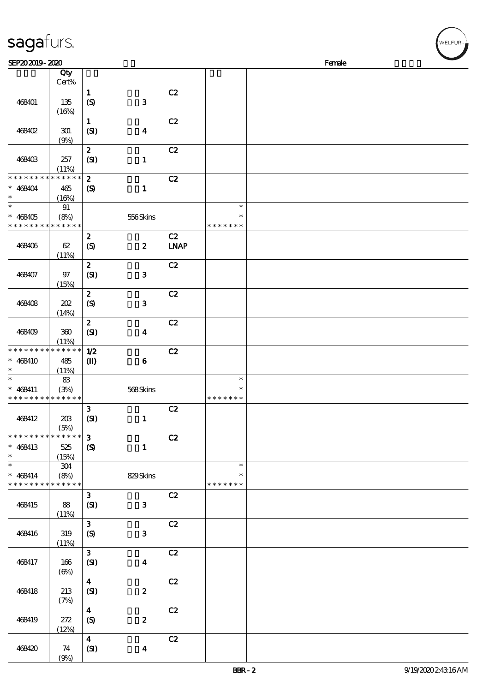| sagafurs.                                           |                               |                                      |                   |                   |                                   |        | WELFUR <sub>™I</sub> |
|-----------------------------------------------------|-------------------------------|--------------------------------------|-------------------|-------------------|-----------------------------------|--------|----------------------|
| SEP202019-2020                                      |                               |                                      |                   |                   |                                   | Female |                      |
|                                                     | Qty<br>Cert%                  |                                      |                   |                   |                                   |        |                      |
| 468401                                              | 135<br>(16%)                  | $\mathbf{1}$<br>(S)                  | ${\bf 3}$         | C2                |                                   |        |                      |
| 468402                                              | 301<br>(9%)                   | $\mathbf{1}$<br>(SI)                 | $\boldsymbol{4}$  | C2                |                                   |        |                      |
| 468403                                              | 257<br>(11%)                  | $\boldsymbol{2}$<br>(SI)             | $\mathbf 1$       | C2                |                                   |        |                      |
| * * * * * * * *                                     | * * * * * *                   | $\boldsymbol{2}$                     |                   | C2                |                                   |        |                      |
| $* 468404$<br>$\ast$                                | $465$<br>(16%)                | $\pmb{\in}$                          | $\mathbf{1}$      |                   |                                   |        |                      |
| $\ast$<br>$* 468405$<br>* * * * * * * *             | $9\!1$<br>(8%)<br>* * * * * * |                                      | $556\mbox{Skins}$ |                   | $\ast$<br>$\ast$<br>* * * * * * * |        |                      |
| 468406                                              | 62<br>(11%)                   | $\boldsymbol{2}$<br>$\boldsymbol{S}$ | $\boldsymbol{z}$  | C2<br><b>LNAP</b> |                                   |        |                      |
| 468407                                              | 97<br>(15%)                   | $\pmb{2}$<br>(SI)                    | ${\bf 3}$         | C2                |                                   |        |                      |
| 468408                                              | 202<br>(14%)                  | $\boldsymbol{2}$<br>$\boldsymbol{S}$ | ${\bf 3}$         | C2                |                                   |        |                      |
| 468409                                              | $300\,$<br>(11%)              | $\boldsymbol{2}$<br>(SI)             | $\boldsymbol{4}$  | C2                |                                   |        |                      |
| * * * * * * * *<br>$* 468410$<br>$\ast$             | * * * * * *<br>485<br>(11%)   | 1/2<br>$\mathbf{I}$                  | $\bf{6}$          | C2                |                                   |        |                      |
| $\ast$<br>$* 468411$<br>* * * * * * * * * * * * * * | $8\!$<br>(3%)                 |                                      | 568Skins          |                   | $\ast$<br>$\ast$<br>* * * * * * * |        |                      |
| 468412                                              | 20B<br>(5%)                   | $\mathbf{3}$<br>(SI)                 | $\mathbf{1}$      | C2                |                                   |        |                      |
| * * * * * * * *<br>$* 468413$<br>$\ast$             | * * * * * *<br>525<br>(15%)   | 3<br>$\boldsymbol{S}$                | $\mathbf{1}$      | C2                |                                   |        |                      |
| $\ast$<br>$* 468414$<br>* * * * * * * * * * * * * * | 304<br>(8%)                   |                                      | 829Skins          |                   | $\ast$<br>* * * * * * *           |        |                      |
| 468415                                              | 88<br>(11%)                   | $\mathbf{3}$<br>(SI)                 | $\mathbf{3}$      | C2                |                                   |        |                      |
| 468416                                              | 319<br>(11%)                  | $\mathbf{3}$<br>(S)                  | ${\bf 3}$         | C2                |                                   |        |                      |
| 468417                                              | 166<br>$(\Theta)$             | $\mathbf{3}$<br>(SI)                 | $\boldsymbol{4}$  | C2                |                                   |        |                      |
| 468418                                              | 213<br>(7%)                   | $\boldsymbol{4}$<br>(SI)             | $\pmb{2}$         | C2                |                                   |        |                      |
| 468419                                              | 272<br>(12%)                  | $\boldsymbol{4}$<br>$\boldsymbol{S}$ | $\boldsymbol{z}$  | C2                |                                   |        |                      |
| 468420                                              | 74                            | $\boldsymbol{4}$<br>(SI)             | 4                 | C2                |                                   |        |                      |

 $(9%)$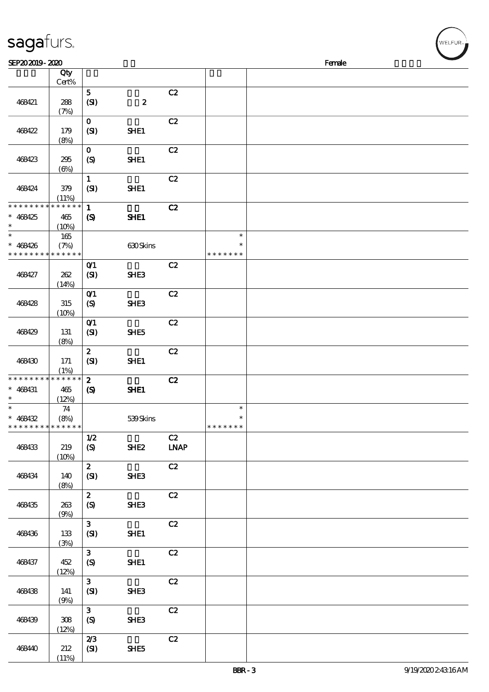| sagafurs.                                           |                                            |                                                |                  |                   |                                   |        | WELFUR <sub>™</sub> |
|-----------------------------------------------------|--------------------------------------------|------------------------------------------------|------------------|-------------------|-----------------------------------|--------|---------------------|
| SEP202019-2020                                      |                                            |                                                |                  |                   |                                   | Female |                     |
|                                                     | Qty<br>Cert%                               |                                                |                  |                   |                                   |        |                     |
| 468421                                              | 288<br>(7%)                                | 5 <sub>5</sub><br>(SI)                         | $\pmb{2}$        | C2                |                                   |        |                     |
| 468422                                              | 179<br>(8%)                                | $\mathbf 0$<br>(SI)                            | SHE1             | C2                |                                   |        |                     |
| 468423                                              | 295<br>$(\Theta\%)$                        | $\mathbf{o}$<br>$\boldsymbol{\mathrm{(S)}}$    | SHE1             | C2                |                                   |        |                     |
| 468424                                              | 379<br>(11%)                               | $\mathbf{1}$<br>(SI)                           | SHE1             | C2                |                                   |        |                     |
| * * * * * * * * *<br>$* 468425$<br>$\ast$           | * * * * *<br>465<br>(10%)                  | $\mathbf{1}$<br>$\boldsymbol{\mathcal{S}}$     | SHE1             | C2                |                                   |        |                     |
| $\ast$<br>$* 468426$                                | 165<br>(7%)<br>******* <mark>******</mark> |                                                | 630Skins         |                   | $\ast$<br>$\ast$<br>* * * * * * * |        |                     |
| 468427                                              | 262<br>(14%)                               | O(1)<br>(SI)                                   | SHE3             | C2                |                                   |        |                     |
| 468428                                              | 315<br>(10%)                               | $O$ $1$<br>$\boldsymbol{\mathrm{(S)}}$         | <b>SHE3</b>      | C2                |                                   |        |                     |
| 468429                                              | 131<br>(8%)                                | $O$ $1$<br>(SI)                                | SHE5             | C2                |                                   |        |                     |
| 468430                                              | 171<br>(1%)                                | $\boldsymbol{z}$<br>(SI)                       | SHE1             | C2                |                                   |        |                     |
| * * * * * * * *  <br>$* 468431$<br>$\ast$           | * * * * *<br>$\ast$<br>465<br>(12%)        | $\boldsymbol{z}$<br>$\boldsymbol{\mathcal{S}}$ | SHE1             | C2                |                                   |        |                     |
| $\ast$<br>$* 468432$<br>* * * * * * * * * * * * * * | 74<br>(8%)                                 |                                                | 539Skins         |                   | $\ast$<br>$\ast$<br>* * * * * * * |        |                     |
| 468433                                              | 219<br>(10%)                               | 1/2<br>(S)                                     | SHE <sub>2</sub> | C2<br><b>LNAP</b> |                                   |        |                     |
| 468434                                              | 140<br>(8%)                                | $\mathbf{2}$<br>(SI)                           | SHE <sub>3</sub> | C2                |                                   |        |                     |
| 468435                                              | 263<br>(9%)                                | $\mathbf{z}$<br>(S)                            | SHE <sub>3</sub> | C2                |                                   |        |                     |
| 468436                                              | 133<br>(3%)                                | 3 <sup>7</sup><br>(SI)                         | SHE1             | C2                |                                   |        |                     |
| 468437                                              | 452<br>(12%)                               | 3 <sup>1</sup><br>$\boldsymbol{S}$             | SHE1             | C2                |                                   |        |                     |
| 468438                                              | 141<br>(9%)                                | 3 <sup>1</sup><br>(SI)                         | SHE3             | C2                |                                   |        |                     |
| 468439                                              | 308<br>(12%)                               | $\mathbf{3}$<br>$\boldsymbol{S}$               | SHE3             | C2                |                                   |        |                     |
| 46840                                               | 212                                        | 2/3<br>(SI)                                    | SHE5             | C2                |                                   |        |                     |

 $(11%)$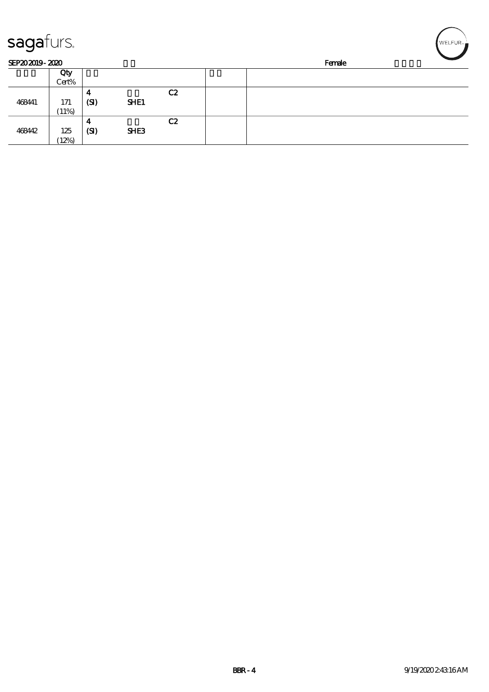| sagafurs.      |              |            |                  |    |        | $\sqrt{\text{WELFUR}_{\text{max}}}$ |  |  |
|----------------|--------------|------------|------------------|----|--------|-------------------------------------|--|--|
| SEP202019-2020 |              |            |                  |    | Female |                                     |  |  |
|                | Qty<br>Cert% |            |                  |    |        |                                     |  |  |
| 468441         | 171<br>(11%) | 4<br>(SI)  | SHE1             | C2 |        |                                     |  |  |
| 468442         | 125<br>(12%) | -4<br>(SI) | SHE <sub>3</sub> | C2 |        |                                     |  |  |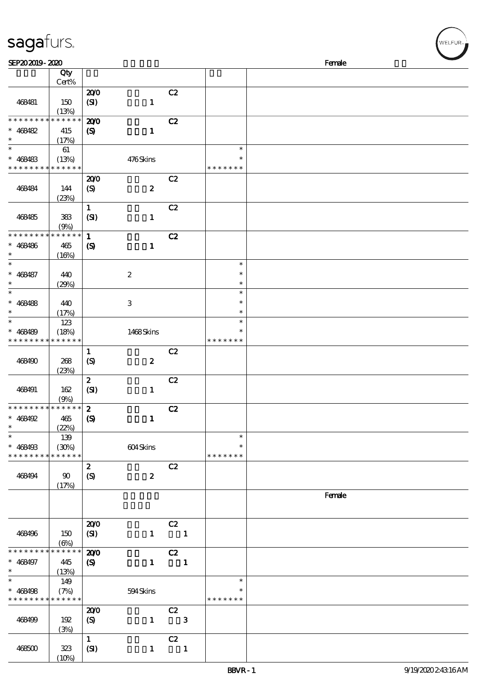| sagafurs.                                           |                           |                                    |                  |                   |                |                                   | WELFUR <sub>™</sub> |
|-----------------------------------------------------|---------------------------|------------------------------------|------------------|-------------------|----------------|-----------------------------------|---------------------|
| SEP202019-2020                                      |                           |                                    |                  |                   |                |                                   | Female              |
|                                                     | Qty                       |                                    |                  |                   |                |                                   |                     |
|                                                     | Cert%                     | 200                                |                  | C2                |                |                                   |                     |
| 468481                                              | 150<br>(13%)              | (SI)                               | $\mathbf{1}$     |                   |                |                                   |                     |
| * * * * * * * * * * * * * *                         |                           | 200                                |                  | C2                |                |                                   |                     |
| $* 468482$<br>$\ast$                                | 415<br>(17%)              | $\boldsymbol{\mathcal{S}}$         | $\mathbf{1}$     |                   |                | $\ast$                            |                     |
| $* 468483$                                          | 61<br>(13%)               |                                    | 476Skins         |                   |                | $\ast$                            |                     |
| * * * * * * * *                                     | * * * * * *               |                                    |                  |                   |                | * * * * * * *                     |                     |
| 468484                                              | 144<br>(23%)              | 200<br>$\boldsymbol{\mathrm{(S)}}$ | $\boldsymbol{z}$ | C2                |                |                                   |                     |
| 468485                                              | 383                       | $\mathbf{1}$<br>(SI)               | $\mathbf{1}$     | C2                |                |                                   |                     |
| * * * * * * * *                                     | (9%)<br>* * * * * *       | $\mathbf{1}$                       |                  | C2                |                |                                   |                     |
| $* 468486$<br>$\ast$                                | 465<br>(16%)              | $\boldsymbol{\mathcal{S}}$         | $\mathbf{1}$     |                   |                |                                   |                     |
| $\ast$                                              |                           |                                    |                  |                   |                | $\ast$                            |                     |
| $* 468487$<br>$\ast$                                | 440<br>(29%)              |                                    | $\boldsymbol{2}$ |                   |                | $\ast$<br>$\ast$                  |                     |
| $\ast$                                              |                           |                                    |                  |                   |                | $\ast$                            |                     |
| $* 468488$<br>$\ast$                                | 440<br>(17%)              |                                    | 3                |                   |                | $\ast$<br>$\ast$                  |                     |
| $\ast$<br>$* 468489$                                | 123<br>(18%)              |                                    | 1468Skins        |                   |                | $\ast$<br>$\ast$                  |                     |
| * * * * * * * * <mark>* * * * * *</mark>            |                           |                                    |                  |                   |                | * * * * * * *                     |                     |
| 468490                                              | 268<br>(23%)              | $\mathbf{1}$<br>$\boldsymbol{S}$   | $\boldsymbol{z}$ | C2                |                |                                   |                     |
| 468491                                              | 162<br>(9%)               | $\boldsymbol{z}$<br>(SI)           | $\mathbf{1}$     | C2                |                |                                   |                     |
| * * * * * * * * * * * * * * *                       |                           | $\boldsymbol{z}$                   |                  | C2                |                |                                   |                     |
| $* 468492$<br>$\ast$                                | 465<br>(22%)              | $\boldsymbol{\mathcal{S}}$         | $\mathbf{1}$     |                   |                |                                   |                     |
| $\ast$                                              | 139                       |                                    |                  |                   |                | $\ast$                            |                     |
| $* 468493$<br>* * * * * * * *                       | (30%)<br>* * * * * *      |                                    | 604Skins         |                   |                | * * * * * * *                     |                     |
| 468494                                              | $90^{\circ}$              | $\boldsymbol{z}$<br>(S)            | $\boldsymbol{z}$ | C2                |                |                                   |                     |
|                                                     | (17%)                     |                                    |                  |                   |                |                                   | Female              |
|                                                     |                           |                                    |                  |                   |                |                                   |                     |
| 468496                                              | 150                       | 200<br>(SI)                        | $\mathbf{1}$     | C2                | $\blacksquare$ |                                   |                     |
| * * * * * * * *                                     | $(\Theta)$<br>* * * * * * | 200                                |                  | C2                |                |                                   |                     |
| $* 468497$<br>$\ast$                                | 445<br>(13%)              | $\boldsymbol{\mathrm{(S)}}$        | $\mathbf{1}$     |                   | $\mathbf{1}$   |                                   |                     |
| $\ast$<br>$* 468498$<br>* * * * * * * * * * * * * * | 149<br>(7%)               |                                    | 594Skins         |                   |                | $\ast$<br>$\ast$<br>* * * * * * * |                     |
|                                                     |                           | 200                                |                  | C2                |                |                                   |                     |
| 468499                                              | 192<br>(3%)               | $\boldsymbol{S}$                   | $\mathbf{1}$     |                   | $\mathbf{3}$   |                                   |                     |
| 468500                                              | 323                       | $\mathbf{1}$<br>(SI)               |                  | C2<br>$1 \quad 1$ |                |                                   |                     |

 $(10%)$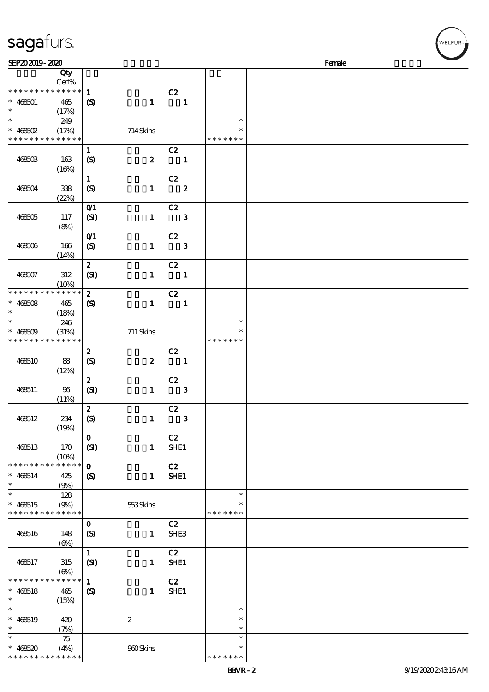| sagafurs.                                              |                                          |                             |                  |                          |                         | WELFUR <sub>™</sub> |
|--------------------------------------------------------|------------------------------------------|-----------------------------|------------------|--------------------------|-------------------------|---------------------|
| SEP202019-2020                                         |                                          |                             |                  |                          |                         | Female              |
|                                                        | Qty<br>Cert%                             |                             |                  |                          |                         |                     |
| * * * * * * * *                                        | $******$                                 | $\mathbf{1}$                |                  | C2                       |                         |                     |
| $* 468501$<br>$\ast$                                   | 465<br>(17%)                             | $\boldsymbol{\mathcal{S}}$  | $\mathbf{1}$     | $\overline{\phantom{a}}$ |                         |                     |
| $\ast$                                                 | 249                                      |                             |                  |                          | $\ast$                  |                     |
| $* 468502$<br>* * * * * * * *                          | (17%)<br>* * * * * *                     |                             | 714Skins         |                          | $\ast$<br>* * * * * * * |                     |
|                                                        |                                          | $\mathbf{1}$                |                  | C2                       |                         |                     |
| 468503                                                 | 163<br>(16%)                             | $\boldsymbol{S}$            | $\boldsymbol{z}$ | $\blacksquare$           |                         |                     |
|                                                        |                                          | $\mathbf 1$                 |                  | C2                       |                         |                     |
| 468504                                                 | 338<br>(22%)                             | $\boldsymbol{S}$            | $\mathbf{1}$     | $\overline{\mathbf{z}}$  |                         |                     |
|                                                        |                                          | $O$ $1$                     |                  | C2                       |                         |                     |
| 468505                                                 | 117<br>(8%)                              | (SI)                        | $\mathbf{1}$     | $\mathbf{3}$             |                         |                     |
|                                                        |                                          | $O$ $1$                     |                  | C2                       |                         |                     |
| 468506                                                 | 166<br>(14%)                             | $\boldsymbol{S}$            | $\mathbf{1}$     | $\mathbf{3}$             |                         |                     |
|                                                        |                                          | $\boldsymbol{z}$            |                  | C2                       |                         |                     |
| 468507                                                 | 312<br>(10%)                             | (SI)                        | $\mathbf{1}$     | $\overline{\phantom{a}}$ |                         |                     |
| * * * * * * * *                                        | * * * * * *                              | $\boldsymbol{2}$            |                  | C2                       |                         |                     |
| $* 468508$<br>$\ast$                                   | 465                                      | $\boldsymbol{\mathrm{(S)}}$ | $\mathbf{1}$     | $\overline{\phantom{a}}$ |                         |                     |
| $\ast$                                                 | (18%)<br>246                             |                             |                  |                          | $\ast$                  |                     |
| $* 468509$                                             | (31%)                                    |                             | $711$ Skins      |                          | $\ast$                  |                     |
|                                                        | * * * * * * * <mark>* * * * * * *</mark> |                             |                  |                          | * * * * * * *           |                     |
|                                                        |                                          | $\pmb{2}$                   |                  | C2                       |                         |                     |
| 468510                                                 | 88                                       | $\boldsymbol{S}$            | $\boldsymbol{2}$ | $\blacksquare$           |                         |                     |
|                                                        | (12%)                                    | $\boldsymbol{z}$            |                  |                          |                         |                     |
| 468511                                                 | 96                                       | (SI)                        | $\mathbf{1}$     | C2<br>$\mathbf 3$        |                         |                     |
|                                                        | (11%)                                    |                             |                  |                          |                         |                     |
|                                                        |                                          | $\boldsymbol{z}$            |                  | C2                       |                         |                     |
| 468512                                                 | 234<br>(19%)                             | $\boldsymbol{S}$            | $\mathbf{1}$     | $\mathbf{3}$             |                         |                     |
|                                                        |                                          | $\mathbf{O}$                |                  | C2                       |                         |                     |
| 468513                                                 | 170                                      | (SI)                        | $\mathbf{1}$     | SHE1                     |                         |                     |
| * * * * * * * *                                        | (10%)<br>* * * * * *                     | $\mathbf 0$                 |                  | C2                       |                         |                     |
| $* 468514$                                             | 425                                      | $\boldsymbol{\mathcal{S}}$  | $\mathbf{1}$     | SHE1                     |                         |                     |
| $\ast$                                                 | (9%)                                     |                             |                  |                          |                         |                     |
| $\ast$                                                 | 128                                      |                             |                  |                          | $\ast$                  |                     |
| $* 468515$<br>* * * * * * * * <mark>* * * * * *</mark> | (9%)                                     |                             | 553Skins         |                          | * * * * * * *           |                     |
| 468516                                                 |                                          | $\mathbf{O}$                |                  | C2                       |                         |                     |
|                                                        | 148<br>$(\Theta)$                        | $\boldsymbol{S}$            | $\mathbf{1}$     | SHE <sub>3</sub>         |                         |                     |
|                                                        |                                          | $\mathbf{1}$                |                  | C2                       |                         |                     |
| 468517                                                 | 315                                      | (SI)                        | $\mathbf{1}$     | SHE1                     |                         |                     |
|                                                        | $(\Theta)$                               |                             |                  |                          |                         |                     |
| * * * * * * * *                                        | * * * * * *                              | $\mathbf{1}$                |                  | C2                       |                         |                     |
| $* 468518$<br>$\ast$                                   | 465                                      | $\boldsymbol{\mathrm{(S)}}$ | $\mathbf{1}$     | <b>SHE1</b>              |                         |                     |
| $\ast$                                                 | (15%)                                    |                             |                  |                          | $\ast$                  |                     |
| $* 468519$                                             | 420                                      |                             | $\boldsymbol{2}$ |                          | $\ast$                  |                     |
| $\ast$                                                 | (7%)                                     |                             |                  |                          | $\ast$                  |                     |

\*\*

\* \* \* \* \* \*

\*\* <sup>468520</sup> \* \* \* \* \* \* \* \* \* \* \* \* \* \*

75

(4%) 960 Skins